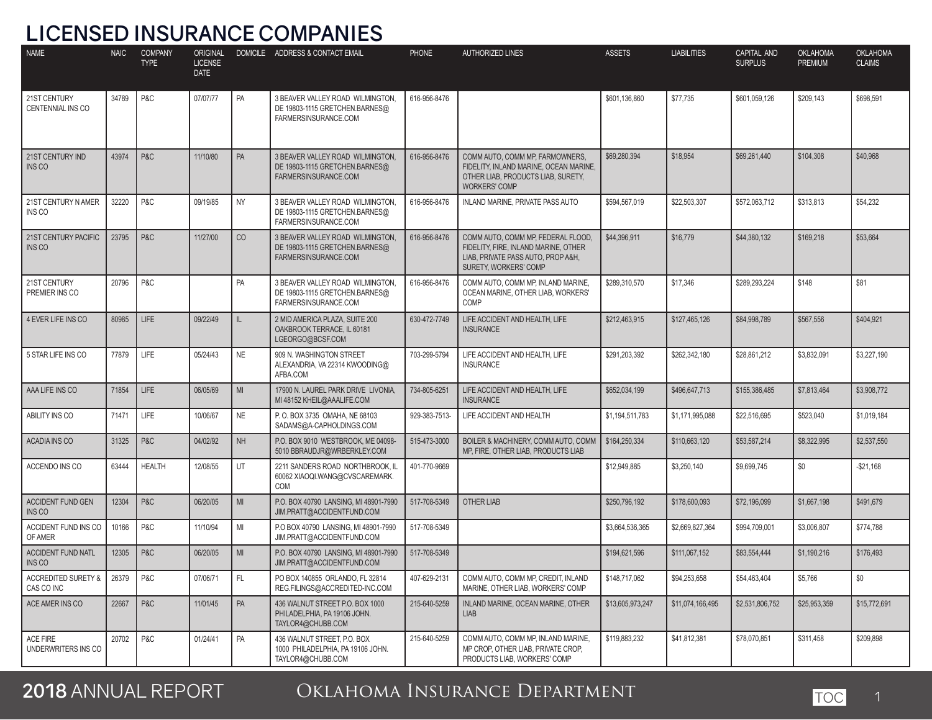### **LICENSED INSURANCE COMPANIES**

| <b>NAME</b>                                  | <b>NAIC</b> | <b>COMPANY</b><br><b>TYPE</b> | ORIGINAL<br><b>LICENSE</b><br><b>DATE</b> |             | DOMICILE ADDRESS & CONTACT EMAIL                                                           | <b>PHONE</b>  | <b>AUTHORIZED LINES</b>                                                                                                                   | <b>ASSETS</b>    | <b>LIABILITIES</b> | CAPITAL AND<br><b>SURPLUS</b> | <b>OKLAHOMA</b><br><b>PREMIUM</b> | <b>OKLAHOMA</b><br><b>CLAIMS</b> |
|----------------------------------------------|-------------|-------------------------------|-------------------------------------------|-------------|--------------------------------------------------------------------------------------------|---------------|-------------------------------------------------------------------------------------------------------------------------------------------|------------------|--------------------|-------------------------------|-----------------------------------|----------------------------------|
| 21ST CENTURY<br><b>CENTENNIAL INS CO</b>     | 34789       | P&C                           | 07/07/77                                  | PA          | 3 BEAVER VALLEY ROAD WILMINGTON,<br>DE 19803-1115 GRETCHEN.BARNES@<br>FARMERSINSURANCE.COM | 616-956-8476  |                                                                                                                                           | \$601,136,860    | \$77,735           | \$601,059,126                 | \$209,143                         | \$698,591                        |
| 21ST CENTURY IND<br>INS CO                   | 43974       | P&C                           | 11/10/80                                  | PA          | 3 BEAVER VALLEY ROAD WILMINGTON,<br>DE 19803-1115 GRETCHEN.BARNES@<br>FARMERSINSURANCE.COM | 616-956-8476  | COMM AUTO, COMM MP, FARMOWNERS,<br>FIDELITY, INLAND MARINE, OCEAN MARINE,<br>OTHER LIAB, PRODUCTS LIAB, SURETY,<br><b>WORKERS' COMP</b>   | \$69,280,394     | \$18,954           | \$69,261,440                  | \$104,308                         | \$40,968                         |
| 21ST CENTURY N AMER<br>INS CO                | 32220       | P&C                           | 09/19/85                                  | <b>NY</b>   | 3 BEAVER VALLEY ROAD WILMINGTON,<br>DE 19803-1115 GRETCHEN.BARNES@<br>FARMERSINSURANCE.COM | 616-956-8476  | INLAND MARINE. PRIVATE PASS AUTO                                                                                                          | \$594,567,019    | \$22,503,307       | \$572,063,712                 | \$313,813                         | \$54,232                         |
| 21ST CENTURY PACIFIC<br><b>INS CO</b>        | 23795       | P&C                           | 11/27/00                                  | CO          | 3 BEAVER VALLEY ROAD WILMINGTON,<br>DE 19803-1115 GRETCHEN.BARNES@<br>FARMERSINSURANCE.COM | 616-956-8476  | COMM AUTO, COMM MP, FEDERAL FLOOD,<br>FIDELITY, FIRE, INLAND MARINE, OTHER<br>LIAB, PRIVATE PASS AUTO, PROP A&H,<br>SURETY, WORKERS' COMP | \$44,396,911     | \$16,779           | \$44,380,132                  | \$169,218                         | \$53,664                         |
| 21ST CENTURY<br>PREMIER INS CO               | 20796       | P&C                           |                                           | PA          | 3 BEAVER VALLEY ROAD WILMINGTON,<br>DE 19803-1115 GRETCHEN.BARNES@<br>FARMERSINSURANCE.COM | 616-956-8476  | COMM AUTO, COMM MP, INLAND MARINE,<br>OCEAN MARINE, OTHER LIAB, WORKERS'<br>COMP                                                          | \$289,310,570    | \$17,346           | \$289,293,224                 | \$148                             | \$81                             |
| 4 EVER LIFE INS CO                           | 80985       | LIFE                          | 09/22/49                                  | $\parallel$ | 2 MID AMERICA PLAZA, SUITE 200<br>OAKBROOK TERRACE, IL 60181<br>LGEORGO@BCSF.COM           | 630-472-7749  | LIFE ACCIDENT AND HEALTH, LIFE<br><b>INSURANCE</b>                                                                                        | \$212,463,915    | \$127,465,126      | \$84,998,789                  | \$567,556                         | \$404,921                        |
| 5 STAR LIFE INS CO                           | 77879       | LIFE                          | 05/24/43                                  | <b>NE</b>   | 909 N. WASHINGTON STREET<br>ALEXANDRIA, VA 22314 KWOODING@<br>AFBA.COM                     | 703-299-5794  | LIFE ACCIDENT AND HEALTH. LIFE<br><b>INSURANCE</b>                                                                                        | \$291,203,392    | \$262.342.180      | \$28,861,212                  | \$3,832,091                       | \$3,227,190                      |
| AAA LIFE INS CO                              | 71854       | LIFE                          | 06/05/69                                  | MI          | 17900 N. LAUREL PARK DRIVE LIVONIA,<br>MI 48152 KHEIL@AAALIFE.COM                          | 734-805-6251  | LIFE ACCIDENT AND HEALTH, LIFE<br><b>INSURANCE</b>                                                                                        | \$652,034,199    | \$496,647,713      | \$155,386,485                 | \$7,813,464                       | \$3,908,772                      |
| ABILITY INS CO                               | 71471       | LIFE                          | 10/06/67                                  | <b>NE</b>   | P. O. BOX 3735 OMAHA, NE 68103<br>SADAMS@A-CAPHOLDINGS.COM                                 | 929-383-7513- | LIFE ACCIDENT AND HEALTH                                                                                                                  | \$1,194,511,783  | \$1,171,995,088    | \$22,516,695                  | \$523,040                         | \$1,019,184                      |
| <b>ACADIA INS CO</b>                         | 31325       | P&C                           | 04/02/92                                  | <b>NH</b>   | P.O. BOX 9010 WESTBROOK, ME 04098-<br>5010 BBRAUDJR@WRBERKLEY.COM                          | 515-473-3000  | BOILER & MACHINERY, COMM AUTO, COMM<br>MP, FIRE, OTHER LIAB, PRODUCTS LIAB                                                                | \$164,250,334    | \$110.663.120      | \$53,587,214                  | \$8,322,995                       | \$2,537,550                      |
| ACCENDO INS CO                               | 63444       | <b>HEALTH</b>                 | 12/08/55                                  | UT          | 2211 SANDERS ROAD NORTHBROOK, IL<br>60062 XIAOQI.WANG@CVSCAREMARK.<br>COM                  | 401-770-9669  |                                                                                                                                           | \$12,949,885     | \$3,250,140        | \$9,699,745                   | \$0                               | $-$ \$21,168                     |
| <b>ACCIDENT FUND GEN</b><br>INS CO           | 12304       | P&C                           | 06/20/05                                  | MI          | P.O. BOX 40790 LANSING, MI 48901-7990<br>JIM.PRATT@ACCIDENTFUND.COM                        | 517-708-5349  | <b>OTHER LIAB</b>                                                                                                                         | \$250,796,192    | \$178,600,093      | \$72,196,099                  | \$1,667,198                       | \$491,679                        |
| ACCIDENT FUND INS CO<br>OF AMER              | 10166       | P&C                           | 11/10/94                                  | MI          | P.O BOX 40790 LANSING, MI 48901-7990<br>JIM.PRATT@ACCIDENTFUND.COM                         | 517-708-5349  |                                                                                                                                           | \$3,664,536,365  | \$2,669,827,364    | \$994,709,001                 | \$3,006,807                       | \$774,788                        |
| <b>ACCIDENT FUND NATL</b><br>INS CO          | 12305       | P&C                           | 06/20/05                                  | MI          | P.O. BOX 40790 LANSING, MI 48901-7990<br>JIM.PRATT@ACCIDENTFUND.COM                        | 517-708-5349  |                                                                                                                                           | \$194,621,596    | \$111,067,152      | \$83,554,444                  | \$1,190,216                       | \$176,493                        |
| <b>ACCREDITED SURETY &amp;</b><br>CAS CO INC | 26379       | P & C                         | 07/06/71                                  | FL          | PO BOX 140855 ORLANDO, FL 32814<br>REG.FILINGS@ACCREDITED-INC.COM                          | 407-629-2131  | COMM AUTO, COMM MP, CREDIT, INLAND<br>MARINE, OTHER LIAB, WORKERS' COMP                                                                   | \$148,717,062    | \$94,253,658       | \$54,463,404                  | \$5,766                           | \$0                              |
| ACE AMER INS CO                              | 22667       | P&C                           | 11/01/45                                  | PA          | 436 WALNUT STREET P.O. BOX 1000<br>PHILADELPHIA, PA 19106 JOHN.<br>TAYLOR4@CHUBB.COM       | 215-640-5259  | INLAND MARINE, OCEAN MARINE, OTHER<br><b>LIAB</b>                                                                                         | \$13,605,973,247 | \$11,074,166,495   | \$2,531,806,752               | \$25,953,359                      | \$15,772,691                     |
| <b>ACE FIRE</b><br>UNDERWRITERS INS CO       | 20702       | P&C                           | 01/24/41                                  | PA          | 436 WALNUT STREET, P.O. BOX<br>1000 PHILADELPHIA, PA 19106 JOHN.<br>TAYLOR4@CHUBB.COM      | 215-640-5259  | COMM AUTO, COMM MP, INLAND MARINE,<br>MP CROP, OTHER LIAB, PRIVATE CROP,<br>PRODUCTS LIAB, WORKERS' COMP                                  | \$119.883.232    | \$41,812,381       | \$78.070.851                  | \$311,458                         | \$209,898                        |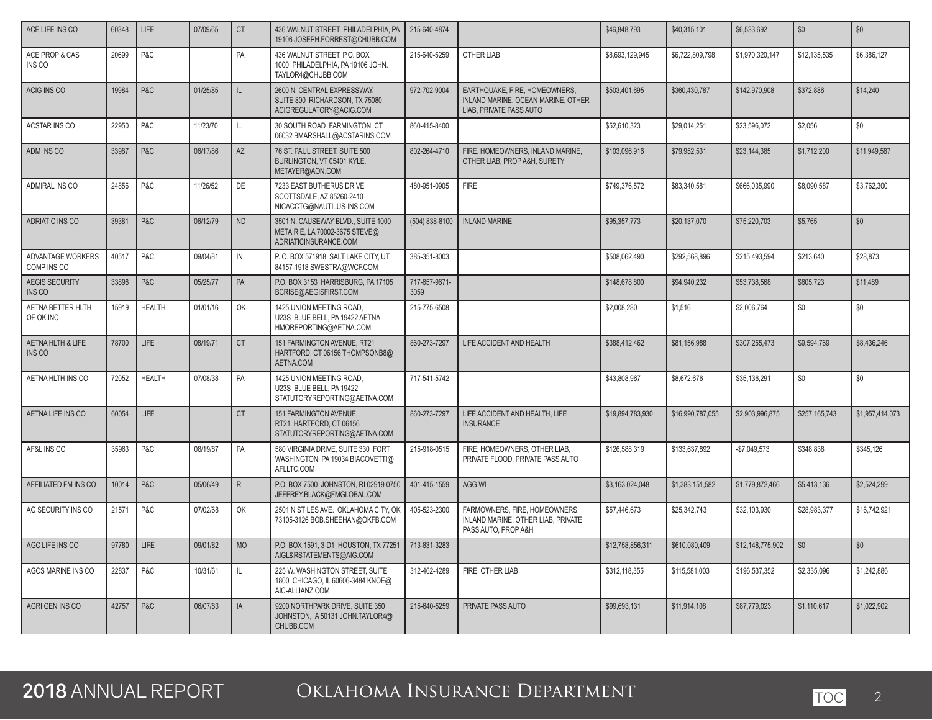| ACE LIFE INS CO                            | 60348 | LIFE          | 07/09/65 | <b>CT</b>      | 436 WALNUT STREET PHILADELPHIA, PA<br>19106 JOSEPH.FORREST@CHUBB.COM                          | 215-640-4874          |                                                                                                | \$46,848,793     | \$40,315,101     | \$6,533,692      | \$0           | \$0             |
|--------------------------------------------|-------|---------------|----------|----------------|-----------------------------------------------------------------------------------------------|-----------------------|------------------------------------------------------------------------------------------------|------------------|------------------|------------------|---------------|-----------------|
| ACE PROP & CAS<br>INS CO                   | 20699 | P&C           |          | PA             | 436 WALNUT STREET. P.O. BOX<br>1000 PHILADELPHIA, PA 19106 JOHN.<br>TAYLOR4@CHUBB.COM         | 215-640-5259          | OTHER LIAB                                                                                     | \$8,693,129,945  | \$6,722,809,798  | \$1,970,320,147  | \$12,135,535  | \$6,386,127     |
| ACIG INS CO                                | 19984 | P&C           | 01/25/85 | IL.            | 2600 N. CENTRAL EXPRESSWAY,<br>SUITE 800 RICHARDSON, TX 75080<br>ACIGREGULATORY@ACIG.COM      | 972-702-9004          | EARTHQUAKE, FIRE, HOMEOWNERS,<br>INLAND MARINE, OCEAN MARINE, OTHER<br>LIAB, PRIVATE PASS AUTO | \$503,401,695    | \$360,430,787    | \$142,970,908    | \$372,886     | \$14,240        |
| ACSTAR INS CO                              | 22950 | P&C           | 11/23/70 | IL.            | 30 SOUTH ROAD FARMINGTON, CT<br>06032 BMARSHALL@ACSTARINS.COM                                 | 860-415-8400          |                                                                                                | \$52,610,323     | \$29,014,251     | \$23,596,072     | \$2.056       | \$0             |
| ADM INS CO                                 | 33987 | P&C           | 06/17/86 | AZ             | 76 ST. PAUL STREET. SUITE 500<br>BURLINGTON, VT 05401 KYLE.<br>METAYER@AON.COM                | 802-264-4710          | FIRE, HOMEOWNERS, INLAND MARINE,<br>OTHER LIAB, PROP A&H, SURETY                               | \$103,096,916    | \$79,952,531     | \$23,144,385     | \$1,712,200   | \$11,949,587    |
| ADMIRAL INS CO                             | 24856 | P&C           | 11/26/52 | DE             | 7233 EAST BUTHERUS DRIVE<br>SCOTTSDALE, AZ 85260-2410<br>NICACCTG@NAUTILUS-INS.COM            | 480-951-0905          | <b>FIRE</b>                                                                                    | \$749,376,572    | \$83,340,581     | \$666,035,990    | \$8,090,587   | \$3,762,300     |
| ADRIATIC INS CO                            | 39381 | P&C           | 06/12/79 | <b>ND</b>      | 3501 N. CAUSEWAY BLVD., SUITE 1000<br>METAIRIE, LA 70002-3675 STEVE@<br>ADRIATICINSURANCE.COM | (504) 838-8100        | <b>INLAND MARINE</b>                                                                           | \$95,357,773     | \$20,137,070     | \$75,220,703     | \$5,765       | \$0             |
| ADVANTAGE WORKERS<br>COMP INS CO           | 40517 | P&C           | 09/04/81 | $\mathsf{IN}$  | P.O. BOX 571918 SALT LAKE CITY. UT<br>84157-1918 SWESTRA@WCF.COM                              | 385-351-8003          |                                                                                                | \$508.062.490    | \$292.568.896    | \$215,493,594    | \$213,640     | \$28.873        |
| <b>AEGIS SECURITY</b><br>INS <sub>CO</sub> | 33898 | P&C           | 05/25/77 | PA             | P.O. BOX 3153 HARRISBURG, PA 17105<br>BCRISE@AEGISFIRST.COM                                   | 717-657-9671-<br>3059 |                                                                                                | \$148,678,800    | \$94,940,232     | \$53,738,568     | \$605,723     | \$11,489        |
| <b>AETNA BETTER HLTH</b><br>OF OK INC      | 15919 | <b>HEALTH</b> | 01/01/16 | OK             | 1425 UNION MEETING ROAD.<br>U23S BLUE BELL, PA 19422 AETNA.<br>HMOREPORTING@AETNA.COM         | 215-775-6508          |                                                                                                | \$2,008.280      | \$1.516          | \$2.006.764      | \$0           | \$0             |
| AETNA HLTH & LIFE<br>INS CO                | 78700 | LIFE          | 08/19/71 | <b>CT</b>      | 151 FARMINGTON AVENUE, RT21<br>HARTFORD, CT 06156 THOMPSONB8@<br>AETNA.COM                    | 860-273-7297          | LIFE ACCIDENT AND HEALTH                                                                       | \$388,412,462    | \$81,156,988     | \$307,255,473    | \$9,594,769   | \$8,436,246     |
| AETNA HLTH INS CO                          | 72052 | <b>HEALTH</b> | 07/08/38 | PA             | 1425 UNION MEETING ROAD,<br>U23S BLUE BELL. PA 19422<br>STATUTORYREPORTING@AETNA.COM          | 717-541-5742          |                                                                                                | \$43,808,967     | \$8,672,676      | \$35,136,291     | \$0           | \$0             |
| AETNA LIFE INS CO                          | 60054 | LIFE          |          | <b>CT</b>      | 151 FARMINGTON AVENUE.<br>RT21 HARTFORD, CT 06156<br>STATUTORYREPORTING@AETNA.COM             | 860-273-7297          | LIFE ACCIDENT AND HEALTH, LIFE<br><b>INSURANCE</b>                                             | \$19,894,783,930 | \$16,990,787,055 | \$2,903,996,875  | \$257,165,743 | \$1,957,414,073 |
| AF&L INS CO                                | 35963 | P&C           | 08/19/87 | PA             | 580 VIRGINIA DRIVE, SUITE 330 FORT<br>WASHINGTON, PA 19034 BIACOVETTI@<br>AFLLTC.COM          | 215-918-0515          | FIRE, HOMEOWNERS, OTHER LIAB,<br>PRIVATE FLOOD, PRIVATE PASS AUTO                              | \$126,588,319    | \$133,637,892    | $-$7,049,573$    | \$348,838     | \$345,126       |
| AFFILIATED FM INS CO                       | 10014 | P&C           | 05/06/49 | R <sub>l</sub> | P.O. BOX 7500 JOHNSTON, RI 02919-0750<br>JEFFREY.BLACK@FMGLOBAL.COM                           | 401-415-1559          | <b>AGG WI</b>                                                                                  | \$3,163,024,048  | \$1,383,151,582  | \$1,779,872,466  | \$5,413,136   | \$2,524.299     |
| AG SECURITY INS CO                         | 21571 | P&C           | 07/02/68 | OK             | 2501 N STILES AVE. OKLAHOMA CITY, OK<br>73105-3126 BOB.SHEEHAN@OKFB.COM                       | 405-523-2300          | FARMOWNERS, FIRE, HOMEOWNERS,<br>INLAND MARINE, OTHER LIAB, PRIVATE<br>PASS AUTO, PROP A&H     | \$57,446,673     | \$25,342,743     | \$32,103,930     | \$28,983,377  | \$16,742,921    |
| AGC LIFE INS CO                            | 97780 | <b>LIFE</b>   | 09/01/82 | <b>MO</b>      | P.O. BOX 1591, 3-D1 HOUSTON, TX 77251<br>AIGL&RSTATEMENTS@AIG.COM                             | 713-831-3283          |                                                                                                | \$12,758,856,311 | \$610,080,409    | \$12,148,775,902 | \$0           | \$0             |
| AGCS MARINE INS CO                         | 22837 | P&C           | 10/31/61 | IL.            | 225 W. WASHINGTON STREET, SUITE<br>1800 CHICAGO, IL 60606-3484 KNOE@<br>AIC-ALLIANZ.COM       | 312-462-4289          | FIRE, OTHER LIAB                                                                               | \$312,118,355    | \$115,581,003    | \$196,537,352    | \$2,335,096   | \$1,242,886     |
| AGRI GEN INS CO                            | 42757 | P&C           | 06/07/83 | IA             | 9200 NORTHPARK DRIVE, SUITE 350<br>JOHNSTON, IA 50131 JOHN.TAYLOR4@<br>CHUBB.COM              | 215-640-5259          | PRIVATE PASS AUTO                                                                              | \$99,693,131     | \$11,914,108     | \$87,779,023     | \$1,110,617   | \$1,022,902     |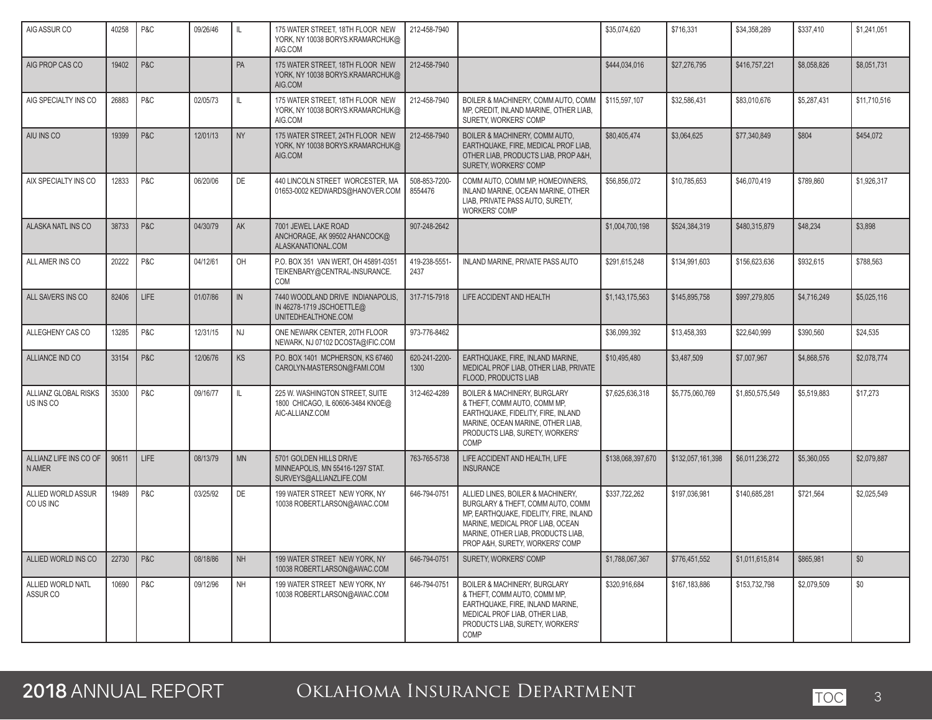| AIG ASSUR CO                           | 40258 | P&C         | 09/26/46 | IL            | 175 WATER STREET, 18TH FLOOR NEW<br>YORK, NY 10038 BORYS.KRAMARCHUK@<br>AIG.COM         | 212-458-7940             |                                                                                                                                                                                                                               | \$35,074,620      | \$716,331         | \$34,358,289    | \$337,410   | \$1,241,051  |
|----------------------------------------|-------|-------------|----------|---------------|-----------------------------------------------------------------------------------------|--------------------------|-------------------------------------------------------------------------------------------------------------------------------------------------------------------------------------------------------------------------------|-------------------|-------------------|-----------------|-------------|--------------|
| AIG PROP CAS CO                        | 19402 | P&C         |          | PA            | 175 WATER STREET, 18TH FLOOR NEW<br>YORK, NY 10038 BORYS.KRAMARCHUK@<br>AIG.COM         | 212-458-7940             |                                                                                                                                                                                                                               | \$444,034,016     | \$27,276,795      | \$416,757,221   | \$8,058,826 | \$8,051,731  |
| AIG SPECIALTY INS CO                   | 26883 | P&C         | 02/05/73 | IL.           | 175 WATER STREET, 18TH FLOOR NEW<br>YORK, NY 10038 BORYS.KRAMARCHUK@<br>AIG.COM         | 212-458-7940             | BOILER & MACHINERY, COMM AUTO, COMM<br>MP, CREDIT, INLAND MARINE, OTHER LIAB,<br>SURETY, WORKERS' COMP                                                                                                                        | \$115,597,107     | \$32,586,431      | \$83,010,676    | \$5,287,431 | \$11,710,516 |
| AIU INS CO                             | 19399 | P&C         | 12/01/13 | <b>NY</b>     | 175 WATER STREET, 24TH FLOOR NEW<br>YORK, NY 10038 BORYS.KRAMARCHUK@<br>AIG.COM         | 212-458-7940             | BOILER & MACHINERY, COMM AUTO,<br>EARTHQUAKE, FIRE, MEDICAL PROF LIAB,<br>OTHER LIAB, PRODUCTS LIAB, PROP A&H,<br>SURETY, WORKERS' COMP                                                                                       | \$80,405,474      | \$3,064,625       | \$77,340,849    | \$804       | \$454,072    |
| AIX SPECIALTY INS CO                   | 12833 | P&C         | 06/20/06 | DE            | 440 LINCOLN STREET WORCESTER, MA<br>01653-0002 KEDWARDS@HANOVER.COM                     | 508-853-7200-<br>8554476 | COMM AUTO, COMM MP, HOMEOWNERS,<br>INLAND MARINE, OCEAN MARINE, OTHER<br>LIAB, PRIVATE PASS AUTO, SURETY,<br><b>WORKERS' COMP</b>                                                                                             | \$56,856,072      | \$10,785,653      | \$46,070,419    | \$789,860   | \$1,926,317  |
| ALASKA NATL INS CO                     | 38733 | P&C         | 04/30/79 | <b>AK</b>     | 7001 JEWEL LAKE ROAD<br>ANCHORAGE, AK 99502 AHANCOCK@<br>ALASKANATIONAL.COM             | 907-248-2642             |                                                                                                                                                                                                                               | \$1,004,700,198   | \$524.384.319     | \$480,315,879   | \$48.234    | \$3.898      |
| ALL AMER INS CO                        | 20222 | P&C         | 04/12/61 | OH            | P.O. BOX 351 VAN WERT, OH 45891-0351<br>TEIKENBARY@CENTRAL-INSURANCE.<br>COM            | 419-238-5551-<br>2437    | INLAND MARINE, PRIVATE PASS AUTO                                                                                                                                                                                              | \$291,615,248     | \$134,991,603     | \$156,623,636   | \$932,615   | \$788.563    |
| ALL SAVERS INS CO                      | 82406 | <b>LIFE</b> | 01/07/86 | $\mathsf{IN}$ | 7440 WOODLAND DRIVE INDIANAPOLIS.<br>IN 46278-1719 JSCHOETTLE@<br>UNITEDHEALTHONE.COM   | 317-715-7918             | LIFE ACCIDENT AND HEALTH                                                                                                                                                                                                      | \$1,143,175,563   | \$145,895,758     | \$997,279,805   | \$4,716,249 | \$5,025,116  |
| ALLEGHENY CAS CO                       | 13285 | P&C         | 12/31/15 | NJ            | ONE NEWARK CENTER, 20TH FLOOR<br>NEWARK, NJ 07102 DCOSTA@IFIC.COM                       | 973-776-8462             |                                                                                                                                                                                                                               | \$36,099,392      | \$13,458,393      | \$22.640.999    | \$390,560   | \$24,535     |
| ALLIANCE IND CO                        | 33154 | P&C         | 12/06/76 | <b>KS</b>     | P.O. BOX 1401 MCPHERSON, KS 67460<br>CAROLYN-MASTERSON@FAMI.COM                         | 620-241-2200-<br>1300    | EARTHQUAKE, FIRE, INLAND MARINE.<br>MEDICAL PROF LIAB, OTHER LIAB, PRIVATE<br>FLOOD, PRODUCTS LIAB                                                                                                                            | \$10,495,480      | \$3,487,509       | \$7,007,967     | \$4,868,576 | \$2,078,774  |
| ALLIANZ GLOBAL RISKS<br>US INS CO      | 35300 | P&C         | 09/16/77 | IL.           | 225 W. WASHINGTON STREET, SUITE<br>1800 CHICAGO, IL 60606-3484 KNOE@<br>AIC-ALLIANZ.COM | 312-462-4289             | <b>BOILER &amp; MACHINERY, BURGLARY</b><br>& THEFT, COMM AUTO, COMM MP,<br>EARTHQUAKE, FIDELITY, FIRE, INLAND<br>MARINE, OCEAN MARINE, OTHER LIAB,<br>PRODUCTS LIAB, SURETY, WORKERS'<br>COMP                                 | \$7,625,636,318   | \$5,775,060,769   | \$1,850,575,549 | \$5,519,883 | \$17,273     |
| ALLIANZ LIFE INS CO OF<br><b>NAMER</b> | 90611 | <b>LIFE</b> | 08/13/79 | <b>MN</b>     | 5701 GOLDEN HILLS DRIVE<br>MINNEAPOLIS, MN 55416-1297 STAT.<br>SURVEYS@ALLIANZLIFE.COM  | 763-765-5738             | LIFE ACCIDENT AND HEALTH, LIFE<br><b>INSURANCE</b>                                                                                                                                                                            | \$138,068,397,670 | \$132,057,161,398 | \$6,011,236,272 | \$5,360,055 | \$2,079,887  |
| ALLIED WORLD ASSUR<br>CO US INC        | 19489 | P&C         | 03/25/92 | DE            | 199 WATER STREET NEW YORK, NY<br>10038 ROBERT.LARSON@AWAC.COM                           | 646-794-0751             | ALLIED LINES, BOILER & MACHINERY,<br>BURGLARY & THEFT, COMM AUTO, COMM<br>MP, EARTHQUAKE, FIDELITY, FIRE, INLAND<br>MARINE, MEDICAL PROF LIAB, OCEAN<br>MARINE, OTHER LIAB, PRODUCTS LIAB,<br>PROP A&H, SURETY, WORKERS' COMP | \$337,722,262     | \$197,036,981     | \$140.685.281   | \$721,564   | \$2.025.549  |
| ALLIED WORLD INS CO                    | 22730 | P&C         | 08/18/86 | NH            | 199 WATER STREET NEW YORK, NY<br>10038 ROBERT.LARSON@AWAC.COM                           | 646-794-0751             | SURETY, WORKERS' COMP                                                                                                                                                                                                         | \$1,788,067,367   | \$776,451,552     | \$1,011,615,814 | \$865,981   | \$0          |
| ALLIED WORLD NATL<br>ASSUR CO          | 10690 | P&C         | 09/12/96 | <b>NH</b>     | 199 WATER STREET NEW YORK, NY<br>10038 ROBERT.LARSON@AWAC.COM                           | 646-794-0751             | <b>BOILER &amp; MACHINERY, BURGLARY</b><br>& THEFT, COMM AUTO, COMM MP,<br>EARTHQUAKE, FIRE, INLAND MARINE,<br>MEDICAL PROF LIAB, OTHER LIAB,<br>PRODUCTS LIAB, SURETY, WORKERS'<br>COMP                                      | \$320,916,684     | \$167,183,886     | \$153,732,798   | \$2,079,509 | \$0          |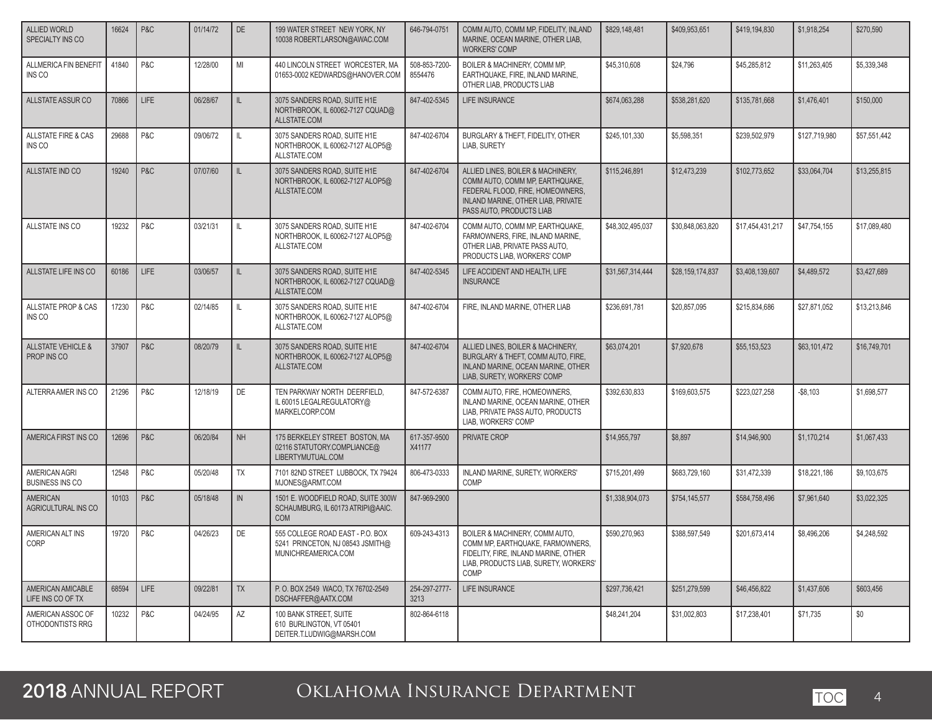| ALLIED WORLD<br>SPECIALTY INS CO             | 16624 | P&C         | 01/14/72 | DE           | 199 WATER STREET NEW YORK, NY<br>10038 ROBERT.LARSON@AWAC.COM                               | 646-794-0751             | COMM AUTO, COMM MP, FIDELITY, INLAND<br>MARINE, OCEAN MARINE, OTHER LIAB.<br><b>WORKERS' COMP</b>                                                                          | \$829,148,481    | \$409.953.651    | \$419,194,830    | \$1,918,254   | \$270,590    |
|----------------------------------------------|-------|-------------|----------|--------------|---------------------------------------------------------------------------------------------|--------------------------|----------------------------------------------------------------------------------------------------------------------------------------------------------------------------|------------------|------------------|------------------|---------------|--------------|
| ALLMERICA FIN BENEFIT<br>INS CO              | 41840 | P&C         | 12/28/00 | MI           | 440 LINCOLN STREET WORCESTER, MA<br>01653-0002 KEDWARDS@HANOVER.COM                         | 508-853-7200-<br>8554476 | BOILER & MACHINERY, COMM MP.<br>EARTHQUAKE, FIRE, INLAND MARINE,<br>OTHER LIAB, PRODUCTS LIAB                                                                              | \$45,310,608     | \$24.796         | \$45,285,812     | \$11,263,405  | \$5.339.348  |
| ALLSTATE ASSUR CO                            | 70866 | <b>LIFE</b> | 06/28/67 | IL           | 3075 SANDERS ROAD, SUITE H1E<br>NORTHBROOK, IL 60062-7127 CQUAD@<br>ALLSTATE.COM            | 847-402-5345             | LIFE INSURANCE                                                                                                                                                             | \$674,063,288    | \$538.281.620    | \$135,781,668    | \$1,476,401   | \$150,000    |
| <b>ALLSTATE FIRE &amp; CAS</b><br>INS CO     | 29688 | P&C         | 09/06/72 | $\mathbb{L}$ | 3075 SANDERS ROAD, SUITE H1E<br>NORTHBROOK. IL 60062-7127 ALOP5@<br>ALLSTATE.COM            | 847-402-6704             | BURGLARY & THEFT, FIDELITY, OTHER<br>LIAB, SURETY                                                                                                                          | \$245,101,330    | \$5,598,351      | \$239.502.979    | \$127,719,980 | \$57,551,442 |
| ALLSTATE IND CO                              | 19240 | P&C         | 07/07/60 | IL           | 3075 SANDERS ROAD, SUITE H1E<br>NORTHBROOK, IL 60062-7127 ALOP5@<br>ALLSTATE.COM            | 847-402-6704             | ALLIED LINES, BOILER & MACHINERY,<br>COMM AUTO, COMM MP, EARTHQUAKE,<br>FEDERAL FLOOD. FIRE. HOMEOWNERS.<br>INLAND MARINE, OTHER LIAB, PRIVATE<br>PASS AUTO, PRODUCTS LIAB | \$115,246,891    | \$12.473.239     | \$102,773,652    | \$33,064,704  | \$13,255,815 |
| ALLSTATE INS CO                              | 19232 | P&C         | 03/21/31 | IL           | 3075 SANDERS ROAD, SUITE H1E<br>NORTHBROOK, IL 60062-7127 ALOP5@<br>ALLSTATE.COM            | 847-402-6704             | COMM AUTO, COMM MP, EARTHQUAKE,<br>FARMOWNERS, FIRE, INLAND MARINE,<br>OTHER LIAB, PRIVATE PASS AUTO,<br>PRODUCTS LIAB, WORKERS' COMP                                      | \$48,302,495,037 | \$30,848,063,820 | \$17,454,431,217 | \$47,754,155  | \$17,089,480 |
| ALLSTATE LIFE INS CO                         | 60186 | <b>LIFE</b> | 03/06/57 | IL           | 3075 SANDERS ROAD, SUITE H1E<br>NORTHBROOK, IL 60062-7127 CQUAD@<br>ALLSTATE.COM            | 847-402-5345             | LIFE ACCIDENT AND HEALTH, LIFE<br><b>INSURANCE</b>                                                                                                                         | \$31,567,314,444 | \$28,159,174,837 | \$3,408,139,607  | \$4,489,572   | \$3,427,689  |
| ALLSTATE PROP & CAS<br>INS CO                | 17230 | P&C         | 02/14/85 | IL           | 3075 SANDERS ROAD, SUITE H1E<br>NORTHBROOK, IL 60062-7127 ALOP5@<br>ALLSTATE.COM            | 847-402-6704             | FIRE. INLAND MARINE. OTHER LIAB                                                                                                                                            | \$236,691,781    | \$20,857,095     | \$215,834,686    | \$27,871,052  | \$13,213,846 |
| <b>ALLSTATE VEHICLE &amp;</b><br>PROP INS CO | 37907 | P&C         | 08/20/79 | IL           | 3075 SANDERS ROAD, SUITE H1E<br>NORTHBROOK, IL 60062-7127 ALOP5@<br>ALLSTATE.COM            | 847-402-6704             | ALLIED LINES, BOILER & MACHINERY,<br>BURGLARY & THEFT, COMM AUTO, FIRE,<br>INLAND MARINE, OCEAN MARINE, OTHER<br>LIAB, SURETY, WORKERS' COMP                               | \$63,074,201     | \$7,920,678      | \$55,153,523     | \$63,101,472  | \$16,749,701 |
| ALTERRA AMER INS CO                          | 21296 | P&C         | 12/18/19 | DE           | TEN PARKWAY NORTH DEERFIELD,<br>IL 60015 LEGALREGULATORY@<br>MARKELCORP.COM                 | 847-572-6387             | COMM AUTO, FIRE, HOMEOWNERS,<br>INLAND MARINE, OCEAN MARINE, OTHER<br>LIAB, PRIVATE PASS AUTO, PRODUCTS<br>LIAB, WORKERS' COMP                                             | \$392,630,833    | \$169,603,575    | \$223,027,258    | $-$8,103$     | \$1,698,577  |
| AMERICA FIRST INS CO                         | 12696 | P&C         | 06/20/84 | <b>NH</b>    | 175 BERKELEY STREET BOSTON, MA<br>02116 STATUTORY.COMPLIANCE@<br>LIBERTYMUTUAL.COM          | 617-357-9500<br>X41177   | PRIVATE CROP                                                                                                                                                               | \$14,955,797     | \$8,897          | \$14,946,900     | \$1,170,214   | \$1,067,433  |
| AMERICAN AGRI<br><b>BUSINESS INS CO</b>      | 12548 | P&C         | 05/20/48 | <b>TX</b>    | 7101 82ND STREET LUBBOCK, TX 79424<br>MJONES@ARMT.COM                                       | 806-473-0333             | INLAND MARINE, SURETY, WORKERS'<br>COMP                                                                                                                                    | \$715,201,499    | \$683,729,160    | \$31,472,339     | \$18,221,186  | \$9,103,675  |
| AMERICAN<br>AGRICULTURAL INS CO              | 10103 | P&C         | 05/18/48 | IN           | 1501 E. WOODFIELD ROAD, SUITE 300W<br>SCHAUMBURG, IL 60173 ATRIPI@AAIC.<br><b>COM</b>       | 847-969-2900             |                                                                                                                                                                            | \$1,338,904,073  | \$754,145,577    | \$584,758,496    | \$7,961,640   | \$3,022,325  |
| AMERICAN ALT INS<br>CORP                     | 19720 | P&C         | 04/26/23 | DE           | 555 COLLEGE ROAD EAST - P.O. BOX<br>5241 PRINCETON, NJ 08543 JSMITH@<br>MUNICHREAMERICA.COM | 609-243-4313             | BOILER & MACHINERY, COMM AUTO.<br>COMM MP, EARTHQUAKE, FARMOWNERS,<br>FIDELITY, FIRE, INLAND MARINE, OTHER<br>LIAB, PRODUCTS LIAB, SURETY, WORKERS'<br>COMP                | \$590.270.963    | \$388,597,549    | \$201,673,414    | \$8,496,206   | \$4,248,592  |
| AMERICAN AMICABLE<br>LIFE INS CO OF TX       | 68594 | LIFE        | 09/22/81 | TX           | P. O. BOX 2549 WACO, TX 76702-2549<br>DSCHAFFER@AATX.COM                                    | 254-297-2777-<br>3213    | LIFE INSURANCE                                                                                                                                                             | \$297,736,421    | \$251,279,599    | \$46,456,822     | \$1,437,606   | \$603,456    |
| AMERICAN ASSOC OF<br>OTHODONTISTS RRG        | 10232 | P&C         | 04/24/95 | AZ           | 100 BANK STREET, SUITE<br>610 BURLINGTON, VT 05401<br>DEITER.T.LUDWIG@MARSH.COM             | 802-864-6118             |                                                                                                                                                                            | \$48,241,204     | \$31,002,803     | \$17,238,401     | \$71,735      | \$0          |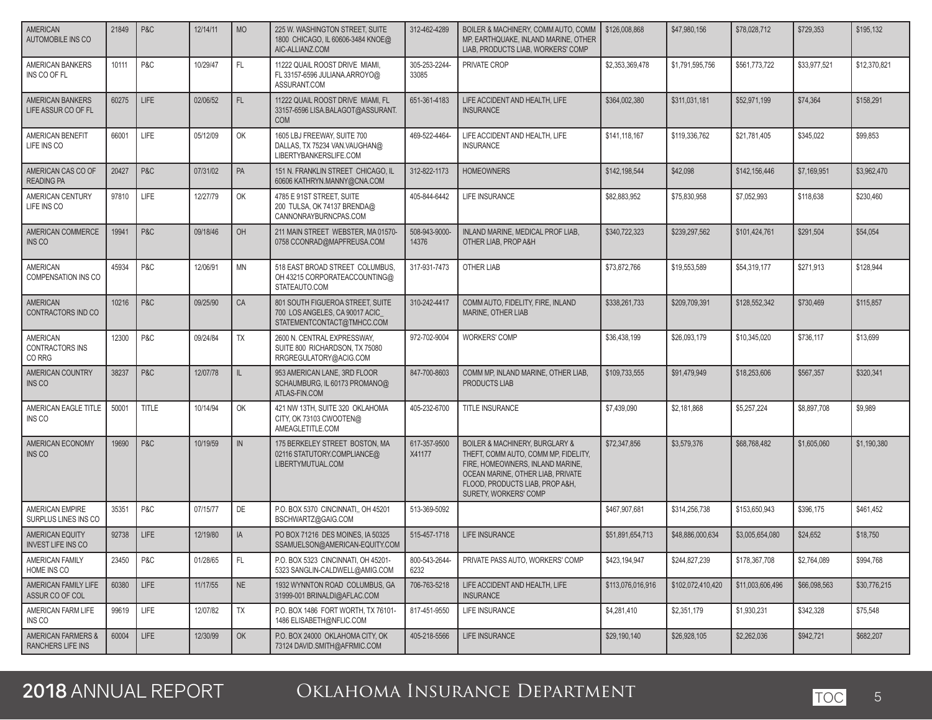| AMERICAN<br>AUTOMOBILE INS CO                      | 21849 | P&C   | 12/14/11 | <b>MO</b>     | 225 W. WASHINGTON STREET, SUITE<br>1800 CHICAGO, IL 60606-3484 KNOE@<br>AIC-ALLIANZ.COM          | 312-462-4289           | BOILER & MACHINERY, COMM AUTO, COMM<br>MP, EARTHQUAKE, INLAND MARINE, OTHER<br>LIAB, PRODUCTS LIAB, WORKERS' COMP                                                                                                          | \$126,008,868     | \$47,980,156      | \$78,028,712     | \$729,353    | \$195,132    |
|----------------------------------------------------|-------|-------|----------|---------------|--------------------------------------------------------------------------------------------------|------------------------|----------------------------------------------------------------------------------------------------------------------------------------------------------------------------------------------------------------------------|-------------------|-------------------|------------------|--------------|--------------|
| AMERICAN BANKERS<br>INS CO OF FL                   | 10111 | P&C   | 10/29/47 | FL.           | 11222 QUAIL ROOST DRIVE MIAMI,<br>FL 33157-6596 JULIANA.ARROYO@<br>ASSURANT.COM                  | 305-253-2244-<br>33085 | PRIVATE CROP                                                                                                                                                                                                               | \$2,353,369,478   | \$1,791,595,756   | \$561,773,722    | \$33,977,521 | \$12,370,821 |
| <b>AMERICAN BANKERS</b><br>LIFE ASSUR CO OF FL     | 60275 | LIFE  | 02/06/52 | FL.           | 11222 QUAIL ROOST DRIVE MIAMI, FL<br>33157-6596 LISA.BALAGOT@ASSURANT.<br><b>COM</b>             | 651-361-4183           | LIFE ACCIDENT AND HEALTH. LIFE<br><b>INSURANCE</b>                                                                                                                                                                         | \$364,002,380     | \$311,031,181     | \$52,971,199     | \$74,364     | \$158,291    |
| AMERICAN BENEFIT<br>LIFE INS CO                    | 66001 | LIFE  | 05/12/09 | OK            | 1605 LBJ FREEWAY, SUITE 700<br>DALLAS, TX 75234 VAN.VAUGHAN@<br>LIBERTYBANKERSLIFE.COM           | 469-522-4464-          | LIFE ACCIDENT AND HEALTH, LIFE<br><b>INSURANCE</b>                                                                                                                                                                         | \$141,118,167     | \$119,336,762     | \$21,781,405     | \$345,022    | \$99,853     |
| AMERICAN CAS CO OF<br><b>READING PA</b>            | 20427 | P&C   | 07/31/02 | PA            | 151 N. FRANKLIN STREET CHICAGO, IL<br>60606 KATHRYN.MANNY@CNA.COM                                | 312-822-1173           | <b>HOMEOWNERS</b>                                                                                                                                                                                                          | \$142,198,544     | \$42,098          | \$142,156,446    | \$7,169,951  | \$3,962,470  |
| AMERICAN CENTURY<br>LIFE INS CO                    | 97810 | LIFE  | 12/27/79 | OK            | 4785 E 91ST STREET, SUITE<br>200 TULSA, OK 74137 BRENDA@<br>CANNONRAYBURNCPAS.COM                | 405-844-6442           | <b>LIFE INSURANCE</b>                                                                                                                                                                                                      | \$82,883,952      | \$75,830,958      | \$7,052,993      | \$118,638    | \$230,460    |
| AMERICAN COMMERCE<br>INS CO                        | 19941 | P&C   | 09/18/46 | OH            | 211 MAIN STREET WEBSTER, MA 01570-<br>0758 CCONRAD@MAPFREUSA.COM                                 | 508-943-9000-<br>14376 | INLAND MARINE, MEDICAL PROF LIAB,<br>OTHER LIAB, PROP A&H                                                                                                                                                                  | \$340,722,323     | \$239,297,562     | \$101,424,761    | \$291,504    | \$54,054     |
| AMERICAN<br><b>COMPENSATION INS CO</b>             | 45934 | P&C   | 12/06/91 | <b>MN</b>     | 518 EAST BROAD STREET COLUMBUS.<br>OH 43215 CORPORATEACCOUNTING@<br>STATEAUTO.COM                | 317-931-7473           | OTHER LIAB                                                                                                                                                                                                                 | \$73,872,766      | \$19.553.589      | \$54,319,177     | \$271,913    | \$128,944    |
| AMERICAN<br>CONTRACTORS IND CO                     | 10216 | P&C   | 09/25/90 | CA            | 801 SOUTH FIGUEROA STREET, SUITE<br>700 LOS ANGELES, CA 90017 ACIC<br>STATEMENTCONTACT@TMHCC.COM | 310-242-4417           | COMM AUTO. FIDELITY. FIRE. INLAND<br>MARINE, OTHER LIAB                                                                                                                                                                    | \$338,261,733     | \$209,709,391     | \$128,552,342    | \$730,469    | \$115,857    |
| AMERICAN<br><b>CONTRACTORS INS</b><br>CO RRG       | 12300 | P&C   | 09/24/84 | <b>TX</b>     | 2600 N. CENTRAL EXPRESSWAY,<br>SUITE 800 RICHARDSON, TX 75080<br>RRGREGULATORY@ACIG.COM          | 972-702-9004           | <b>WORKERS' COMP</b>                                                                                                                                                                                                       | \$36,438,199      | \$26,093,179      | \$10,345,020     | \$736,117    | \$13,699     |
| AMERICAN COUNTRY<br>INS CO                         | 38237 | P&C   | 12/07/78 | IL.           | 953 AMERICAN LANE, 3RD FLOOR<br>SCHAUMBURG, IL 60173 PROMANO@<br>ATLAS-FIN.COM                   | 847-700-8603           | COMM MP, INLAND MARINE, OTHER LIAB,<br>PRODUCTS LIAB                                                                                                                                                                       | \$109,733,555     | \$91,479,949      | \$18,253,606     | \$567,357    | \$320,341    |
| AMERICAN EAGLE TITLE<br>INS CO                     | 50001 | TITLE | 10/14/94 | OK            | 421 NW 13TH, SUITE 320 OKLAHOMA<br>CITY, OK 73103 CWOOTEN@<br>AMEAGLETITLE.COM                   | 405-232-6700           | TITLE INSURANCE                                                                                                                                                                                                            | \$7,439,090       | \$2,181,868       | \$5,257,224      | \$8,897,708  | \$9,989      |
| AMERICAN ECONOMY<br>INS CO                         | 19690 | P&C   | 10/19/59 | $\mathsf{IN}$ | 175 BERKELEY STREET BOSTON, MA<br>02116 STATUTORY.COMPLIANCE@<br>LIBERTYMUTUAL.COM               | 617-357-9500<br>X41177 | <b>BOILER &amp; MACHINERY, BURGLARY &amp;</b><br>THEFT, COMM AUTO, COMM MP, FIDELITY,<br>FIRE, HOMEOWNERS, INLAND MARINE,<br>OCEAN MARINE, OTHER LIAB, PRIVATE<br>FLOOD, PRODUCTS LIAB, PROP A&H,<br>SURETY, WORKERS' COMP | \$72,347,856      | \$3,579,376       | \$68,768,482     | \$1,605,060  | \$1,190,380  |
| <b>AMERICAN EMPIRE</b><br>SURPLUS LINES INS CO     | 35351 | P&C   | 07/15/77 | DE            | P.O. BOX 5370 CINCINNATI,, OH 45201<br>BSCHWARTZ@GAIG.COM                                        | 513-369-5092           |                                                                                                                                                                                                                            | \$467,907,681     | \$314,256,738     | \$153,650,943    | \$396,175    | \$461,452    |
| AMERICAN EQUITY<br><b>INVEST LIFE INS CO</b>       | 92738 | LIFE  | 12/19/80 | IA            | PO BOX 71216 DES MOINES, IA 50325<br>SSAMUELSON@AMERICAN-EQUITY.COM                              | 515-457-1718           | <b>LIFE INSURANCE</b>                                                                                                                                                                                                      | \$51,891,654,713  | \$48,886,000,634  | \$3.005.654.080  | \$24.652     | \$18,750     |
| AMERICAN FAMILY<br>HOME INS CO                     | 23450 | P&C   | 01/28/65 | FL.           | P.O. BOX 5323 CINCINNATI, OH 45201-<br>5323 SANGLIN-CALDWELL@AMIG.COM                            | 800-543-2644-<br>6232  | PRIVATE PASS AUTO, WORKERS' COMP                                                                                                                                                                                           | \$423,194,947     | \$244,827,239     | \$178,367,708    | \$2,764,089  | \$994,768    |
| AMERICAN FAMILY LIFE<br>ASSUR CO OF COL            | 60380 | LIFE  | 11/17/55 | <b>NE</b>     | 1932 WYNNTON ROAD COLUMBUS, GA<br>31999-001 BRINALDI@AFLAC.COM                                   | 706-763-5218           | LIFE ACCIDENT AND HEALTH, LIFE<br><b>INSURANCE</b>                                                                                                                                                                         | \$113,076,016,916 | \$102,072,410,420 | \$11,003,606,496 | \$66,098,563 | \$30,776,215 |
| AMERICAN FARM LIFE<br>INS CO                       | 99619 | LIFE  | 12/07/82 | TX            | P.O. BOX 1486 FORT WORTH. TX 76101-<br>1486 ELISABETH@NFLIC.COM                                  | 817-451-9550           | LIFE INSURANCE                                                                                                                                                                                                             | \$4,281,410       | \$2,351,179       | \$1,930,231      | \$342,328    | \$75,548     |
| <b>AMERICAN FARMERS &amp;</b><br>RANCHERS LIFE INS | 60004 | LIFE  | 12/30/99 | OK            | P.O. BOX 24000 OKLAHOMA CITY, OK<br>73124 DAVID.SMITH@AFRMIC.COM                                 | 405-218-5566           | LIFE INSURANCE                                                                                                                                                                                                             | \$29,190,140      | \$26,928,105      | \$2,262,036      | \$942,721    | \$682,207    |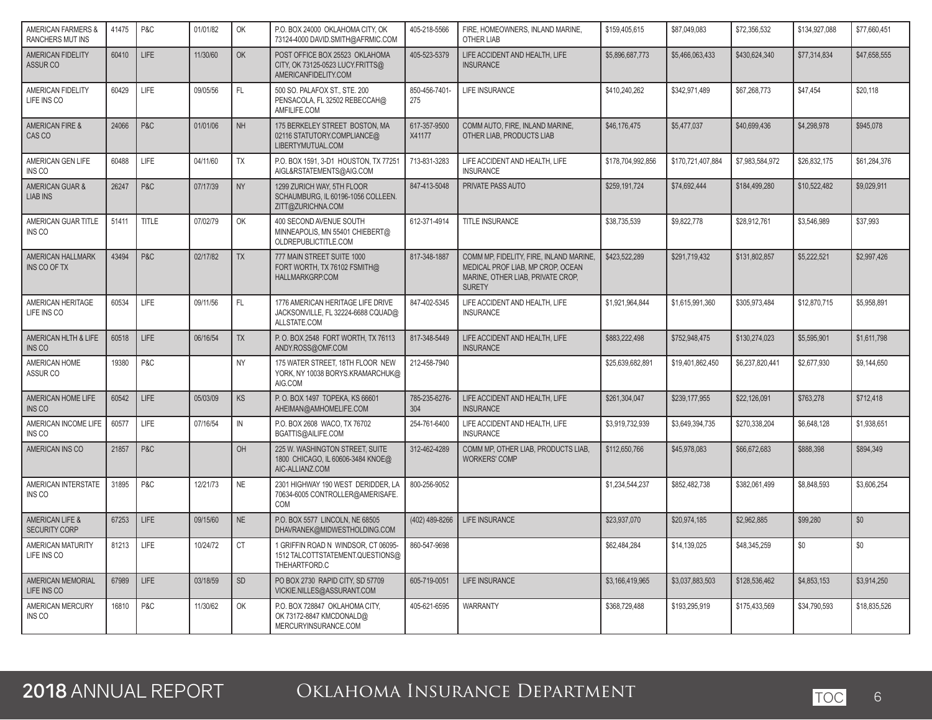| <b>AMERICAN FARMERS &amp;</b><br><b>RANCHERS MUT INS</b> | 41475 | P&C          | 01/01/82 | OK        | P.O. BOX 24000 OKLAHOMA CITY, OK<br>73124-4000 DAVID.SMITH@AFRMIC.COM                      | 405-218-5566           | FIRE. HOMEOWNERS. INLAND MARINE.<br>OTHER LIAB                                                                                     | \$159,405,615     | \$87,049,083      | \$72,356,532    | \$134,927,088 | \$77,660,451 |
|----------------------------------------------------------|-------|--------------|----------|-----------|--------------------------------------------------------------------------------------------|------------------------|------------------------------------------------------------------------------------------------------------------------------------|-------------------|-------------------|-----------------|---------------|--------------|
| AMERICAN FIDELITY<br>ASSUR <sub>CO</sub>                 | 60410 | <b>LIFE</b>  | 11/30/60 | OK        | POST OFFICE BOX 25523 OKLAHOMA<br>CITY, OK 73125-0523 LUCY.FRITTS@<br>AMERICANFIDELITY.COM | 405-523-5379           | LIFE ACCIDENT AND HEALTH, LIFE<br><b>INSURANCE</b>                                                                                 | \$5,896,687,773   | \$5,466,063,433   | \$430.624.340   | \$77,314,834  | \$47,658,555 |
| AMERICAN FIDELITY<br>LIFE INS CO                         | 60429 | LIFE         | 09/05/56 | FL.       | 500 SO. PALAFOX ST., STE. 200<br>PENSACOLA, FL 32502 REBECCAH@<br>AMFILIFE.COM             | 850-456-7401-<br>275   | <b>LIFE INSURANCE</b>                                                                                                              | \$410,240,262     | \$342,971,489     | \$67,268,773    | \$47,454      | \$20,118     |
| AMERICAN FIRE &<br>CAS CO                                | 24066 | P&C          | 01/01/06 | <b>NH</b> | 175 BERKELEY STREET BOSTON, MA<br>02116 STATUTORY.COMPLIANCE@<br>LIBERTYMUTUAL.COM         | 617-357-9500<br>X41177 | COMM AUTO, FIRE, INLAND MARINE,<br>OTHER LIAB, PRODUCTS LIAB                                                                       | \$46,176,475      | \$5,477,037       | \$40,699,436    | \$4,298,978   | \$945,078    |
| AMERICAN GEN LIFE<br>INS CO                              | 60488 | LIFE         | 04/11/60 | <b>TX</b> | P.O. BOX 1591, 3-D1 HOUSTON, TX 77251<br>AIGL&RSTATEMENTS@AIG.COM                          | 713-831-3283           | LIFE ACCIDENT AND HEALTH, LIFE<br><b>INSURANCE</b>                                                                                 | \$178,704,992,856 | \$170,721,407,884 | \$7,983,584,972 | \$26,832,175  | \$61,284,376 |
| AMERICAN GUAR &<br><b>LIAB INS</b>                       | 26247 | P&C          | 07/17/39 | <b>NY</b> | 1299 ZURICH WAY, 5TH FLOOR<br>SCHAUMBURG, IL 60196-1056 COLLEEN.<br>ZITT@ZURICHNA.COM      | 847-413-5048           | PRIVATE PASS AUTO                                                                                                                  | \$259,191,724     | \$74,692,444      | \$184,499,280   | \$10,522,482  | \$9,029,911  |
| AMERICAN GUAR TITLE<br>INS CO                            | 51411 | <b>TITLE</b> | 07/02/79 | OK        | 400 SECOND AVENUE SOUTH<br>MINNEAPOLIS, MN 55401 CHIEBERT@<br>OLDREPUBLICTITLE.COM         | 612-371-4914           | TITLE INSURANCE                                                                                                                    | \$38.735.539      | \$9.822.778       | \$28.912.761    | \$3.546.989   | \$37.993     |
| AMERICAN HALLMARK<br>INS CO OF TX                        | 43494 | P&C          | 02/17/82 | <b>TX</b> | 777 MAIN STREET SUITE 1000<br>FORT WORTH, TX 76102 FSMITH@<br><b>HALLMARKGRP.COM</b>       | 817-348-1887           | COMM MP, FIDELITY, FIRE, INLAND MARINE,<br>MEDICAL PROF LIAB. MP CROP. OCEAN<br>MARINE, OTHER LIAB, PRIVATE CROP,<br><b>SURETY</b> | \$423,522,289     | \$291,719,432     | \$131,802,857   | \$5,222,521   | \$2,997,426  |
| AMERICAN HERITAGE<br>LIFE INS CO                         | 60534 | <b>LIFE</b>  | 09/11/56 | FL.       | 1776 AMERICAN HERITAGE LIFE DRIVE<br>JACKSONVILLE, FL 32224-6688 CQUAD@<br>ALLSTATE.COM    | 847-402-5345           | LIFE ACCIDENT AND HEALTH, LIFE<br><b>INSURANCE</b>                                                                                 | \$1,921,964,844   | \$1,615,991,360   | \$305,973,484   | \$12,870,715  | \$5,958,891  |
| AMERICAN HLTH & LIFE<br>INS CO                           | 60518 | <b>LIFE</b>  | 06/16/54 | <b>TX</b> | P.O. BOX 2548 FORT WORTH, TX 76113<br>ANDY.ROSS@OMF.COM                                    | 817-348-5449           | LIFE ACCIDENT AND HEALTH, LIFE<br><b>INSURANCE</b>                                                                                 | \$883,222,498     | \$752,948,475     | \$130,274,023   | \$5,595,901   | \$1,611,798  |
| AMERICAN HOME<br>ASSUR CO                                | 19380 | P&C          |          | <b>NY</b> | 175 WATER STREET. 18TH FLOOR NEW<br>YORK, NY 10038 BORYS.KRAMARCHUK@<br>AIG.COM            | 212-458-7940           |                                                                                                                                    | \$25,639,682,891  | \$19,401,862,450  | \$6,237,820,441 | \$2,677,930   | \$9,144,650  |
| AMERICAN HOME LIFE<br>INS CO                             | 60542 | <b>LIFE</b>  | 05/03/09 | <b>KS</b> | P.O. BOX 1497 TOPEKA, KS 66601<br>AHEIMAN@AMHOMELIFE.COM                                   | 785-235-6276-<br>304   | LIFE ACCIDENT AND HEALTH. LIFE<br><b>INSURANCE</b>                                                                                 | \$261.304.047     | \$239.177.955     | \$22,126,091    | \$763,278     | \$712,418    |
| AMERICAN INCOME LIFE<br>INS CO                           | 60577 | LIFE         | 07/16/54 | IN        | P.O. BOX 2608 WACO, TX 76702<br>BGATTIS@AILIFE.COM                                         | 254-761-6400           | LIFE ACCIDENT AND HEALTH, LIFE<br><b>INSURANCE</b>                                                                                 | \$3,919,732,939   | \$3,649,394,735   | \$270.338.204   | \$6,648,128   | \$1.938.651  |
| AMERICAN INS CO                                          | 21857 | P&C          |          | <b>OH</b> | 225 W. WASHINGTON STREET, SUITE<br>1800 CHICAGO, IL 60606-3484 KNOE@<br>AIC-ALLIANZ.COM    | 312-462-4289           | COMM MP. OTHER LIAB. PRODUCTS LIAB.<br><b>WORKERS' COMP</b>                                                                        | \$112,650,766     | \$45,978,083      | \$66.672.683    | \$888,398     | \$894.349    |
| AMERICAN INTERSTATE<br>INS CO                            | 31895 | P&C          | 12/21/73 | <b>NE</b> | 2301 HIGHWAY 190 WEST DERIDDER, LA<br>70634-6005 CONTROLLER@AMERISAFE.<br>COM              | 800-256-9052           |                                                                                                                                    | \$1,234,544,237   | \$852,482,738     | \$382,061,499   | \$8,848,593   | \$3,606,254  |
| AMERICAN LIFE &<br><b>SECURITY CORP</b>                  | 67253 | <b>LIFE</b>  | 09/15/60 | <b>NE</b> | P.O. BOX 5577 LINCOLN, NE 68505<br>DHAVRANEK@MIDWESTHOLDING.COM                            | (402) 489-8266         | LIFE INSURANCE                                                                                                                     | \$23,937,070      | \$20,974,185      | \$2,962,885     | \$99,280      | \$0          |
| AMERICAN MATURITY<br>LIFE INS CO                         | 81213 | LIFE         | 10/24/72 | <b>CT</b> | 1 GRIFFIN ROAD N WINDSOR, CT 06095-<br>1512 TALCOTTSTATEMENT.QUESTIONS@<br>THEHARTFORD.C   | 860-547-9698           |                                                                                                                                    | \$62,484,284      | \$14,139,025      | \$48,345,259    | \$0           | \$0          |
| <b>AMERICAN MEMORIAL</b><br>LIFE INS CO                  | 67989 | <b>LIFE</b>  | 03/18/59 | <b>SD</b> | PO BOX 2730 RAPID CITY, SD 57709<br>VICKIE.NILLES@ASSURANT.COM                             | 605-719-0051           | <b>LIFE INSURANCE</b>                                                                                                              | \$3,166,419,965   | \$3.037.883.503   | \$128,536,462   | \$4,853,153   | \$3.914.250  |
| AMERICAN MERCURY<br>INS CO                               | 16810 | P&C          | 11/30/62 | OK        | P.O. BOX 728847 OKLAHOMA CITY,<br>OK 73172-8847 KMCDONALD@<br>MERCURYINSURANCE.COM         | 405-621-6595           | <b>WARRANTY</b>                                                                                                                    | \$368,729,488     | \$193,295,919     | \$175,433,569   | \$34,790,593  | \$18,835,526 |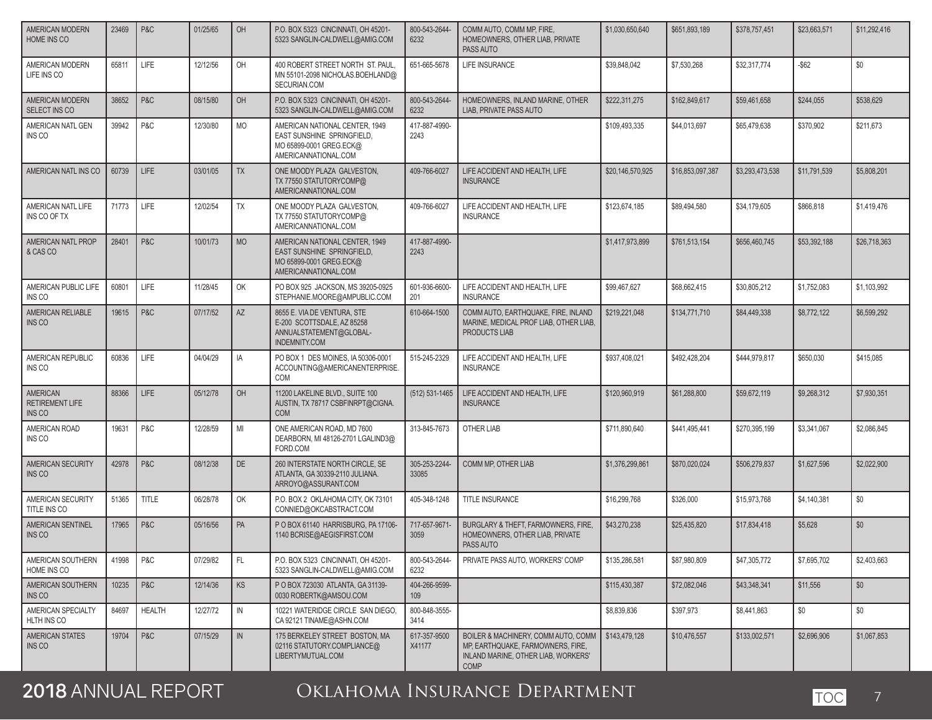| AMERICAN MODERN<br>HOME INS CO               | 23469 | P&C           | 01/25/65 | OH        | P.O. BOX 5323 CINCINNATI, OH 45201-<br>5323 SANGLIN-CALDWELL@AMIG.COM                                           | 800-543-2644-<br>6232  | COMM AUTO, COMM MP, FIRE,<br>HOMEOWNERS, OTHER LIAB, PRIVATE<br>PASS AUTO                                                      | \$1,030,650,640  | \$651,893,189    | \$378,757,451   | \$23,663,571 | \$11,292,416 |
|----------------------------------------------|-------|---------------|----------|-----------|-----------------------------------------------------------------------------------------------------------------|------------------------|--------------------------------------------------------------------------------------------------------------------------------|------------------|------------------|-----------------|--------------|--------------|
| AMERICAN MODERN<br>LIFE INS CO               | 65811 | LIFE          | 12/12/56 | OH        | 400 ROBERT STREET NORTH ST. PAUL.<br>MN 55101-2098 NICHOLAS.BOEHLAND@<br>SECURIAN.COM                           | 651-665-5678           | LIFE INSURANCE                                                                                                                 | \$39,848,042     | \$7,530,268      | \$32,317,774    | $-$ \$62     | \$0          |
| AMERICAN MODERN<br>SELECT INS CO             | 38652 | P&C           | 08/15/80 | OH        | P.O. BOX 5323 CINCINNATI, OH 45201-<br>5323 SANGLIN-CALDWELL@AMIG.COM                                           | 800-543-2644-<br>6232  | HOMEOWNERS, INLAND MARINE, OTHER<br><b>LIAB. PRIVATE PASS AUTO</b>                                                             | \$222,311,275    | \$162,849,617    | \$59,461,658    | \$244,055    | \$538,629    |
| AMERICAN NATL GEN<br>INS CO                  | 39942 | P&C           | 12/30/80 | <b>MO</b> | AMERICAN NATIONAL CENTER, 1949<br>EAST SUNSHINE SPRINGFIELD,<br>MO 65899-0001 GREG.ECK@<br>AMERICANNATIONAL.COM | 417-887-4990-<br>2243  |                                                                                                                                | \$109,493,335    | \$44,013,697     | \$65,479,638    | \$370,902    | \$211,673    |
| AMERICAN NATL INS CO                         | 60739 | <b>LIFE</b>   | 03/01/05 | <b>TX</b> | ONE MOODY PLAZA GALVESTON.<br>TX 77550 STATUTORYCOMP@<br>AMERICANNATIONAL.COM                                   | 409-766-6027           | LIFE ACCIDENT AND HEALTH, LIFE<br><b>INSURANCE</b>                                                                             | \$20,146,570,925 | \$16,853,097,387 | \$3,293,473,538 | \$11.791.539 | \$5,808,201  |
| AMERICAN NATL LIFE<br>INS CO OF TX           | 71773 | LIFE          | 12/02/54 | <b>TX</b> | ONE MOODY PLAZA GALVESTON,<br>TX 77550 STATUTORYCOMP@<br>AMERICANNATIONAL.COM                                   | 409-766-6027           | LIFE ACCIDENT AND HEALTH, LIFE<br><b>INSURANCE</b>                                                                             | \$123,674,185    | \$89,494,580     | \$34,179,605    | \$866,818    | \$1,419,476  |
| AMERICAN NATL PROP<br>& CAS CO               | 28401 | P&C           | 10/01/73 | <b>MO</b> | AMERICAN NATIONAL CENTER, 1949<br>EAST SUNSHINE SPRINGFIELD,<br>MO 65899-0001 GREG.ECK@<br>AMERICANNATIONAL.COM | 417-887-4990-<br>2243  |                                                                                                                                | \$1,417,973,899  | \$761,513,154    | \$656,460,745   | \$53,392,188 | \$26,718,363 |
| AMERICAN PUBLIC LIFE<br>INS CO               | 60801 | LIFE          | 11/28/45 | OK        | PO BOX 925 JACKSON, MS 39205-0925<br>STEPHANIE.MOORE@AMPUBLIC.COM                                               | 601-936-6600-<br>201   | LIFE ACCIDENT AND HEALTH, LIFE<br><b>INSURANCE</b>                                                                             | \$99,467,627     | \$68,662,415     | \$30,805,212    | \$1,752,083  | \$1,103,992  |
| AMERICAN RELIABLE<br>INS CO                  | 19615 | P&C           | 07/17/52 | AZ        | 8655 E. VIA DE VENTURA. STE<br>E-200 SCOTTSDALE, AZ 85258<br>ANNUALSTATEMENT@GLOBAL-<br>INDEMNITY.COM           | 610-664-1500           | COMM AUTO, EARTHQUAKE, FIRE, INLAND<br>MARINE, MEDICAL PROF LIAB, OTHER LIAB,<br>PRODUCTS LIAB                                 | \$219,221,048    | \$134,771,710    | \$84,449,338    | \$8,772,122  | \$6,599,292  |
| AMERICAN REPUBLIC<br>INS CO                  | 60836 | <b>LIFE</b>   | 04/04/29 | IA        | PO BOX 1 DES MOINES, IA 50306-0001<br>ACCOUNTING@AMERICANENTERPRISE.<br>COM                                     | 515-245-2329           | LIFE ACCIDENT AND HEALTH. LIFE<br><b>INSURANCE</b>                                                                             | \$937,408,021    | \$492,428,204    | \$444,979,817   | \$650,030    | \$415,085    |
| AMERICAN<br><b>RETIREMENT LIFE</b><br>INS CO | 88366 | <b>LIFE</b>   | 05/12/78 | OH        | 11200 LAKELINE BLVD., SUITE 100<br>AUSTIN, TX 78717 CSBFINRPT@CIGNA.<br><b>COM</b>                              | (512) 531-1465         | LIFE ACCIDENT AND HEALTH. LIFE<br><b>INSURANCE</b>                                                                             | \$120,960,919    | \$61,288,800     | \$59,672,119    | \$9,268,312  | \$7,930,351  |
| AMERICAN ROAD<br>INS CO                      | 19631 | P&C           | 12/28/59 | MI        | ONE AMERICAN ROAD, MD 7600<br>DEARBORN, MI 48126-2701 LGALIND3@<br>FORD.COM                                     | 313-845-7673           | <b>OTHER LIAB</b>                                                                                                              | \$711,890,640    | \$441,495,441    | \$270,395,199   | \$3,341,067  | \$2,086,845  |
| AMERICAN SECURITY<br>INS CO                  | 42978 | P&C           | 08/12/38 | <b>DE</b> | 260 INTERSTATE NORTH CIRCLE, SE<br>ATLANTA, GA 30339-2110 JULIANA.<br>ARROYO@ASSURANT.COM                       | 305-253-2244-<br>33085 | COMM MP. OTHER LIAB                                                                                                            | \$1,376,299,861  | \$870,020,024    | \$506,279,837   | \$1,627,596  | \$2,022,900  |
| AMERICAN SECURITY<br>TITLE INS CO            | 51365 | <b>TITLE</b>  | 06/28/78 | OK        | P.O. BOX 2 OKLAHOMA CITY, OK 73101<br>CONNIED@OKCABSTRACT.COM                                                   | 405-348-1248           | TITLE INSURANCE                                                                                                                | \$16,299,768     | \$326,000        | \$15,973,768    | \$4,140,381  | \$0          |
| AMERICAN SENTINEL<br>INS CO                  | 17965 | P&C           | 05/16/56 | PA        | P O BOX 61140 HARRISBURG. PA 17106-<br>1140 BCRISE@AEGISFIRST.COM                                               | 717-657-9671-<br>3059  | BURGLARY & THEFT, FARMOWNERS, FIRE,<br>HOMEOWNERS, OTHER LIAB, PRIVATE<br>PASS AUTO                                            | \$43,270,238     | \$25,435,820     | \$17,834,418    | \$5,628      | \$0          |
| AMERICAN SOUTHERN<br>HOME INS CO             | 41998 | P&C           | 07/29/82 | FL.       | P.O. BOX 5323 CINCINNATI, OH 45201-<br>5323 SANGLIN-CALDWELL@AMIG.COM                                           | 800-543-2644-<br>6232  | PRIVATE PASS AUTO, WORKERS' COMP                                                                                               | \$135,286,581    | \$87,980,809     | \$47,305,772    | \$7,695,702  | \$2,403,663  |
| AMERICAN SOUTHERN<br>INS CO                  | 10235 | P&C           | 12/14/36 | KS        | P O BOX 723030 ATLANTA, GA 31139-<br>0030 ROBERTK@AMSOU.COM                                                     | 404-266-9599-<br>109   |                                                                                                                                | \$115,430,387    | \$72,082,046     | \$43,348,341    | \$11,556     | \$0          |
| AMERICAN SPECIALTY<br>HLTH INS CO            | 84697 | <b>HEALTH</b> | 12/27/72 | IN        | 10221 WATERIDGE CIRCLE SAN DIEGO.<br>CA 92121 TINAME@ASHN.COM                                                   | 800-848-3555-<br>3414  |                                                                                                                                | \$8,839,836      | \$397,973        | \$8,441,863     | \$0          | \$0          |
| AMERICAN STATES<br>INS CO                    | 19704 | P&C           | 07/15/29 | IN        | 175 BERKELEY STREET BOSTON. MA<br>02116 STATUTORY.COMPLIANCE@<br>LIBERTYMUTUAL.COM                              | 617-357-9500<br>X41177 | BOILER & MACHINERY, COMM AUTO, COMM<br>MP, EARTHQUAKE, FARMOWNERS, FIRE,<br>INLAND MARINE, OTHER LIAB, WORKERS'<br><b>COMP</b> | \$143,479,128    | \$10,476,557     | \$133,002,571   | \$2,696,906  | \$1,067,853  |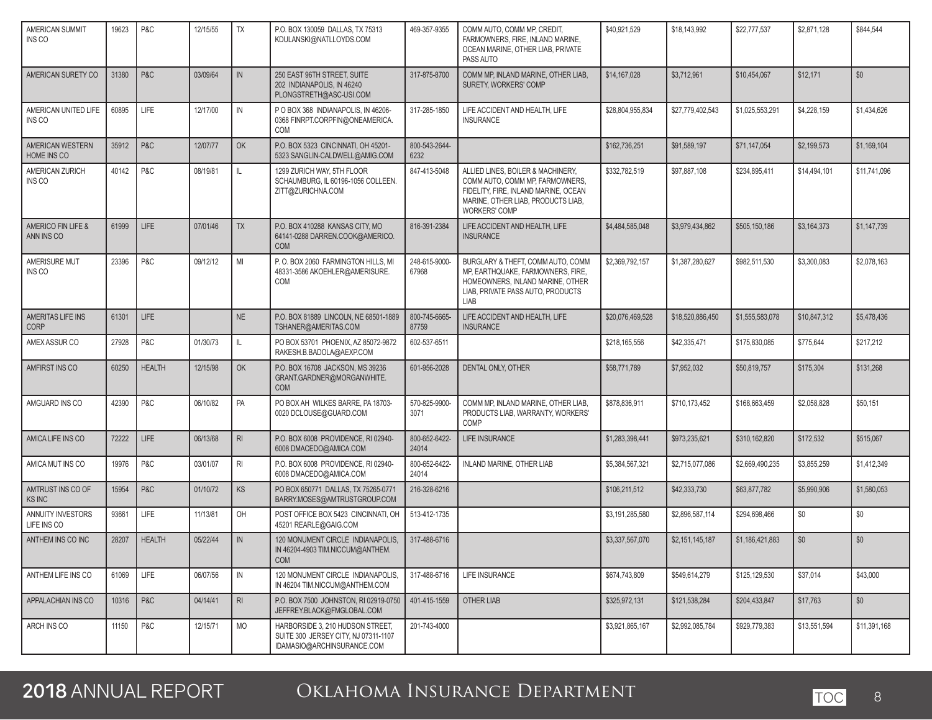| AMERICAN SUMMIT<br>INS CO          | 19623 | P&C           | 12/15/55 | <b>TX</b>      | P.O. BOX 130059 DALLAS, TX 75313<br>KDULANSKI@NATLLOYDS.COM                                            | 469-357-9355           | COMM AUTO, COMM MP, CREDIT,<br>FARMOWNERS, FIRE, INLAND MARINE,<br>OCEAN MARINE, OTHER LIAB, PRIVATE<br>PASS AUTO                                                          | \$40,921,529     | \$18,143,992     | \$22,777,537    | \$2,871,128  | \$844,544    |
|------------------------------------|-------|---------------|----------|----------------|--------------------------------------------------------------------------------------------------------|------------------------|----------------------------------------------------------------------------------------------------------------------------------------------------------------------------|------------------|------------------|-----------------|--------------|--------------|
| AMERICAN SURETY CO                 | 31380 | P&C           | 03/09/64 | IN             | 250 EAST 96TH STREET, SUITE<br>202 INDIANAPOLIS, IN 46240<br>PLONGSTRETH@ASC-USI.COM                   | 317-875-8700           | COMM MP, INLAND MARINE, OTHER LIAB,<br>SURETY. WORKERS' COMP                                                                                                               | \$14,167,028     | \$3,712,961      | \$10,454,067    | \$12,171     | \$0          |
| AMERICAN UNITED LIFE<br>INS CO     | 60895 | LIFE          | 12/17/00 | IN             | P O BOX 368 INDIANAPOLIS, IN 46206-<br>0368 FINRPT.CORPFIN@ONEAMERICA.<br>COM                          | 317-285-1850           | LIFE ACCIDENT AND HEALTH, LIFE<br><b>INSURANCE</b>                                                                                                                         | \$28,804,955,834 | \$27,779,402,543 | \$1,025,553,291 | \$4,228,159  | \$1,434,626  |
| AMERICAN WESTERN<br>HOME INS CO    | 35912 | P&C           | 12/07/77 | OK             | P.O. BOX 5323 CINCINNATI, OH 45201-<br>5323 SANGLIN-CALDWELL@AMIG.COM                                  | 800-543-2644-<br>6232  |                                                                                                                                                                            | \$162,736,251    | \$91,589,197     | \$71,147,054    | \$2,199,573  | \$1,169,104  |
| AMERICAN ZURICH<br>INS CO          | 40142 | P&C           | 08/19/81 | IL.            | 1299 ZURICH WAY, 5TH FLOOR<br>SCHAUMBURG, IL 60196-1056 COLLEEN.<br>ZITT@ZURICHNA.COM                  | 847-413-5048           | ALLIED LINES, BOILER & MACHINERY,<br>COMM AUTO, COMM MP, FARMOWNERS,<br>FIDELITY. FIRE. INLAND MARINE. OCEAN<br>MARINE, OTHER LIAB, PRODUCTS LIAB,<br><b>WORKERS' COMP</b> | \$332,782,519    | \$97,887,108     | \$234,895,411   | \$14,494,101 | \$11,741,096 |
| AMERICO FIN LIFE &<br>ANN INS CO   | 61999 | <b>LIFE</b>   | 07/01/46 | <b>TX</b>      | P.O. BOX 410288 KANSAS CITY, MO<br>64141-0288 DARREN.COOK@AMERICO.<br><b>COM</b>                       | 816-391-2384           | LIFE ACCIDENT AND HEALTH, LIFE<br><b>INSURANCE</b>                                                                                                                         | \$4,484,585,048  | \$3,979,434,862  | \$505,150,186   | \$3,164,373  | \$1,147,739  |
| AMERISURE MUT<br>INS CO            | 23396 | P&C           | 09/12/12 | MI             | P.O. BOX 2060 FARMINGTON HILLS, MI<br>48331-3586 AKOEHLER@AMERISURE.<br>COM                            | 248-615-9000-<br>67968 | BURGLARY & THEFT, COMM AUTO, COMM<br>MP, EARTHQUAKE, FARMOWNERS, FIRE,<br>HOMEOWNERS. INLAND MARINE, OTHER<br>LIAB, PRIVATE PASS AUTO, PRODUCTS<br><b>LIAB</b>             | \$2.369.792.157  | \$1.387.280.627  | \$982,511,530   | \$3,300,083  | \$2,078,163  |
| AMERITAS LIFE INS<br><b>CORP</b>   | 61301 | <b>LIFE</b>   |          | <b>NE</b>      | P.O. BOX 81889 LINCOLN, NE 68501-1889<br>TSHANER@AMERITAS.COM                                          | 800-745-6665-<br>87759 | LIFE ACCIDENT AND HEALTH, LIFE<br><b>INSURANCE</b>                                                                                                                         | \$20,076,469,528 | \$18,520,886,450 | \$1,555,583,078 | \$10,847,312 | \$5,478,436  |
| AMEX ASSUR CO                      | 27928 | P&C           | 01/30/73 | IL             | PO BOX 53701 PHOENIX, AZ 85072-9872<br>RAKESH.B.BADOLA@AEXP.COM                                        | 602-537-6511           |                                                                                                                                                                            | \$218,165,556    | \$42,335,471     | \$175,830,085   | \$775,644    | \$217,212    |
| AMFIRST INS CO                     | 60250 | <b>HEALTH</b> | 12/15/98 | OK             | P.O. BOX 16708 JACKSON, MS 39236<br>GRANT.GARDNER@MORGANWHITE.<br><b>COM</b>                           | 601-956-2028           | DENTAL ONLY, OTHER                                                                                                                                                         | \$58,771,789     | \$7,952,032      | \$50,819,757    | \$175,304    | \$131,268    |
| AMGUARD INS CO                     | 42390 | P&C           | 06/10/82 | PA             | PO BOX AH WILKES BARRE, PA 18703-<br>0020 DCLOUSE@GUARD.COM                                            | 570-825-9900-<br>3071  | COMM MP, INLAND MARINE, OTHER LIAB,<br>PRODUCTS LIAB, WARRANTY, WORKERS'<br>COMP                                                                                           | \$878,836,911    | \$710,173,452    | \$168,663,459   | \$2,058,828  | \$50,151     |
| AMICA LIFE INS CO                  | 72222 | LIFE          | 06/13/68 | R <sub>l</sub> | P.O. BOX 6008 PROVIDENCE, RI 02940-<br>6008 DMACEDO@AMICA.COM                                          | 800-652-6422-<br>24014 | LIFE INSURANCE                                                                                                                                                             | \$1,283,398,441  | \$973,235,621    | \$310,162,820   | \$172,532    | \$515,067    |
| AMICA MUT INS CO                   | 19976 | P&C           | 03/01/07 | R <sub>l</sub> | P.O. BOX 6008 PROVIDENCE, RI 02940-<br>6008 DMACEDO@AMICA.COM                                          | 800-652-6422-<br>24014 | INLAND MARINE, OTHER LIAB                                                                                                                                                  | \$5,384,567,321  | \$2,715,077,086  | \$2,669,490,235 | \$3,855,259  | \$1,412,349  |
| AMTRUST INS CO OF<br><b>KS INC</b> | 15954 | P&C           | 01/10/72 | KS             | PO BOX 650771 DALLAS, TX 75265-0771<br>BARRY.MOSES@AMTRUSTGROUP.COM                                    | 216-328-6216           |                                                                                                                                                                            | \$106,211,512    | \$42,333,730     | \$63,877,782    | \$5,990,906  | \$1,580,053  |
| ANNUITY INVESTORS<br>LIFE INS CO   | 93661 | LIFE          | 11/13/81 | OH             | POST OFFICE BOX 5423 CINCINNATI. OH<br>45201 REARLE@GAIG.COM                                           | 513-412-1735           |                                                                                                                                                                            | \$3,191,285,580  | \$2,896,587,114  | \$294,698,466   | \$0          | \$0          |
| ANTHEM INS CO INC                  | 28207 | <b>HEALTH</b> | 05/22/44 | IN             | 120 MONUMENT CIRCLE INDIANAPOLIS,<br>IN 46204-4903 TIM.NICCUM@ANTHEM.<br><b>COM</b>                    | 317-488-6716           |                                                                                                                                                                            | \$3,337,567,070  | \$2,151,145,187  | \$1,186,421,883 | \$0          | \$0          |
| ANTHEM LIFE INS CO                 | 61069 | LIFE          | 06/07/56 | IN             | 120 MONUMENT CIRCLE INDIANAPOLIS,<br>IN 46204 TIM.NICCUM@ANTHEM.COM                                    | 317-488-6716           | LIFE INSURANCE                                                                                                                                                             | \$674,743,809    | \$549,614,279    | \$125,129,530   | \$37,014     | \$43,000     |
| APPALACHIAN INS CO                 | 10316 | P&C           | 04/14/41 | R <sub>l</sub> | P.O. BOX 7500 JOHNSTON, RI 02919-0750<br>JEFFREY.BLACK@FMGLOBAL.COM                                    | 401-415-1559           | OTHER LIAB                                                                                                                                                                 | \$325,972,131    | \$121,538,284    | \$204,433,847   | \$17,763     | \$0          |
| ARCH INS CO                        | 11150 | P&C           | 12/15/71 | <b>MO</b>      | HARBORSIDE 3, 210 HUDSON STREET,<br>SUITE 300 JERSEY CITY, NJ 07311-1107<br>IDAMASIO@ARCHINSURANCE.COM | 201-743-4000           |                                                                                                                                                                            | \$3,921,865,167  | \$2,992,085,784  | \$929,779,383   | \$13,551,594 | \$11,391,168 |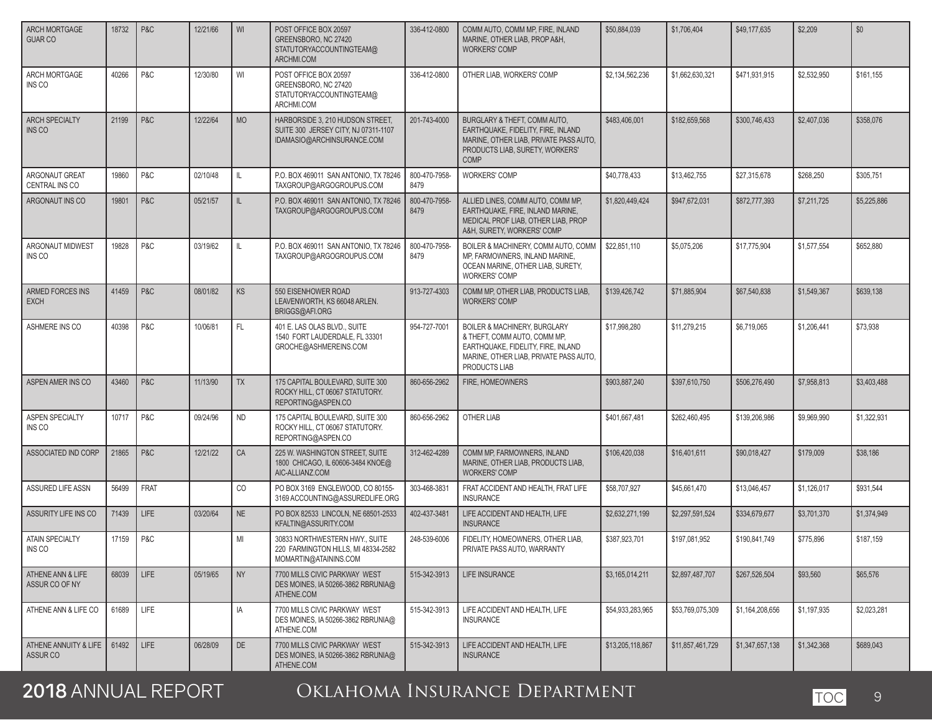| <b>ARCH MORTGAGE</b><br><b>GUAR CO</b> | 18732 | P&C         | 12/21/66 | WI        | POST OFFICE BOX 20597<br>GREENSBORO, NC 27420<br>STATUTORYACCOUNTINGTEAM@<br>ARCHMI.COM                | 336-412-0800          | COMM AUTO. COMM MP. FIRE. INLAND<br>MARINE, OTHER LIAB, PROP A&H,<br><b>WORKERS' COMP</b>                                                                      | \$50,884,039     | \$1,706,404      | \$49,177,635    | \$2,209     | \$0         |
|----------------------------------------|-------|-------------|----------|-----------|--------------------------------------------------------------------------------------------------------|-----------------------|----------------------------------------------------------------------------------------------------------------------------------------------------------------|------------------|------------------|-----------------|-------------|-------------|
| ARCH MORTGAGE<br>INS CO                | 40266 | P&C         | 12/30/80 | WI        | POST OFFICE BOX 20597<br>GREENSBORO, NC 27420<br>STATUTORYACCOUNTINGTEAM@<br>ARCHMI.COM                | 336-412-0800          | OTHER LIAB, WORKERS' COMP                                                                                                                                      | \$2,134,562,236  | \$1,662,630,321  | \$471,931,915   | \$2,532,950 | \$161,155   |
| <b>ARCH SPECIALTY</b><br><b>INS CO</b> | 21199 | P&C         | 12/22/64 | <b>MO</b> | HARBORSIDE 3, 210 HUDSON STREET,<br>SUITE 300 JERSEY CITY, NJ 07311-1107<br>IDAMASIO@ARCHINSURANCE.COM | 201-743-4000          | BURGLARY & THEFT, COMM AUTO,<br>EARTHQUAKE, FIDELITY, FIRE, INLAND<br>MARINE, OTHER LIAB, PRIVATE PASS AUTO,<br>PRODUCTS LIAB. SURETY. WORKERS'<br><b>COMP</b> | \$483,406,001    | \$182,659,568    | \$300,746,433   | \$2,407,036 | \$358,076   |
| ARGONAUT GREAT<br>CENTRAL INS CO       | 19860 | P&C         | 02/10/48 | IL.       | P.O. BOX 469011 SAN ANTONIO, TX 78246<br>TAXGROUP@ARGOGROUPUS.COM                                      | 800-470-7958-<br>8479 | <b>WORKERS' COMP</b>                                                                                                                                           | \$40,778,433     | \$13,462,755     | \$27,315,678    | \$268,250   | \$305,751   |
| ARGONAUT INS CO                        | 19801 | P&C         | 05/21/57 | IL.       | P.O. BOX 469011 SAN ANTONIO, TX 78246<br>TAXGROUP@ARGOGROUPUS.COM                                      | 800-470-7958-<br>8479 | ALLIED LINES, COMM AUTO, COMM MP,<br>EARTHQUAKE, FIRE, INLAND MARINE,<br>MEDICAL PROF LIAB, OTHER LIAB, PROP<br>A&H, SURETY, WORKERS' COMP                     | \$1,820,449,424  | \$947,672,031    | \$872,777,393   | \$7,211,725 | \$5,225,886 |
| ARGONAUT MIDWEST<br>INS CO             | 19828 | P&C         | 03/19/62 | IL.       | P.O. BOX 469011 SAN ANTONIO, TX 78246<br>TAXGROUP@ARGOGROUPUS.COM                                      | 800-470-7958-<br>8479 | BOILER & MACHINERY, COMM AUTO, COMM<br>MP, FARMOWNERS, INLAND MARINE,<br>OCEAN MARINE, OTHER LIAB, SURETY,<br><b>WORKERS' COMP</b>                             | \$22,851,110     | \$5,075,206      | \$17,775,904    | \$1,577,554 | \$652,880   |
| <b>ARMED FORCES INS</b><br><b>EXCH</b> | 41459 | P&C         | 08/01/82 | <b>KS</b> | 550 EISENHOWER ROAD<br>LEAVENWORTH, KS 66048 ARLEN.<br>BRIGGS@AFI.ORG                                  | 913-727-4303          | COMM MP, OTHER LIAB, PRODUCTS LIAB,<br><b>WORKERS' COMP</b>                                                                                                    | \$139,426,742    | \$71,885,904     | \$67,540,838    | \$1,549,367 | \$639,138   |
| ASHMERE INS CO                         | 40398 | P&C         | 10/06/81 | FL.       | 401 E. LAS OLAS BLVD., SUITE<br>1540 FORT LAUDERDALE, FL 33301<br>GROCHE@ASHMEREINS.COM                | 954-727-7001          | BOILER & MACHINERY, BURGLARY<br>& THEFT, COMM AUTO, COMM MP,<br>EARTHQUAKE, FIDELITY, FIRE, INLAND<br>MARINE, OTHER LIAB, PRIVATE PASS AUTO,<br>PRODUCTS LIAB  | \$17,998,280     | \$11,279,215     | \$6,719,065     | \$1,206,441 | \$73,938    |
| ASPEN AMER INS CO                      | 43460 | P&C         | 11/13/90 | <b>TX</b> | 175 CAPITAL BOULEVARD, SUITE 300<br>ROCKY HILL, CT 06067 STATUTORY.<br>REPORTING@ASPEN.CO              | 860-656-2962          | FIRE, HOMEOWNERS                                                                                                                                               | \$903,887,240    | \$397,610,750    | \$506,276,490   | \$7,958,813 | \$3,403,488 |
| ASPEN SPECIALTY<br>INS CO              | 10717 | P&C         | 09/24/96 | <b>ND</b> | 175 CAPITAL BOULEVARD, SUITE 300<br>ROCKY HILL, CT 06067 STATUTORY.<br>REPORTING@ASPEN.CO              | 860-656-2962          | OTHER LIAB                                                                                                                                                     | \$401,667,481    | \$262,460,495    | \$139,206,986   | \$9,969,990 | \$1,322,931 |
| ASSOCIATED IND CORP                    | 21865 | P&C         | 12/21/22 | CA        | 225 W. WASHINGTON STREET, SUITE<br>1800 CHICAGO, IL 60606-3484 KNOE@<br>AIC-ALLIANZ.COM                | 312-462-4289          | COMM MP, FARMOWNERS, INLAND<br>MARINE, OTHER LIAB, PRODUCTS LIAB,<br><b>WORKERS' COMP</b>                                                                      | \$106,420,038    | \$16,401,611     | \$90,018,427    | \$179,009   | \$38.186    |
| <b>ASSURED LIFE ASSN</b>               | 56499 | <b>FRAT</b> |          | CO        | PO BOX 3169 ENGLEWOOD, CO 80155-<br>3169 ACCOUNTING@ASSUREDLIFE.ORG                                    | 303-468-3831          | FRAT ACCIDENT AND HEALTH. FRAT LIFE<br><b>INSURANCE</b>                                                                                                        | \$58,707,927     | \$45,661,470     | \$13,046,457    | \$1,126,017 | \$931.544   |
| ASSURITY LIFE INS CO                   | 71439 | <b>LIFE</b> | 03/20/64 | <b>NE</b> | PO BOX 82533 LINCOLN, NE 68501-2533<br>KFALTIN@ASSURITY.COM                                            | 402-437-3481          | LIFE ACCIDENT AND HEALTH, LIFE<br><b>INSURANCE</b>                                                                                                             | \$2,632,271,199  | \$2,297,591,524  | \$334,679,677   | \$3,701,370 | \$1,374,949 |
| ATAIN SPECIALTY<br>INS CO              | 17159 | P&C         |          | MI        | 30833 NORTHWESTERN HWY., SUITE<br>220 FARMINGTON HILLS, MI 48334-2582<br>MOMARTIN@ATAININS.COM         | 248-539-6006          | FIDELITY. HOMEOWNERS. OTHER LIAB.<br>PRIVATE PASS AUTO, WARRANTY                                                                                               | \$387.923.701    | \$197,081,952    | \$190.841.749   | \$775,896   | \$187,159   |
| ATHENE ANN & LIFE<br>ASSUR CO OF NY    | 68039 | LIFE        | 05/19/65 | <b>NY</b> | 7700 MILLS CIVIC PARKWAY WEST<br>DES MOINES, IA 50266-3862 RBRUNIA@<br>ATHENE.COM                      | 515-342-3913          | LIFE INSURANCE                                                                                                                                                 | \$3,165,014,211  | \$2,897,487,707  | \$267,526,504   | \$93,560    | \$65,576    |
| ATHENE ANN & LIFE CO                   | 61689 | LIFE        |          | IA        | 7700 MILLS CIVIC PARKWAY WEST<br>DES MOINES, IA 50266-3862 RBRUNIA@<br>ATHENE.COM                      | 515-342-3913          | LIFE ACCIDENT AND HEALTH, LIFE<br><b>INSURANCE</b>                                                                                                             | \$54,933,283,965 | \$53,769,075,309 | \$1,164,208,656 | \$1,197,935 | \$2,023,281 |
| ATHENE ANNUITY & LIFE<br>ASSUR CO      | 61492 | LIFE        | 06/28/09 | DE        | 7700 MILLS CIVIC PARKWAY WEST<br>DES MOINES, IA 50266-3862 RBRUNIA@<br>ATHENE.COM                      | 515-342-3913          | LIFE ACCIDENT AND HEALTH, LIFE<br><b>INSURANCE</b>                                                                                                             | \$13,205,118,867 | \$11,857,461,729 | \$1,347,657,138 | \$1,342,368 | \$689,043   |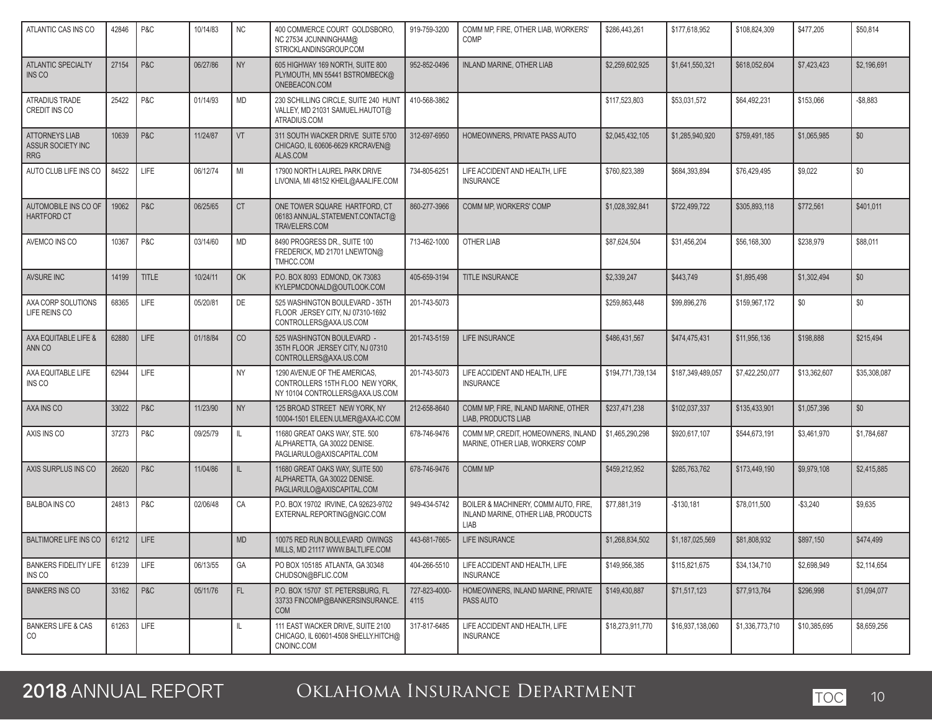| ATLANTIC CAS INS CO                               | 42846 | P&C          | 10/14/83 | <b>NC</b> | 400 COMMERCE COURT GOLDSBORO,<br>NC 27534 JCUNNINGHAM@<br>STRICKLANDINSGROUP.COM                   | 919-759-3200          | COMM MP. FIRE. OTHER LIAB. WORKERS'<br>COMP                                         | \$286,443,261     | \$177,618,952     | \$108,824,309   | \$477,205    | \$50,814     |
|---------------------------------------------------|-------|--------------|----------|-----------|----------------------------------------------------------------------------------------------------|-----------------------|-------------------------------------------------------------------------------------|-------------------|-------------------|-----------------|--------------|--------------|
| ATLANTIC SPECIALTY<br>INS CO                      | 27154 | P&C          | 06/27/86 | <b>NY</b> | 605 HIGHWAY 169 NORTH, SUITE 800<br>PLYMOUTH, MN 55441 BSTROMBECK@<br>ONEBEACON.COM                | 952-852-0496          | INLAND MARINE, OTHER LIAB                                                           | \$2,259,602,925   | \$1,641,550,321   | \$618,052,604   | \$7,423,423  | \$2,196,691  |
| ATRADIUS TRADE<br>CREDIT INS CO                   | 25422 | P&C          | 01/14/93 | <b>MD</b> | 230 SCHILLING CIRCLE, SUITE 240 HUNT<br>VALLEY, MD 21031 SAMUEL.HAUTOT@<br>ATRADIUS.COM            | 410-568-3862          |                                                                                     | \$117,523,803     | \$53,031,572      | \$64.492.231    | \$153,066    | $-$8,883$    |
| ATTORNEYS LIAB<br>ASSUR SOCIETY INC<br><b>RRG</b> | 10639 | P&C          | 11/24/87 | VT        | 311 SOUTH WACKER DRIVE SUITE 5700<br>CHICAGO, IL 60606-6629 KRCRAVEN@<br>ALAS.COM                  | 312-697-6950          | HOMEOWNERS, PRIVATE PASS AUTO                                                       | \$2,045,432,105   | \$1,285,940,920   | \$759,491,185   | \$1,065,985  | \$0          |
| AUTO CLUB LIFE INS CO                             | 84522 | LIFE         | 06/12/74 | MI        | 17900 NORTH LAUREL PARK DRIVE<br>LIVONIA, MI 48152 KHEIL@AAALIFE.COM                               | 734-805-6251          | LIFE ACCIDENT AND HEALTH, LIFE<br><b>INSURANCE</b>                                  | \$760,823,389     | \$684,393,894     | \$76,429,495    | \$9,022      | \$0          |
| AUTOMOBILE INS CO OF<br><b>HARTFORD CT</b>        | 19062 | P&C          | 06/25/65 | <b>CT</b> | ONE TOWER SQUARE HARTFORD, CT<br>06183 ANNUAL.STATEMENT.CONTACT@<br>TRAVELERS.COM                  | 860-277-3966          | COMM MP, WORKERS' COMP                                                              | \$1,028,392,841   | \$722,499,722     | \$305.893.118   | \$772.561    | \$401.011    |
| AVEMCO INS CO                                     | 10367 | P&C          | 03/14/60 | <b>MD</b> | 8490 PROGRESS DR., SUITE 100<br>FREDERICK, MD 21701 LNEWTON@<br>TMHCC.COM                          | 713-462-1000          | OTHER LIAB                                                                          | \$87,624,504      | \$31,456,204      | \$56,168,300    | \$238.979    | \$88.011     |
| <b>AVSURE INC</b>                                 | 14199 | <b>TITLE</b> | 10/24/11 | OK        | P.O. BOX 8093 EDMOND, OK 73083<br>KYLEPMCDONALD@OUTLOOK.COM                                        | 405-659-3194          | <b>TITLE INSURANCE</b>                                                              | \$2.339.247       | \$443.749         | \$1,895,498     | \$1,302,494  | \$0          |
| AXA CORP SOLUTIONS<br>LIFE REINS CO               | 68365 | LIFE         | 05/20/81 | DE        | 525 WASHINGTON BOULEVARD - 35TH<br>FLOOR JERSEY CITY, NJ 07310-1692<br>CONTROLLERS@AXA.US.COM      | 201-743-5073          |                                                                                     | \$259,863,448     | \$99,896,276      | \$159,967.172   | \$0          | \$0          |
| AXA EQUITABLE LIFE &<br>ANN CO                    | 62880 | <b>LIFE</b>  | 01/18/84 | CO        | 525 WASHINGTON BOULEVARD -<br>35TH FLOOR JERSEY CITY, NJ 07310<br>CONTROLLERS@AXA.US.COM           | 201-743-5159          | LIFE INSURANCE                                                                      | \$486.431.567     | \$474,475,431     | \$11,956,136    | \$198,888    | \$215,494    |
| AXA EQUITABLE LIFE<br>INS CO                      | 62944 | LIFE         |          | <b>NY</b> | 1290 AVENUE OF THE AMERICAS,<br>CONTROLLERS 15TH FLOO NEW YORK,<br>NY 10104 CONTROLLERS@AXA.US.COM | 201-743-5073          | LIFE ACCIDENT AND HEALTH, LIFE<br><b>INSURANCE</b>                                  | \$194,771,739,134 | \$187,349,489,057 | \$7,422,250,077 | \$13,362,607 | \$35,308,087 |
| AXA INS CO                                        | 33022 | P&C          | 11/23/90 | <b>NY</b> | 125 BROAD STREET NEW YORK, NY<br>10004-1501 EILEEN.ULMER@AXA-IC.COM                                | 212-658-8640          | COMM MP, FIRE, INLAND MARINE, OTHER<br><b>LIAB. PRODUCTS LIAB</b>                   | \$237,471,238     | \$102,037,337     | \$135,433,901   | \$1,057,396  | \$0          |
| AXIS INS CO                                       | 37273 | P&C          | 09/25/79 | IL.       | 11680 GREAT OAKS WAY, STE. 500<br>ALPHARETTA, GA 30022 DENISE.<br>PAGLIARULO@AXISCAPITAL.COM       | 678-746-9476          | COMM MP, CREDIT, HOMEOWNERS, INLAND<br>MARINE, OTHER LIAB, WORKERS' COMP            | \$1,465,290,298   | \$920,617,107     | \$544,673,191   | \$3,461,970  | \$1,784,687  |
| AXIS SURPLUS INS CO                               | 26620 | P&C          | 11/04/86 | IL.       | 11680 GREAT OAKS WAY, SUITE 500<br>ALPHARETTA, GA 30022 DENISE.<br>PAGLIARULO@AXISCAPITAL.COM      | 678-746-9476          | COMM MP                                                                             | \$459,212,952     | \$285,763,762     | \$173,449,190   | \$9,979,108  | \$2,415,885  |
| <b>BALBOA INS CO</b>                              | 24813 | P&C          | 02/06/48 | CA        | P.O. BOX 19702 IRVINE, CA 92623-9702<br>EXTERNAL.REPORTING@NGIC.COM                                | 949-434-5742          | BOILER & MACHINERY, COMM AUTO, FIRE,<br>INLAND MARINE, OTHER LIAB, PRODUCTS<br>LIAB | \$77,881,319      | $-$130,181$       | \$78,011,500    | $-$3,240$    | \$9,635      |
| <b>BALTIMORE LIFE INS CO</b>                      | 61212 | <b>LIFE</b>  |          | <b>MD</b> | 10075 RED RUN BOULEVARD OWINGS<br>MILLS, MD 21117 WWW.BALTLIFE.COM                                 | 443-681-7665-         | LIFE INSURANCE                                                                      | \$1,268,834,502   | \$1,187,025,569   | \$81,808,932    | \$897,150    | \$474,499    |
| <b>BANKERS FIDELITY LIFE</b><br>INS CO            | 61239 | LIFE         | 06/13/55 | GA        | PO BOX 105185 ATLANTA, GA 30348<br>CHUDSON@BFLIC.COM                                               | 404-266-5510          | LIFE ACCIDENT AND HEALTH, LIFE<br><b>INSURANCE</b>                                  | \$149,956,385     | \$115,821,675     | \$34,134,710    | \$2,698,949  | \$2,114,654  |
| <b>BANKERS INS CO</b>                             | 33162 | P&C          | 05/11/76 | FL.       | P.O. BOX 15707 ST. PETERSBURG, FL<br>33733 FINCOMP@BANKERSINSURANCE.<br><b>COM</b>                 | 727-823-4000-<br>4115 | HOMEOWNERS. INLAND MARINE. PRIVATE<br>PASS AUTO                                     | \$149,430,887     | \$71,517,123      | \$77,913,764    | \$296,998    | \$1,094,077  |
| <b>BANKERS LIFE &amp; CAS</b><br>CO               | 61263 | LIFE         |          | L         | 111 EAST WACKER DRIVE, SUITE 2100<br>CHICAGO, IL 60601-4508 SHELLY.HITCH@<br>CNOINC.COM            | 317-817-6485          | LIFE ACCIDENT AND HEALTH, LIFE<br><b>INSURANCE</b>                                  | \$18,273,911,770  | \$16,937,138,060  | \$1,336,773,710 | \$10,385,695 | \$8,659,256  |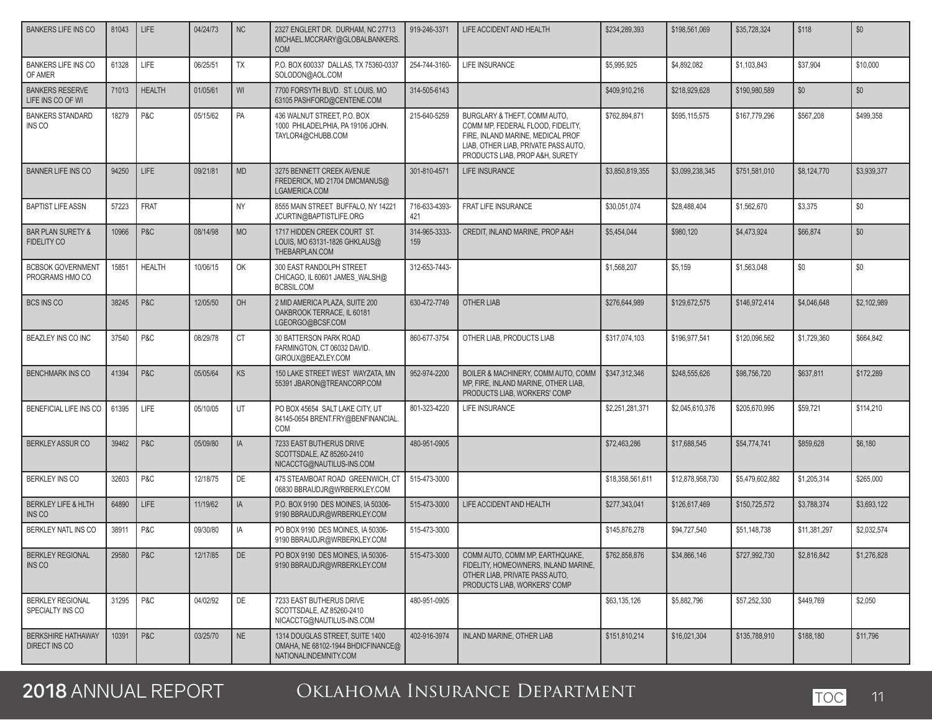| <b>BANKERS LIFE INS CO</b>                         | 81043 | LIFE          | 04/24/73 | <b>NC</b> | 2327 ENGLERT DR. DURHAM, NC 27713<br>MICHAEL.MCCRARY@GLOBALBANKERS.<br><b>COM</b>              | 919-246-3371         | LIFE ACCIDENT AND HEALTH                                                                                                                                                          | \$234,289,393    | \$198,561,069    | \$35,728,324    | \$118        | \$0         |
|----------------------------------------------------|-------|---------------|----------|-----------|------------------------------------------------------------------------------------------------|----------------------|-----------------------------------------------------------------------------------------------------------------------------------------------------------------------------------|------------------|------------------|-----------------|--------------|-------------|
| <b>BANKERS LIFE INS CO</b><br>OF AMER              | 61328 | LIFE          | 06/25/51 | TX        | P.O. BOX 600337 DALLAS, TX 75360-0337<br>SOLODON@AOL.COM                                       | 254-744-3160-        | <b>LIFE INSURANCE</b>                                                                                                                                                             | \$5,995,925      | \$4,892,082      | \$1,103,843     | \$37,904     | \$10,000    |
| <b>BANKERS RESERVE</b><br>LIFE INS CO OF WI        | 71013 | <b>HEALTH</b> | 01/05/61 | WI        | 7700 FORSYTH BLVD. ST. LOUIS. MO<br>63105 PASHFORD@CENTENE.COM                                 | 314-505-6143         |                                                                                                                                                                                   | \$409,910,216    | \$218.929.628    | \$190,980,589   | \$0          | \$0         |
| <b>BANKERS STANDARD</b><br>INS CO                  | 18279 | P&C           | 05/15/62 | PA        | 436 WALNUT STREET, P.O. BOX<br>1000 PHILADELPHIA, PA 19106 JOHN.<br>TAYLOR4@CHUBB.COM          | 215-640-5259         | BURGLARY & THEFT, COMM AUTO,<br>COMM MP, FEDERAL FLOOD, FIDELITY,<br>FIRE, INLAND MARINE, MEDICAL PROF<br>LIAB, OTHER LIAB, PRIVATE PASS AUTO,<br>PRODUCTS LIAB, PROP A&H, SURETY | \$762,894,871    | \$595,115,575    | \$167,779,296   | \$567,208    | \$499,358   |
| <b>BANNER LIFE INS CO</b>                          | 94250 | LIFE          | 09/21/81 | <b>MD</b> | 3275 BENNETT CREEK AVENUE<br>FREDERICK, MD 21704 DMCMANUS@<br>LGAMERICA.COM                    | 301-810-4571         | <b>LIFE INSURANCE</b>                                                                                                                                                             | \$3,850,819,355  | \$3,099,238,345  | \$751,581,010   | \$8,124,770  | \$3.939.377 |
| <b>BAPTIST LIFE ASSN</b>                           | 57223 | <b>FRAT</b>   |          | <b>NY</b> | 8555 MAIN STREET BUFFALO, NY 14221<br>JCURTIN@BAPTISTLIFE.ORG                                  | 716-633-4393-<br>421 | FRAT LIFE INSURANCE                                                                                                                                                               | \$30,051,074     | \$28,488,404     | \$1,562,670     | \$3,375      | \$0         |
| <b>BAR PLAN SURETY &amp;</b><br><b>FIDELITY CO</b> | 10966 | P&C           | 08/14/98 | <b>MO</b> | 1717 HIDDEN CREEK COURT ST.<br>LOUIS, MO 63131-1826 GHKLAUS@<br>THEBARPLAN.COM                 | 314-965-3333-<br>159 | CREDIT, INLAND MARINE, PROP A&H                                                                                                                                                   | \$5,454,044      | \$980,120        | \$4,473,924     | \$66,874     | \$0         |
| <b>BCBSOK GOVERNMENT</b><br>PROGRAMS HMO CO        | 15851 | <b>HEALTH</b> | 10/06/15 | OK        | 300 EAST RANDOLPH STREET<br>CHICAGO, IL 60601 JAMES_WALSH@<br>BCBSIL.COM                       | 312-653-7443-        |                                                                                                                                                                                   | \$1,568,207      | \$5,159          | \$1,563,048     | \$0          | \$0         |
| <b>BCS INS CO</b>                                  | 38245 | P&C           | 12/05/50 | OH        | 2 MID AMERICA PLAZA, SUITE 200<br>OAKBROOK TERRACE, IL 60181<br>LGEORGO@BCSF.COM               | 630-472-7749         | OTHER LIAB                                                                                                                                                                        | \$276.644.989    | \$129,672,575    | \$146,972,414   | \$4,046,648  | \$2,102,989 |
| BEAZLEY INS CO INC                                 | 37540 | P&C           | 08/29/78 | CT        | 30 BATTERSON PARK ROAD<br>FARMINGTON, CT 06032 DAVID.<br>GIROUX@BEAZLEY.COM                    | 860-677-3754         | OTHER LIAB, PRODUCTS LIAB                                                                                                                                                         | \$317,074,103    | \$196,977,541    | \$120,096,562   | \$1,729,360  | \$664,842   |
| <b>BENCHMARK INS CO</b>                            | 41394 | P&C           | 05/05/64 | <b>KS</b> | 150 LAKE STREET WEST WAYZATA, MN<br>55391 JBARON@TREANCORP.COM                                 | 952-974-2200         | BOILER & MACHINERY, COMM AUTO, COMM<br>MP, FIRE, INLAND MARINE, OTHER LIAB,<br>PRODUCTS LIAB, WORKERS' COMP                                                                       | \$347,312,346    | \$248,555,626    | \$98,756,720    | \$637,811    | \$172,289   |
| BENEFICIAL LIFE INS CO                             | 61395 | LIFE          | 05/10/05 | UT        | PO BOX 45654 SALT LAKE CITY, UT<br>84145-0654 BRENT.FRY@BENFINANCIAL.<br><b>COM</b>            | 801-323-4220         | LIFE INSURANCE                                                                                                                                                                    | \$2,251,281,371  | \$2,045,610,376  | \$205,670,995   | \$59,721     | \$114,210   |
| <b>BERKLEY ASSUR CO</b>                            | 39462 | P&C           | 05/09/80 | IA        | 7233 EAST BUTHERUS DRIVE<br>SCOTTSDALE, AZ 85260-2410<br>NICACCTG@NAUTILUS-INS.COM             | 480-951-0905         |                                                                                                                                                                                   | \$72,463,286     | \$17,688,545     | \$54,774,741    | \$859,628    | \$6,180     |
| <b>BERKLEY INS CO</b>                              | 32603 | P&C           | 12/18/75 | DE        | 475 STEAMBOAT ROAD GREENWICH. CT<br>06830 BBRAUDJR@WRBERKLEY.COM                               | 515-473-3000         |                                                                                                                                                                                   | \$18,358,561,611 | \$12,878,958,730 | \$5,479,602,882 | \$1,205,314  | \$265,000   |
| <b>BERKLEY LIFE &amp; HLTH</b><br>INS CO           | 64890 | <b>LIFE</b>   | 11/19/62 | IA        | P.O. BOX 9190 DES MOINES, IA 50306-<br>9190 BBRAUDJR@WRBERKLEY.COM                             | 515-473-3000         | LIFE ACCIDENT AND HEALTH                                                                                                                                                          | \$277,343,041    | \$126,617,469    | \$150,725,572   | \$3,788,374  | \$3,693,122 |
| BERKLEY NATL INS CO                                | 38911 | P&C           | 09/30/80 | IA        | PO BOX 9190 DES MOINES. IA 50306-<br>9190 BBRAUDJR@WRBERKLEY.COM                               | 515-473-3000         |                                                                                                                                                                                   | \$145,876,278    | \$94,727,540     | \$51,148,738    | \$11,381,297 | \$2,032,574 |
| <b>BERKLEY REGIONAL</b><br>INS CO                  | 29580 | P & C         | 12/17/85 | DE        | PO BOX 9190 DES MOINES, IA 50306-<br>9190 BBRAUDJR@WRBERKLEY.COM                               | 515-473-3000         | COMM AUTO, COMM MP, EARTHQUAKE,<br>FIDELITY, HOMEOWNERS, INLAND MARINE,<br>OTHER LIAB. PRIVATE PASS AUTO.<br>PRODUCTS LIAB, WORKERS' COMP                                         | \$762,858,876    | \$34,866,146     | \$727,992,730   | \$2,816,842  | \$1,276,828 |
| <b>BERKLEY REGIONAL</b><br>SPECIALTY INS CO        | 31295 | P & C         | 04/02/92 | DE        | 7233 EAST BUTHERUS DRIVE<br>SCOTTSDALE, AZ 85260-2410<br>NICACCTG@NAUTILUS-INS.COM             | 480-951-0905         |                                                                                                                                                                                   | \$63,135,126     | \$5,882,796      | \$57,252,330    | \$449,769    | \$2,050     |
| <b>BERKSHIRE HATHAWAY</b><br>DIRECT INS CO         | 10391 | P&C           | 03/25/70 | NE        | 1314 DOUGLAS STREET, SUITE 1400<br>OMAHA, NE 68102-1944 BHDICFINANCE@<br>NATIONALINDEMNITY.COM | 402-916-3974         | INLAND MARINE, OTHER LIAB                                                                                                                                                         | \$151,810,214    | \$16.021.304     | \$135,788,910   | \$188,180    | \$11,796    |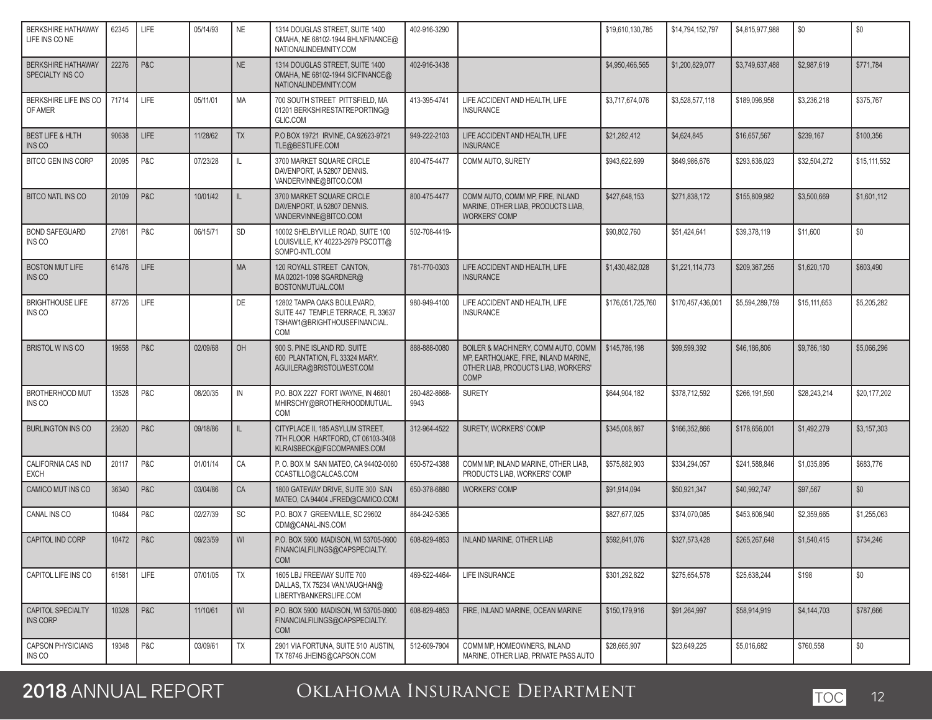| <b>BERKSHIRE HATHAWAY</b><br>LIFE INS CONE       | 62345 | LIFE | 05/14/93 | <b>NE</b>    | 1314 DOUGLAS STREET, SUITE 1400<br>OMAHA, NE 68102-1944 BHLNFINANCE@<br>NATIONALINDEMNITY.COM            | 402-916-3290          |                                                                                                                                   | \$19,610,130,785  | \$14,794,152,797  | \$4,815,977,988 | \$0          | \$0          |
|--------------------------------------------------|-------|------|----------|--------------|----------------------------------------------------------------------------------------------------------|-----------------------|-----------------------------------------------------------------------------------------------------------------------------------|-------------------|-------------------|-----------------|--------------|--------------|
| <b>BERKSHIRE HATHAWAY</b><br>SPECIALTY INS CO    | 22276 | P&C  |          | <b>NE</b>    | 1314 DOUGLAS STREET. SUITE 1400<br>OMAHA, NE 68102-1944 SICFINANCE@<br>NATIONALINDEMNITY.COM             | 402-916-3438          |                                                                                                                                   | \$4,950,466,565   | \$1,200,829,077   | \$3,749,637,488 | \$2,987,619  | \$771,784    |
| BERKSHIRE LIFE INS CO<br>OF AMER                 | 71714 | LIFE | 05/11/01 | <b>MA</b>    | 700 SOUTH STREET PITTSFIELD, MA<br>01201 BERKSHIRESTATREPORTING@<br>GLIC.COM                             | 413-395-4741          | LIFE ACCIDENT AND HEALTH. LIFE<br><b>INSURANCE</b>                                                                                | \$3,717,674,076   | \$3,528,577,118   | \$189.096.958   | \$3,236,218  | \$375,767    |
| <b>BEST LIFE &amp; HLTH</b><br>INS <sub>CO</sub> | 90638 | LIFE | 11/28/62 | <b>TX</b>    | P.O BOX 19721 IRVINE, CA 92623-9721<br>TLE@BESTLIFE.COM                                                  | 949-222-2103          | LIFE ACCIDENT AND HEALTH, LIFE<br><b>INSURANCE</b>                                                                                | \$21,282,412      | \$4,624,845       | \$16,657,567    | \$239,167    | \$100,356    |
| BITCO GEN INS CORP                               | 20095 | P&C  | 07/23/28 | IL           | 3700 MARKET SQUARE CIRCLE<br>DAVENPORT, IA 52807 DENNIS.<br>VANDERVINNE@BITCO.COM                        | 800-475-4477          | COMM AUTO, SURETY                                                                                                                 | \$943,622,699     | \$649,986,676     | \$293,636,023   | \$32,504,272 | \$15,111,552 |
| <b>BITCO NATL INS CO</b>                         | 20109 | P&C  | 10/01/42 | IL.          | 3700 MARKET SQUARE CIRCLE<br>DAVENPORT, IA 52807 DENNIS.<br>VANDERVINNE@BITCO.COM                        | 800-475-4477          | COMM AUTO, COMM MP, FIRE, INLAND<br>MARINE, OTHER LIAB, PRODUCTS LIAB,<br><b>WORKERS' COMP</b>                                    | \$427,648,153     | \$271,838,172     | \$155,809,982   | \$3,500,669  | \$1,601,112  |
| <b>BOND SAFEGUARD</b><br>INS CO                  | 27081 | P&C  | 06/15/71 | SD           | 10002 SHELBYVILLE ROAD, SUITE 100<br>LOUISVILLE, KY 40223-2979 PSCOTT@<br>SOMPO-INTL.COM                 | 502-708-4419-         |                                                                                                                                   | \$90,802,760      | \$51,424,641      | \$39,378,119    | \$11,600     | \$0          |
| <b>BOSTON MUT LIFE</b><br>INS CO                 | 61476 | LIFE |          | <b>MA</b>    | 120 ROYALL STREET CANTON,<br>MA 02021-1098 SGARDNER@<br>BOSTONMUTUAL.COM                                 | 781-770-0303          | LIFE ACCIDENT AND HEALTH, LIFE<br><b>INSURANCE</b>                                                                                | \$1,430,482,028   | \$1,221,114,773   | \$209,367,255   | \$1,620,170  | \$603,490    |
| <b>BRIGHTHOUSE LIFE</b><br>INS CO                | 87726 | LIFE |          | DE           | 12802 TAMPA OAKS BOULEVARD,<br>SUITE 447 TEMPLE TERRACE, FL 33637<br>TSHAW1@BRIGHTHOUSEFINANCIAL.<br>COM | 980-949-4100          | LIFE ACCIDENT AND HEALTH, LIFE<br><b>INSURANCE</b>                                                                                | \$176,051,725,760 | \$170,457,436,001 | \$5,594,289,759 | \$15,111,653 | \$5,205,282  |
| <b>BRISTOL WINS CO</b>                           | 19658 | P&C  | 02/09/68 | OH           | 900 S. PINE ISLAND RD. SUITE<br>600 PLANTATION, FL 33324 MARY.<br>AGUILERA@BRISTOLWEST.COM               | 888-888-0080          | BOILER & MACHINERY, COMM AUTO, COMM<br>MP, EARTHQUAKE, FIRE, INLAND MARINE,<br>OTHER LIAB, PRODUCTS LIAB, WORKERS'<br><b>COMP</b> | \$145,786,198     | \$99,599,392      | \$46,186,806    | \$9,786,180  | \$5,066,296  |
| <b>BROTHERHOOD MUT</b><br>INS CO                 | 13528 | P&C  | 08/20/35 | $\mathbb{N}$ | P.O. BOX 2227 FORT WAYNE, IN 46801<br>MHIRSCHY@BROTHERHOODMUTUAL.<br><b>COM</b>                          | 260-482-8668-<br>9943 | <b>SURETY</b>                                                                                                                     | \$644,904,182     | \$378,712,592     | \$266,191,590   | \$28,243,214 | \$20,177,202 |
| <b>BURLINGTON INS CO</b>                         | 23620 | P&C  | 09/18/86 | IL.          | CITYPLACE II, 185 ASYLUM STREET,<br>7TH FLOOR HARTFORD, CT 06103-3408<br>KLRAISBECK@IFGCOMPANIES.COM     | 312-964-4522          | SURETY, WORKERS' COMP                                                                                                             | \$345,008,867     | \$166,352,866     | \$178,656,001   | \$1,492,279  | \$3,157,303  |
| CALIFORNIA CAS IND<br>EXCH                       | 20117 | P&C  | 01/01/14 | CA           | P.O. BOX M SAN MATEO, CA 94402-0080<br>CCASTILLO@CALCAS.COM                                              | 650-572-4388          | COMM MP, INLAND MARINE, OTHER LIAB,<br>PRODUCTS LIAB, WORKERS' COMP                                                               | \$575,882,903     | \$334,294,057     | \$241,588,846   | \$1,035,895  | \$683,776    |
| CAMICO MUT INS CO                                | 36340 | P&C  | 03/04/86 | CA           | 1800 GATEWAY DRIVE, SUITE 300 SAN<br>MATEO, CA 94404 JFRED@CAMICO.COM                                    | 650-378-6880          | <b>WORKERS' COMP</b>                                                                                                              | \$91,914,094      | \$50,921,347      | \$40,992,747    | \$97,567     | \$0          |
| CANAL INS CO                                     | 10464 | P&C  | 02/27/39 | SC           | P.O. BOX 7 GREENVILLE, SC 29602<br>CDM@CANAL-INS.COM                                                     | 864-242-5365          |                                                                                                                                   | \$827,677,025     | \$374,070,085     | \$453,606,940   | \$2,359,665  | \$1,255,063  |
| CAPITOL IND CORP                                 | 10472 | P&C  | 09/23/59 | WI           | P.O. BOX 5900 MADISON, WI 53705-0900<br>FINANCIALFILINGS@CAPSPECIALTY.<br><b>COM</b>                     | 608-829-4853          | <b>INLAND MARINE, OTHER LIAB</b>                                                                                                  | \$592,841,076     | \$327,573,428     | \$265,267,648   | \$1,540,415  | \$734,246    |
| CAPITOL LIFE INS CO                              | 61581 | LIFE | 07/01/05 | TX           | 1605 LBJ FREEWAY SUITE 700<br>DALLAS, TX 75234 VAN.VAUGHAN@<br>LIBERTYBANKERSLIFE.COM                    | 469-522-4464-         | LIFE INSURANCE                                                                                                                    | \$301,292,822     | \$275,654,578     | \$25,638,244    | \$198        | \$0          |
| CAPITOL SPECIALTY<br><b>INS CORP</b>             | 10328 | P&C  | 11/10/61 | WI           | P.O. BOX 5900 MADISON, WI 53705-0900<br>FINANCIALFILINGS@CAPSPECIALTY.<br><b>COM</b>                     | 608-829-4853          | FIRE, INLAND MARINE, OCEAN MARINE                                                                                                 | \$150,179,916     | \$91,264,997      | \$58,914,919    | \$4,144,703  | \$787,666    |
| <b>CAPSON PHYSICIANS</b><br>INS CO               | 19348 | P&C  | 03/09/61 | TX           | 2901 VIA FORTUNA, SUITE 510 AUSTIN,<br>TX 78746 JHEINS@CAPSON.COM                                        | 512-609-7904          | COMM MP, HOMEOWNERS, INLAND<br>MARINE, OTHER LIAB, PRIVATE PASS AUTO                                                              | \$28,665,907      | \$23,649,225      | \$5,016,682     | \$760,558    | \$0          |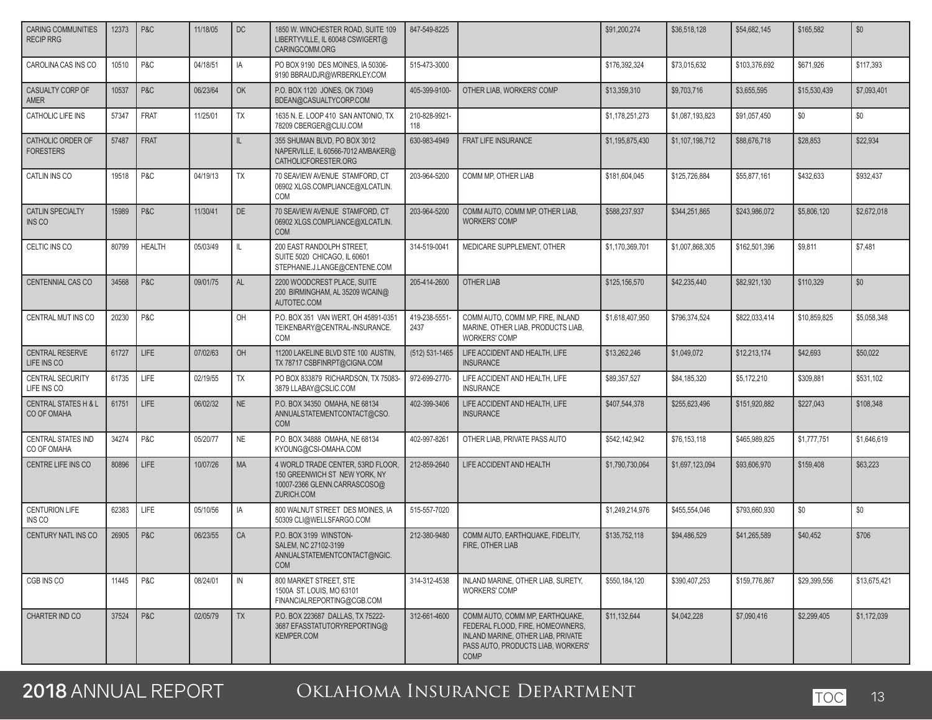| <b>CARING COMMUNITIES</b><br><b>RECIP RRG</b>  | 12373 | P&C            | 11/18/05 | DC           | 1850 W. WINCHESTER ROAD, SUITE 109<br>LIBERTYVILLE, IL 60048 CSWIGERT@<br>CARINGCOMM.ORG                         | 847-549-8225          |                                                                                                                                                                | \$91,200,274    | \$36,518,128    | \$54,682,145  | \$165,582    | \$0          |
|------------------------------------------------|-------|----------------|----------|--------------|------------------------------------------------------------------------------------------------------------------|-----------------------|----------------------------------------------------------------------------------------------------------------------------------------------------------------|-----------------|-----------------|---------------|--------------|--------------|
| CAROLINA CAS INS CO                            | 10510 | P&C            | 04/18/51 | IA           | PO BOX 9190 DES MOINES, IA 50306-<br>9190 BBRAUDJR@WRBERKLEY.COM                                                 | 515-473-3000          |                                                                                                                                                                | \$176,392,324   | \$73,015,632    | \$103,376,692 | \$671,926    | \$117,393    |
| CASUALTY CORP OF<br>AMER                       | 10537 | P&C            | 06/23/64 | OK           | P.O. BOX 1120 JONES, OK 73049<br>BDEAN@CASUALTYCORP.COM                                                          | 405-399-9100-         | OTHER LIAB, WORKERS' COMP                                                                                                                                      | \$13,359,310    | \$9,703,716     | \$3,655,595   | \$15,530,439 | \$7,093,401  |
| CATHOLIC LIFE INS                              | 57347 | <b>FRAT</b>    | 11/25/01 | TX           | 1635 N. E. LOOP 410 SAN ANTONIO, TX<br>78209 CBERGER@CLIU.COM                                                    | 210-828-9921-<br>118  |                                                                                                                                                                | \$1,178,251,273 | \$1,087,193,823 | \$91,057,450  | \$0          | \$0          |
| CATHOLIC ORDER OF<br><b>FORESTERS</b>          | 57487 | FRAT           |          | IL           | 355 SHUMAN BLVD, PO BOX 3012<br>NAPERVILLE, IL 60566-7012 AMBAKER@<br>CATHOLICFORESTER.ORG                       | 630-983-4949          | FRAT LIFE INSURANCE                                                                                                                                            | \$1,195,875,430 | \$1,107,198,712 | \$88,676,718  | \$28,853     | \$22,934     |
| CATLIN INS CO                                  | 19518 | P&C            | 04/19/13 | TX           | 70 SEAVIEW AVENUE STAMFORD, CT<br>06902 XLGS.COMPLIANCE@XLCATLIN.<br><b>COM</b>                                  | 203-964-5200          | COMM MP, OTHER LIAB                                                                                                                                            | \$181,604,045   | \$125,726,884   | \$55,877,161  | \$432,633    | \$932,437    |
| <b>CATLIN SPECIALTY</b><br>INS CO              | 15989 | P&C            | 11/30/41 | DE           | 70 SEAVIEW AVENUE STAMFORD, CT<br>06902 XLGS.COMPLIANCE@XLCATLIN.<br><b>COM</b>                                  | 203-964-5200          | COMM AUTO, COMM MP, OTHER LIAB,<br><b>WORKERS' COMP</b>                                                                                                        | \$588,237,937   | \$344,251,865   | \$243,986,072 | \$5,806,120  | \$2,672,018  |
| CELTIC INS CO                                  | 80799 | <b>HEALTH</b>  | 05/03/49 | $\mathbb{L}$ | 200 EAST RANDOLPH STREET,<br>SUITE 5020 CHICAGO. IL 60601<br>STEPHANIE.J.LANGE@CENTENE.COM                       | 314-519-0041          | MEDICARE SUPPLEMENT, OTHER                                                                                                                                     | \$1,170,369,701 | \$1,007,868,305 | \$162,501,396 | \$9,811      | \$7,481      |
| CENTENNIAL CAS CO                              | 34568 | P&C            | 09/01/75 | AL           | 2200 WOODCREST PLACE, SUITE<br>200 BIRMINGHAM, AL 35209 WCAIN@<br>AUTOTEC.COM                                    | 205-414-2600          | OTHER LIAB                                                                                                                                                     | \$125,156,570   | \$42,235,440    | \$82,921,130  | \$110,329    | \$0          |
| CENTRAL MUT INS CO                             | 20230 | P&C            |          | OH           | P.O. BOX 351 VAN WERT, OH 45891-0351<br>TEIKENBARY@CENTRAL-INSURANCE.<br><b>COM</b>                              | 419-238-5551-<br>2437 | COMM AUTO, COMM MP, FIRE, INLAND<br>MARINE, OTHER LIAB, PRODUCTS LIAB.<br><b>WORKERS' COMP</b>                                                                 | \$1,618,407,950 | \$796.374.524   | \$822,033,414 | \$10,859,825 | \$5,058,348  |
| <b>CENTRAL RESERVE</b><br>LIFE INS CO          | 61727 | LIFE           | 07/02/63 | OH           | 11200 LAKELINE BLVD STE 100 AUSTIN,<br>TX 78717 CSBFINRPT@CIGNA.COM                                              | (512) 531-1465        | LIFE ACCIDENT AND HEALTH, LIFE<br><b>INSURANCE</b>                                                                                                             | \$13,262,246    | \$1,049,072     | \$12,213,174  | \$42,693     | \$50,022     |
| CENTRAL SECURITY<br>LIFE INS CO                | 61735 | LIFE           | 02/19/55 | TX           | PO BOX 833879 RICHARDSON, TX 75083-<br>3879 LLABAY@CSLIC.COM                                                     | 972-699-2770-         | LIFE ACCIDENT AND HEALTH, LIFE<br><b>INSURANCE</b>                                                                                                             | \$89,357,527    | \$84,185,320    | \$5,172,210   | \$309,881    | \$531,102    |
| <b>CENTRAL STATES H &amp; L</b><br>CO OF OMAHA | 61751 | LIFE           | 06/02/32 | <b>NE</b>    | P.O. BOX 34350 OMAHA, NE 68134<br>ANNUALSTATEMENTCONTACT@CSO.<br><b>COM</b>                                      | 402-399-3406          | LIFE ACCIDENT AND HEALTH, LIFE<br><b>INSURANCE</b>                                                                                                             | \$407,544,378   | \$255,623,496   | \$151,920,882 | \$227,043    | \$108,348    |
| <b>CENTRAL STATES IND</b><br>CO OF OMAHA       | 34274 | P&C            | 05/20/77 | <b>NE</b>    | P.O. BOX 34888 OMAHA, NE 68134<br>KYOUNG@CSI-OMAHA.COM                                                           | 402-997-8261          | OTHER LIAB, PRIVATE PASS AUTO                                                                                                                                  | \$542,142,942   | \$76,153,118    | \$465,989,825 | \$1,777,751  | \$1,646,619  |
| CENTRE LIFE INS CO                             | 80896 | <b>LIFE</b>    | 10/07/26 | <b>MA</b>    | 4 WORLD TRADE CENTER, 53RD FLOOR,<br>150 GREENWICH ST NEW YORK, NY<br>10007-2366 GLENN.CARRASCOSO@<br>ZURICH.COM | 212-859-2640          | LIFE ACCIDENT AND HEALTH                                                                                                                                       | \$1,790,730,064 | \$1,697,123,094 | \$93,606,970  | \$159,408    | \$63,223     |
| <b>CENTURION LIFE</b><br>INS CO                | 62383 | LIFE           | 05/10/56 | IA           | 800 WALNUT STREET DES MOINES. IA<br>50309 CLI@WELLSFARGO.COM                                                     | 515-557-7020          |                                                                                                                                                                | \$1,249,214,976 | \$455,554,046   | \$793,660,930 | \$0          | \$0          |
| CENTURY NATL INS CO                            | 26905 | P&C            | 06/23/55 | CA           | P.O. BOX 3199 WINSTON-<br>SALEM, NC 27102-3199<br>ANNUALSTATEMENTCONTACT@NGIC.<br><b>COM</b>                     | 212-380-9480          | COMM AUTO, EARTHQUAKE, FIDELITY,<br>FIRE, OTHER LIAB                                                                                                           | \$135,752,118   | \$94,486,529    | \$41,265,589  | \$40,452     | \$706        |
| CGB INS CO                                     | 11445 | P&C            | 08/24/01 | IN           | 800 MARKET STREET. STE<br>1500A ST. LOUIS, MO 63101<br>FINANCIALREPORTING@CGB.COM                                | 314-312-4538          | INLAND MARINE, OTHER LIAB, SURETY.<br><b>WORKERS' COMP</b>                                                                                                     | \$550,184,120   | \$390.407.253   | \$159,776,867 | \$29,399,556 | \$13,675,421 |
| CHARTER IND CO                                 | 37524 | <b>P&amp;C</b> | 02/05/79 | <b>TX</b>    | P.O. BOX 223687 DALLAS, TX 75222-<br>3687 EFASSTATUTORYREPORTING@<br><b>KEMPER.COM</b>                           | 312-661-4600          | COMM AUTO. COMM MP. EARTHQUAKE.<br>FEDERAL FLOOD. FIRE. HOMEOWNERS.<br>INLAND MARINE, OTHER LIAB, PRIVATE<br>PASS AUTO. PRODUCTS LIAB. WORKERS'<br><b>COMP</b> | \$11,132,644    | \$4,042,228     | \$7,090,416   | \$2,299,405  | \$1,172,039  |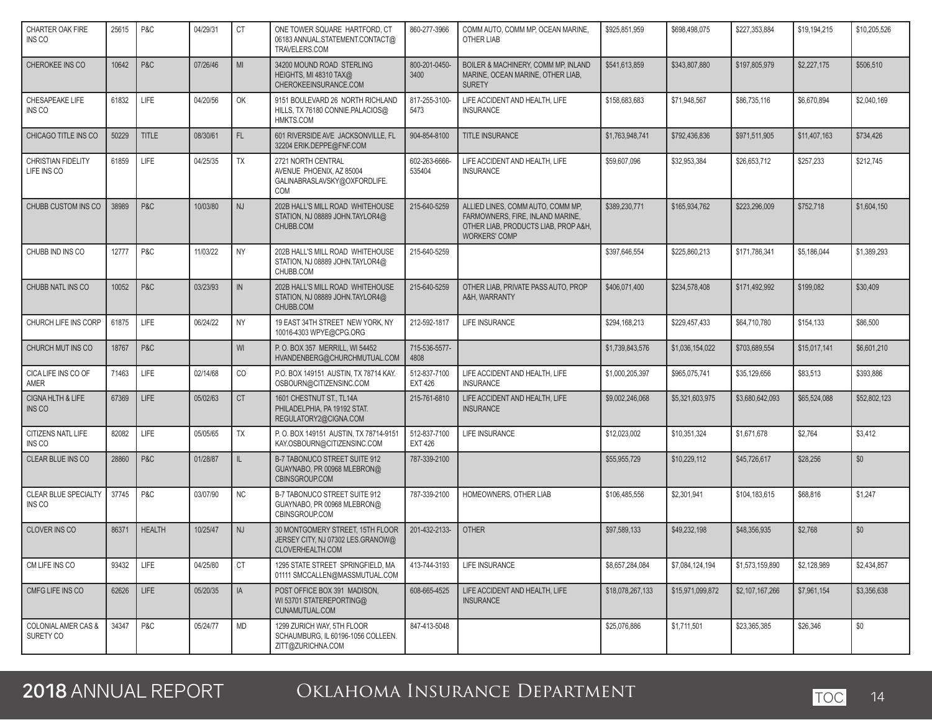| <b>CHARTER OAK FIRE</b><br>INS CO                | 25615 | P&C           | 04/29/31 | СT            | ONE TOWER SQUARE HARTFORD, CT<br>06183 ANNUAL.STATEMENT.CONTACT@<br>TRAVELERS.COM         | 860-277-3966                   | COMM AUTO. COMM MP. OCEAN MARINE.<br>OTHER LIAB                                                                                       | \$925,851,959    | \$698.498.075    | \$227,353,884   | \$19,194,215 | \$10,205,526 |
|--------------------------------------------------|-------|---------------|----------|---------------|-------------------------------------------------------------------------------------------|--------------------------------|---------------------------------------------------------------------------------------------------------------------------------------|------------------|------------------|-----------------|--------------|--------------|
| CHEROKEE INS CO                                  | 10642 | P&C           | 07/26/46 | MI            | 34200 MOUND ROAD STERLING<br><b>HEIGHTS, MI 48310 TAX@</b><br>CHEROKEEINSURANCE.COM       | 800-201-0450-<br>3400          | BOILER & MACHINERY, COMM MP. INLAND<br>MARINE, OCEAN MARINE, OTHER LIAB,<br><b>SURETY</b>                                             | \$541,613,859    | \$343,807,880    | \$197,805,979   | \$2,227,175  | \$506,510    |
| CHESAPEAKE LIFE<br>INS CO                        | 61832 | LIFE          | 04/20/56 | OK            | 9151 BOULEVARD 26 NORTH RICHLAND<br>HILLS, TX 76180 CONNIE.PALACIOS@<br>HMKTS.COM         | 817-255-3100-<br>5473          | LIFE ACCIDENT AND HEALTH, LIFE<br><b>INSURANCE</b>                                                                                    | \$158,683,683    | \$71,948,567     | \$86,735,116    | \$6,670,894  | \$2,040,169  |
| CHICAGO TITLE INS CO                             | 50229 | <b>TITLE</b>  | 08/30/61 | FL.           | 601 RIVERSIDE AVE JACKSONVILLE, FL<br>32204 ERIK.DEPPE@FNF.COM                            | 904-854-8100                   | <b>TITLE INSURANCE</b>                                                                                                                | \$1,763,948,741  | \$792,436,836    | \$971,511,905   | \$11,407,163 | \$734,426    |
| <b>CHRISTIAN FIDELITY</b><br>LIFE INS CO         | 61859 | LIFE          | 04/25/35 | TX            | 2721 NORTH CENTRAL<br>AVENUE PHOENIX, AZ 85004<br>GALINABRASLAVSKY@OXFORDLIFE.<br>COM     | 602-263-6666-<br>535404        | LIFE ACCIDENT AND HEALTH, LIFE<br><b>INSURANCE</b>                                                                                    | \$59,607,096     | \$32,953,384     | \$26,653,712    | \$257,233    | \$212,745    |
| CHUBB CUSTOM INS CO                              | 38989 | P&C           | 10/03/80 | NJ            | 202B HALL'S MILL ROAD WHITEHOUSE<br>STATION, NJ 08889 JOHN.TAYLOR4@<br>CHUBB.COM          | 215-640-5259                   | ALLIED LINES, COMM AUTO, COMM MP,<br>FARMOWNERS, FIRE, INLAND MARINE,<br>OTHER LIAB, PRODUCTS LIAB, PROP A&H,<br><b>WORKERS' COMP</b> | \$389,230,771    | \$165,934,762    | \$223,296,009   | \$752,718    | \$1,604,150  |
| CHUBB IND INS CO                                 | 12777 | P&C           | 11/03/22 | <b>NY</b>     | 202B HALL'S MILL ROAD WHITEHOUSE<br>STATION, NJ 08889 JOHN.TAYLOR4@<br>CHUBB.COM          | 215-640-5259                   |                                                                                                                                       | \$397.646.554    | \$225.860.213    | \$171,786,341   | \$5,186,044  | \$1,389,293  |
| CHUBB NATL INS CO                                | 10052 | P&C           | 03/23/93 | $\mathsf{IN}$ | 202B HALL'S MILL ROAD WHITEHOUSE<br>STATION, NJ 08889 JOHN.TAYLOR4@<br>CHUBB.COM          | 215-640-5259                   | OTHER LIAB, PRIVATE PASS AUTO, PROP<br>A&H, WARRANTY                                                                                  | \$406,071,400    | \$234,578,408    | \$171,492,992   | \$199,082    | \$30,409     |
| CHURCH LIFE INS CORP                             | 61875 | LIFE          | 06/24/22 | <b>NY</b>     | 19 EAST 34TH STREET NEW YORK, NY<br>10016-4303 WPYE@CPG.ORG                               | 212-592-1817                   | LIFE INSURANCE                                                                                                                        | \$294,168,213    | \$229,457,433    | \$64,710,780    | \$154,133    | \$86,500     |
| CHURCH MUT INS CO                                | 18767 | P&C           |          | WI            | P. O. BOX 357 MERRILL, WI 54452<br>HVANDENBERG@CHURCHMUTUAL.COM                           | 715-536-5577-<br>4808          |                                                                                                                                       | \$1,739,843,576  | \$1.036.154.022  | \$703.689.554   | \$15,017,141 | \$6,601,210  |
| CICA LIFE INS CO OF<br>AMER                      | 71463 | LIFE          | 02/14/68 | CO            | P.O. BOX 149151 AUSTIN, TX 78714 KAY.<br>OSBOURN@CITIZENSINC.COM                          | 512-837-7100<br><b>EXT 426</b> | LIFE ACCIDENT AND HEALTH, LIFE<br><b>INSURANCE</b>                                                                                    | \$1,000,205,397  | \$965,075,741    | \$35,129,656    | \$83,513     | \$393,886    |
| CIGNA HLTH & LIFE<br>INS <sub>CO</sub>           | 67369 | LIFE          | 05/02/63 | <b>CT</b>     | 1601 CHESTNUT ST., TL14A<br>PHILADELPHIA, PA 19192 STAT.<br>REGULATORY2@CIGNA.COM         | 215-761-6810                   | LIFE ACCIDENT AND HEALTH, LIFE<br><b>INSURANCE</b>                                                                                    | \$9,002,246,068  | \$5,321,603,975  | \$3,680,642,093 | \$65,524,088 | \$52,802,123 |
| CITIZENS NATL LIFE<br>INS CO                     | 82082 | LIFE          | 05/05/65 | TX            | P.O. BOX 149151 AUSTIN, TX 78714-9151<br>KAY.OSBOURN@CITIZENSINC.COM                      | 512-837-7100<br><b>EXT 426</b> | LIFE INSURANCE                                                                                                                        | \$12,023,002     | \$10,351,324     | \$1,671,678     | \$2,764      | \$3,412      |
| CLEAR BLUE INS CO                                | 28860 | P&C           | 01/28/87 | $\mathbf{II}$ | B-7 TABONUCO STREET SUITE 912<br>GUAYNABO, PR 00968 MLEBRON@<br>CBINSGROUP.COM            | 787-339-2100                   |                                                                                                                                       | \$55,955,729     | \$10,229,112     | \$45,726,617    | \$28,256     | \$0          |
| <b>CLEAR BLUE SPECIALTY</b><br>INS <sub>CO</sub> | 37745 | P&C           | 03/07/90 | <b>NC</b>     | B-7 TABONUCO STREET SUITE 912<br>GUAYNABO, PR 00968 MLEBRON@<br>CBINSGROUP.COM            | 787-339-2100                   | HOMEOWNERS, OTHER LIAB                                                                                                                | \$106.485.556    | \$2,301,941      | \$104.183.615   | \$68,816     | \$1.247      |
| <b>CLOVER INS CO</b>                             | 86371 | <b>HEALTH</b> | 10/25/47 | <b>NJ</b>     | 30 MONTGOMERY STREET, 15TH FLOOR<br>JERSEY CITY, NJ 07302 LES.GRANOW@<br>CLOVERHEALTH.COM | 201-432-2133-                  | <b>OTHER</b>                                                                                                                          | \$97,589,133     | \$49,232,198     | \$48,356,935    | \$2,768      | \$0          |
| CM LIFE INS CO                                   | 93432 | <b>LIFE</b>   | 04/25/80 | СT            | 1295 STATE STREET SPRINGFIELD, MA<br>01111 SMCCALLEN@MASSMUTUAL.COM                       | 413-744-3193                   | LIFE INSURANCE                                                                                                                        | \$8,657,284,084  | \$7,084,124,194  | \$1,573,159,890 | \$2,128,989  | \$2,434,857  |
| CMFG LIFE INS CO                                 | 62626 | <b>LIFE</b>   | 05/20/35 | IA            | POST OFFICE BOX 391 MADISON,<br>WI 53701 STATEREPORTING@<br>CUNAMUTUAL.COM                | 608-665-4525                   | LIFE ACCIDENT AND HEALTH, LIFE<br><b>INSURANCE</b>                                                                                    | \$18,078,267,133 | \$15,971,099,872 | \$2,107,167,266 | \$7,961,154  | \$3,356,638  |
| <b>COLONIAL AMER CAS &amp;</b><br>SURETY CO      | 34347 | P&C           | 05/24/77 | <b>MD</b>     | 1299 ZURICH WAY, 5TH FLOOR<br>SCHAUMBURG, IL 60196-1056 COLLEEN.<br>ZITT@ZURICHNA.COM     | 847-413-5048                   |                                                                                                                                       | \$25,076,886     | \$1,711,501      | \$23,365,385    | \$26,346     | \$0          |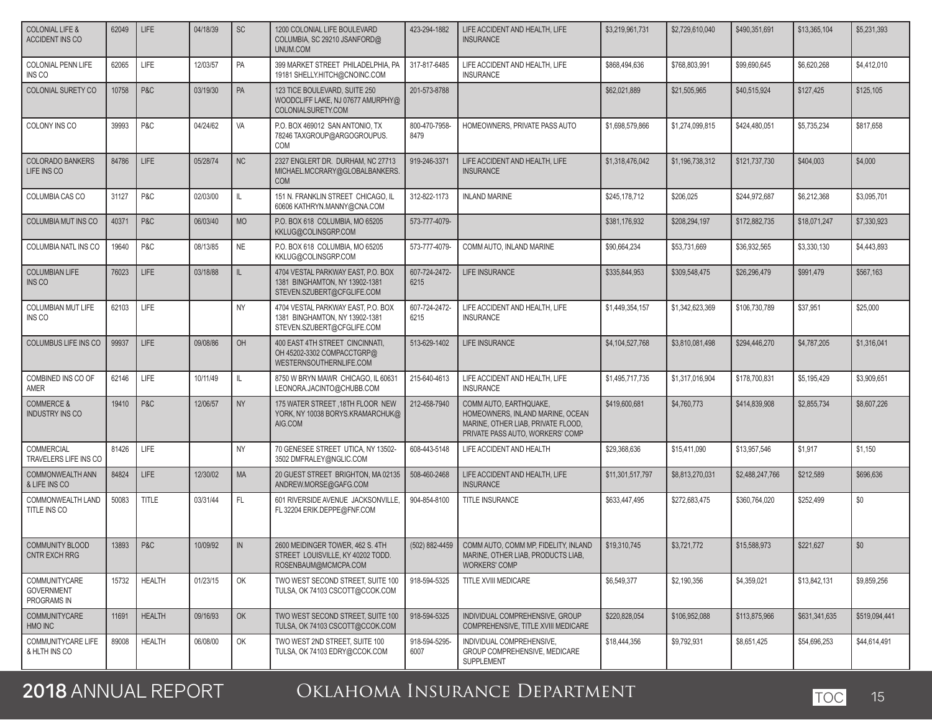| COLONIAL LIFE &<br><b>ACCIDENT INS CO</b>         | 62049 | LIFE          | 04/18/39 | <b>SC</b>     | 1200 COLONIAL LIFE BOULEVARD<br>COLUMBIA, SC 29210 JSANFORD@<br>UNUM.COM                           | 423-294-1882          | LIFE ACCIDENT AND HEALTH. LIFE<br><b>INSURANCE</b>                                                                                   | \$3,219,961,731  | \$2,729,610,040 | \$490,351,691   | \$13.365.104  | \$5,231,393   |
|---------------------------------------------------|-------|---------------|----------|---------------|----------------------------------------------------------------------------------------------------|-----------------------|--------------------------------------------------------------------------------------------------------------------------------------|------------------|-----------------|-----------------|---------------|---------------|
| <b>COLONIAL PENN LIFE</b><br>INS CO               | 62065 | LIFE          | 12/03/57 | PA            | 399 MARKET STREET PHILADELPHIA, PA<br>19181 SHELLY.HITCH@CNOINC.COM                                | 317-817-6485          | LIFE ACCIDENT AND HEALTH, LIFE<br><b>INSURANCE</b>                                                                                   | \$868,494,636    | \$768,803,991   | \$99,690,645    | \$6,620,268   | \$4,412,010   |
| COLONIAL SURETY CO                                | 10758 | P&C           | 03/19/30 | PA            | 123 TICE BOULEVARD, SUITE 250<br>WOODCLIFF LAKE, NJ 07677 AMURPHY@<br>COLONIALSURETY.COM           | 201-573-8788          |                                                                                                                                      | \$62,021,889     | \$21,505,965    | \$40,515,924    | \$127,425     | \$125,105     |
| COLONY INS CO                                     | 39993 | P&C           | 04/24/62 | VA            | P.O. BOX 469012 SAN ANTONIO, TX<br>78246 TAXGROUP@ARGOGROUPUS.<br><b>COM</b>                       | 800-470-7958-<br>8479 | HOMEOWNERS, PRIVATE PASS AUTO                                                                                                        | \$1,698,579,866  | \$1,274,099,815 | \$424,480,051   | \$5,735,234   | \$817,658     |
| <b>COLORADO BANKERS</b><br>LIFE INS CO            | 84786 | <b>LIFE</b>   | 05/28/74 | NC            | 2327 ENGLERT DR. DURHAM, NC 27713<br>MICHAEL.MCCRARY@GLOBALBANKERS.<br><b>COM</b>                  | 919-246-3371          | LIFE ACCIDENT AND HEALTH, LIFE<br><b>INSURANCE</b>                                                                                   | \$1.318.476.042  | \$1,196,738,312 | \$121,737,730   | \$404,003     | \$4,000       |
| COLUMBIA CAS CO                                   | 31127 | P&C           | 02/03/00 | IL            | 151 N. FRANKLIN STREET CHICAGO. IL<br>60606 KATHRYN.MANNY@CNA.COM                                  | 312-822-1173          | <b>INLAND MARINE</b>                                                                                                                 | \$245,178,712    | \$206,025       | \$244,972,687   | \$6,212,368   | \$3,095,701   |
| COLUMBIA MUT INS CO                               | 40371 | P&C           | 06/03/40 | <b>MO</b>     | P.O. BOX 618 COLUMBIA, MO 65205<br>KKLUG@COLINSGRP.COM                                             | 573-777-4079-         |                                                                                                                                      | \$381,176,932    | \$208,294,197   | \$172,882,735   | \$18,071,247  | \$7,330,923   |
| COLUMBIA NATL INS CO                              | 19640 | P&C           | 08/13/85 | <b>NE</b>     | P.O. BOX 618 COLUMBIA, MO 65205<br>KKLUG@COLINSGRP.COM                                             | 573-777-4079-         | COMM AUTO, INLAND MARINE                                                                                                             | \$90,664,234     | \$53,731,669    | \$36,932,565    | \$3,330,130   | \$4,443,893   |
| <b>COLUMBIAN LIFE</b><br>INS CO                   | 76023 | <b>LIFE</b>   | 03/18/88 | IL.           | 4704 VESTAL PARKWAY EAST, P.O. BOX<br>1381 BINGHAMTON, NY 13902-1381<br>STEVEN.SZUBERT@CFGLIFE.COM | 607-724-2472-<br>6215 | LIFE INSURANCE                                                                                                                       | \$335,844,953    | \$309,548,475   | \$26,296,479    | \$991,479     | \$567,163     |
| <b>COLUMBIAN MUT LIFE</b><br>INS CO               | 62103 | LIFE          |          | <b>NY</b>     | 4704 VESTAL PARKWAY EAST, P.O. BOX<br>1381 BINGHAMTON, NY 13902-1381<br>STEVEN.SZUBERT@CFGLIFE.COM | 607-724-2472-<br>6215 | LIFE ACCIDENT AND HEALTH, LIFE<br><b>INSURANCE</b>                                                                                   | \$1,449,354.157  | \$1,342,623,369 | \$106,730,789   | \$37,951      | \$25,000      |
| <b>COLUMBUS LIFE INS CO</b>                       | 99937 | LIFE          | 09/08/86 | OH            | 400 EAST 4TH STREET CINCINNATI,<br>OH 45202-3302 COMPACCTGRP@<br>WESTERNSOUTHERNLIFE.COM           | 513-629-1402          | LIFE INSURANCE                                                                                                                       | \$4,104,527,768  | \$3,810,081,498 | \$294,446,270   | \$4,787,205   | \$1,316,041   |
| COMBINED INS CO OF<br>AMER                        | 62146 | LIFE          | 10/11/49 | IL            | 8750 W BRYN MAWR CHICAGO, IL 60631<br>LEONORA.JACINTO@CHUBB.COM                                    | 215-640-4613          | LIFE ACCIDENT AND HEALTH, LIFE<br><b>INSURANCE</b>                                                                                   | \$1,495,717,735  | \$1,317,016,904 | \$178,700,831   | \$5,195,429   | \$3,909,651   |
| <b>COMMERCE &amp;</b><br><b>INDUSTRY INS CO</b>   | 19410 | P&C           | 12/06/57 | <b>NY</b>     | 175 WATER STREET, 18TH FLOOR NEW<br>YORK, NY 10038 BORYS.KRAMARCHUK@<br>AIG.COM                    | 212-458-7940          | COMM AUTO, EARTHQUAKE,<br>HOMEOWNERS, INLAND MARINE, OCEAN<br>MARINE, OTHER LIAB, PRIVATE FLOOD,<br>PRIVATE PASS AUTO, WORKERS' COMP | \$419,600,681    | \$4,760,773     | \$414,839,908   | \$2,855,734   | \$8,607,226   |
| <b>COMMERCIAL</b><br>TRAVELERS LIFE INS CO        | 81426 | <b>LIFE</b>   |          | <b>NY</b>     | 70 GENESEE STREET UTICA, NY 13502-<br>3502 DMFRALEY@NGLIC.COM                                      | 608-443-5148          | LIFE ACCIDENT AND HEALTH                                                                                                             | \$29,368,636     | \$15,411,090    | \$13,957,546    | \$1,917       | \$1,150       |
| <b>COMMONWEALTH ANN</b><br>& LIFE INS CO          | 84824 | LIFE          | 12/30/02 | <b>MA</b>     | 20 GUEST STREET BRIGHTON, MA 02135<br>ANDREW.MORSE@GAFG.COM                                        | 508-460-2468          | LIFE ACCIDENT AND HEALTH, LIFE<br><b>INSURANCE</b>                                                                                   | \$11,301,517,797 | \$8,813,270,031 | \$2,488,247,766 | \$212,589     | \$696,636     |
| COMMONWEALTH LAND<br>TITLE INS CO                 | 50083 | <b>TITLE</b>  | 03/31/44 | FL.           | 601 RIVERSIDE AVENUE JACKSONVILLE.<br>FL 32204 ERIK.DEPPE@FNF.COM                                  | 904-854-8100          | TITLE INSURANCE                                                                                                                      | \$633,447,495    | \$272,683,475   | \$360,764,020   | \$252,499     | \$0           |
| COMMUNITY BLOOD<br>CNTR EXCH RRG                  | 13893 | P & C         | 10/09/92 | $\mathsf{IN}$ | 2600 MEIDINGER TOWER, 462 S. 4TH<br>STREET LOUISVILLE, KY 40202 TODD.<br>ROSENBAUM@MCMCPA.COM      | (502) 882-4459        | COMM AUTO, COMM MP, FIDELITY, INLAND<br>MARINE, OTHER LIAB, PRODUCTS LIAB,<br><b>WORKERS' COMP</b>                                   | \$19,310,745     | \$3,721,772     | \$15,588,973    | \$221,627     | \$0           |
| COMMUNITYCARE<br><b>GOVERNMENT</b><br>PROGRAMS IN | 15732 | <b>HEALTH</b> | 01/23/15 | OK            | TWO WEST SECOND STREET, SUITE 100<br>TULSA, OK 74103 CSCOTT@CCOK.COM                               | 918-594-5325          | TITLE XVIII MEDICARE                                                                                                                 | \$6,549,377      | \$2,190,356     | \$4,359,021     | \$13,842,131  | \$9,859,256   |
| <b>COMMUNITYCARE</b><br>HMO INC                   | 11691 | <b>HEALTH</b> | 09/16/93 | OK            | TWO WEST SECOND STREET, SUITE 100<br>TULSA, OK 74103 CSCOTT@CCOK.COM                               | 918-594-5325          | INDIVIDUAL COMPREHENSIVE, GROUP<br>COMPREHENSIVE. TITLE XVIII MEDICARE                                                               | \$220,828,054    | \$106,952,088   | \$113,875,966   | \$631,341,635 | \$519,094,441 |
| COMMUNITYCARE LIFE<br>& HLTH INS CO               | 89008 | <b>HEALTH</b> | 06/08/00 | OK            | TWO WEST 2ND STREET, SUITE 100<br>TULSA, OK 74103 EDRY@CCOK.COM                                    | 918-594-5295-<br>6007 | INDIVIDUAL COMPREHENSIVE,<br>GROUP COMPREHENSIVE, MEDICARE<br>SUPPLEMENT                                                             | \$18,444,356     | \$9,792,931     | \$8,651,425     | \$54,696,253  | \$44,614,491  |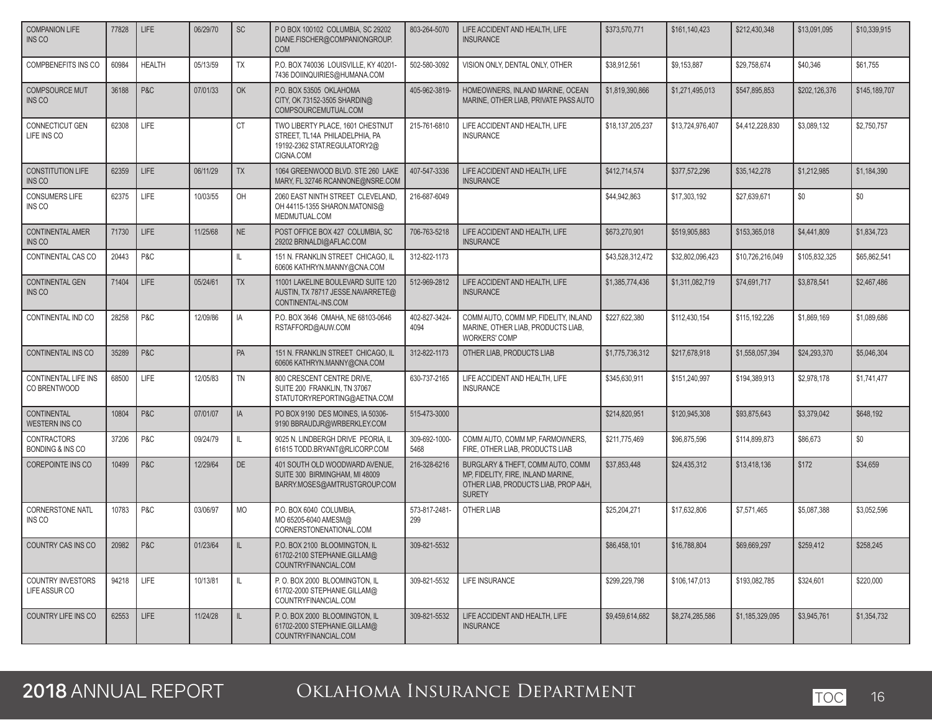| <b>COMPANION LIFE</b><br>INS CO                   | 77828 | <b>LIFE</b>   | 06/29/70 | SC           | P O BOX 100102 COLUMBIA, SC 29202<br>DIANE.FISCHER@COMPANIONGROUP.<br><b>COM</b>                                | 803-264-5070          | LIFE ACCIDENT AND HEALTH, LIFE<br><b>INSURANCE</b>                                                                               | \$373,570,771    | \$161,140,423    | \$212,430,348    | \$13.091.095  | \$10,339,915  |
|---------------------------------------------------|-------|---------------|----------|--------------|-----------------------------------------------------------------------------------------------------------------|-----------------------|----------------------------------------------------------------------------------------------------------------------------------|------------------|------------------|------------------|---------------|---------------|
| COMPBENEFITS INS CO                               | 60984 | <b>HEALTH</b> | 05/13/59 | <b>TX</b>    | P.O. BOX 740036 LOUISVILLE, KY 40201-<br>7436 DOIINQUIRIES@HUMANA.COM                                           | 502-580-3092          | VISION ONLY, DENTAL ONLY, OTHER                                                                                                  | \$38,912,561     | \$9,153,887      | \$29,758,674     | \$40,346      | \$61.755      |
| <b>COMPSOURCE MUT</b><br>INS CO                   | 36188 | P&C           | 07/01/33 | OK           | P.O. BOX 53505 OKLAHOMA<br>CITY, OK 73152-3505 SHARDIN@<br>COMPSOURCEMUTUAL.COM                                 | 405-962-3819-         | HOMEOWNERS, INLAND MARINE, OCEAN<br>MARINE, OTHER LIAB, PRIVATE PASS AUTO                                                        | \$1,819,390,866  | \$1.271.495.013  | \$547,895,853    | \$202,126,376 | \$145,189,707 |
| CONNECTICUT GEN<br>LIFE INS CO                    | 62308 | LIFE          |          | CT           | TWO LIBERTY PLACE, 1601 CHESTNUT<br>STREET, TL14A PHILADELPHIA, PA<br>19192-2362 STAT.REGULATORY2@<br>CIGNA.COM | 215-761-6810          | LIFE ACCIDENT AND HEALTH, LIFE<br><b>INSURANCE</b>                                                                               | \$18,137,205,237 | \$13,724,976,407 | \$4,412,228,830  | \$3,089,132   | \$2,750,757   |
| <b>CONSTITUTION LIFE</b><br>INS CO                | 62359 | LIFE          | 06/11/29 | <b>TX</b>    | 1064 GREENWOOD BLVD, STE 260 LAKE<br>MARY, FL 32746 RCANNONE@NSRE.COM                                           | 407-547-3336          | LIFE ACCIDENT AND HEALTH, LIFE<br><b>INSURANCE</b>                                                                               | \$412,714,574    | \$377.572.296    | \$35,142,278     | \$1,212,985   | \$1,184,390   |
| <b>CONSUMERS LIFE</b><br>INS CO                   | 62375 | LIFE          | 10/03/55 | OH           | 2060 EAST NINTH STREET CLEVELAND,<br>OH 44115-1355 SHARON.MATONIS@<br>MEDMUTUAL.COM                             | 216-687-6049          |                                                                                                                                  | \$44,942,863     | \$17,303,192     | \$27,639,671     | \$0           | \$0           |
| <b>CONTINENTAL AMER</b><br>INS CO                 | 71730 | <b>LIFE</b>   | 11/25/68 | <b>NE</b>    | POST OFFICE BOX 427 COLUMBIA, SC<br>29202 BRINALDI@AFLAC.COM                                                    | 706-763-5218          | LIFE ACCIDENT AND HEALTH, LIFE<br><b>INSURANCE</b>                                                                               | \$673,270,901    | \$519,905,883    | \$153,365,018    | \$4,441,809   | \$1,834,723   |
| CONTINENTAL CAS CO                                | 20443 | P&C           |          | IL           | 151 N. FRANKLIN STREET CHICAGO, IL<br>60606 KATHRYN.MANNY@CNA.COM                                               | 312-822-1173          |                                                                                                                                  | \$43,528,312,472 | \$32,802,096,423 | \$10,726,216,049 | \$105,832,325 | \$65,862,541  |
| <b>CONTINENTAL GEN</b><br>INS CO                  | 71404 | LIFE          | 05/24/61 | <b>TX</b>    | 11001 LAKELINE BOULEVARD SUITE 120<br>AUSTIN, TX 78717 JESSE.NAVARRETE@<br>CONTINENTAL-INS.COM                  | 512-969-2812          | LIFE ACCIDENT AND HEALTH. LIFE<br><b>INSURANCE</b>                                                                               | \$1,385,774,436  | \$1.311.082.719  | \$74,691,717     | \$3,878,541   | \$2,467,486   |
| CONTINENTAL IND CO                                | 28258 | P&C           | 12/09/86 | IA           | P.O. BOX 3646 OMAHA, NE 68103-0646<br>RSTAFFORD@AUW.COM                                                         | 402-827-3424-<br>4094 | COMM AUTO, COMM MP, FIDELITY, INLAND<br>MARINE, OTHER LIAB, PRODUCTS LIAB,<br><b>WORKERS' COMP</b>                               | \$227.622.380    | \$112,430,154    | \$115,192,226    | \$1,869,169   | \$1,089,686   |
| CONTINENTAL INS CO                                | 35289 | P&C           |          | PA           | 151 N. FRANKLIN STREET CHICAGO, IL<br>60606 KATHRYN.MANNY@CNA.COM                                               | 312-822-1173          | OTHER LIAB, PRODUCTS LIAB                                                                                                        | \$1,775,736,312  | \$217,678,918    | \$1,558,057,394  | \$24,293,370  | \$5,046,304   |
| CONTINENTAL LIFE INS<br>CO BRENTWOOD              | 68500 | LIFE          | 12/05/83 | TN           | 800 CRESCENT CENTRE DRIVE,<br>SUITE 200 FRANKLIN, TN 37067<br>STATUTORYREPORTING@AETNA.COM                      | 630-737-2165          | LIFE ACCIDENT AND HEALTH, LIFE<br><b>INSURANCE</b>                                                                               | \$345,630,911    | \$151,240,997    | \$194,389,913    | \$2,978,178   | \$1,741,477   |
| CONTINENTAL<br><b>WESTERN INS CO</b>              | 10804 | P&C           | 07/01/07 | IA           | PO BOX 9190 DES MOINES, IA 50306-<br>9190 BBRAUDJR@WRBERKLEY.COM                                                | 515-473-3000          |                                                                                                                                  | \$214,820,951    | \$120,945,308    | \$93,875,643     | \$3,379,042   | \$648,192     |
| <b>CONTRACTORS</b><br><b>BONDING &amp; INS CO</b> | 37206 | P&C           | 09/24/79 | IL           | 9025 N. LINDBERGH DRIVE PEORIA, IL<br>61615 TODD.BRYANT@RLICORP.COM                                             | 309-692-1000-<br>5468 | COMM AUTO, COMM MP, FARMOWNERS,<br>FIRE, OTHER LIAB, PRODUCTS LIAB                                                               | \$211,775,469    | \$96,875,596     | \$114,899,873    | \$86,673      | \$0           |
| <b>COREPOINTE INS CO</b>                          | 10499 | P&C           | 12/29/64 | DE           | 401 SOUTH OLD WOODWARD AVENUE,<br>SUITE 300 BIRMINGHAM, MI 48009<br>BARRY.MOSES@AMTRUSTGROUP.COM                | 216-328-6216          | BURGLARY & THEFT, COMM AUTO, COMM<br>MP, FIDELITY, FIRE, INLAND MARINE,<br>OTHER LIAB, PRODUCTS LIAB, PROP A&H,<br><b>SURETY</b> | \$37,853,448     | \$24,435,312     | \$13,418,136     | \$172         | \$34,659      |
| <b>CORNERSTONE NATL</b><br>INS CO                 | 10783 | P&C           | 03/06/97 | MO           | P.O. BOX 6040 COLUMBIA,<br>MO 65205-6040 AMESM@<br>CORNERSTONENATIONAL.COM                                      | 573-817-2481-<br>299  | OTHER LIAB                                                                                                                       | \$25,204,271     | \$17,632,806     | \$7,571,465      | \$5,087,388   | \$3,052,596   |
| COUNTRY CAS INS CO                                | 20982 | P & C         | 01/23/64 | $\mathbb{L}$ | P.O. BOX 2100 BLOOMINGTON, IL<br>61702-2100 STEPHANIE.GILLAM@<br>COUNTRYFINANCIAL.COM                           | 309-821-5532          |                                                                                                                                  | \$86,458,101     | \$16,788,804     | \$69,669,297     | \$259,412     | \$258,245     |
| <b>COUNTRY INVESTORS</b><br>LIFE ASSUR CO         | 94218 | LIFE          | 10/13/81 | L            | P.O. BOX 2000 BLOOMINGTON, IL<br>61702-2000 STEPHANIE.GILLAM@<br>COUNTRYFINANCIAL.COM                           | 309-821-5532          | LIFE INSURANCE                                                                                                                   | \$299,229,798    | \$106,147,013    | \$193,082,785    | \$324,601     | \$220,000     |
| COUNTRY LIFE INS CO                               | 62553 | LIFE          | 11/24/28 | IL           | P.O. BOX 2000 BLOOMINGTON. IL<br>61702-2000 STEPHANIE.GILLAM@<br>COUNTRYFINANCIAL.COM                           | 309-821-5532          | LIFE ACCIDENT AND HEALTH. LIFE<br><b>INSURANCE</b>                                                                               | \$9,459,614,682  | \$8,274,285,586  | \$1,185,329,095  | \$3,945,761   | \$1,354,732   |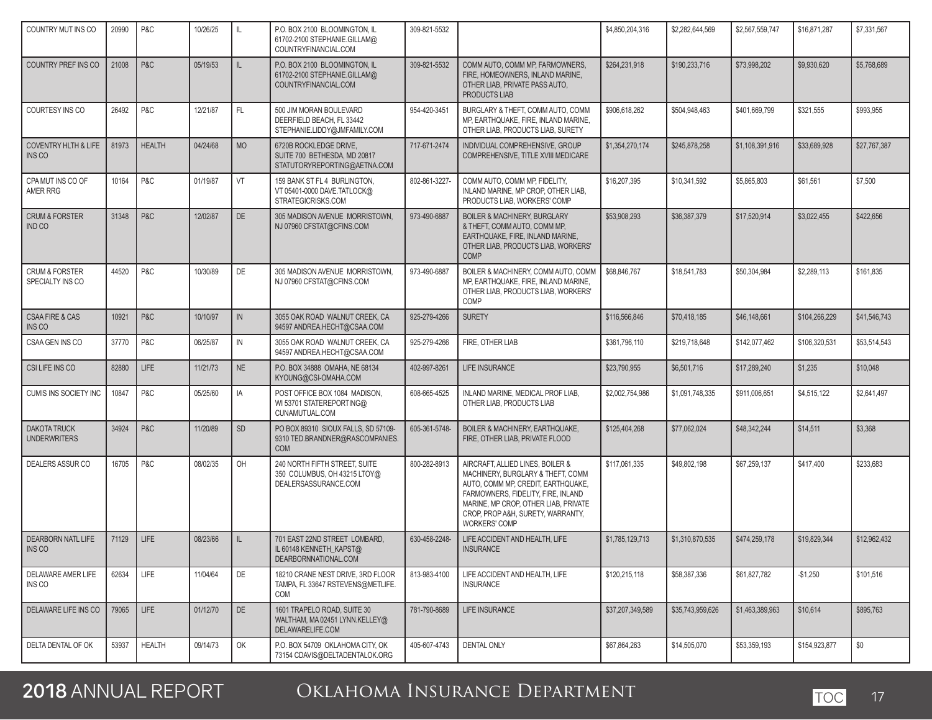| COUNTRY MUT INS CO                               | 20990 | P&C           | 10/26/25 | IL.          | P.O. BOX 2100 BLOOMINGTON, IL<br>61702-2100 STEPHANIE.GILLAM@<br>COUNTRYFINANCIAL.COM  | 309-821-5532  |                                                                                                                                                                                                                                                        | \$4,850,204,316  | \$2,282,644,569  | \$2,567,559,747 | \$16,871,287  | \$7,331,567  |
|--------------------------------------------------|-------|---------------|----------|--------------|----------------------------------------------------------------------------------------|---------------|--------------------------------------------------------------------------------------------------------------------------------------------------------------------------------------------------------------------------------------------------------|------------------|------------------|-----------------|---------------|--------------|
| COUNTRY PREF INS CO                              | 21008 | P&C           | 05/19/53 | IL.          | P.O. BOX 2100 BLOOMINGTON. IL<br>61702-2100 STEPHANIE.GILLAM@<br>COUNTRYFINANCIAL.COM  | 309-821-5532  | COMM AUTO, COMM MP, FARMOWNERS,<br>FIRE, HOMEOWNERS, INLAND MARINE,<br>OTHER LIAB. PRIVATE PASS AUTO.<br>PRODUCTS LIAB                                                                                                                                 | \$264,231,918    | \$190,233,716    | \$73,998,202    | \$9,930,620   | \$5,768,689  |
| COURTESY INS CO                                  | 26492 | P&C           | 12/21/87 | FL.          | 500 JIM MORAN BOULEVARD<br>DEERFIELD BEACH, FL 33442<br>STEPHANIE.LIDDY@JMFAMILY.COM   | 954-420-3451  | BURGLARY & THEFT, COMM AUTO, COMM<br>MP, EARTHQUAKE, FIRE, INLAND MARINE,<br>OTHER LIAB, PRODUCTS LIAB, SURETY                                                                                                                                         | \$906.618.262    | \$504.948.463    | \$401,669,799   | \$321,555     | \$993,955    |
| <b>COVENTRY HLTH &amp; LIFE</b><br><b>INS CO</b> | 81973 | <b>HEALTH</b> | 04/24/68 | <b>MO</b>    | 6720B ROCKLEDGE DRIVE.<br>SUITE 700 BETHESDA, MD 20817<br>STATUTORYREPORTING@AETNA.COM | 717-671-2474  | INDIVIDUAL COMPREHENSIVE, GROUP<br>COMPREHENSIVE, TITLE XVIII MEDICARE                                                                                                                                                                                 | \$1,354,270,174  | \$245,878,258    | \$1,108,391,916 | \$33,689,928  | \$27,767,387 |
| CPA MUT INS CO OF<br>AMER RRG                    | 10164 | P&C           | 01/19/87 | VT           | 159 BANK ST FL 4 BURLINGTON,<br>VT 05401-0000 DAVE.TATLOCK@<br>STRATEGICRISKS.COM      | 802-861-3227- | COMM AUTO, COMM MP, FIDELITY,<br>INLAND MARINE, MP CROP, OTHER LIAB,<br>PRODUCTS LIAB, WORKERS' COMP                                                                                                                                                   | \$16,207,395     | \$10,341,592     | \$5,865,803     | \$61,561      | \$7,500      |
| <b>CRUM &amp; FORSTER</b><br><b>IND CO</b>       | 31348 | P&C           | 12/02/87 | <b>DE</b>    | 305 MADISON AVENUE MORRISTOWN,<br>NJ 07960 CFSTAT@CFINS.COM                            | 973-490-6887  | <b>BOILER &amp; MACHINERY, BURGLARY</b><br>& THEFT, COMM AUTO, COMM MP,<br>EARTHQUAKE, FIRE, INLAND MARINE,<br>OTHER LIAB, PRODUCTS LIAB, WORKERS'<br><b>COMP</b>                                                                                      | \$53,908,293     | \$36,387,379     | \$17,520,914    | \$3,022,455   | \$422,656    |
| <b>CRUM &amp; FORSTER</b><br>SPECIALTY INS CO    | 44520 | P&C           | 10/30/89 | DE           | 305 MADISON AVENUE MORRISTOWN,<br>NJ 07960 CFSTAT@CFINS.COM                            | 973-490-6887  | BOILER & MACHINERY, COMM AUTO, COMM<br>MP, EARTHQUAKE, FIRE, INLAND MARINE,<br>OTHER LIAB. PRODUCTS LIAB. WORKERS'<br>COMP                                                                                                                             | \$68,846,767     | \$18,541,783     | \$50,304,984    | \$2,289,113   | \$161,835    |
| <b>CSAA FIRE &amp; CAS</b><br>INS <sub>CO</sub>  | 10921 | P&C           | 10/10/97 | $\mathbb{N}$ | 3055 OAK ROAD WALNUT CREEK, CA<br>94597 ANDREA.HECHT@CSAA.COM                          | 925-279-4266  | <b>SURETY</b>                                                                                                                                                                                                                                          | \$116,566,846    | \$70,418,185     | \$46,148,661    | \$104.266.229 | \$41,546,743 |
| CSAA GEN INS CO                                  | 37770 | P&C           | 06/25/87 | $\mathbb N$  | 3055 OAK ROAD WALNUT CREEK, CA<br>94597 ANDREA.HECHT@CSAA.COM                          | 925-279-4266  | FIRE, OTHER LIAB                                                                                                                                                                                                                                       | \$361,796,110    | \$219.718.648    | \$142,077,462   | \$106,320,531 | \$53,514,543 |
| CSI LIFE INS CO                                  | 82880 | <b>LIFE</b>   | 11/21/73 | <b>NE</b>    | P.O. BOX 34888 OMAHA, NE 68134<br>KYOUNG@CSI-OMAHA.COM                                 | 402-997-8261  | <b>LIFE INSURANCE</b>                                                                                                                                                                                                                                  | \$23,790,955     | \$6,501,716      | \$17,289,240    | \$1,235       | \$10,048     |
| CUMIS INS SOCIETY INC                            | 10847 | P&C           | 05/25/60 | IA           | POST OFFICE BOX 1084 MADISON,<br>WI 53701 STATEREPORTING@<br>CUNAMUTUAL.COM            | 608-665-4525  | INLAND MARINE, MEDICAL PROF LIAB,<br>OTHER LIAB. PRODUCTS LIAB                                                                                                                                                                                         | \$2,002,754,986  | \$1,091,748,335  | \$911,006,651   | \$4,515,122   | \$2,641,497  |
| <b>DAKOTA TRUCK</b><br><b>UNDERWRITERS</b>       | 34924 | P&C           | 11/20/89 | <b>SD</b>    | PO BOX 89310 SIOUX FALLS, SD 57109-<br>9310 TED.BRANDNER@RASCOMPANIES.<br><b>COM</b>   | 605-361-5748- | BOILER & MACHINERY, EARTHQUAKE,<br>FIRE, OTHER LIAB, PRIVATE FLOOD                                                                                                                                                                                     | \$125,404,268    | \$77,062,024     | \$48,342,244    | \$14,511      | \$3,368      |
| DEALERS ASSUR CO                                 | 16705 | P&C           | 08/02/35 | OH           | 240 NORTH FIFTH STREET, SUITE<br>350 COLUMBUS, OH 43215 LTOY@<br>DEALERSASSURANCE.COM  | 800-282-8913  | AIRCRAFT, ALLIED LINES, BOILER &<br>MACHINERY, BURGLARY & THEFT, COMM<br>AUTO, COMM MP, CREDIT, EARTHQUAKE,<br>FARMOWNERS, FIDELITY, FIRE, INLAND<br>MARINE, MP CROP, OTHER LIAB, PRIVATE<br>CROP, PROP A&H, SURETY, WARRANTY,<br><b>WORKERS' COMP</b> | \$117,061,335    | \$49,802,198     | \$67,259,137    | \$417,400     | \$233,683    |
| <b>DEARBORN NATL LIFE</b><br>INS CO              | 71129 | LIFE          | 08/23/66 | $\mathbb{L}$ | 701 EAST 22ND STREET LOMBARD,<br>IL 60148 KENNETH_KAPST@<br>DEARBORNNATIONAL.COM       | 630-458-2248- | LIFE ACCIDENT AND HEALTH, LIFE<br><b>INSURANCE</b>                                                                                                                                                                                                     | \$1,785,129,713  | \$1.310.870.535  | \$474,259,178   | \$19,829,344  | \$12,962,432 |
| DELAWARE AMER LIFE<br>INS CO                     | 62634 | LIFE          | 11/04/64 | DE           | 18210 CRANE NEST DRIVE, 3RD FLOOR<br>TAMPA, FL 33647 RSTEVENS@METLIFE.<br>COM          | 813-983-4100  | LIFE ACCIDENT AND HEALTH. LIFE<br><b>INSURANCE</b>                                                                                                                                                                                                     | \$120,215,118    | \$58,387,336     | \$61,827,782    | $-$1,250$     | \$101,516    |
| DELAWARE LIFE INS CO                             | 79065 | LIFE          | 01/12/70 | DE           | 1601 TRAPELO ROAD, SUITE 30<br>WALTHAM, MA 02451 LYNN.KELLEY@<br>DELAWARELIFE.COM      | 781-790-8689  | LIFE INSURANCE                                                                                                                                                                                                                                         | \$37,207,349,589 | \$35.743.959.626 | \$1,463,389,963 | \$10,614      | \$895,763    |
| DELTA DENTAL OF OK                               | 53937 | <b>HEALTH</b> | 09/14/73 | OK           | P.O. BOX 54709 OKLAHOMA CITY, OK<br>73154 CDAVIS@DELTADENTALOK.ORG                     | 405-607-4743  | <b>DENTAL ONLY</b>                                                                                                                                                                                                                                     | \$67,864,263     | \$14,505,070     | \$53,359,193    | \$154,923,877 | \$0          |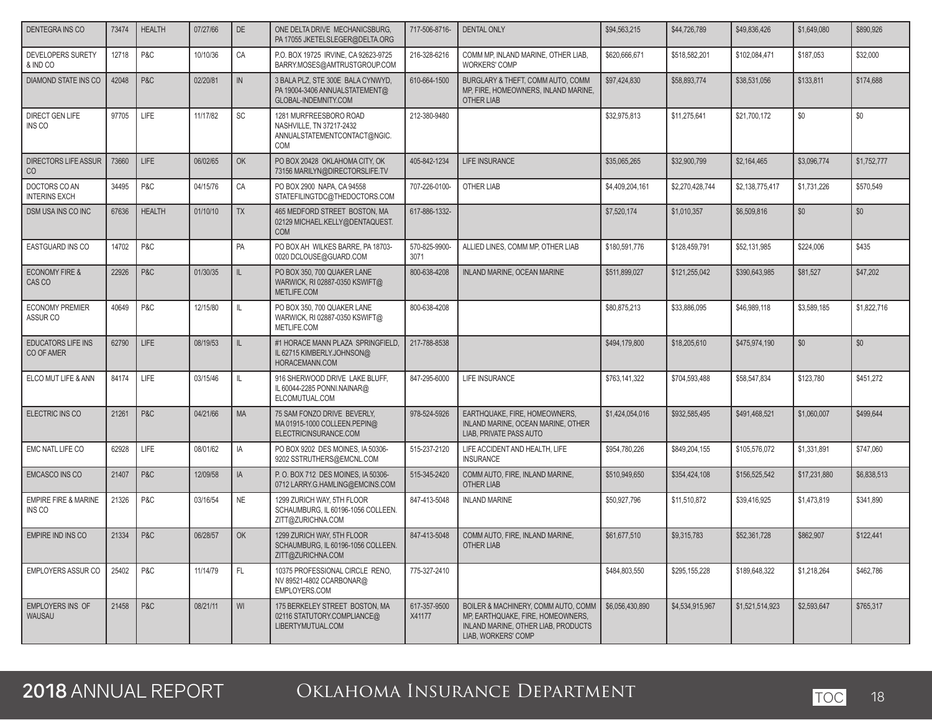| DENTEGRA INS CO                           | 73474 | <b>HEALTH</b> | 07/27/66 | DE        | ONE DELTA DRIVE MECHANICSBURG,<br>PA 17055 JKETELSLEGER@DELTA.ORG                                | 717-506-8716-          | <b>DENTAL ONLY</b>                                                                                                                     | \$94,563,215    | \$44,726,789    | \$49,836,426    | \$1,649,080  | \$890.926   |
|-------------------------------------------|-------|---------------|----------|-----------|--------------------------------------------------------------------------------------------------|------------------------|----------------------------------------------------------------------------------------------------------------------------------------|-----------------|-----------------|-----------------|--------------|-------------|
| DEVELOPERS SURETY<br>& IND CO             | 12718 | P&C           | 10/10/36 | CA        | P.O. BOX 19725 IRVINE, CA 92623-9725<br>BARRY.MOSES@AMTRUSTGROUP.COM                             | 216-328-6216           | COMM MP, INLAND MARINE, OTHER LIAB,<br><b>WORKERS' COMP</b>                                                                            | \$620.666.671   | \$518,582,201   | \$102,084,471   | \$187,053    | \$32,000    |
| <b>DIAMOND STATE INS CO</b>               | 42048 | P&C           | 02/20/81 | IN        | 3 BALA PLZ, STE 300E BALA CYNWYD,<br>PA 19004-3406 ANNUALSTATEMENT@<br>GLOBAL-INDEMNITY.COM      | 610-664-1500           | BURGLARY & THEFT, COMM AUTO, COMM<br>MP, FIRE, HOMEOWNERS, INLAND MARINE,<br><b>OTHER LIAB</b>                                         | \$97,424,830    | \$58,893,774    | \$38,531,056    | \$133,811    | \$174,688   |
| DIRECT GEN LIFE<br>INS CO                 | 97705 | LIFE          | 11/17/82 | SC        | 1281 MURFREESBORO ROAD<br>NASHVILLE, TN 37217-2432<br>ANNUALSTATEMENTCONTACT@NGIC.<br><b>COM</b> | 212-380-9480           |                                                                                                                                        | \$32,975,813    | \$11,275,641    | \$21,700,172    | \$0          | \$0         |
| <b>DIRECTORS LIFE ASSUR</b><br>CO         | 73660 | <b>LIFE</b>   | 06/02/65 | OK        | PO BOX 20428 OKLAHOMA CITY, OK<br>73156 MARILYN@DIRECTORSLIFE.TV                                 | 405-842-1234           | LIFE INSURANCE                                                                                                                         | \$35,065,265    | \$32,900,799    | \$2,164,465     | \$3,096,774  | \$1,752,777 |
| DOCTORS CO AN<br><b>INTERINS EXCH</b>     | 34495 | P&C           | 04/15/76 | CA        | PO BOX 2900 NAPA, CA 94558<br>STATEFILINGTDC@THEDOCTORS.COM                                      | 707-226-0100-          | OTHER LIAB                                                                                                                             | \$4,409,204,161 | \$2,270,428,744 | \$2,138,775,417 | \$1,731,226  | \$570,549   |
| DSM USA INS CO INC                        | 67636 | <b>HEALTH</b> | 01/10/10 | <b>TX</b> | 465 MEDFORD STREET BOSTON, MA<br>02129 MICHAEL.KELLY@DENTAQUEST.<br><b>COM</b>                   | 617-886-1332-          |                                                                                                                                        | \$7,520,174     | \$1,010,357     | \$6,509,816     | \$0          | \$0         |
| <b>EASTGUARD INS CO</b>                   | 14702 | P&C           |          | PA        | PO BOX AH WILKES BARRE, PA 18703-<br>0020 DCLOUSE@GUARD.COM                                      | 570-825-9900-<br>3071  | ALLIED LINES, COMM MP, OTHER LIAB                                                                                                      | \$180,591,776   | \$128,459,791   | \$52,131,985    | \$224,006    | \$435       |
| <b>ECONOMY FIRE &amp;</b><br>CAS CO       | 22926 | P&C           | 01/30/35 | IL.       | PO BOX 350, 700 QUAKER LANE<br>WARWICK, RI 02887-0350 KSWIFT@<br>METLIFE.COM                     | 800-638-4208           | INLAND MARINE, OCEAN MARINE                                                                                                            | \$511,899,027   | \$121,255,042   | \$390,643,985   | \$81,527     | \$47,202    |
| <b>ECONOMY PREMIER</b><br>ASSUR CO        | 40649 | P&C           | 12/15/80 | IL        | PO BOX 350, 700 QUAKER LANE<br>WARWICK, RI 02887-0350 KSWIFT@<br>METLIFE.COM                     | 800-638-4208           |                                                                                                                                        | \$80,875,213    | \$33,886,095    | \$46,989,118    | \$3,589,185  | \$1,822,716 |
| <b>EDUCATORS LIFE INS</b><br>CO OF AMER   | 62790 | <b>LIFE</b>   | 08/19/53 | IL.       | #1 HORACE MANN PLAZA SPRINGFIELD.<br>IL 62715 KIMBERLY.JOHNSON@<br>HORACEMANN.COM                | 217-788-8538           |                                                                                                                                        | \$494,179,800   | \$18,205,610    | \$475,974,190   | \$0          | \$0         |
| ELCO MUT LIFE & ANN                       | 84174 | LIFE          | 03/15/46 | IL.       | 916 SHERWOOD DRIVE LAKE BLUFF,<br>IL 60044-2285 PONNI.NAINAR@<br>ELCOMUTUAL.COM                  | 847-295-6000           | <b>LIFE INSURANCE</b>                                                                                                                  | \$763,141,322   | \$704,593,488   | \$58,547,834    | \$123,780    | \$451,272   |
| ELECTRIC INS CO                           | 21261 | P&C           | 04/21/66 | <b>MA</b> | 75 SAM FONZO DRIVE BEVERLY,<br>MA 01915-1000 COLLEEN.PEPIN@<br>ELECTRICINSURANCE.COM             | 978-524-5926           | EARTHQUAKE, FIRE, HOMEOWNERS,<br>INLAND MARINE, OCEAN MARINE, OTHER<br>LIAB, PRIVATE PASS AUTO                                         | \$1,424,054,016 | \$932.585.495   | \$491,468,521   | \$1,060,007  | \$499.644   |
| EMC NATL LIFE CO                          | 62928 | <b>LIFE</b>   | 08/01/62 | IA        | PO BOX 9202 DES MOINES, IA 50306-<br>9202 SSTRUTHERS@EMCNL.COM                                   | 515-237-2120           | LIFE ACCIDENT AND HEALTH, LIFE<br><b>INSURANCE</b>                                                                                     | \$954,780,226   | \$849,204,155   | \$105,576,072   | \$1,331,891  | \$747,060   |
| <b>EMCASCO INS CO</b>                     | 21407 | P&C           | 12/09/58 | <b>IA</b> | P.O. BOX 712 DES MOINES, IA 50306-<br>0712 LARRY.G.HAMLING@EMCINS.COM                            | 515-345-2420           | COMM AUTO, FIRE, INLAND MARINE,<br>OTHER LIAB                                                                                          | \$510,949,650   | \$354,424,108   | \$156,525,542   | \$17,231,880 | \$6,838,513 |
| <b>EMPIRE FIRE &amp; MARINE</b><br>INS CO | 21326 | P&C           | 03/16/54 | <b>NE</b> | 1299 ZURICH WAY, 5TH FLOOR<br>SCHAUMBURG, IL 60196-1056 COLLEEN.<br>ZITT@ZURICHNA.COM            | 847-413-5048           | <b>INLAND MARINE</b>                                                                                                                   | \$50,927,796    | \$11,510,872    | \$39,416,925    | \$1,473,819  | \$341,890   |
| <b>EMPIRE IND INS CO</b>                  | 21334 | P&C           | 06/28/57 | OK        | 1299 ZURICH WAY, 5TH FLOOR<br>SCHAUMBURG, IL 60196-1056 COLLEEN.<br>ZITT@ZURICHNA.COM            | 847-413-5048           | COMM AUTO, FIRE, INLAND MARINE,<br>OTHER LIAB                                                                                          | \$61,677,510    | \$9,315,783     | \$52,361,728    | \$862,907    | \$122,441   |
| EMPLOYERS ASSUR CO                        | 25402 | P&C           | 11/14/79 | FL.       | 10375 PROFESSIONAL CIRCLE RENO.<br>NV 89521-4802 CCARBONAR@<br>EMPLOYERS.COM                     | 775-327-2410           |                                                                                                                                        | \$484.803.550   | \$295,155,228   | \$189,648,322   | \$1,218,264  | \$462,786   |
| <b>EMPLOYERS INS OF</b><br>WAUSAU         | 21458 | P&C           | 08/21/11 | WI        | 175 BERKELEY STREET BOSTON, MA<br>02116 STATUTORY.COMPLIANCE@<br>LIBERTYMUTUAL.COM               | 617-357-9500<br>X41177 | BOILER & MACHINERY, COMM AUTO, COMM<br>MP, EARTHQUAKE, FIRE, HOMEOWNERS,<br>INLAND MARINE, OTHER LIAB, PRODUCTS<br>LIAB, WORKERS' COMP | \$6,056,430,890 | \$4,534,915,967 | \$1,521,514,923 | \$2,593,647  | \$765,317   |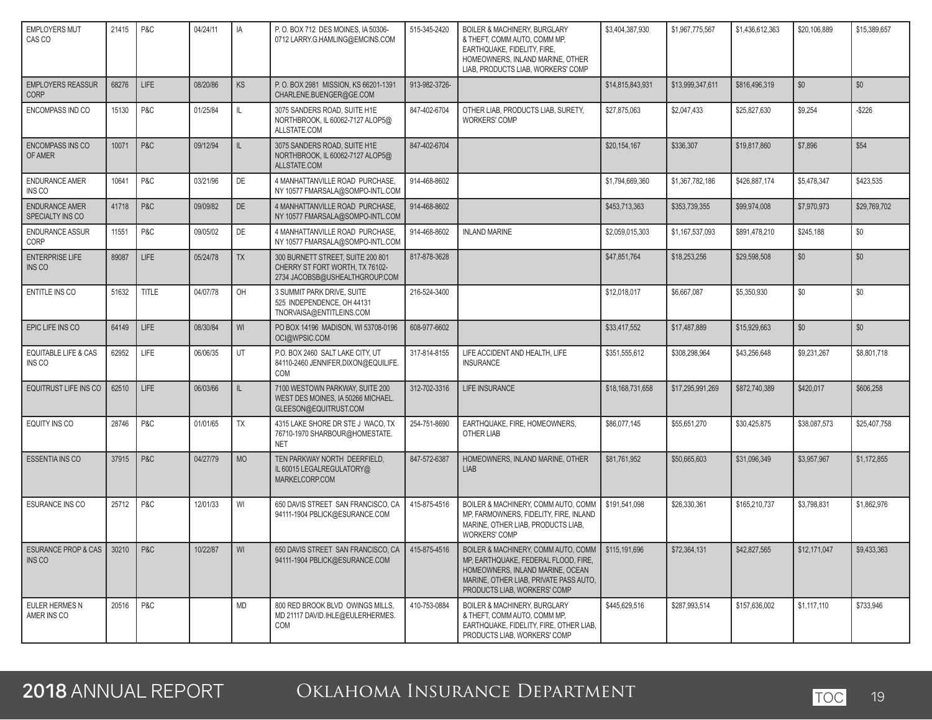| <b>EMPLOYERS MUT</b><br>CAS CO            | 21415 | P&C          | 04/24/11 | IA         | P. O. BOX 712 DES MOINES, IA 50306-<br>0712 LARRY.G.HAMLING@EMCINS.COM                                 | 515-345-2420  | BOILER & MACHINERY, BURGLARY<br>& THEFT, COMM AUTO, COMM MP,<br>EARTHQUAKE, FIDELITY, FIRE,<br>HOMEOWNERS, INLAND MARINE, OTHER<br>LIAB, PRODUCTS LIAB, WORKERS' COMP                                     | \$3,404,387,930  | \$1,967,775,567  | \$1.436.612.363 | \$20,106,889 | \$15,389,657 |
|-------------------------------------------|-------|--------------|----------|------------|--------------------------------------------------------------------------------------------------------|---------------|-----------------------------------------------------------------------------------------------------------------------------------------------------------------------------------------------------------|------------------|------------------|-----------------|--------------|--------------|
| <b>EMPLOYERS REASSUR</b><br><b>CORP</b>   | 68276 | <b>LIFE</b>  | 08/20/86 | KS         | P.O. BOX 2981 MISSION, KS 66201-1391<br>CHARLENE.BUENGER@GE.COM                                        | 913-982-3726- |                                                                                                                                                                                                           | \$14,815,843,931 | \$13,999,347,611 | \$816,496,319   | \$0          | \$0          |
| ENCOMPASS IND CO                          | 15130 | P&C          | 01/25/84 | IL         | 3075 SANDERS ROAD, SUITE H1E<br>NORTHBROOK, IL 60062-7127 ALOP5@<br>ALLSTATE.COM                       | 847-402-6704  | OTHER LIAB, PRODUCTS LIAB, SURETY,<br><b>WORKERS' COMP</b>                                                                                                                                                | \$27,875,063     | \$2,047,433      | \$25,827,630    | \$9,254      | $-$226$      |
| <b>ENCOMPASS INS CO</b><br>OF AMER        | 10071 | P&C          | 09/12/94 | L          | 3075 SANDERS ROAD, SUITE H1E<br>NORTHBROOK, IL 60062-7127 ALOP5@<br>ALLSTATE.COM                       | 847-402-6704  |                                                                                                                                                                                                           | \$20,154,167     | \$336,307        | \$19,817,860    | \$7,896      | \$54         |
| <b>ENDURANCE AMER</b><br>INS CO           | 10641 | P&C          | 03/21/96 | DE         | 4 MANHATTANVILLE ROAD PURCHASE.<br>NY 10577 FMARSALA@SOMPO-INTL.COM                                    | 914-468-8602  |                                                                                                                                                                                                           | \$1,794,669,360  | \$1,367,782,186  | \$426,887,174   | \$5,478,347  | \$423,535    |
| <b>ENDURANCE AMER</b><br>SPECIALTY INS CO | 41718 | P&C          | 09/09/82 | DE         | 4 MANHATTANVILLE ROAD PURCHASE,<br>NY 10577 FMARSALA@SOMPO-INTL.COM                                    | 914-468-8602  |                                                                                                                                                                                                           | \$453,713,363    | \$353,739,355    | \$99,974,008    | \$7,970,973  | \$29,769,702 |
| <b>ENDURANCE ASSUR</b><br>CORP            | 11551 | P&C          | 09/05/02 | DE         | 4 MANHATTANVILLE ROAD PURCHASE,<br>NY 10577 FMARSALA@SOMPO-INTL.COM                                    | 914-468-8602  | <b>INLAND MARINE</b>                                                                                                                                                                                      | \$2,059,015,303  | \$1,167,537,093  | \$891,478,210   | \$245,188    | \$0          |
| <b>ENTERPRISE LIFE</b><br>INS CO          | 89087 | LIFE         | 05/24/78 | <b>TX</b>  | 300 BURNETT STREET, SUITE 200 801<br>CHERRY ST FORT WORTH. TX 76102-<br>2734 JACOBSB@USHEALTHGROUP.COM | 817-878-3628  |                                                                                                                                                                                                           | \$47,851,764     | \$18,253,256     | \$29,598,508    | \$0          | \$0          |
| ENTITLE INS CO                            | 51632 | <b>TITLE</b> | 04/07/78 | OH         | 3 SUMMIT PARK DRIVE, SUITE<br>525 INDEPENDENCE, OH 44131<br>TNORVAISA@ENTITLEINS.COM                   | 216-524-3400  |                                                                                                                                                                                                           | \$12,018,017     | \$6,667,087      | \$5,350,930     | \$0          | \$0          |
| EPIC LIFE INS CO                          | 64149 | LIFE         | 08/30/84 | WI         | PO BOX 14196 MADISON, WI 53708-0196<br>OCI@WPSIC.COM                                                   | 608-977-6602  |                                                                                                                                                                                                           | \$33,417,552     | \$17,487,889     | \$15,929,663    | \$0          | \$0          |
| <b>EQUITABLE LIFE &amp; CAS</b><br>INS CO | 62952 | LIFE         | 06/06/35 | UT         | P.O. BOX 2460 SALT LAKE CITY, UT<br>84110-2460 JENNIFER.DIXON@EQUILIFE.<br>COM                         | 317-814-8155  | LIFE ACCIDENT AND HEALTH, LIFE<br><b>INSURANCE</b>                                                                                                                                                        | \$351.555.612    | \$308,298,964    | \$43,256,648    | \$9,231,267  | \$8,801,718  |
| <b>EQUITRUST LIFE INS CO</b>              | 62510 | <b>LIFE</b>  | 06/03/66 | IL         | 7100 WESTOWN PARKWAY, SUITE 200<br>WEST DES MOINES, IA 50266 MICHAEL<br>GLEESON@EQUITRUST.COM          | 312-702-3316  | LIFE INSURANCE                                                                                                                                                                                            | \$18,168,731,658 | \$17,295,991,269 | \$872,740,389   | \$420,017    | \$606,258    |
| EQUITY INS CO                             | 28746 | P&C          | 01/01/65 | <b>TX</b>  | 4315 LAKE SHORE DR STE J WACO, TX<br>76710-1970 SHARBOUR@HOMESTATE.<br><b>NET</b>                      | 254-751-8690  | EARTHQUAKE, FIRE, HOMEOWNERS,<br><b>OTHER LIAB</b>                                                                                                                                                        | \$86,077,145     | \$55,651,270     | \$30,425,875    | \$38,087,573 | \$25,407,758 |
| <b>ESSENTIA INS CO</b>                    | 37915 | P&C          | 04/27/79 | <b>MO</b>  | TEN PARKWAY NORTH DEERFIELD,<br>IL 60015 LEGALREGULATORY@<br>MARKELCORP.COM                            | 847-572-6387  | HOMEOWNERS, INLAND MARINE, OTHER<br><b>LIAB</b>                                                                                                                                                           | \$81,761,952     | \$50,665,603     | \$31,096,349    | \$3,957,967  | \$1,172,855  |
| <b>ESURANCE INS CO</b>                    | 25712 | P&C          | 12/01/33 | WI         | 650 DAVIS STREET SAN FRANCISCO, CA<br>94111-1904 PBLICK@ESURANCE.COM                                   | 415-875-4516  | BOILER & MACHINERY, COMM AUTO, COMM<br>MP, FARMOWNERS, FIDELITY, FIRE, INLAND<br>MARINE, OTHER LIAB, PRODUCTS LIAB,<br><b>WORKERS' COMP</b>                                                               | \$191.541.098    | \$26,330,361     | \$165,210,737   | \$3,798,831  | \$1,862,976  |
| ESURANCE PROP & CAS 30210 P&C<br>INS CO   |       |              | 10/22/87 | $\vert$ WI | 650 DAVIS STREET SAN FRANCISCO, CA   415-875-4516<br>94111-1904 PBLICK@ESURANCE.COM                    |               | BOILER & MACHINERY, COMM AUTO, COMM   \$115,191,696<br>MP, EARTHQUAKE, FEDERAL FLOOD, FIRE,<br>HOMEOWNERS, INLAND MARINE, OCEAN<br>MARINE, OTHER LIAB, PRIVATE PASS AUTO,<br>PRODUCTS LIAB. WORKERS' COMP |                  | \$72,364,131     | \$42,827,565    | \$12,171,047 | \$9,433,363  |
| <b>EULER HERMES N</b><br>AMER INS CO      | 20516 | P&C          |          | <b>MD</b>  | 800 RED BROOK BLVD OWINGS MILLS.<br>MD 21117 DAVID.IHLE@EULERHERMES.<br>COM                            | 410-753-0884  | <b>BOILER &amp; MACHINERY, BURGLARY</b><br>& THEFT, COMM AUTO, COMM MP,<br>EARTHQUAKE, FIDELITY, FIRE, OTHER LIAB.<br>PRODUCTS LIAB. WORKERS' COMP                                                        | \$445,629,516    | \$287,993,514    | \$157,636,002   | \$1,117,110  | \$733,946    |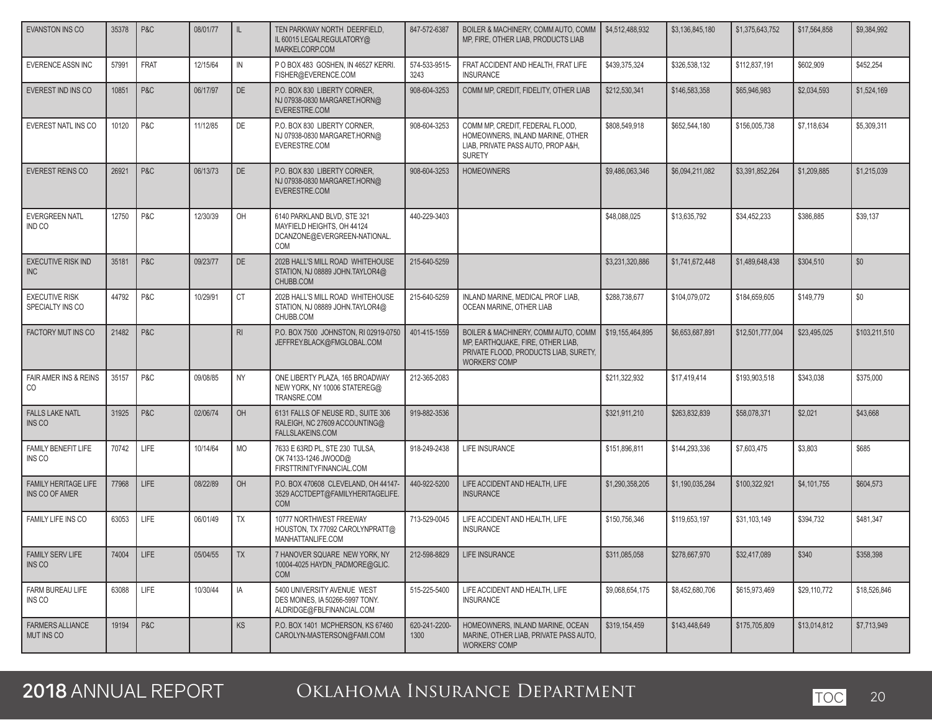| <b>EVANSTON INS CO</b>                               | 35378 | P&C         | 08/01/77 | IL             | TEN PARKWAY NORTH DEERFIELD,<br>IL 60015 LEGALREGULATORY@<br>MARKELCORP.COM                      | 847-572-6387          | BOILER & MACHINERY, COMM AUTO, COMM<br>MP. FIRE. OTHER LIAB. PRODUCTS LIAB                                                                | \$4,512,488,932  | \$3,136,845,180 | \$1,375,643,752  | \$17,564,858 | \$9,384,992   |
|------------------------------------------------------|-------|-------------|----------|----------------|--------------------------------------------------------------------------------------------------|-----------------------|-------------------------------------------------------------------------------------------------------------------------------------------|------------------|-----------------|------------------|--------------|---------------|
| EVERENCE ASSN INC                                    | 57991 | <b>FRAT</b> | 12/15/64 | IN             | P O BOX 483 GOSHEN, IN 46527 KERRI.<br>FISHER@EVERENCE.COM                                       | 574-533-9515-<br>3243 | FRAT ACCIDENT AND HEALTH, FRAT LIFE<br><b>INSURANCE</b>                                                                                   | \$439,375,324    | \$326,538,132   | \$112,837,191    | \$602,909    | \$452,254     |
| EVEREST IND INS CO                                   | 10851 | P&C         | 06/17/97 | <b>DE</b>      | P.O. BOX 830 LIBERTY CORNER,<br>NJ 07938-0830 MARGARET.HORN@<br>EVERESTRE.COM                    | 908-604-3253          | COMM MP, CREDIT, FIDELITY, OTHER LIAB                                                                                                     | \$212,530,341    | \$146,583,358   | \$65,946,983     | \$2,034,593  | \$1,524,169   |
| EVEREST NATL INS CO                                  | 10120 | P&C         | 11/12/85 | <b>DE</b>      | P.O. BOX 830 LIBERTY CORNER,<br>NJ 07938-0830 MARGARET.HORN@<br>EVERESTRE.COM                    | 908-604-3253          | COMM MP, CREDIT, FEDERAL FLOOD,<br>HOMEOWNERS, INLAND MARINE, OTHER<br>LIAB, PRIVATE PASS AUTO, PROP A&H,<br><b>SURETY</b>                | \$808,549,918    | \$652,544,180   | \$156,005,738    | \$7,118,634  | \$5,309,311   |
| <b>EVEREST REINS CO</b>                              | 26921 | P&C         | 06/13/73 | <b>DE</b>      | P.O. BOX 830 LIBERTY CORNER.<br>NJ 07938-0830 MARGARET.HORN@<br>EVERESTRE.COM                    | 908-604-3253          | <b>HOMEOWNERS</b>                                                                                                                         | \$9,486,063,346  | \$6.094.211.082 | \$3.391.852.264  | \$1,209,885  | \$1,215,039   |
| <b>EVERGREEN NATL</b><br>IND CO                      | 12750 | P&C         | 12/30/39 | OH             | 6140 PARKLAND BLVD, STE 321<br>MAYFIELD HEIGHTS, OH 44124<br>DCANZONE@EVERGREEN-NATIONAL.<br>COM | 440-229-3403          |                                                                                                                                           | \$48,088,025     | \$13,635,792    | \$34,452,233     | \$386,885    | \$39,137      |
| <b>EXECUTIVE RISK IND</b><br><b>INC</b>              | 35181 | P&C         | 09/23/77 | <b>DE</b>      | 202B HALL'S MILL ROAD WHITEHOUSE<br>STATION, NJ 08889 JOHN.TAYLOR4@<br>CHUBB.COM                 | 215-640-5259          |                                                                                                                                           | \$3.231.320.886  | \$1,741,672,448 | \$1,489,648,438  | \$304,510    | \$0           |
| <b>EXECUTIVE RISK</b><br>SPECIALTY INS CO            | 44792 | P&C         | 10/29/91 | <b>CT</b>      | 202B HALL'S MILL ROAD WHITEHOUSE<br>STATION, NJ 08889 JOHN.TAYLOR4@<br>CHUBB.COM                 | 215-640-5259          | INLAND MARINE, MEDICAL PROF LIAB,<br>OCEAN MARINE, OTHER LIAB                                                                             | \$288,738,677    | \$104,079,072   | \$184,659,605    | \$149,779    | \$0           |
| <b>FACTORY MUT INS CO</b>                            | 21482 | P&C         |          | R <sub>l</sub> | P.O. BOX 7500 JOHNSTON, RI 02919-0750<br>JEFFREY.BLACK@FMGLOBAL.COM                              | 401-415-1559          | BOILER & MACHINERY, COMM AUTO, COMM<br>MP, EARTHQUAKE, FIRE, OTHER LIAB,<br>PRIVATE FLOOD, PRODUCTS LIAB, SURETY,<br><b>WORKERS' COMP</b> | \$19,155,464,895 | \$6,653,687,891 | \$12,501,777,004 | \$23,495,025 | \$103,211,510 |
| <b>FAIR AMER INS &amp; REINS</b><br>CO               | 35157 | P&C         | 09/08/85 | <b>NY</b>      | ONE LIBERTY PLAZA, 165 BROADWAY<br>NEW YORK, NY 10006 STATEREG@<br>TRANSRE.COM                   | 212-365-2083          |                                                                                                                                           | \$211,322,932    | \$17,419,414    | \$193,903,518    | \$343,038    | \$375,000     |
| <b>FALLS LAKE NATL</b><br><b>INS CO</b>              | 31925 | P&C         | 02/06/74 | OH             | 6131 FALLS OF NEUSE RD., SUITE 306<br>RALEIGH, NC 27609 ACCOUNTING@<br><b>FALLSLAKEINS.COM</b>   | 919-882-3536          |                                                                                                                                           | \$321,911,210    | \$263,832,839   | \$58,078,371     | \$2,021      | \$43,668      |
| <b>FAMILY BENEFIT LIFE</b><br>INS CO                 | 70742 | LIFE        | 10/14/64 | MO             | 7633 E 63RD PL, STE 230 TULSA,<br>OK 74133-1246 JWOOD@<br>FIRSTTRINITYFINANCIAL.COM              | 918-249-2438          | <b>LIFE INSURANCE</b>                                                                                                                     | \$151,896,811    | \$144,293,336   | \$7,603,475      | \$3,803      | \$685         |
| <b>FAMILY HERITAGE LIFE</b><br><b>INS CO OF AMER</b> | 77968 | LIFE        | 08/22/89 | OH             | P.O. BOX 470608 CLEVELAND, OH 44147-<br>3529 ACCTDEPT@FAMILYHERITAGELIFE.<br><b>COM</b>          | 440-922-5200          | LIFE ACCIDENT AND HEALTH, LIFE<br><b>INSURANCE</b>                                                                                        | \$1,290,358,205  | \$1,190,035.284 | \$100.322.921    | \$4,101,755  | \$604,573     |
| FAMILY LIFE INS CO                                   | 63053 | <b>LIFE</b> | 06/01/49 | <b>TX</b>      | 10777 NORTHWEST FREEWAY<br>HOUSTON, TX 77092 CAROLYNPRATT@<br>MANHATTANLIFE.COM                  | 713-529-0045          | LIFE ACCIDENT AND HEALTH, LIFE<br><b>INSURANCE</b>                                                                                        | \$150,756,346    | \$119,653,197   | \$31,103,149     | \$394,732    | \$481,347     |
| <b>FAMILY SERV LIFE</b><br>INS CO                    | 74004 | LIFE        | 05/04/55 | TX             | 7 HANOVER SQUARE NEW YORK, NY<br>10004-4025 HAYDN_PADMORE@GLIC.<br><b>COM</b>                    | 212-598-8829          | LIFE INSURANCE                                                                                                                            | \$311,085,058    | \$278,667,970   | \$32,417,089     | \$340        | \$358,398     |
| FARM BUREAU LIFE<br>INS CO                           | 63088 | LIFE        | 10/30/44 | IA             | 5400 UNIVERSITY AVENUE WEST<br>DES MOINES, IA 50266-5997 TONY.<br>ALDRIDGE@FBLFINANCIAL.COM      | 515-225-5400          | LIFE ACCIDENT AND HEALTH. LIFE<br><b>INSURANCE</b>                                                                                        | \$9,068,654,175  | \$8,452,680,706 | \$615,973,469    | \$29,110,772 | \$18,526,846  |
| <b>FARMERS ALLIANCE</b><br>MUT INS CO                | 19194 | P&C         |          | <b>KS</b>      | P.O. BOX 1401 MCPHERSON, KS 67460<br>CAROLYN-MASTERSON@FAMI.COM                                  | 620-241-2200-<br>1300 | HOMEOWNERS, INLAND MARINE, OCEAN<br>MARINE, OTHER LIAB, PRIVATE PASS AUTO,<br><b>WORKERS' COMP</b>                                        | \$319,154,459    | \$143,448,649   | \$175,705,809    | \$13,014,812 | \$7,713,949   |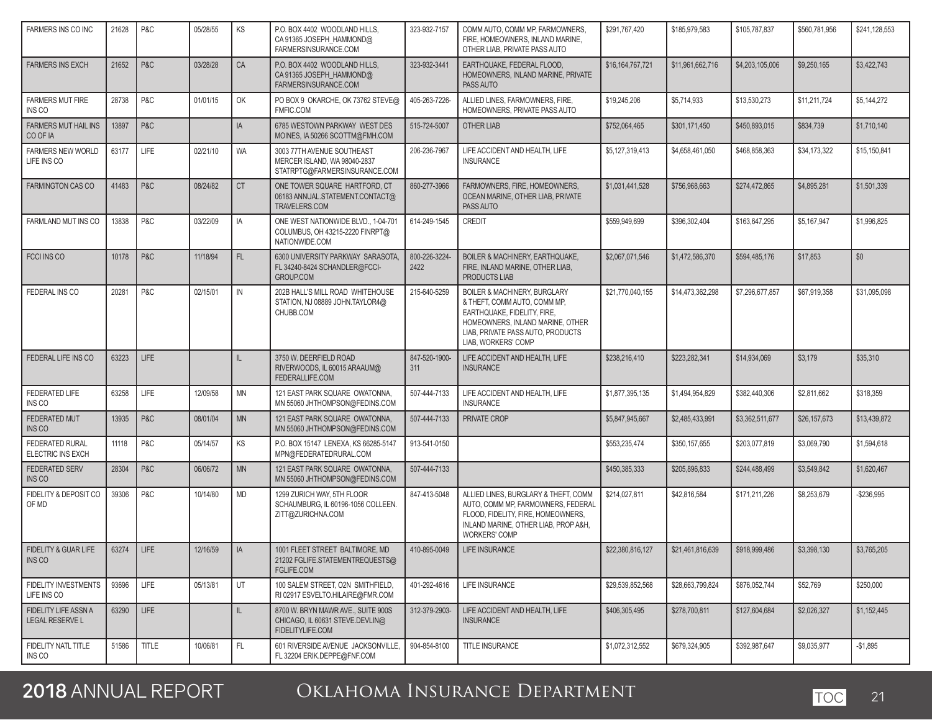| FARMERS INS CO INC                                 | 21628        | P&C          | 05/28/55 | KS           | P.O. BOX 4402 WOODLAND HILLS,<br>CA 91365 JOSEPH HAMMOND@<br>FARMERSINSURANCE.COM           | 323-932-7157          | COMM AUTO, COMM MP, FARMOWNERS,<br>FIRE, HOMEOWNERS, INLAND MARINE,<br>OTHER LIAB, PRIVATE PASS AUTO                                                                                                   | \$291,767,420    | \$185,979,583    | \$105,787,837   | \$560,781,956 | \$241,128,553 |
|----------------------------------------------------|--------------|--------------|----------|--------------|---------------------------------------------------------------------------------------------|-----------------------|--------------------------------------------------------------------------------------------------------------------------------------------------------------------------------------------------------|------------------|------------------|-----------------|---------------|---------------|
| <b>FARMERS INS EXCH</b>                            | 21652        | P&C          | 03/28/28 | CA           | P.O. BOX 4402 WOODLAND HILLS,<br>CA 91365 JOSEPH HAMMOND@<br>FARMERSINSURANCE.COM           | 323-932-3441          | EARTHQUAKE, FEDERAL FLOOD.<br>HOMEOWNERS, INLAND MARINE, PRIVATE<br>PASS AUTO                                                                                                                          | \$16,164,767,721 | \$11,961,662,716 | \$4,203,105,006 | \$9,250,165   | \$3,422,743   |
| <b>FARMERS MUT FIRE</b><br>INS CO                  | 28738        | P&C          | 01/01/15 | OK           | PO BOX 9 OKARCHE, OK 73762 STEVE@<br>FMFIC.COM                                              | 405-263-7226-         | ALLIED LINES, FARMOWNERS, FIRE,<br>HOMEOWNERS. PRIVATE PASS AUTO                                                                                                                                       | \$19,245,206     | \$5,714,933      | \$13,530,273    | \$11,211,724  | \$5,144,272   |
| <b>FARMERS MUT HAIL INS</b><br>CO OF IA            | 13897        | P&C          |          | IA           | 6785 WESTOWN PARKWAY WEST DES<br>MOINES, IA 50266 SCOTTM@FMH.COM                            | 515-724-5007          | OTHER LIAB                                                                                                                                                                                             | \$752,064,465    | \$301,171,450    | \$450,893,015   | \$834,739     | \$1,710,140   |
| <b>FARMERS NEW WORLD</b><br>LIFE INS CO            | 63177        | LIFE         | 02/21/10 | <b>WA</b>    | 3003 77TH AVENUE SOUTHEAST<br>MERCER ISLAND. WA 98040-2837<br>STATRPTG@FARMERSINSURANCE.COM | 206-236-7967          | LIFE ACCIDENT AND HEALTH, LIFE<br><b>INSURANCE</b>                                                                                                                                                     | \$5,127,319,413  | \$4,658,461,050  | \$468,858,363   | \$34,173,322  | \$15,150,841  |
| <b>FARMINGTON CAS CO</b>                           | 41483        | P&C          | 08/24/82 | <b>CT</b>    | ONE TOWER SQUARE HARTFORD, CT<br>06183 ANNUAL.STATEMENT.CONTACT@<br>TRAVELERS.COM           | 860-277-3966          | FARMOWNERS, FIRE, HOMEOWNERS,<br>OCEAN MARINE, OTHER LIAB, PRIVATE<br>PASS AUTO                                                                                                                        | \$1,031,441,528  | \$756,968,663    | \$274,472,865   | \$4,895,281   | \$1,501,339   |
| FARMLAND MUT INS CO                                | 13838        | P&C          | 03/22/09 | IA           | ONE WEST NATIONWIDE BLVD., 1-04-701<br>COLUMBUS, OH 43215-2220 FINRPT@<br>NATIONWIDE.COM    | 614-249-1545          | <b>CREDIT</b>                                                                                                                                                                                          | \$559,949,699    | \$396,302,404    | \$163,647,295   | \$5,167,947   | \$1,996,825   |
| <b>FCCI INS CO</b>                                 | 10178        | P&C          | 11/18/94 | FL           | 6300 UNIVERSITY PARKWAY SARASOTA,<br>FL 34240-8424 SCHANDLER@FCCI-<br><b>GROUP.COM</b>      | 800-226-3224-<br>2422 | BOILER & MACHINERY, EARTHQUAKE,<br>FIRE, INLAND MARINE, OTHER LIAB,<br>PRODUCTS LIAB                                                                                                                   | \$2,067,071,546  | \$1,472,586,370  | \$594,485,176   | \$17,853      | \$0           |
| FEDERAL INS CO                                     | 20281        | P&C          | 02/15/01 | IN           | 202B HALL'S MILL ROAD WHITEHOUSE<br>STATION, NJ 08889 JOHN.TAYLOR4@<br>CHUBB.COM            | 215-640-5259          | <b>BOILER &amp; MACHINERY, BURGLARY</b><br>& THEFT, COMM AUTO, COMM MP,<br>EARTHQUAKE, FIDELITY, FIRE,<br>HOMEOWNERS. INLAND MARINE, OTHER<br>LIAB. PRIVATE PASS AUTO. PRODUCTS<br>LIAB, WORKERS' COMP | \$21,770,040,155 | \$14,473,362,298 | \$7,296,677,857 | \$67,919,358  | \$31,095,098  |
| FEDERAL LIFE INS CO                                | 63223        | <b>LIFE</b>  |          | $\mathbf{H}$ | 3750 W. DEERFIELD ROAD<br>RIVERWOODS, IL 60015 ARAAUM@<br>FEDERALLIFE.COM                   | 847-520-1900-<br>311  | LIFE ACCIDENT AND HEALTH, LIFE<br><b>INSURANCE</b>                                                                                                                                                     | \$238,216,410    | \$223,282,341    | \$14,934,069    | \$3,179       | \$35,310      |
| <b>FEDERATED LIFE</b><br>INS CO                    | 63258        | LIFE         | 12/09/58 | MN           | 121 EAST PARK SQUARE OWATONNA,<br>MN 55060 JHTHOMPSON@FEDINS.COM                            | 507-444-7133          | LIFE ACCIDENT AND HEALTH, LIFE<br><b>INSURANCE</b>                                                                                                                                                     | \$1,877,395,135  | \$1,494,954,829  | \$382,440,306   | \$2,811,662   | \$318,359     |
| <b>FEDERATED MUT</b><br>INS CO                     | 13935        | P&C          | 08/01/04 | <b>MN</b>    | 121 EAST PARK SQUARE OWATONNA,<br>MN 55060 JHTHOMPSON@FEDINS.COM                            | 507-444-7133          | PRIVATE CROP                                                                                                                                                                                           | \$5,847,945,667  | \$2,485,433,991  | \$3,362,511,677 | \$26,157,673  | \$13,439,872  |
| <b>FEDERATED RURAL</b><br><b>ELECTRIC INS EXCH</b> | 11118        | P&C          | 05/14/57 | KS           | P.O. BOX 15147 LENEXA, KS 66285-5147<br>MPN@FEDERATEDRURAL.COM                              | 913-541-0150          |                                                                                                                                                                                                        | \$553,235,474    | \$350,157,655    | \$203,077,819   | \$3,069,790   | \$1,594,618   |
| <b>FEDERATED SERV</b><br>INS CO                    | 28304        | P&C          | 06/06/72 | <b>MN</b>    | 121 EAST PARK SQUARE OWATONNA,<br>MN 55060 JHTHOMPSON@FEDINS.COM                            | 507-444-7133          |                                                                                                                                                                                                        | \$450,385,333    | \$205,896,833    | \$244,488,499   | \$3,549,842   | \$1,620,467   |
| FIDELITY & DEPOSIT CO<br>OF MD                     | 39306        | P&C          | 10/14/80 | <b>MD</b>    | 1299 ZURICH WAY, 5TH FLOOR<br>SCHAUMBURG, IL 60196-1056 COLLEEN.<br>ZITT@ZURICHNA.COM       | 847-413-5048          | ALLIED LINES, BURGLARY & THEFT, COMM<br>AUTO, COMM MP, FARMOWNERS, FEDERAL<br>FLOOD, FIDELITY, FIRE, HOMEOWNERS,<br>INLAND MARINE, OTHER LIAB, PROP A&H,<br><b>WORKERS' COMP</b>                       | \$214.027.811    | \$42.816.584     | \$171,211,226   | \$8,253,679   | $-$ \$236.995 |
| FIDELITY & GUAR LIFE<br>INS CO                     | 63274   LIFE |              | 12/16/59 | A            | 1001 FLEET STREET BALTIMORE, MD<br>21202 FGLIFE.STATEMENTREQUESTS@<br>FGLIFE.COM            | 410-895-0049          | LIFE INSURANCE                                                                                                                                                                                         | \$22,380,816,127 | \$21,461,816,639 | \$918,999,486   | \$3,398,130   | \$3,765,205   |
| FIDELITY INVESTMENTS<br>LIFE INS CO                | 93696        | LIFE         | 05/13/81 | UT           | 100 SALEM STREET. O2N SMITHFIELD.<br>RI 02917 ESVELTO.HILAIRE@FMR.COM                       | 401-292-4616          | LIFE INSURANCE                                                                                                                                                                                         | \$29,539,852,568 | \$28,663,799,824 | \$876,052,744   | \$52,769      | \$250,000     |
| FIDELITY LIFE ASSN A<br>LEGAL RESERVE L            | 63290        | LIFE         |          | IL.          | 8700 W. BRYN MAWR AVE., SUITE 900S<br>CHICAGO, IL 60631 STEVE.DEVLIN@<br>FIDELITYLIFE.COM   | 312-379-2903-         | LIFE ACCIDENT AND HEALTH, LIFE<br><b>INSURANCE</b>                                                                                                                                                     | \$406,305,495    | \$278,700.811    | \$127,604,684   | \$2,026,327   | \$1,152,445   |
| FIDELITY NATL TITLE<br>INS CO                      | 51586        | <b>TITLE</b> | 10/06/81 | FL.          | 601 RIVERSIDE AVENUE JACKSONVILLE,<br>FL 32204 ERIK.DEPPE@FNF.COM                           | 904-854-8100          | TITLE INSURANCE                                                                                                                                                                                        | \$1,072,312,552  | \$679,324,905    | \$392,987,647   | \$9,035,977   | $-$1,895$     |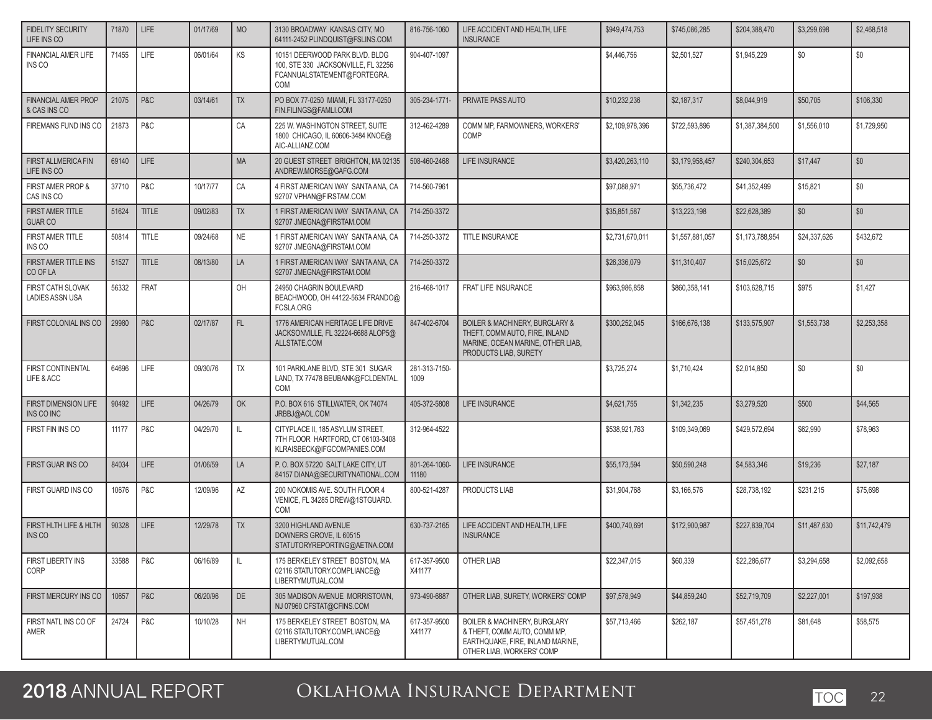| <b>FIDELITY SECURITY</b><br>LIFE INS CO     | 71870 | <b>LIFE</b>  | 01/17/69 | <b>MO</b> | 3130 BROADWAY KANSAS CITY, MO<br>64111-2452 PLINDQUIST@FSLINS.COM                                                  | 816-756-1060           | LIFE ACCIDENT AND HEALTH. LIFE<br><b>INSURANCE</b>                                                                             | \$949,474,753   | \$745.086.285   | \$204,388,470   | \$3,299,698  | \$2,468,518  |
|---------------------------------------------|-------|--------------|----------|-----------|--------------------------------------------------------------------------------------------------------------------|------------------------|--------------------------------------------------------------------------------------------------------------------------------|-----------------|-----------------|-----------------|--------------|--------------|
| <b>FINANCIAL AMER LIFE</b><br>INS CO        | 71455 | LIFE         | 06/01/64 | KS        | 10151 DEERWOOD PARK BLVD. BLDG<br>100, STE 330 JACKSONVILLE, FL 32256<br>FCANNUALSTATEMENT@FORTEGRA.<br><b>COM</b> | 904-407-1097           |                                                                                                                                | \$4,446,756     | \$2,501,527     | \$1,945,229     | \$0          | \$0          |
| <b>FINANCIAL AMER PROP</b><br>& CAS INS CO  | 21075 | P&C          | 03/14/61 | <b>TX</b> | PO BOX 77-0250 MIAMI, FL 33177-0250<br>FIN.FILINGS@FAMLI.COM                                                       | 305-234-1771-          | PRIVATE PASS AUTO                                                                                                              | \$10,232,236    | \$2,187,317     | \$8,044,919     | \$50,705     | \$106,330    |
| FIREMANS FUND INS CO                        | 21873 | P&C          |          | CA        | 225 W. WASHINGTON STREET, SUITE<br>1800 CHICAGO, IL 60606-3484 KNOE@<br>AIC-ALLIANZ.COM                            | 312-462-4289           | COMM MP, FARMOWNERS, WORKERS'<br><b>COMP</b>                                                                                   | \$2,109,978,396 | \$722,593,896   | \$1,387,384,500 | \$1,556,010  | \$1,729,950  |
| FIRST ALLMERICA FIN<br>LIFE INS CO          | 69140 | <b>LIFE</b>  |          | <b>MA</b> | 20 GUEST STREET BRIGHTON, MA 02135<br>ANDREW.MORSE@GAFG.COM                                                        | 508-460-2468           | <b>LIFE INSURANCE</b>                                                                                                          | \$3,420,263,110 | \$3,179,958,457 | \$240,304,653   | \$17,447     | \$0          |
| FIRST AMER PROP &<br>CAS INS CO             | 37710 | P&C          | 10/17/77 | CA        | 4 FIRST AMERICAN WAY SANTA ANA, CA<br>92707 VPHAN@FIRSTAM.COM                                                      | 714-560-7961           |                                                                                                                                | \$97,088,971    | \$55,736,472    | \$41,352,499    | \$15,821     | \$0          |
| <b>FIRST AMER TITLE</b><br><b>GUAR CO</b>   | 51624 | <b>TITLE</b> | 09/02/83 | <b>TX</b> | 1 FIRST AMERICAN WAY SANTA ANA, CA<br>92707 JMEGNA@FIRSTAM.COM                                                     | 714-250-3372           |                                                                                                                                | \$35,851,587    | \$13,223,198    | \$22,628,389    | \$0          | \$0          |
| FIRST AMER TITLE<br>INS CO                  | 50814 | <b>TITLE</b> | 09/24/68 | <b>NE</b> | 1 FIRST AMERICAN WAY SANTA ANA, CA<br>92707 JMEGNA@FIRSTAM.COM                                                     | 714-250-3372           | TITLE INSURANCE                                                                                                                | \$2,731,670,011 | \$1,557,881,057 | \$1,173,788,954 | \$24,337,626 | \$432,672    |
| FIRST AMER TITLE INS<br>CO OF LA            | 51527 | <b>TITLE</b> | 08/13/80 | LA        | 1 FIRST AMERICAN WAY SANTA ANA, CA<br>92707 JMEGNA@FIRSTAM.COM                                                     | 714-250-3372           |                                                                                                                                | \$26,336,079    | \$11,310,407    | \$15,025,672    | \$0          | \$0          |
| FIRST CATH SLOVAK<br><b>LADIES ASSN USA</b> | 56332 | <b>FRAT</b>  |          | OH        | 24950 CHAGRIN BOULEVARD<br>BEACHWOOD, OH 44122-5634 FRANDO@<br>FCSLA.ORG                                           | 216-468-1017           | FRAT LIFE INSURANCE                                                                                                            | \$963,986,858   | \$860,358,141   | \$103,628,715   | \$975        | \$1,427      |
| FIRST COLONIAL INS CO                       | 29980 | P&C          | 02/17/87 | FL        | 1776 AMERICAN HERITAGE LIFE DRIVE<br>JACKSONVILLE, FL 32224-6688 ALOP5@<br>ALLSTATE.COM                            | 847-402-6704           | BOILER & MACHINERY, BURGLARY &<br>THEFT, COMM AUTO, FIRE, INLAND<br>MARINE, OCEAN MARINE, OTHER LIAB,<br>PRODUCTS LIAB, SURETY | \$300,252,045   | \$166,676,138   | \$133,575,907   | \$1,553,738  | \$2,253,358  |
| FIRST CONTINENTAL<br>LIFE & ACC             | 64696 | <b>LIFE</b>  | 09/30/76 | <b>TX</b> | 101 PARKLANE BLVD, STE 301 SUGAR<br>LAND, TX 77478 BEUBANK@FCLDENTAL.<br><b>COM</b>                                | 281-313-7150-<br>1009  |                                                                                                                                | \$3,725,274     | \$1,710,424     | \$2,014,850     | \$0          | \$0          |
| FIRST DIMENSION LIFE<br>INS CO INC          | 90492 | <b>LIFE</b>  | 04/26/79 | OK        | P.O. BOX 616 STILLWATER, OK 74074<br>JRBBJ@AOL.COM                                                                 | 405-372-5808           | <b>LIFE INSURANCE</b>                                                                                                          | \$4,621,755     | \$1,342,235     | \$3,279,520     | \$500        | \$44,565     |
| FIRST FIN INS CO                            | 11177 | P&C          | 04/29/70 | IL.       | CITYPLACE II, 185 ASYLUM STREET,<br>7TH FLOOR HARTFORD, CT 06103-3408<br>KLRAISBECK@IFGCOMPANIES.COM               | 312-964-4522           |                                                                                                                                | \$538,921,763   | \$109,349,069   | \$429,572,694   | \$62,990     | \$78,963     |
| FIRST GUAR INS CO                           | 84034 | <b>LIFE</b>  | 01/06/59 | LA        | P.O. BOX 57220 SALT LAKE CITY, UT<br>84157 DIANA@SECURITYNATIONAL.COM                                              | 801-264-1060-<br>11180 | LIFE INSURANCE                                                                                                                 | \$55,173,594    | \$50,590,248    | \$4,583,346     | \$19,236     | \$27,187     |
| FIRST GUARD INS CO                          | 10676 | P&C          | 12/09/96 | AZ        | 200 NOKOMIS AVE. SOUTH FLOOR 4<br>VENICE, FL 34285 DREW@1STGUARD.<br>COM                                           | 800-521-4287           | PRODUCTS LIAB                                                                                                                  | \$31,904.768    | \$3,166,576     | \$28,738,192    | \$231,215    | \$75,698     |
| FIRST HLTH LIFE & HLTH<br>INS CO            | 90328 | <b>LIFE</b>  | 12/29/78 | <b>TX</b> | 3200 HIGHLAND AVENUE<br>DOWNERS GROVE, IL 60515<br>STATUTORYREPORTING@AETNA.COM                                    | 630-737-2165           | LIFE ACCIDENT AND HEALTH. LIFE<br><b>INSURANCE</b>                                                                             | \$400,740,691   | \$172,900,987   | \$227.839.704   | \$11,487,630 | \$11,742,479 |
| FIRST LIBERTY INS<br>CORP                   | 33588 | P&C          | 06/16/89 | L         | 175 BERKELEY STREET BOSTON. MA<br>02116 STATUTORY.COMPLIANCE@<br>LIBERTYMUTUAL.COM                                 | 617-357-9500<br>X41177 | OTHER LIAB                                                                                                                     | \$22,347,015    | \$60,339        | \$22,286,677    | \$3,294,658  | \$2,092,658  |
| FIRST MERCURY INS CO                        | 10657 | P&C          | 06/20/96 | DE        | 305 MADISON AVENUE MORRISTOWN.<br>NJ 07960 CFSTAT@CFINS.COM                                                        | 973-490-6887           | OTHER LIAB, SURETY, WORKERS' COMP                                                                                              | \$97,578,949    | \$44,859,240    | \$52,719,709    | \$2,227,001  | \$197,938    |
| FIRST NATL INS CO OF<br>AMER                | 24724 | P&C          | 10/10/28 | NH        | 175 BERKELEY STREET BOSTON, MA<br>02116 STATUTORY.COMPLIANCE@<br>LIBERTYMUTUAL.COM                                 | 617-357-9500<br>X41177 | BOILER & MACHINERY, BURGLARY<br>& THEFT. COMM AUTO. COMM MP.<br>EARTHQUAKE, FIRE, INLAND MARINE,<br>OTHER LIAB, WORKERS' COMP  | \$57,713,466    | \$262,187       | \$57,451,278    | \$81,648     | \$58,575     |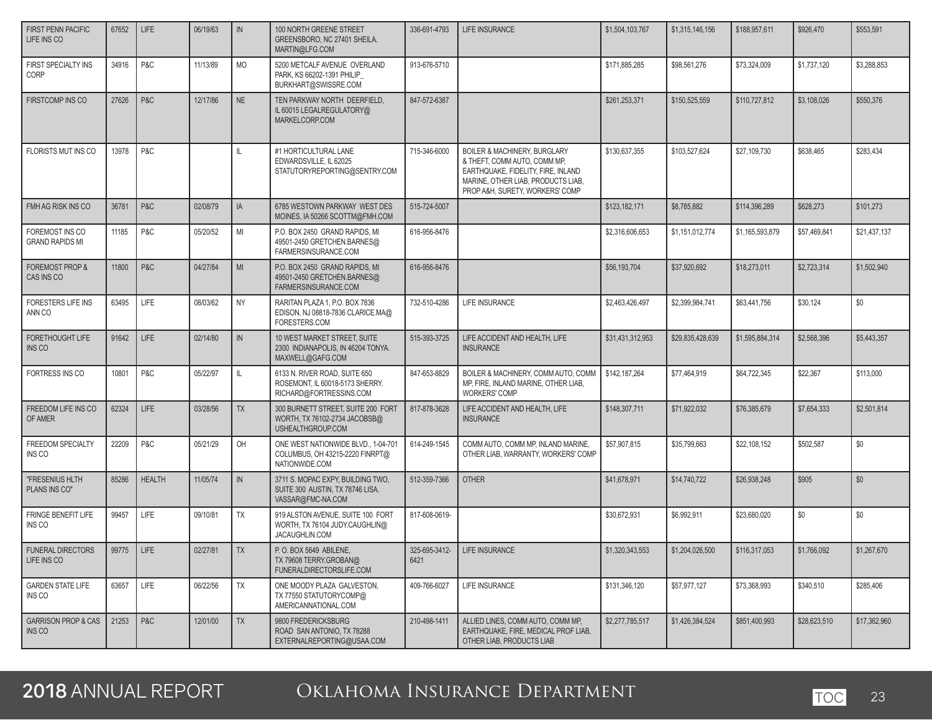| <b>FIRST PENN PACIFIC</b><br>LIFE INS CO  | 67652        | LIFE           | 06/19/63 | IN         | 100 NORTH GREENE STREET<br>GREENSBORO, NC 27401 SHEILA.<br>MARTIN@LFG.COM                   | 336-691-4793  | <b>LIFE INSURANCE</b>                                                                                                                                                                  | \$1,504,103,767  | \$1,315,146,156  | \$188,957,611   | \$926,470    | \$553,591    |
|-------------------------------------------|--------------|----------------|----------|------------|---------------------------------------------------------------------------------------------|---------------|----------------------------------------------------------------------------------------------------------------------------------------------------------------------------------------|------------------|------------------|-----------------|--------------|--------------|
| FIRST SPECIALTY INS<br>CORP               | 34916        | P&C            | 11/13/89 | <b>MO</b>  | 5200 METCALF AVENUE OVERLAND<br>PARK, KS 66202-1391 PHILIP<br>BURKHART@SWISSRE.COM          | 913-676-5710  |                                                                                                                                                                                        | \$171.885.285    | \$98,561,276     | \$73,324,009    | \$1,737,120  | \$3,288,853  |
| FIRSTCOMP INS CO                          | 27626        | P&C            | 12/17/86 | <b>NE</b>  | TEN PARKWAY NORTH DEERFIELD,<br>IL 60015 LEGALREGULATORY@<br>MARKELCORP.COM                 | 847-572-6387  |                                                                                                                                                                                        | \$261,253,371    | \$150,525,559    | \$110,727,812   | \$3,108,026  | \$550,376    |
| FLORISTS MUT INS CO                       | 13978        | P&C            |          | Ш          | #1 HORTICULTURAL LANE<br>EDWARDSVILLE. IL 62025<br>STATUTORYREPORTING@SENTRY.COM            | 715-346-6000  | <b>BOILER &amp; MACHINERY, BURGLARY</b><br>& THEFT, COMM AUTO, COMM MP,<br>EARTHQUAKE, FIDELITY, FIRE, INLAND<br>MARINE, OTHER LIAB, PRODUCTS LIAB,<br>PROP A&H, SURETY, WORKERS' COMP | \$130,637,355    | \$103,527,624    | \$27,109,730    | \$638,465    | \$283,434    |
| FMH AG RISK INS CO                        | 36781        | P&C            | 02/08/79 | IA         | 6785 WESTOWN PARKWAY WEST DES<br>MOINES, IA 50266 SCOTTM@FMH.COM                            | 515-724-5007  |                                                                                                                                                                                        | \$123,182,171    | \$8,785,882      | \$114,396,289   | \$628,273    | \$101,273    |
| FOREMOST INS CO<br><b>GRAND RAPIDS MI</b> | 11185        | P&C            | 05/20/52 | MI         | P.O. BOX 2450 GRAND RAPIDS, MI<br>49501-2450 GRETCHEN.BARNES@<br>FARMERSINSURANCE.COM       | 616-956-8476  |                                                                                                                                                                                        | \$2,316,606,653  | \$1,151,012,774  | \$1,165,593,879 | \$57,469,841 | \$21,437,137 |
| FOREMOST PROP &<br>CAS INS CO             | 11800        | P&C            | 04/27/84 | MI         | P.O. BOX 2450 GRAND RAPIDS, MI<br>49501-2450 GRETCHEN.BARNES@<br>FARMERSINSURANCE.COM       | 616-956-8476  |                                                                                                                                                                                        | \$56,193,704     | \$37,920,692     | \$18,273,011    | \$2,723,314  | \$1,502,940  |
| <b>FORESTERS LIFE INS</b><br>ANN CO       | 63495        | LIFE           | 08/03/62 | <b>NY</b>  | RARITAN PLAZA 1, P.O. BOX 7836<br>EDISON, NJ 08818-7836 CLARICE.MA@<br>FORESTERS.COM        | 732-510-4286  | LIFE INSURANCE                                                                                                                                                                         | \$2,463,426,497  | \$2,399,984,741  | \$63,441,756    | \$30,124     | \$0          |
| FORETHOUGHT LIFE<br>INS CO                | 91642        | <b>LIFE</b>    | 02/14/80 | IN         | 10 WEST MARKET STREET, SUITE<br>2300 INDIANAPOLIS, IN 46204 TONYA.<br>MAXWELL@GAFG.COM      | 515-393-3725  | LIFE ACCIDENT AND HEALTH, LIFE<br><b>INSURANCE</b>                                                                                                                                     | \$31,431,312,953 | \$29,835,428,639 | \$1,595,884,314 | \$2,568,396  | \$5,443,357  |
| FORTRESS INS CO                           | 10801        | P&C            | 05/22/97 | IL         | 6133 N. RIVER ROAD, SUITE 650<br>ROSEMONT, IL 60018-5173 SHERRY.<br>RICHARD@FORTRESSINS.COM | 847-653-8829  | BOILER & MACHINERY, COMM AUTO, COMM<br>MP, FIRE, INLAND MARINE, OTHER LIAB,<br><b>WORKERS' COMP</b>                                                                                    | \$142,187,264    | \$77,464,919     | \$64,722,345    | \$22,367     | \$113,000    |
| FREEDOM LIFE INS CO<br>OF AMER            | 62324        | <b>LIFE</b>    | 03/28/56 | <b>TX</b>  | 300 BURNETT STREET, SUITE 200 FORT<br>WORTH, TX 76102-2734 JACOBSB@<br>USHEALTHGROUP.COM    | 817-878-3628  | LIFE ACCIDENT AND HEALTH, LIFE<br><b>INSURANCE</b>                                                                                                                                     | \$148,307,711    | \$71,922,032     | \$76,385,679    | \$7,654,333  | \$2,501,814  |
| FREEDOM SPECIALTY<br>INS CO               | 22209        | P&C            | 05/21/29 | OH         | ONE WEST NATIONWIDE BLVD., 1-04-701<br>COLUMBUS, OH 43215-2220 FINRPT@<br>NATIONWIDE.COM    | 614-249-1545  | COMM AUTO, COMM MP, INLAND MARINE,<br>OTHER LIAB, WARRANTY, WORKERS' COMP                                                                                                              | \$57,907,815     | \$35,799,663     | \$22,108,152    | \$502,587    | \$0          |
| "FRESENIUS HLTH<br>PLANS INS CO"          | 85286        | <b>HEALTH</b>  | 11/05/74 | IN         | 3711 S. MOPAC EXPY, BUILDING TWO,<br>SUITE 300 AUSTIN, TX 78746 LISA.<br>VASSAR@FMC-NA.COM  | 512-359-7366  | <b>OTHER</b>                                                                                                                                                                           | \$41,678,971     | \$14,740,722     | \$26,938,248    | \$905        | \$0          |
| <b>FRINGE BENEFIT LIFE</b><br>INS CO      | 99457        | LIFE           | 09/10/81 | <b>TX</b>  | 919 ALSTON AVENUE, SUITE 100 FORT<br>WORTH, TX 76104 JUDY.CAUGHLIN@<br>JACAUGHLIN.COM       | 817-608-0619- |                                                                                                                                                                                        | \$30,672,931     | \$6,992,911      | \$23,680,020    | \$0          | \$0          |
| FUNERAL DIRECTORS<br>LIFE INS CO          | 99775   LIFE |                | 02/27/81 | $\vert$ TX | P.O. BOX 5649 ABILENE,<br>TX 79608 TERRY.GROBAN@<br>FUNERALDIRECTORSLIFE.COM                | 6421          | 325-695-3412- LIFE INSURANCE                                                                                                                                                           | \$1,320,343,553  | \$1,204,026,500  | \$116,317,053   | \$1,766,092  | \$1,267,670  |
| <b>GARDEN STATE LIFE</b><br>INS CO        | 63657        | LIFE           | 06/22/56 | <b>TX</b>  | ONE MOODY PLAZA GALVESTON.<br>TX 77550 STATUTORYCOMP@<br>AMERICANNATIONAL.COM               | 409-766-6027  | LIFE INSURANCE                                                                                                                                                                         | \$131,346,120    | \$57,977,127     | \$73,368,993    | \$340,510    | \$285,406    |
| <b>GARRISON PROP &amp; CAS</b><br>INS CO  | 21253        | <b>P&amp;C</b> | 12/01/00 | <b>TX</b>  | 9800 FREDERICKSBURG<br>ROAD SAN ANTONIO, TX 78288<br>EXTERNALREPORTING@USAA.COM             | 210-498-1411  | ALLIED LINES, COMM AUTO, COMM MP,<br>EARTHQUAKE, FIRE, MEDICAL PROF LIAB,<br>OTHER LIAB, PRODUCTS LIAB                                                                                 | \$2,277,785,517  | \$1,426,384,524  | \$851,400,993   | \$28,623,510 | \$17,362,960 |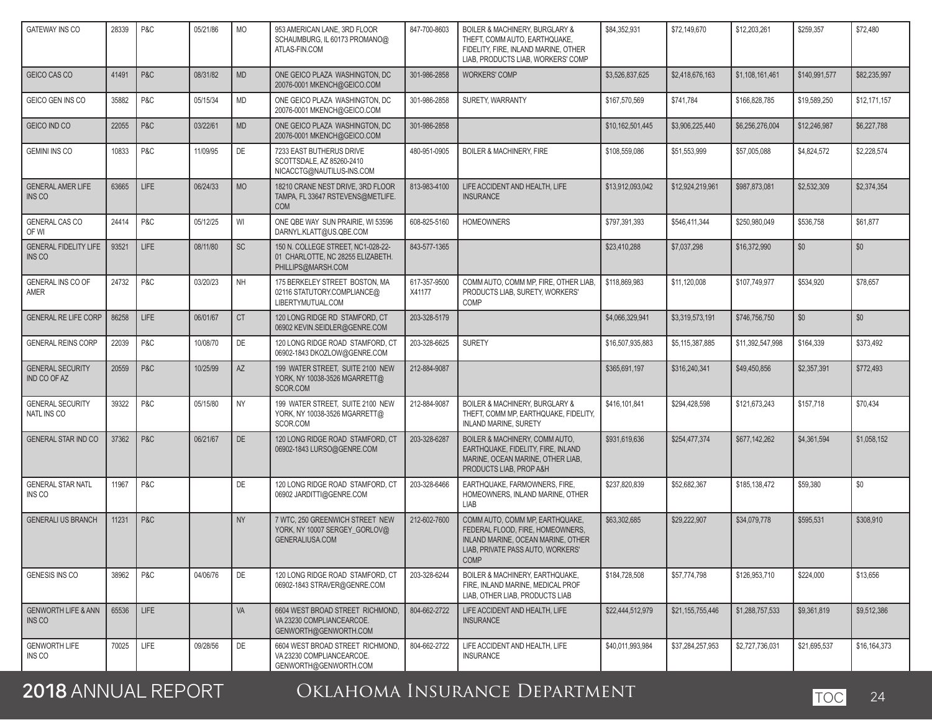| <b>GATEWAY INS CO</b>                             | 28339 | P&C         | 05/21/86 | <b>MO</b> | 953 AMERICAN LANE, 3RD FLOOR<br>SCHAUMBURG, IL 60173 PROMANO@<br>ATLAS-FIN.COM                | 847-700-8603           | BOILER & MACHINERY, BURGLARY &<br>THEFT, COMM AUTO, EARTHQUAKE,<br>FIDELITY, FIRE, INLAND MARINE, OTHER<br>LIAB, PRODUCTS LIAB, WORKERS' COMP                 | \$84,352,931     | \$72,149,670     | \$12,203,261     | \$259,357     | \$72,480     |
|---------------------------------------------------|-------|-------------|----------|-----------|-----------------------------------------------------------------------------------------------|------------------------|---------------------------------------------------------------------------------------------------------------------------------------------------------------|------------------|------------------|------------------|---------------|--------------|
| GEICO CAS CO                                      | 41491 | P&C         | 08/31/82 | <b>MD</b> | ONE GEICO PLAZA WASHINGTON, DC<br>20076-0001 MKENCH@GEICO.COM                                 | 301-986-2858           | <b>WORKERS' COMP</b>                                                                                                                                          | \$3,526,837,625  | \$2,418,676,163  | \$1,108,161,461  | \$140,991,577 | \$82,235,997 |
| GEICO GEN INS CO                                  | 35882 | P&C         | 05/15/34 | MD        | ONE GEICO PLAZA WASHINGTON, DC<br>20076-0001 MKENCH@GEICO.COM                                 | 301-986-2858           | SURETY, WARRANTY                                                                                                                                              | \$167,570,569    | \$741,784        | \$166,828,785    | \$19,589,250  | \$12,171,157 |
| GEICO IND CO                                      | 22055 | P&C         | 03/22/61 | <b>MD</b> | ONE GEICO PLAZA WASHINGTON, DC<br>20076-0001 MKENCH@GEICO.COM                                 | 301-986-2858           |                                                                                                                                                               | \$10,162,501,445 | \$3,906,225,440  | \$6,256,276,004  | \$12,246,987  | \$6,227,788  |
| <b>GEMINI INS CO</b>                              | 10833 | P&C         | 11/09/95 | DE        | 7233 EAST BUTHERUS DRIVE<br>SCOTTSDALE, AZ 85260-2410<br>NICACCTG@NAUTILUS-INS.COM            | 480-951-0905           | <b>BOILER &amp; MACHINERY, FIRE</b>                                                                                                                           | \$108,559,086    | \$51,553,999     | \$57,005,088     | \$4,824,572   | \$2,228,574  |
| <b>GENERAL AMER LIFE</b><br>INS <sub>CO</sub>     | 63665 | LIFE        | 06/24/33 | <b>MO</b> | 18210 CRANE NEST DRIVE, 3RD FLOOR<br>TAMPA, FL 33647 RSTEVENS@METLIFE.<br><b>COM</b>          | 813-983-4100           | LIFE ACCIDENT AND HEALTH, LIFE<br><b>INSURANCE</b>                                                                                                            | \$13,912,093,042 | \$12,924,219,961 | \$987,873,081    | \$2,532,309   | \$2,374,354  |
| <b>GENERAL CAS CO</b><br>OF WI                    | 24414 | P&C         | 05/12/25 | WI        | ONE QBE WAY SUN PRAIRIE, WI 53596<br>DARNYL.KLATT@US.QBE.COM                                  | 608-825-5160           | <b>HOMEOWNERS</b>                                                                                                                                             | \$797,391,393    | \$546,411,344    | \$250,980,049    | \$536,758     | \$61,877     |
| <b>GENERAL FIDELITY LIFE</b><br>INS <sub>CO</sub> | 93521 | LIFE        | 08/11/80 | SC        | 150 N. COLLEGE STREET, NC1-028-22-<br>01 CHARLOTTE, NC 28255 ELIZABETH.<br>PHILLIPS@MARSH.COM | 843-577-1365           |                                                                                                                                                               | \$23,410,288     | \$7,037,298      | \$16,372,990     | \$0           | \$0          |
| GENERAL INS CO OF<br>AMER                         | 24732 | P&C         | 03/20/23 | <b>NH</b> | 175 BERKELEY STREET BOSTON, MA<br>02116 STATUTORY.COMPLIANCE@<br>LIBERTYMUTUAL.COM            | 617-357-9500<br>X41177 | COMM AUTO, COMM MP, FIRE, OTHER LIAB,<br>PRODUCTS LIAB. SURETY. WORKERS'<br>COMP                                                                              | \$118,869,983    | \$11.120.008     | \$107,749,977    | \$534,920     | \$78,657     |
| <b>GENERAL RE LIFE CORP</b>                       | 86258 | <b>LIFE</b> | 06/01/67 | <b>CT</b> | 120 LONG RIDGE RD STAMFORD, CT<br>06902 KEVIN.SEIDLER@GENRE.COM                               | 203-328-5179           |                                                                                                                                                               | \$4,066,329,941  | \$3,319,573,191  | \$746,756,750    | \$0           | \$0          |
| <b>GENERAL REINS CORP</b>                         | 22039 | P&C         | 10/08/70 | DE        | 120 LONG RIDGE ROAD STAMFORD. CT<br>06902-1843 DKOZLOW@GENRE.COM                              | 203-328-6625           | <b>SURETY</b>                                                                                                                                                 | \$16,507,935,883 | \$5,115,387,885  | \$11,392,547,998 | \$164,339     | \$373,492    |
| <b>GENERAL SECURITY</b><br>IND CO OF AZ           | 20559 | P&C         | 10/25/99 | AZ        | 199 WATER STREET, SUITE 2100 NEW<br>YORK, NY 10038-3526 MGARRETT@<br>SCOR.COM                 | 212-884-9087           |                                                                                                                                                               | \$365,691,197    | \$316,240,341    | \$49,450,856     | \$2,357,391   | \$772,493    |
| <b>GENERAL SECURITY</b><br>NATL INS CO            | 39322 | P&C         | 05/15/80 | <b>NY</b> | 199 WATER STREET, SUITE 2100 NEW<br>YORK, NY 10038-3526 MGARRETT@<br>SCOR.COM                 | 212-884-9087           | <b>BOILER &amp; MACHINERY, BURGLARY &amp;</b><br>THEFT, COMM MP, EARTHQUAKE, FIDELITY,<br><b>INLAND MARINE, SURETY</b>                                        | \$416,101,841    | \$294,428,598    | \$121,673,243    | \$157,718     | \$70,434     |
| <b>GENERAL STAR IND CO</b>                        | 37362 | P&C         | 06/21/67 | DE        | 120 LONG RIDGE ROAD STAMFORD, CT<br>06902-1843 LURSO@GENRE.COM                                | 203-328-6287           | BOILER & MACHINERY, COMM AUTO,<br>EARTHQUAKE, FIDELITY, FIRE, INLAND<br>MARINE, OCEAN MARINE, OTHER LIAB,<br>PRODUCTS LIAB, PROP A&H                          | \$931,619,636    | \$254,477,374    | \$677,142,262    | \$4,361,594   | \$1,058,152  |
| <b>GENERAL STAR NATL</b><br>INS CO                | 11967 | P&C         |          | DE        | 120 LONG RIDGE ROAD STAMFORD, CT<br>06902 JARDITTI@GENRE.COM                                  | 203-328-6466           | EARTHQUAKE, FARMOWNERS, FIRE,<br>HOMEOWNERS, INLAND MARINE, OTHER<br>LIAB                                                                                     | \$237,820,839    | \$52,682,367     | \$185,138,472    | \$59,380      | \$0          |
| <b>GENERALI US BRANCH</b>                         | 11231 | P&C         |          | <b>NY</b> | 7 WTC, 250 GREENWICH STREET NEW<br>YORK, NY 10007 SERGEY_GORLOV@<br><b>GENERALIUSA.COM</b>    | 212-602-7600           | COMM AUTO. COMM MP. EARTHQUAKE.<br>FEDERAL FLOOD, FIRE, HOMEOWNERS,<br>INLAND MARINE, OCEAN MARINE, OTHER<br>LIAB, PRIVATE PASS AUTO, WORKERS'<br><b>COMP</b> | \$63.302.685     | \$29,222,907     | \$34,079,778     | \$595,531     | \$308,910    |
| GENESIS INS CO                                    | 38962 | P&C         | 04/06/76 | DE        | 120 LONG RIDGE ROAD STAMFORD, CT<br>06902-1843 STRAVER@GENRE.COM                              | 203-328-6244           | BOILER & MACHINERY, EARTHQUAKE,<br>FIRE. INLAND MARINE. MEDICAL PROF<br>LIAB, OTHER LIAB, PRODUCTS LIAB                                                       | \$184,728,508    | \$57,774,798     | \$126,953,710    | \$224,000     | \$13,656     |
| <b>GENWORTH LIFE &amp; ANN</b><br>INS CO          | 65536 | <b>LIFE</b> |          | VA        | 6604 WEST BROAD STREET RICHMOND,<br>VA 23230 COMPLIANCEARCOE.<br>GENWORTH@GENWORTH.COM        | 804-662-2722           | LIFE ACCIDENT AND HEALTH, LIFE<br><b>INSURANCE</b>                                                                                                            | \$22,444,512,979 | \$21.155.755.446 | \$1,288,757,533  | \$9,361,819   | \$9,512,386  |
| <b>GENWORTH LIFE</b><br>INS CO                    | 70025 | LIFE        | 09/28/56 | DE        | 6604 WEST BROAD STREET RICHMOND,<br>VA 23230 COMPLIANCEARCOE.<br>GENWORTH@GENWORTH.COM        | 804-662-2722           | LIFE ACCIDENT AND HEALTH, LIFE<br><b>INSURANCE</b>                                                                                                            | \$40,011,993,984 | \$37,284,257,953 | \$2,727,736,031  | \$21,695,537  | \$16,164,373 |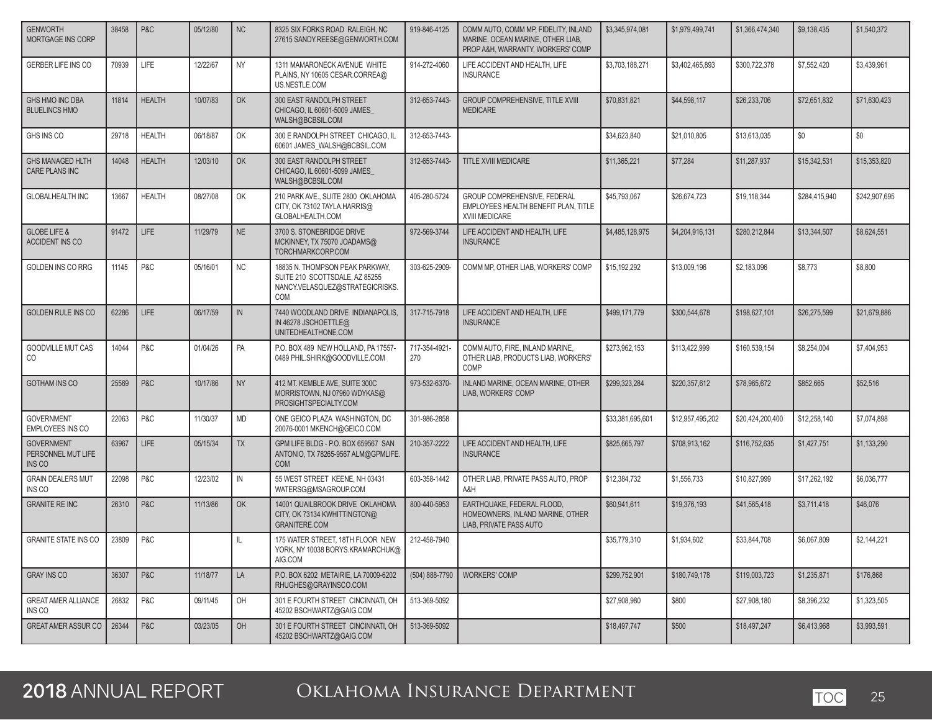| <b>GENWORTH</b><br><b>MORTGAGE INS CORP</b>       | 38458 | P&C           | 05/12/80 | <b>NC</b> | 8325 SIX FORKS ROAD RALEIGH, NC<br>27615 SANDY.REESE@GENWORTH.COM                                           | 919-846-4125         | COMM AUTO, COMM MP, FIDELITY, INLAND<br>MARINE, OCEAN MARINE, OTHER LIAB,<br>PROP A&H, WARRANTY, WORKERS' COMP | \$3,345,974,081  | \$1,979,499,741  | \$1,366,474,340  | \$9,138,435   | \$1,540,372   |
|---------------------------------------------------|-------|---------------|----------|-----------|-------------------------------------------------------------------------------------------------------------|----------------------|----------------------------------------------------------------------------------------------------------------|------------------|------------------|------------------|---------------|---------------|
| <b>GERBER LIFE INS CO</b>                         | 70939 | LIFE          | 12/22/67 | <b>NY</b> | 1311 MAMARONECK AVENUE WHITE<br>PLAINS, NY 10605 CESAR.CORREA@<br>US.NESTLE.COM                             | 914-272-4060         | LIFE ACCIDENT AND HEALTH, LIFE<br><b>INSURANCE</b>                                                             | \$3.703.188.271  | \$3,402,465,893  | \$300.722.378    | \$7,552,420   | \$3.439.961   |
| GHS HMO INC DBA<br><b>BLUELINCS HMO</b>           | 11814 | <b>HEALTH</b> | 10/07/83 | OK        | 300 EAST RANDOLPH STREET<br>CHICAGO, IL 60601-5009 JAMES<br>WALSH@BCBSIL.COM                                | 312-653-7443-        | <b>GROUP COMPREHENSIVE. TITLE XVIII</b><br><b>MEDICARE</b>                                                     | \$70,831,821     | \$44,598,117     | \$26,233,706     | \$72.651.832  | \$71,630,423  |
| GHS INS CO                                        | 29718 | <b>HEALTH</b> | 06/18/87 | OK        | 300 E RANDOLPH STREET CHICAGO, IL<br>60601 JAMES_WALSH@BCBSIL.COM                                           | 312-653-7443-        |                                                                                                                | \$34.623.840     | \$21,010,805     | \$13,613,035     | \$0           | \$0           |
| <b>GHS MANAGED HLTH</b><br>CARE PLANS INC         | 14048 | <b>HEALTH</b> | 12/03/10 | OK        | 300 EAST RANDOLPH STREET<br>CHICAGO, IL 60601-5099 JAMES<br>WALSH@BCBSIL.COM                                | 312-653-7443-        | TITLE XVIII MEDICARE                                                                                           | \$11,365,221     | \$77,284         | \$11,287,937     | \$15,342,531  | \$15,353,820  |
| <b>GLOBALHEALTH INC</b>                           | 13667 | <b>HEALTH</b> | 08/27/08 | OK        | 210 PARK AVE., SUITE 2800 OKLAHOMA<br>CITY, OK 73102 TAYLA.HARRIS@<br>GLOBALHEALTH.COM                      | 405-280-5724         | GROUP COMPREHENSIVE, FEDERAL<br>EMPLOYEES HEALTH BENEFIT PLAN, TITLE<br>XVIII MEDICARE                         | \$45,793,067     | \$26,674,723     | \$19,118,344     | \$284,415,940 | \$242,907,695 |
| <b>GLOBE LIFE &amp;</b><br><b>ACCIDENT INS CO</b> | 91472 | <b>LIFE</b>   | 11/29/79 | <b>NE</b> | 3700 S. STONEBRIDGE DRIVE<br>MCKINNEY, TX 75070 JOADAMS@<br>TORCHMARKCORP.COM                               | 972-569-3744         | LIFE ACCIDENT AND HEALTH, LIFE<br><b>INSURANCE</b>                                                             | \$4,485,128,975  | \$4,204,916,131  | \$280,212,844    | \$13,344,507  | \$8,624,551   |
| <b>GOLDEN INS CO RRG</b>                          | 11145 | P&C           | 05/16/01 | <b>NC</b> | 18835 N. THOMPSON PEAK PARKWAY,<br>SUITE 210 SCOTTSDALE, AZ 85255<br>NANCY.VELASQUEZ@STRATEGICRISKS.<br>COM | 303-625-2909-        | COMM MP. OTHER LIAB. WORKERS' COMP                                                                             | \$15,192,292     | \$13,009,196     | \$2,183,096      | \$8,773       | \$8,800       |
| <b>GOLDEN RULE INS CO</b>                         | 62286 | <b>LIFE</b>   | 06/17/59 | IN        | 7440 WOODLAND DRIVE INDIANAPOLIS,<br>IN 46278 JSCHOETTLE@<br>UNITEDHEALTHONE.COM                            | 317-715-7918         | LIFE ACCIDENT AND HEALTH, LIFE<br><b>INSURANCE</b>                                                             | \$499,171,779    | \$300.544.678    | \$198,627,101    | \$26,275,599  | \$21.679.886  |
| GOODVILLE MUT CAS<br>CO                           | 14044 | P&C           | 01/04/26 | PA        | P.O. BOX 489 NEW HOLLAND, PA 17557-<br>0489 PHIL.SHIRK@GOODVILLE.COM                                        | 717-354-4921-<br>270 | COMM AUTO, FIRE, INLAND MARINE,<br>OTHER LIAB. PRODUCTS LIAB. WORKERS'<br>COMP                                 | \$273,962,153    | \$113,422,999    | \$160,539,154    | \$8,254,004   | \$7,404,953   |
| <b>GOTHAM INS CO</b>                              | 25569 | P&C           | 10/17/86 | <b>NY</b> | 412 MT. KEMBLE AVE, SUITE 300C<br>MORRISTOWN, NJ 07960 WDYKAS@<br>PROSIGHTSPECIALTY.COM                     | 973-532-6370-        | INLAND MARINE, OCEAN MARINE, OTHER<br>LIAB. WORKERS' COMP                                                      | \$299,323,284    | \$220,357,612    | \$78,965,672     | \$852,665     | \$52,516      |
| <b>GOVERNMENT</b><br>EMPLOYEES INS CO             | 22063 | P&C           | 11/30/37 | <b>MD</b> | ONE GEICO PLAZA WASHINGTON, DC<br>20076-0001 MKENCH@GEICO.COM                                               | 301-986-2858         |                                                                                                                | \$33,381,695,601 | \$12,957,495,202 | \$20,424,200,400 | \$12,258,140  | \$7,074,898   |
| <b>GOVERNMENT</b><br>PERSONNEL MUT LIFE<br>INS CO | 63967 | LIFE          | 05/15/34 | <b>TX</b> | GPM LIFE BLDG - P.O. BOX 659567 SAN<br>ANTONIO, TX 78265-9567 ALM@GPMLIFE.<br><b>COM</b>                    | 210-357-2222         | LIFE ACCIDENT AND HEALTH, LIFE<br><b>INSURANCE</b>                                                             | \$825,665,797    | \$708,913,162    | \$116,752,635    | \$1,427,751   | \$1,133,290   |
| <b>GRAIN DEALERS MUT</b><br>INS CO                | 22098 | P&C           | 12/23/02 | IN        | 55 WEST STREET KEENE, NH 03431<br>WATERSG@MSAGROUP.COM                                                      | 603-358-1442         | OTHER LIAB, PRIVATE PASS AUTO, PROP<br>A&H                                                                     | \$12,384,732     | \$1,556,733      | \$10,827,999     | \$17,262,192  | \$6,036,777   |
| <b>GRANITE RE INC</b>                             | 26310 | P&C           | 11/13/86 | OK        | 14001 QUAILBROOK DRIVE OKLAHOMA<br>CITY, OK 73134 KWHITTINGTON@<br><b>GRANITERE.COM</b>                     | 800-440-5953         | EARTHQUAKE, FEDERAL FLOOD,<br>HOMEOWNERS, INLAND MARINE, OTHER<br>LIAB, PRIVATE PASS AUTO                      | \$60,941,611     | \$19,376,193     | \$41,565,418     | \$3,711,418   | \$46,076      |
| <b>GRANITE STATE INS CO</b>                       | 23809 | P&C           |          | IL.       | 175 WATER STREET, 18TH FLOOR NEW<br>YORK, NY 10038 BORYS.KRAMARCHUK@<br>AIG.COM                             | 212-458-7940         |                                                                                                                | \$35,779,310     | \$1,934,602      | \$33,844,708     | \$6,067,809   | \$2,144,221   |
| <b>GRAY INS CO</b>                                | 36307 | P&C           | 11/18/77 | LA        | P.O. BOX 6202 METAIRIE. LA 70009-6202<br>RHUGHES@GRAYINSCO.COM                                              | (504) 888-7790       | <b>WORKERS' COMP</b>                                                                                           | \$299,752,901    | \$180,749,178    | \$119,003,723    | \$1,235,871   | \$176,868     |
| <b>GREAT AMER ALLIANCE</b><br>INS CO              | 26832 | P&C           | 09/11/45 | OH        | 301 E FOURTH STREET CINCINNATI, OH<br>45202 BSCHWARTZ@GAIG.COM                                              | 513-369-5092         |                                                                                                                | \$27,908,980     | \$800            | \$27,908,180     | \$8,396,232   | \$1,323,505   |
| GREAT AMER ASSUR CO                               | 26344 | P&C           | 03/23/05 | OH        | 301 E FOURTH STREET CINCINNATI, OH<br>45202 BSCHWARTZ@GAIG.COM                                              | 513-369-5092         |                                                                                                                | \$18,497,747     | \$500            | \$18,497,247     | \$6,413,968   | \$3,993,591   |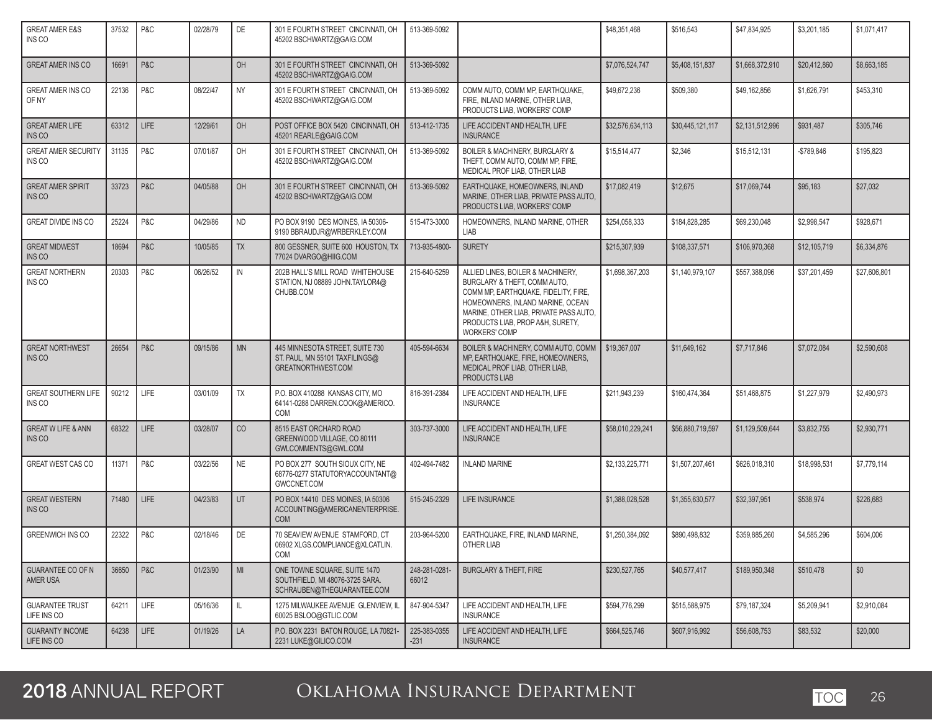| <b>GREAT AMER E&amp;S</b><br>INS CO            | 37532 | P&C         | 02/28/79 | DE            | 301 E FOURTH STREET CINCINNATI, OH<br>45202 BSCHWARTZ@GAIG.COM                                | 513-369-5092           |                                                                                                                                                                                                                                                     | \$48.351.468     | \$516,543        | \$47,834,925    | \$3,201,185  | \$1,071,417  |
|------------------------------------------------|-------|-------------|----------|---------------|-----------------------------------------------------------------------------------------------|------------------------|-----------------------------------------------------------------------------------------------------------------------------------------------------------------------------------------------------------------------------------------------------|------------------|------------------|-----------------|--------------|--------------|
| <b>GREAT AMER INS CO</b>                       | 16691 | P&C         |          | OH            | 301 E FOURTH STREET CINCINNATI. OH<br>45202 BSCHWARTZ@GAIG.COM                                | 513-369-5092           |                                                                                                                                                                                                                                                     | \$7,076,524,747  | \$5,408,151,837  | \$1,668,372,910 | \$20.412.860 | \$8,663,185  |
| <b>GREAT AMER INS CO</b><br>OF NY              | 22136 | P&C         | 08/22/47 | <b>NY</b>     | 301 E FOURTH STREET CINCINNATI, OH<br>45202 BSCHWARTZ@GAIG.COM                                | 513-369-5092           | COMM AUTO, COMM MP, EARTHQUAKE,<br>FIRE. INLAND MARINE. OTHER LIAB.<br>PRODUCTS LIAB, WORKERS' COMP                                                                                                                                                 | \$49,672,236     | \$509,380        | \$49,162,856    | \$1,626,791  | \$453,310    |
| <b>GREAT AMER LIFE</b><br><b>INS CO</b>        | 63312 | <b>LIFE</b> | 12/29/61 | OH            | POST OFFICE BOX 5420 CINCINNATI, OH<br>45201 REARLE@GAIG.COM                                  | 513-412-1735           | LIFE ACCIDENT AND HEALTH, LIFE<br><b>INSURANCE</b>                                                                                                                                                                                                  | \$32,576,634,113 | \$30,445,121,117 | \$2,131,512,996 | \$931,487    | \$305,746    |
| <b>GREAT AMER SECURITY</b><br>INS CO           | 31135 | P&C         | 07/01/87 | OH            | 301 E FOURTH STREET CINCINNATI, OH<br>45202 BSCHWARTZ@GAIG.COM                                | 513-369-5092           | BOILER & MACHINERY, BURGLARY &<br>THEFT, COMM AUTO, COMM MP, FIRE,<br>MEDICAL PROF LIAB. OTHER LIAB                                                                                                                                                 | \$15,514,477     | \$2,346          | \$15,512,131    | -\$789,846   | \$195,823    |
| <b>GREAT AMER SPIRIT</b><br>INS CO             | 33723 | P&C         | 04/05/88 | OH            | 301 E FOURTH STREET CINCINNATI, OH<br>45202 BSCHWARTZ@GAIG.COM                                | 513-369-5092           | EARTHQUAKE, HOMEOWNERS, INLAND<br>MARINE, OTHER LIAB, PRIVATE PASS AUTO,<br>PRODUCTS LIAB, WORKERS' COMP                                                                                                                                            | \$17,082,419     | \$12,675         | \$17,069,744    | \$95,183     | \$27,032     |
| <b>GREAT DIVIDE INS CO</b>                     | 25224 | P&C         | 04/29/86 | <b>ND</b>     | PO BOX 9190 DES MOINES, IA 50306-<br>9190 BBRAUDJR@WRBERKLEY.COM                              | 515-473-3000           | HOMEOWNERS, INLAND MARINE, OTHER<br>LIAB                                                                                                                                                                                                            | \$254,058,333    | \$184,828,285    | \$69,230,048    | \$2,998,547  | \$928,671    |
| <b>GREAT MIDWEST</b><br>INS <sub>CO</sub>      | 18694 | P&C         | 10/05/85 | <b>TX</b>     | 800 GESSNER, SUITE 600 HOUSTON, TX<br>77024 DVARGO@HIIG.COM                                   | 713-935-4800-          | <b>SURETY</b>                                                                                                                                                                                                                                       | \$215,307,939    | \$108,337,571    | \$106,970,368   | \$12,105,719 | \$6,334,876  |
| <b>GREAT NORTHERN</b><br>INS <sub>CO</sub>     | 20303 | P&C         | 06/26/52 | $\mathsf{IN}$ | 202B HALL'S MILL ROAD WHITEHOUSE<br>STATION, NJ 08889 JOHN.TAYLOR4@<br>CHUBB.COM              | 215-640-5259           | ALLIED LINES, BOILER & MACHINERY,<br>BURGLARY & THEFT, COMM AUTO,<br>COMM MP, EARTHQUAKE, FIDELITY, FIRE,<br>HOMEOWNERS, INLAND MARINE, OCEAN<br>MARINE, OTHER LIAB, PRIVATE PASS AUTO,<br>PRODUCTS LIAB, PROP A&H, SURETY,<br><b>WORKERS' COMP</b> | \$1,698,367,203  | \$1,140,979,107  | \$557,388,096   | \$37.201.459 | \$27,606,801 |
| <b>GREAT NORTHWEST</b><br>INS CO               | 26654 | P&C         | 09/15/86 | <b>MN</b>     | 445 MINNESOTA STREET, SUITE 730<br>ST. PAUL, MN 55101 TAXFILINGS@<br>GREATNORTHWEST.COM       | 405-594-6634           | BOILER & MACHINERY, COMM AUTO, COMM<br>MP. EARTHQUAKE. FIRE. HOMEOWNERS.<br>MEDICAL PROF LIAB, OTHER LIAB,<br>PRODUCTS LIAB                                                                                                                         | \$19,367,007     | \$11,649,162     | \$7,717,846     | \$7,072,084  | \$2,590,608  |
| <b>GREAT SOUTHERN LIFE</b><br>INS CO           | 90212 | LIFE        | 03/01/09 | TX            | P.O. BOX 410288 KANSAS CITY, MO<br>64141-0288 DARREN.COOK@AMERICO.<br>COM                     | 816-391-2384           | LIFE ACCIDENT AND HEALTH, LIFE<br><b>INSURANCE</b>                                                                                                                                                                                                  | \$211,943,239    | \$160,474,364    | \$51,468,875    | \$1,227,979  | \$2,490,973  |
| <b>GREAT W LIFE &amp; ANN</b><br><b>INS CO</b> | 68322 | <b>LIFE</b> | 03/28/07 | CO            | 8515 EAST ORCHARD ROAD<br>GREENWOOD VILLAGE, CO 80111<br>GWLCOMMENTS@GWL.COM                  | 303-737-3000           | LIFE ACCIDENT AND HEALTH, LIFE<br><b>INSURANCE</b>                                                                                                                                                                                                  | \$58,010,229,241 | \$56,880,719,597 | \$1,129,509,644 | \$3,832,755  | \$2,930,771  |
| <b>GREAT WEST CAS CO</b>                       | 11371 | P&C         | 03/22/56 | <b>NE</b>     | PO BOX 277 SOUTH SIOUX CITY, NE<br>68776-0277 STATUTORYACCOUNTANT@<br>GWCCNET.COM             | 402-494-7482           | <b>INLAND MARINE</b>                                                                                                                                                                                                                                | \$2,133,225,771  | \$1,507,207,461  | \$626,018,310   | \$18,998,531 | \$7,779,114  |
| <b>GREAT WESTERN</b><br><b>INS CO</b>          | 71480 | <b>LIFE</b> | 04/23/83 | <b>UT</b>     | PO BOX 14410 DES MOINES, IA 50306<br>ACCOUNTING@AMERICANENTERPRISE.<br><b>COM</b>             | 515-245-2329           | LIFE INSURANCE                                                                                                                                                                                                                                      | \$1,388,028,528  | \$1,355,630,577  | \$32,397,951    | \$538,974    | \$226,683    |
| <b>GREENWICH INS CO</b>                        | 22322 | P&C         | 02/18/46 | DE            | 70 SEAVIEW AVENUE STAMFORD. CT<br>06902 XLGS.COMPLIANCE@XLCATLIN.<br>COM                      | 203-964-5200           | EARTHQUAKE, FIRE, INLAND MARINE,<br>OTHER LIAB                                                                                                                                                                                                      | \$1,250,384,092  | \$890,498,832    | \$359,885,260   | \$4,585,296  | \$604,006    |
| <b>GUARANTEE CO OF N</b><br>AMER USA           | 36650 | P&C         | 01/23/90 | MI            | ONE TOWNE SQUARE, SUITE 1470<br>SOUTHFIELD, MI 48076-3725 SARA.<br>SCHRAUBEN@THEGUARANTEE.COM | 248-281-0281-<br>66012 | <b>BURGLARY &amp; THEFT, FIRE</b>                                                                                                                                                                                                                   | \$230,527,765    | \$40,577,417     | \$189,950,348   | \$510,478    | \$0          |
| <b>GUARANTEE TRUST</b><br>LIFE INS CO          | 64211 | LIFE        | 05/16/36 | L             | 1275 MILWAUKEE AVENUE GLENVIEW, IL<br>60025 BSLOO@GTLIC.COM                                   | 847-904-5347           | LIFE ACCIDENT AND HEALTH, LIFE<br><b>INSURANCE</b>                                                                                                                                                                                                  | \$594,776,299    | \$515,588,975    | \$79,187,324    | \$5,209,941  | \$2,910,084  |
| <b>GUARANTY INCOME</b><br>LIFE INS CO          | 64238 | LIFE        | 01/19/26 | LA            | P.O. BOX 2231 BATON ROUGE, LA 70821-<br>2231 LUKE@GILICO.COM                                  | 225-383-0355<br>$-231$ | LIFE ACCIDENT AND HEALTH, LIFE<br><b>INSURANCE</b>                                                                                                                                                                                                  | \$664,525,746    | \$607.916.992    | \$56,608,753    | \$83,532     | \$20,000     |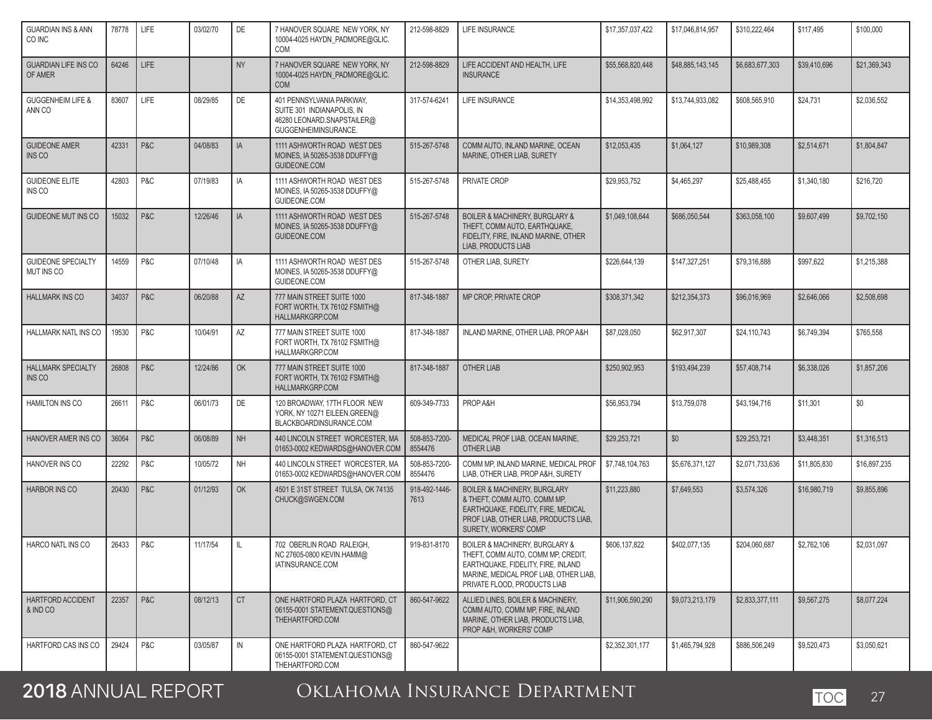| <b>GUARDIAN INS &amp; ANN</b><br>CO INC    | 78778 | LIFE        | 03/02/70 | <b>DE</b>     | 7 HANOVER SQUARE NEW YORK, NY<br>10004-4025 HAYDN_PADMORE@GLIC.<br>COM                                        | 212-598-8829             | <b>LIFE INSURANCE</b>                                                                                                                                                                               | \$17,357,037,422 | \$17,046,814,957 | \$310,222,464   | \$117,495    | \$100,000    |
|--------------------------------------------|-------|-------------|----------|---------------|---------------------------------------------------------------------------------------------------------------|--------------------------|-----------------------------------------------------------------------------------------------------------------------------------------------------------------------------------------------------|------------------|------------------|-----------------|--------------|--------------|
| <b>GUARDIAN LIFE INS CO</b><br>OF AMER     | 64246 | <b>LIFE</b> |          | <b>NY</b>     | 7 HANOVER SQUARE NEW YORK, NY<br>10004-4025 HAYDN_PADMORE@GLIC.<br><b>COM</b>                                 | 212-598-8829             | LIFE ACCIDENT AND HEALTH, LIFE<br><b>INSURANCE</b>                                                                                                                                                  | \$55,568,820,448 | \$48,885,143,145 | \$6,683,677,303 | \$39,410,696 | \$21,369,343 |
| <b>GUGGENHEIM LIFE &amp;</b><br>ANN CO     | 83607 | LIFE        | 08/29/85 | DE            | 401 PENNSYLVANIA PARKWAY,<br>SUITE 301 INDIANAPOLIS, IN<br>46280 LEONARD.SNAPSTAILER@<br>GUGGENHEIMINSURANCE. | 317-574-6241             | <b>LIFE INSURANCE</b>                                                                                                                                                                               | \$14,353,498,992 | \$13,744,933,082 | \$608,565,910   | \$24,731     | \$2,036,552  |
| <b>GUIDEONE AMER</b><br><b>INS CO</b>      | 42331 | P&C         | 04/08/83 | IA            | 1111 ASHWORTH ROAD WEST DES<br>MOINES, IA 50265-3538 DDUFFY@<br>GUIDEONE.COM                                  | 515-267-5748             | COMM AUTO. INLAND MARINE, OCEAN<br>MARINE, OTHER LIAB, SURETY                                                                                                                                       | \$12,053,435     | \$1,064,127      | \$10,989,308    | \$2,514,671  | \$1,804,847  |
| <b>GUIDEONE ELITE</b><br>INS CO            | 42803 | P&C         | 07/19/83 | IA            | 1111 ASHWORTH ROAD WEST DES<br>MOINES, IA 50265-3538 DDUFFY@<br>GUIDEONE.COM                                  | 515-267-5748             | PRIVATE CROP                                                                                                                                                                                        | \$29,953,752     | \$4,465,297      | \$25,488,455    | \$1,340,180  | \$216,720    |
| <b>GUIDEONE MUT INS CO</b>                 | 15032 | P&C         | 12/26/46 | IA            | 1111 ASHWORTH ROAD WEST DES<br>MOINES, IA 50265-3538 DDUFFY@<br>GUIDEONE.COM                                  | 515-267-5748             | <b>BOILER &amp; MACHINERY, BURGLARY &amp;</b><br>THEFT, COMM AUTO, EARTHQUAKE,<br>FIDELITY, FIRE, INLAND MARINE, OTHER<br>LIAB, PRODUCTS LIAB                                                       | \$1,049,108,644  | \$686,050,544    | \$363,058,100   | \$9,607,499  | \$9,702,150  |
| <b>GUIDEONE SPECIALTY</b><br>MUT INS CO    | 14559 | P&C         | 07/10/48 | IA            | 1111 ASHWORTH ROAD WEST DES<br>MOINES, IA 50265-3538 DDUFFY@<br>GUIDEONE.COM                                  | 515-267-5748             | OTHER LIAB, SURETY                                                                                                                                                                                  | \$226,644,139    | \$147,327,251    | \$79,316,888    | \$997,622    | \$1,215,388  |
| <b>HALLMARK INS CO</b>                     | 34037 | P&C         | 06/20/88 | AZ            | 777 MAIN STREET SUITE 1000<br>FORT WORTH, TX 76102 FSMITH@<br><b>HALLMARKGRP.COM</b>                          | 817-348-1887             | MP CROP, PRIVATE CROP                                                                                                                                                                               | \$308,371,342    | \$212.354.373    | \$96,016,969    | \$2,646,066  | \$2,508,698  |
| HALLMARK NATL INS CO                       | 19530 | P&C         | 10/04/91 | <b>AZ</b>     | 777 MAIN STREET SUITE 1000<br>FORT WORTH, TX 76102 FSMITH@<br><b>HALLMARKGRP.COM</b>                          | 817-348-1887             | INLAND MARINE, OTHER LIAB, PROP A&H                                                                                                                                                                 | \$87,028,050     | \$62,917,307     | \$24,110,743    | \$6,749,394  | \$765.558    |
| <b>HALLMARK SPECIALTY</b><br><b>INS CO</b> | 26808 | P&C         | 12/24/86 | OK            | 777 MAIN STREET SUITE 1000<br>FORT WORTH, TX 76102 FSMITH@<br><b>HALLMARKGRP.COM</b>                          | 817-348-1887             | <b>OTHER LIAB</b>                                                                                                                                                                                   | \$250,902,953    | \$193.494.239    | \$57,408,714    | \$6,338,026  | \$1,857,206  |
| <b>HAMILTON INS CO</b>                     | 26611 | P&C         | 06/01/73 | <b>DE</b>     | 120 BROADWAY, 17TH FLOOR NEW<br>YORK, NY 10271 EILEEN.GREEN@<br>BLACKBOARDINSURANCE.COM                       | 609-349-7733             | PROP A&H                                                                                                                                                                                            | \$56,953,794     | \$13,759,078     | \$43,194,716    | \$11,301     | \$0          |
| HANOVER AMER INS CO                        | 36064 | P&C         | 06/08/89 | <b>NH</b>     | 440 LINCOLN STREET WORCESTER, MA<br>01653-0002 KEDWARDS@HANOVER.COM                                           | 508-853-7200-<br>8554476 | MEDICAL PROF LIAB, OCEAN MARINE,<br>OTHER LIAB                                                                                                                                                      | \$29,253,721     | \$0              | \$29.253.721    | \$3,448,351  | \$1,316,513  |
| HANOVER INS CO                             | 22292 | P&C         | 10/05/72 | <b>NH</b>     | 440 LINCOLN STREET WORCESTER, MA<br>01653-0002 KEDWARDS@HANOVER.COM                                           | 508-853-7200-<br>8554476 | COMM MP, INLAND MARINE, MEDICAL PROF<br>LIAB, OTHER LIAB, PROP A&H, SURETY                                                                                                                          | \$7,748,104,763  | \$5,676,371,127  | \$2,071,733,636 | \$11,805,830 | \$16,897,235 |
| <b>HARBOR INS CO</b>                       | 20430 | P&C         | 01/12/93 | OK            | 4501 E 31ST STREET TULSA, OK 74135<br>CHUCK@SWGEN.COM                                                         | 918-492-1446-<br>7613    | <b>BOILER &amp; MACHINERY, BURGLARY</b><br>& THEFT, COMM AUTO, COMM MP,<br>EARTHQUAKE, FIDELITY, FIRE, MEDICAL<br>PROF LIAB, OTHER LIAB, PRODUCTS LIAB,<br>SURETY, WORKERS' COMP                    | \$11,223,880     | \$7,649,553      | \$3,574,326     | \$16,980,719 | \$9,855,896  |
| <b>HARCO NATL INS CO</b>                   | 26433 | P&C         | 11/17/54 | <b>L</b>      | 702 OBERLIN ROAD RALEIGH.<br>NC 27605-0800 KEVIN.HAMM@<br>IATINSURANCE.COM                                    | 919-831-8170             | <b>BOILER &amp; MACHINERY, BURGLARY &amp;</b><br>THEFT, COMM AUTO, COMM MP, CREDIT,<br>EARTHQUAKE, FIDELITY, FIRE, INLAND<br>MARINE, MEDICAL PROF LIAB, OTHER LIAB,<br>PRIVATE FLOOD, PRODUCTS LIAB | \$606,137,822    | \$402.077.135    | \$204.060.687   | \$2.762.106  | \$2.031.097  |
| HARTFORD ACCIDENT<br>& IND CO              | 22357 | P&C         | 08/12/13 | <b>CT</b>     | ONE HARTFORD PLAZA HARTFORD, CT<br>06155-0001 STATEMENT.QUESTIONS@<br>THEHARTFORD.COM                         | 860-547-9622             | ALLIED LINES. BOILER & MACHINERY.<br>COMM AUTO, COMM MP, FIRE, INLAND<br>MARINE, OTHER LIAB, PRODUCTS LIAB.<br>PROP A&H, WORKERS' COMP                                                              | \$11,906,590,290 | \$9,073,213,179  | \$2,833,377,111 | \$9,567,275  | \$8,077,224  |
| HARTFORD CAS INS CO                        | 29424 | P&C         | 03/05/87 | $\mathsf{IN}$ | ONE HARTFORD PLAZA HARTFORD. CT<br>06155-0001 STATEMENT.QUESTIONS@<br>THEHARTFORD.COM                         | 860-547-9622             |                                                                                                                                                                                                     | \$2,352,301,177  | \$1,465,794,928  | \$886,506,249   | \$9,520,473  | \$3,050,621  |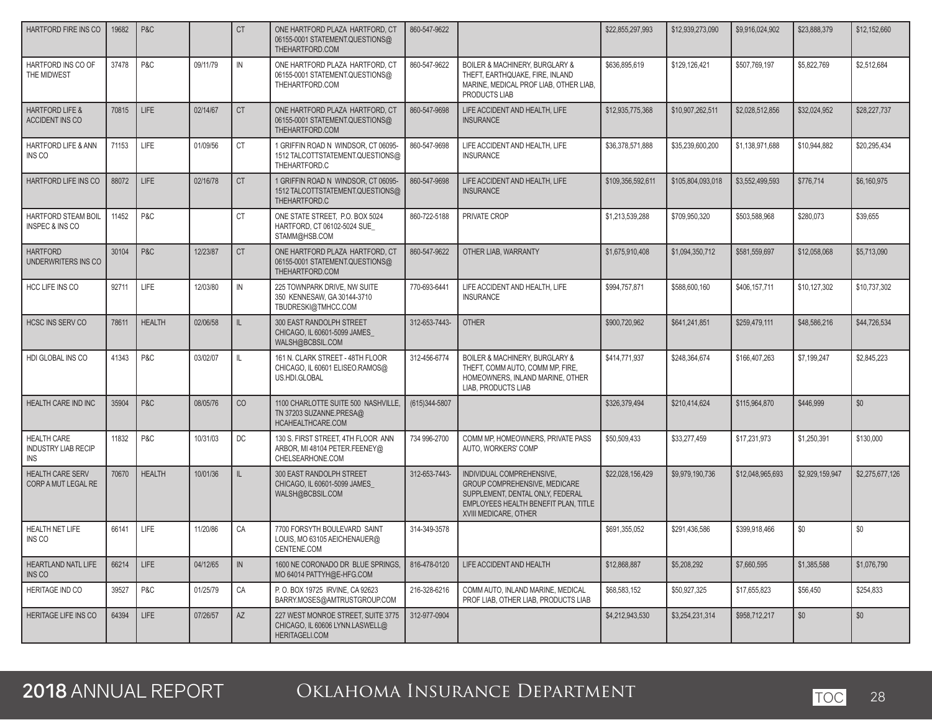| HARTFORD FIRE INS CO                                           | 19682 | P&C           |          | <b>CT</b>    | ONE HARTFORD PLAZA HARTFORD, CT<br>06155-0001 STATEMENT.QUESTIONS@<br>THEHARTFORD.COM    | 860-547-9622  |                                                                                                                                                                 | \$22,855,297,993  | \$12,939,273,090  | \$9,916,024,902  | \$23,888,379    | \$12,152,660    |
|----------------------------------------------------------------|-------|---------------|----------|--------------|------------------------------------------------------------------------------------------|---------------|-----------------------------------------------------------------------------------------------------------------------------------------------------------------|-------------------|-------------------|------------------|-----------------|-----------------|
| HARTFORD INS CO OF<br>THE MIDWEST                              | 37478 | P&C           | 09/11/79 | IN           | ONE HARTFORD PLAZA HARTFORD, CT<br>06155-0001 STATEMENT.QUESTIONS@<br>THEHARTFORD.COM    | 860-547-9622  | BOILER & MACHINERY, BURGLARY &<br>THEFT, EARTHQUAKE, FIRE, INLAND<br>MARINE, MEDICAL PROF LIAB, OTHER LIAB,<br>PRODUCTS LIAB                                    | \$636,895,619     | \$129,126,421     | \$507,769,197    | \$5,822,769     | \$2,512,684     |
| <b>HARTFORD LIFE &amp;</b><br><b>ACCIDENT INS CO</b>           | 70815 | <b>LIFE</b>   | 02/14/67 | <b>CT</b>    | ONE HARTFORD PLAZA HARTFORD, CT<br>06155-0001 STATEMENT.QUESTIONS@<br>THEHARTFORD.COM    | 860-547-9698  | LIFE ACCIDENT AND HEALTH, LIFE<br><b>INSURANCE</b>                                                                                                              | \$12.935.775.368  | \$10,907,262,511  | \$2.028.512.856  | \$32.024.952    | \$28,227,737    |
| <b>HARTFORD LIFE &amp; ANN</b><br>INS CO                       | 71153 | <b>LIFE</b>   | 01/09/56 | <b>CT</b>    | 1 GRIFFIN ROAD N WINDSOR, CT 06095-<br>1512 TALCOTTSTATEMENT.QUESTIONS@<br>THEHARTFORD.C | 860-547-9698  | LIFE ACCIDENT AND HEALTH, LIFE<br><b>INSURANCE</b>                                                                                                              | \$36,378,571,888  | \$35,239,600,200  | \$1,138,971,688  | \$10,944,882    | \$20,295,434    |
| HARTFORD LIFE INS CO                                           | 88072 | LIFE          | 02/16/78 | <b>CT</b>    | 1 GRIFFIN ROAD N WINDSOR, CT 06095-<br>1512 TALCOTTSTATEMENT.QUESTIONS@<br>THEHARTFORD.C | 860-547-9698  | LIFE ACCIDENT AND HEALTH, LIFE<br><b>INSURANCE</b>                                                                                                              | \$109.356.592.611 | \$105,804,093,018 | \$3.552,499.593  | \$776.714       | \$6,160,975     |
| <b>HARTFORD STEAM BOIL</b><br><b>INSPEC &amp; INS CO</b>       | 11452 | P&C           |          | <b>CT</b>    | ONE STATE STREET. P.O. BOX 5024<br>HARTFORD, CT 06102-5024 SUE<br>STAMM@HSB.COM          | 860-722-5188  | PRIVATE CROP                                                                                                                                                    | \$1,213,539,288   | \$709.950.320     | \$503.588.968    | \$280,073       | \$39.655        |
| <b>HARTFORD</b><br>UNDERWRITERS INS CO                         | 30104 | P&C           | 12/23/87 | <b>CT</b>    | ONE HARTFORD PLAZA HARTFORD, CT<br>06155-0001 STATEMENT.QUESTIONS@<br>THEHARTFORD.COM    | 860-547-9622  | OTHER LIAB, WARRANTY                                                                                                                                            | \$1,675,910,408   | \$1,094,350,712   | \$581,559,697    | \$12,058,068    | \$5,713,090     |
| HCC LIFE INS CO                                                | 92711 | <b>LIFE</b>   | 12/03/80 | IN           | 225 TOWNPARK DRIVE. NW SUITE<br>350 KENNESAW, GA 30144-3710<br>TBUDRESKI@TMHCC.COM       | 770-693-6441  | LIFE ACCIDENT AND HEALTH, LIFE<br><b>INSURANCE</b>                                                                                                              | \$994,757,871     | \$588,600,160     | \$406,157,711    | \$10,127,302    | \$10,737,302    |
| <b>HCSC INS SERV CO</b>                                        | 78611 | <b>HEALTH</b> | 02/06/58 | $\mathbb{L}$ | 300 EAST RANDOLPH STREET<br>CHICAGO, IL 60601-5099 JAMES<br>WALSH@BCBSIL.COM             | 312-653-7443- | <b>OTHER</b>                                                                                                                                                    | \$900.720.962     | \$641,241,851     | \$259,479,111    | \$48,586,216    | \$44,726,534    |
| HDI GLOBAL INS CO                                              | 41343 | P&C           | 03/02/07 | L            | 161 N. CLARK STREET - 48TH FLOOR<br>CHICAGO, IL 60601 ELISEO.RAMOS@<br>US.HDI.GLOBAL     | 312-456-6774  | BOILER & MACHINERY, BURGLARY &<br>THEFT, COMM AUTO, COMM MP, FIRE,<br>HOMEOWNERS, INLAND MARINE, OTHER<br>LIAB, PRODUCTS LIAB                                   | \$414,771,937     | \$248,364,674     | \$166,407,263    | \$7,199,247     | \$2,845,223     |
| <b>HEALTH CARE IND INC</b>                                     | 35904 | P&C           | 08/05/76 | CO           | 1100 CHARLOTTE SUITE 500 NASHVILLE,<br>TN 37203 SUZANNE.PRESA@<br>HCAHEALTHCARE.COM      | (615)344-5807 |                                                                                                                                                                 | \$326.379.494     | \$210.414.624     | \$115,964,870    | \$446.999       | \$0             |
| <b>HEALTH CARE</b><br><b>INDUSTRY LIAB RECIP</b><br><b>INS</b> | 11832 | P&C           | 10/31/03 | <b>DC</b>    | 130 S. FIRST STREET, 4TH FLOOR ANN<br>ARBOR, MI 48104 PETER.FEENEY@<br>CHELSEARHONE.COM  | 734 996-2700  | COMM MP, HOMEOWNERS, PRIVATE PASS<br>AUTO, WORKERS' COMP                                                                                                        | \$50,509,433      | \$33,277,459      | \$17,231,973     | \$1,250,391     | \$130,000       |
| HEALTH CARE SERV<br>CORP A MUT LEGAL RE                        | 70670 | <b>HEALTH</b> | 10/01/36 | IL.          | 300 EAST RANDOLPH STREET<br>CHICAGO, IL 60601-5099 JAMES<br>WALSH@BCBSIL.COM             | 312-653-7443- | INDIVIDUAL COMPREHENSIVE,<br>GROUP COMPREHENSIVE, MEDICARE<br>SUPPLEMENT, DENTAL ONLY, FEDERAL<br>EMPLOYEES HEALTH BENEFIT PLAN. TITLE<br>XVIII MEDICARE, OTHER | \$22,028,156,429  | \$9,979,190,736   | \$12.048.965.693 | \$2,929,159,947 | \$2,275,677,126 |
| <b>HEALTH NET LIFE</b><br>INS CO                               | 66141 | LIFE          | 11/20/86 | CA           | 7700 FORSYTH BOULEVARD SAINT<br>LOUIS, MO 63105 AEICHENAUER@<br>CENTENE.COM              | 314-349-3578  |                                                                                                                                                                 | \$691,355,052     | \$291,436,586     | \$399,918,466    | \$0             | \$0             |
| HEARTLAND NATL LIFE<br>INS CO                                  | 66214 | <b>LIFE</b>   | 04/12/65 | IN           | 1600 NE CORONADO DR BLUE SPRINGS.<br>MO 64014 PATTYH@E-HFG.COM                           | 816-478-0120  | LIFE ACCIDENT AND HEALTH                                                                                                                                        | \$12,868,887      | \$5,208,292       | \$7,660,595      | \$1,385,588     | \$1,076,790     |
| <b>HERITAGE IND CO</b>                                         | 39527 | P&C           | 01/25/79 | CA           | P. O. BOX 19725 IRVINE, CA 92623<br>BARRY.MOSES@AMTRUSTGROUP.COM                         | 216-328-6216  | COMM AUTO, INLAND MARINE, MEDICAL<br>PROF LIAB. OTHER LIAB. PRODUCTS LIAB                                                                                       | \$68,583,152      | \$50,927,325      | \$17,655,823     | \$56,450        | \$254,833       |
| HERITAGE LIFE INS CO                                           | 64394 | LIFE          | 07/26/57 | AZ           | 227 WEST MONROE STREET, SUITE 3775<br>CHICAGO, IL 60606 LYNN.LASWELL@<br>HERITAGELI.COM  | 312-977-0904  |                                                                                                                                                                 | \$4,212,943,530   | \$3,254,231,314   | \$958,712,217    | \$0             | \$0             |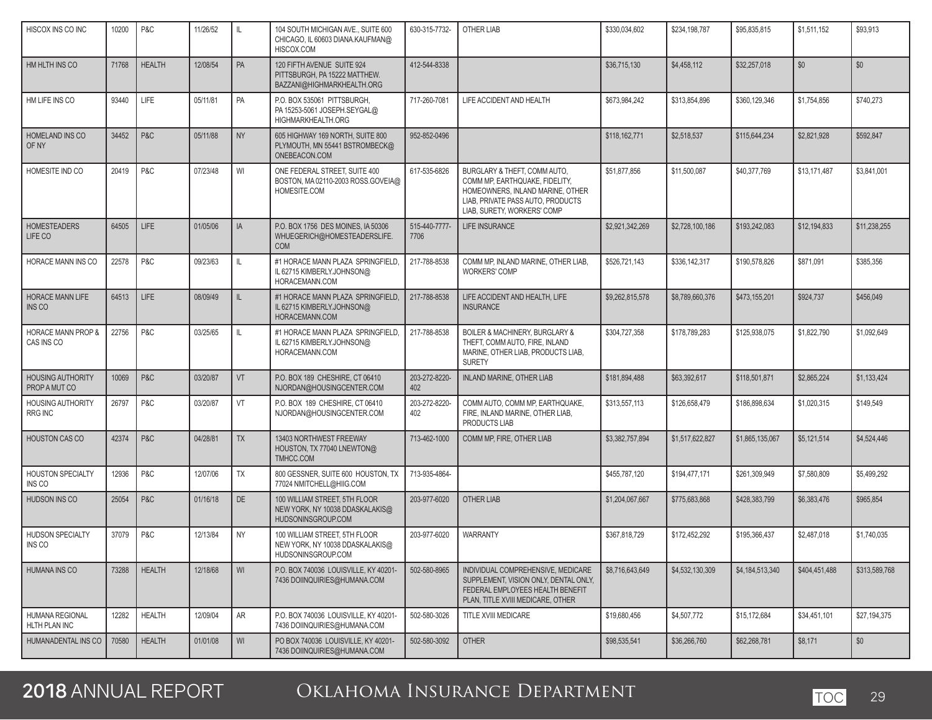| HISCOX INS CO INC                          | 10200 | P&C           | 11/26/52 | IL.           | 104 SOUTH MICHIGAN AVE., SUITE 600<br>CHICAGO, IL 60603 DIANA.KAUFMAN@<br>HISCOX.COM      | 630-315-7732-         | <b>OTHER LIAB</b>                                                                                                                                                      | \$330,034,602   | \$234,198,787   | \$95,835,815    | \$1,511,152   | \$93,913      |
|--------------------------------------------|-------|---------------|----------|---------------|-------------------------------------------------------------------------------------------|-----------------------|------------------------------------------------------------------------------------------------------------------------------------------------------------------------|-----------------|-----------------|-----------------|---------------|---------------|
| HM HLTH INS CO                             | 71768 | <b>HEALTH</b> | 12/08/54 | PA            | 120 FIFTH AVENUE SUITE 924<br>PITTSBURGH, PA 15222 MATTHEW.<br>BAZZANI@HIGHMARKHEALTH.ORG | 412-544-8338          |                                                                                                                                                                        | \$36,715,130    | \$4,458,112     | \$32,257,018    | \$0           | \$0           |
| HM LIFE INS CO                             | 93440 | <b>LIFE</b>   | 05/11/81 | PA            | P.O. BOX 535061 PITTSBURGH,<br>PA 15253-5061 JOSEPH.SEYGAL@<br>HIGHMARKHEALTH.ORG         | 717-260-7081          | LIFE ACCIDENT AND HEALTH                                                                                                                                               | \$673,984,242   | \$313,854,896   | \$360,129,346   | \$1,754,856   | \$740,273     |
| HOMELAND INS CO<br>OF NY                   | 34452 | P&C           | 05/11/88 | <b>NY</b>     | 605 HIGHWAY 169 NORTH, SUITE 800<br>PLYMOUTH, MN 55441 BSTROMBECK@<br>ONEBEACON.COM       | 952-852-0496          |                                                                                                                                                                        | \$118,162,771   | \$2,518,537     | \$115,644,234   | \$2,821,928   | \$592,847     |
| HOMESITE IND CO                            | 20419 | P&C           | 07/23/48 | WI            | ONE FEDERAL STREET, SUITE 400<br>BOSTON, MA 02110-2003 ROSS.GOVEIA@<br>HOMESITE.COM       | 617-535-6826          | BURGLARY & THEFT, COMM AUTO.<br>COMM MP, EARTHQUAKE, FIDELITY,<br>HOMEOWNERS. INLAND MARINE, OTHER<br>LIAB, PRIVATE PASS AUTO, PRODUCTS<br>LIAB, SURETY, WORKERS' COMP | \$51,877,856    | \$11,500,087    | \$40,377,769    | \$13,171,487  | \$3,841,001   |
| <b>HOMESTEADERS</b><br>LIFE CO             | 64505 | <b>LIFE</b>   | 01/05/06 | IA            | P.O. BOX 1756 DES MOINES, IA 50306<br>WHUEGERICH@HOMESTEADERSLIFE.<br><b>COM</b>          | 515-440-7777-<br>7706 | LIFE INSURANCE                                                                                                                                                         | \$2,921,342,269 | \$2,728,100,186 | \$193,242,083   | \$12,194,833  | \$11,238,255  |
| HORACE MANN INS CO                         | 22578 | P&C           | 09/23/63 | $\mathbf{II}$ | #1 HORACE MANN PLAZA SPRINGFIELD,<br>IL 62715 KIMBERLY.JOHNSON@<br>HORACEMANN.COM         | 217-788-8538          | COMM MP, INLAND MARINE, OTHER LIAB,<br><b>WORKERS' COMP</b>                                                                                                            | \$526,721,143   | \$336,142,317   | \$190,578,826   | \$871,091     | \$385,356     |
| <b>HORACE MANN LIFE</b><br>INS CO          | 64513 | <b>LIFE</b>   | 08/09/49 | $\mathbb{L}$  | #1 HORACE MANN PLAZA SPRINGFIELD,<br>IL 62715 KIMBERLY.JOHNSON@<br>HORACEMANN.COM         | 217-788-8538          | LIFE ACCIDENT AND HEALTH. LIFE<br><b>INSURANCE</b>                                                                                                                     | \$9.262.815.578 | \$8,789,660,376 | \$473,155,201   | \$924,737     | \$456,049     |
| HORACE MANN PROP &<br>CAS INS CO           | 22756 | P&C           | 03/25/65 | Ш             | #1 HORACE MANN PLAZA SPRINGFIELD.<br>IL 62715 KIMBERLY.JOHNSON@<br>HORACEMANN.COM         | 217-788-8538          | <b>BOILER &amp; MACHINERY, BURGLARY &amp;</b><br>THEFT, COMM AUTO, FIRE, INLAND<br>MARINE, OTHER LIAB, PRODUCTS LIAB,<br><b>SURETY</b>                                 | \$304.727.358   | \$178,789,283   | \$125,938,075   | \$1,822,790   | \$1.092.649   |
| <b>HOUSING AUTHORITY</b><br>PROP A MUT CO  | 10069 | P&C           | 03/20/87 | VT            | P.O. BOX 189 CHESHIRE, CT 06410<br>NJORDAN@HOUSINGCENTER.COM                              | 203-272-8220-<br>402  | <b>INLAND MARINE, OTHER LIAB</b>                                                                                                                                       | \$181,894,488   | \$63,392,617    | \$118,501,871   | \$2,865,224   | \$1,133,424   |
| <b>HOUSING AUTHORITY</b><br><b>RRG INC</b> | 26797 | P&C           | 03/20/87 | VT            | P.O. BOX 189 CHESHIRE, CT 06410<br>NJORDAN@HOUSINGCENTER.COM                              | 203-272-8220-<br>402  | COMM AUTO, COMM MP, EARTHQUAKE,<br>FIRE, INLAND MARINE, OTHER LIAB,<br>PRODUCTS LIAB                                                                                   | \$313,557,113   | \$126,658,479   | \$186,898,634   | \$1,020,315   | \$149.549     |
| <b>HOUSTON CAS CO</b>                      | 42374 | P&C           | 04/28/81 | <b>TX</b>     | 13403 NORTHWEST FREEWAY<br>HOUSTON, TX 77040 LNEWTON@<br>TMHCC.COM                        | 713-462-1000          | COMM MP, FIRE, OTHER LIAB                                                                                                                                              | \$3,382,757,894 | \$1,517,622,827 | \$1,865,135,067 | \$5,121,514   | \$4,524,446   |
| <b>HOUSTON SPECIALTY</b><br>INS CO         | 12936 | P&C           | 12/07/06 | <b>TX</b>     | 800 GESSNER, SUITE 600 HOUSTON, TX<br>77024 NMITCHELL@HIIG.COM                            | 713-935-4864-         |                                                                                                                                                                        | \$455,787,120   | \$194,477,171   | \$261,309,949   | \$7,580,809   | \$5,499,292   |
| HUDSON INS CO                              | 25054 | P&C           | 01/16/18 | DE            | 100 WILLIAM STREET, 5TH FLOOR<br>NEW YORK, NY 10038 DDASKALAKIS@<br>HUDSONINSGROUP.COM    | 203-977-6020          | <b>OTHER LIAB</b>                                                                                                                                                      | \$1,204,067,667 | \$775,683,868   | \$428,383,799   | \$6,383,476   | \$965,854     |
| <b>HUDSON SPECIALTY</b><br>INS CO          | 37079 | P&C           | 12/13/84 | <b>NY</b>     | 100 WILLIAM STREET, 5TH FLOOR<br>NEW YORK, NY 10038 DDASKALAKIS@<br>HUDSONINSGROUP.COM    | 203-977-6020          | <b>WARRANTY</b>                                                                                                                                                        | \$367,818,729   | \$172,452,292   | \$195,366,437   | \$2,487,018   | \$1,740,035   |
| HUMANA INS CO                              | 73288 | <b>HEALTH</b> | 12/18/68 | WI            | P.O. BOX 740036 LOUISVILLE, KY 40201-<br>7436 DOIINQUIRIES@HUMANA.COM                     | 502-580-8965          | INDIVIDUAL COMPREHENSIVE. MEDICARE<br>SUPPLEMENT, VISION ONLY, DENTAL ONLY,<br>FEDERAL EMPLOYEES HEALTH BENEFIT<br>PLAN, TITLE XVIII MEDICARE, OTHER                   | \$8,716,643,649 | \$4.532.130.309 | \$4,184,513,340 | \$404.451.488 | \$313,589,768 |
| HUMANA REGIONAL<br>HLTH PLAN INC           | 12282 | <b>HEALTH</b> | 12/09/04 | AR            | P.O. BOX 740036 LOUISVILLE, KY 40201-<br>7436 DOIINQUIRIES@HUMANA.COM                     | 502-580-3026          | TITLE XVIII MEDICARE                                                                                                                                                   | \$19,680,456    | \$4,507,772     | \$15,172,684    | \$34,451,101  | \$27,194,375  |
| HUMANADENTAL INS CO                        | 70580 | <b>HEALTH</b> | 01/01/08 | WI            | PO BOX 740036 LOUISVILLE, KY 40201-<br>7436 DOIINQUIRIES@HUMANA.COM                       | 502-580-3092          | <b>OTHER</b>                                                                                                                                                           | \$98,535,541    | \$36,266,760    | \$62,268,781    | \$8,171       | \$0           |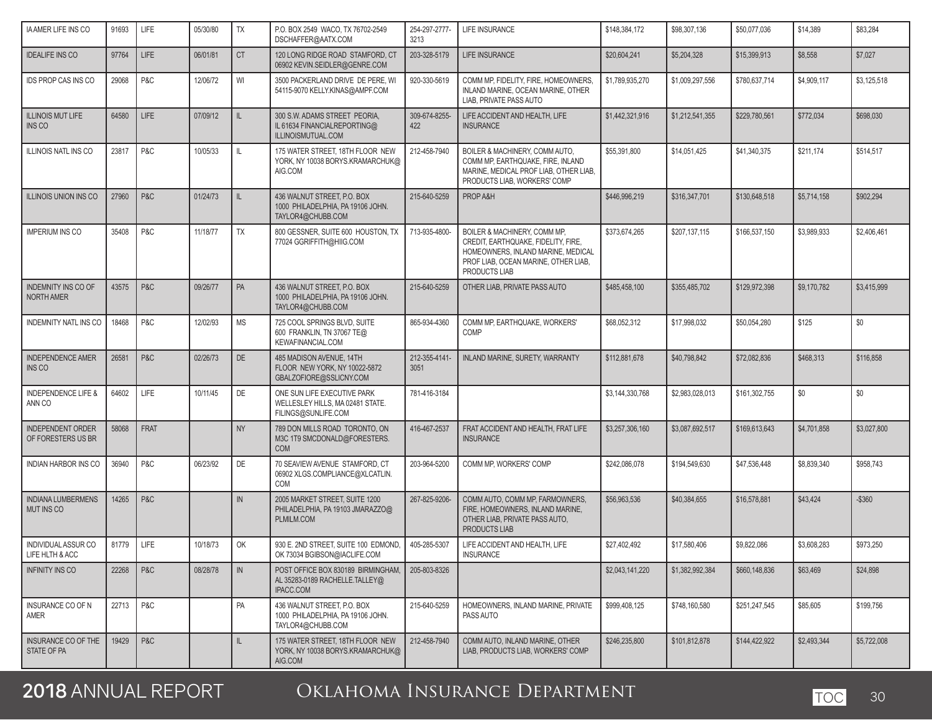| <b>IAAMER LIFE INS CO</b>                      | 91693 | <b>LIFE</b> | 05/30/80 | <b>TX</b> | P.O. BOX 2549 WACO, TX 76702-2549<br>DSCHAFFER@AATX.COM                                | 254-297-2777-<br>3213 | LIFE INSURANCE                                                                                                                                                     | \$148,384,172   | \$98,307,136    | \$50,077,036  | \$14,389    | \$83,284    |
|------------------------------------------------|-------|-------------|----------|-----------|----------------------------------------------------------------------------------------|-----------------------|--------------------------------------------------------------------------------------------------------------------------------------------------------------------|-----------------|-----------------|---------------|-------------|-------------|
| <b>IDEALIFE INS CO</b>                         | 97764 | <b>LIFE</b> | 06/01/81 | <b>CT</b> | 120 LONG RIDGE ROAD STAMFORD, CT<br>06902 KEVIN.SEIDLER@GENRE.COM                      | 203-328-5179          | <b>LIFE INSURANCE</b>                                                                                                                                              | \$20,604,241    | \$5,204,328     | \$15,399,913  | \$8,558     | \$7,027     |
| <b>IDS PROP CAS INS CO</b>                     | 29068 | P&C         | 12/06/72 | WI        | 3500 PACKERLAND DRIVE DE PERE. WI<br>54115-9070 KELLY.KINAS@AMPF.COM                   | 920-330-5619          | COMM MP, FIDELITY, FIRE, HOMEOWNERS,<br>INLAND MARINE, OCEAN MARINE, OTHER<br>LIAB, PRIVATE PASS AUTO                                                              | \$1,789,935,270 | \$1,009,297,556 | \$780,637,714 | \$4,909,117 | \$3,125,518 |
| <b>ILLINOIS MUT LIFE</b><br><b>INS CO</b>      | 64580 | <b>LIFE</b> | 07/09/12 | IL.       | 300 S.W. ADAMS STREET PEORIA,<br>IL 61634 FINANCIALREPORTING@<br>ILLINOISMUTUAL.COM    | 309-674-8255-<br>422  | LIFE ACCIDENT AND HEALTH, LIFE<br><b>INSURANCE</b>                                                                                                                 | \$1,442,321,916 | \$1,212,541,355 | \$229,780,561 | \$772,034   | \$698,030   |
| <b>ILLINOIS NATL INS CO</b>                    | 23817 | P&C         | 10/05/33 | IL.       | 175 WATER STREET, 18TH FLOOR NEW<br>YORK, NY 10038 BORYS.KRAMARCHUK@<br>AIG.COM        | 212-458-7940          | BOILER & MACHINERY, COMM AUTO,<br>COMM MP. EARTHQUAKE, FIRE, INLAND<br>MARINE, MEDICAL PROF LIAB, OTHER LIAB,<br>PRODUCTS LIAB, WORKERS' COMP                      | \$55,391,800    | \$14,051,425    | \$41,340,375  | \$211,174   | \$514,517   |
| <b>ILLINOIS UNION INS CO</b>                   | 27960 | P&C         | 01/24/73 | IL.       | 436 WALNUT STREET, P.O. BOX<br>1000 PHILADELPHIA, PA 19106 JOHN.<br>TAYLOR4@CHUBB.COM  | 215-640-5259          | PROP A&H                                                                                                                                                           | \$446,996,219   | \$316,347,701   | \$130,648,518 | \$5,714,158 | \$902,294   |
| <b>IMPERIUM INS CO</b>                         | 35408 | P&C         | 11/18/77 | <b>TX</b> | 800 GESSNER, SUITE 600 HOUSTON, TX<br>77024 GGRIFFITH@HIIG.COM                         | 713-935-4800-         | BOILER & MACHINERY, COMM MP,<br>CREDIT, EARTHQUAKE, FIDELITY, FIRE,<br>HOMEOWNERS, INLAND MARINE, MEDICAL<br>PROF LIAB, OCEAN MARINE, OTHER LIAB,<br>PRODUCTS LIAB | \$373,674,265   | \$207,137,115   | \$166,537,150 | \$3,989,933 | \$2,406,461 |
| <b>INDEMNITY INS CO OF</b><br>NORTH AMER       | 43575 | P&C         | 09/26/77 | PA        | 436 WALNUT STREET, P.O. BOX<br>1000 PHILADELPHIA, PA 19106 JOHN.<br>TAYLOR4@CHUBB.COM  | 215-640-5259          | OTHER LIAB, PRIVATE PASS AUTO                                                                                                                                      | \$485,458,100   | \$355,485,702   | \$129,972,398 | \$9,170,782 | \$3,415,999 |
| INDEMNITY NATL INS CO                          | 18468 | P&C         | 12/02/93 | <b>MS</b> | 725 COOL SPRINGS BLVD, SUITE<br>600 FRANKLIN, TN 37067 TE@<br>KEWAFINANCIAL.COM        | 865-934-4360          | COMM MP. EARTHQUAKE. WORKERS'<br>COMP                                                                                                                              | \$68,052,312    | \$17,998,032    | \$50,054,280  | \$125       | \$0         |
| <b>INDEPENDENCE AMER</b><br>INS CO             | 26581 | P&C         | 02/26/73 | <b>DE</b> | 485 MADISON AVENUE, 14TH<br>FLOOR NEW YORK, NY 10022-5872<br>GBALZOFIORE@SSLICNY.COM   | 212-355-4141-<br>3051 | INLAND MARINE, SURETY, WARRANTY                                                                                                                                    | \$112,881,678   | \$40.798.842    | \$72,082,836  | \$468,313   | \$116,858   |
| <b>INDEPENDENCE LIFE &amp;</b><br>ANN CO       | 64602 | <b>LIFE</b> | 10/11/45 | DE        | ONE SUN LIFE EXECUTIVE PARK<br>WELLESLEY HILLS, MA 02481 STATE.<br>FILINGS@SUNLIFE.COM | 781-416-3184          |                                                                                                                                                                    | \$3,144,330,768 | \$2,983,028,013 | \$161,302,755 | \$0         | \$0         |
| <b>INDEPENDENT ORDER</b><br>OF FORESTERS US BR | 58068 | <b>FRAT</b> |          | <b>NY</b> | 789 DON MILLS ROAD TORONTO, ON<br>M3C 1T9 SMCDONALD@FORESTERS.<br><b>COM</b>           | 416-467-2537          | FRAT ACCIDENT AND HEALTH, FRAT LIFE<br><b>INSURANCE</b>                                                                                                            | \$3,257,306,160 | \$3,087,692,517 | \$169,613,643 | \$4,701,858 | \$3,027,800 |
| <b>INDIAN HARBOR INS CO</b>                    | 36940 | P&C         | 06/23/92 | DE        | 70 SEAVIEW AVENUE STAMFORD, CT<br>06902 XLGS.COMPLIANCE@XLCATLIN.<br>COM               | 203-964-5200          | COMM MP, WORKERS' COMP                                                                                                                                             | \$242,086,078   | \$194,549,630   | \$47,536,448  | \$8,839,340 | \$958,743   |
| <b>INDIANA LUMBERMENS</b><br><b>MUT INS CO</b> | 14265 | P&C         |          | IN        | 2005 MARKET STREET, SUITE 1200<br>PHILADELPHIA, PA 19103 JMARAZZO@<br>PLMILM.COM       | 267-825-9206-         | COMM AUTO, COMM MP, FARMOWNERS,<br>FIRE, HOMEOWNERS, INLAND MARINE,<br>OTHER LIAB, PRIVATE PASS AUTO,<br><b>PRODUCTS LIAB</b>                                      | \$56,963,536    | \$40,384,655    | \$16,578,881  | \$43,424    | -\$360      |
| <b>INDIVIDUAL ASSUR CO</b><br>LIFE HLTH & ACC  | 81779 | LIFE        | 10/18/73 | OK        | 930 E. 2ND STREET. SUITE 100 EDMOND.<br>OK 73034 BGIBSON@IACLIFE.COM                   | 405-285-5307          | LIFE ACCIDENT AND HEALTH, LIFE<br><b>INSURANCE</b>                                                                                                                 | \$27,402,492    | \$17,580,406    | \$9,822,086   | \$3,608,283 | \$973.250   |
| <b>INFINITY INS CO</b>                         | 22268 | P&C         | 08/28/78 | IN        | POST OFFICE BOX 830189 BIRMINGHAM,<br>AL 35283-0189 RACHELLE.TALLEY@<br>IPACC.COM      | 205-803-8326          |                                                                                                                                                                    | \$2,043,141,220 | \$1,382,992,384 | \$660,148,836 | \$63,469    | \$24,898    |
| <b>INSURANCE CO OF N</b><br>AMER               | 22713 | P&C         |          | PA        | 436 WALNUT STREET, P.O. BOX<br>1000 PHILADELPHIA, PA 19106 JOHN.<br>TAYLOR4@CHUBB.COM  | 215-640-5259          | HOMEOWNERS. INLAND MARINE. PRIVATE<br>PASS AUTO                                                                                                                    | \$999,408,125   | \$748,160,580   | \$251,247,545 | \$85,605    | \$199,756   |
| INSURANCE CO OF THE<br>STATE OF PA             | 19429 | P&C         |          | L         | 175 WATER STREET, 18TH FLOOR NEW<br>YORK, NY 10038 BORYS.KRAMARCHUK@<br>AIG.COM        | 212-458-7940          | COMM AUTO, INLAND MARINE, OTHER<br>LIAB, PRODUCTS LIAB, WORKERS' COMP                                                                                              | \$246,235,800   | \$101,812,878   | \$144,422,922 | \$2,493,344 | \$5,722,008 |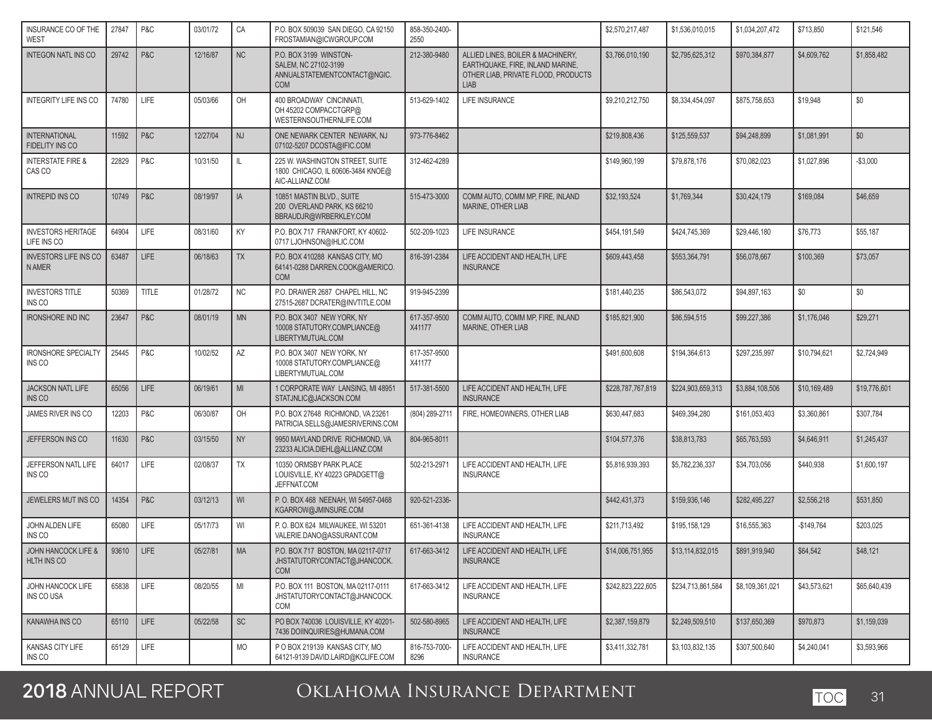| INSURANCE CO OF THE<br>WEST                    | 27847      | P&C          | 03/01/72 | CA        | P.O. BOX 509039 SAN DIEGO, CA 92150<br>FROSTAMIAN@ICWGROUP.COM                               | 858-350-2400-<br>2550  |                                                                                                                             | \$2,570,217,487              | \$1,536,010,015              | \$1,034,207,472 | \$713,850    | \$121,546    |
|------------------------------------------------|------------|--------------|----------|-----------|----------------------------------------------------------------------------------------------|------------------------|-----------------------------------------------------------------------------------------------------------------------------|------------------------------|------------------------------|-----------------|--------------|--------------|
| <b>INTEGON NATL INS CO</b>                     | 29742      | P&C          | 12/16/87 | <b>NC</b> | P.O. BOX 3199 WINSTON-<br>SALEM, NC 27102-3199<br>ANNUALSTATEMENTCONTACT@NGIC.<br><b>COM</b> | 212-380-9480           | ALLIED LINES, BOILER & MACHINERY,<br>EARTHQUAKE, FIRE, INLAND MARINE,<br>OTHER LIAB, PRIVATE FLOOD, PRODUCTS<br><b>LIAB</b> | \$3,766,010,190              | \$2,795,625,312              | \$970.384.877   | \$4,609,762  | \$1,858,482  |
| INTEGRITY LIFE INS CO                          | 74780      | <b>LIFE</b>  | 05/03/66 | OH        | 400 BROADWAY CINCINNATI,<br>OH 45202 COMPACCTGRP@<br>WESTERNSOUTHERNLIFE.COM                 | 513-629-1402           | LIFE INSURANCE                                                                                                              | \$9,210,212,750              | \$8.334.454.097              | \$875,758,653   | \$19,948     | \$0          |
| <b>INTERNATIONAL</b><br><b>FIDELITY INS CO</b> | 11592      | P&C          | 12/27/04 | <b>NJ</b> | ONE NEWARK CENTER NEWARK, NJ<br>07102-5207 DCOSTA@IFIC.COM                                   | 973-776-8462           |                                                                                                                             | \$219,808,436                | \$125,559,537                | \$94,248,899    | \$1,081,991  | \$0          |
| <b>INTERSTATE FIRE &amp;</b><br>CAS CO         | 22829      | P&C          | 10/31/50 | IL        | 225 W. WASHINGTON STREET, SUITE<br>1800 CHICAGO, IL 60606-3484 KNOE@<br>AIC-ALLIANZ.COM      | 312-462-4289           |                                                                                                                             | \$149,960,199                | \$79,878,176                 | \$70,082,023    | \$1,027,896  | $-$3,000$    |
| <b>INTREPID INS CO</b>                         | 10749      | P&C          | 08/19/97 | IA        | 10851 MASTIN BLVD., SUITE<br>200 OVERLAND PARK, KS 66210<br>BBRAUDJR@WRBERKLEY.COM           | 515-473-3000           | COMM AUTO, COMM MP, FIRE, INLAND<br><b>MARINE, OTHER LIAB</b>                                                               | \$32,193,524                 | \$1,769,344                  | \$30,424,179    | \$169,084    | \$46,659     |
| <b>INVESTORS HERITAGE</b><br>LIFE INS CO       | 64904      | LIFE         | 08/31/60 | KY        | P.O. BOX 717 FRANKFORT, KY 40602-<br>0717 LJOHNSON@IHLIC.COM                                 | 502-209-1023           | LIFE INSURANCE                                                                                                              | \$454,191,549                | \$424,745,369                | \$29,446,180    | \$76,773     | \$55,187     |
| <b>INVESTORS LIFE INS CO</b><br><b>N AMER</b>  | 63487      | <b>LIFE</b>  | 06/18/63 | <b>TX</b> | P.O. BOX 410288 KANSAS CITY, MO<br>64141-0288 DARREN.COOK@AMERICO.<br><b>COM</b>             | 816-391-2384           | LIFE ACCIDENT AND HEALTH, LIFE<br><b>INSURANCE</b>                                                                          | \$609,443,458                | \$553,364,791                | \$56,078,667    | \$100,369    | \$73,057     |
| <b>INVESTORS TITLE</b><br>INS CO               | 50369      | <b>TITLE</b> | 01/28/72 | <b>NC</b> | P.O. DRAWER 2687 CHAPEL HILL, NC<br>27515-2687 DCRATER@INVTITLE.COM                          | 919-945-2399           |                                                                                                                             | \$181,440,235                | \$86,543,072                 | \$94,897,163    | \$0          | \$0          |
| <b>IRONSHORE IND INC</b>                       | 23647      | P&C          | 08/01/19 | <b>MN</b> | P.O. BOX 3407 NEW YORK, NY<br>10008 STATUTORY.COMPLIANCE@<br>LIBERTYMUTUAL.COM               | 617-357-9500<br>X41177 | COMM AUTO, COMM MP, FIRE, INLAND<br>MARINE, OTHER LIAB                                                                      | \$185,821,900                | \$86,594,515                 | \$99,227,386    | \$1,176,046  | \$29,271     |
| <b>IRONSHORE SPECIALTY</b><br>INS CO           | 25445      | P&C          | 10/02/52 | AZ        | P.O. BOX 3407 NEW YORK, NY<br>10008 STATUTORY.COMPLIANCE@<br>LIBERTYMUTUAL.COM               | 617-357-9500<br>X41177 |                                                                                                                             | \$491,600,608                | \$194,364,613                | \$297,235,997   | \$10,794,621 | \$2,724,949  |
| <b>JACKSON NATL LIFE</b><br>INS CO             | 65056      | <b>LIFE</b>  | 06/19/61 | MI        | 1 CORPORATE WAY LANSING, MI 48951<br>STATJNLIC@JACKSON.COM                                   | 517-381-5500           | LIFE ACCIDENT AND HEALTH, LIFE<br><b>INSURANCE</b>                                                                          | \$228,787,767,819            | \$224,903,659,313            | \$3,884,108,506 | \$10,169,489 | \$19,776,601 |
| JAMES RIVER INS CO                             | 12203      | P&C          | 06/30/87 | OH        | P.O. BOX 27648 RICHMOND, VA 23261<br>PATRICIA.SELLS@JAMESRIVERINS.COM                        | (804) 289-2711         | FIRE, HOMEOWNERS, OTHER LIAB                                                                                                | \$630,447,683                | \$469,394,280                | \$161,053,403   | \$3,360,861  | \$307,784    |
| JEFFERSON INS CO                               | 11630      | P&C          | 03/15/50 | <b>NY</b> | 9950 MAYLAND DRIVE RICHMOND, VA<br>23233 ALICIA.DIEHL@ALLIANZ.COM                            | 804-965-8011           |                                                                                                                             | \$104,577,376                | \$38,813,783                 | \$65,763,593    | \$4,646,911  | \$1,245,437  |
| JEFFERSON NATL LIFE<br>INS CO                  | 64017      | <b>LIFE</b>  | 02/08/37 | TX        | 10350 ORMSBY PARK PLACE<br>LOUISVILLE, KY 40223 GPADGETT@<br>JEFFNAT.COM                     | 502-213-2971           | LIFE ACCIDENT AND HEALTH, LIFE<br><b>INSURANCE</b>                                                                          | \$5,816,939,393              | \$5,782,236,337              | \$34,703,056    | \$440,938    | \$1,600,197  |
| JEWELERS MUT INS CO                            | 14354      | P&C          | 03/12/13 | WI        | P.O. BOX 468 NEENAH, WI 54957-0468<br>KGARROW@JMINSURE.COM                                   | 920-521-2336-          |                                                                                                                             | \$442,431,373                | \$159,936,146                | \$282,495,227   | \$2,556,218  | \$531,850    |
| JOHN ALDEN LIFE<br>INS CO                      | 65080      | <b>LIFE</b>  | 05/17/73 | WI        | P. O. BOX 624 MILWAUKEE, WI 53201<br>VALERIE.DANO@ASSURANT.COM                               | 651-361-4138           | LIFE ACCIDENT AND HEALTH, LIFE<br><b>INSURANCE</b>                                                                          | \$211,713,492                | \$195.158.129                | \$16,555,363    | -\$149,764   | \$203,025    |
| JOHN HANCOCK LIFE &<br><b>HLTH INS CO</b>      | 93610 LIFE |              | 05/27/81 | I MA      | P.O. BOX 717 BOSTON, MA 02117-0717<br>JHSTATUTORYCONTACT@JHANCOCK.<br><b>COM</b>             | 617-663-3412           | LIFE ACCIDENT AND HEALTH, LIFE<br><b>INSURANCE</b>                                                                          | $\overline{$14,006,751,955}$ | $\overline{$13,114,832,015}$ | \$891,919,940   | \$64,542     | \$48,121     |
| JOHN HANCOCK LIFE<br>INS CO USA                | 65838      | LIFE         | 08/20/55 | MI        | P.O. BOX 111 BOSTON, MA 02117-0111<br>JHSTATUTORYCONTACT@JHANCOCK.<br>COM                    | 617-663-3412           | LIFE ACCIDENT AND HEALTH, LIFE<br><b>INSURANCE</b>                                                                          | \$242,823,222,605            | \$234,713,861,584            | \$8,109,361,021 | \$43,573,621 | \$65,640,439 |
| KANAWHA INS CO                                 | 65110      | LIFE         | 05/22/58 | <b>SC</b> | PO BOX 740036 LOUISVILLE, KY 40201-<br>7436 DOIINQUIRIES@HUMANA.COM                          | 502-580-8965           | LIFE ACCIDENT AND HEALTH. LIFE<br><b>INSURANCE</b>                                                                          | \$2,387,159,879              | \$2,249,509,510              | \$137,650,369   | \$970,873    | \$1,159,039  |
| KANSAS CITY LIFE<br>INS CO                     | 65129      | LIFE         |          | <b>MO</b> | P O BOX 219139 KANSAS CITY, MO<br>64121-9139 DAVID.LAIRD@KCLIFE.COM                          | 816-753-7000-<br>8296  | LIFE ACCIDENT AND HEALTH, LIFE<br><b>INSURANCE</b>                                                                          | \$3,411,332,781              | \$3,103,832,135              | \$307,500,640   | \$4,240,041  | \$3,593,966  |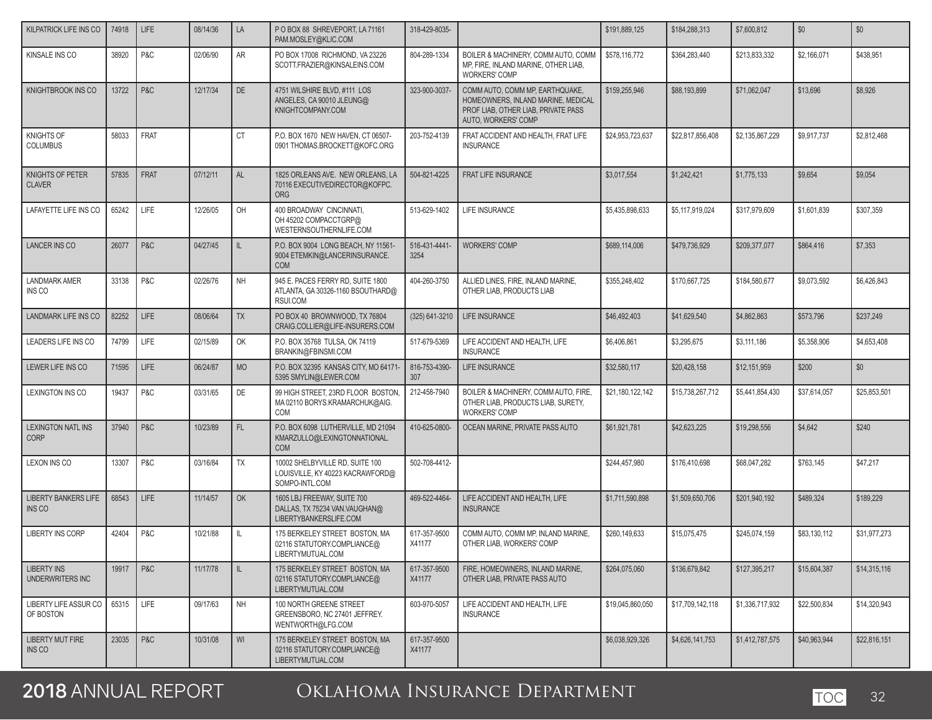| KILPATRICK LIFE INS CO                   | 74918 | <b>LIFE</b> | 08/14/36 | LA        | PO BOX 88 SHREVEPORT, LA 71161<br>PAM.MOSLEY@KLIC.COM                                  | 318-429-8035-          |                                                                                                                                     | \$191,889,125    | \$184,288,313    | \$7,600,812     | \$0          | \$0          |
|------------------------------------------|-------|-------------|----------|-----------|----------------------------------------------------------------------------------------|------------------------|-------------------------------------------------------------------------------------------------------------------------------------|------------------|------------------|-----------------|--------------|--------------|
| KINSALE INS CO                           | 38920 | P&C         | 02/06/90 | AR        | PO BOX 17008 RICHMOND, VA 23226<br>SCOTT.FRAZIER@KINSALEINS.COM                        | 804-289-1334           | BOILER & MACHINERY, COMM AUTO, COMM<br>MP. FIRE. INLAND MARINE. OTHER LIAB.<br><b>WORKERS' COMP</b>                                 | \$578,116,772    | \$364.283.440    | \$213.833.332   | \$2,166,071  | \$438,951    |
| KNIGHTBROOK INS CO                       | 13722 | P&C         | 12/17/34 | DE        | 4751 WILSHIRE BLVD, #111 LOS<br>ANGELES, CA 90010 JLEUNG@<br>KNIGHTCOMPANY.COM         | 323-900-3037-          | COMM AUTO, COMM MP, EARTHQUAKE,<br>HOMEOWNERS. INLAND MARINE. MEDICAL<br>PROF LIAB, OTHER LIAB, PRIVATE PASS<br>AUTO, WORKERS' COMP | \$159,255,946    | \$88,193,899     | \$71,062,047    | \$13,696     | \$8,926      |
| <b>KNIGHTS OF</b><br><b>COLUMBUS</b>     | 58033 | FRAT        |          | <b>CT</b> | P.O. BOX 1670 NEW HAVEN, CT 06507-<br>0901 THOMAS.BROCKETT@KOFC.ORG                    | 203-752-4139           | FRAT ACCIDENT AND HEALTH, FRAT LIFE<br><b>INSURANCE</b>                                                                             | \$24,953,723,637 | \$22,817,856,408 | \$2,135,867,229 | \$9,917,737  | \$2,812,468  |
| KNIGHTS OF PETER<br><b>CLAVER</b>        | 57835 | <b>FRAT</b> | 07/12/11 | <b>AL</b> | 1825 ORLEANS AVE. NEW ORLEANS, LA<br>70116 EXECUTIVEDIRECTOR@KOFPC.<br><b>ORG</b>      | 504-821-4225           | FRAT LIFE INSURANCE                                                                                                                 | \$3,017,554      | \$1,242,421      | \$1,775,133     | \$9,654      | \$9,054      |
| LAFAYETTE LIFE INS CO                    | 65242 | LIFE        | 12/26/05 | OH        | 400 BROADWAY CINCINNATI,<br>OH 45202 COMPACCTGRP@<br>WESTERNSOUTHERNLIFE.COM           | 513-629-1402           | LIFE INSURANCE                                                                                                                      | \$5,435,898,633  | \$5,117,919,024  | \$317,979,609   | \$1,601,839  | \$307,359    |
| <b>LANCER INS CO</b>                     | 26077 | P&C         | 04/27/45 | IL        | P.O. BOX 9004 LONG BEACH, NY 11561-<br>9004 ETEMKIN@LANCERINSURANCE.<br><b>COM</b>     | 516-431-4441-<br>3254  | <b>WORKERS' COMP</b>                                                                                                                | \$689,114,006    | \$479,736,929    | \$209,377,077   | \$864,416    | \$7,353      |
| <b>LANDMARK AMER</b><br>INS CO           | 33138 | P&C         | 02/26/76 | <b>NH</b> | 945 E. PACES FERRY RD. SUITE 1800<br>ATLANTA, GA 30326-1160 BSOUTHARD@<br>RSUI.COM     | 404-260-3750           | ALLIED LINES, FIRE, INLAND MARINE,<br>OTHER LIAB, PRODUCTS LIAB                                                                     | \$355.248.402    | \$170,667,725    | \$184,580,677   | \$9,073,592  | \$6,426,843  |
| <b>LANDMARK LIFE INS CO</b>              | 82252 | <b>LIFE</b> | 08/06/64 | <b>TX</b> | PO BOX 40 BROWNWOOD, TX 76804<br>CRAIG.COLLIER@LIFE-INSURERS.COM                       | (325) 641-3210         | LIFE INSURANCE                                                                                                                      | \$46,492,403     | \$41,629,540     | \$4,862,863     | \$573,796    | \$237,249    |
| LEADERS LIFE INS CO                      | 74799 | LIFE        | 02/15/89 | OK        | P.O. BOX 35768 TULSA, OK 74119<br>BRANKIN@FBINSMI.COM                                  | 517-679-5369           | LIFE ACCIDENT AND HEALTH, LIFE<br><b>INSURANCE</b>                                                                                  | \$6,406,861      | \$3,295,675      | \$3,111,186     | \$5,358,906  | \$4,653,408  |
| LEWER LIFE INS CO                        | 71595 | <b>LIFE</b> | 06/24/87 | <b>MO</b> | P.O. BOX 32395 KANSAS CITY, MO 64171-<br>5395 SMYLIN@LEWER.COM                         | 816-753-4390-<br>307   | LIFE INSURANCE                                                                                                                      | \$32,580,117     | \$20,428,158     | \$12,151,959    | \$200        | \$0          |
| <b>LEXINGTON INS CO</b>                  | 19437 | P&C         | 03/31/65 | DE        | 99 HIGH STREET, 23RD FLOOR BOSTON,<br>MA 02110 BORYS.KRAMARCHUK@AIG.<br>COM            | 212-458-7940           | BOILER & MACHINERY, COMM AUTO, FIRE,<br>OTHER LIAB, PRODUCTS LIAB, SURETY,<br><b>WORKERS' COMP</b>                                  | \$21,180,122,142 | \$15,738,267,712 | \$5,441,854,430 | \$37,614,057 | \$25,853,501 |
| <b>LEXINGTON NATL INS</b><br><b>CORP</b> | 37940 | P&C         | 10/23/89 | FL.       | P.O. BOX 6098 LUTHERVILLE, MD 21094<br>KMARZULLO@LEXINGTONNATIONAL.<br><b>COM</b>      | 410-625-0800-          | OCEAN MARINE, PRIVATE PASS AUTO                                                                                                     | \$61,921,781     | \$42.623.225     | \$19,298,556    | \$4,642      | \$240        |
| LEXON INS CO                             | 13307 | P&C         | 03/16/84 | <b>TX</b> | 10002 SHELBYVILLE RD, SUITE 100<br>LOUISVILLE, KY 40223 KACRAWFORD@<br>SOMPO-INTL.COM  | 502-708-4412-          |                                                                                                                                     | \$244,457,980    | \$176,410,698    | \$68,047,282    | \$763,145    | \$47,217     |
| <b>LIBERTY BANKERS LIFE</b><br>INS CO    | 68543 | <b>LIFE</b> | 11/14/57 | OK        | 1605 LBJ FREEWAY, SUITE 700<br>DALLAS, TX 75234 VAN.VAUGHAN@<br>LIBERTYBANKERSLIFE.COM | 469-522-4464-          | LIFE ACCIDENT AND HEALTH, LIFE<br><b>INSURANCE</b>                                                                                  | \$1,711,590,898  | \$1,509,650,706  | \$201,940,192   | \$489,324    | \$189,229    |
| <b>LIBERTY INS CORP</b>                  | 42404 | P&C         | 10/21/88 | IL.       | 175 BERKELEY STREET BOSTON, MA<br>02116 STATUTORY.COMPLIANCE@<br>LIBERTYMUTUAL.COM     | 617-357-9500<br>X41177 | COMM AUTO, COMM MP, INLAND MARINE,<br>OTHER LIAB, WORKERS' COMP                                                                     | \$260,149,633    | \$15,075,475     | \$245,074,159   | \$83,130,112 | \$31,977,273 |
| LIBERTY INS<br>UNDERWRITERS INC          | 19917 | P&C         | 11/17/78 | IL.       | 175 BERKELEY STREET BOSTON, MA<br>02116 STATUTORY.COMPLIANCE@<br>LIBERTYMUTUAL.COM     | 617-357-9500<br>X41177 | FIRE, HOMEOWNERS, INLAND MARINE,<br>OTHER LIAB. PRIVATE PASS AUTO                                                                   | \$264.075.060    | \$136,679,842    | \$127,395,217   | \$15,604,387 | \$14,315,116 |
| LIBERTY LIFE ASSUR CO<br>OF BOSTON       | 65315 | LIFE        | 09/17/63 | <b>NH</b> | 100 NORTH GREENE STREET<br>GREENSBORO, NC 27401 JEFFREY.<br>WENTWORTH@LFG.COM          | 603-970-5057           | LIFE ACCIDENT AND HEALTH, LIFE<br><b>INSURANCE</b>                                                                                  | \$19,045,860,050 | \$17,709,142,118 | \$1,336,717,932 | \$22,500,834 | \$14,320,943 |
| <b>LIBERTY MUT FIRE</b><br>INS CO        | 23035 | P&C         | 10/31/08 | WI        | 175 BERKELEY STREET BOSTON, MA<br>02116 STATUTORY.COMPLIANCE@<br>LIBERTYMUTUAL.COM     | 617-357-9500<br>X41177 |                                                                                                                                     | \$6,038,929,326  | \$4,626,141,753  | \$1,412,787,575 | \$40,963,944 | \$22,816,151 |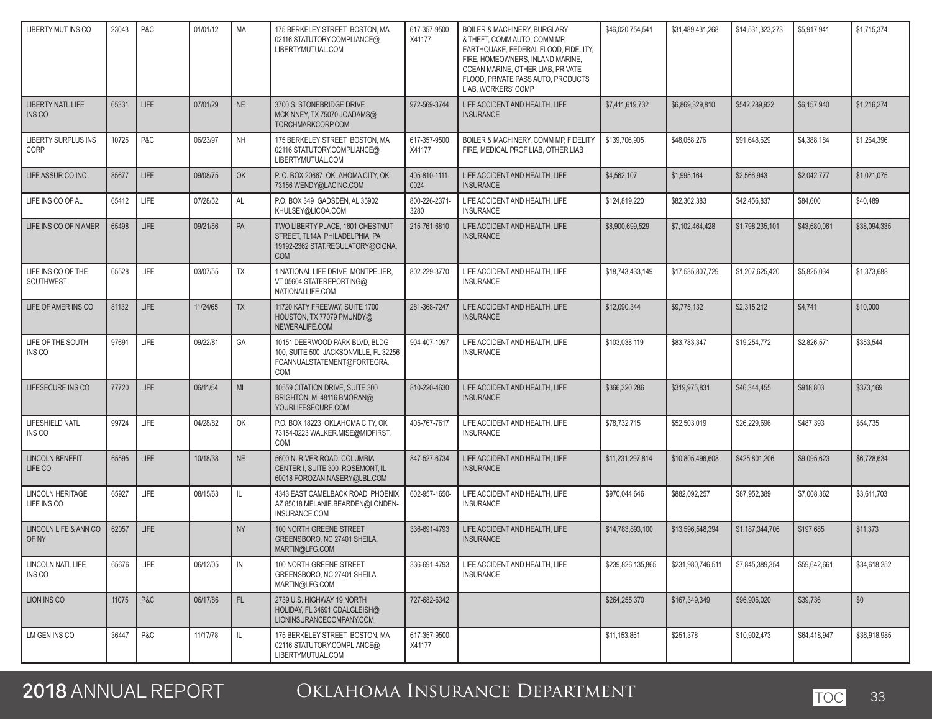| LIBERTY MUT INS CO                     | 23043 | P&C         | 01/01/12 | <b>MA</b>    | 175 BERKELEY STREET BOSTON, MA<br>02116 STATUTORY.COMPLIANCE@<br>LIBERTYMUTUAL.COM                                    | 617-357-9500<br>X41177 | <b>BOILER &amp; MACHINERY, BURGLARY</b><br>& THEFT. COMM AUTO. COMM MP.<br>EARTHQUAKE, FEDERAL FLOOD, FIDELITY,<br>FIRE, HOMEOWNERS, INLAND MARINE,<br>OCEAN MARINE, OTHER LIAB, PRIVATE<br>FLOOD, PRIVATE PASS AUTO, PRODUCTS<br>LIAB. WORKERS' COMP | \$46,020,754,541  | \$31,489,431,268  | \$14,531,323,273 | \$5,917,941  | \$1,715,374  |
|----------------------------------------|-------|-------------|----------|--------------|-----------------------------------------------------------------------------------------------------------------------|------------------------|-------------------------------------------------------------------------------------------------------------------------------------------------------------------------------------------------------------------------------------------------------|-------------------|-------------------|------------------|--------------|--------------|
| <b>LIBERTY NATL LIFE</b><br>INS CO     | 65331 | <b>LIFE</b> | 07/01/29 | <b>NE</b>    | 3700 S. STONEBRIDGE DRIVE<br>MCKINNEY, TX 75070 JOADAMS@<br>TORCHMARKCORP.COM                                         | 972-569-3744           | LIFE ACCIDENT AND HEALTH, LIFE<br><b>INSURANCE</b>                                                                                                                                                                                                    | \$7,411,619,732   | \$6,869,329,810   | \$542,289,922    | \$6,157,940  | \$1,216,274  |
| LIBERTY SURPLUS INS<br>CORP            | 10725 | P&C         | 06/23/97 | <b>NH</b>    | 175 BERKELEY STREET BOSTON. MA<br>02116 STATUTORY.COMPLIANCE@<br>LIBERTYMUTUAL.COM                                    | 617-357-9500<br>X41177 | BOILER & MACHINERY, COMM MP, FIDELITY<br>FIRE, MEDICAL PROF LIAB, OTHER LIAB                                                                                                                                                                          | \$139,706,905     | \$48,058,276      | \$91,648,629     | \$4,388,184  | \$1,264,396  |
| LIFE ASSUR CO INC                      | 85677 | <b>LIFE</b> | 09/08/75 | OK           | P.O. BOX 20667 OKLAHOMA CITY, OK<br>73156 WENDY@LACINC.COM                                                            | 405-810-1111-<br>0024  | LIFE ACCIDENT AND HEALTH. LIFE<br><b>INSURANCE</b>                                                                                                                                                                                                    | \$4,562,107       | \$1,995,164       | \$2,566,943      | \$2,042,777  | \$1,021,075  |
| LIFE INS CO OF AL                      | 65412 | <b>LIFE</b> | 07/28/52 | AL           | P.O. BOX 349 GADSDEN, AL 35902<br>KHULSEY@LICOA.COM                                                                   | 800-226-2371-<br>3280  | LIFE ACCIDENT AND HEALTH, LIFE<br><b>INSURANCE</b>                                                                                                                                                                                                    | \$124,819,220     | \$82,362,383      | \$42,456,837     | \$84,600     | \$40,489     |
| LIFE INS CO OF N AMER                  | 65498 | <b>LIFE</b> | 09/21/56 | PA           | TWO LIBERTY PLACE, 1601 CHESTNUT<br>STREET, TL14A PHILADELPHIA, PA<br>19192-2362 STAT.REGULATORY@CIGNA.<br><b>COM</b> | 215-761-6810           | LIFE ACCIDENT AND HEALTH, LIFE<br><b>INSURANCE</b>                                                                                                                                                                                                    | \$8,900,699,529   | \$7,102,464,428   | \$1,798,235,101  | \$43,680,061 | \$38,094,335 |
| LIFE INS CO OF THE<br>SOUTHWEST        | 65528 | LIFE        | 03/07/55 | <b>TX</b>    | 1 NATIONAL LIFE DRIVE MONTPELIER.<br>VT 05604 STATEREPORTING@<br>NATIONALLIFE.COM                                     | 802-229-3770           | LIFE ACCIDENT AND HEALTH, LIFE<br><b>INSURANCE</b>                                                                                                                                                                                                    | \$18,743,433,149  | \$17,535,807,729  | \$1,207,625,420  | \$5,825,034  | \$1,373,688  |
| LIFE OF AMER INS CO                    | 81132 | <b>LIFE</b> | 11/24/65 | <b>TX</b>    | 11720 KATY FREEWAY, SUITE 1700<br>HOUSTON, TX 77079 PMUNDY@<br>NEWERALIFE.COM                                         | 281-368-7247           | LIFE ACCIDENT AND HEALTH. LIFE<br><b>INSURANCE</b>                                                                                                                                                                                                    | \$12,090,344      | \$9,775,132       | \$2,315,212      | \$4,741      | \$10,000     |
| LIFE OF THE SOUTH<br>INS CO            | 97691 | LIFE        | 09/22/81 | GA           | 10151 DEERWOOD PARK BLVD, BLDG<br>100, SUITE 500 JACKSONVILLE, FL 32256<br>FCANNUALSTATEMENT@FORTEGRA.<br><b>COM</b>  | 904-407-1097           | LIFE ACCIDENT AND HEALTH, LIFE<br><b>INSURANCE</b>                                                                                                                                                                                                    | \$103,038,119     | \$83,783,347      | \$19,254,772     | \$2,826,571  | \$353,544    |
| LIFESECURE INS CO                      | 77720 | <b>LIFE</b> | 06/11/54 | MI           | 10559 CITATION DRIVE, SUITE 300<br>BRIGHTON, MI 48116 BMORAN@<br>YOURLIFESECURE.COM                                   | 810-220-4630           | LIFE ACCIDENT AND HEALTH, LIFE<br><b>INSURANCE</b>                                                                                                                                                                                                    | \$366,320,286     | \$319,975,831     | \$46,344,455     | \$918,803    | \$373,169    |
| LIFESHIELD NATL<br>INS CO              | 99724 | <b>LIFE</b> | 04/28/82 | OK           | P.O. BOX 18223 OKLAHOMA CITY, OK<br>73154-0223 WALKER.MISE@MIDFIRST.<br>COM                                           | 405-767-7617           | LIFE ACCIDENT AND HEALTH, LIFE<br><b>INSURANCE</b>                                                                                                                                                                                                    | \$78,732,715      | \$52,503,019      | \$26,229,696     | \$487,393    | \$54,735     |
| <b>LINCOLN BENEFIT</b><br>LIFE CO      | 65595 | <b>LIFE</b> | 10/18/38 | <b>NE</b>    | 5600 N. RIVER ROAD, COLUMBIA<br>CENTER I, SUITE 300 ROSEMONT, IL<br>60018 FOROZAN.NASERY@LBL.COM                      | 847-527-6734           | LIFE ACCIDENT AND HEALTH, LIFE<br><b>INSURANCE</b>                                                                                                                                                                                                    | \$11,231,297,814  | \$10,805,496,608  | \$425,801,206    | \$9,095,623  | \$6,728,634  |
| <b>LINCOLN HERITAGE</b><br>LIFE INS CO | 65927 | LIFE        | 08/15/63 | $\mathbb{L}$ | 4343 EAST CAMELBACK ROAD PHOENIX,<br>AZ 85018 MELANIE.BEARDEN@LONDEN-<br>INSURANCE.COM                                | 602-957-1650-          | LIFE ACCIDENT AND HEALTH, LIFE<br><b>INSURANCE</b>                                                                                                                                                                                                    | \$970,044,646     | \$882,092,257     | \$87,952,389     | \$7,008,362  | \$3,611,703  |
| LINCOLN LIFE & ANN CO<br>OF NY         | 62057 | <b>LIFE</b> |          | <b>NY</b>    | 100 NORTH GREENE STREET<br>GREENSBORO, NC 27401 SHEILA.<br>MARTIN@LFG.COM                                             | 336-691-4793           | LIFE ACCIDENT AND HEALTH, LIFE<br><b>INSURANCE</b>                                                                                                                                                                                                    | \$14,783,893,100  | \$13,596,548,394  | \$1,187,344,706  | \$197,685    | \$11,373     |
| <b>LINCOLN NATL LIFE</b><br>INS CO     | 65676 | LIFE        | 06/12/05 | IN           | 100 NORTH GREENE STREET<br>GREENSBORO, NC 27401 SHEILA.<br>MARTIN@LFG.COM                                             | 336-691-4793           | LIFE ACCIDENT AND HEALTH, LIFE<br><b>INSURANCE</b>                                                                                                                                                                                                    | \$239,826,135,865 | \$231,980,746,511 | \$7,845,389,354  | \$59,642,661 | \$34.618.252 |
| LION INS CO                            | 11075 | P&C         | 06/17/86 | FL.          | 2739 U.S. HIGHWAY 19 NORTH<br>HOLIDAY, FL 34691 GDALGLEISH@<br>LIONINSURANCECOMPANY.COM                               | 727-682-6342           |                                                                                                                                                                                                                                                       | \$264,255,370     | \$167,349,349     | \$96,906,020     | \$39,736     | \$0          |
| LM GEN INS CO                          | 36447 | P&C         | 11/17/78 | $\mathbb{L}$ | 175 BERKELEY STREET BOSTON, MA<br>02116 STATUTORY.COMPLIANCE@<br>LIBERTYMUTUAL.COM                                    | 617-357-9500<br>X41177 |                                                                                                                                                                                                                                                       | \$11,153,851      | \$251,378         | \$10,902,473     | \$64,418,947 | \$36,918,985 |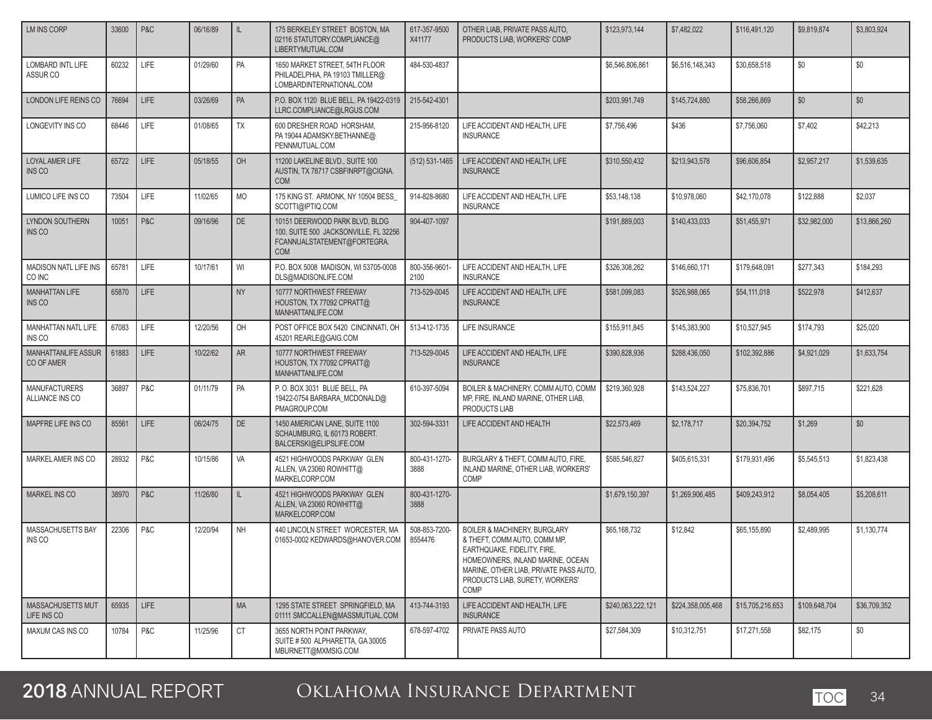| LM INS CORP                              | 33600 | P&C         | 06/16/89 | IL.       | 175 BERKELEY STREET BOSTON, MA<br>02116 STATUTORY.COMPLIANCE@<br>LIBERTYMUTUAL.COM                                   | 617-357-9500<br>X41177   | OTHER LIAB, PRIVATE PASS AUTO,<br>PRODUCTS LIAB. WORKERS' COMP                                                                                                                                                                  | \$123,973,144     | \$7,482,022       | \$116,491,120    | \$9,819,874   | \$3,803,924  |
|------------------------------------------|-------|-------------|----------|-----------|----------------------------------------------------------------------------------------------------------------------|--------------------------|---------------------------------------------------------------------------------------------------------------------------------------------------------------------------------------------------------------------------------|-------------------|-------------------|------------------|---------------|--------------|
| LOMBARD INTL LIFE<br>ASSUR CO            | 60232 | <b>LIFE</b> | 01/29/60 | PA        | 1650 MARKET STREET, 54TH FLOOR<br>PHILADELPHIA, PA 19103 TMILLER@<br>LOMBARDINTERNATIONAL.COM                        | 484-530-4837             |                                                                                                                                                                                                                                 | \$6,546,806,861   | \$6,516,148,343   | \$30,658,518     | \$0           | \$0          |
| LONDON LIFE REINS CO                     | 76694 | <b>LIFE</b> | 03/26/69 | PA        | P.O. BOX 1120 BLUE BELL. PA 19422-0319<br>LLRC.COMPLIANCE@LRGUS.COM                                                  | 215-542-4301             |                                                                                                                                                                                                                                 | \$203,991,749     | \$145,724,880     | \$58,266,869     | \$0           | \$0          |
| LONGEVITY INS CO                         | 68446 | LIFE        | 01/08/65 | <b>TX</b> | 600 DRESHER ROAD HORSHAM.<br>PA 19044 ADAMSKY.BETHANNE@<br>PENNMUTUAL.COM                                            | 215-956-8120             | LIFE ACCIDENT AND HEALTH, LIFE<br><b>INSURANCE</b>                                                                                                                                                                              | \$7,756,496       | \$436             | \$7,756,060      | \$7,402       | \$42,213     |
| <b>LOYAL AMER LIFE</b><br>INS CO         | 65722 | LIFE        | 05/18/55 | OH        | 11200 LAKELINE BLVD., SUITE 100<br>AUSTIN, TX 78717 CSBFINRPT@CIGNA.<br><b>COM</b>                                   | (512) 531-1465           | LIFE ACCIDENT AND HEALTH, LIFE<br><b>INSURANCE</b>                                                                                                                                                                              | \$310,550,432     | \$213.943.578     | \$96,606,854     | \$2.957.217   | \$1,539,635  |
| LUMICO LIFE INS CO                       | 73504 | <b>LIFE</b> | 11/02/65 | <b>MO</b> | 175 KING ST. ARMONK, NY 10504 BESS<br>SCOTTI@IPTIQ.COM                                                               | 914-828-8680             | LIFE ACCIDENT AND HEALTH, LIFE<br><b>INSURANCE</b>                                                                                                                                                                              | \$53,148,138      | \$10,978,060      | \$42,170,078     | \$122,888     | \$2,037      |
| LYNDON SOUTHERN<br>INS CO                | 10051 | P&C         | 09/16/96 | DE        | 10151 DEERWOOD PARK BLVD, BLDG<br>100, SUITE 500 JACKSONVILLE, FL 32256<br>FCANNUALSTATEMENT@FORTEGRA.<br><b>COM</b> | 904-407-1097             |                                                                                                                                                                                                                                 | \$191,889,003     | \$140,433,033     | \$51,455,971     | \$32,982,000  | \$13,866,260 |
| <b>MADISON NATL LIFE INS</b><br>CO INC   | 65781 | LIFE        | 10/17/61 | WI        | P.O. BOX 5008 MADISON, WI 53705-0008<br>DLS@MADISONLIFE.COM                                                          | 800-356-9601-<br>2100    | LIFE ACCIDENT AND HEALTH. LIFE<br><b>INSURANCE</b>                                                                                                                                                                              | \$326,308,262     | \$146,660,171     | \$179,648,091    | \$277,343     | \$184,293    |
| <b>MANHATTAN LIFE</b><br>INS CO          | 65870 | LIFE        |          | <b>NY</b> | 10777 NORTHWEST FREEWAY<br>HOUSTON, TX 77092 CPRATT@<br>MANHATTANLIFE.COM                                            | 713-529-0045             | LIFE ACCIDENT AND HEALTH, LIFE<br><b>INSURANCE</b>                                                                                                                                                                              | \$581,099,083     | \$526,988,065     | \$54,111,018     | \$522,978     | \$412,637    |
| MANHATTAN NATL LIFE<br>INS CO            | 67083 | LIFE        | 12/20/56 | OH        | POST OFFICE BOX 5420 CINCINNATI. OH<br>45201 REARLE@GAIG.COM                                                         | 513-412-1735             | LIFE INSURANCE                                                                                                                                                                                                                  | \$155,911,845     | \$145,383,900     | \$10,527,945     | \$174,793     | \$25,020     |
| <b>MANHATTANLIFE ASSUR</b><br>CO OF AMER | 61883 | <b>LIFE</b> | 10/22/62 | <b>AR</b> | 10777 NORTHWEST FREEWAY<br>HOUSTON, TX 77092 CPRATT@<br>MANHATTANLIFE.COM                                            | 713-529-0045             | LIFE ACCIDENT AND HEALTH, LIFE<br><b>INSURANCE</b>                                                                                                                                                                              | \$390,828,936     | \$288,436,050     | \$102,392,886    | \$4,921,029   | \$1,633,754  |
| <b>MANUFACTURERS</b><br>ALLIANCE INS CO  | 36897 | P&C         | 01/11/79 | PA        | P.O. BOX 3031 BLUE BELL, PA<br>19422-0754 BARBARA_MCDONALD@<br>PMAGROUP.COM                                          | 610-397-5094             | BOILER & MACHINERY, COMM AUTO, COMM<br>MP, FIRE, INLAND MARINE, OTHER LIAB,<br>PRODUCTS LIAB                                                                                                                                    | \$219,360,928     | \$143,524,227     | \$75,836,701     | \$897,715     | \$221,628    |
| MAPFRE LIFE INS CO                       | 85561 | <b>LIFE</b> | 06/24/75 | <b>DE</b> | 1450 AMERICAN LANE, SUITE 1100<br>SCHAUMBURG, IL 60173 ROBERT.<br>BALCERSKI@ELIPSLIFE.COM                            | 302-594-3331             | LIFE ACCIDENT AND HEALTH                                                                                                                                                                                                        | \$22,573,469      | \$2,178,717       | \$20,394,752     | \$1,269       | \$0          |
| MARKEL AMER INS CO                       | 28932 | P&C         | 10/15/86 | VA        | 4521 HIGHWOODS PARKWAY GLEN<br>ALLEN, VA 23060 ROWHITT@<br>MARKELCORP.COM                                            | 800-431-1270-<br>3888    | BURGLARY & THEFT, COMM AUTO, FIRE,<br>INLAND MARINE, OTHER LIAB, WORKERS'<br>COMP                                                                                                                                               | \$585,546,827     | \$405,615,331     | \$179,931,496    | \$5,545,513   | \$1,823,438  |
| <b>MARKEL INS CO</b>                     | 38970 | P&C         | 11/26/80 | IL        | 4521 HIGHWOODS PARKWAY GLEN<br>ALLEN. VA 23060 ROWHITT@<br>MARKELCORP.COM                                            | 800-431-1270-<br>3888    |                                                                                                                                                                                                                                 | \$1,679,150,397   | \$1,269,906,485   | \$409,243,912    | \$8,054,405   | \$5,208,611  |
| MASSACHUSETTS BAY<br>INS CO              | 22306 | P&C         | 12/20/94 | <b>NH</b> | 440 LINCOLN STREET WORCESTER. MA<br>01653-0002 KEDWARDS@HANOVER.COM                                                  | 508-853-7200-<br>8554476 | <b>BOILER &amp; MACHINERY, BURGLARY</b><br>& THEFT, COMM AUTO, COMM MP,<br>EARTHQUAKE, FIDELITY, FIRE,<br>HOMEOWNERS, INLAND MARINE, OCEAN<br>MARINE, OTHER LIAB, PRIVATE PASS AUTO,<br>PRODUCTS LIAB, SURETY, WORKERS'<br>COMP | \$65,168,732      | \$12,842          | \$65,155,890     | \$2,489,995   | \$1,130,774  |
| MASSACHUSETTS MUT<br>LIFE INS CO         | 65935 | LIFE        |          | <b>MA</b> | 1295 STATE STREET SPRINGFIELD, MA<br>01111 SMCCALLEN@MASSMUTUAL.COM                                                  | 413-744-3193             | LIFE ACCIDENT AND HEALTH. LIFE<br><b>INSURANCE</b>                                                                                                                                                                              | \$240,063,222,121 | \$224,358,005,468 | \$15,705,216,653 | \$109,648,704 | \$36,709,352 |
| MAXUM CAS INS CO                         | 10784 | P&C         | 11/25/96 | <b>CT</b> | 3655 NORTH POINT PARKWAY,<br>SUITE #500 ALPHARETTA, GA 30005<br>MBURNETT@MXMSIG.COM                                  | 678-597-4702             | PRIVATE PASS AUTO                                                                                                                                                                                                               | \$27,584,309      | \$10,312,751      | \$17,271,558     | \$82,175      | \$0\$        |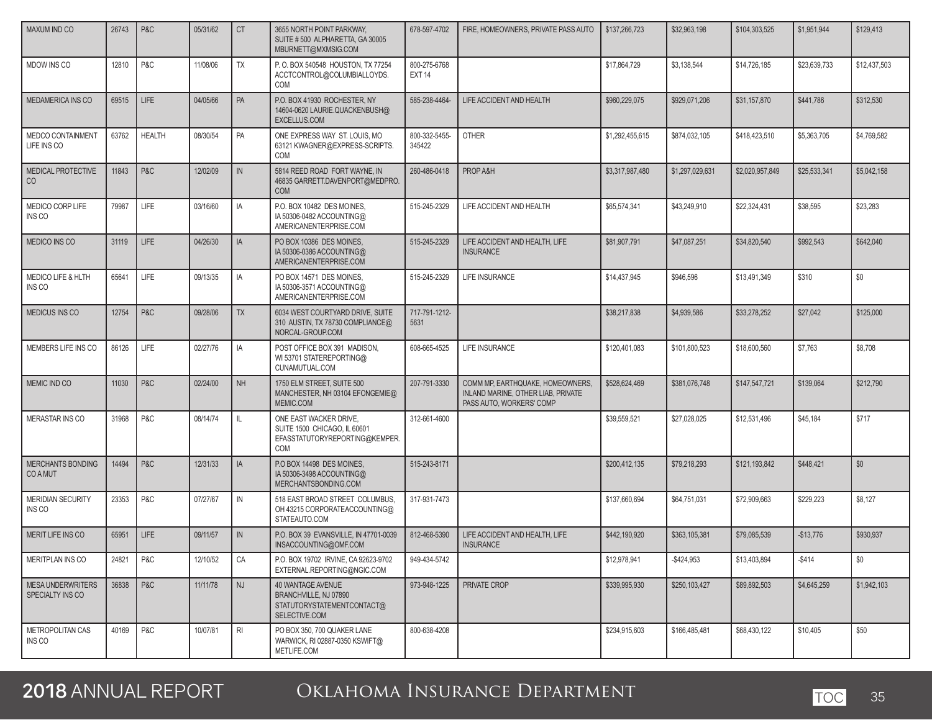| <b>MAXUM IND CO</b>                          | 26743 | P&C           | 05/31/62 | <b>CT</b>      | 3655 NORTH POINT PARKWAY,<br>SUITE #500 ALPHARETTA, GA 30005<br>MBURNETT@MXMSIG.COM             | 678-597-4702                  | FIRE. HOMEOWNERS. PRIVATE PASS AUTO                                                                | \$137,266,723   | \$32,963,198    | \$104,303,525   | \$1,951,944  | \$129,413    |
|----------------------------------------------|-------|---------------|----------|----------------|-------------------------------------------------------------------------------------------------|-------------------------------|----------------------------------------------------------------------------------------------------|-----------------|-----------------|-----------------|--------------|--------------|
| MDOW INS CO                                  | 12810 | P&C           | 11/08/06 | <b>TX</b>      | P.O. BOX 540548 HOUSTON, TX 77254<br>ACCTCONTROL@COLUMBIALLOYDS.<br>COM                         | 800-275-6768<br><b>EXT 14</b> |                                                                                                    | \$17,864,729    | \$3,138,544     | \$14,726,185    | \$23,639,733 | \$12,437,503 |
| MEDAMERICA INS CO                            | 69515 | <b>LIFE</b>   | 04/05/66 | PA             | P.O. BOX 41930 ROCHESTER, NY<br>14604-0620 LAURIE.QUACKENBUSH@<br>EXCELLUS.COM                  | 585-238-4464-                 | LIFE ACCIDENT AND HEALTH                                                                           | \$960,229,075   | \$929.071.206   | \$31,157,870    | \$441,786    | \$312,530    |
| MEDCO CONTAINMENT<br>LIFE INS CO             | 63762 | <b>HEALTH</b> | 08/30/54 | PA             | ONE EXPRESS WAY ST. LOUIS, MO<br>63121 KWAGNER@EXPRESS-SCRIPTS.<br>COM                          | 800-332-5455-<br>345422       | <b>OTHER</b>                                                                                       | \$1,292,455,615 | \$874,032,105   | \$418,423,510   | \$5,363,705  | \$4,769,582  |
| MEDICAL PROTECTIVE<br>CO                     | 11843 | P&C           | 12/02/09 | $\mathsf{IN}$  | 5814 REED ROAD FORT WAYNE. IN<br>46835 GARRETT.DAVENPORT@MEDPRO.<br><b>COM</b>                  | 260-486-0418                  | PROP A&H                                                                                           | \$3,317,987,480 | \$1,297,029,631 | \$2,020,957,849 | \$25,533,341 | \$5,042,158  |
| MEDICO CORP LIFE<br>INS CO                   | 79987 | LIFE          | 03/16/60 | IA             | P.O. BOX 10482 DES MOINES,<br>IA 50306-0482 ACCOUNTING@<br>AMERICANENTERPRISE.COM               | 515-245-2329                  | LIFE ACCIDENT AND HEALTH                                                                           | \$65,574,341    | \$43,249,910    | \$22,324,431    | \$38,595     | \$23,283     |
| <b>MEDICO INS CO</b>                         | 31119 | <b>LIFE</b>   | 04/26/30 | IA             | PO BOX 10386 DES MOINES.<br>IA 50306-0386 ACCOUNTING@<br>AMERICANENTERPRISE.COM                 | 515-245-2329                  | LIFE ACCIDENT AND HEALTH, LIFE<br><b>INSURANCE</b>                                                 | \$81,907,791    | \$47,087,251    | \$34,820,540    | \$992.543    | \$642.040    |
| <b>MEDICO LIFE &amp; HLTH</b><br>INS CO      | 65641 | <b>LIFE</b>   | 09/13/35 | IA             | PO BOX 14571 DES MOINES.<br>IA 50306-3571 ACCOUNTING@<br>AMERICANENTERPRISE.COM                 | 515-245-2329                  | LIFE INSURANCE                                                                                     | \$14,437,945    | \$946.596       | \$13,491,349    | \$310        | \$0          |
| <b>MEDICUS INS CO</b>                        | 12754 | P&C           | 09/28/06 | <b>TX</b>      | 6034 WEST COURTYARD DRIVE, SUITE<br>310 AUSTIN, TX 78730 COMPLIANCE@<br>NORCAL-GROUP.COM        | 717-791-1212-<br>5631         |                                                                                                    | \$38,217,838    | \$4,939,586     | \$33,278,252    | \$27,042     | \$125,000    |
| MEMBERS LIFE INS CO                          | 86126 | LIFE          | 02/27/76 | IA             | POST OFFICE BOX 391 MADISON,<br>WI 53701 STATEREPORTING@<br>CUNAMUTUAL.COM                      | 608-665-4525                  | <b>LIFE INSURANCE</b>                                                                              | \$120.401.083   | \$101,800,523   | \$18,600,560    | \$7,763      | \$8,708      |
| MEMIC IND CO                                 | 11030 | P&C           | 02/24/00 | <b>NH</b>      | 1750 ELM STREET, SUITE 500<br>MANCHESTER, NH 03104 EFONGEMIE@<br>MEMIC.COM                      | 207-791-3330                  | COMM MP, EARTHQUAKE, HOMEOWNERS,<br>INLAND MARINE, OTHER LIAB, PRIVATE<br>PASS AUTO, WORKERS' COMP | \$528,624,469   | \$381,076,748   | \$147,547,721   | \$139,064    | \$212,790    |
| <b>MERASTAR INS CO</b>                       | 31968 | P&C           | 08/14/74 | Ш              | ONE EAST WACKER DRIVE,<br>SUITE 1500 CHICAGO, IL 60601<br>EFASSTATUTORYREPORTING@KEMPER.<br>COM | 312-661-4600                  |                                                                                                    | \$39,559,521    | \$27,028,025    | \$12,531,496    | \$45,184     | \$717        |
| <b>MERCHANTS BONDING</b><br><b>COAMUT</b>    | 14494 | P&C           | 12/31/33 | IA             | P.O BOX 14498 DES MOINES.<br>IA 50306-3498 ACCOUNTING@<br>MERCHANTSBONDING.COM                  | 515-243-8171                  |                                                                                                    | \$200,412,135   | \$79,218,293    | \$121.193.842   | \$448,421    | \$0          |
| <b>MERIDIAN SECURITY</b><br>INS CO           | 23353 | P&C           | 07/27/67 | IN             | 518 EAST BROAD STREET COLUMBUS.<br>OH 43215 CORPORATEACCOUNTING@<br>STATEAUTO.COM               | 317-931-7473                  |                                                                                                    | \$137,660,694   | \$64,751,031    | \$72,909,663    | \$229,223    | \$8,127      |
| <b>MERIT LIFE INS CO</b>                     | 65951 | LIFE          | 09/11/57 | IN             | P.O. BOX 39 EVANSVILLE, IN 47701-0039<br>INSACCOUNTING@OMF.COM                                  | 812-468-5390                  | LIFE ACCIDENT AND HEALTH, LIFE<br><b>INSURANCE</b>                                                 | \$442,190,920   | \$363,105,381   | \$79,085,539    | $-$13,776$   | \$930.937    |
| MERITPLAN INS CO                             | 24821 | P&C           | 12/10/52 | CA             | P.O. BOX 19702 IRVINE, CA 92623-9702<br>EXTERNAL.REPORTING@NGIC.COM                             | 949-434-5742                  |                                                                                                    | \$12,978,941    | $-$ \$424,953   | \$13,403,894    | -\$414       | \$0          |
| <b>MESA UNDERWRITERS</b><br>SPECIALTY INS CO | 36838 | P&C           | 11/11/78 | <b>NJ</b>      | 40 WANTAGE AVENUE<br>BRANCHVILLE, NJ 07890<br>STATUTORYSTATEMENTCONTACT@<br>SELECTIVE.COM       | 973-948-1225                  | PRIVATE CROP                                                                                       | \$339,995,930   | \$250,103,427   | \$89,892,503    | \$4,645,259  | \$1,942,103  |
| METROPOLITAN CAS<br>INS CO                   | 40169 | P&C           | 10/07/81 | R <sub>l</sub> | PO BOX 350, 700 QUAKER LANE<br>WARWICK, RI 02887-0350 KSWIFT@<br>METLIFE.COM                    | 800-638-4208                  |                                                                                                    | \$234,915,603   | \$166,485,481   | \$68,430,122    | \$10,405     | \$50         |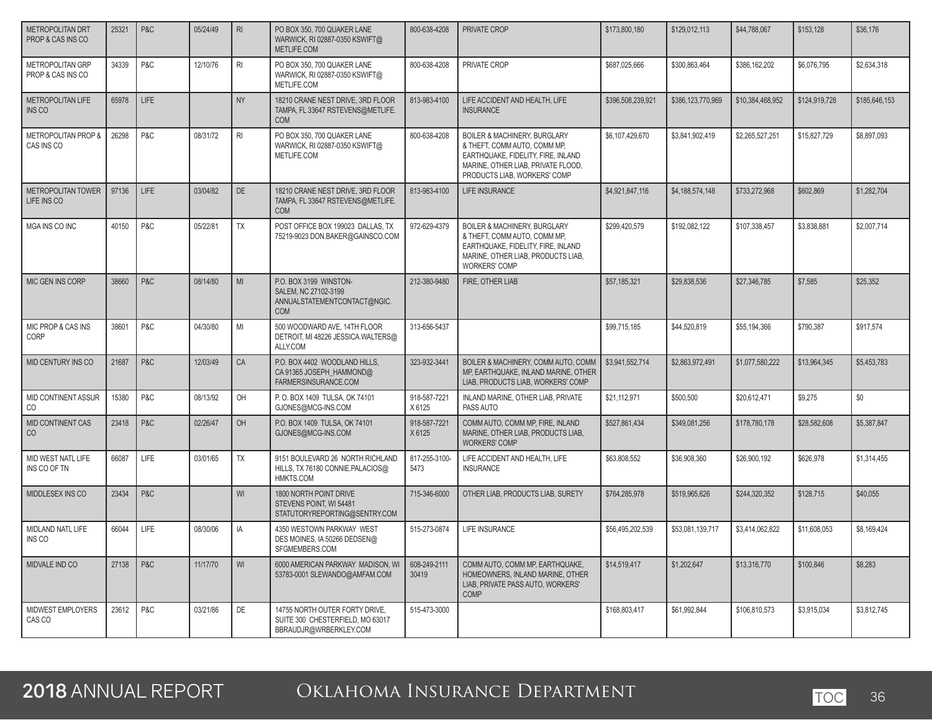| <b>METROPOLITAN DRT</b><br>PROP & CAS INS CO | 25321 | P&C  | 05/24/49 | R <sub>l</sub> | PO BOX 350, 700 QUAKER LANE<br>WARWICK, RI 02887-0350 KSWIFT@<br>METLIFE.COM                 | 800-638-4208           | PRIVATE CROP                                                                                                                                                             | \$173,800.180     | \$129.012.113     | \$44,788,067     | \$153,128     | \$36,176      |
|----------------------------------------------|-------|------|----------|----------------|----------------------------------------------------------------------------------------------|------------------------|--------------------------------------------------------------------------------------------------------------------------------------------------------------------------|-------------------|-------------------|------------------|---------------|---------------|
| <b>METROPOLITAN GRP</b><br>PROP & CAS INS CO | 34339 | P&C  | 12/10/76 | R <sub>l</sub> | PO BOX 350, 700 QUAKER LANE<br>WARWICK, RI 02887-0350 KSWIFT@<br>METLIFE.COM                 | 800-638-4208           | PRIVATE CROP                                                                                                                                                             | \$687,025,666     | \$300,863,464     | \$386.162.202    | \$6,076,795   | \$2,634,318   |
| <b>METROPOLITAN LIFE</b><br>INS CO           | 65978 | LIFE |          | <b>NY</b>      | 18210 CRANE NEST DRIVE, 3RD FLOOR<br>TAMPA, FL 33647 RSTEVENS@METLIFE.<br><b>COM</b>         | 813-983-4100           | LIFE ACCIDENT AND HEALTH, LIFE<br><b>INSURANCE</b>                                                                                                                       | \$396,508,239,921 | \$386,123,770,969 | \$10.384.468.952 | \$124,919,728 | \$185,646,153 |
| METROPOLITAN PROP &<br>CAS INS CO            | 26298 | P&C  | 08/31/72 | R <sub>l</sub> | PO BOX 350, 700 QUAKER LANE<br>WARWICK, RI 02887-0350 KSWIFT@<br>METLIFE.COM                 | 800-638-4208           | BOILER & MACHINERY, BURGLARY<br>& THEFT, COMM AUTO, COMM MP,<br>EARTHQUAKE, FIDELITY, FIRE, INLAND<br>MARINE, OTHER LIAB, PRIVATE FLOOD,<br>PRODUCTS LIAB, WORKERS' COMP | \$6,107,429,670   | \$3,841,902,419   | \$2,265,527,251  | \$15,827,729  | \$8,897,093   |
| METROPOLITAN TOWER<br>LIFE INS CO            | 97136 | LIFE | 03/04/82 | DE             | 18210 CRANE NEST DRIVE, 3RD FLOOR<br>TAMPA, FL 33647 RSTEVENS@METLIFE.<br>COM                | 813-983-4100           | LIFE INSURANCE                                                                                                                                                           | \$4,921,847,116   | \$4,188,574,148   | \$733,272,968    | \$602,869     | \$1,282,704   |
| MGA INS CO INC                               | 40150 | P&C  | 05/22/81 | TX             | POST OFFICE BOX 199023 DALLAS, TX<br>75219-9023 DON.BAKER@GAINSCO.COM                        | 972-629-4379           | BOILER & MACHINERY, BURGLARY<br>& THEFT, COMM AUTO, COMM MP,<br>EARTHQUAKE, FIDELITY, FIRE, INLAND<br>MARINE, OTHER LIAB, PRODUCTS LIAB,<br><b>WORKERS' COMP</b>         | \$299,420,579     | \$192,082,122     | \$107,338,457    | \$3,838,881   | \$2,007,714   |
| MIC GEN INS CORP                             | 38660 | P&C  | 08/14/80 | MI             | P.O. BOX 3199 WINSTON-<br>SALEM, NC 27102-3199<br>ANNUALSTATEMENTCONTACT@NGIC.<br><b>COM</b> | 212-380-9480           | FIRE, OTHER LIAB                                                                                                                                                         | \$57,185,321      | \$29.838.536      | \$27,346,785     | \$7,585       | \$25.352      |
| MIC PROP & CAS INS<br>CORP                   | 38601 | P&C  | 04/30/80 | MI             | 500 WOODWARD AVE, 14TH FLOOR<br>DETROIT, MI 48226 JESSICA.WALTERS@<br>ALLY.COM               | 313-656-5437           |                                                                                                                                                                          | \$99,715,185      | \$44,520,819      | \$55,194,366     | \$790,387     | \$917,574     |
| <b>MID CENTURY INS CO</b>                    | 21687 | P&C  | 12/03/49 | CA             | P.O. BOX 4402 WOODLAND HILLS,<br>CA 91365 JOSEPH_HAMMOND@<br>FARMERSINSURANCE.COM            | 323-932-3441           | BOILER & MACHINERY, COMM AUTO, COMM<br>MP, EARTHQUAKE, INLAND MARINE, OTHER<br>LIAB, PRODUCTS LIAB, WORKERS' COMP                                                        | \$3.941.552.714   | \$2.863.972.491   | \$1,077,580,222  | \$13.964.345  | \$5.453.783   |
| MID CONTINENT ASSUR<br>CO                    | 15380 | P&C  | 08/13/92 | OH             | P.O. BOX 1409 TULSA, OK 74101<br>GJONES@MCG-INS.COM                                          | 918-587-7221<br>X 6125 | INLAND MARINE, OTHER LIAB, PRIVATE<br>PASS AUTO                                                                                                                          | \$21,112,971      | \$500.500         | \$20,612,471     | \$9,275       | \$0           |
| MID CONTINENT CAS<br>CO                      | 23418 | P&C  | 02/26/47 | OH             | P.O. BOX 1409 TULSA, OK 74101<br>GJONES@MCG-INS.COM                                          | 918-587-7221<br>X 6125 | COMM AUTO, COMM MP, FIRE, INLAND<br>MARINE, OTHER LIAB, PRODUCTS LIAB,<br><b>WORKERS' COMP</b>                                                                           | \$527,861,434     | \$349,081,256     | \$178,780,178    | \$28,582,608  | \$5,387,847   |
| MID WEST NATL LIFE<br>INS CO OF TN           | 66087 | LIFE | 03/01/65 | <b>TX</b>      | 9151 BOULEVARD 26 NORTH RICHLAND<br>HILLS, TX 76180 CONNIE.PALACIOS@<br>HMKTS.COM            | 817-255-3100-<br>5473  | LIFE ACCIDENT AND HEALTH, LIFE<br><b>INSURANCE</b>                                                                                                                       | \$63,808,552      | \$36,908,360      | \$26,900.192     | \$626.978     | \$1,314,455   |
| MIDDLESEX INS CO                             | 23434 | P&C  |          | WI             | 1800 NORTH POINT DRIVE<br>STEVENS POINT, WI 54481<br>STATUTORYREPORTING@SENTRY.COM           | 715-346-6000           | OTHER LIAB, PRODUCTS LIAB, SURETY                                                                                                                                        | \$764,285,978     | \$519,965,626     | \$244,320,352    | \$128,715     | \$40,055      |
| MIDLAND NATL LIFE<br>INS CO                  | 66044 | LIFE | 08/30/06 | IA             | 4350 WESTOWN PARKWAY WEST<br>DES MOINES, IA 50266 DEDSEN@<br>SFGMEMBERS.COM                  | 515-273-0874           | <b>LIFE INSURANCE</b>                                                                                                                                                    | \$56,495,202,539  | \$53,081,139,717  | \$3.414.062.822  | \$11,608,053  | \$8.169.424   |
| MIDVALE IND CO                               | 27138 | P&C  | 11/17/70 | WI             | 6000 AMERICAN PARKWAY MADISON, WI<br>53783-0001 SLEWANDO@AMFAM.COM                           | 608-249-2111<br>30419  | COMM AUTO, COMM MP, EARTHQUAKE,<br>HOMEOWNERS, INLAND MARINE, OTHER<br>LIAB, PRIVATE PASS AUTO, WORKERS'<br><b>COMP</b>                                                  | \$14,519,417      | \$1,202,647       | \$13,316,770     | \$100,846     | \$8,283       |
| MIDWEST EMPLOYERS<br>CAS CO                  | 23612 | P&C  | 03/21/86 | DE             | 14755 NORTH OUTER FORTY DRIVE,<br>SUITE 300 CHESTERFIELD, MO 63017<br>BBRAUDJR@WRBERKLEY.COM | 515-473-3000           |                                                                                                                                                                          | \$168,803,417     | \$61.992.844      | \$106.810.573    | \$3.915.034   | \$3.812.745   |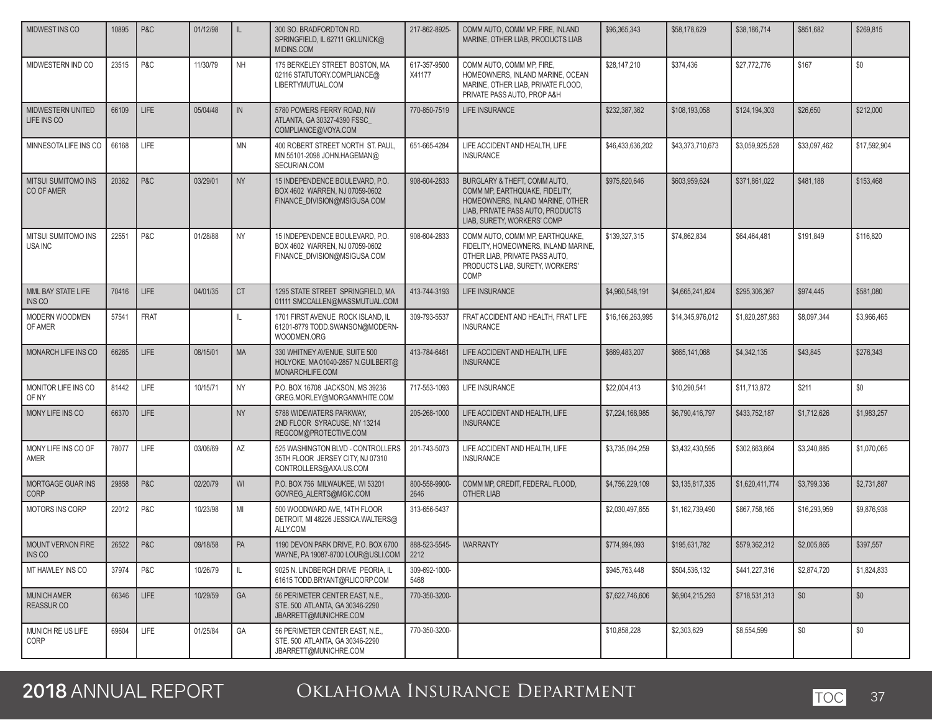| MIDWEST INS CO                          | 10895 | P&C         | 01/12/98 | IL            | 300 SO. BRADFORDTON RD.<br>SPRINGFIELD, IL 62711 GKLUNICK@<br>MIDINS.COM                          | 217-862-8925-          | COMM AUTO, COMM MP. FIRE, INLAND<br>MARINE, OTHER LIAB, PRODUCTS LIAB                                                                                                  | \$96,365,343     | \$58,178,629     | \$38,186,714    | \$851,682    | \$269,815    |
|-----------------------------------------|-------|-------------|----------|---------------|---------------------------------------------------------------------------------------------------|------------------------|------------------------------------------------------------------------------------------------------------------------------------------------------------------------|------------------|------------------|-----------------|--------------|--------------|
| MIDWESTERN IND CO                       | 23515 | P&C         | 11/30/79 | <b>NH</b>     | 175 BERKELEY STREET BOSTON, MA<br>02116 STATUTORY.COMPLIANCE@<br>LIBERTYMUTUAL.COM                | 617-357-9500<br>X41177 | COMM AUTO, COMM MP, FIRE,<br>HOMEOWNERS, INLAND MARINE, OCEAN<br>MARINE. OTHER LIAB. PRIVATE FLOOD.<br>PRIVATE PASS AUTO, PROP A&H                                     | \$28,147,210     | \$374,436        | \$27,772,776    | \$167        | \$0          |
| MIDWESTERN UNITED<br>LIFE INS CO        | 66109 | LIFE        | 05/04/48 | $\mathsf{IN}$ | 5780 POWERS FERRY ROAD, NW<br>ATLANTA, GA 30327-4390 FSSC_<br>COMPLIANCE@VOYA.COM                 | 770-850-7519           | <b>LIFE INSURANCE</b>                                                                                                                                                  | \$232,387,362    | \$108,193,058    | \$124,194,303   | \$26,650     | \$212,000    |
| MINNESOTA LIFE INS CO                   | 66168 | LIFE        |          | <b>MN</b>     | 400 ROBERT STREET NORTH ST. PAUL<br>MN 55101-2098 JOHN.HAGEMAN@<br>SECURIAN.COM                   | 651-665-4284           | LIFE ACCIDENT AND HEALTH, LIFE<br><b>INSURANCE</b>                                                                                                                     | \$46,433,636,202 | \$43,373,710,673 | \$3.059.925.528 | \$33,097,462 | \$17,592,904 |
| MITSUI SUMITOMO INS<br>CO OF AMER       | 20362 | P&C         | 03/29/01 | <b>NY</b>     | 15 INDEPENDENCE BOULEVARD, P.O.<br>BOX 4602 WARREN, NJ 07059-0602<br>FINANCE_DIVISION@MSIGUSA.COM | 908-604-2833           | BURGLARY & THEFT, COMM AUTO.<br>COMM MP, EARTHQUAKE, FIDELITY,<br>HOMEOWNERS, INLAND MARINE, OTHER<br>LIAB, PRIVATE PASS AUTO, PRODUCTS<br>LIAB, SURETY, WORKERS' COMP | \$975,820,646    | \$603,959,624    | \$371,861,022   | \$481,188    | \$153,468    |
| MITSUI SUMITOMO INS<br>USA INC          | 22551 | P&C         | 01/28/88 | <b>NY</b>     | 15 INDEPENDENCE BOULEVARD, P.O.<br>BOX 4602 WARREN, NJ 07059-0602<br>FINANCE_DIVISION@MSIGUSA.COM | 908-604-2833           | COMM AUTO, COMM MP, EARTHQUAKE,<br>FIDELITY, HOMEOWNERS, INLAND MARINE,<br>OTHER LIAB, PRIVATE PASS AUTO,<br>PRODUCTS LIAB, SURETY, WORKERS'<br>COMP                   | \$139,327,315    | \$74,862,834     | \$64,464,481    | \$191,849    | \$116,820    |
| MML BAY STATE LIFE<br>INS CO            | 70416 | LIFE        | 04/01/35 | <b>CT</b>     | 1295 STATE STREET SPRINGFIELD, MA<br>01111 SMCCALLEN@MASSMUTUAL.COM                               | 413-744-3193           | LIFE INSURANCE                                                                                                                                                         | \$4,960,548,191  | \$4,665,241,824  | \$295,306,367   | \$974,445    | \$581,080    |
| MODERN WOODMEN<br>OF AMER               | 57541 | <b>FRAT</b> |          | IL.           | 1701 FIRST AVENUE ROCK ISLAND, IL<br>61201-8779 TODD.SWANSON@MODERN-<br>WOODMEN.ORG               | 309-793-5537           | FRAT ACCIDENT AND HEALTH, FRAT LIFE<br><b>INSURANCE</b>                                                                                                                | \$16,166,263,995 | \$14,345,976,012 | \$1,820,287,983 | \$8,097,344  | \$3,966,465  |
| MONARCH LIFE INS CO                     | 66265 | <b>LIFE</b> | 08/15/01 | <b>MA</b>     | 330 WHITNEY AVENUE, SUITE 500<br>HOLYOKE, MA 01040-2857 N.GUILBERT@<br>MONARCHLIFE.COM            | 413-784-6461           | LIFE ACCIDENT AND HEALTH, LIFE<br><b>INSURANCE</b>                                                                                                                     | \$669,483,207    | \$665,141,068    | \$4,342,135     | \$43.845     | \$276,343    |
| MONITOR LIFE INS CO<br>OF NY            | 81442 | LIFE        | 10/15/71 | <b>NY</b>     | P.O. BOX 16708 JACKSON, MS 39236<br>GREG.MORLEY@MORGANWHITE.COM                                   | 717-553-1093           | LIFE INSURANCE                                                                                                                                                         | \$22,004,413     | \$10,290,541     | \$11,713,872    | \$211        | \$0          |
| MONY LIFE INS CO                        | 66370 | LIFE        |          | <b>NY</b>     | 5788 WIDEWATERS PARKWAY,<br>2ND FLOOR SYRACUSE, NY 13214<br>REGCOM@PROTECTIVE.COM                 | 205-268-1000           | LIFE ACCIDENT AND HEALTH, LIFE<br><b>INSURANCE</b>                                                                                                                     | \$7,224,168,985  | \$6,790,416,797  | \$433,752,187   | \$1,712,626  | \$1,983,257  |
| MONY LIFE INS CO OF<br>AMER             | 78077 | LIFE        | 03/06/69 | AZ            | 525 WASHINGTON BLVD - CONTROLLERS<br>35TH FLOOR JERSEY CITY, NJ 07310<br>CONTROLLERS@AXA.US.COM   | 201-743-5073           | LIFE ACCIDENT AND HEALTH, LIFE<br><b>INSURANCE</b>                                                                                                                     | \$3,735,094,259  | \$3,432,430,595  | \$302,663,664   | \$3,240,885  | \$1,070,065  |
| <b>MORTGAGE GUAR INS</b><br><b>CORP</b> | 29858 | P&C         | 02/20/79 | WI            | P.O. BOX 756 MILWAUKEE, WI 53201<br>GOVREG_ALERTS@MGIC.COM                                        | 800-558-9900-<br>2646  | COMM MP, CREDIT, FEDERAL FLOOD,<br><b>OTHER LIAB</b>                                                                                                                   | \$4,756,229,109  | \$3,135,817,335  | \$1,620,411,774 | \$3,799,336  | \$2,731,887  |
| MOTORS INS CORP                         | 22012 | P&C         | 10/23/98 | MI            | 500 WOODWARD AVE, 14TH FLOOR<br>DETROIT, MI 48226 JESSICA.WALTERS@<br>ALLY.COM                    | 313-656-5437           |                                                                                                                                                                        | \$2,030,497,655  | \$1,162,739,490  | \$867,758,165   | \$16,293,959 | \$9,876,938  |
| <b>MOUNT VERNON FIRE</b><br>INS CO      | 26522 | P & C       | 09/18/58 | PA            | 1190 DEVON PARK DRIVE, P.O. BOX 6700<br>WAYNE, PA 19087-8700 LOUR@USLI.COM                        | 888-523-5545-<br>2212  | <b>WARRANTY</b>                                                                                                                                                        | \$774,994,093    | \$195,631,782    | \$579,362,312   | \$2,005.865  | \$397.557    |
| MT HAWLEY INS CO                        | 37974 | P&C         | 10/26/79 | L             | 9025 N. LINDBERGH DRIVE PEORIA, IL<br>61615 TODD.BRYANT@RLICORP.COM                               | 309-692-1000-<br>5468  |                                                                                                                                                                        | \$945,763,448    | \$504,536,132    | \$441,227,316   | \$2,874,720  | \$1,824,833  |
| <b>MUNICH AMER</b><br><b>REASSUR CO</b> | 66346 | <b>LIFE</b> | 10/29/59 | GA            | 56 PERIMETER CENTER EAST. N.E<br>STE. 500 ATLANTA, GA 30346-2290<br>JBARRETT@MUNICHRE.COM         | 770-350-3200-          |                                                                                                                                                                        | \$7,622,746,606  | \$6,904,215,293  | \$718,531,313   | \$0          | \$0          |
| MUNICH RE US LIFE<br>CORP               | 69604 | LIFE        | 01/25/84 | GA            | 56 PERIMETER CENTER EAST, N.E.,<br>STE. 500 ATLANTA, GA 30346-2290<br>JBARRETT@MUNICHRE.COM       | 770-350-3200-          |                                                                                                                                                                        | \$10,858,228     | \$2,303,629      | \$8,554,599     | \$0          | \$0          |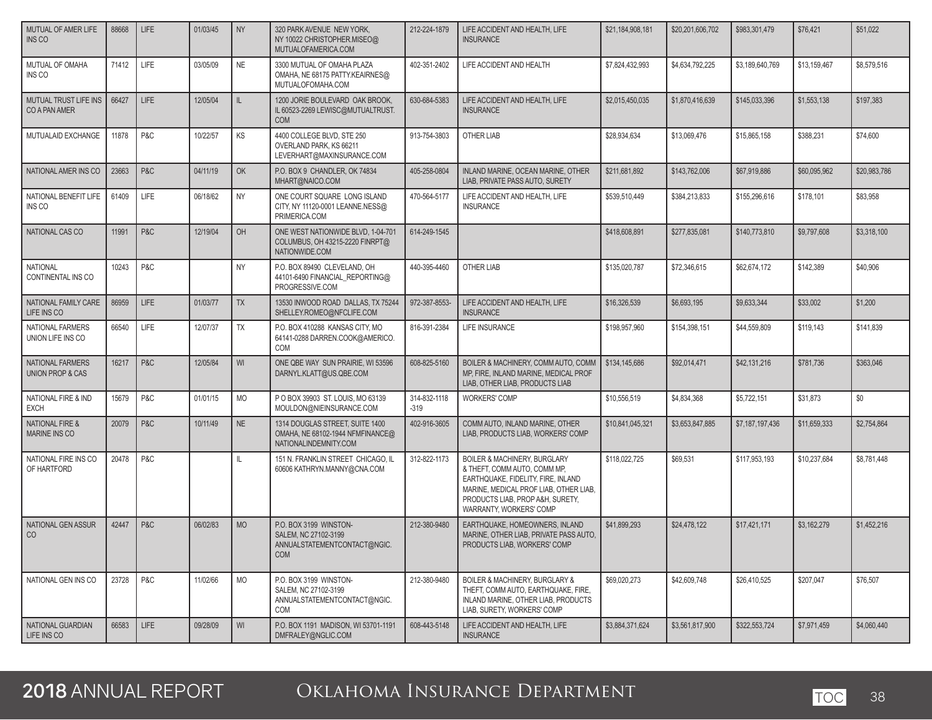| MUTUAL OF AMER LIFE<br><b>INS CO</b>            | 88668 | <b>LIFE</b> | 01/03/45 | <b>NY</b> | 320 PARK AVENUE NEW YORK.<br>NY 10022 CHRISTOPHER.MISEO@<br>MUTUALOFAMERICA.COM              | 212-224-1879           | LIFE ACCIDENT AND HEALTH, LIFE<br><b>INSURANCE</b>                                                                                                                                                                     | \$21,184,908,181 | \$20,201,606,702 | \$983,301,479   | \$76,421     | \$51,022     |
|-------------------------------------------------|-------|-------------|----------|-----------|----------------------------------------------------------------------------------------------|------------------------|------------------------------------------------------------------------------------------------------------------------------------------------------------------------------------------------------------------------|------------------|------------------|-----------------|--------------|--------------|
| MUTUAL OF OMAHA<br>INS CO                       | 71412 | LIFE        | 03/05/09 | <b>NE</b> | 3300 MUTUAL OF OMAHA PLAZA<br>OMAHA, NE 68175 PATTY.KEAIRNES@<br>MUTUALOFOMAHA.COM           | 402-351-2402           | LIFE ACCIDENT AND HEALTH                                                                                                                                                                                               | \$7.824.432.993  | \$4,634,792,225  | \$3,189,640,769 | \$13,159,467 | \$8,579,516  |
| MUTUAL TRUST LIFE INS<br>CO A PAN AMER          | 66427 | LIFE        | 12/05/04 | IL.       | 1200 JORIE BOULEVARD OAK BROOK,<br>IL 60523-2269 LEWISC@MUTUALTRUST.<br><b>COM</b>           | 630-684-5383           | LIFE ACCIDENT AND HEALTH, LIFE<br><b>INSURANCE</b>                                                                                                                                                                     | \$2,015,450,035  | \$1,870,416,639  | \$145,033,396   | \$1,553,138  | \$197,383    |
| MUTUALAID EXCHANGE                              | 11878 | P&C         | 10/22/57 | KS        | 4400 COLLEGE BLVD, STE 250<br>OVERLAND PARK, KS 66211<br>LEVERHART@MAXINSURANCE.COM          | 913-754-3803           | OTHER LIAB                                                                                                                                                                                                             | \$28,934,634     | \$13,069,476     | \$15,865,158    | \$388,231    | \$74,600     |
| NATIONAL AMER INS CO                            | 23663 | P&C         | 04/11/19 | <b>OK</b> | P.O. BOX 9 CHANDLER, OK 74834<br>MHART@NAICO.COM                                             | 405-258-0804           | INLAND MARINE, OCEAN MARINE, OTHER<br>LIAB, PRIVATE PASS AUTO, SURETY                                                                                                                                                  | \$211,681,892    | \$143,762,006    | \$67,919,886    | \$60.095.962 | \$20,983,786 |
| NATIONAL BENEFIT LIFE<br><b>INS CO</b>          | 61409 | LIFE        | 06/18/62 | <b>NY</b> | ONE COURT SQUARE LONG ISLAND<br>CITY, NY 11120-0001 LEANNE.NESS@<br>PRIMERICA.COM            | 470-564-5177           | LIFE ACCIDENT AND HEALTH, LIFE<br><b>INSURANCE</b>                                                                                                                                                                     | \$539,510,449    | \$384,213,833    | \$155,296,616   | \$178,101    | \$83,958     |
| NATIONAL CAS CO                                 | 11991 | P&C         | 12/19/04 | OH        | ONE WEST NATIONWIDE BLVD, 1-04-701<br>COLUMBUS, OH 43215-2220 FINRPT@<br>NATIONWIDE.COM      | 614-249-1545           |                                                                                                                                                                                                                        | \$418,608,891    | \$277,835,081    | \$140,773,810   | \$9,797,608  | \$3,318,100  |
| <b>NATIONAL</b><br>CONTINENTAL INS CO           | 10243 | P&C         |          | <b>NY</b> | P.O. BOX 89490 CLEVELAND, OH<br>44101-6490 FINANCIAL_REPORTING@<br>PROGRESSIVE.COM           | 440-395-4460           | OTHER LIAB                                                                                                                                                                                                             | \$135,020,787    | \$72,346,615     | \$62,674,172    | \$142,389    | \$40,906     |
| NATIONAL FAMILY CARE<br>LIFE INS CO             | 86959 | <b>LIFE</b> | 01/03/77 | <b>TX</b> | 13530 INWOOD ROAD DALLAS. TX 75244<br>SHELLEY.ROMEO@NFCLIFE.COM                              | 972-387-8553-          | LIFE ACCIDENT AND HEALTH, LIFE<br><b>INSURANCE</b>                                                                                                                                                                     | \$16,326,539     | \$6,693,195      | \$9,633,344     | \$33,002     | \$1,200      |
| NATIONAL FARMERS<br>UNION LIFE INS CO           | 66540 | LIFE        | 12/07/37 | TX        | P.O. BOX 410288 KANSAS CITY. MO<br>64141-0288 DARREN.COOK@AMERICO.<br>COM                    | 816-391-2384           | LIFE INSURANCE                                                                                                                                                                                                         | \$198,957,960    | \$154.398.151    | \$44,559,809    | \$119,143    | \$141,839    |
| NATIONAL FARMERS<br><b>UNION PROP &amp; CAS</b> | 16217 | P&C         | 12/05/84 | WI        | ONE QBE WAY SUN PRAIRIE. WI 53596<br>DARNYL.KLATT@US.QBE.COM                                 | 608-825-5160           | BOILER & MACHINERY, COMM AUTO, COMM<br>MP, FIRE, INLAND MARINE, MEDICAL PROF<br>LIAB, OTHER LIAB, PRODUCTS LIAB                                                                                                        | \$134,145,686    | \$92,014,471     | \$42,131,216    | \$781,736    | \$363,046    |
| NATIONAL FIRE & IND<br><b>EXCH</b>              | 15679 | P&C         | 01/01/15 | <b>MO</b> | P O BOX 39903 ST. LOUIS, MO 63139<br>MOULDON@NIEINSURANCE.COM                                | 314-832-1118<br>$-319$ | <b>WORKERS' COMP</b>                                                                                                                                                                                                   | \$10,556,519     | \$4,834,368      | \$5,722,151     | \$31,873     | \$0          |
| <b>NATIONAL FIRE &amp;</b><br>MARINE INS CO     | 20079 | P&C         | 10/11/49 | NE        | 1314 DOUGLAS STREET, SUITE 1400<br>OMAHA, NE 68102-1944 NFMFINANCE@<br>NATIONALINDEMNITY.COM | 402-916-3605           | COMM AUTO, INLAND MARINE, OTHER<br>LIAB, PRODUCTS LIAB, WORKERS' COMP                                                                                                                                                  | \$10,841,045,321 | \$3,653,847,885  | \$7,187,197,436 | \$11,659,333 | \$2,754,864  |
| NATIONAL FIRE INS CO<br>OF HARTFORD             | 20478 | P&C         |          | IL.       | 151 N. FRANKLIN STREET CHICAGO, IL<br>60606 KATHRYN.MANNY@CNA.COM                            | 312-822-1173           | <b>BOILER &amp; MACHINERY, BURGLARY</b><br>& THEFT, COMM AUTO, COMM MP,<br>EARTHQUAKE, FIDELITY, FIRE, INLAND<br>MARINE, MEDICAL PROF LIAB, OTHER LIAB,<br>PRODUCTS LIAB, PROP A&H, SURETY,<br>WARRANTY, WORKERS' COMP | \$118,022,725    | \$69,531         | \$117,953,193   | \$10,237,684 | \$8,781,448  |
| NATIONAL GEN ASSUR<br>CO                        | 42447 | P&C         | 06/02/83 | <b>MO</b> | P.O. BOX 3199 WINSTON-<br>SALEM, NC 27102-3199<br>ANNUALSTATEMENTCONTACT@NGIC.<br><b>COM</b> | 212-380-9480           | EARTHQUAKE, HOMEOWNERS, INLAND<br>MARINE, OTHER LIAB, PRIVATE PASS AUTO.<br>PRODUCTS LIAB, WORKERS' COMP                                                                                                               | \$41,899,293     | \$24,478,122     | \$17,421,171    | \$3,162,279  | \$1,452,216  |
| NATIONAL GEN INS CO                             | 23728 | P&C         | 11/02/66 | <b>MO</b> | P.O. BOX 3199 WINSTON-<br>SALEM, NC 27102-3199<br>ANNUALSTATEMENTCONTACT@NGIC.<br>COM        | 212-380-9480           | <b>BOILER &amp; MACHINERY, BURGLARY &amp;</b><br>THEFT, COMM AUTO, EARTHQUAKE, FIRE,<br>INLAND MARINE, OTHER LIAB, PRODUCTS<br>LIAB, SURETY, WORKERS' COMP                                                             | \$69,020,273     | \$42,609,748     | \$26,410,525    | \$207,047    | \$76,507     |
| NATIONAL GUARDIAN<br>LIFE INS CO                | 66583 | LIFE        | 09/28/09 | WI        | P.O. BOX 1191 MADISON, WI 53701-1191<br>DMFRALEY@NGLIC.COM                                   | 608-443-5148           | LIFE ACCIDENT AND HEALTH, LIFE<br><b>INSURANCE</b>                                                                                                                                                                     | \$3,884,371,624  | \$3,561,817,900  | \$322,553,724   | \$7,971,459  | \$4,060,440  |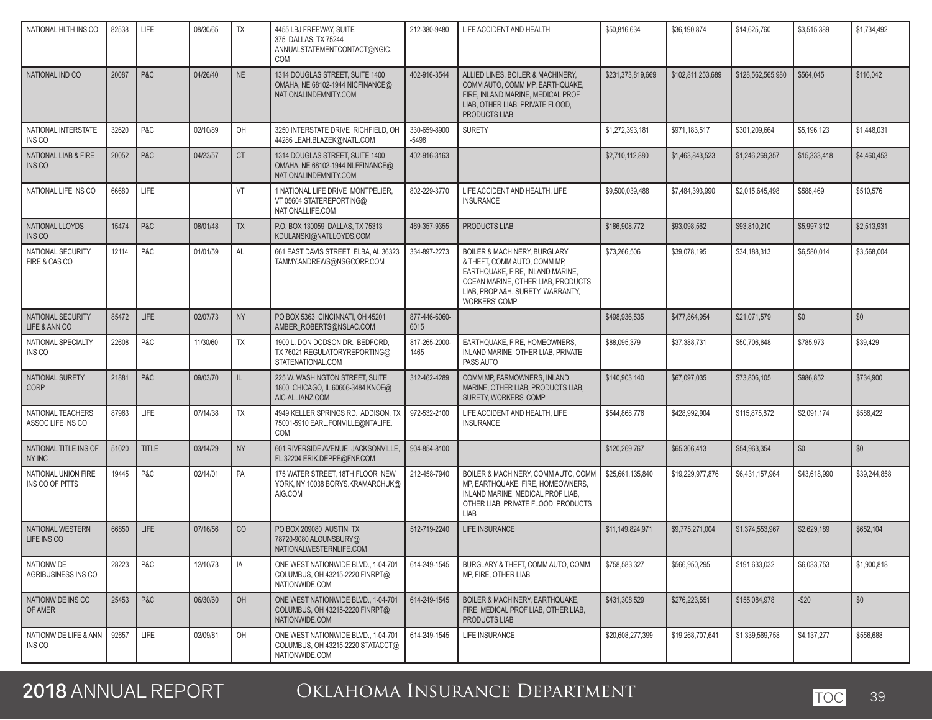| NATIONAL HLTH INS CO                     | 82538 | <b>LIFE</b>    | 08/30/65 | <b>TX</b> | 4455 LBJ FREEWAY, SUITE<br>375 DALLAS, TX 75244<br>ANNUALSTATEMENTCONTACT@NGIC.<br>COM       | 212-380-9480            | LIFE ACCIDENT AND HEALTH                                                                                                                                                                                       | \$50,816,634      | \$36,190,874      | \$14,625,760      | \$3,515,389  | \$1,734,492  |
|------------------------------------------|-------|----------------|----------|-----------|----------------------------------------------------------------------------------------------|-------------------------|----------------------------------------------------------------------------------------------------------------------------------------------------------------------------------------------------------------|-------------------|-------------------|-------------------|--------------|--------------|
| NATIONAL IND CO                          | 20087 | P&C            | 04/26/40 | <b>NE</b> | 1314 DOUGLAS STREET, SUITE 1400<br>OMAHA, NE 68102-1944 NICFINANCE@<br>NATIONALINDEMNITY.COM | 402-916-3544            | ALLIED LINES, BOILER & MACHINERY,<br>COMM AUTO. COMM MP. EARTHQUAKE.<br>FIRE, INLAND MARINE, MEDICAL PROF<br>LIAB. OTHER LIAB. PRIVATE FLOOD.<br>PRODUCTS LIAB                                                 | \$231,373,819,669 | \$102,811,253,689 | \$128,562,565,980 | \$564,045    | \$116,042    |
| NATIONAL INTERSTATE<br>INS CO            | 32620 | P&C            | 02/10/89 | OH        | 3250 INTERSTATE DRIVE RICHFIELD, OH<br>44286 LEAH.BLAZEK@NATL.COM                            | 330-659-8900<br>$-5498$ | <b>SURETY</b>                                                                                                                                                                                                  | \$1,272,393,181   | \$971,183,517     | \$301,209,664     | \$5,196,123  | \$1,448,031  |
| NATIONAL LIAB & FIRE<br>INS CO           | 20052 | P&C            | 04/23/57 | <b>CT</b> | 1314 DOUGLAS STREET, SUITE 1400<br>OMAHA, NE 68102-1944 NLFFINANCE@<br>NATIONALINDEMNITY.COM | 402-916-3163            |                                                                                                                                                                                                                | \$2,710,112,880   | \$1,463,843,523   | \$1,246,269,357   | \$15,333,418 | \$4,460,453  |
| NATIONAL LIFE INS CO                     | 66680 | LIFE           |          | VT        | 1 NATIONAL LIFE DRIVE MONTPELIER,<br>VT 05604 STATEREPORTING@<br>NATIONALLIFE.COM            | 802-229-3770            | LIFE ACCIDENT AND HEALTH, LIFE<br><b>INSURANCE</b>                                                                                                                                                             | \$9,500,039,488   | \$7.484.393.990   | \$2.015.645.498   | \$588,469    | \$510,576    |
| NATIONAL LLOYDS<br><b>INS CO</b>         | 15474 | P&C            | 08/01/48 | <b>TX</b> | P.O. BOX 130059 DALLAS, TX 75313<br>KDULANSKI@NATLLOYDS.COM                                  | 469-357-9355            | PRODUCTS LIAB                                                                                                                                                                                                  | \$186,908,772     | \$93,098,562      | \$93,810,210      | \$5,997,312  | \$2,513,931  |
| NATIONAL SECURITY<br>FIRE & CAS CO       | 12114 | P&C            | 01/01/59 | AL        | 661 EAST DAVIS STREET ELBA, AL 36323<br>TAMMY.ANDREWS@NSGCORP.COM                            | 334-897-2273            | <b>BOILER &amp; MACHINERY, BURGLARY</b><br>& THEFT. COMM AUTO. COMM MP.<br>EARTHQUAKE, FIRE, INLAND MARINE.<br>OCEAN MARINE, OTHER LIAB, PRODUCTS<br>LIAB, PROP A&H, SURETY, WARRANTY,<br><b>WORKERS' COMP</b> | \$73,266,506      | \$39,078,195      | \$34,188,313      | \$6,580,014  | \$3,568,004  |
| NATIONAL SECURITY<br>LIFE & ANN CO       | 85472 | <b>LIFE</b>    | 02/07/73 | <b>NY</b> | PO BOX 5363 CINCINNATI. OH 45201<br>AMBER_ROBERTS@NSLAC.COM                                  | 877-446-6060-<br>6015   |                                                                                                                                                                                                                | \$498,936,535     | \$477,864,954     | \$21,071,579      | \$0          | \$0          |
| NATIONAL SPECIALTY<br>INS CO             | 22608 | P&C            | 11/30/60 | TX        | 1900 L. DON DODSON DR. BEDFORD,<br>TX 76021 REGULATORYREPORTING@<br>STATENATIONAL.COM        | 817-265-2000-<br>1465   | EARTHQUAKE, FIRE, HOMEOWNERS,<br>INLAND MARINE, OTHER LIAB, PRIVATE<br>PASS AUTO                                                                                                                               | \$88,095,379      | \$37,388,731      | \$50,706,648      | \$785,973    | \$39,429     |
| NATIONAL SURETY<br><b>CORP</b>           | 21881 | P&C            | 09/03/70 | IL        | 225 W. WASHINGTON STREET, SUITE<br>1800 CHICAGO, IL 60606-3484 KNOE@<br>AIC-ALLIANZ.COM      | 312-462-4289            | COMM MP, FARMOWNERS, INLAND<br>MARINE, OTHER LIAB, PRODUCTS LIAB,<br>SURETY, WORKERS' COMP                                                                                                                     | \$140,903,140     | \$67,097,035      | \$73,806,105      | \$986,852    | \$734,900    |
| NATIONAL TEACHERS<br>ASSOC LIFE INS CO   | 87963 | LIFE           | 07/14/38 | TX        | 4949 KELLER SPRINGS RD. ADDISON, TX<br>75001-5910 EARL.FONVILLE@NTALIFE.<br>COM              | 972-532-2100            | LIFE ACCIDENT AND HEALTH, LIFE<br><b>INSURANCE</b>                                                                                                                                                             | \$544,868,776     | \$428,992,904     | \$115,875,872     | \$2,091,174  | \$586,422    |
| NATIONAL TITLE INS OF<br>NY INC          | 51020 | <b>TITLE</b>   | 03/14/29 | <b>NY</b> | 601 RIVERSIDE AVENUE JACKSONVILLE,<br>FL 32204 ERIK.DEPPE@FNF.COM                            | 904-854-8100            |                                                                                                                                                                                                                | \$120,269,767     | \$65,306,413      | \$54,963,354      | \$0          | \$0          |
| NATIONAL UNION FIRE<br>INS CO OF PITTS   | 19445 | P&C            | 02/14/01 | PA        | 175 WATER STREET, 18TH FLOOR NEW<br>YORK, NY 10038 BORYS.KRAMARCHUK@<br>AIG.COM              | 212-458-7940            | BOILER & MACHINERY, COMM AUTO, COMM<br>MP, EARTHQUAKE, FIRE, HOMEOWNERS,<br>INLAND MARINE, MEDICAL PROF LIAB,<br>OTHER LIAB, PRIVATE FLOOD, PRODUCTS<br>LIAB                                                   | \$25,661,135,840  | \$19,229,977,876  | \$6,431,157,964   | \$43,618,990 | \$39,244,858 |
| NATIONAL WESTERN<br>LIFE INS CO          | 66850 | <b>LIFE</b>    | 07/16/56 | CO        | PO BOX 209080 AUSTIN, TX<br>78720-9080 ALOUNSBURY@<br>NATIONALWESTERNLIFE.COM                | 512-719-2240            | LIFE INSURANCE                                                                                                                                                                                                 | \$11,149,824,971  | \$9,775,271,004   | \$1,374,553,967   | \$2,629,189  | \$652,104    |
| <b>NATIONWIDE</b><br>AGRIBUSINESS INS CO | 28223 | P&C            | 12/10/73 | IA        | ONE WEST NATIONWIDE BLVD., 1-04-701<br>COLUMBUS, OH 43215-2220 FINRPT@<br>NATIONWIDE.COM     | 614-249-1545            | BURGLARY & THEFT, COMM AUTO, COMM<br>MP, FIRE, OTHER LIAB                                                                                                                                                      | \$758,583,327     | \$566,950,295     | \$191,633,032     | \$6,033,753  | \$1,900,818  |
| NATIONWIDE INS CO<br>OF AMER             | 25453 | <b>P&amp;C</b> | 06/30/60 | OH        | ONE WEST NATIONWIDE BLVD., 1-04-701<br>COLUMBUS, OH 43215-2220 FINRPT@<br>NATIONWIDE.COM     | 614-249-1545            | BOILER & MACHINERY, EARTHQUAKE,<br>FIRE, MEDICAL PROF LIAB, OTHER LIAB,<br>PRODUCTS LIAB                                                                                                                       | \$431,308,529     | \$276,223,551     | \$155,084,978     | $-$20$       | \$0          |
| NATIONWIDE LIFE & ANN<br>INS CO          | 92657 | <b>LIFE</b>    | 02/09/81 | OH        | ONE WEST NATIONWIDE BLVD., 1-04-701<br>COLUMBUS, OH 43215-2220 STATACCT@<br>NATIONWIDE.COM   | 614-249-1545            | LIFE INSURANCE                                                                                                                                                                                                 | \$20,608,277,399  | \$19,268,707,641  | \$1,339,569,758   | \$4,137,277  | \$556,688    |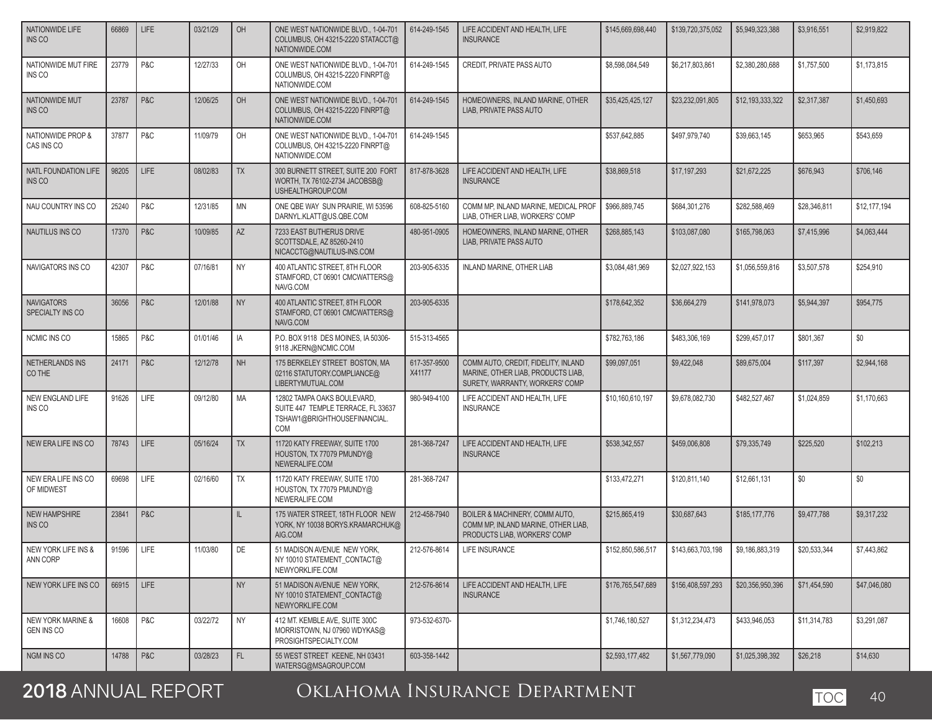### NATIONWIDE LIFE INS CO 66869 LIFE 03/21/29 OH ONE WEST NATIONWIDE BLVD., 1-04-701 COLUMBUS, OH 43215-2220 STATACCT@ NATIONWIDE.COM 614-249-1545 LIFE ACCIDENT AND HEALTH, LIFE **INSURANCE** \$145,669,698,440 **\$139,720,375,052 \$5,949,323,388 \$3,916,551** \$2,919,822 NATIONWIDE MUT FIRE INS CO 23779 P&C 12/27/33 OH ONE WEST NATIONWIDE BLVD., 1-04-701 COLUMBUS, OH 43215-2220 FINRPT@ NATIONWIDE.COM 614-249-1545 CREDIT, PRIVATE PASS AUTO \$8,598,084,549 \$6,217,803,861 \$2,380,280,688 \$1,757,500 \$1,173,815 NATIONWIDE MUT INS CO 23787 P&C 12/06/25 OH ONE WEST NATIONWIDE BLVD., 1-04-701 COLUMBUS, OH 43215-2220 FINRPT@ NATIONWIDE.COM 614-249-1545 HOMEOWNERS, INLAND MARINE, OTHER LIAB, PRIVATE PASS AUTO \$35,425,425,127 \$23,232,091,805 \$12,193,333,322 \$2,317,387 \$1,450,693 NATIONWIDE PROP & CAS INS CO 37877 P&C 11/09/79 OH ONE WEST NATIONWIDE BLVD., 1-04-701 COLUMBUS, OH 43215-2220 FINRPT@ NATIONWIDE.COM 614-249-1545 \$537,642,885 \$497,979,740 \$39,663,145 \$653,965 \$543,659 NATL FOUNDATION LIFE INS CO 98205 LIFE  $\vert$  08/02/83 TX 300 BURNETT STREET, SUITE 200 FORT WORTH, TX 76102-2734 JACOBSB@ USHEALTHGROUP.COM 817-878-3628 LIFE ACCIDENT AND HEALTH, LIFE INSURANCE \$38,869,518 | \$17,197,293 | \$21,672,225 | \$676,943 | \$706,146 NAU COUNTRY INS CO | 25240 | P&C | 12/31/85 | MN | ONE QBE WAY SUN PRAIRIE, WI 53596 DARNYL.KLATT@US.QBE.COM 608-825-5160 COMM MP, INLAND MARINE, MEDICAL PROF LIAB, OTHER LIAB, WORKERS' COMP \$966,889,745 \$684,301,276 \$282,588,469 \$28,346,811 \$12,177,194 NAUTILUS INS CO **17370 P&C** 10/09/85 AZ 7233 EAST BUTHERUS DRIVE SCOTTSDALE, AZ 85260-2410 NICACCTG@NAUTILUS-INS.COM 480-951-0905 HOMEOWNERS, INLAND MARINE, OTHER LIAB, PRIVATE PASS AUTO \$268,885,143 \$103,087,080 \$165,798,063 \$7,415,996 \$4,063,444 NAVIGATORS INS CO  $\parallel$  42307 P&C  $\parallel$  07/16/81 NY  $\parallel$  400 ATLANTIC STREET. 8TH FLOOR STAMFORD, CT 06901 CMCWATTERS@ NAVG.COM 203-905-6335 INLAND MARINE, OTHER LIAB \$3,084,481,969 \$2,027,922,153 \$1,056,559,816 \$3,507,578 \$254,910 **NAVIGATORS** SPECIALTY INS CO 36056 P&C 12/01/88 NY 400 ATLANTIC STREET, 8TH FLOOR STAMFORD, CT 06901 CMCWATTERS@ NAVG.COM 203-905-6335 **|** \$178,642,352 **| \$36,664,279 \$141,978,073 \$5,944,397 \$954,775 \$954,775** NCMIC INS CO 15865 P&C 101/01/46 IA P.O. BOX 9118 DES MOINES, IA 50306-9118 JKERN@NCMIC.COM 515-313-4565 \$782,763,186 \$483,306,169 \$299,457,017 \$801,367 \$0 NETHERLANDS INS CO THE 24171 | P&C | 12/12/78 | NH | 175 BERKELEY STREET BOSTON, MA 02116 STATUTORY.COMPLIANCE@ LIBERTYMUTUAL.COM 617-357-9500 X41177 COMM AUTO, CREDIT, FIDELITY, INLAND MARINE, OTHER LIAB, PRODUCTS LIAB, SURETY, WARRANTY, WORKERS' COMP \$99,097,051 \$9,422,048 \$89,675,004 \$117,397 \$2,944,168 NEW ENGLAND LIFE INS CO 91626 LIFE 09/12/80 MA 12802 TAMPA OAKS BOULEVARD, SUITE 447 TEMPLE TERRACE, FL 33637 TSHAW1@BRIGHTHOUSEFINANCIAL. COM 980-949-4100 LIFE ACCIDENT AND HEALTH, LIFE INSURANCE \$10,160,610,197 \$9,678,082,730 \$482,527,467 \$1,024,859 \$1,170,663 NEW ERA LIFE INS CO  $\parallel$  78743 LIFE  $\parallel$  05/16/24 LTX 17720 KATY FREEWAY, SUITE 1700 HOUSTON, TX 77079 PMUNDY@ NEWERALIFE.COM 281-368-7247 LIFE ACCIDENT AND HEALTH, LIFE **INSURANCE** \$538,342,557 **\$225,520** \$459,006,808 \$79,335,749 \$225,520 \$102,213 NEW ERA LIFE INS CO OF MIDWEST 69698 LIFE 02/16/60 TX 11720 KATY FREEWAY, SUITE 1700 HOUSTON, TX 77079 PMUNDY@ NEWERALIFE.COM 281-368-7247 | | \$133,472,271 | \$120,811,140 | \$12,661,131 | \$0 | \$0 NEW HAMPSHIRE INS CO 23841 **P&C I** IL 175 WATER STREET, 18TH FLOOR NEW YORK, NY 10038 BORYS.KRAMARCHUK@ AIG.COM 212-458-7940 BOILER & MACHINERY, COMM AUTO, COMM MP, INLAND MARINE, OTHER LIAB, PRODUCTS LIAB, WORKERS' COMP \$215,865,419 \$30,687,643 \$185,177,776 \$9,477,788 \$9,317,232 NEW YORK LIFE INS & ANN CORP 91596 LIFE 11/03/80 DE 51 MADISON AVENUE NEW YORK. NY 10010 STATEMENT\_CONTACT@ NEWYORKLIFE.COM 212-576-8614 LIFE INSURANCE \$152,850,586,517 \$143,663,703,198 \$9,186,883,319 \$20,533,344 \$7,443,862 NEW YORK LIFE INS CO 66915 LIFE NEW YORK NEW YORK NEW YORK, NOTICE A ST AND ISOM AVENUE NEW YORK. NY 10010 STATEMENT\_CONTACT@ NEWYORKLIFE.COM 212-576-8614 LIFE ACCIDENT AND HEALTH, LIFE INSURANCE \$176,765,547,689 \$156,408,597,293 \$20,356,950,396 \$71,454,590 \$47,046,080 NEW YORK MARINE & GEN INS CO 16608 P&C 03/22/72 NY 412 MT. KEMBLE AVE, SUITE 300C MORRISTOWN, NJ 07960 WDYKAS@ PROSIGHTSPECIALTY.COM 973-532-6370- \$1,746,180,527 \$1,312,234,473 \$433,946,053 \$11,314,783 \$3,291,087 NGM INS CO 14788 P&C 13/28/23 FL 55 WEST STREET KEENE, NH 03431 WATERSG@MSAGROUP.COM 603-358-1442 \$2,593,177,482 \$1,567,779,090 \$1,025,398,392 \$26,218 \$14,630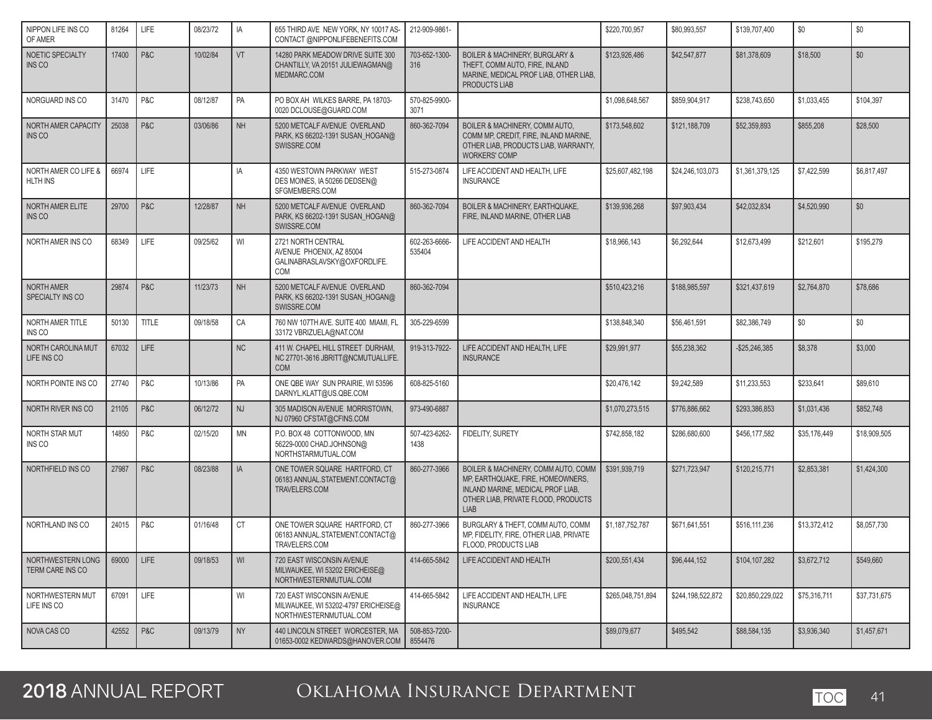| NIPPON LIFE INS CO<br>OF AMER           | 81264 | LIFE         | 08/23/72 | IA        | 655 THIRD AVE NEW YORK, NY 10017 AS-<br>CONTACT @NIPPONLIFEBENEFITS.COM                    | 212-909-9861-            |                                                                                                                                                                     | \$220,700,957     | \$80,993,557      | \$139,707,400    | $\$0$        | \$0          |
|-----------------------------------------|-------|--------------|----------|-----------|--------------------------------------------------------------------------------------------|--------------------------|---------------------------------------------------------------------------------------------------------------------------------------------------------------------|-------------------|-------------------|------------------|--------------|--------------|
| NOETIC SPECIALTY<br>INS CO              | 17400 | P&C          | 10/02/84 | VT        | 14280 PARK MEADOW DRIVE SUITE 300<br>CHANTILLY, VA 20151 JULIEWAGMAN@<br>MEDMARC.COM       | 703-652-1300-<br>316     | <b>BOILER &amp; MACHINERY, BURGLARY &amp;</b><br>THEFT, COMM AUTO, FIRE, INLAND<br>MARINE, MEDICAL PROF LIAB, OTHER LIAB,<br>PRODUCTS LIAB                          | \$123,926,486     | \$42,547,877      | \$81,378,609     | \$18,500     | \$0          |
| NORGUARD INS CO                         | 31470 | P&C          | 08/12/87 | PA        | PO BOX AH WILKES BARRE, PA 18703-<br>0020 DCLOUSE@GUARD.COM                                | 570-825-9900-<br>3071    |                                                                                                                                                                     | \$1,098,648,567   | \$859,904,917     | \$238.743.650    | \$1,033,455  | \$104,397    |
| NORTH AMER CAPACITY<br>INS CO           | 25038 | P&C          | 03/06/86 | <b>NH</b> | 5200 METCALF AVENUE OVERLAND<br>PARK, KS 66202-1391 SUSAN_HOGAN@<br>SWISSRE.COM            | 860-362-7094             | BOILER & MACHINERY, COMM AUTO,<br>COMM MP, CREDIT, FIRE, INLAND MARINE,<br>OTHER LIAB, PRODUCTS LIAB, WARRANTY,<br><b>WORKERS' COMP</b>                             | \$173,548,602     | \$121,188,709     | \$52,359,893     | \$855,208    | \$28,500     |
| NORTH AMER CO LIFE &<br><b>HLTH INS</b> | 66974 | LIFE         |          | IA        | 4350 WESTOWN PARKWAY WEST<br>DES MOINES, IA 50266 DEDSEN@<br>SFGMEMBERS.COM                | 515-273-0874             | LIFE ACCIDENT AND HEALTH. LIFE<br><b>INSURANCE</b>                                                                                                                  | \$25,607,482,198  | \$24,246,103,073  | \$1,361,379,125  | \$7,422,599  | \$6,817,497  |
| NORTH AMER ELITE<br>INS CO              | 29700 | P&C          | 12/28/87 | <b>NH</b> | 5200 METCALF AVENUE OVERLAND<br>PARK, KS 66202-1391 SUSAN_HOGAN@<br>SWISSRE.COM            | 860-362-7094             | BOILER & MACHINERY, EARTHQUAKE,<br>FIRE, INLAND MARINE, OTHER LIAB                                                                                                  | \$139,936,268     | \$97,903,434      | \$42,032,834     | \$4,520,990  | \$0          |
| NORTH AMER INS CO                       | 68349 | LIFE         | 09/25/62 | WI        | 2721 NORTH CENTRAL<br>AVENUE PHOENIX, AZ 85004<br>GALINABRASLAVSKY@OXFORDLIFE.<br>COM      | 602-263-6666-<br>535404  | LIFE ACCIDENT AND HEALTH                                                                                                                                            | \$18,966,143      | \$6,292,644       | \$12,673,499     | \$212,601    | \$195,279    |
| NORTH AMER<br>SPECIALTY INS CO          | 29874 | P&C          | 11/23/73 | <b>NH</b> | 5200 METCALF AVENUE OVERLAND<br>PARK, KS 66202-1391 SUSAN_HOGAN@<br>SWISSRE.COM            | 860-362-7094             |                                                                                                                                                                     | \$510,423,216     | \$188,985,597     | \$321,437,619    | \$2,764,870  | \$78,686     |
| NORTH AMER TITLE<br>INS CO              | 50130 | <b>TITLE</b> | 09/18/58 | CA        | 760 NW 107TH AVE, SUITE 400 MIAMI, FL<br>33172 VBRIZUELA@NAT.COM                           | 305-229-6599             |                                                                                                                                                                     | \$138,848,340     | \$56,461,591      | \$82,386,749     | \$0          | \$0          |
| NORTH CAROLINA MUT<br>LIFE INS CO       | 67032 | LIFE         |          | NC        | 411 W. CHAPEL HILL STREET DURHAM,<br>NC 27701-3616 JBRITT@NCMUTUALLIFE.<br><b>COM</b>      | 919-313-7922-            | LIFE ACCIDENT AND HEALTH, LIFE<br><b>INSURANCE</b>                                                                                                                  | \$29,991,977      | \$55,238,362      | $-$ \$25.246.385 | \$8,378      | \$3,000      |
| NORTH POINTE INS CO                     | 27740 | P&C          | 10/13/86 | PA        | ONE QBE WAY SUN PRAIRIE, WI 53596<br>DARNYL.KLATT@US.QBE.COM                               | 608-825-5160             |                                                                                                                                                                     | \$20,476,142      | \$9,242,589       | \$11,233,553     | \$233,641    | \$89,610     |
| NORTH RIVER INS CO                      | 21105 | P&C          | 06/12/72 | <b>NJ</b> | 305 MADISON AVENUE MORRISTOWN,<br>NJ 07960 CFSTAT@CFINS.COM                                | 973-490-6887             |                                                                                                                                                                     | \$1,070,273,515   | \$776,886,662     | \$293,386,853    | \$1,031,436  | \$852,748    |
| NORTH STAR MUT<br>INS CO                | 14850 | P&C          | 02/15/20 | <b>MN</b> | P.O. BOX 48 COTTONWOOD, MN<br>56229-0000 CHAD.JOHNSON@<br>NORTHSTARMUTUAL.COM              | 507-423-6262-<br>1438    | FIDELITY, SURETY                                                                                                                                                    | \$742,858,182     | \$286,680,600     | \$456,177,582    | \$35,176,449 | \$18,909,505 |
| NORTHFIELD INS CO                       | 27987 | P&C          | 08/23/88 | IA        | ONE TOWER SQUARE HARTFORD, CT<br>06183 ANNUAL.STATEMENT.CONTACT@<br>TRAVELERS.COM          | 860-277-3966             | BOILER & MACHINERY, COMM AUTO, COMM<br>MP. EARTHQUAKE, FIRE, HOMEOWNERS.<br>INLAND MARINE, MEDICAL PROF LIAB,<br>OTHER LIAB, PRIVATE FLOOD, PRODUCTS<br><b>LIAB</b> | \$391,939,719     | \$271,723,947     | \$120,215,771    | \$2,853,381  | \$1,424,300  |
| NORTHLAND INS CO                        | 24015 | P&C          | 01/16/48 | <b>CT</b> | ONE TOWER SQUARE HARTFORD, CT<br>06183 ANNUAL.STATEMENT.CONTACT@<br>TRAVELERS.COM          | 860-277-3966             | BURGLARY & THEFT, COMM AUTO, COMM<br>MP, FIDELITY, FIRE, OTHER LIAB, PRIVATE<br>FLOOD, PRODUCTS LIAB                                                                | \$1,187,752,787   | \$671.641.551     | \$516.111.236    | \$13,372,412 | \$8,057,730  |
| NORTHWESTERN LONG<br>TERM CARE INS CO   | 69000 | LIFE         | 09/18/53 | WI        | 720 EAST WISCONSIN AVENUE<br>MILWAUKEE, WI 53202 ERICHEISE@<br>NORTHWESTERNMUTUAL.COM      | 414-665-5842             | LIFE ACCIDENT AND HEALTH                                                                                                                                            | \$200,551,434     | \$96,444,152      | \$104,107,282    | \$3,672,712  | \$549,660    |
| NORTHWESTERN MUT<br>LIFE INS CO         | 67091 | LIFE         |          | WI        | 720 EAST WISCONSIN AVENUE<br>MILWAUKEE, WI 53202-4797 ERICHEISE@<br>NORTHWESTERNMUTUAL.COM | 414-665-5842             | LIFE ACCIDENT AND HEALTH, LIFE<br><b>INSURANCE</b>                                                                                                                  | \$265,048,751,894 | \$244,198,522,872 | \$20,850,229,022 | \$75,316,711 | \$37,731,675 |
| NOVA CAS CO                             | 42552 | P&C          | 09/13/79 | <b>NY</b> | 440 LINCOLN STREET WORCESTER, MA<br>01653-0002 KEDWARDS@HANOVER.COM                        | 508-853-7200-<br>8554476 |                                                                                                                                                                     | \$89,079,677      | \$495,542         | \$88,584,135     | \$3,936,340  | \$1,457,671  |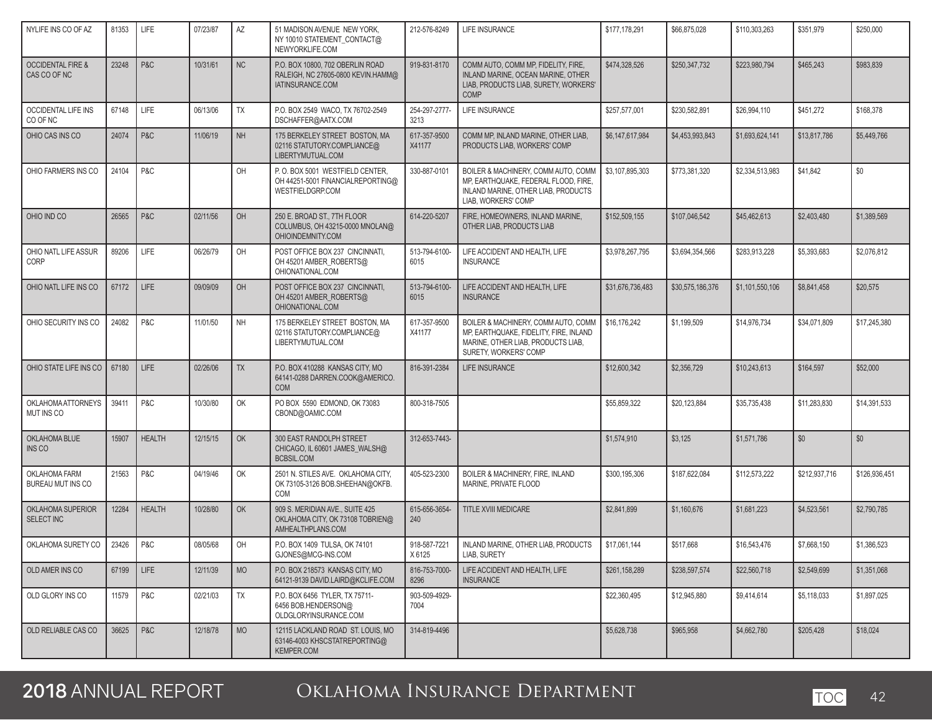| NYLIFE INS CO OF AZ                          | 81353 | <b>LIFE</b>   | 07/23/87 | AZ        | 51 MADISON AVENUE NEW YORK,<br>NY 10010 STATEMENT CONTACT@<br>NEWYORKLIFE.COM              | 212-576-8249           | LIFE INSURANCE                                                                                                                               | \$177,178,291    | \$66,875,028     | \$110,303,263   | \$351,979     | \$250,000     |
|----------------------------------------------|-------|---------------|----------|-----------|--------------------------------------------------------------------------------------------|------------------------|----------------------------------------------------------------------------------------------------------------------------------------------|------------------|------------------|-----------------|---------------|---------------|
| <b>OCCIDENTAL FIRE &amp;</b><br>CAS CO OF NC | 23248 | P&C           | 10/31/61 | NC        | P.O. BOX 10800, 702 OBERLIN ROAD<br>RALEIGH, NC 27605-0800 KEVIN.HAMM@<br>IATINSURANCE.COM | 919-831-8170           | COMM AUTO, COMM MP, FIDELITY, FIRE,<br>INLAND MARINE, OCEAN MARINE, OTHER<br>LIAB. PRODUCTS LIAB. SURETY. WORKERS'<br><b>COMP</b>            | \$474,328,526    | \$250,347,732    | \$223,980,794   | \$465,243     | \$983,839     |
| <b>OCCIDENTAL LIFE INS</b><br>CO OF NC       | 67148 | <b>LIFE</b>   | 06/13/06 | TX        | P.O. BOX 2549 WACO, TX 76702-2549<br>DSCHAFFER@AATX.COM                                    | 254-297-2777-<br>3213  | LIFE INSURANCE                                                                                                                               | \$257,577,001    | \$230,582,891    | \$26,994,110    | \$451,272     | \$168,378     |
| OHIO CAS INS CO                              | 24074 | P&C           | 11/06/19 | <b>NH</b> | 175 BERKELEY STREET BOSTON, MA<br>02116 STATUTORY.COMPLIANCE@<br>LIBERTYMUTUAL.COM         | 617-357-9500<br>X41177 | COMM MP, INLAND MARINE, OTHER LIAB,<br>PRODUCTS LIAB, WORKERS' COMP                                                                          | \$6,147,617,984  | \$4,453,993,843  | \$1,693,624,141 | \$13,817,786  | \$5,449,766   |
| OHIO FARMERS INS CO                          | 24104 | P&C           |          | OH        | P.O. BOX 5001 WESTFIELD CENTER.<br>OH 44251-5001 FINANCIALREPORTING@<br>WESTFIELDGRP.COM   | 330-887-0101           | BOILER & MACHINERY, COMM AUTO, COMM<br>MP, EARTHQUAKE, FEDERAL FLOOD, FIRE,<br>INLAND MARINE, OTHER LIAB, PRODUCTS<br>LIAB, WORKERS' COMP    | \$3,107,895,303  | \$773,381,320    | \$2.334.513.983 | \$41,842      | \$0           |
| OHIO IND CO                                  | 26565 | P&C           | 02/11/56 | OH        | 250 E. BROAD ST., 7TH FLOOR<br>COLUMBUS, OH 43215-0000 MNOLAN@<br>OHIOINDEMNITY.COM        | 614-220-5207           | FIRE, HOMEOWNERS, INLAND MARINE,<br>OTHER LIAB, PRODUCTS LIAB                                                                                | \$152,509,155    | \$107,046,542    | \$45,462,613    | \$2,403,480   | \$1,389,569   |
| OHIO NATL LIFE ASSUR<br>CORP                 | 89206 | <b>LIFE</b>   | 06/26/79 | OH        | POST OFFICE BOX 237 CINCINNATI,<br>OH 45201 AMBER_ROBERTS@<br>OHIONATIONAL.COM             | 513-794-6100-<br>6015  | LIFE ACCIDENT AND HEALTH, LIFE<br><b>INSURANCE</b>                                                                                           | \$3,978,267,795  | \$3.694.354.566  | \$283,913,228   | \$5,393,683   | \$2,076,812   |
| OHIO NATL LIFE INS CO                        | 67172 | <b>LIFE</b>   | 09/09/09 | OH        | POST OFFICE BOX 237 CINCINNATI,<br>OH 45201 AMBER_ROBERTS@<br>OHIONATIONAL.COM             | 513-794-6100-<br>6015  | LIFE ACCIDENT AND HEALTH, LIFE<br><b>INSURANCE</b>                                                                                           | \$31,676,736,483 | \$30,575,186,376 | \$1,101,550,106 | \$8,841,458   | \$20,575      |
| OHIO SECURITY INS CO                         | 24082 | P&C           | 11/01/50 | <b>NH</b> | 175 BERKELEY STREET BOSTON, MA<br>02116 STATUTORY.COMPLIANCE@<br>LIBERTYMUTUAL.COM         | 617-357-9500<br>X41177 | BOILER & MACHINERY, COMM AUTO, COMM<br>MP, EARTHQUAKE, FIDELITY, FIRE, INLAND<br>MARINE, OTHER LIAB, PRODUCTS LIAB,<br>SURETY, WORKERS' COMP | \$16,176,242     | \$1,199,509      | \$14.976.734    | \$34,071,809  | \$17,245,380  |
| OHIO STATE LIFE INS CO                       | 67180 | LIFE          | 02/26/06 | <b>TX</b> | P.O. BOX 410288 KANSAS CITY, MO<br>64141-0288 DARREN.COOK@AMERICO.<br><b>COM</b>           | 816-391-2384           | LIFE INSURANCE                                                                                                                               | \$12,600,342     | \$2,356,729      | \$10,243,613    | \$164,597     | \$52,000      |
| <b>OKLAHOMA ATTORNEYS</b><br>MUT INS CO      | 39411 | P&C           | 10/30/80 | OK        | PO BOX 5590 EDMOND, OK 73083<br>CBOND@OAMIC.COM                                            | 800-318-7505           |                                                                                                                                              | \$55,859,322     | \$20,123,884     | \$35,735,438    | \$11,283,830  | \$14,391,533  |
| OKLAHOMA BLUE<br>INS CO                      | 15907 | <b>HEALTH</b> | 12/15/15 | OK        | 300 EAST RANDOLPH STREET<br>CHICAGO, IL 60601 JAMES_WALSH@<br>BCBSIL.COM                   | 312-653-7443-          |                                                                                                                                              | \$1,574,910      | \$3,125          | \$1,571,786     | \$0           | \$0           |
| OKLAHOMA FARM<br>BUREAU MUT INS CO           | 21563 | P&C           | 04/19/46 | OK        | 2501 N. STILES AVE. OKLAHOMA CITY,<br>OK 73105-3126 BOB.SHEEHAN@OKFB.<br>COM               | 405-523-2300           | BOILER & MACHINERY, FIRE, INLAND<br>MARINE, PRIVATE FLOOD                                                                                    | \$300,195,306    | \$187,622,084    | \$112,573,222   | \$212,937,716 | \$126,936,451 |
| OKLAHOMA SUPERIOR<br>SELECT INC              | 12284 | <b>HEALTH</b> | 10/28/80 | OK        | 909 S. MERIDIAN AVE., SUITE 425<br>OKLAHOMA CITY, OK 73108 TOBRIEN@<br>AMHEALTHPLANS.COM   | 615-656-3654-<br>240   | TITLE XVIII MEDICARE                                                                                                                         | \$2,841,899      | \$1,160,676      | \$1,681,223     | \$4,523,561   | \$2,790,785   |
| OKLAHOMA SURETY CO                           | 23426 | P&C           | 08/05/68 | OH        | P.O. BOX 1409 TULSA, OK 74101<br>GJONES@MCG-INS.COM                                        | 918-587-7221<br>X 6125 | INLAND MARINE, OTHER LIAB, PRODUCTS<br>LIAB, SURETY                                                                                          | \$17,061,144     | \$517,668        | \$16,543,476    | \$7,668,150   | \$1,386,523   |
| OLD AMER INS CO                              | 67199 | <b>LIFE</b>   | 12/11/39 | <b>MO</b> | P.O. BOX 218573 KANSAS CITY, MO<br>64121-9139 DAVID.LAIRD@KCLIFE.COM                       | 816-753-7000-<br>8296  | LIFE ACCIDENT AND HEALTH, LIFE<br><b>INSURANCE</b>                                                                                           | \$261,158,289    | \$238,597,574    | \$22,560,718    | \$2,549,699   | \$1,351,068   |
| OLD GLORY INS CO                             | 11579 | P&C           | 02/21/03 | TX        | P.O. BOX 6456 TYLER, TX 75711-<br>6456 BOB.HENDERSON@<br>OLDGLORYINSURANCE.COM             | 903-509-4929-<br>7004  |                                                                                                                                              | \$22,360,495     | \$12.945.880     | \$9,414,614     | \$5,118,033   | \$1,897,025   |
| OLD RELIABLE CAS CO                          | 36625 | P&C           | 12/18/78 | <b>MO</b> | 12115 LACKLAND ROAD ST. LOUIS, MO<br>63146-4003 KHSCSTATREPORTING@<br>KEMPER.COM           | 314-819-4496           |                                                                                                                                              | \$5,628,738      | \$965,958        | \$4,662,780     | \$205,428     | \$18,024      |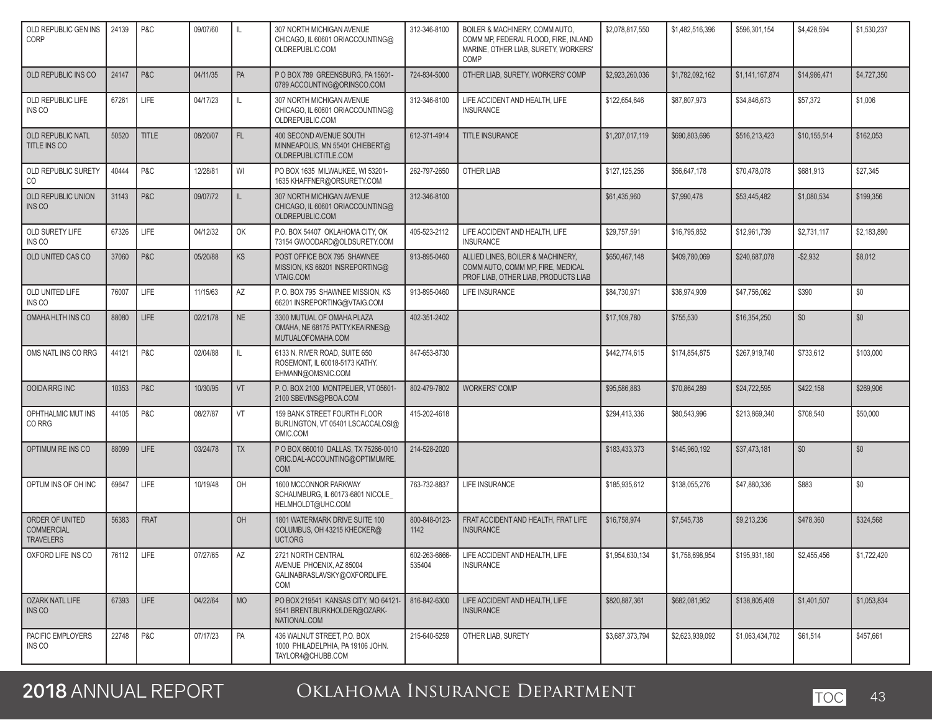| OLD REPUBLIC GEN INS<br>CORP                             | 24139 | P&C          | 09/07/60 | IL        | 307 NORTH MICHIGAN AVENUE<br>CHICAGO, IL 60601 ORIACCOUNTING@<br>OLDREPUBLIC.COM      | 312-346-8100            | BOILER & MACHINERY, COMM AUTO,<br>COMM MP, FEDERAL FLOOD, FIRE, INLAND<br>MARINE, OTHER LIAB, SURETY, WORKERS'<br>COMP | \$2.078.817.550 | \$1,482,516,396 | \$596,301,154   | \$4,428,594  | \$1,530,237 |
|----------------------------------------------------------|-------|--------------|----------|-----------|---------------------------------------------------------------------------------------|-------------------------|------------------------------------------------------------------------------------------------------------------------|-----------------|-----------------|-----------------|--------------|-------------|
| OLD REPUBLIC INS CO                                      | 24147 | P&C          | 04/11/35 | PA        | PO BOX 789 GREENSBURG, PA 15601-<br>0789 ACCOUNTING@ORINSCO.COM                       | 724-834-5000            | OTHER LIAB, SURETY, WORKERS' COMP                                                                                      | \$2,923,260,036 | \$1,782,092,162 | \$1,141,167,874 | \$14,986,471 | \$4,727,350 |
| OLD REPUBLIC LIFE<br>INS CO                              | 67261 | LIFE         | 04/17/23 | IL        | 307 NORTH MICHIGAN AVENUE<br>CHICAGO, IL 60601 ORIACCOUNTING@<br>OLDREPUBLIC.COM      | 312-346-8100            | LIFE ACCIDENT AND HEALTH, LIFE<br><b>INSURANCE</b>                                                                     | \$122,654,646   | \$87,807,973    | \$34,846,673    | \$57,372     | \$1,006     |
| OLD REPUBLIC NATL<br>TITLE INS CO                        | 50520 | <b>TITLE</b> | 08/20/07 | FL.       | 400 SECOND AVENUE SOUTH<br>MINNEAPOLIS, MN 55401 CHIEBERT@<br>OLDREPUBLICTITLE.COM    | 612-371-4914            | <b>TITLE INSURANCE</b>                                                                                                 | \$1,207,017,119 | \$690,803,696   | \$516,213,423   | \$10,155,514 | \$162,053   |
| OLD REPUBLIC SURETY<br>CO                                | 40444 | P&C          | 12/28/81 | WI        | PO BOX 1635 MILWAUKEE, WI 53201-<br>1635 KHAFFNER@ORSURETY.COM                        | 262-797-2650            | OTHER LIAB                                                                                                             | \$127,125,256   | \$56,647,178    | \$70,478,078    | \$681,913    | \$27,345    |
| OLD REPUBLIC UNION<br>INS CO                             | 31143 | P&C          | 09/07/72 | IL        | 307 NORTH MICHIGAN AVENUE<br>CHICAGO, IL 60601 ORIACCOUNTING@<br>OLDREPUBLIC.COM      | 312-346-8100            |                                                                                                                        | \$61,435,960    | \$7,990,478     | \$53,445,482    | \$1,080,534  | \$199,356   |
| OLD SURETY LIFE<br>INS CO                                | 67326 | LIFE         | 04/12/32 | OK        | P.O. BOX 54407 OKLAHOMA CITY, OK<br>73154 GWOODARD@OLDSURETY.COM                      | 405-523-2112            | LIFE ACCIDENT AND HEALTH, LIFE<br><b>INSURANCE</b>                                                                     | \$29,757,591    | \$16,795,852    | \$12,961,739    | \$2,731,117  | \$2,183,890 |
| OLD UNITED CAS CO                                        | 37060 | P&C          | 05/20/88 | KS        | POST OFFICE BOX 795 SHAWNEE<br>MISSION, KS 66201 INSREPORTING@<br>VTAIG.COM           | 913-895-0460            | ALLIED LINES, BOILER & MACHINERY,<br>COMM AUTO, COMM MP, FIRE, MEDICAL<br>PROF LIAB, OTHER LIAB, PRODUCTS LIAB         | \$650,467,148   | \$409,780,069   | \$240,687,078   | $-$2,932$    | \$8,012     |
| OLD UNITED LIFE<br>INS CO                                | 76007 | LIFE         | 11/15/63 | AZ        | P.O. BOX 795 SHAWNEE MISSION. KS<br>66201 INSREPORTING@VTAIG.COM                      | 913-895-0460            | <b>LIFE INSURANCE</b>                                                                                                  | \$84,730,971    | \$36,974,909    | \$47,756,062    | \$390        | \$0         |
| OMAHA HLTH INS CO                                        | 88080 | <b>LIFE</b>  | 02/21/78 | <b>NE</b> | 3300 MUTUAL OF OMAHA PLAZA<br>OMAHA, NE 68175 PATTY.KEAIRNES@<br>MUTUALOFOMAHA.COM    | 402-351-2402            |                                                                                                                        | \$17,109.780    | \$755,530       | \$16,354,250    | \$0          | \$0         |
| OMS NATL INS CO RRG                                      | 44121 | P&C          | 02/04/88 | IL.       | 6133 N. RIVER ROAD, SUITE 650<br>ROSEMONT, IL 60018-5173 KATHY.<br>EHMANN@OMSNIC.COM  | 847-653-8730            |                                                                                                                        | \$442.774.615   | \$174,854,875   | \$267,919,740   | \$733,612    | \$103,000   |
| OOIDA RRG INC                                            | 10353 | P&C          | 10/30/95 | VT        | P.O. BOX 2100 MONTPELIER, VT 05601-<br>2100 SBEVINS@PBOA.COM                          | 802-479-7802            | <b>WORKERS' COMP</b>                                                                                                   | \$95,586,883    | \$70,864,289    | \$24,722,595    | \$422,158    | \$269,906   |
| OPHTHALMIC MUT INS<br>CO RRG                             | 44105 | P&C          | 08/27/87 | VT        | 159 BANK STREET FOURTH FLOOR<br>BURLINGTON, VT 05401 LSCACCALOSI@<br>OMIC.COM         | 415-202-4618            |                                                                                                                        | \$294,413,336   | \$80,543,996    | \$213,869,340   | \$708,540    | \$50,000    |
| OPTIMUM RE INS CO                                        | 88099 | <b>LIFE</b>  | 03/24/78 | <b>TX</b> | P O BOX 660010 DALLAS, TX 75266-0010<br>ORIC.DAL-ACCOUNTING@OPTIMUMRE.<br><b>COM</b>  | 214-528-2020            |                                                                                                                        | \$183,433,373   | \$145,960,192   | \$37,473,181    | \$0          | \$0         |
| OPTUM INS OF OH INC                                      | 69647 | LIFE         | 10/19/48 | OH        | 1600 MCCONNOR PARKWAY<br>SCHAUMBURG, IL 60173-6801 NICOLE<br>HELMHOLDT@UHC.COM        | 763-732-8837            | <b>LIFE INSURANCE</b>                                                                                                  | \$185,935,612   | \$138,055,276   | \$47,880,336    | \$883        | \$0         |
| ORDER OF UNITED<br><b>COMMERCIAL</b><br><b>TRAVELERS</b> | 56383 | <b>FRAT</b>  |          | OH        | 1801 WATERMARK DRIVE SUITE 100<br>COLUMBUS, OH 43215 KHECKER@<br>UCT.ORG              | 800-848-0123-<br>1142   | FRAT ACCIDENT AND HEALTH, FRAT LIFE<br><b>INSURANCE</b>                                                                | \$16,758,974    | \$7,545,738     | \$9,213,236     | \$478,360    | \$324,568   |
| OXFORD LIFE INS CO                                       | 76112 | LIFE         | 07/27/65 | AZ        | 2721 NORTH CENTRAL<br>AVENUE PHOENIX, AZ 85004<br>GALINABRASLAVSKY@OXFORDLIFE.<br>COM | 602-263-6666-<br>535404 | LIFE ACCIDENT AND HEALTH, LIFE<br><b>INSURANCE</b>                                                                     | \$1,954,630,134 | \$1,758,698,954 | \$195,931,180   | \$2,455,456  | \$1,722,420 |
| OZARK NATL LIFE<br>INS CO                                | 67393 | LIFE         | 04/22/64 | <b>MO</b> | PO BOX 219541 KANSAS CITY, MO 64121-<br>9541 BRENT.BURKHOLDER@OZARK-<br>NATIONAL.COM  | 816-842-6300            | LIFE ACCIDENT AND HEALTH. LIFE<br><b>INSURANCE</b>                                                                     | \$820,887,361   | \$682,081,952   | \$138,805,409   | \$1,401,507  | \$1,053,834 |
| PACIFIC EMPLOYERS<br>INS CO                              | 22748 | P&C          | 07/17/23 | PA        | 436 WALNUT STREET. P.O. BOX<br>1000 PHILADELPHIA, PA 19106 JOHN.<br>TAYLOR4@CHUBB.COM | 215-640-5259            | OTHER LIAB, SURETY                                                                                                     | \$3,687,373,794 | \$2,623,939,092 | \$1,063,434,702 | \$61,514     | \$457,661   |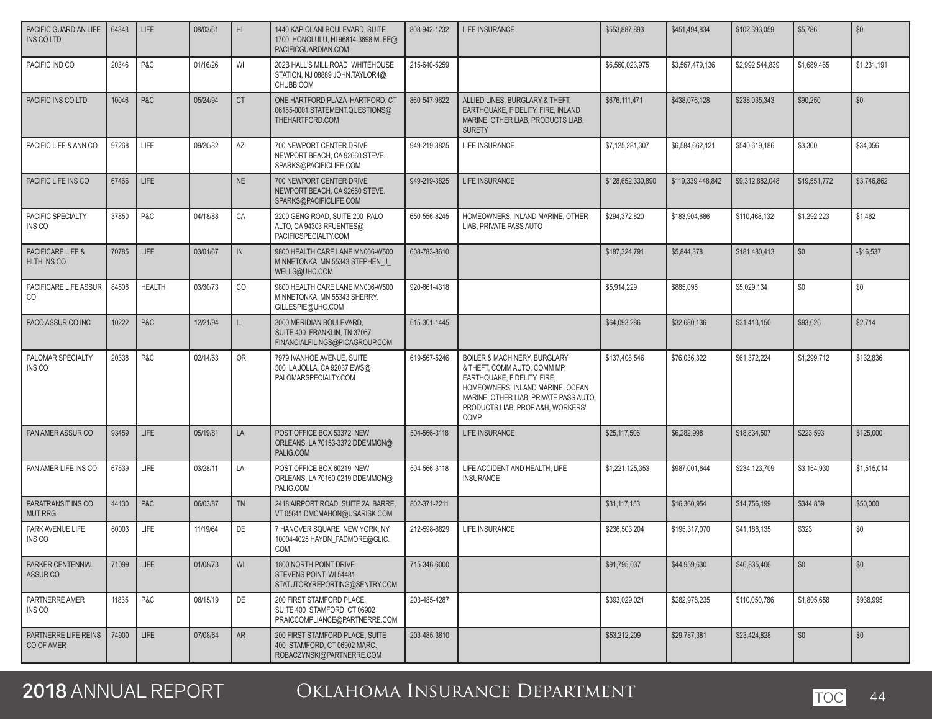| PACIFIC GUARDIAN LIFE<br><b>INS CO LTD</b> | 64343 | LIFE          | 08/03/61 | H <sub>1</sub> | 1440 KAPIOLANI BOULEVARD, SUITE<br>1700 HONOLULU, HI 96814-3698 MLEE@<br>PACIFICGUARDIAN.COM | 808-942-1232 | <b>LIFE INSURANCE</b>                                                                                                                                                                                                             | \$553,887,893     | \$451,494,834     | \$102,393,059   | \$5,786      | \$0         |
|--------------------------------------------|-------|---------------|----------|----------------|----------------------------------------------------------------------------------------------|--------------|-----------------------------------------------------------------------------------------------------------------------------------------------------------------------------------------------------------------------------------|-------------------|-------------------|-----------------|--------------|-------------|
| PACIFIC IND CO                             | 20346 | P&C           | 01/16/26 | WI             | 202B HALL'S MILL ROAD WHITEHOUSE<br>STATION, NJ 08889 JOHN.TAYLOR4@<br>CHUBB.COM             | 215-640-5259 |                                                                                                                                                                                                                                   | \$6,560,023,975   | \$3,567,479,136   | \$2.992.544.839 | \$1,689,465  | \$1,231,191 |
| PACIFIC INS CO LTD                         | 10046 | P&C           | 05/24/94 | <b>CT</b>      | ONE HARTFORD PLAZA HARTFORD. CT<br>06155-0001 STATEMENT.QUESTIONS@<br>THEHARTFORD.COM        | 860-547-9622 | ALLIED LINES. BURGLARY & THEFT.<br>EARTHQUAKE, FIDELITY, FIRE, INLAND<br>MARINE, OTHER LIAB, PRODUCTS LIAB,<br><b>SURETY</b>                                                                                                      | \$676,111,471     | \$438,076,128     | \$238.035.343   | \$90.250     | \$0         |
| PACIFIC LIFE & ANN CO                      | 97268 | LIFE          | 09/20/82 | AZ             | 700 NEWPORT CENTER DRIVE<br>NEWPORT BEACH, CA 92660 STEVE.<br>SPARKS@PACIFICLIFE.COM         | 949-219-3825 | LIFE INSURANCE                                                                                                                                                                                                                    | \$7,125,281,307   | \$6,584,662,121   | \$540,619,186   | \$3,300      | \$34,056    |
| PACIFIC LIFE INS CO                        | 67466 | LIFE          |          | NE             | 700 NEWPORT CENTER DRIVE<br>NEWPORT BEACH, CA 92660 STEVE.<br>SPARKS@PACIFICLIFE.COM         | 949-219-3825 | <b>LIFE INSURANCE</b>                                                                                                                                                                                                             | \$128,652,330,890 | \$119,339,448,842 | \$9,312,882,048 | \$19,551,772 | \$3,746,862 |
| PACIFIC SPECIALTY<br>INS CO                | 37850 | P&C           | 04/18/88 | CA             | 2200 GENG ROAD, SUITE 200 PALO<br>ALTO, CA 94303 RFUENTES@<br>PACIFICSPECIALTY.COM           | 650-556-8245 | HOMEOWNERS, INLAND MARINE, OTHER<br>LIAB, PRIVATE PASS AUTO                                                                                                                                                                       | \$294,372,820     | \$183,904,686     | \$110,468,132   | \$1,292,223  | \$1,462     |
| PACIFICARE LIFE &<br>HLTH INS CO           | 70785 | LIFE          | 03/01/67 | IN             | 9800 HEALTH CARE LANE MN006-W500<br>MINNETONKA, MN 55343 STEPHEN_J_<br>WELLS@UHC.COM         | 608-783-8610 |                                                                                                                                                                                                                                   | \$187,324,791     | \$5,844,378       | \$181,480,413   | \$0          | $-$16,537$  |
| PACIFICARE LIFE ASSUR<br>CO                | 84506 | <b>HEALTH</b> | 03/30/73 | CO             | 9800 HEALTH CARE LANE MN006-W500<br>MINNETONKA, MN 55343 SHERRY.<br>GILLESPIE@UHC.COM        | 920-661-4318 |                                                                                                                                                                                                                                   | \$5,914,229       | \$885.095         | \$5,029,134     | \$0          | \$0         |
| PACO ASSUR CO INC                          | 10222 | P&C           | 12/21/94 | IL.            | 3000 MERIDIAN BOULEVARD.<br>SUITE 400 FRANKLIN, TN 37067<br>FINANCIALFILINGS@PICAGROUP.COM   | 615-301-1445 |                                                                                                                                                                                                                                   | \$64,093,286      | \$32,680.136      | \$31,413,150    | \$93.626     | \$2.714     |
| PALOMAR SPECIALTY<br><b>INS CO</b>         | 20338 | P&C           | 02/14/63 | <b>OR</b>      | 7979 IVANHOE AVENUE, SUITE<br>500 LA JOLLA, CA 92037 EWS@<br>PALOMARSPECIALTY.COM            | 619-567-5246 | <b>BOILER &amp; MACHINERY, BURGLARY</b><br>& THEFT, COMM AUTO, COMM MP,<br>EARTHQUAKE, FIDELITY, FIRE,<br>HOMEOWNERS, INLAND MARINE, OCEAN<br>MARINE, OTHER LIAB, PRIVATE PASS AUTO,<br>PRODUCTS LIAB, PROP A&H, WORKERS'<br>COMP | \$137,408,546     | \$76,036,322      | \$61.372.224    | \$1,299,712  | \$132,836   |
| PAN AMER ASSUR CO                          | 93459 | <b>LIFE</b>   | 05/19/81 | LA             | POST OFFICE BOX 53372 NEW<br>ORLEANS, LA 70153-3372 DDEMMON@<br>PALIG.COM                    | 504-566-3118 | LIFE INSURANCE                                                                                                                                                                                                                    | \$25,117,506      | \$6,282,998       | \$18,834,507    | \$223,593    | \$125,000   |
| PAN AMER LIFE INS CO                       | 67539 | LIFE          | 03/28/11 | LA             | POST OFFICE BOX 60219 NEW<br>ORLEANS, LA 70160-0219 DDEMMON@<br>PALIG.COM                    | 504-566-3118 | LIFE ACCIDENT AND HEALTH, LIFE<br><b>INSURANCE</b>                                                                                                                                                                                | \$1,221,125,353   | \$987,001,644     | \$234,123,709   | \$3,154,930  | \$1,515,014 |
| PARATRANSIT INS CO<br><b>MUT RRG</b>       | 44130 | P&C           | 06/03/87 | <b>TN</b>      | 2418 AIRPORT ROAD, SUITE 2A BARRE.<br>VT 05641 DMCMAHON@USARISK.COM                          | 802-371-2211 |                                                                                                                                                                                                                                   | \$31,117,153      | \$16,360,954      | \$14,756,199    | \$344,859    | \$50,000    |
| PARK AVENUE LIFE<br>INS CO                 | 60003 | LIFE          | 11/19/64 | DE             | 7 HANOVER SQUARE NEW YORK, NY<br>10004-4025 HAYDN_PADMORE@GLIC.<br>COM                       | 212-598-8829 | LIFE INSURANCE                                                                                                                                                                                                                    | \$236,503,204     | \$195,317,070     | \$41,186,135    | \$323        | \$0         |
| PARKER CENTENNIAL<br>ASSUR CO              | 71099 | LIFE          | 01/08/73 | WI             | 1800 NORTH POINT DRIVE<br>STEVENS POINT, WI 54481<br>STATUTORYREPORTING@SENTRY.COM           | 715-346-6000 |                                                                                                                                                                                                                                   | \$91,795,037      | \$44,959,630      | \$46,835,406    | \$0          | \$0         |
| PARTNERRE AMER<br>INS CO                   | 11835 | P&C           | 08/15/19 | DE             | 200 FIRST STAMFORD PLACE,<br>SUITE 400 STAMFORD, CT 06902<br>PRAICCOMPLIANCE@PARTNERRE.COM   | 203-485-4287 |                                                                                                                                                                                                                                   | \$393,029,021     | \$282,978,235     | \$110,050,786   | \$1.805.658  | \$938,995   |
| PARTNERRE LIFE REINS<br>CO OF AMER         | 74900 | <b>LIFE</b>   | 07/08/64 | <b>AR</b>      | 200 FIRST STAMFORD PLACE, SUITE<br>400 STAMFORD, CT 06902 MARC.<br>ROBACZYNSKI@PARTNERRE.COM | 203-485-3810 |                                                                                                                                                                                                                                   | \$53,212,209      | \$29,787,381      | \$23,424,828    | \$0          | \$0         |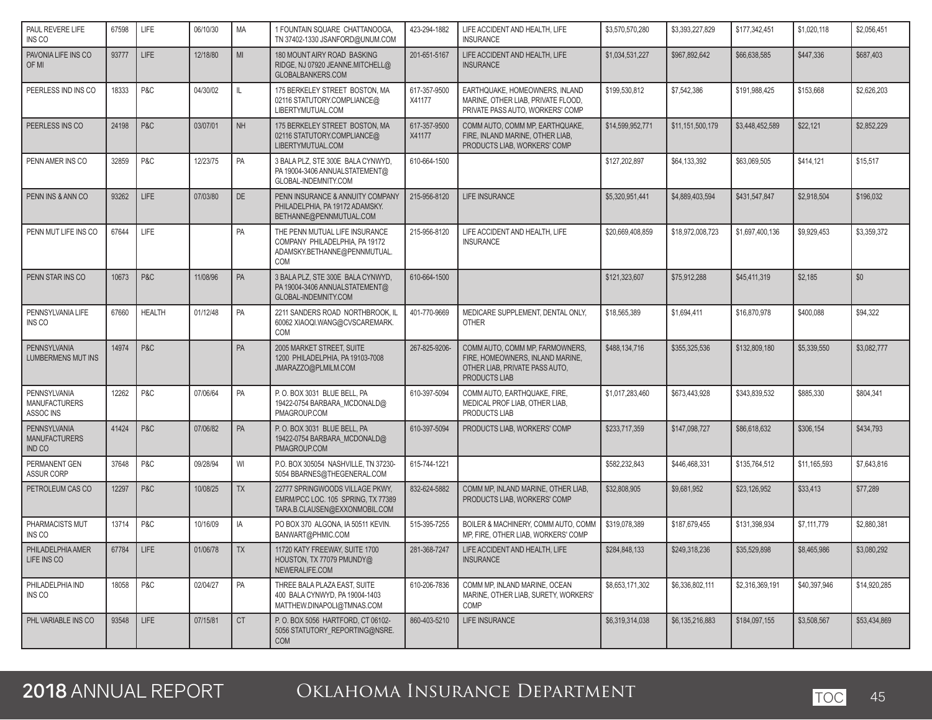| PAUL REVERE LIFE<br>INS CO                        | 67598      | <b>LIFE</b>   | 06/10/30 | <b>MA</b>  | 1 FOUNTAIN SQUARE CHATTANOOGA<br>TN 37402-1330 JSANFORD@UNUM.COM                                               | 423-294-1882           | LIFE ACCIDENT AND HEALTH, LIFE<br><b>INSURANCE</b>                                                                     | \$3,570,570,280  | \$3,393,227,829  | \$177,342,451   | \$1,020,118  | \$2,056,451  |
|---------------------------------------------------|------------|---------------|----------|------------|----------------------------------------------------------------------------------------------------------------|------------------------|------------------------------------------------------------------------------------------------------------------------|------------------|------------------|-----------------|--------------|--------------|
| PAVONIA LIFE INS CO<br>OF MI                      | 93777      | <b>LIFE</b>   | 12/18/80 | MI         | 180 MOUNT AIRY ROAD BASKING<br>RIDGE, NJ 07920 JEANNE.MITCHELL@<br>GLOBALBANKERS.COM                           | 201-651-5167           | LIFE ACCIDENT AND HEALTH, LIFE<br><b>INSURANCE</b>                                                                     | \$1,034,531,227  | \$967,892,642    | \$66,638,585    | \$447,336    | \$687,403    |
| PEERLESS IND INS CO                               | 18333      | P&C           | 04/30/02 | IL         | 175 BERKELEY STREET BOSTON. MA<br>02116 STATUTORY.COMPLIANCE@<br>LIBERTYMUTUAL.COM                             | 617-357-9500<br>X41177 | EARTHQUAKE, HOMEOWNERS, INLAND<br>MARINE, OTHER LIAB, PRIVATE FLOOD,<br>PRIVATE PASS AUTO, WORKERS' COMP               | \$199,530,812    | \$7,542,386      | \$191,988,425   | \$153,668    | \$2,626,203  |
| PEERLESS INS CO                                   | 24198      | P&C           | 03/07/01 | <b>NH</b>  | 175 BERKELEY STREET BOSTON, MA<br>02116 STATUTORY.COMPLIANCE@<br>LIBERTYMUTUAL.COM                             | 617-357-9500<br>X41177 | COMM AUTO, COMM MP, EARTHQUAKE,<br>FIRE, INLAND MARINE, OTHER LIAB,<br>PRODUCTS LIAB, WORKERS' COMP                    | \$14,599,952,771 | \$11,151,500,179 | \$3,448,452,589 | \$22,121     | \$2,852,229  |
| PENN AMER INS CO                                  | 32859      | P&C           | 12/23/75 | PA         | 3 BALA PLZ, STE 300E BALA CYNWYD,<br>PA 19004-3406 ANNUALSTATEMENT@<br>GLOBAL-INDEMNITY.COM                    | 610-664-1500           |                                                                                                                        | \$127.202.897    | \$64,133,392     | \$63.069.505    | \$414,121    | \$15,517     |
| PENN INS & ANN CO                                 | 93262      | <b>LIFE</b>   | 07/03/80 | DE         | PENN INSURANCE & ANNUITY COMPANY<br>PHILADELPHIA, PA 19172 ADAMSKY.<br>BETHANNE@PENNMUTUAL.COM                 | 215-956-8120           | LIFE INSURANCE                                                                                                         | \$5,320,951,441  | \$4,889,403,594  | \$431,547,847   | \$2,918,504  | \$196,032    |
| PENN MUT LIFE INS CO                              | 67644      | LIFE          |          | PA         | THE PENN MUTUAL LIFE INSURANCE<br>COMPANY PHILADELPHIA, PA 19172<br>ADAMSKY.BETHANNE@PENNMUTUAL.<br><b>COM</b> | 215-956-8120           | LIFE ACCIDENT AND HEALTH, LIFE<br><b>INSURANCE</b>                                                                     | \$20,669,408,859 | \$18,972,008,723 | \$1,697,400,136 | \$9,929,453  | \$3,359,372  |
| PENN STAR INS CO                                  | 10673      | P&C           | 11/08/96 | PA         | 3 BALA PLZ, STE 300E BALA CYNWYD,<br>PA 19004-3406 ANNUALSTATEMENT@<br>GLOBAL-INDEMNITY.COM                    | 610-664-1500           |                                                                                                                        | \$121,323,607    | \$75,912,288     | \$45,411,319    | \$2,185      | \$0          |
| PENNSYLVANIA LIFE<br>INS CO                       | 67660      | <b>HEALTH</b> | 01/12/48 | PA         | 2211 SANDERS ROAD NORTHBROOK, IL<br>60062 XIAOQI.WANG@CVSCAREMARK.<br><b>COM</b>                               | 401-770-9669           | MEDICARE SUPPLEMENT. DENTAL ONLY.<br><b>OTHER</b>                                                                      | \$18,565,389     | \$1,694,411      | \$16,870,978    | \$400,088    | \$94,322     |
| PENNSYLVANIA<br><b>LUMBERMENS MUT INS</b>         | 14974      | P&C           |          | PA         | 2005 MARKET STREET. SUITE<br>1200 PHILADELPHIA, PA 19103-7008<br>JMARAZZO@PLMILM.COM                           | 267-825-9206-          | COMM AUTO, COMM MP, FARMOWNERS,<br>FIRE, HOMEOWNERS, INLAND MARINE,<br>OTHER LIAB, PRIVATE PASS AUTO,<br>PRODUCTS LIAB | \$488,134,716    | \$355,325,536    | \$132,809,180   | \$5,339,550  | \$3,082,777  |
| PENNSYLVANIA<br><b>MANUFACTURERS</b><br>ASSOC INS | 12262      | P&C           | 07/06/64 | PA         | P.O. BOX 3031 BLUE BELL, PA<br>19422-0754 BARBARA_MCDONALD@<br>PMAGROUP.COM                                    | 610-397-5094           | COMM AUTO, EARTHQUAKE, FIRE,<br>MEDICAL PROF LIAB, OTHER LIAB,<br>PRODUCTS LIAB                                        | \$1,017,283,460  | \$673,443,928    | \$343,839,532   | \$885,330    | \$804,341    |
| PENNSYLVANIA<br><b>MANUFACTURERS</b><br>IND CO    | 41424      | P&C           | 07/06/82 | PA         | P.O. BOX 3031 BLUE BELL, PA<br>19422-0754 BARBARA_MCDONALD@<br>PMAGROUP.COM                                    | 610-397-5094           | PRODUCTS LIAB, WORKERS' COMP                                                                                           | \$233,717,359    | \$147,098,727    | \$86,618,632    | \$306,154    | \$434,793    |
| PERMANENT GEN<br>ASSUR CORP                       | 37648      | P&C           | 09/28/94 | WI         | P.O. BOX 305054 NASHVILLE, TN 37230-<br>5054 BBARNES@THEGENERAL.COM                                            | 615-744-1221           |                                                                                                                        | \$582,232,843    | \$446,468,331    | \$135,764,512   | \$11,165,593 | \$7,643,816  |
| PETROLEUM CAS CO                                  | 12297      | P&C           | 10/08/25 | <b>TX</b>  | 22777 SPRINGWOODS VILLAGE PKWY.<br>EMRM/PCC LOC. 105 SPRING. TX 77389<br>TARA.B.CLAUSEN@EXXONMOBIL.COM         | 832-624-5882           | COMM MP, INLAND MARINE, OTHER LIAB,<br>PRODUCTS LIAB, WORKERS' COMP                                                    | \$32,808,905     | \$9.681.952      | \$23,126,952    | \$33,413     | \$77,289     |
| PHARMACISTS MUT<br>INS CO                         | 13714      | P&C           | 10/16/09 | IA         | PO BOX 370 ALGONA. IA 50511 KEVIN.<br>BANWART@PHMIC.COM                                                        | 515-395-7255           | BOILER & MACHINERY, COMM AUTO, COMM<br>MP, FIRE, OTHER LIAB, WORKERS' COMP                                             | \$319.078.389    | \$187,679,455    | \$131,398,934   | \$7,111,779  | \$2,880,381  |
| PHILADELPHIA AMER<br>LIFE INS CO                  | 67784 LIFE |               | 01/06/78 | ${\sf TX}$ | 11720 KATY FREEWAY, SUITE 1700<br>HOUSTON, TX 77079 PMUNDY@<br>NEWERALIFE.COM                                  | 281-368-7247           | LIFE ACCIDENT AND HEALTH, LIFE<br><b>INSURANCE</b>                                                                     | \$284,848,133    | \$249,318,236    | \$35,529,898    | \$8,465,986  | \$3,080,292  |
| PHILADELPHIA IND<br>INS CO                        | 18058      | P&C           | 02/04/27 | PA         | THREE BALA PLAZA EAST, SUITE<br>400 BALA CYNWYD, PA 19004-1403<br>MATTHEW.DINAPOLI@TMNAS.COM                   | 610-206-7836           | COMM MP, INLAND MARINE, OCEAN<br>MARINE, OTHER LIAB, SURETY, WORKERS'<br>COMP                                          | \$8,653,171,302  | \$6,336,802,111  | \$2,316,369,191 | \$40,397,946 | \$14,920,285 |
| PHL VARIABLE INS CO                               | 93548      | <b>LIFE</b>   | 07/15/81 | <b>CT</b>  | P.O. BOX 5056 HARTFORD, CT 06102-<br>5056 STATUTORY REPORTING@NSRE.<br><b>COM</b>                              | 860-403-5210           | LIFE INSURANCE                                                                                                         | \$6,319,314,038  | \$6,135,216,883  | \$184,097,155   | \$3,508,567  | \$53,434,869 |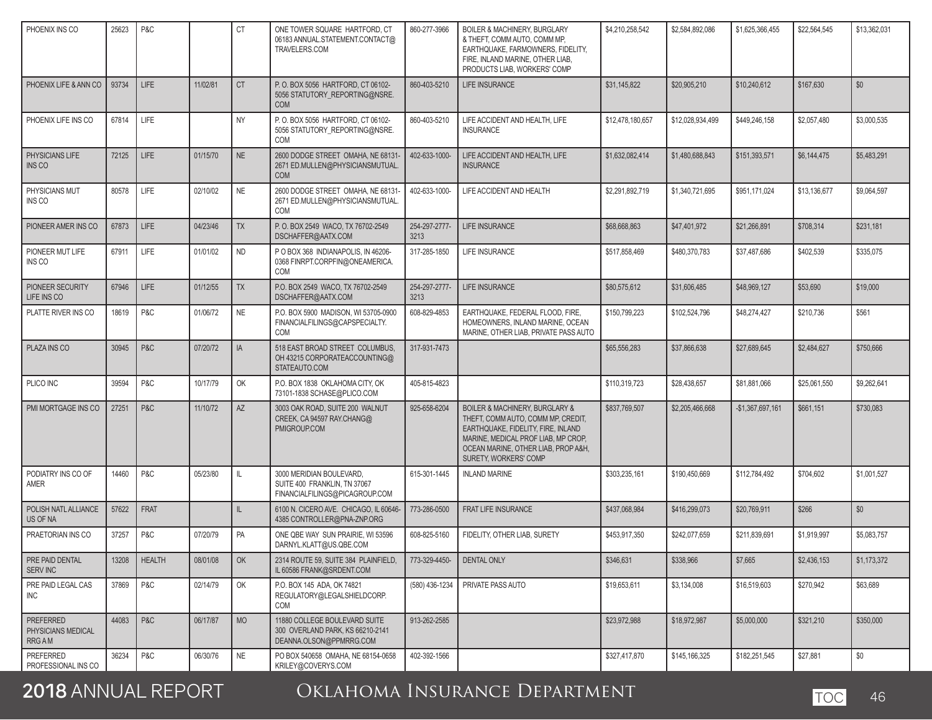| PHOENIX INS CO                                         | 25623 | P&C           |          | CT        | ONE TOWER SQUARE HARTFORD, CT<br>06183 ANNUAL.STATEMENT.CONTACT@<br>TRAVELERS.COM            | 860-277-3966          | <b>BOILER &amp; MACHINERY, BURGLARY</b><br>& THEFT. COMM AUTO. COMM MP.<br>EARTHQUAKE, FARMOWNERS, FIDELITY,<br>FIRE. INLAND MARINE. OTHER LIAB.<br>PRODUCTS LIAB, WORKERS' COMP                                  | \$4,210,258,542  | \$2,584,892,086  | \$1,625,366,455   | \$22,564,545 | \$13,362,031 |
|--------------------------------------------------------|-------|---------------|----------|-----------|----------------------------------------------------------------------------------------------|-----------------------|-------------------------------------------------------------------------------------------------------------------------------------------------------------------------------------------------------------------|------------------|------------------|-------------------|--------------|--------------|
| PHOENIX LIFE & ANN CO                                  | 93734 | LIFE          | 11/02/81 | <b>CT</b> | P.O. BOX 5056 HARTFORD, CT 06102-<br>5056 STATUTORY_REPORTING@NSRE.<br><b>COM</b>            | 860-403-5210          | <b>LIFE INSURANCE</b>                                                                                                                                                                                             | \$31,145,822     | \$20,905.210     | \$10,240,612      | \$167,630    | \$0          |
| PHOENIX LIFE INS CO                                    | 67814 | <b>LIFE</b>   |          | <b>NY</b> | P.O. BOX 5056 HARTFORD, CT 06102-<br>5056 STATUTORY_REPORTING@NSRE.<br><b>COM</b>            | 860-403-5210          | LIFE ACCIDENT AND HEALTH, LIFE<br><b>INSURANCE</b>                                                                                                                                                                | \$12,478,180,657 | \$12,028,934,499 | \$449,246,158     | \$2,057,480  | \$3,000,535  |
| PHYSICIANS LIFE<br><b>INS CO</b>                       | 72125 | LIFE          | 01/15/70 | NE        | 2600 DODGE STREET OMAHA, NE 68131-<br>2671 ED.MULLEN@PHYSICIANSMUTUAL.<br><b>COM</b>         | 402-633-1000-         | LIFE ACCIDENT AND HEALTH, LIFE<br><b>INSURANCE</b>                                                                                                                                                                | \$1,632,082,414  | \$1,480,688,843  | \$151,393,571     | \$6,144,475  | \$5.483.291  |
| PHYSICIANS MUT<br>INS CO                               | 80578 | LIFE          | 02/10/02 | <b>NE</b> | 2600 DODGE STREET OMAHA, NE 68131-<br>2671 ED.MULLEN@PHYSICIANSMUTUAL.<br><b>COM</b>         | 402-633-1000-         | LIFE ACCIDENT AND HEALTH                                                                                                                                                                                          | \$2,291,892,719  | \$1,340,721,695  | \$951,171,024     | \$13,136,677 | \$9,064,597  |
| PIONEER AMER INS CO                                    | 67873 | <b>LIFE</b>   | 04/23/46 | <b>TX</b> | P.O. BOX 2549 WACO, TX 76702-2549<br>DSCHAFFER@AATX.COM                                      | 254-297-2777-<br>3213 | <b>LIFE INSURANCE</b>                                                                                                                                                                                             | \$68,668,863     | \$47,401,972     | \$21.266.891      | \$708,314    | \$231.181    |
| PIONEER MUT LIFE<br>INS CO                             | 67911 | LIFE          | 01/01/02 | <b>ND</b> | P O BOX 368 INDIANAPOLIS. IN 46206-<br>0368 FINRPT.CORPFIN@ONEAMERICA.<br><b>COM</b>         | 317-285-1850          | LIFE INSURANCE                                                                                                                                                                                                    | \$517,858,469    | \$480,370,783    | \$37,487,686      | \$402,539    | \$335,075    |
| PIONEER SECURITY<br>LIFE INS CO                        | 67946 | <b>LIFE</b>   | 01/12/55 | <b>TX</b> | P.O. BOX 2549 WACO. TX 76702-2549<br>DSCHAFFER@AATX.COM                                      | 254-297-2777-<br>3213 | LIFE INSURANCE                                                                                                                                                                                                    | \$80,575,612     | \$31,606,485     | \$48,969,127      | \$53,690     | \$19,000     |
| PLATTE RIVER INS CO                                    | 18619 | P&C           | 01/06/72 | <b>NE</b> | P.O. BOX 5900 MADISON, WI 53705-0900<br>FINANCIALFILINGS@CAPSPECIALTY.<br><b>COM</b>         | 608-829-4853          | EARTHQUAKE, FEDERAL FLOOD, FIRE,<br>HOMEOWNERS. INLAND MARINE. OCEAN<br>MARINE, OTHER LIAB, PRIVATE PASS AUTO                                                                                                     | \$150.799.223    | \$102,524,796    | \$48,274,427      | \$210,736    | \$561        |
| PLAZA INS CO                                           | 30945 | P&C           | 07/20/72 | IA        | 518 EAST BROAD STREET COLUMBUS.<br>OH 43215 CORPORATEACCOUNTING@<br>STATEAUTO.COM            | 317-931-7473          |                                                                                                                                                                                                                   | \$65,556,283     | \$37,866,638     | \$27,689,645      | \$2,484,627  | \$750,666    |
| PLICO INC                                              | 39594 | P&C           | 10/17/79 | OK        | P.O. BOX 1838 OKLAHOMA CITY, OK<br>73101-1838 SCHASE@PLICO.COM                               | 405-815-4823          |                                                                                                                                                                                                                   | \$110,319,723    | \$28,438,657     | \$81,881,066      | \$25,061,550 | \$9,262,641  |
| PMI MORTGAGE INS CO                                    | 27251 | P&C           | 11/10/72 | AZ        | 3003 OAK ROAD, SUITE 200 WALNUT<br>CREEK, CA 94597 RAY.CHANG@<br>PMIGROUP.COM                | 925-658-6204          | BOILER & MACHINERY, BURGLARY &<br>THEFT, COMM AUTO, COMM MP, CREDIT,<br>EARTHQUAKE, FIDELITY, FIRE, INLAND<br>MARINE, MEDICAL PROF LIAB, MP CROP,<br>OCEAN MARINE, OTHER LIAB, PROP A&H,<br>SURETY, WORKERS' COMP | \$837,769,507    | \$2,205,466,668  | $-$1,367,697,161$ | \$661,151    | \$730,083    |
| PODIATRY INS CO OF<br>AMER                             | 14460 | P&C           | 05/23/80 | IL.       | 3000 MERIDIAN BOULEVARD,<br>SUITE 400 FRANKLIN, TN 37067<br>FINANCIALFILINGS@PICAGROUP.COM   | 615-301-1445          | <b>INLAND MARINE</b>                                                                                                                                                                                              | \$303,235,161    | \$190,450,669    | \$112,784,492     | \$704,602    | \$1,001,527  |
| POLISH NATL ALLIANCE<br><b>US OF NA</b>                | 57622 | <b>FRAT</b>   |          | IL.       | 6100 N. CICERO AVE. CHICAGO, IL 60646-<br>4385 CONTROLLER@PNA-ZNP.ORG                        | 773-286-0500          | FRAT LIFE INSURANCE                                                                                                                                                                                               | \$437,068,984    | \$416,299,073    | \$20,769,911      | \$266        | \$0          |
| PRAETORIAN INS CO                                      | 37257 | P&C           | 07/20/79 | PA        | ONE QBE WAY SUN PRAIRIE, WI 53596<br>DARNYL.KLATT@US.QBE.COM                                 | 608-825-5160          | FIDELITY. OTHER LIAB. SURETY                                                                                                                                                                                      | \$453,917,350    | \$242,077,659    | \$211,839,691     | \$1,919,997  | \$5,083,757  |
| PRE PAID DENTAL<br>SERV INC                            | 13208 | <b>HEALTH</b> | 08/01/08 | OK        | 2314 ROUTE 59, SUITE 384 PLAINFIELD,<br>IL 60586 FRANK@SRDENT.COM                            | 773-329-4450-         | <b>DENTAL ONLY</b>                                                                                                                                                                                                | \$346,631        | \$338,966        | \$7,665           | \$2,436,153  | \$1,173,372  |
| PRE PAID LEGAL CAS<br>INC                              | 37869 | P&C           | 02/14/79 | OK        | P.O. BOX 145 ADA, OK 74821<br>REGULATORY@LEGALSHIELDCORP.<br>COM                             | (580) 436-1234        | PRIVATE PASS AUTO                                                                                                                                                                                                 | \$19,653,611     | \$3,134,008      | \$16,519,603      | \$270,942    | \$63,689     |
| <b>PREFERRED</b><br>PHYSICIANS MEDICAL<br><b>RRGAM</b> | 44083 | P&C           | 06/17/87 | <b>MO</b> | 11880 COLLEGE BOULEVARD SUITE<br>300 OVERLAND PARK, KS 66210-2141<br>DEANNA.OLSON@PPMRRG.COM | 913-262-2585          |                                                                                                                                                                                                                   | \$23.972.988     | \$18,972,987     | \$5,000,000       | \$321,210    | \$350,000    |
| PREFERRED<br>PROFESSIONAL INS CO                       | 36234 | P&C           | 06/30/76 | <b>NE</b> | PO BOX 540658 OMAHA, NE 68154-0658<br>KRILEY@COVERYS.COM                                     | 402-392-1566          |                                                                                                                                                                                                                   | \$327,417,870    | \$145,166,325    | \$182,251,545     | \$27,881     | \$0          |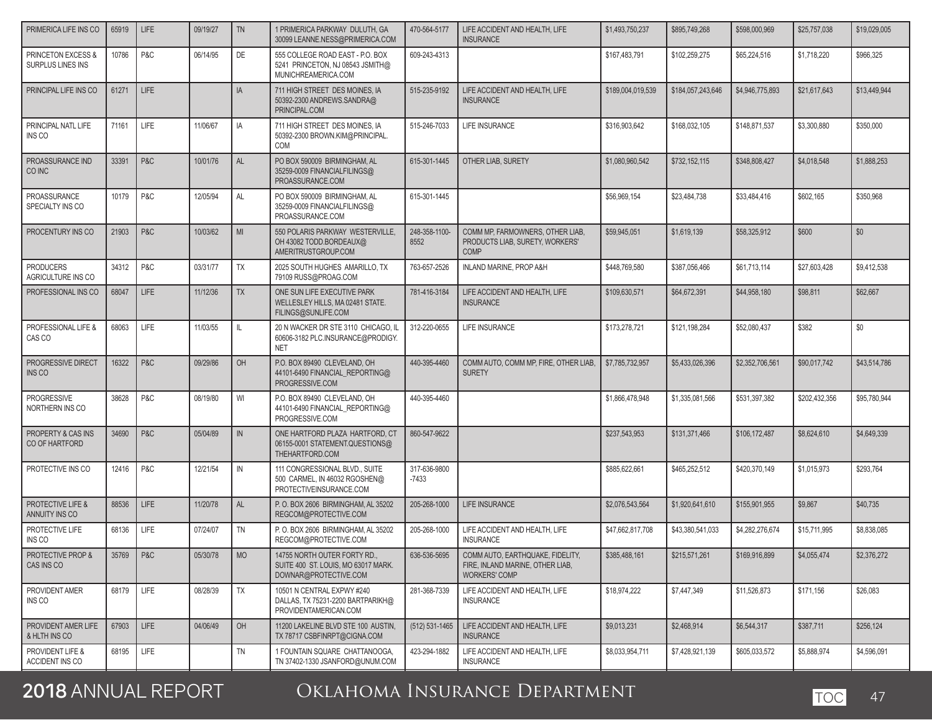| PRIMERICA LIFE INS CO                      | 65919 | LIFE        | 09/19/27 | <b>TN</b> | 1 PRIMERICA PARKWAY DULUTH, GA<br>30099 LEANNE.NESS@PRIMERICA.COM                            | 470-564-5177            | LIFE ACCIDENT AND HEALTH, LIFE<br><b>INSURANCE</b>                                           | \$1,493,750,237   | \$895,749,268     | \$598,000,969   | \$25,757,038  | \$19,029,005 |
|--------------------------------------------|-------|-------------|----------|-----------|----------------------------------------------------------------------------------------------|-------------------------|----------------------------------------------------------------------------------------------|-------------------|-------------------|-----------------|---------------|--------------|
| PRINCETON EXCESS &<br>SURPLUS LINES INS    | 10786 | P&C         | 06/14/95 | DE        | 555 COLLEGE ROAD EAST - P.O. BOX<br>5241 PRINCETON, NJ 08543 JSMITH@<br>MUNICHREAMERICA.COM  | 609-243-4313            |                                                                                              | \$167,483,791     | \$102,259,275     | \$65,224,516    | \$1,718,220   | \$966,325    |
| PRINCIPAL LIFE INS CO                      | 61271 | LIFE        |          | IA        | 711 HIGH STREET DES MOINES, IA<br>50392-2300 ANDREWS.SANDRA@<br>PRINCIPAL.COM                | 515-235-9192            | LIFE ACCIDENT AND HEALTH, LIFE<br><b>INSURANCE</b>                                           | \$189,004,019,539 | \$184.057.243.646 | \$4,946,775,893 | \$21,617,643  | \$13,449,944 |
| PRINCIPAL NATL LIFE<br>INS CO              | 71161 | <b>LIFE</b> | 11/06/67 | IA        | 711 HIGH STREET DES MOINES, IA<br>50392-2300 BROWN.KIM@PRINCIPAL.<br><b>COM</b>              | 515-246-7033            | LIFE INSURANCE                                                                               | \$316,903,642     | \$168,032,105     | \$148,871,537   | \$3,300,880   | \$350,000    |
| PROASSURANCE IND<br>CO INC                 | 33391 | P&C         | 10/01/76 | AL        | PO BOX 590009 BIRMINGHAM, AL<br>35259-0009 FINANCIALFILINGS@<br>PROASSURANCE.COM             | 615-301-1445            | OTHER LIAB, SURETY                                                                           | \$1,080,960,542   | \$732,152,115     | \$348,808,427   | \$4,018,548   | \$1,888,253  |
| PROASSURANCE<br>SPECIALTY INS CO           | 10179 | P&C         | 12/05/94 | AL        | PO BOX 590009 BIRMINGHAM, AL<br>35259-0009 FINANCIALFILINGS@<br>PROASSURANCE.COM             | 615-301-1445            |                                                                                              | \$56,969,154      | \$23,484,738      | \$33,484,416    | \$602,165     | \$350,968    |
| PROCENTURY INS CO                          | 21903 | P&C         | 10/03/62 | MI        | 550 POLARIS PARKWAY WESTERVILLE,<br>OH 43082 TODD.BORDEAUX@<br>AMERITRUSTGROUP.COM           | 248-358-1100-<br>8552   | COMM MP, FARMOWNERS, OTHER LIAB,<br>PRODUCTS LIAB, SURETY, WORKERS'<br><b>COMP</b>           | \$59,945,051      | \$1,619,139       | \$58,325,912    | \$600         | \$0          |
| <b>PRODUCERS</b><br>AGRICULTURE INS CO     | 34312 | P&C         | 03/31/77 | TX        | 2025 SOUTH HUGHES AMARILLO, TX<br>79109 RUSS@PROAG.COM                                       | 763-657-2526            | INLAND MARINE, PROP A&H                                                                      | \$448,769,580     | \$387.056.466     | \$61,713,114    | \$27,603,428  | \$9,412,538  |
| PROFESSIONAL INS CO                        | 68047 | LIFE        | 11/12/36 | <b>TX</b> | ONE SUN LIFE EXECUTIVE PARK<br>WELLESLEY HILLS, MA 02481 STATE.<br>FILINGS@SUNLIFE.COM       | 781-416-3184            | LIFE ACCIDENT AND HEALTH, LIFE<br><b>INSURANCE</b>                                           | \$109,630,571     | \$64,672,391      | \$44,958,180    | \$98,811      | \$62,667     |
| PROFESSIONAL LIFE &<br>CAS CO              | 68063 | <b>LIFE</b> | 11/03/55 | IL        | 20 N WACKER DR STE 3110 CHICAGO. IL<br>60606-3182 PLC.INSURANCE@PRODIGY.<br><b>NET</b>       | 312-220-0655            | <b>LIFE INSURANCE</b>                                                                        | \$173,278,721     | \$121,198,284     | \$52,080,437    | \$382         | \$0          |
| PROGRESSIVE DIRECT<br>INS CO               | 16322 | P&C         | 09/29/86 | OH        | P.O. BOX 89490 CLEVELAND, OH<br>44101-6490 FINANCIAL_REPORTING@<br>PROGRESSIVE.COM           | 440-395-4460            | COMM AUTO, COMM MP. FIRE, OTHER LIAB.<br><b>SURETY</b>                                       | \$7.785.732.957   | \$5.433.026.396   | \$2,352,706,561 | \$90,017,742  | \$43,514,786 |
| <b>PROGRESSIVE</b><br>NORTHERN INS CO      | 38628 | P&C         | 08/19/80 | WI        | P.O. BOX 89490 CLEVELAND, OH<br>44101-6490 FINANCIAL_REPORTING@<br>PROGRESSIVE.COM           | 440-395-4460            |                                                                                              | \$1,866,478,948   | \$1,335,081,566   | \$531,397,382   | \$202,432,356 | \$95,780,944 |
| PROPERTY & CAS INS<br>CO OF HARTFORD       | 34690 | P&C         | 05/04/89 | IN        | ONE HARTFORD PLAZA HARTFORD, CT<br>06155-0001 STATEMENT.QUESTIONS@<br>THEHARTFORD.COM        | 860-547-9622            |                                                                                              | \$237,543,953     | \$131,371,466     | \$106,172,487   | \$8,624,610   | \$4,649,339  |
| PROTECTIVE INS CO                          | 12416 | P&C         | 12/21/54 | IN        | 111 CONGRESSIONAL BLVD., SUITE<br>500 CARMEL, IN 46032 RGOSHEN@<br>PROTECTIVEINSURANCE.COM   | 317-636-9800<br>$-7433$ |                                                                                              | \$885,622,661     | \$465,252,512     | \$420,370,149   | \$1,015,973   | \$293,764    |
| PROTECTIVE LIFE &<br>ANNUITY INS CO        | 88536 | LIFE        | 11/20/78 | <b>AL</b> | P. O. BOX 2606 BIRMINGHAM, AL 35202<br>REGCOM@PROTECTIVE.COM                                 | 205-268-1000            | LIFE INSURANCE                                                                               | \$2,076,543,564   | \$1,920,641,610   | \$155,901,955   | \$9,867       | \$40,735     |
| PROTECTIVE LIFE<br>INS CO                  | 68136 | <b>LIFE</b> | 07/24/07 | <b>TN</b> | P. O. BOX 2606 BIRMINGHAM, AL 35202<br>REGCOM@PROTECTIVE.COM                                 | 205-268-1000            | LIFE ACCIDENT AND HEALTH, LIFE<br><b>INSURANCE</b>                                           | \$47,662,817,708  | \$43,380,541,033  | \$4,282,276,674 | \$15,711,995  | \$8,838,085  |
| <b>PROTECTIVE PROP &amp;</b><br>CAS INS CO | 35769 | P & C       | 05/30/78 | <b>MO</b> | 14755 NORTH OUTER FORTY RD.,<br>SUITE 400 ST. LOUIS, MO 63017 MARK.<br>DOWNAR@PROTECTIVE.COM | 636-536-5695            | COMM AUTO, EARTHQUAKE, FIDELITY,<br>FIRE, INLAND MARINE, OTHER LIAB,<br><b>WORKERS' COMP</b> | \$385,488,161     | \$215,571,261     | \$169,916,899   | \$4,055,474   | \$2,376,272  |
| PROVIDENT AMER<br>INS CO                   | 68179 | LIFE        | 08/28/39 | TX        | 10501 N CENTRAL EXPWY #240<br>DALLAS, TX 75231-2200 BARTPARIKH@<br>PROVIDENTAMERICAN.COM     | 281-368-7339            | LIFE ACCIDENT AND HEALTH, LIFE<br><b>INSURANCE</b>                                           | \$18,974,222      | \$7,447,349       | \$11,526,873    | \$171,156     | \$26,083     |
| PROVIDENT AMER LIFE<br>& HLTH INS CO       | 67903 | LIFE        | 04/06/49 | OH        | 11200 LAKELINE BLVD STE 100 AUSTIN,<br>TX 78717 CSBFINRPT@CIGNA.COM                          | $(512) 531 - 1465$      | LIFE ACCIDENT AND HEALTH, LIFE<br><b>INSURANCE</b>                                           | \$9,013,231       | \$2,468,914       | \$6,544,317     | \$387,711     | \$256,124    |
| PROVIDENT LIFE &<br>ACCIDENT INS CO        | 68195 | LIFE        |          | TN        | 1 FOUNTAIN SQUARE CHATTANOOGA,<br>TN 37402-1330 JSANFORD@UNUM.COM                            | 423-294-1882            | LIFE ACCIDENT AND HEALTH, LIFE<br><b>INSURANCE</b>                                           | \$8.033.954.711   | \$7,428,921,139   | \$605.033.572   | \$5,888,974   | \$4,596,091  |

י∩כ

### $\bigcap V$ IALIONAA INSURANCE **2018** ANNUAL REPORT Oklahoma Insurance Department TOC <sup>47</sup>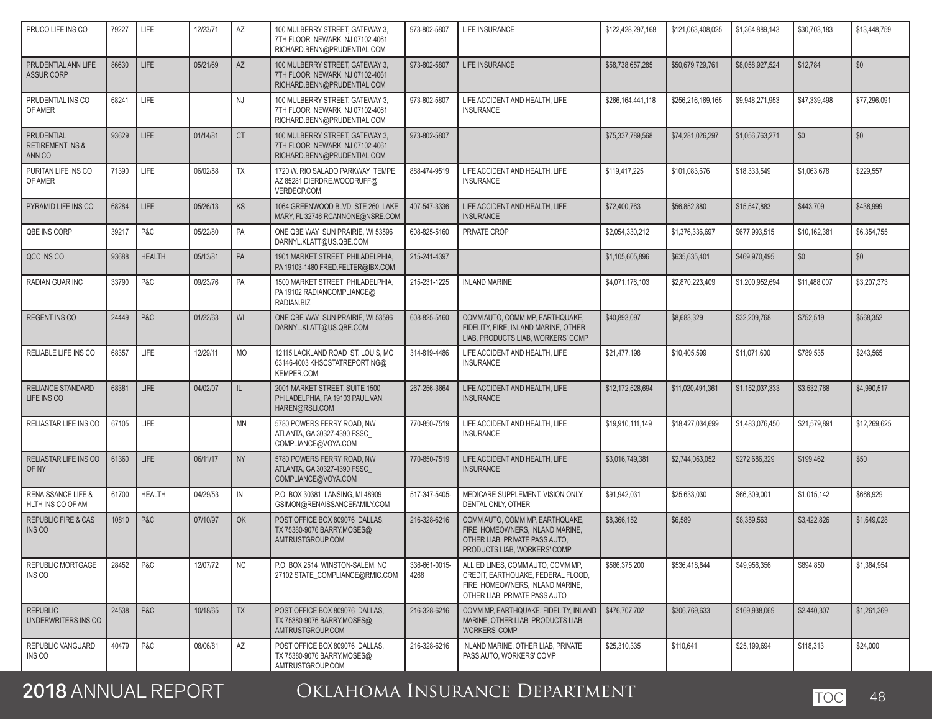| PRUCO LIFE INS CO                                   | 79227 | LIFE          | 12/23/71 | AZ        | 100 MULBERRY STREET, GATEWAY 3,<br>7TH FLOOR NEWARK, NJ 07102-4061<br>RICHARD.BENN@PRUDENTIAL.COM | 973-802-5807          | LIFE INSURANCE                                                                                                                               | \$122,428,297,168 | \$121,063,408,025 | \$1.364.889.143 | \$30.703.183 | \$13,448,759 |
|-----------------------------------------------------|-------|---------------|----------|-----------|---------------------------------------------------------------------------------------------------|-----------------------|----------------------------------------------------------------------------------------------------------------------------------------------|-------------------|-------------------|-----------------|--------------|--------------|
| PRUDENTIAL ANN LIFE<br><b>ASSUR CORP</b>            | 86630 | LIFE          | 05/21/69 | AZ        | 100 MULBERRY STREET. GATEWAY 3.<br>7TH FLOOR NEWARK, NJ 07102-4061<br>RICHARD.BENN@PRUDENTIAL.COM | 973-802-5807          | <b>LIFE INSURANCE</b>                                                                                                                        | \$58,738,657,285  | \$50,679,729,761  | \$8,058,927,524 | \$12,784     | \$0          |
| PRUDENTIAL INS CO<br>OF AMER                        | 68241 | LIFE          |          | <b>NJ</b> | 100 MULBERRY STREET, GATEWAY 3,<br>7TH FLOOR NEWARK, NJ 07102-4061<br>RICHARD.BENN@PRUDENTIAL.COM | 973-802-5807          | LIFE ACCIDENT AND HEALTH, LIFE<br><b>INSURANCE</b>                                                                                           | \$266.164.441.118 | \$256,216,169,165 | \$9,948,271,953 | \$47,339,498 | \$77,296,091 |
| PRUDENTIAL<br><b>RETIREMENT INS &amp;</b><br>ANN CO | 93629 | <b>LIFE</b>   | 01/14/81 | <b>CT</b> | 100 MULBERRY STREET, GATEWAY 3,<br>7TH FLOOR NEWARK, NJ 07102-4061<br>RICHARD.BENN@PRUDENTIAL.COM | 973-802-5807          |                                                                                                                                              | \$75,337,789,568  | \$74,281,026,297  | \$1,056,763,271 | \$0          | \$0          |
| PURITAN LIFE INS CO<br>OF AMER                      | 71390 | LIFE          | 06/02/58 | <b>TX</b> | 1720 W. RIO SALADO PARKWAY TEMPE,<br>AZ 85281 DIERDRE.WOODRUFF@<br>VERDECP.COM                    | 888-474-9519          | LIFE ACCIDENT AND HEALTH, LIFE<br><b>INSURANCE</b>                                                                                           | \$119,417,225     | \$101,083,676     | \$18,333,549    | \$1,063,678  | \$229,557    |
| PYRAMID LIFE INS CO                                 | 68284 | LIFE          | 05/26/13 | <b>KS</b> | 1064 GREENWOOD BLVD. STE 260 LAKE<br>MARY, FL 32746 RCANNONE@NSRE.COM                             | 407-547-3336          | LIFE ACCIDENT AND HEALTH, LIFE<br><b>INSURANCE</b>                                                                                           | \$72,400,763      | \$56,852,880      | \$15,547,883    | \$443,709    | \$438,999    |
| QBE INS CORP                                        | 39217 | P&C           | 05/22/80 | PA        | ONE QBE WAY SUN PRAIRIE. WI 53596<br>DARNYL.KLATT@US.QBE.COM                                      | 608-825-5160          | PRIVATE CROP                                                                                                                                 | \$2,054,330,212   | \$1,376,336,697   | \$677,993,515   | \$10,162,381 | \$6,354,755  |
| QCC INS CO                                          | 93688 | <b>HEALTH</b> | 05/13/81 | PA        | 1901 MARKET STREET PHILADELPHIA,<br>PA 19103-1480 FRED.FELTER@IBX.COM                             | 215-241-4397          |                                                                                                                                              | \$1,105,605,896   | \$635,635,401     | \$469,970,495   | \$0          | \$0          |
| RADIAN GUAR INC                                     | 33790 | P&C           | 09/23/76 | PA        | 1500 MARKET STREET PHILADELPHIA,<br>PA 19102 RADIANCOMPLIANCE@<br>RADIAN.BIZ                      | 215-231-1225          | <b>INLAND MARINE</b>                                                                                                                         | \$4,071,176,103   | \$2,870,223,409   | \$1,200,952,694 | \$11,488,007 | \$3,207,373  |
| <b>REGENT INS CO</b>                                | 24449 | P&C           | 01/22/63 | WI        | ONE QBE WAY SUN PRAIRIE. WI 53596<br>DARNYL.KLATT@US.QBE.COM                                      | 608-825-5160          | COMM AUTO. COMM MP. EARTHQUAKE.<br>FIDELITY, FIRE, INLAND MARINE, OTHER<br>LIAB, PRODUCTS LIAB, WORKERS' COMP                                | \$40,893,097      | \$8,683,329       | \$32,209,768    | \$752,519    | \$568,352    |
| RELIABLE LIFE INS CO                                | 68357 | LIFE          | 12/29/11 | <b>MO</b> | 12115 LACKLAND ROAD ST. LOUIS, MO<br>63146-4003 KHSCSTATREPORTING@<br><b>KEMPER.COM</b>           | 314-819-4486          | LIFE ACCIDENT AND HEALTH, LIFE<br><b>INSURANCE</b>                                                                                           | \$21,477,198      | \$10,405,599      | \$11,071,600    | \$789,535    | \$243.565    |
| <b>RELIANCE STANDARD</b><br>LIFE INS CO             | 68381 | LIFE          | 04/02/07 | L         | 2001 MARKET STREET, SUITE 1500<br>PHILADELPHIA, PA 19103 PAUL.VAN.<br>HAREN@RSLI.COM              | 267-256-3664          | LIFE ACCIDENT AND HEALTH, LIFE<br><b>INSURANCE</b>                                                                                           | \$12,172,528,694  | \$11,020,491,361  | \$1,152,037,333 | \$3,532,768  | \$4,990,517  |
| RELIASTAR LIFE INS CO                               | 67105 | LIFE          |          | <b>MN</b> | 5780 POWERS FERRY ROAD, NW<br>ATLANTA, GA 30327-4390 FSSC<br>COMPLIANCE@VOYA.COM                  | 770-850-7519          | LIFE ACCIDENT AND HEALTH, LIFE<br><b>INSURANCE</b>                                                                                           | \$19,910,111,149  | \$18,427,034,699  | \$1,483,076,450 | \$21,579,891 | \$12,269,625 |
| RELIASTAR LIFE INS CO<br>OF NY                      | 61360 | <b>LIFE</b>   | 06/11/17 | <b>NY</b> | 5780 POWERS FERRY ROAD, NW<br>ATLANTA, GA 30327-4390 FSSC_<br>COMPLIANCE@VOYA.COM                 | 770-850-7519          | LIFE ACCIDENT AND HEALTH, LIFE<br><b>INSURANCE</b>                                                                                           | \$3,016,749,381   | \$2,744,063,052   | \$272,686,329   | \$199,462    | \$50         |
| <b>RENAISSANCE LIFE &amp;</b><br>HLTH INS CO OF AM  | 61700 | <b>HEALTH</b> | 04/29/53 | IN        | P.O. BOX 30381 LANSING, MI 48909<br>GSIMON@RENAISSANCEFAMILY.COM                                  | 517-347-5405-         | MEDICARE SUPPLEMENT. VISION ONLY.<br>DENTAL ONLY, OTHER                                                                                      | \$91,942,031      | \$25,633,030      | \$66,309,001    | \$1,015,142  | \$668,929    |
| <b>REPUBLIC FIRE &amp; CAS</b><br>INS CO            | 10810 | P&C           | 07/10/97 | OK        | POST OFFICE BOX 809076 DALLAS,<br>TX 75380-9076 BARRY.MOSES@<br>AMTRUSTGROUP.COM                  | 216-328-6216          | COMM AUTO, COMM MP, EARTHQUAKE,<br>FIRE, HOMEOWNERS, INLAND MARINE,<br>OTHER LIAB, PRIVATE PASS AUTO,<br>PRODUCTS LIAB, WORKERS' COMP        | \$8,366,152       | \$6,589           | \$8,359,563     | \$3,422,826  | \$1,649,028  |
| <b>REPUBLIC MORTGAGE</b><br>INS CO                  | 28452 | P&C           | 12/07/72 | <b>NC</b> | P.O. BOX 2514 WINSTON-SALEM, NC<br>27102 STATE COMPLIANCE@RMIC.COM                                | 336-661-0015-<br>4268 | ALLIED LINES, COMM AUTO, COMM MP,<br>CREDIT. EARTHQUAKE. FEDERAL FLOOD.<br>FIRE, HOMEOWNERS, INLAND MARINE,<br>OTHER LIAB, PRIVATE PASS AUTO | \$586,375,200     | \$536.418.844     | \$49,956,356    | \$894,850    | \$1,384,954  |
| <b>REPUBLIC</b><br>UNDERWRITERS INS CO              | 24538 | P&C           | 10/18/65 | <b>TX</b> | POST OFFICE BOX 809076 DALLAS,<br>TX 75380-9076 BARRY.MOSES@<br>AMTRUSTGROUP.COM                  | 216-328-6216          | COMM MP. EARTHQUAKE. FIDELITY. INLAND<br>MARINE, OTHER LIAB, PRODUCTS LIAB.<br><b>WORKERS' COMP</b>                                          | \$476,707,702     | \$306,769,633     | \$169,938,069   | \$2,440,307  | \$1,261,369  |
| REPUBLIC VANGUARD<br>INS CO                         | 40479 | P&C           | 08/06/81 | AZ        | POST OFFICE BOX 809076 DALLAS.<br>TX 75380-9076 BARRY.MOSES@<br>AMTRUSTGROUP.COM                  | 216-328-6216          | INLAND MARINE, OTHER LIAB, PRIVATE<br>PASS AUTO, WORKERS' COMP                                                                               | \$25,310,335      | \$110,641         | \$25,199.694    | \$118,313    | \$24,000     |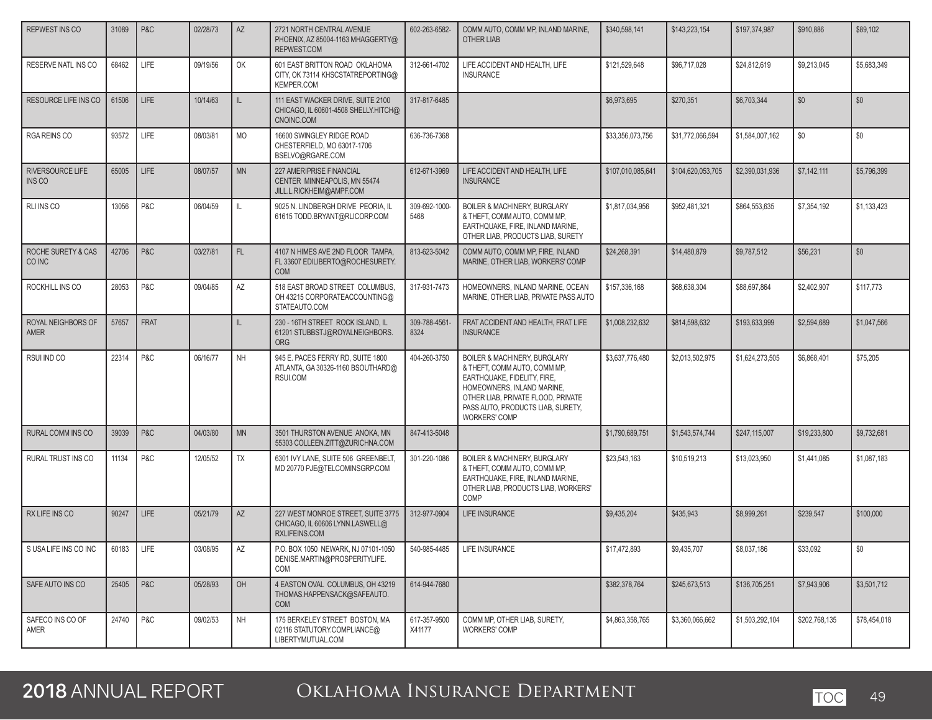| REPWEST INS CO                    | 31089 | P&C         | 02/28/73 | AZ        | 2721 NORTH CENTRAL AVENUE<br>PHOENIX, AZ 85004-1163 MHAGGERTY@<br>REPWEST.COM               | 602-263-6582-          | COMM AUTO, COMM MP, INLAND MARINE,<br><b>OTHER LIAB</b>                                                                                                                                                                      | \$340,598,141     | \$143,223,154     | \$197,374,987   | \$910,886     | \$89,102     |
|-----------------------------------|-------|-------------|----------|-----------|---------------------------------------------------------------------------------------------|------------------------|------------------------------------------------------------------------------------------------------------------------------------------------------------------------------------------------------------------------------|-------------------|-------------------|-----------------|---------------|--------------|
| RESERVE NATL INS CO               | 68462 | <b>LIFE</b> | 09/19/56 | OK        | 601 EAST BRITTON ROAD OKLAHOMA<br>CITY, OK 73114 KHSCSTATREPORTING@<br><b>KEMPER.COM</b>    | 312-661-4702           | LIFE ACCIDENT AND HEALTH. LIFE<br><b>INSURANCE</b>                                                                                                                                                                           | \$121.529.648     | \$96,717,028      | \$24,812,619    | \$9,213,045   | \$5,683,349  |
| RESOURCE LIFE INS CO              | 61506 | LIFE        | 10/14/63 | IL.       | 111 EAST WACKER DRIVE, SUITE 2100<br>CHICAGO, IL 60601-4508 SHELLY.HITCH@<br>CNOINC.COM     | 317-817-6485           |                                                                                                                                                                                                                              | \$6,973,695       | \$270,351         | \$6,703,344     | \$0           | \$0          |
| RGA REINS CO                      | 93572 | LIFE        | 08/03/81 | <b>MO</b> | 16600 SWINGLEY RIDGE ROAD<br>CHESTERFIELD, MO 63017-1706<br>BSELVO@RGARE.COM                | 636-736-7368           |                                                                                                                                                                                                                              | \$33,356,073,756  | \$31,772,066,594  | \$1,584,007,162 | \$0           | \$0          |
| RIVERSOURCE LIFE<br><b>INS CO</b> | 65005 | LIFE        | 08/07/57 | <b>MN</b> | <b>227 AMERIPRISE FINANCIAL</b><br>CENTER MINNEAPOLIS, MN 55474<br>JILL.L.RICKHEIM@AMPF.COM | 612-671-3969           | LIFE ACCIDENT AND HEALTH, LIFE<br><b>INSURANCE</b>                                                                                                                                                                           | \$107.010.085.641 | \$104.620.053.705 | \$2,390,031,936 | \$7,142,111   | \$5,796,399  |
| RLI INS CO                        | 13056 | P&C         | 06/04/59 | IL.       | 9025 N. LINDBERGH DRIVE PEORIA. IL<br>61615 TODD.BRYANT@RLICORP.COM                         | 309-692-1000-<br>5468  | BOILER & MACHINERY, BURGLARY<br>& THEFT, COMM AUTO, COMM MP,<br>EARTHQUAKE, FIRE, INLAND MARINE,<br>OTHER LIAB, PRODUCTS LIAB, SURETY                                                                                        | \$1,817,034,956   | \$952.481.321     | \$864,553,635   | \$7,354,192   | \$1,133,423  |
| ROCHE SURETY & CAS<br>CO INC      | 42706 | P&C         | 03/27/81 | FL.       | 4107 N HIMES AVE 2ND FLOOR TAMPA.<br>FL 33607 EDILIBERTO@ROCHESURETY.<br><b>COM</b>         | 813-623-5042           | COMM AUTO. COMM MP. FIRE. INLAND<br>MARINE, OTHER LIAB, WORKERS' COMP                                                                                                                                                        | \$24.268.391      | \$14,480,879      | \$9,787,512     | \$56,231      | \$0          |
| ROCKHILL INS CO                   | 28053 | P&C         | 09/04/85 | AZ        | 518 EAST BROAD STREET COLUMBUS,<br>OH 43215 CORPORATEACCOUNTING@<br>STATEAUTO.COM           | 317-931-7473           | HOMEOWNERS, INLAND MARINE, OCEAN<br>MARINE, OTHER LIAB, PRIVATE PASS AUTO                                                                                                                                                    | \$157,336,168     | \$68,638,304      | \$88,697,864    | \$2,402,907   | \$117,773    |
| ROYAL NEIGHBORS OF<br><b>AMER</b> | 57657 | <b>FRAT</b> |          | IL        | 230 - 16TH STREET ROCK ISLAND, IL<br>61201 STUBBSTJ@ROYALNEIGHBORS.<br><b>ORG</b>           | 309-788-4561-<br>8324  | FRAT ACCIDENT AND HEALTH, FRAT LIFE<br><b>INSURANCE</b>                                                                                                                                                                      | \$1,008,232,632   | \$814,598,632     | \$193,633,999   | \$2,594,689   | \$1,047,566  |
| RSUI IND CO                       | 22314 | P&C         | 06/16/77 | <b>NH</b> | 945 E. PACES FERRY RD, SUITE 1800<br>ATLANTA, GA 30326-1160 BSOUTHARD@<br>RSUI.COM          | 404-260-3750           | BOILER & MACHINERY, BURGLARY<br>& THEFT, COMM AUTO, COMM MP,<br>EARTHQUAKE, FIDELITY, FIRE,<br>HOMEOWNERS, INLAND MARINE,<br>OTHER LIAB, PRIVATE FLOOD, PRIVATE<br>PASS AUTO, PRODUCTS LIAB, SURETY,<br><b>WORKERS' COMP</b> | \$3,637,776,480   | \$2.013.502.975   | \$1.624.273.505 | \$6,868,401   | \$75,205     |
| RURAL COMM INS CO                 | 39039 | P&C         | 04/03/80 | <b>MN</b> | 3501 THURSTON AVENUE ANOKA, MN<br>55303 COLLEEN.ZITT@ZURICHNA.COM                           | 847-413-5048           |                                                                                                                                                                                                                              | \$1,790,689,751   | \$1,543,574,744   | \$247,115,007   | \$19,233,800  | \$9,732,681  |
| RURAL TRUST INS CO                | 11134 | P&C         | 12/05/52 | TX        | 6301 IVY LANE, SUITE 506 GREENBELT,<br>MD 20770 PJE@TELCOMINSGRP.COM                        | 301-220-1086           | <b>BOILER &amp; MACHINERY, BURGLARY</b><br>& THEFT, COMM AUTO, COMM MP,<br>EARTHQUAKE, FIRE, INLAND MARINE,<br>OTHER LIAB, PRODUCTS LIAB, WORKERS'<br>COMP                                                                   | \$23,543,163      | \$10,519,213      | \$13,023,950    | \$1,441,085   | \$1,087,183  |
| RX LIFE INS CO                    | 90247 | <b>LIFE</b> | 05/21/79 | AZ        | 227 WEST MONROE STREET. SUITE 3775<br>CHICAGO, IL 60606 LYNN.LASWELL@<br>RXLIFEINS.COM      | 312-977-0904           | <b>LIFE INSURANCE</b>                                                                                                                                                                                                        | \$9,435,204       | \$435,943         | \$8,999,261     | \$239,547     | \$100,000    |
| SUSALIFE INS CO INC               | 60183 | LIFE        | 03/08/95 | AZ        | P.O. BOX 1050 NEWARK, NJ 07101-1050<br>DENISE.MARTIN@PROSPERITYLIFE.<br>COM                 | 540-985-4485           | LIFE INSURANCE                                                                                                                                                                                                               | \$17,472,893      | \$9,435,707       | \$8,037,186     | \$33,092      | \$0          |
| SAFE AUTO INS CO                  | 25405 | PAC         | 05/28/93 | OH        | 4 EASTON OVAL COLUMBUS, OH 43219<br>THOMAS.HAPPENSACK@SAFEAUTO.<br>COM                      | 614-944-7680           |                                                                                                                                                                                                                              | \$382,378,764     | \$245,673,513     | \$136,705,251   | \$7,943,906   | \$3,501,712  |
| SAFECO INS CO OF<br>AMER          | 24740 | P&C         | 09/02/53 | <b>NH</b> | 175 BERKELEY STREET BOSTON, MA<br>02116 STATUTORY.COMPLIANCE@<br>LIBERTYMUTUAL.COM          | 617-357-9500<br>X41177 | COMM MP, OTHER LIAB, SURETY,<br><b>WORKERS' COMP</b>                                                                                                                                                                         | \$4,863,358,765   | \$3,360,066,662   | \$1,503,292,104 | \$202,768,135 | \$78,454,018 |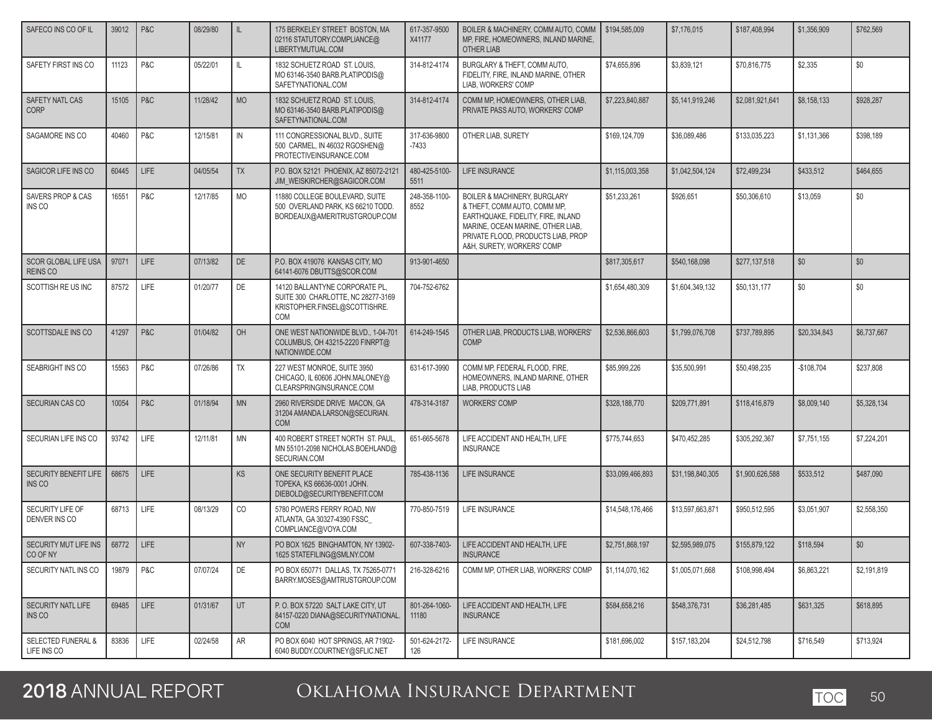| SAFECO INS CO OF IL                          | 39012 | P&C         | 08/29/80 | IL.          | 175 BERKELEY STREET BOSTON, MA<br>02116 STATUTORY.COMPLIANCE@<br>LIBERTYMUTUAL.COM                           | 617-357-9500<br>X41177  | BOILER & MACHINERY, COMM AUTO, COMM<br>MP, FIRE, HOMEOWNERS, INLAND MARINE,<br><b>OTHER LIAB</b>                                                                                                                       | \$194,585,009    | \$7,176,015      | \$187,408,994   | \$1,356,909  | \$762,569   |
|----------------------------------------------|-------|-------------|----------|--------------|--------------------------------------------------------------------------------------------------------------|-------------------------|------------------------------------------------------------------------------------------------------------------------------------------------------------------------------------------------------------------------|------------------|------------------|-----------------|--------------|-------------|
| SAFETY FIRST INS CO                          | 11123 | P&C         | 05/22/01 | $\mathbb{L}$ | 1832 SCHUETZ ROAD ST. LOUIS.<br>MO 63146-3540 BARB.PLATIPODIS@<br>SAFETYNATIONAL.COM                         | 314-812-4174            | BURGLARY & THEFT, COMM AUTO,<br>FIDELITY, FIRE, INLAND MARINE, OTHER<br>LIAB, WORKERS' COMP                                                                                                                            | \$74,655,896     | \$3.839.121      | \$70,816,775    | \$2,335      | \$0         |
| SAFETY NATL CAS<br><b>CORP</b>               | 15105 | P&C         | 11/28/42 | <b>MO</b>    | 1832 SCHUETZ ROAD ST. LOUIS,<br>MO 63146-3540 BARB.PLATIPODIS@<br>SAFETYNATIONAL.COM                         | 314-812-4174            | COMM MP. HOMEOWNERS. OTHER LIAB.<br>PRIVATE PASS AUTO, WORKERS' COMP                                                                                                                                                   | \$7,223,840,887  | \$5,141,919,246  | \$2,081,921,641 | \$8,158,133  | \$928.287   |
| SAGAMORE INS CO                              | 40460 | P&C         | 12/15/81 | IN           | 111 CONGRESSIONAL BLVD., SUITE<br>500 CARMEL, IN 46032 RGOSHEN@<br>PROTECTIVEINSURANCE.COM                   | 317-636-9800<br>$-7433$ | OTHER LIAB, SURETY                                                                                                                                                                                                     | \$169,124,709    | \$36,089,486     | \$133,035,223   | \$1,131,366  | \$398.189   |
| SAGICOR LIFE INS CO                          | 60445 | LIFE        | 04/05/54 | <b>TX</b>    | P.O. BOX 52121 PHOENIX, AZ 85072-2121<br>JIM WEISKIRCHER@SAGICOR.COM                                         | 480-425-5100-<br>5511   | LIFE INSURANCE                                                                                                                                                                                                         | \$1,115,003,358  | \$1,042,504,124  | \$72,499,234    | \$433,512    | \$464.655   |
| SAVERS PROP & CAS<br>INS CO                  | 16551 | P&C         | 12/17/85 | MO           | 11880 COLLEGE BOULEVARD, SUITE<br>500 OVERLAND PARK, KS 66210 TODD.<br>BORDEAUX@AMERITRUSTGROUP.COM          | 248-358-1100-<br>8552   | <b>BOILER &amp; MACHINERY, BURGLARY</b><br>& THEFT, COMM AUTO, COMM MP,<br>EARTHQUAKE, FIDELITY, FIRE, INLAND<br>MARINE, OCEAN MARINE, OTHER LIAB,<br>PRIVATE FLOOD, PRODUCTS LIAB, PROP<br>A&H, SURETY, WORKERS' COMP | \$51,233,261     | \$926,651        | \$50,306,610    | \$13,059     | \$0         |
| SCOR GLOBAL LIFE USA<br><b>REINS CO</b>      | 97071 | LIFE        | 07/13/82 | DE           | P.O. BOX 419076 KANSAS CITY, MO<br>64141-6076 DBUTTS@SCOR.COM                                                | 913-901-4650            |                                                                                                                                                                                                                        | \$817,305,617    | \$540,168,098    | \$277,137,518   | \$0          | \$0         |
| SCOTTISH RE US INC                           | 87572 | LIFE        | 01/20/77 | DE           | 14120 BALLANTYNE CORPORATE PL.<br>SUITE 300 CHARLOTTE, NC 28277-3169<br>KRISTOPHER.FINSEL@SCOTTISHRE.<br>COM | 704-752-6762            |                                                                                                                                                                                                                        | \$1,654,480,309  | \$1.604.349.132  | \$50,131,177    | \$0          | \$0         |
| SCOTTSDALE INS CO                            | 41297 | P&C         | 01/04/82 | OH           | ONE WEST NATIONWIDE BLVD., 1-04-701<br>COLUMBUS, OH 43215-2220 FINRPT@<br>NATIONWIDE.COM                     | 614-249-1545            | OTHER LIAB, PRODUCTS LIAB, WORKERS'<br><b>COMP</b>                                                                                                                                                                     | \$2,536,866,603  | \$1,799,076,708  | \$737,789,895   | \$20.334.843 | \$6,737,667 |
| SEABRIGHT INS CO                             | 15563 | P&C         | 07/26/86 | TX           | 227 WEST MONROE, SUITE 3950<br>CHICAGO, IL 60606 JOHN.MALONEY@<br>CLEARSPRINGINSURANCE.COM                   | 631-617-3990            | COMM MP, FEDERAL FLOOD, FIRE,<br>HOMEOWNERS, INLAND MARINE, OTHER<br>LIAB, PRODUCTS LIAB                                                                                                                               | \$85,999,226     | \$35,500,991     | \$50,498,235    | $-$108,704$  | \$237,808   |
| SECURIAN CAS CO                              | 10054 | P&C         | 01/18/94 | <b>MN</b>    | 2960 RIVERSIDE DRIVE MACON, GA<br>31204 AMANDA.LARSON@SECURIAN.<br><b>COM</b>                                | 478-314-3187            | <b>WORKERS' COMP</b>                                                                                                                                                                                                   | \$328,188,770    | \$209,771,891    | \$118,416,879   | \$8,009,140  | \$5,328,134 |
| SECURIAN LIFE INS CO                         | 93742 | LIFE        | 12/11/81 | <b>MN</b>    | 400 ROBERT STREET NORTH ST. PAUL,<br>MN 55101-2098 NICHOLAS.BOEHLAND@<br>SECURIAN.COM                        | 651-665-5678            | LIFE ACCIDENT AND HEALTH, LIFE<br><b>INSURANCE</b>                                                                                                                                                                     | \$775,744,653    | \$470,452,285    | \$305,292,367   | \$7,751,155  | \$7,224,201 |
| SECURITY BENEFIT LIFE<br><b>INS CO</b>       | 68675 | LIFE        |          | <b>KS</b>    | ONE SECURITY BENEFIT PLACE<br>TOPEKA, KS 66636-0001 JOHN.<br>DIEBOLD@SECURITYBENEFIT.COM                     | 785-438-1136            | <b>LIFE INSURANCE</b>                                                                                                                                                                                                  | \$33,099,466,893 | \$31,198,840,305 | \$1,900,626,588 | \$533,512    | \$487,090   |
| SECURITY LIFE OF<br>DENVER INS CO            | 68713 | LIFE        | 08/13/29 | CO           | 5780 POWERS FERRY ROAD, NW<br>ATLANTA, GA 30327-4390 FSSC<br>COMPLIANCE@VOYA.COM                             | 770-850-7519            | LIFE INSURANCE                                                                                                                                                                                                         | \$14,548,176,466 | \$13,597,663,871 | \$950,512,595   | \$3,051,907  | \$2,558,350 |
| SECURITY MUT LIFE INS<br>CO OF NY            | 68772 | LIFE        |          | <b>NY</b>    | PO BOX 1625 BINGHAMTON, NY 13902-<br>1625 STATEFILING@SMLNY.COM                                              | 607-338-7403-           | LIFE ACCIDENT AND HEALTH. LIFE<br><b>INSURANCE</b>                                                                                                                                                                     | \$2,751,868,197  | \$2,595,989,075  | \$155,879,122   | \$118,594    | \$0         |
| SECURITY NATL INS CO                         | 19879 | P&C         | 07/07/24 | DE           | PO BOX 650771 DALLAS, TX 75265-0771<br>BARRY.MOSES@AMTRUSTGROUP.COM                                          | 216-328-6216            | COMM MP, OTHER LIAB, WORKERS' COMP                                                                                                                                                                                     | \$1,114,070,162  | \$1,005,071,668  | \$108,998,494   | \$6,863,221  | \$2,191,819 |
| SECURITY NATL LIFE<br>INS CO                 | 69485 | <b>LIFE</b> | 01/31/67 | UT           | P.O. BOX 57220 SALT LAKE CITY, UT<br>84157-0220 DIANA@SECURITYNATIONAL.<br><b>COM</b>                        | 801-264-1060-<br>11180  | LIFE ACCIDENT AND HEALTH, LIFE<br><b>INSURANCE</b>                                                                                                                                                                     | \$584,658,216    | \$548,376,731    | \$36,281,485    | \$631,325    | \$618,895   |
| <b>SELECTED FUNERAL &amp;</b><br>LIFE INS CO | 83836 | LIFE        | 02/24/58 | ${\sf AR}$   | PO BOX 6040 HOT SPRINGS, AR 71902-<br>6040 BUDDY.COURTNEY@SFLIC.NET                                          | 501-624-2172-<br>126    | LIFE INSURANCE                                                                                                                                                                                                         | \$181,696,002    | \$157,183,204    | \$24,512,798    | \$716,549    | \$713,924   |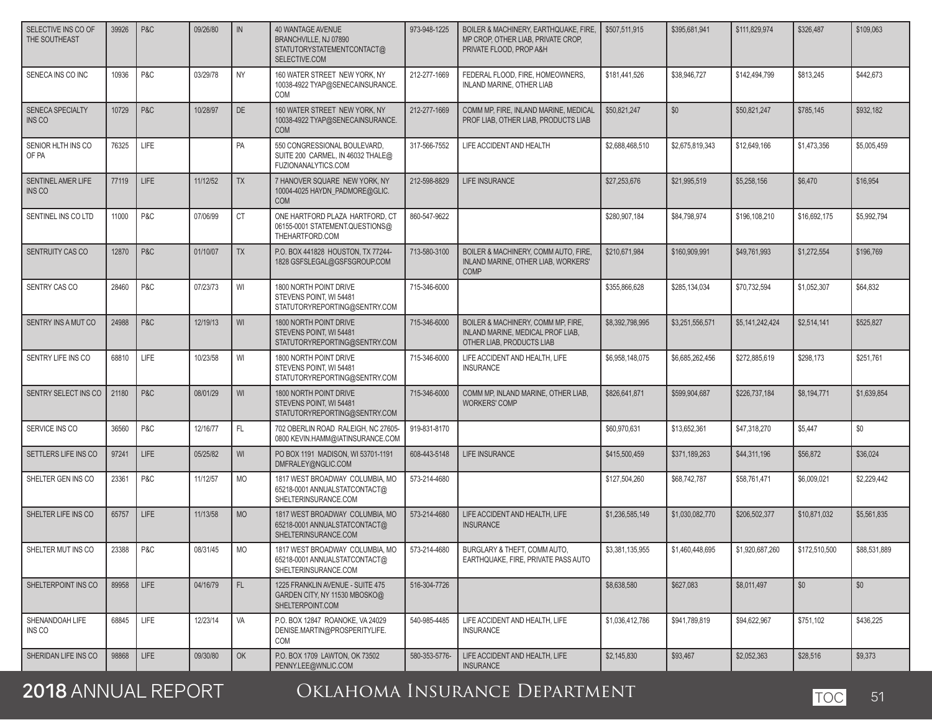| SELECTIVE INS CO OF<br>THE SOUTHEAST     | 39926 | P&C         | 09/26/80 | IN        | <b>40 WANTAGE AVENUE</b><br>BRANCHVILLE, NJ 07890<br>STATUTORYSTATEMENTCONTACT@<br>SELECTIVE.COM | 973-948-1225  | BOILER & MACHINERY, EARTHQUAKE, FIRE.<br>MP CROP, OTHER LIAB, PRIVATE CROP,<br>PRIVATE FLOOD. PROP A&H | \$507,511,915   | \$395.681.941   | \$111,829,974   | \$326.487     | \$109.063    |
|------------------------------------------|-------|-------------|----------|-----------|--------------------------------------------------------------------------------------------------|---------------|--------------------------------------------------------------------------------------------------------|-----------------|-----------------|-----------------|---------------|--------------|
| SENECA INS CO INC                        | 10936 | P&C         | 03/29/78 | <b>NY</b> | 160 WATER STREET NEW YORK, NY<br>10038-4922 TYAP@SENECAINSURANCE.<br>COM                         | 212-277-1669  | FEDERAL FLOOD, FIRE, HOMEOWNERS,<br>INLAND MARINE, OTHER LIAB                                          | \$181,441,526   | \$38,946,727    | \$142,494,799   | \$813.245     | \$442.673    |
| <b>SENECA SPECIALTY</b><br><b>INS CO</b> | 10729 | P&C         | 10/28/97 | <b>DE</b> | 160 WATER STREET NEW YORK, NY<br>10038-4922 TYAP@SENECAINSURANCE.<br><b>COM</b>                  | 212-277-1669  | COMM MP. FIRE. INLAND MARINE. MEDICAL<br>PROF LIAB, OTHER LIAB, PRODUCTS LIAB                          | \$50.821.247    | \$0             | \$50.821.247    | \$785,145     | \$932.182    |
| SENIOR HLTH INS CO<br>OF PA              | 76325 | LIFE        |          | PA        | 550 CONGRESSIONAL BOULEVARD,<br>SUITE 200 CARMEL. IN 46032 THALE@<br>FUZIONANALYTICS.COM         | 317-566-7552  | LIFE ACCIDENT AND HEALTH                                                                               | \$2,688,468,510 | \$2,675,819,343 | \$12,649,166    | \$1,473,356   | \$5,005,459  |
| SENTINEL AMER LIFE<br><b>INS CO</b>      | 77119 | LIFE        | 11/12/52 | <b>TX</b> | 7 HANOVER SQUARE NEW YORK, NY<br>10004-4025 HAYDN_PADMORE@GLIC.<br><b>COM</b>                    | 212-598-8829  | LIFE INSURANCE                                                                                         | \$27,253,676    | \$21,995.519    | \$5,258,156     | \$6,470       | \$16,954     |
| SENTINEL INS CO LTD                      | 11000 | P&C         | 07/06/99 | <b>CT</b> | ONE HARTFORD PLAZA HARTFORD, CT<br>06155-0001 STATEMENT.QUESTIONS@<br>THEHARTFORD.COM            | 860-547-9622  |                                                                                                        | \$280,907,184   | \$84,798,974    | \$196,108,210   | \$16,692,175  | \$5.992.794  |
| SENTRUITY CAS CO                         | 12870 | P&C         | 01/10/07 | <b>TX</b> | P.O. BOX 441828 HOUSTON, TX 77244-<br>1828 GSFSLEGAL@GSFSGROUP.COM                               | 713-580-3100  | BOILER & MACHINERY, COMM AUTO, FIRE,<br>INLAND MARINE, OTHER LIAB, WORKERS'<br><b>COMP</b>             | \$210,671,984   | \$160,909.991   | \$49,761,993    | \$1,272,554   | \$196.769    |
| SENTRY CAS CO                            | 28460 | P&C         | 07/23/73 | WI        | 1800 NORTH POINT DRIVE<br>STEVENS POINT. WI 54481<br>STATUTORYREPORTING@SENTRY.COM               | 715-346-6000  |                                                                                                        | \$355,866,628   | \$285,134,034   | \$70,732,594    | \$1,052,307   | \$64.832     |
| SENTRY INS A MUT CO                      | 24988 | P&C         | 12/19/13 | WI        | 1800 NORTH POINT DRIVE<br>STEVENS POINT. WI 54481<br>STATUTORYREPORTING@SENTRY.COM               | 715-346-6000  | BOILER & MACHINERY, COMM MP, FIRE,<br>INLAND MARINE, MEDICAL PROF LIAB,<br>OTHER LIAB, PRODUCTS LIAB   | \$8,392,798,995 | \$3,251,556,571 | \$5,141,242,424 | \$2,514,141   | \$525.827    |
| SENTRY LIFE INS CO                       | 68810 | LIFE        | 10/23/58 | WI        | 1800 NORTH POINT DRIVE<br>STEVENS POINT. WI 54481<br>STATUTORYREPORTING@SENTRY.COM               | 715-346-6000  | LIFE ACCIDENT AND HEALTH, LIFE<br><b>INSURANCE</b>                                                     | \$6,958,148,075 | \$6,685,262,456 | \$272,885,619   | \$298,173     | \$251,761    |
| SENTRY SELECT INS CO                     | 21180 | P&C         | 08/01/29 | WI        | 1800 NORTH POINT DRIVE<br>STEVENS POINT. WI 54481<br>STATUTORYREPORTING@SENTRY.COM               | 715-346-6000  | COMM MP, INLAND MARINE, OTHER LIAB,<br><b>WORKERS' COMP</b>                                            | \$826,641,871   | \$599,904,687   | \$226,737,184   | \$8,194,771   | \$1,639,854  |
| SERVICE INS CO                           | 36560 | P&C         | 12/16/77 | FL        | 702 OBERLIN ROAD RALEIGH, NC 27605-<br>0800 KEVIN.HAMM@IATINSURANCE.COM                          | 919-831-8170  |                                                                                                        | \$60,970,631    | \$13,652,361    | \$47,318,270    | \$5,447       | \$0          |
| SETTLERS LIFE INS CO                     | 97241 | LIFE        | 05/25/82 | WI        | PO BOX 1191 MADISON, WI 53701-1191<br>DMFRALEY@NGLIC.COM                                         | 608-443-5148  | LIFE INSURANCE                                                                                         | \$415,500,459   | \$371,189,263   | \$44,311,196    | \$56,872      | \$36,024     |
| SHELTER GEN INS CO                       | 23361 | P&C         | 11/12/57 | <b>MO</b> | 1817 WEST BROADWAY COLUMBIA, MO<br>65218-0001 ANNUALSTATCONTACT@<br>SHELTERINSURANCE.COM         | 573-214-4680  |                                                                                                        | \$127,504,260   | \$68,742,787    | \$58,761,471    | \$6,009,021   | \$2,229,442  |
| SHELTER LIFE INS CO                      | 65757 | LIFE        | 11/13/58 | <b>MO</b> | 1817 WEST BROADWAY COLUMBIA, MO<br>65218-0001 ANNUALSTATCONTACT@<br>SHELTERINSURANCE.COM         | 573-214-4680  | LIFE ACCIDENT AND HEALTH. LIFE<br><b>INSURANCE</b>                                                     | \$1,236,585,149 | \$1,030,082,770 | \$206,502,377   | \$10,871,032  | \$5,561,835  |
| SHELTER MUT INS CO                       | 23388 | P&C         | 08/31/45 | <b>MO</b> | 1817 WEST BROADWAY COLUMBIA, MO<br>65218-0001 ANNUALSTATCONTACT@<br>SHELTERINSURANCE.COM         | 573-214-4680  | BURGLARY & THEFT, COMM AUTO,<br>EARTHQUAKE, FIRE, PRIVATE PASS AUTO                                    | \$3,381,135,955 | \$1,460,448,695 | \$1,920,687,260 | \$172,510,500 | \$88,531,889 |
| SHELTERPOINT INS CO                      | 89958 | <b>LIFE</b> | 04/16/79 | FL        | 1225 FRANKLIN AVENUE - SUITE 475<br>GARDEN CITY, NY 11530 MBOSKO@<br>SHELTERPOINT.COM            | 516-304-7726  |                                                                                                        | \$8,638,580     | \$627,083       | \$8,011,497     | \$0           | \$0          |
| SHENANDOAH LIFE<br>INS CO                | 68845 | LIFE        | 12/23/14 | VA        | P.O. BOX 12847 ROANOKE, VA 24029<br>DENISE.MARTIN@PROSPERITYLIFE.<br>COM                         | 540-985-4485  | LIFE ACCIDENT AND HEALTH, LIFE<br><b>INSURANCE</b>                                                     | \$1,036,412,786 | \$941.789.819   | \$94.622.967    | \$751,102     | \$436,225    |
| SHERIDAN LIFE INS CO                     | 98868 | LIFE        | 09/30/80 | OK        | P.O. BOX 1709 LAWTON, OK 73502<br>PENNY.LEE@WNLIC.COM                                            | 580-353-5776- | LIFE ACCIDENT AND HEALTH, LIFE<br><b>INSURANCE</b>                                                     | \$2,145,830     | \$93,467        | \$2,052,363     | \$28,516      | \$9,373      |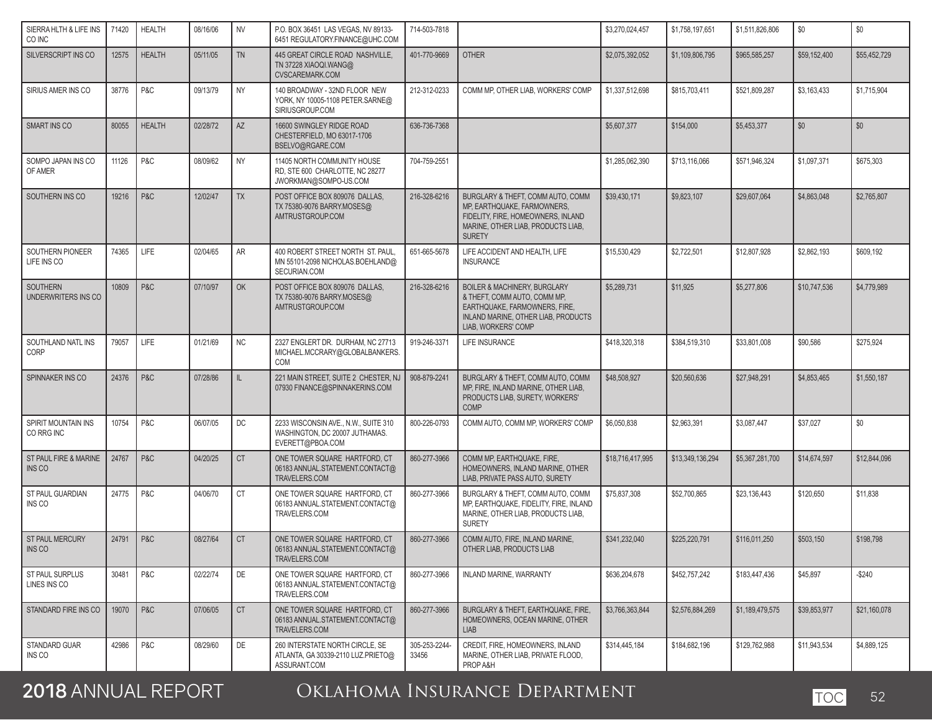| SIERRA HLTH & LIFE INS<br>CO INC  | 71420 | <b>HEALTH</b> | 08/16/06 | <b>NV</b> | P.O. BOX 36451 LAS VEGAS. NV 89133-<br>6451 REGULATORY.FINANCE@UHC.COM                     | 714-503-7818           |                                                                                                                                                                        | \$3,270,024,457  | \$1,758,197,651  | \$1,511,826,806 | \$0          | $\$0$        |
|-----------------------------------|-------|---------------|----------|-----------|--------------------------------------------------------------------------------------------|------------------------|------------------------------------------------------------------------------------------------------------------------------------------------------------------------|------------------|------------------|-----------------|--------------|--------------|
| SILVERSCRIPT INS CO               | 12575 | <b>HEALTH</b> | 05/11/05 | <b>TN</b> | 445 GREAT CIRCLE ROAD NASHVILLE.<br>TN 37228 XIAOQI.WANG@<br><b>CVSCAREMARK.COM</b>        | 401-770-9669           | <b>OTHER</b>                                                                                                                                                           | \$2,075,392,052  | \$1,109,806,795  | \$965.585.257   | \$59,152,400 | \$55,452,729 |
| SIRIUS AMER INS CO                | 38776 | P&C           | 09/13/79 | <b>NY</b> | 140 BROADWAY - 32ND FLOOR NEW<br>YORK, NY 10005-1108 PETER.SARNE@<br>SIRIUSGROUP.COM       | 212-312-0233           | COMM MP, OTHER LIAB, WORKERS' COMP                                                                                                                                     | \$1,337,512,698  | \$815,703,411    | \$521,809,287   | \$3,163,433  | \$1,715,904  |
| <b>SMART INS CO</b>               | 80055 | <b>HEALTH</b> | 02/28/72 | AZ        | 16600 SWINGLEY RIDGE ROAD<br>CHESTERFIELD, MO 63017-1706<br>BSELVO@RGARE.COM               | 636-736-7368           |                                                                                                                                                                        | \$5,607,377      | \$154,000        | \$5,453,377     | \$0          | \$0          |
| SOMPO JAPAN INS CO<br>OF AMER     | 11126 | P&C           | 08/09/62 | <b>NY</b> | 11405 NORTH COMMUNITY HOUSE<br>RD, STE 600 CHARLOTTE, NC 28277<br>JWORKMAN@SOMPO-US.COM    | 704-759-2551           |                                                                                                                                                                        | \$1.285.062.390  | \$713,116,066    | \$571,946,324   | \$1,097,371  | \$675,303    |
| SOUTHERN INS CO                   | 19216 | P&C           | 12/02/47 | <b>TX</b> | POST OFFICE BOX 809076 DALLAS,<br>TX 75380-9076 BARRY.MOSES@<br>AMTRUSTGROUP.COM           | 216-328-6216           | BURGLARY & THEFT, COMM AUTO, COMM<br>MP, EARTHQUAKE, FARMOWNERS.<br>FIDELITY, FIRE, HOMEOWNERS, INLAND<br>MARINE, OTHER LIAB, PRODUCTS LIAB,<br><b>SURETY</b>          | \$39,430,171     | \$9,823,107      | \$29,607,064    | \$4,863,048  | \$2,765,807  |
| SOUTHERN PIONEER<br>LIFE INS CO   | 74365 | <b>LIFE</b>   | 02/04/65 | AR        | 400 ROBERT STREET NORTH ST. PAUL<br>MN 55101-2098 NICHOLAS.BOEHLAND@<br>SECURIAN.COM       | 651-665-5678           | LIFE ACCIDENT AND HEALTH, LIFE<br><b>INSURANCE</b>                                                                                                                     | \$15,530,429     | \$2,722,501      | \$12,807,928    | \$2,862,193  | \$609,192    |
| SOUTHERN<br>UNDERWRITERS INS CO   | 10809 | P&C           | 07/10/97 | OK        | POST OFFICE BOX 809076 DALLAS.<br>TX 75380-9076 BARRY.MOSES@<br>AMTRUSTGROUP.COM           | 216-328-6216           | <b>BOILER &amp; MACHINERY, BURGLARY</b><br>& THEFT. COMM AUTO. COMM MP.<br>EARTHQUAKE, FARMOWNERS, FIRE,<br>INLAND MARINE, OTHER LIAB, PRODUCTS<br>LIAB, WORKERS' COMP | \$5,289,731      | \$11,925         | \$5,277,806     | \$10,747,536 | \$4,779,989  |
| SOUTHLAND NATL INS<br>CORP        | 79057 | <b>LIFE</b>   | 01/21/69 | <b>NC</b> | 2327 ENGLERT DR. DURHAM, NC 27713<br>MICHAEL.MCCRARY@GLOBALBANKERS.<br><b>COM</b>          | 919-246-3371           | LIFE INSURANCE                                                                                                                                                         | \$418,320,318    | \$384,519,310    | \$33,801,008    | \$90.586     | \$275,924    |
| SPINNAKER INS CO                  | 24376 | P&C           | 07/28/86 | IL        | 221 MAIN STREET, SUITE 2 CHESTER, NJ<br>07930 FINANCE@SPINNAKERINS.COM                     | 908-879-2241           | BURGLARY & THEFT, COMM AUTO, COMM<br>MP, FIRE, INLAND MARINE, OTHER LIAB,<br>PRODUCTS LIAB, SURETY, WORKERS'<br><b>COMP</b>                                            | \$48,508,927     | \$20,560,636     | \$27,948,291    | \$4,853,465  | \$1,550,187  |
| SPIRIT MOUNTAIN INS<br>CO RRG INC | 10754 | P&C           | 06/07/05 | DC        | 2233 WISCONSIN AVE., N.W., SUITE 310<br>WASHINGTON, DC 20007 JUTHAMAS.<br>EVERETT@PBOA.COM | 800-226-0793           | COMM AUTO, COMM MP, WORKERS' COMP                                                                                                                                      | \$6,050,838      | \$2.963.391      | \$3,087,447     | \$37,027     | \$0          |
| ST PAUL FIRE & MARINE<br>INS CO   | 24767 | P&C           | 04/20/25 | <b>CT</b> | ONE TOWER SQUARE HARTFORD, CT<br>06183 ANNUAL.STATEMENT.CONTACT@<br>TRAVELERS.COM          | 860-277-3966           | COMM MP, EARTHQUAKE, FIRE,<br>HOMEOWNERS, INLAND MARINE, OTHER<br>LIAB, PRIVATE PASS AUTO, SURETY                                                                      | \$18,716,417,995 | \$13,349,136,294 | \$5,367,281,700 | \$14,674,597 | \$12,844,096 |
| ST PAUL GUARDIAN<br>INS CO        | 24775 | P&C           | 04/06/70 | <b>CT</b> | ONE TOWER SQUARE HARTFORD, CT<br>06183 ANNUAL.STATEMENT.CONTACT@<br>TRAVELERS.COM          | 860-277-3966           | BURGLARY & THEFT, COMM AUTO, COMM<br>MP, EARTHQUAKE, FIDELITY, FIRE, INLAND<br>MARINE, OTHER LIAB, PRODUCTS LIAB,<br><b>SURETY</b>                                     | \$75,837,308     | \$52,700.865     | \$23,136,443    | \$120,650    | \$11,838     |
| <b>ST PAUL MERCURY</b><br>INS CO  | 24791 | P&C           | 08/27/64 | <b>CT</b> | ONE TOWER SQUARE HARTFORD, CT<br>06183 ANNUAL.STATEMENT.CONTACT@<br>TRAVELERS.COM          | 860-277-3966           | COMM AUTO, FIRE, INLAND MARINE,<br>OTHER LIAB, PRODUCTS LIAB                                                                                                           | \$341.232.040    | \$225,220,791    | \$116,011,250   | \$503,150    | \$198,798    |
| ST PAUL SURPLUS<br>LINES INS CO   | 30481 | P&C           | 02/22/74 | DE        | ONE TOWER SQUARE HARTFORD, CT<br>06183 ANNUAL.STATEMENT.CONTACT@<br>TRAVELERS.COM          | 860-277-3966           | INLAND MARINE, WARRANTY                                                                                                                                                | \$636,204,678    | \$452,757,242    | \$183,447,436   | \$45,897     | $-$240$      |
| STANDARD FIRE INS CO              | 19070 | P & C         | 07/06/05 | <b>CT</b> | ONE TOWER SQUARE HARTFORD. CT<br>06183 ANNUAL.STATEMENT.CONTACT@<br>TRAVELERS.COM          | 860-277-3966           | BURGLARY & THEFT, EARTHQUAKE, FIRE,<br>HOMEOWNERS, OCEAN MARINE, OTHER<br><b>LIAB</b>                                                                                  | \$3,766,363,844  | \$2,576,884,269  | \$1.189.479.575 | \$39,853,977 | \$21,160,078 |
| STANDARD GUAR<br>INS CO           | 42986 | P&C           | 08/29/60 | DE        | 260 INTERSTATE NORTH CIRCLE, SE<br>ATLANTA, GA 30339-2110 LUZ.PRIETO@<br>ASSURANT.COM      | 305-253-2244-<br>33456 | CREDIT, FIRE, HOMEOWNERS, INLAND<br>MARINE, OTHER LIAB, PRIVATE FLOOD,<br>PROP A&H                                                                                     | \$314,445,184    | \$184,682,196    | \$129.762.988   | \$11,943,534 | \$4,889,125  |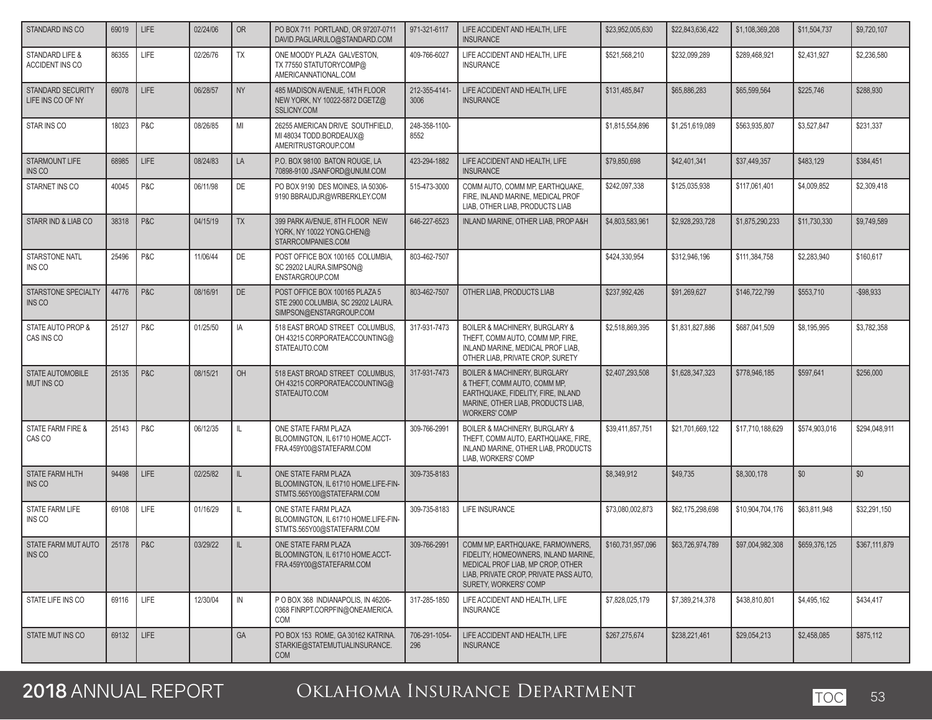| STANDARD INS CO                               | 69019 | <b>LIFE</b> | 02/24/06 | <b>OR</b>    | PO BOX 711 PORTLAND, OR 97207-0711<br>DAVID.PAGLIARULO@STANDARD.COM                             | 971-321-6117          | LIFE ACCIDENT AND HEALTH, LIFE<br><b>INSURANCE</b>                                                                                                                               | \$23,952,005,630  | \$22,843,636,422 | \$1,108,369,208  | \$11,504,737  | \$9,720,107   |
|-----------------------------------------------|-------|-------------|----------|--------------|-------------------------------------------------------------------------------------------------|-----------------------|----------------------------------------------------------------------------------------------------------------------------------------------------------------------------------|-------------------|------------------|------------------|---------------|---------------|
| <b>STANDARD LIFE &amp;</b><br>ACCIDENT INS CO | 86355 | LIFE        | 02/26/76 | TX           | ONE MOODY PLAZA GALVESTON,<br>TX 77550 STATUTORYCOMP@<br>AMERICANNATIONAL.COM                   | 409-766-6027          | LIFE ACCIDENT AND HEALTH, LIFE<br><b>INSURANCE</b>                                                                                                                               | \$521,568,210     | \$232,099,289    | \$289,468,921    | \$2,431,927   | \$2,236,580   |
| STANDARD SECURITY<br>LIFE INS CO OF NY        | 69078 | <b>LIFE</b> | 06/28/57 | <b>NY</b>    | 485 MADISON AVENUE, 14TH FLOOR<br>NEW YORK, NY 10022-5872 DGETZ@<br>SSLICNY.COM                 | 212-355-4141-<br>3006 | LIFE ACCIDENT AND HEALTH, LIFE<br><b>INSURANCE</b>                                                                                                                               | \$131,485,847     | \$65,886,283     | \$65,599,564     | \$225,746     | \$288,930     |
| STAR INS CO                                   | 18023 | P&C         | 08/26/85 | MI           | 26255 AMERICAN DRIVE SOUTHFIELD,<br>MI 48034 TODD.BORDEAUX@<br>AMERITRUSTGROUP.COM              | 248-358-1100-<br>8552 |                                                                                                                                                                                  | \$1,815,554,896   | \$1,251,619,089  | \$563,935,807    | \$3,527,847   | \$231,337     |
| <b>STARMOUNT LIFE</b><br>INS CO               | 68985 | <b>LIFE</b> | 08/24/83 | LA           | P.O. BOX 98100 BATON ROUGE, LA<br>70898-9100 JSANFORD@UNUM.COM                                  | 423-294-1882          | LIFE ACCIDENT AND HEALTH, LIFE<br><b>INSURANCE</b>                                                                                                                               | \$79,850,698      | \$42,401,341     | \$37,449,357     | \$483,129     | \$384,451     |
| STARNET INS CO                                | 40045 | P&C         | 06/11/98 | DE           | PO BOX 9190 DES MOINES, IA 50306-<br>9190 BBRAUDJR@WRBERKLEY.COM                                | 515-473-3000          | COMM AUTO. COMM MP. EARTHQUAKE.<br>FIRE, INLAND MARINE, MEDICAL PROF<br>LIAB, OTHER LIAB, PRODUCTS LIAB                                                                          | \$242.097.338     | \$125,035,938    | \$117,061,401    | \$4,009,852   | \$2,309,418   |
| STARR IND & LIAB CO                           | 38318 | P&C         | 04/15/19 | <b>TX</b>    | 399 PARK AVENUE, 8TH FLOOR NEW<br>YORK, NY 10022 YONG.CHEN@<br>STARRCOMPANIES.COM               | 646-227-6523          | INLAND MARINE, OTHER LIAB, PROP A&H                                                                                                                                              | \$4,803,583,961   | \$2,928,293,728  | \$1,875,290,233  | \$11,730,330  | \$9,749,589   |
| STARSTONE NATL<br>INS CO                      | 25496 | P&C         | 11/06/44 | DE           | POST OFFICE BOX 100165 COLUMBIA,<br>SC 29202 LAURA.SIMPSON@<br>ENSTARGROUP.COM                  | 803-462-7507          |                                                                                                                                                                                  | \$424,330,954     | \$312,946,196    | \$111,384,758    | \$2,283,940   | \$160,617     |
| <b>STARSTONE SPECIALTY</b><br>INS CO          | 44776 | P&C         | 08/16/91 | <b>DE</b>    | POST OFFICE BOX 100165 PLAZA 5<br>STE 2900 COLUMBIA, SC 29202 LAURA.<br>SIMPSON@ENSTARGROUP.COM | 803-462-7507          | OTHER LIAB, PRODUCTS LIAB                                                                                                                                                        | \$237,992,426     | \$91,269,627     | \$146,722,799    | \$553,710     | $-$ \$98,933  |
| STATE AUTO PROP &<br>CAS INS CO               | 25127 | P&C         | 01/25/50 | IA           | 518 EAST BROAD STREET COLUMBUS.<br>OH 43215 CORPORATEACCOUNTING@<br>STATEAUTO.COM               | 317-931-7473          | <b>BOILER &amp; MACHINERY, BURGLARY &amp;</b><br>THEFT, COMM AUTO, COMM MP, FIRE,<br>INLAND MARINE, MEDICAL PROF LIAB,<br>OTHER LIAB, PRIVATE CROP, SURETY                       | \$2,518,869,395   | \$1.831.827.886  | \$687,041,509    | \$8,195,995   | \$3,782,358   |
| <b>STATE AUTOMOBILE</b><br><b>MUT INS CO</b>  | 25135 | P&C         | 08/15/21 | OH           | 518 EAST BROAD STREET COLUMBUS.<br>OH 43215 CORPORATEACCOUNTING@<br>STATEAUTO.COM               | 317-931-7473          | <b>BOILER &amp; MACHINERY, BURGLARY</b><br>& THEFT, COMM AUTO, COMM MP,<br>EARTHQUAKE, FIDELITY, FIRE, INLAND<br>MARINE, OTHER LIAB, PRODUCTS LIAB,<br><b>WORKERS' COMP</b>      | \$2,407,293,508   | \$1,628,347,323  | \$778,946,185    | \$597,641     | \$256,000     |
| STATE FARM FIRE &<br>CAS CO                   | 25143 | P&C         | 06/12/35 | IL.          | ONE STATE FARM PLAZA<br>BLOOMINGTON, IL 61710 HOME.ACCT-<br>FRA.459Y00@STATEFARM.COM            | 309-766-2991          | <b>BOILER &amp; MACHINERY, BURGLARY &amp;</b><br>THEFT, COMM AUTO, EARTHQUAKE, FIRE,<br>INLAND MARINE, OTHER LIAB, PRODUCTS<br>LIAB, WORKERS' COMP                               | \$39,411,857,751  | \$21,701,669,122 | \$17,710,188,629 | \$574,903,016 | \$294,048,911 |
| STATE FARM HLTH<br>INS CO                     | 94498 | LIFE        | 02/25/82 | IL           | ONE STATE FARM PLAZA<br>BLOOMINGTON. IL 61710 HOME.LIFE-FIN-<br>STMTS.565Y00@STATEFARM.COM      | 309-735-8183          |                                                                                                                                                                                  | \$8,349,912       | \$49.735         | \$8,300,178      | \$0           | \$0           |
| STATE FARM LIFE<br>INS CO                     | 69108 | <b>LIFE</b> | 01/16/29 | IL.          | ONE STATE FARM PLAZA<br>BLOOMINGTON, IL 61710 HOME.LIFE-FIN-<br>STMTS.565Y00@STATEFARM.COM      | 309-735-8183          | LIFE INSURANCE                                                                                                                                                                   | \$73,080,002,873  | \$62,175,298,698 | \$10.904.704.176 | \$63,811,948  | \$32,291,150  |
| STATE FARM MUT AUTO<br>INS CO                 | 25178 | P & C       | 03/29/22 | $\mathbb{L}$ | ONE STATE FARM PLAZA<br>BLOOMINGTON, IL 61710 HOME.ACCT-<br>FRA.459Y00@STATEFARM.COM            | 309-766-2991          | COMM MP. EARTHQUAKE. FARMOWNERS.<br>FIDELITY, HOMEOWNERS, INLAND MARINE,<br>MEDICAL PROF LIAB, MP CROP, OTHER<br>LIAB, PRIVATE CROP, PRIVATE PASS AUTO,<br>SURETY, WORKERS' COMP | \$160,731,957,096 | \$63,726,974,789 | \$97.004.982.308 | \$659,376,125 | \$367,111,879 |
| STATE LIFE INS CO                             | 69116 | LIFE        | 12/30/04 | IN           | PO BOX 368 INDIANAPOLIS, IN 46206-<br>0368 FINRPT.CORPFIN@ONEAMERICA.<br>COM                    | 317-285-1850          | LIFE ACCIDENT AND HEALTH, LIFE<br><b>INSURANCE</b>                                                                                                                               | \$7,828,025,179   | \$7,389,214,378  | \$438,810,801    | \$4,495,162   | \$434,417     |
| STATE MUT INS CO                              | 69132 | <b>LIFE</b> |          | GA           | PO BOX 153 ROME, GA 30162 KATRINA.<br>STARKIE@STATEMUTUALINSURANCE.<br><b>COM</b>               | 706-291-1054-<br>296  | LIFE ACCIDENT AND HEALTH, LIFE<br><b>INSURANCE</b>                                                                                                                               | \$267,275,674     | \$238,221,461    | \$29,054,213     | \$2,458,085   | \$875,112     |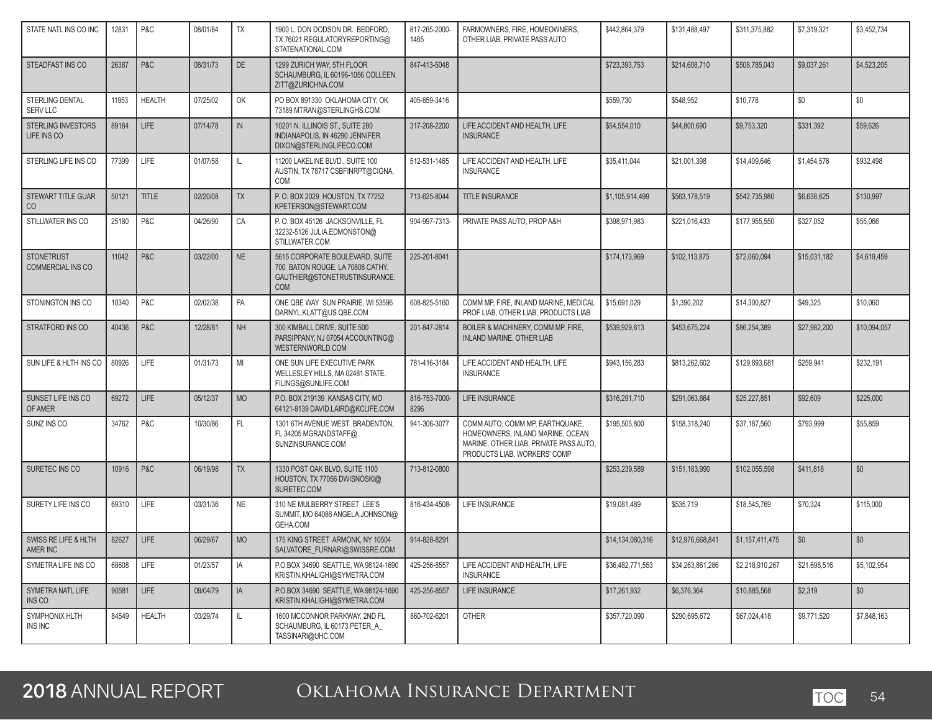| STATE NATL INS CO INC                         | 12831 | P&C           | 08/01/84 | TΧ        | 1900 L. DON DODSON DR. BEDFORD,<br>TX 76021 REGULATORYREPORTING@<br>STATENATIONAL.COM                              | 817-265-2000-<br>1465 | FARMOWNERS, FIRE, HOMEOWNERS,<br>OTHER LIAB, PRIVATE PASS AUTO                                                                                | \$442,864,379    | \$131,488,497    | \$311,375,882   | \$7,319,321  | \$3,452,734  |
|-----------------------------------------------|-------|---------------|----------|-----------|--------------------------------------------------------------------------------------------------------------------|-----------------------|-----------------------------------------------------------------------------------------------------------------------------------------------|------------------|------------------|-----------------|--------------|--------------|
| STEADFAST INS CO                              | 26387 | P&C           | 08/31/73 | DE        | 1299 ZURICH WAY, 5TH FLOOR<br>SCHAUMBURG, IL 60196-1056 COLLEEN.<br>ZITT@ZURICHNA.COM                              | 847-413-5048          |                                                                                                                                               | \$723,393,753    | \$214,608,710    | \$508,785,043   | \$9,037,261  | \$4,523,205  |
| STERLING DENTAL<br>SERV LLC                   | 11953 | <b>HEALTH</b> | 07/25/02 | OK        | PO BOX 891330 OKLAHOMA CITY, OK<br>73189 MTRAN@STERLINGHS.COM                                                      | 405-659-3416          |                                                                                                                                               | \$559,730        | \$548,952        | \$10,778        | \$0          | \$0          |
| <b>STERLING INVESTORS</b><br>LIFE INS CO      | 89184 | <b>LIFE</b>   | 07/14/78 | IN        | 10201 N. ILLINOIS ST., SUITE 280<br>INDIANAPOLIS, IN 46290 JENNIFER.<br>DIXON@STERLINGLIFECO.COM                   | 317-208-2200          | LIFE ACCIDENT AND HEALTH, LIFE<br><b>INSURANCE</b>                                                                                            | \$54,554,010     | \$44,800,690     | \$9,753,320     | \$331,392    | \$59,626     |
| STERLING LIFE INS CO                          | 77399 | LIFE          | 01/07/58 | IL        | 11200 LAKELINE BLVD., SUITE 100<br>AUSTIN, TX 78717 CSBFINRPT@CIGNA.<br>COM                                        | 512-531-1465          | LIFE ACCIDENT AND HEALTH, LIFE<br><b>INSURANCE</b>                                                                                            | \$35,411,044     | \$21,001,398     | \$14,409,646    | \$1,454,576  | \$932,498    |
| STEWART TITLE GUAR<br>CO                      | 50121 | TITLE         | 02/20/08 | <b>TX</b> | P. O. BOX 2029 HOUSTON, TX 77252<br>KPETERSON@STEWART.COM                                                          | 713-625-8044          | TITLE INSURANCE                                                                                                                               | \$1,105,914,499  | \$563,178,519    | \$542,735,980   | \$6,638,625  | \$130,997    |
| STILLWATER INS CO                             | 25180 | P&C           | 04/26/90 | CA        | P.O. BOX 45126 JACKSONVILLE, FL<br>32232-5126 JULIA.EDMONSTON@<br>STILLWATER.COM                                   | 904-997-7313-         | PRIVATE PASS AUTO, PROP A&H                                                                                                                   | \$398,971,983    | \$221,016,433    | \$177,955,550   | \$327,052    | \$55,066     |
| <b>STONETRUST</b><br><b>COMMERCIAL INS CO</b> | 11042 | P&C           | 03/22/00 | <b>NE</b> | 5615 CORPORATE BOULEVARD, SUITE<br>700 BATON ROUGE, LA 70808 CATHY.<br>GAUTHIER@STONETRUSTINSURANCE.<br><b>COM</b> | 225-201-8041          |                                                                                                                                               | \$174,173,969    | \$102.113.875    | \$72,060,094    | \$15,031,182 | \$4,619,459  |
| STONINGTON INS CO                             | 10340 | P&C           | 02/02/38 | PA        | ONE QBE WAY SUN PRAIRIE. WI 53596<br>DARNYL.KLATT@US.QBE.COM                                                       | 608-825-5160          | COMM MP, FIRE, INLAND MARINE, MEDICAL<br>PROF LIAB, OTHER LIAB, PRODUCTS LIAB                                                                 | \$15,691,029     | \$1,390,202      | \$14,300,827    | \$49,325     | \$10,060     |
| STRATFORD INS CO                              | 40436 | P&C           | 12/28/81 | <b>NH</b> | 300 KIMBALL DRIVE, SUITE 500<br>PARSIPPANY, NJ 07054 ACCOUNTING@<br>WESTERNWORLD.COM                               | 201-847-2814          | BOILER & MACHINERY, COMM MP, FIRE,<br><b>INLAND MARINE, OTHER LIAB</b>                                                                        | \$539,929,613    | \$453,675,224    | \$86,254,389    | \$27,982,200 | \$10,094,057 |
| SUN LIFE & HLTH INS CO                        | 80926 | LIFE          | 01/31/73 | MI        | ONE SUN LIFE EXECUTIVE PARK<br>WELLESLEY HILLS, MA 02481 STATE.<br>FILINGS@SUNLIFE.COM                             | 781-416-3184          | LIFE ACCIDENT AND HEALTH, LIFE<br><b>INSURANCE</b>                                                                                            | \$943,156,283    | \$813,262,602    | \$129,893,681   | \$259,941    | \$232,191    |
| SUNSET LIFE INS CO<br>OF AMER                 | 69272 | <b>LIFE</b>   | 05/12/37 | <b>MO</b> | P.O. BOX 219139 KANSAS CITY, MO<br>64121-9139 DAVID.LAIRD@KCLIFE.COM                                               | 816-753-7000-<br>8296 | LIFE INSURANCE                                                                                                                                | \$316,291,710    | \$291,063,864    | \$25,227,851    | \$92,609     | \$225,000    |
| SUNZ INS CO                                   | 34762 | P&C           | 10/30/86 | FL.       | 1301 6TH AVENUE WEST BRADENTON,<br>FL 34205 MGRANDSTAFF@<br>SUNZINSURANCE.COM                                      | 941-306-3077          | COMM AUTO, COMM MP, EARTHQUAKE,<br>HOMEOWNERS, INLAND MARINE, OCEAN<br>MARINE, OTHER LIAB, PRIVATE PASS AUTO,<br>PRODUCTS LIAB, WORKERS' COMP | \$195,505,800    | \$158,318,240    | \$37,187,560    | \$793,999    | \$55,859     |
| SURETEC INS CO                                | 10916 | P&C           | 06/19/98 | <b>TX</b> | 1330 POST OAK BLVD, SUITE 1100<br>HOUSTON, TX 77056 DWISNOSKI@<br>SURETEC.COM                                      | 713-812-0800          |                                                                                                                                               | \$253,239,589    | \$151,183,990    | \$102,055,598   | \$411,818    | \$0          |
| SURETY LIFE INS CO                            | 69310 | LIFE          | 03/31/36 | <b>NE</b> | 310 NE MULBERRY STREET LEE'S<br>SUMMIT, MO 64086 ANGELA.JOHNSON@<br>GEHA.COM                                       | 816-434-4508-         | LIFE INSURANCE                                                                                                                                | \$19,081,489     | \$535,719        | \$18,545,769    | \$70,324     | \$115,000    |
| SWISS RE LIFE & HLTH<br>AMER INC              | 82627 | LIFE          | 06/29/67 | <b>MO</b> | 175 KING STREET ARMONK, NY 10504<br>SALVATORE_FURNARI@SWISSRE.COM                                                  | 914-828-8291          |                                                                                                                                               | \$14,134,080,316 | \$12.976.668.841 | \$1,157,411,475 | \$0          | \$0          |
| SYMETRA LIFE INS CO                           | 68608 | LIFE          | 01/23/57 | IA        | P.O.BOX 34690 SEATTLE, WA 98124-1690<br>KRISTIN.KHALIGHI@SYMETRA.COM                                               | 425-256-8557          | LIFE ACCIDENT AND HEALTH, LIFE<br><b>INSURANCE</b>                                                                                            | \$36,482,771,553 | \$34.263.861.286 | \$2,218,910,267 | \$21,698,516 | \$5,102,954  |
| SYMETRA NATL LIFE<br>INS CO                   | 90581 | <b>LIFE</b>   | 09/04/79 | IA        | P.O.BOX 34690 SEATTLE, WA 98124-1690<br>KRISTIN.KHALIGHI@SYMETRA.COM                                               | 425-256-8557          | LIFE INSURANCE                                                                                                                                | \$17,261,932     | \$6,376,364      | \$10,885,568    | \$2,319      | \$0          |
| SYMPHONIX HLTH<br>INS INC                     | 84549 | <b>HEALTH</b> | 03/29/74 | L         | 1600 MCCONNOR PARKWAY, 2ND FL<br>SCHAUMBURG, IL 60173 PETER A<br>TASSINARI@UHC.COM                                 | 860-702-6201          | <b>OTHER</b>                                                                                                                                  | \$357,720,090    | \$290,695,672    | \$67,024,418    | \$9,771,520  | \$7,848,163  |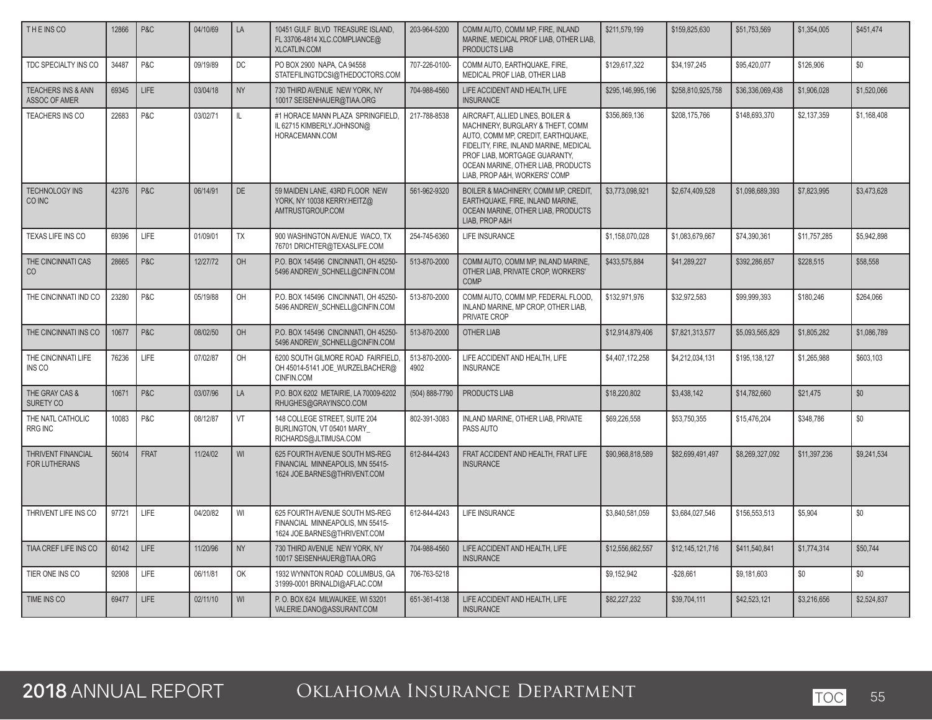| THE INS CO                                            | 12866 | P&C         | 04/10/69 | LA        | 10451 GULF BLVD TREASURE ISLAND,<br>FL 33706-4814 XLC.COMPLIANCE@<br><b>XLCATLIN.COM</b>           | 203-964-5200          | COMM AUTO, COMM MP, FIRE, INLAND<br>MARINE, MEDICAL PROF LIAB, OTHER LIAB.<br><b>PRODUCTS LIAB</b>                                                                                                                                                            | \$211,579,199     | \$159,825,630     | \$51,753,569     | \$1,354,005  | \$451,474   |
|-------------------------------------------------------|-------|-------------|----------|-----------|----------------------------------------------------------------------------------------------------|-----------------------|---------------------------------------------------------------------------------------------------------------------------------------------------------------------------------------------------------------------------------------------------------------|-------------------|-------------------|------------------|--------------|-------------|
| TDC SPECIALTY INS CO                                  | 34487 | P&C         | 09/19/89 | <b>DC</b> | PO BOX 2900 NAPA, CA 94558<br>STATEFILINGTDCSI@THEDOCTORS.COM                                      | 707-226-0100-         | COMM AUTO, EARTHQUAKE, FIRE,<br>MEDICAL PROF LIAB. OTHER LIAB                                                                                                                                                                                                 | \$129,617,322     | \$34,197,245      | \$95,420,077     | \$126,906    | \$0         |
| <b>TEACHERS INS &amp; ANN</b><br><b>ASSOC OF AMER</b> | 69345 | LIFE        | 03/04/18 | <b>NY</b> | 730 THIRD AVENUE NEW YORK, NY<br>10017 SEISENHAUER@TIAA.ORG                                        | 704-988-4560          | LIFE ACCIDENT AND HEALTH. LIFE<br><b>INSURANCE</b>                                                                                                                                                                                                            | \$295.146.995.196 | \$258,810,925,758 | \$36,336,069,438 | \$1.906.028  | \$1,520,066 |
| TEACHERS INS CO                                       | 22683 | P&C         | 03/02/71 | IL.       | #1 HORACE MANN PLAZA SPRINGFIELD.<br>IL 62715 KIMBERLY.JOHNSON@<br>HORACEMANN.COM                  | 217-788-8538          | AIRCRAFT, ALLIED LINES, BOILER &<br>MACHINERY, BURGLARY & THEFT, COMM<br>AUTO. COMM MP. CREDIT. EARTHQUAKE.<br>FIDELITY, FIRE, INLAND MARINE, MEDICAL<br>PROF LIAB, MORTGAGE GUARANTY,<br>OCEAN MARINE, OTHER LIAB, PRODUCTS<br>LIAB, PROP A&H, WORKERS' COMP | \$356.869.136     | \$208,175,766     | \$148,693,370    | \$2,137,359  | \$1,168,408 |
| <b>TECHNOLOGY INS</b><br>CO INC                       | 42376 | P&C         | 06/14/91 | <b>DE</b> | 59 MAIDEN LANE, 43RD FLOOR NEW<br>YORK, NY 10038 KERRY.HEITZ@<br>AMTRUSTGROUP.COM                  | 561-962-9320          | BOILER & MACHINERY, COMM MP, CREDIT.<br>EARTHQUAKE, FIRE, INLAND MARINE,<br>OCEAN MARINE, OTHER LIAB, PRODUCTS<br>LIAB, PROP A&H                                                                                                                              | \$3,773,098,921   | \$2,674,409,528   | \$1.098.689.393  | \$7,823,995  | \$3,473,628 |
| TEXAS LIFE INS CO                                     | 69396 | LIFE        | 01/09/01 | <b>TX</b> | 900 WASHINGTON AVENUE WACO, TX<br>76701 DRICHTER@TEXASLIFE.COM                                     | 254-745-6360          | <b>LIFE INSURANCE</b>                                                                                                                                                                                                                                         | \$1,158,070,028   | \$1,083,679,667   | \$74,390,361     | \$11,757,285 | \$5,942,898 |
| THE CINCINNATI CAS<br>CO                              | 28665 | P&C         | 12/27/72 | OH        | P.O. BOX 145496 CINCINNATI, OH 45250-<br>5496 ANDREW_SCHNELL@CINFIN.COM                            | 513-870-2000          | COMM AUTO, COMM MP, INLAND MARINE,<br>OTHER LIAB, PRIVATE CROP, WORKERS'<br>COMP                                                                                                                                                                              | \$433,575,884     | \$41,289,227      | \$392.286.657    | \$228,515    | \$58,558    |
| THE CINCINNATI IND CO                                 | 23280 | P&C         | 05/19/88 | OH        | P.O. BOX 145496 CINCINNATI. OH 45250-<br>5496 ANDREW_SCHNELL@CINFIN.COM                            | 513-870-2000          | COMM AUTO. COMM MP. FEDERAL FLOOD.<br>INLAND MARINE, MP CROP, OTHER LIAB,<br>PRIVATE CROP                                                                                                                                                                     | \$132,971,976     | \$32.972.583      | \$99.999.393     | \$180,246    | \$264.066   |
| THE CINCINNATI INS CO                                 | 10677 | P&C         | 08/02/50 | OH        | P.O. BOX 145496 CINCINNATI. OH 45250-<br>5496 ANDREW SCHNELL@CINFIN.COM                            | 513-870-2000          | OTHER LIAB                                                                                                                                                                                                                                                    | \$12.914.879.406  | \$7.821.313.577   | \$5.093.565.829  | \$1,805,282  | \$1,086,789 |
| THE CINCINNATI LIFE<br>INS CO                         | 76236 | LIFE        | 07/02/87 | OH        | 6200 SOUTH GILMORE ROAD FAIRFIELD,<br>OH 45014-5141 JOE_WURZELBACHER@<br>CINFIN.COM                | 513-870-2000-<br>4902 | LIFE ACCIDENT AND HEALTH, LIFE<br><b>INSURANCE</b>                                                                                                                                                                                                            | \$4,407,172,258   | \$4,212,034,131   | \$195,138,127    | \$1,265,988  | \$603,103   |
| THE GRAY CAS &<br>SURETY CO                           | 10671 | P&C         | 03/07/96 | LA        | P.O. BOX 6202 METAIRIE, LA 70009-6202<br>RHUGHES@GRAYINSCO.COM                                     | (504) 888-7790        | PRODUCTS LIAB                                                                                                                                                                                                                                                 | \$18,220,802      | \$3,438,142       | \$14,782,660     | \$21,475     | \$0         |
| THE NATL CATHOLIC<br>RRG INC                          | 10083 | P&C         | 08/12/87 | VT        | 148 COLLEGE STREET, SUITE 204<br>BURLINGTON, VT 05401 MARY<br>RICHARDS@JLTIMUSA.COM                | 802-391-3083          | INLAND MARINE, OTHER LIAB, PRIVATE<br>PASS AUTO                                                                                                                                                                                                               | \$69,226,558      | \$53,750,355      | \$15,476,204     | \$348.786    | \$0         |
| <b>THRIVENT FINANCIAL</b><br><b>FOR LUTHERANS</b>     | 56014 | <b>FRAT</b> | 11/24/02 | WI        | 625 FOURTH AVENUE SOUTH MS-REG<br>FINANCIAL MINNEAPOLIS, MN 55415-<br>1624 JOE.BARNES@THRIVENT.COM | 612-844-4243          | FRAT ACCIDENT AND HEALTH. FRAT LIFE<br><b>INSURANCE</b>                                                                                                                                                                                                       | \$90,968,818,589  | \$82,699.491.497  | \$8,269,327,092  | \$11,397,236 | \$9.241.534 |
| THRIVENT LIFE INS CO                                  | 97721 | LIFE        | 04/20/82 | WI        | 625 FOURTH AVENUE SOUTH MS-REG<br>FINANCIAL MINNEAPOLIS, MN 55415-<br>1624 JOE.BARNES@THRIVENT.COM | 612-844-4243          | LIFE INSURANCE                                                                                                                                                                                                                                                | \$3,840,581,059   | \$3,684,027,546   | \$156,553,513    | \$5,904      | \$0         |
| TIAA CREF LIFE INS CO                                 | 60142 | LIFE        | 11/20/96 | <b>NY</b> | 730 THIRD AVENUE NEW YORK, NY<br>10017 SEISENHAUER@TIAA.ORG                                        | 704-988-4560          | LIFE ACCIDENT AND HEALTH. LIFE<br><b>INSURANCE</b>                                                                                                                                                                                                            | \$12.556.662.557  | \$12,145,121,716  | \$411.540.841    | \$1,774,314  | \$50,744    |
| TIER ONE INS CO                                       | 92908 | LIFE        | 06/11/81 | OK        | 1932 WYNNTON ROAD COLUMBUS, GA<br>31999-0001 BRINALDI@AFLAC.COM                                    | 706-763-5218          |                                                                                                                                                                                                                                                               | \$9.152.942       | $-$ \$28.661      | \$9,181,603      | \$0          | \$0         |
| TIME INS CO                                           | 69477 | LIFE        | 02/11/10 | WI        | P. O. BOX 624 MILWAUKEE, WI 53201<br>VALERIE.DANO@ASSURANT.COM                                     | 651-361-4138          | LIFE ACCIDENT AND HEALTH, LIFE<br><b>INSURANCE</b>                                                                                                                                                                                                            | \$82,227,232      | \$39,704,111      | \$42,523,121     | \$3,216,656  | \$2,524,837 |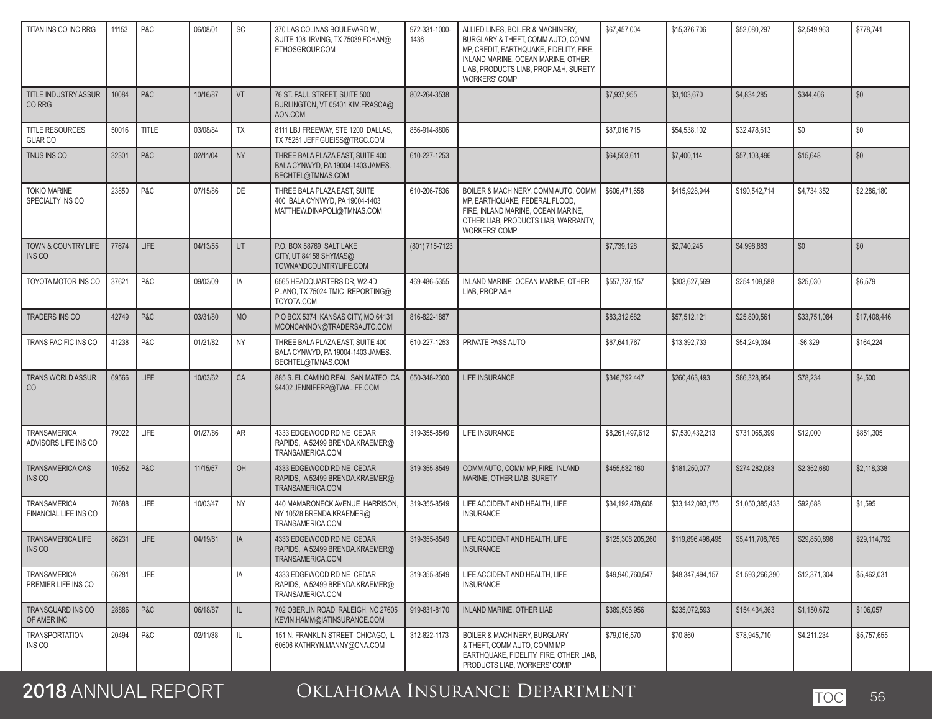| TITAN INS CO INC RRG                         | 11153 | P&C          | 06/08/01 | SC           | 370 LAS COLINAS BOULEVARD W.<br>SUITE 108 IRVING, TX 75039 FCHAN@<br>ETHOSGROUP.COM          | 972-331-1000-<br>1436 | ALLIED LINES, BOILER & MACHINERY,<br>BURGLARY & THEFT, COMM AUTO, COMM<br>MP, CREDIT, EARTHQUAKE, FIDELITY, FIRE,<br>INLAND MARINE, OCEAN MARINE, OTHER<br>LIAB, PRODUCTS LIAB, PROP A&H, SURETY,<br><b>WORKERS' COMP</b> | \$67,457,004      | \$15,376,706      | \$52,080,297    | \$2,549,963  | \$778,741    |
|----------------------------------------------|-------|--------------|----------|--------------|----------------------------------------------------------------------------------------------|-----------------------|---------------------------------------------------------------------------------------------------------------------------------------------------------------------------------------------------------------------------|-------------------|-------------------|-----------------|--------------|--------------|
| <b>TITLE INDUSTRY ASSUR</b><br>CO RRG        | 10084 | P&C          | 10/16/87 | VT           | 76 ST. PAUL STREET. SUITE 500<br>BURLINGTON, VT 05401 KIM.FRASCA@<br>AON.COM                 | 802-264-3538          |                                                                                                                                                                                                                           | \$7,937,955       | \$3,103,670       | \$4,834,285     | \$344,406    | \$0          |
| <b>TITLE RESOURCES</b><br><b>GUAR CO</b>     | 50016 | <b>TITLE</b> | 03/08/84 | TX           | 8111 LBJ FREEWAY, STE 1200 DALLAS,<br>TX 75251 JEFF.GUEISS@TRGC.COM                          | 856-914-8806          |                                                                                                                                                                                                                           | \$87,016,715      | \$54,538,102      | \$32,478,613    | \$0          | \$0          |
| TNUS INS CO                                  | 32301 | P&C          | 02/11/04 | <b>NY</b>    | THREE BALA PLAZA EAST, SUITE 400<br>BALA CYNWYD, PA 19004-1403 JAMES.<br>BECHTEL@TMNAS.COM   | 610-227-1253          |                                                                                                                                                                                                                           | \$64,503,611      | \$7,400,114       | \$57,103,496    | \$15,648     | \$0          |
| <b>TOKIO MARINE</b><br>SPECIALTY INS CO      | 23850 | P&C          | 07/15/86 | DE           | THREE BALA PLAZA EAST. SUITE<br>400 BALA CYNWYD, PA 19004-1403<br>MATTHEW.DINAPOLI@TMNAS.COM | 610-206-7836          | BOILER & MACHINERY, COMM AUTO, COMM<br>MP, EARTHQUAKE, FEDERAL FLOOD,<br>FIRE, INLAND MARINE, OCEAN MARINE,<br>OTHER LIAB, PRODUCTS LIAB, WARRANTY,<br><b>WORKERS' COMP</b>                                               | \$606.471.658     | \$415,928,944     | \$190,542,714   | \$4,734,352  | \$2,286,180  |
| TOWN & COUNTRY LIFE<br>INS CO                | 77674 | <b>LIFE</b>  | 04/13/55 | UT           | P.O. BOX 58769 SALT LAKE<br>CITY, UT 84158 SHYMAS@<br>TOWNANDCOUNTRYLIFE.COM                 | (801) 715-7123        |                                                                                                                                                                                                                           | \$7,739,128       | \$2,740,245       | \$4,998,883     | \$0          | \$0          |
| TOYOTA MOTOR INS CO                          | 37621 | P&C          | 09/03/09 | IA           | 6565 HEADQUARTERS DR, W2-4D<br>PLANO, TX 75024 TMIC_REPORTING@<br>TOYOTA.COM                 | 469-486-5355          | INLAND MARINE, OCEAN MARINE, OTHER<br>LIAB, PROP A&H                                                                                                                                                                      | \$557.737.157     | \$303.627.569     | \$254,109,588   | \$25,030     | \$6,579      |
| <b>TRADERS INS CO</b>                        | 42749 | P&C          | 03/31/80 | <b>MO</b>    | PO BOX 5374 KANSAS CITY, MO 64131<br>MCONCANNON@TRADERSAUTO.COM                              | 816-822-1887          |                                                                                                                                                                                                                           | \$83,312,682      | \$57,512,121      | \$25,800,561    | \$33,751,084 | \$17,408,446 |
| TRANS PACIFIC INS CO                         | 41238 | P&C          | 01/21/82 | <b>NY</b>    | THREE BALA PLAZA EAST. SUITE 400<br>BALA CYNWYD, PA 19004-1403 JAMES.<br>BECHTEL@TMNAS.COM   | 610-227-1253          | PRIVATE PASS AUTO                                                                                                                                                                                                         | \$67,641,767      | \$13,392,733      | \$54,249,034    | $-$ \$6,329  | \$164,224    |
| <b>TRANS WORLD ASSUR</b><br>CO               | 69566 | LIFE         | 10/03/62 | CA           | 885 S. EL CAMINO REAL SAN MATEO, CA<br>94402 JENNIFERP@TWALIFE.COM                           | 650-348-2300          | <b>LIFE INSURANCE</b>                                                                                                                                                                                                     | \$346,792,447     | \$260,463,493     | \$86,328,954    | \$78,234     | \$4,500      |
| <b>TRANSAMERICA</b><br>ADVISORS LIFE INS CO  | 79022 | LIFE         | 01/27/86 | AR           | 4333 EDGEWOOD RD NE CEDAR<br>RAPIDS, IA 52499 BRENDA.KRAEMER@<br>TRANSAMERICA.COM            | 319-355-8549          | LIFE INSURANCE                                                                                                                                                                                                            | \$8,261,497,612   | \$7,530,432,213   | \$731,065,399   | \$12,000     | \$851,305    |
| <b>TRANSAMERICA CAS</b><br>INS CO            | 10952 | P&C          | 11/15/57 | OH           | 4333 EDGEWOOD RD NE CEDAR<br>RAPIDS, IA 52499 BRENDA.KRAEMER@<br>TRANSAMERICA.COM            | 319-355-8549          | COMM AUTO, COMM MP, FIRE, INLAND<br>MARINE, OTHER LIAB, SURETY                                                                                                                                                            | \$455,532,160     | \$181,250,077     | \$274,282,083   | \$2,352,680  | \$2,118,338  |
| <b>TRANSAMERICA</b><br>FINANCIAL LIFE INS CO | 70688 | <b>LIFE</b>  | 10/03/47 | <b>NY</b>    | 440 MAMARONECK AVENUE HARRISON,<br>NY 10528 BRENDA.KRAEMER@<br>TRANSAMERICA.COM              | 319-355-8549          | LIFE ACCIDENT AND HEALTH. LIFE<br><b>INSURANCE</b>                                                                                                                                                                        | \$34,192,478,608  | \$33,142,093,175  | \$1,050,385,433 | \$92,688     | \$1,595      |
| <b>TRANSAMERICA LIFE</b><br>INS CO           | 86231 | <b>LIFE</b>  | 04/19/61 | IA           | 4333 EDGEWOOD RD NE CEDAR<br>RAPIDS, IA 52499 BRENDA.KRAEMER@<br>TRANSAMERICA.COM            | 319-355-8549          | LIFE ACCIDENT AND HEALTH, LIFE<br><b>INSURANCE</b>                                                                                                                                                                        | \$125,308,205,260 | \$119,896,496,495 | \$5,411,708,765 | \$29,850,896 | \$29,114,792 |
| TRANSAMERICA<br>PREMIER LIFE INS CO          | 66281 | LIFE         |          | IA           | 4333 EDGEWOOD RD NE CEDAR<br>RAPIDS, IA 52499 BRENDA.KRAEMER@<br>TRANSAMERICA.COM            | 319-355-8549          | LIFE ACCIDENT AND HEALTH, LIFE<br><b>INSURANCE</b>                                                                                                                                                                        | \$49,940,760,547  | \$48,347,494,157  | \$1,593,266,390 | \$12,371,304 | \$5,462,031  |
| <b>TRANSGUARD INS CO</b><br>OF AMER INC      | 28886 | P&C          | 06/18/87 | $\mathbb{L}$ | 702 OBERLIN ROAD RALEIGH, NC 27605<br>KEVIN.HAMM@IATINSURANCE.COM                            | 919-831-8170          | <b>INLAND MARINE, OTHER LIAB</b>                                                                                                                                                                                          | \$389,506,956     | \$235,072,593     | \$154,434,363   | \$1,150,672  | \$106,057    |
| <b>TRANSPORTATION</b><br>INS CO              | 20494 | P&C          | 02/11/38 | $\mathbb{L}$ | 151 N. FRANKLIN STREET CHICAGO, IL<br>60606 KATHRYN.MANNY@CNA.COM                            | 312-822-1173          | <b>BOILER &amp; MACHINERY, BURGLARY</b><br>& THEFT, COMM AUTO, COMM MP,<br>EARTHQUAKE, FIDELITY, FIRE, OTHER LIAB,<br>PRODUCTS LIAB. WORKERS' COMP                                                                        | \$79,016,570      | \$70,860          | \$78,945,710    | \$4,211,234  | \$5,757,655  |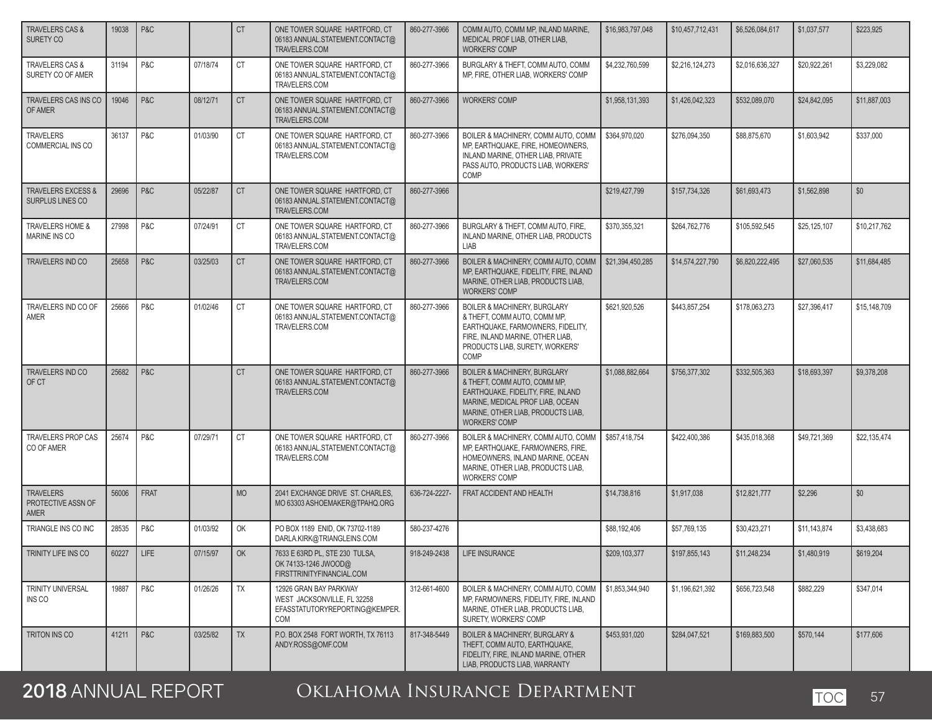| <b>TRAVELERS CAS &amp;</b><br>SURETY CO                  | 19038 | P&C            |          | <b>CT</b> | ONE TOWER SQUARE HARTFORD, CT<br>06183 ANNUAL.STATEMENT.CONTACT@<br>TRAVELERS.COM              | 860-277-3966  | COMM AUTO, COMM MP, INLAND MARINE,<br>MEDICAL PROF LIAB. OTHER LIAB.<br><b>WORKERS' COMP</b>                                                                                                                    | \$16,983,797,048 | \$10,457,712,431 | \$6,526,084,617 | \$1,037,577  | \$223.925    |
|----------------------------------------------------------|-------|----------------|----------|-----------|------------------------------------------------------------------------------------------------|---------------|-----------------------------------------------------------------------------------------------------------------------------------------------------------------------------------------------------------------|------------------|------------------|-----------------|--------------|--------------|
| TRAVELERS CAS &<br>SURETY CO OF AMER                     | 31194 | P&C            | 07/18/74 | <b>CT</b> | ONE TOWER SQUARE HARTFORD, CT<br>06183 ANNUAL.STATEMENT.CONTACT@<br>TRAVELERS.COM              | 860-277-3966  | BURGLARY & THEFT, COMM AUTO, COMM<br>MP, FIRE, OTHER LIAB, WORKERS' COMP                                                                                                                                        | \$4,232,760,599  | \$2,216,124,273  | \$2,016,636,327 | \$20,922,261 | \$3,229,082  |
| TRAVELERS CAS INS CO<br>OF AMER                          | 19046 | P&C            | 08/12/71 | <b>CT</b> | ONE TOWER SQUARE HARTFORD, CT<br>06183 ANNUAL.STATEMENT.CONTACT@<br>TRAVELERS.COM              | 860-277-3966  | <b>WORKERS' COMP</b>                                                                                                                                                                                            | \$1,958,131,393  | \$1,426,042,323  | \$532,089,070   | \$24,842,095 | \$11,887,003 |
| <b>TRAVELERS</b><br><b>COMMERCIAL INS CO</b>             | 36137 | P&C            | 01/03/90 | <b>CT</b> | ONE TOWER SQUARE HARTFORD, CT<br>06183 ANNUAL.STATEMENT.CONTACT@<br>TRAVELERS.COM              | 860-277-3966  | BOILER & MACHINERY, COMM AUTO, COMM<br>MP. EARTHQUAKE, FIRE, HOMEOWNERS.<br>INLAND MARINE, OTHER LIAB, PRIVATE<br>PASS AUTO, PRODUCTS LIAB, WORKERS'<br>COMP                                                    | \$364,970,020    | \$276,094,350    | \$88,875,670    | \$1,603,942  | \$337,000    |
| <b>TRAVELERS EXCESS &amp;</b><br><b>SURPLUS LINES CO</b> | 29696 | P&C            | 05/22/87 | <b>CT</b> | ONE TOWER SQUARE HARTFORD, CT<br>06183 ANNUAL.STATEMENT.CONTACT@<br>TRAVELERS.COM              | 860-277-3966  |                                                                                                                                                                                                                 | \$219,427,799    | \$157,734,326    | \$61,693,473    | \$1,562,898  | \$0          |
| TRAVELERS HOME &<br>MARINE INS CO                        | 27998 | P&C            | 07/24/91 | <b>CT</b> | ONE TOWER SQUARE HARTFORD, CT<br>06183 ANNUAL.STATEMENT.CONTACT@<br>TRAVELERS.COM              | 860-277-3966  | BURGLARY & THEFT, COMM AUTO, FIRE,<br>INLAND MARINE, OTHER LIAB, PRODUCTS<br>LIAB                                                                                                                               | \$370,355,321    | \$264,762,776    | \$105,592,545   | \$25,125,107 | \$10,217,762 |
| TRAVELERS IND CO                                         | 25658 | P&C            | 03/25/03 | <b>CT</b> | ONE TOWER SQUARE HARTFORD, CT<br>06183 ANNUAL.STATEMENT.CONTACT@<br>TRAVELERS.COM              | 860-277-3966  | BOILER & MACHINERY, COMM AUTO, COMM<br>MP. EARTHQUAKE, FIDELITY, FIRE, INLAND<br>MARINE, OTHER LIAB, PRODUCTS LIAB.<br><b>WORKERS' COMP</b>                                                                     | \$21,394,450,285 | \$14,574,227,790 | \$6,820,222,495 | \$27,060,535 | \$11,684,485 |
| TRAVELERS IND CO OF<br>AMER                              | 25666 | P&C            | 01/02/46 | <b>CT</b> | ONE TOWER SQUARE HARTFORD, CT<br>06183 ANNUAL.STATEMENT.CONTACT@<br>TRAVELERS.COM              | 860-277-3966  | <b>BOILER &amp; MACHINERY, BURGLARY</b><br>& THEFT, COMM AUTO, COMM MP,<br>EARTHQUAKE, FARMOWNERS, FIDELITY,<br>FIRE. INLAND MARINE, OTHER LIAB.<br>PRODUCTS LIAB, SURETY, WORKERS'<br>COMP                     | \$621,920,526    | \$443,857,254    | \$178,063,273   | \$27,396,417 | \$15,148,709 |
| TRAVELERS IND CO<br>OF CT                                | 25682 | P&C            |          | <b>CT</b> | ONE TOWER SQUARE HARTFORD, CT<br>06183 ANNUAL.STATEMENT.CONTACT@<br>TRAVELERS.COM              | 860-277-3966  | <b>BOILER &amp; MACHINERY, BURGLARY</b><br>& THEFT, COMM AUTO, COMM MP,<br>EARTHQUAKE, FIDELITY, FIRE, INLAND<br>MARINE, MEDICAL PROF LIAB, OCEAN<br>MARINE, OTHER LIAB, PRODUCTS LIAB,<br><b>WORKERS' COMP</b> | \$1,088,882,664  | \$756,377,302    | \$332,505,363   | \$18,693,397 | \$9,378,208  |
| TRAVELERS PROP CAS<br>CO OF AMER                         | 25674 | P&C            | 07/29/71 | <b>CT</b> | ONE TOWER SQUARE HARTFORD, CT<br>06183 ANNUAL.STATEMENT.CONTACT@<br>TRAVELERS.COM              | 860-277-3966  | BOILER & MACHINERY, COMM AUTO, COMM<br>MP, EARTHQUAKE, FARMOWNERS, FIRE,<br>HOMEOWNERS, INLAND MARINE, OCEAN<br>MARINE, OTHER LIAB, PRODUCTS LIAB,<br><b>WORKERS' COMP</b>                                      | \$857,418,754    | \$422,400,386    | \$435,018,368   | \$49,721,369 | \$22,135,474 |
| <b>TRAVELERS</b><br>PROTECTIVE ASSN OF<br>AMER           | 56006 | FRAT           |          | <b>MO</b> | 2041 EXCHANGE DRIVE ST. CHARLES,<br>MO 63303 ASHOEMAKER@TPAHQ.ORG                              | 636-724-2227- | FRAT ACCIDENT AND HEALTH                                                                                                                                                                                        | \$14,738,816     | \$1,917,038      | \$12,821,777    | \$2.296      | \$0          |
| TRIANGLE INS CO INC                                      | 28535 | P&C            | 01/03/92 | OK        | PO BOX 1189 ENID, OK 73702-1189<br>DARLA.KIRK@TRIANGLEINS.COM                                  | 580-237-4276  |                                                                                                                                                                                                                 | \$88,192,406     | \$57,769,135     | \$30,423,271    | \$11,143,874 | \$3,438,683  |
| TRINITY LIFE INS CO                                      | 60227 | LIFE           | 07/15/97 | OK        | 7633 E 63RD PL, STE 230 TULSA,<br>OK 74133-1246 JWOOD@<br>FIRSTTRINITYFINANCIAL.COM            | 918-249-2438  | LIFE INSURANCE                                                                                                                                                                                                  | \$209,103,377    | \$197,855,143    | \$11,248,234    | \$1,480,919  | \$619,204    |
| TRINITY UNIVERSAL<br>INS CO                              | 19887 | P&C            | 01/26/26 | TX        | 12926 GRAN BAY PARKWAY<br>WEST JACKSONVILLE, FL 32258<br>EFASSTATUTORYREPORTING@KEMPER.<br>COM | 312-661-4600  | BOILER & MACHINERY, COMM AUTO, COMM<br>MP, FARMOWNERS, FIDELITY, FIRE, INLAND<br>MARINE, OTHER LIAB, PRODUCTS LIAB,<br>SURETY, WORKERS' COMP                                                                    | \$1,853,344,940  | \$1,196,621,392  | \$656,723,548   | \$882,229    | \$347,014    |
| <b>TRITON INS CO</b>                                     | 41211 | <b>P&amp;C</b> | 03/25/82 | <b>TX</b> | P.O. BOX 2548 FORT WORTH. TX 76113<br>ANDY.ROSS@OMF.COM                                        | 817-348-5449  | <b>BOILER &amp; MACHINERY, BURGLARY &amp;</b><br>THEFT, COMM AUTO, EARTHQUAKE,<br>FIDELITY, FIRE, INLAND MARINE, OTHER<br>LIAB, PRODUCTS LIAB, WARRANTY                                                         | \$453,931,020    | \$284,047,521    | \$169,883,500   | \$570,144    | \$177,606    |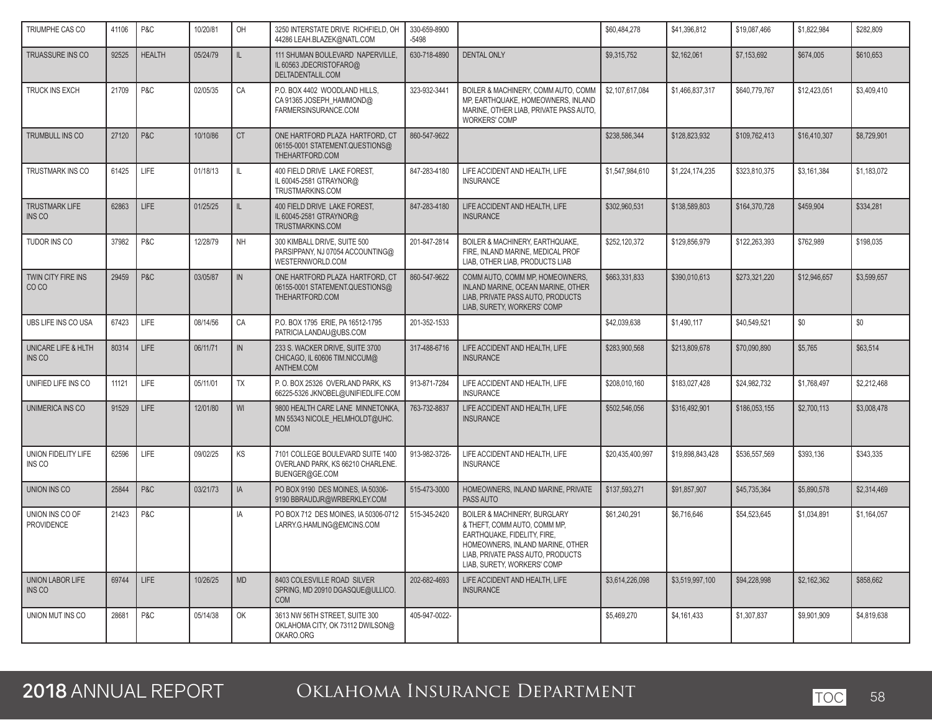| TRIUMPHE CAS CO                        | 41106 | P&C           | 10/20/81 | OH            | 3250 INTERSTATE DRIVE RICHFIELD, OH<br>44286 LEAH.BLAZEK@NATL.COM                        | 330-659-8900<br>$-5498$ |                                                                                                                                                                                                                | \$60,484,278     | \$41,396,812     | \$19,087,466  | \$1,822,984  | \$282,809   |
|----------------------------------------|-------|---------------|----------|---------------|------------------------------------------------------------------------------------------|-------------------------|----------------------------------------------------------------------------------------------------------------------------------------------------------------------------------------------------------------|------------------|------------------|---------------|--------------|-------------|
| TRUASSURE INS CO                       | 92525 | <b>HEALTH</b> | 05/24/79 | IL.           | 111 SHUMAN BOULEVARD NAPERVILLE,<br>IL 60563 JDECRISTOFARO@<br>DELTADENTALIL.COM         | 630-718-4890            | <b>DENTAL ONLY</b>                                                                                                                                                                                             | \$9,315,752      | \$2,162,061      | \$7,153,692   | \$674,005    | \$610,653   |
| TRUCK INS EXCH                         | 21709 | P&C           | 02/05/35 | CA            | P.O. BOX 4402 WOODLAND HILLS.<br>CA 91365 JOSEPH_HAMMOND@<br>FARMERSINSURANCE.COM        | 323-932-3441            | BOILER & MACHINERY, COMM AUTO, COMM<br>MP, EARTHQUAKE, HOMEOWNERS, INLAND<br>MARINE, OTHER LIAB, PRIVATE PASS AUTO,<br><b>WORKERS' COMP</b>                                                                    | \$2,107,617,084  | \$1,466,837,317  | \$640,779,767 | \$12,423,051 | \$3,409,410 |
| <b>TRUMBULL INS CO</b>                 | 27120 | P&C           | 10/10/86 | <b>CT</b>     | ONE HARTFORD PLAZA HARTFORD, CT<br>06155-0001 STATEMENT.QUESTIONS@<br>THEHARTFORD.COM    | 860-547-9622            |                                                                                                                                                                                                                | \$238,586,344    | \$128,823,932    | \$109.762.413 | \$16,410,307 | \$8,729,901 |
| TRUSTMARK INS CO                       | 61425 | LIFE          | 01/18/13 | $\mathbb{L}$  | 400 FIELD DRIVE LAKE FOREST,<br>IL 60045-2581 GTRAYNOR@<br>TRUSTMARKINS.COM              | 847-283-4180            | LIFE ACCIDENT AND HEALTH, LIFE<br><b>INSURANCE</b>                                                                                                                                                             | \$1,547,984,610  | \$1,224,174,235  | \$323,810,375 | \$3,161,384  | \$1,183,072 |
| <b>TRUSTMARK LIFE</b><br><b>INS CO</b> | 62863 | <b>LIFE</b>   | 01/25/25 | IL.           | 400 FIELD DRIVE LAKE FOREST,<br>IL 60045-2581 GTRAYNOR@<br>TRUSTMARKINS.COM              | 847-283-4180            | LIFE ACCIDENT AND HEALTH, LIFE<br><b>INSURANCE</b>                                                                                                                                                             | \$302,960,531    | \$138,589,803    | \$164,370,728 | \$459,904    | \$334,281   |
| TUDOR INS CO                           | 37982 | P&C           | 12/28/79 | <b>NH</b>     | 300 KIMBALL DRIVE, SUITE 500<br>PARSIPPANY, NJ 07054 ACCOUNTING@<br>WESTERNWORLD.COM     | 201-847-2814            | BOILER & MACHINERY, EARTHQUAKE,<br>FIRE. INLAND MARINE. MEDICAL PROF<br>LIAB, OTHER LIAB, PRODUCTS LIAB                                                                                                        | \$252,120,372    | \$129,856,979    | \$122,263,393 | \$762,989    | \$198,035   |
| TWIN CITY FIRE INS<br>CO <sub>CO</sub> | 29459 | P&C           | 03/05/87 | IN            | ONE HARTFORD PLAZA HARTFORD, CT<br>06155-0001 STATEMENT.QUESTIONS@<br>THEHARTFORD.COM    | 860-547-9622            | COMM AUTO, COMM MP, HOMEOWNERS,<br>INLAND MARINE, OCEAN MARINE, OTHER<br>LIAB. PRIVATE PASS AUTO. PRODUCTS<br>LIAB, SURETY, WORKERS' COMP                                                                      | \$663,331,833    | \$390,010,613    | \$273,321,220 | \$12,946,657 | \$3,599,657 |
| UBS LIFE INS CO USA                    | 67423 | LIFE          | 08/14/56 | CA            | P.O. BOX 1795 ERIE, PA 16512-1795<br>PATRICIA.LANDAU@UBS.COM                             | 201-352-1533            |                                                                                                                                                                                                                | \$42.039.638     | \$1,490,117      | \$40,549,521  | \$0          | \$0         |
| UNICARE LIFE & HLTH<br>INS CO          | 80314 | LIFE          | 06/11/71 | $\mathsf{IN}$ | 233 S. WACKER DRIVE, SUITE 3700<br>CHICAGO, IL 60606 TIM.NICCUM@<br>ANTHEM.COM           | 317-488-6716            | LIFE ACCIDENT AND HEALTH, LIFE<br><b>INSURANCE</b>                                                                                                                                                             | \$283,900,568    | \$213,809,678    | \$70,090,890  | \$5,765      | \$63,514    |
| UNIFIED LIFE INS CO                    | 11121 | LIFE          | 05/11/01 | TX            | P.O. BOX 25326 OVERLAND PARK, KS<br>66225-5326 JKNOBEL@UNIFIEDLIFE.COM                   | 913-871-7284            | LIFE ACCIDENT AND HEALTH, LIFE<br><b>INSURANCE</b>                                                                                                                                                             | \$208,010,160    | \$183,027,428    | \$24,982,732  | \$1,768,497  | \$2,212,468 |
| UNIMERICA INS CO                       | 91529 | <b>LIFE</b>   | 12/01/80 | WI            | 9800 HEALTH CARE LANE MINNETONKA,<br>MN 55343 NICOLE HELMHOLDT@UHC.<br><b>COM</b>        | 763-732-8837            | LIFE ACCIDENT AND HEALTH, LIFE<br><b>INSURANCE</b>                                                                                                                                                             | \$502,546,056    | \$316,492,901    | \$186,053,155 | \$2,700,113  | \$3,008,478 |
| UNION FIDELITY LIFE<br>INS CO          | 62596 | LIFE          | 09/02/25 | KS            | 7101 COLLEGE BOULEVARD SUITE 1400<br>OVERLAND PARK, KS 66210 CHARLENE.<br>BUENGER@GE.COM | 913-982-3726-           | LIFE ACCIDENT AND HEALTH, LIFE<br><b>INSURANCE</b>                                                                                                                                                             | \$20,435,400,997 | \$19,898,843,428 | \$536,557,569 | \$393,136    | \$343,335   |
| UNION INS CO                           | 25844 | P&C           | 03/21/73 | IA            | PO BOX 9190 DES MOINES. IA 50306-<br>9190 BBRAUDJR@WRBERKLEY.COM                         | 515-473-3000            | HOMEOWNERS, INLAND MARINE, PRIVATE<br>PASS AUTO                                                                                                                                                                | \$137,593,271    | \$91,857,907     | \$45,735,364  | \$5,890,578  | \$2,314,469 |
| UNION INS CO OF<br>PROVIDENCE          | 21423 | P&C           |          | IA            | PO BOX 712 DES MOINES, IA 50306-0712<br>LARRY.G.HAMLING@EMCINS.COM                       | 515-345-2420            | <b>BOILER &amp; MACHINERY, BURGLARY</b><br>& THEFT, COMM AUTO, COMM MP,<br>EARTHQUAKE, FIDELITY, FIRE,<br>HOMEOWNERS, INLAND MARINE, OTHER<br>LIAB, PRIVATE PASS AUTO, PRODUCTS<br>LIAB, SURETY, WORKERS' COMP | \$61,240,291     | \$6,716,646      | \$54,523,645  | \$1,034,891  | \$1,164,057 |
| UNION LABOR LIFE<br>INS CO             | 69744 | LIFE          | 10/26/25 | <b>MD</b>     | 8403 COLESVILLE ROAD SILVER<br>SPRING, MD 20910 DGASQUE@ULLICO.<br><b>COM</b>            | 202-682-4693            | LIFE ACCIDENT AND HEALTH. LIFE<br><b>INSURANCE</b>                                                                                                                                                             | \$3,614,226,098  | \$3,519,997,100  | \$94,228,998  | \$2,162,362  | \$858,662   |
| UNION MUT INS CO                       | 28681 | P&C           | 05/14/38 | OK            | 3613 NW 56TH STREET, SUITE 300<br>OKLAHOMA CITY, OK 73112 DWILSON@<br>OKARO.ORG          | 405-947-0022-           |                                                                                                                                                                                                                | \$5,469,270      | \$4,161,433      | \$1,307,837   | \$9,901,909  | \$4,819,638 |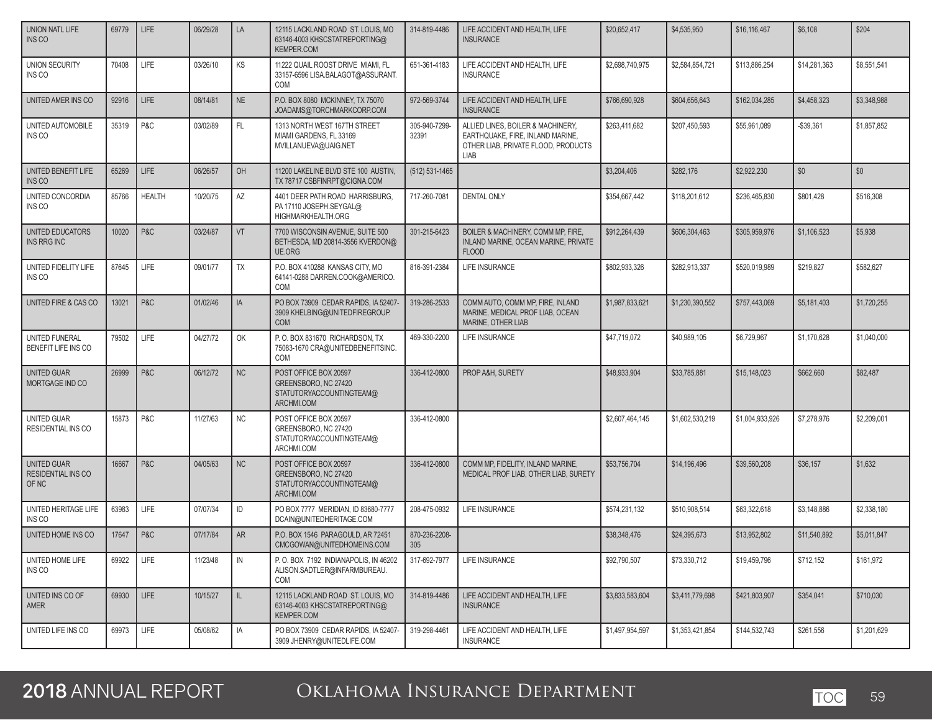| <b>UNION NATL LIFE</b><br>INS CO                  | 69779 | <b>LIFE</b>   | 06/29/28 | LA        | 12115 LACKLAND ROAD ST. LOUIS, MO<br>63146-4003 KHSCSTATREPORTING@<br><b>KEMPER.COM</b> | 314-819-4486           | LIFE ACCIDENT AND HEALTH. LIFE<br><b>INSURANCE</b>                                                                   | \$20,652,417    | \$4,535,950     | \$16,116,467    | \$6,108      | \$204       |
|---------------------------------------------------|-------|---------------|----------|-----------|-----------------------------------------------------------------------------------------|------------------------|----------------------------------------------------------------------------------------------------------------------|-----------------|-----------------|-----------------|--------------|-------------|
| <b>UNION SECURITY</b><br>INS CO                   | 70408 | <b>LIFE</b>   | 03/26/10 | KS        | 11222 QUAIL ROOST DRIVE MIAMI, FL<br>33157-6596 LISA.BALAGOT@ASSURANT.<br><b>COM</b>    | 651-361-4183           | LIFE ACCIDENT AND HEALTH, LIFE<br><b>INSURANCE</b>                                                                   | \$2,698,740,975 | \$2,584,854,721 | \$113,886,254   | \$14,281,363 | \$8,551,541 |
| UNITED AMER INS CO                                | 92916 | <b>LIFE</b>   | 08/14/81 | <b>NE</b> | P.O. BOX 8080 MCKINNEY, TX 75070<br>JOADAMS@TORCHMARKCORP.COM                           | 972-569-3744           | LIFE ACCIDENT AND HEALTH, LIFE<br><b>INSURANCE</b>                                                                   | \$766,690,928   | \$604,656,643   | \$162.034.285   | \$4,458,323  | \$3,348,988 |
| UNITED AUTOMOBILE<br>INS CO                       | 35319 | P&C           | 03/02/89 | FL.       | 1313 NORTH WEST 167TH STREET<br>MIAMI GARDENS, FL 33169<br>MVILLANUEVA@UAIG.NET         | 305-940-7299-<br>32391 | ALLIED LINES, BOILER & MACHINERY,<br>EARTHQUAKE, FIRE, INLAND MARINE,<br>OTHER LIAB, PRIVATE FLOOD, PRODUCTS<br>LIAB | \$263,411,682   | \$207,450,593   | \$55,961,089    | -\$39,361    | \$1,857,852 |
| UNITED BENEFIT LIFE<br><b>INS CO</b>              | 65269 | <b>LIFE</b>   | 06/26/57 | OH        | 11200 LAKELINE BLVD STE 100 AUSTIN.<br>TX 78717 CSBFINRPT@CIGNA.COM                     | (512) 531-1465         |                                                                                                                      | \$3.204.406     | \$282.176       | \$2,922,230     | \$0          | \$0         |
| UNITED CONCORDIA<br>INS CO                        | 85766 | <b>HEALTH</b> | 10/20/75 | AZ        | 4401 DEER PATH ROAD HARRISBURG,<br>PA 17110 JOSEPH.SEYGAL@<br>HIGHMARKHEALTH.ORG        | 717-260-7081           | <b>DENTAL ONLY</b>                                                                                                   | \$354,667,442   | \$118,201,612   | \$236,465,830   | \$801,428    | \$516,308   |
| UNITED EDUCATORS<br><b>INS RRG INC</b>            | 10020 | P&C           | 03/24/87 | VT        | 7700 WISCONSIN AVENUE, SUITE 500<br>BETHESDA, MD 20814-3556 KVERDON@<br><b>UE.ORG</b>   | 301-215-6423           | BOILER & MACHINERY, COMM MP, FIRE,<br>INLAND MARINE, OCEAN MARINE, PRIVATE<br><b>FLOOD</b>                           | \$912,264,439   | \$606,304,463   | \$305,959,976   | \$1,106,523  | \$5,938     |
| UNITED FIDELITY LIFE<br>INS CO                    | 87645 | LIFE          | 09/01/77 | TX        | P.O. BOX 410288 KANSAS CITY, MO<br>64141-0288 DARREN.COOK@AMERICO.<br><b>COM</b>        | 816-391-2384           | <b>LIFE INSURANCE</b>                                                                                                | \$802.933.326   | \$282,913,337   | \$520,019,989   | \$219,827    | \$582,627   |
| UNITED FIRE & CAS CO                              | 13021 | P&C           | 01/02/46 | IA        | PO BOX 73909 CEDAR RAPIDS, IA 52407-<br>3909 KHELBING@UNITEDFIREGROUP.<br><b>COM</b>    | 319-286-2533           | COMM AUTO, COMM MP, FIRE, INLAND<br>MARINE, MEDICAL PROF LIAB, OCEAN<br>MARINE, OTHER LIAB                           | \$1,987,833,621 | \$1,230,390,552 | \$757,443,069   | \$5,181,403  | \$1,720,255 |
| UNITED FUNERAL<br>BENEFIT LIFE INS CO             | 79502 | LIFE          | 04/27/72 | OK        | P.O. BOX 831670 RICHARDSON, TX<br>75083-1670 CRA@UNITEDBENEFITSINC.<br><b>COM</b>       | 469-330-2200           | LIFE INSURANCE                                                                                                       | \$47,719,072    | \$40.989.105    | \$6,729,967     | \$1,170,628  | \$1,040,000 |
| UNITED GUAR<br>MORTGAGE IND CO                    | 26999 | P&C           | 06/12/72 | <b>NC</b> | POST OFFICE BOX 20597<br>GREENSBORO, NC 27420<br>STATUTORYACCOUNTINGTEAM@<br>ARCHMI.COM | 336-412-0800           | PROP A&H, SURETY                                                                                                     | \$48,933,904    | \$33,785,881    | \$15,148,023    | \$662,660    | \$82,487    |
| UNITED GUAR<br><b>RESIDENTIAL INS CO</b>          | 15873 | P&C           | 11/27/63 | <b>NC</b> | POST OFFICE BOX 20597<br>GREENSBORO, NC 27420<br>STATUTORYACCOUNTINGTEAM@<br>ARCHMI.COM | 336-412-0800           |                                                                                                                      | \$2,607,464,145 | \$1,602,530,219 | \$1,004,933,926 | \$7,278,976  | \$2,209,001 |
| UNITED GUAR<br><b>RESIDENTIAL INS CO</b><br>OF NC | 16667 | P&C           | 04/05/63 | NC        | POST OFFICE BOX 20597<br>GREENSBORO, NC 27420<br>STATUTORYACCOUNTINGTEAM@<br>ARCHMI.COM | 336-412-0800           | COMM MP, FIDELITY, INLAND MARINE,<br>MEDICAL PROF LIAB, OTHER LIAB, SURETY                                           | \$53,756,704    | \$14,196.496    | \$39,560,208    | \$36,157     | \$1.632     |
| UNITED HERITAGE LIFE<br>INS CO                    | 63983 | LIFE          | 07/07/34 | ID        | PO BOX 7777 MERIDIAN. ID 83680-7777<br>DCAIN@UNITEDHERITAGE.COM                         | 208-475-0932           | LIFE INSURANCE                                                                                                       | \$574,231,132   | \$510,908,514   | \$63,322,618    | \$3,148,886  | \$2,338,180 |
| UNITED HOME INS CO                                | 17647 | P&C           | 07/17/84 | <b>AR</b> | P.O. BOX 1546 PARAGOULD, AR 72451<br>CMCGOWAN@UNITEDHOMEINS.COM                         | 870-236-2208-<br>305   |                                                                                                                      | \$38,348,476    | \$24,395,673    | \$13,952,802    | \$11,540,892 | \$5,011,847 |
| UNITED HOME LIFE<br>INS CO                        | 69922 | LIFE          | 11/23/48 | IN        | P.O. BOX 7192 INDIANAPOLIS, IN 46202<br>ALISON.SADTLER@INFARMBUREAU.<br>COM             | 317-692-7977           | LIFE INSURANCE                                                                                                       | \$92,790,507    | \$73,330,712    | \$19,459,796    | \$712,152    | \$161,972   |
| UNITED INS CO OF<br>AMER                          | 69930 | <b>LIFE</b>   | 10/15/27 | IL.       | 12115 LACKLAND ROAD ST. LOUIS, MO<br>63146-4003 KHSCSTATREPORTING@<br>KEMPER.COM        | 314-819-4486           | LIFE ACCIDENT AND HEALTH, LIFE<br><b>INSURANCE</b>                                                                   | \$3,833,583,604 | \$3,411,779,698 | \$421,803,907   | \$354,041    | \$710,030   |
| UNITED LIFE INS CO                                | 69973 | <b>LIFE</b>   | 05/08/62 | IA        | PO BOX 73909 CEDAR RAPIDS, IA 52407-<br>3909 JHENRY@UNITEDLIFE.COM                      | 319-298-4461           | LIFE ACCIDENT AND HEALTH, LIFE<br><b>INSURANCE</b>                                                                   | \$1,497,954,597 | \$1,353,421,854 | \$144,532,743   | \$261,556    | \$1,201,629 |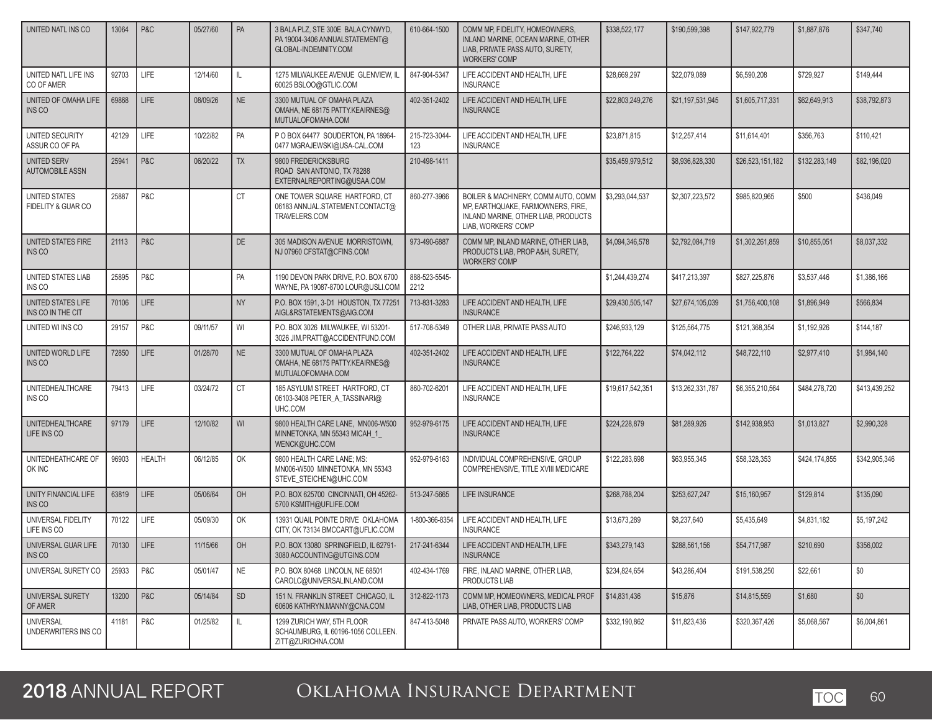| UNITED NATL INS CO                           | 13064 | P&C           | 05/27/60 | PA        | 3 BALA PLZ, STE 300E BALA CYNWYD.<br>PA 19004-3406 ANNUALSTATEMENT@<br>GLOBAL-INDEMNITY.COM | 610-664-1500          | COMM MP, FIDELITY, HOMEOWNERS,<br>INLAND MARINE, OCEAN MARINE, OTHER<br>LIAB, PRIVATE PASS AUTO, SURETY,<br><b>WORKERS' COMP</b>       | \$338,522,177    | \$190,599,398    | \$147,922,779    | \$1,887,876   | \$347,740     |
|----------------------------------------------|-------|---------------|----------|-----------|---------------------------------------------------------------------------------------------|-----------------------|----------------------------------------------------------------------------------------------------------------------------------------|------------------|------------------|------------------|---------------|---------------|
| UNITED NATL LIFE INS<br>CO OF AMER           | 92703 | LIFE          | 12/14/60 | IL        | 1275 MILWAUKEE AVENUE GLENVIEW, IL<br>60025 BSLOO@GTLIC.COM                                 | 847-904-5347          | LIFE ACCIDENT AND HEALTH, LIFE<br><b>INSURANCE</b>                                                                                     | \$28,669,297     | \$22,079,089     | \$6,590,208      | \$729,927     | \$149,444     |
| UNITED OF OMAHA LIFE<br><b>INS CO</b>        | 69868 | <b>LIFE</b>   | 08/09/26 | <b>NE</b> | 3300 MUTUAL OF OMAHA PLAZA<br>OMAHA, NE 68175 PATTY.KEAIRNES@<br>MUTUALOFOMAHA.COM          | 402-351-2402          | LIFE ACCIDENT AND HEALTH. LIFE<br><b>INSURANCE</b>                                                                                     | \$22,803,249,276 | \$21,197,531,945 | \$1,605,717,331  | \$62,649,913  | \$38,792,873  |
| UNITED SECURITY<br>ASSUR CO OF PA            | 42129 | LIFE          | 10/22/82 | PA        | P O BOX 64477 SOUDERTON, PA 18964-<br>0477 MGRAJEWSKI@USA-CAL.COM                           | 215-723-3044-<br>123  | LIFE ACCIDENT AND HEALTH, LIFE<br><b>INSURANCE</b>                                                                                     | \$23,871,815     | \$12,257,414     | \$11,614,401     | \$356,763     | \$110,421     |
| <b>UNITED SERV</b><br><b>AUTOMOBILE ASSN</b> | 25941 | P&C           | 06/20/22 | <b>TX</b> | 9800 FREDERICKSBURG<br>ROAD SAN ANTONIO, TX 78288<br>EXTERNALREPORTING@USAA.COM             | 210-498-1411          |                                                                                                                                        | \$35,459,979,512 | \$8,936,828,330  | \$26,523,151,182 | \$132,283,149 | \$82,196,020  |
| UNITED STATES<br>FIDELITY & GUAR CO          | 25887 | P&C           |          | <b>CT</b> | ONE TOWER SQUARE HARTFORD, CT<br>06183 ANNUAL.STATEMENT.CONTACT@<br>TRAVELERS.COM           | 860-277-3966          | BOILER & MACHINERY, COMM AUTO, COMM<br>MP. EARTHQUAKE, FARMOWNERS, FIRE.<br>INLAND MARINE, OTHER LIAB, PRODUCTS<br>LIAB, WORKERS' COMP | \$3,293,044,537  | \$2,307,223,572  | \$985,820,965    | \$500         | \$436,049     |
| UNITED STATES FIRE<br>INS CO                 | 21113 | P&C           |          | <b>DE</b> | 305 MADISON AVENUE MORRISTOWN,<br>NJ 07960 CFSTAT@CFINS.COM                                 | 973-490-6887          | COMM MP, INLAND MARINE, OTHER LIAB,<br>PRODUCTS LIAB. PROP A&H. SURETY.<br><b>WORKERS' COMP</b>                                        | \$4,094,346,578  | \$2,792,084,719  | \$1,302,261,859  | \$10,855,051  | \$8,037,332   |
| UNITED STATES LIAB<br>INS CO                 | 25895 | P&C           |          | PA        | 1190 DEVON PARK DRIVE, P.O. BOX 6700<br>WAYNE, PA 19087-8700 LOUR@USLI.COM                  | 888-523-5545-<br>2212 |                                                                                                                                        | \$1,244,439,274  | \$417.213.397    | \$827,225,876    | \$3,537,446   | \$1,386,166   |
| UNITED STATES LIFE<br>INS CO IN THE CIT      | 70106 | LIFE          |          | <b>NY</b> | P.O. BOX 1591, 3-D1 HOUSTON, TX 77251<br>AIGL&RSTATEMENTS@AIG.COM                           | 713-831-3283          | LIFE ACCIDENT AND HEALTH, LIFE<br><b>INSURANCE</b>                                                                                     | \$29,430,505,147 | \$27,674,105,039 | \$1,756,400,108  | \$1,896,949   | \$566,834     |
| UNITED WI INS CO                             | 29157 | P&C           | 09/11/57 | WI        | P.O. BOX 3026 MILWAUKEE, WI 53201-<br>3026 JIM.PRATT@ACCIDENTFUND.COM                       | 517-708-5349          | OTHER LIAB, PRIVATE PASS AUTO                                                                                                          | \$246,933,129    | \$125,564,775    | \$121,368,354    | \$1,192,926   | \$144,187     |
| UNITED WORLD LIFE<br>INS CO                  | 72850 | LIFE          | 01/28/70 | <b>NE</b> | 3300 MUTUAL OF OMAHA PLAZA<br>OMAHA, NE 68175 PATTY, KEAIRNES@<br>MUTUALOFOMAHA.COM         | 402-351-2402          | LIFE ACCIDENT AND HEALTH, LIFE<br><b>INSURANCE</b>                                                                                     | \$122,764,222    | \$74,042,112     | \$48,722,110     | \$2,977,410   | \$1,984,140   |
| UNITEDHEALTHCARE<br>INS CO                   | 79413 | LIFE          | 03/24/72 | <b>CT</b> | 185 ASYLUM STREET HARTFORD, CT<br>06103-3408 PETER_A_TASSINARI@<br>UHC.COM                  | 860-702-6201          | LIFE ACCIDENT AND HEALTH, LIFE<br><b>INSURANCE</b>                                                                                     | \$19,617,542,351 | \$13,262,331,787 | \$6,355,210,564  | \$484,278,720 | \$413,439,252 |
| UNITEDHEALTHCARE<br>LIFE INS CO              | 97179 | LIFE          | 12/10/82 | WI        | 9800 HEALTH CARE LANE, MN006-W500<br>MINNETONKA, MN 55343 MICAH_1<br>WENCK@UHC.COM          | 952-979-6175          | LIFE ACCIDENT AND HEALTH, LIFE<br><b>INSURANCE</b>                                                                                     | \$224,228,879    | \$81,289,926     | \$142,938,953    | \$1,013,827   | \$2,990,328   |
| UNITEDHEATHCARE OF<br>OK INC                 | 96903 | <b>HEALTH</b> | 06/12/85 | OK        | 9800 HEALTH CARE LANE; MS:<br>MN006-W500 MINNETONKA, MN 55343<br>STEVE_STEICHEN@UHC.COM     | 952-979-6163          | INDIVIDUAL COMPREHENSIVE, GROUP<br>COMPREHENSIVE, TITLE XVIII MEDICARE                                                                 | \$122,283,698    | \$63,955,345     | \$58,328,353     | \$424,174,855 | \$342,905,346 |
| UNITY FINANCIAL LIFE<br>INS CO               | 63819 | <b>LIFE</b>   | 05/06/64 | OH        | P.O. BOX 625700 CINCINNATI, OH 45262-<br>5700 KSMITH@UFLIFE.COM                             | 513-247-5665          | LIFE INSURANCE                                                                                                                         | \$268,788,204    | \$253,627,247    | \$15,160,957     | \$129,814     | \$135,090     |
| UNIVERSAL FIDELITY<br>LIFE INS CO            | 70122 | <b>LIFE</b>   | 05/09/30 | OK        | 13931 QUAIL POINTE DRIVE OKLAHOMA<br>CITY, OK 73134 BMCCART@UFLIC.COM                       | 1-800-366-8354        | LIFE ACCIDENT AND HEALTH, LIFE<br><b>INSURANCE</b>                                                                                     | \$13,673,289     | \$8,237,640      | \$5,435,649      | \$4,831,182   | \$5,197,242   |
| UNIVERSAL GUAR LIFE<br>INS CO                | 70130 | I LIFE        | 11/15/66 | OH        | P.O. BOX 13080 SPRINGFIELD, IL 62791-<br>3080 ACCOUNTING@UTGINS.COM                         | 217-241-6344          | LIFE ACCIDENT AND HEALTH, LIFE<br><b>INSURANCE</b>                                                                                     | \$343,279.143    | \$288.561.156    | \$54,717,987     | \$210,690     | \$356,002     |
| UNIVERSAL SURETY CO                          | 25933 | P&C           | 05/01/47 | <b>NE</b> | P.O. BOX 80468 LINCOLN. NE 68501<br>CAROLC@UNIVERSALINLAND.COM                              | 402-434-1769          | FIRE, INLAND MARINE, OTHER LIAB,<br>PRODUCTS LIAB                                                                                      | \$234,824,654    | \$43,286,404     | \$191,538,250    | \$22,661      | \$0           |
| UNIVERSAL SURETY<br>OF AMER                  | 13200 | P&C           | 05/14/84 | <b>SD</b> | 151 N. FRANKLIN STREET CHICAGO, IL<br>60606 KATHRYN.MANNY@CNA.COM                           | 312-822-1173          | COMM MP, HOMEOWNERS, MEDICAL PROF<br>LIAB, OTHER LIAB, PRODUCTS LIAB                                                                   | \$14,831,436     | \$15,876         | \$14,815,559     | \$1,680       | \$0           |
| <b>UNIVERSAL</b><br>UNDERWRITERS INS CO      | 41181 | P&C           | 01/25/82 | L         | 1299 ZURICH WAY, 5TH FLOOR<br>SCHAUMBURG, IL 60196-1056 COLLEEN.<br>ZITT@ZURICHNA.COM       | 847-413-5048          | PRIVATE PASS AUTO, WORKERS' COMP                                                                                                       | \$332,190,862    | \$11,823,436     | \$320,367,426    | \$5,068,567   | \$6,004,861   |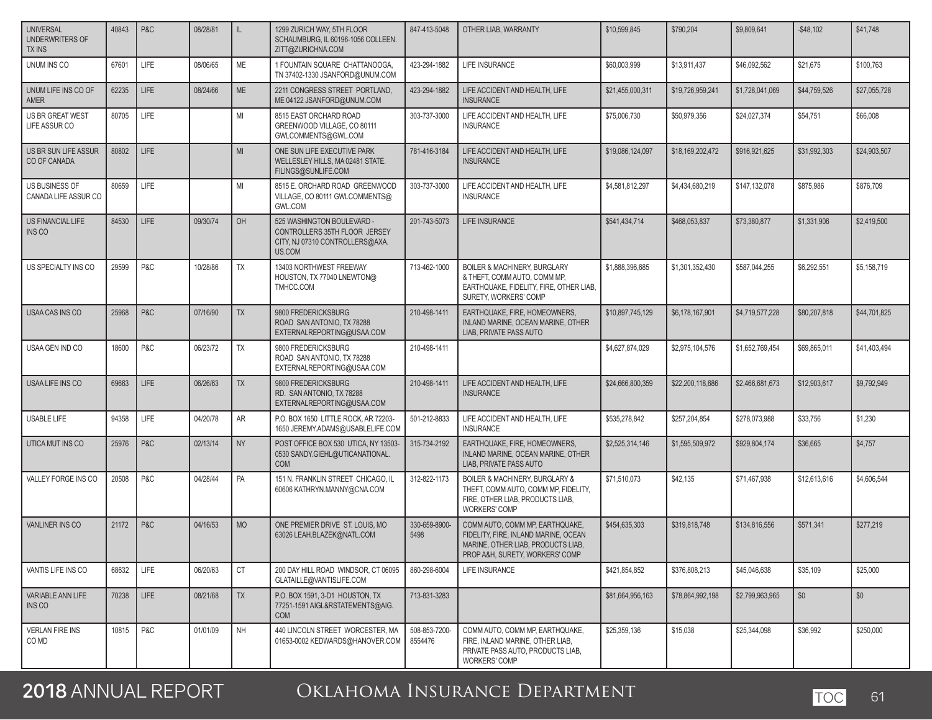| <b>UNIVERSAL</b><br>UNDERWRITERS OF<br>TX INS | 40843 | P&C         | 08/28/81 | L         | 1299 ZURICH WAY, 5TH FLOOR<br>SCHAUMBURG. IL 60196-1056 COLLEEN.<br>ZITT@ZURICHNA.COM                    | 847-413-5048             | OTHER LIAB. WARRANTY                                                                                                                              | \$10,599,845     | \$790,204        | \$9,809,641     | $-$ \$48,102 | \$41,748     |
|-----------------------------------------------|-------|-------------|----------|-----------|----------------------------------------------------------------------------------------------------------|--------------------------|---------------------------------------------------------------------------------------------------------------------------------------------------|------------------|------------------|-----------------|--------------|--------------|
| UNUM INS CO                                   | 67601 | <b>LIFE</b> | 08/06/65 | ME        | 1 FOUNTAIN SQUARE CHATTANOOGA,<br>TN 37402-1330 JSANFORD@UNUM.COM                                        | 423-294-1882             | LIFE INSURANCE                                                                                                                                    | \$60,003,999     | \$13,911,437     | \$46,092,562    | \$21,675     | \$100,763    |
| UNUM LIFE INS CO OF<br><b>AMER</b>            | 62235 | <b>LIFE</b> | 08/24/66 | <b>ME</b> | 2211 CONGRESS STREET PORTLAND.<br>ME 04122 JSANFORD@UNUM.COM                                             | 423-294-1882             | LIFE ACCIDENT AND HEALTH, LIFE<br><b>INSURANCE</b>                                                                                                | \$21,455,000,311 | \$19,726,959,241 | \$1,728,041,069 | \$44,759,526 | \$27,055,728 |
| US BR GREAT WEST<br>LIFE ASSUR CO             | 80705 | LIFE        |          | MI        | 8515 EAST ORCHARD ROAD<br>GREENWOOD VILLAGE, CO 80111<br>GWLCOMMENTS@GWL.COM                             | 303-737-3000             | LIFE ACCIDENT AND HEALTH, LIFE<br><b>INSURANCE</b>                                                                                                | \$75,006,730     | \$50,979,356     | \$24,027,374    | \$54,751     | \$66,008     |
| US BR SUN LIFE ASSUR<br>CO OF CANADA          | 80802 | LIFE        |          | MI        | ONE SUN LIFE EXECUTIVE PARK<br>WELLESLEY HILLS, MA 02481 STATE.<br>FILINGS@SUNLIFE.COM                   | 781-416-3184             | LIFE ACCIDENT AND HEALTH, LIFE<br><b>INSURANCE</b>                                                                                                | \$19,086,124,097 | \$18,169,202,472 | \$916,921,625   | \$31,992,303 | \$24,903,507 |
| <b>US BUSINESS OF</b><br>CANADA LIFE ASSUR CO | 80659 | LIFE        |          | MI        | 8515 E. ORCHARD ROAD GREENWOOD<br>VILLAGE, CO 80111 GWLCOMMENTS@<br><b>GWL.COM</b>                       | 303-737-3000             | LIFE ACCIDENT AND HEALTH, LIFE<br><b>INSURANCE</b>                                                                                                | \$4,581,812,297  | \$4,434,680,219  | \$147,132,078   | \$875,986    | \$876,709    |
| US FINANCIAL LIFE<br>INS CO                   | 84530 | LIFE        | 09/30/74 | OH        | 525 WASHINGTON BOULEVARD -<br>CONTROLLERS 35TH FLOOR JERSEY<br>CITY, NJ 07310 CONTROLLERS@AXA.<br>US.COM | 201-743-5073             | LIFE INSURANCE                                                                                                                                    | \$541,434,714    | \$468,053,837    | \$73,380,877    | \$1,331,906  | \$2,419,500  |
| US SPECIALTY INS CO                           | 29599 | P&C         | 10/28/86 | <b>TX</b> | 13403 NORTHWEST FREEWAY<br>HOUSTON, TX 77040 LNEWTON@<br>TMHCC.COM                                       | 713-462-1000             | <b>BOILER &amp; MACHINERY, BURGLARY</b><br>& THEFT, COMM AUTO, COMM MP,<br>EARTHQUAKE, FIDELITY, FIRE, OTHER LIAB,<br>SURETY. WORKERS' COMP       | \$1,888,396,685  | \$1,301,352,430  | \$587,044,255   | \$6,292,551  | \$5,158,719  |
| <b>USAA CAS INS CO</b>                        | 25968 | P&C         | 07/16/90 | <b>TX</b> | 9800 FREDERICKSBURG<br>ROAD SAN ANTONIO, TX 78288<br>EXTERNALREPORTING@USAA.COM                          | 210-498-1411             | EARTHQUAKE, FIRE, HOMEOWNERS,<br>INLAND MARINE, OCEAN MARINE, OTHER<br>LIAB, PRIVATE PASS AUTO                                                    | \$10,897,745,129 | \$6,178,167,901  | \$4,719,577,228 | \$80,207,818 | \$44,701,825 |
| USAA GEN IND CO                               | 18600 | P&C         | 06/23/72 | <b>TX</b> | 9800 FREDERICKSBURG<br>ROAD SAN ANTONIO, TX 78288<br>EXTERNALREPORTING@USAA.COM                          | 210-498-1411             |                                                                                                                                                   | \$4,627,874,029  | \$2,975,104,576  | \$1,652,769,454 | \$69,865,011 | \$41,403,494 |
| USAA LIFE INS CO                              | 69663 | <b>LIFE</b> | 06/26/63 | <b>TX</b> | 9800 FREDERICKSBURG<br>RD. SAN ANTONIO. TX 78288<br>EXTERNALREPORTING@USAA.COM                           | 210-498-1411             | LIFE ACCIDENT AND HEALTH, LIFE<br><b>INSURANCE</b>                                                                                                | \$24,666,800,359 | \$22,200,118,686 | \$2,466,681,673 | \$12,903,617 | \$9,792,949  |
| <b>USABLE LIFE</b>                            | 94358 | LIFE        | 04/20/78 | AR        | P.O. BOX 1650 LITTLE ROCK, AR 72203-<br>1650 JEREMY.ADAMS@USABLELIFE.COM                                 | 501-212-8833             | LIFE ACCIDENT AND HEALTH, LIFE<br><b>INSURANCE</b>                                                                                                | \$535,278,842    | \$257,204,854    | \$278,073,988   | \$33,756     | \$1,230      |
| UTICA MUT INS CO                              | 25976 | P&C         | 02/13/14 | <b>NY</b> | POST OFFICE BOX 530 UTICA, NY 13503-<br>0530 SANDY.GIEHL@UTICANATIONAL.<br><b>COM</b>                    | 315-734-2192             | EARTHQUAKE, FIRE, HOMEOWNERS,<br>INLAND MARINE, OCEAN MARINE, OTHER<br>LIAB, PRIVATE PASS AUTO                                                    | \$2,525,314,146  | \$1,595,509,972  | \$929,804,174   | \$36,665     | \$4,757      |
| VALLEY FORGE INS CO                           | 20508 | P&C         | 04/28/44 | PA        | 151 N. FRANKLIN STREET CHICAGO, IL<br>60606 KATHRYN.MANNY@CNA.COM                                        | 312-822-1173             | <b>BOILER &amp; MACHINERY, BURGLARY &amp;</b><br>THEFT, COMM AUTO, COMM MP, FIDELITY,<br>FIRE, OTHER LIAB, PRODUCTS LIAB,<br><b>WORKERS' COMP</b> | \$71,510,073     | \$42,135         | \$71,467,938    | \$12,613,616 | \$4,606,544  |
| <b>VANLINER INS CO</b>                        | 21172 | P&C         | 04/16/53 | <b>MO</b> | ONE PREMIER DRIVE ST. LOUIS, MO<br>63026 LEAH.BLAZEK@NATL.COM                                            | 330-659-8900-<br>5498    | COMM AUTO. COMM MP. EARTHQUAKE.<br>FIDELITY, FIRE, INLAND MARINE, OCEAN<br>MARINE, OTHER LIAB, PRODUCTS LIAB.<br>PROP A&H, SURETY, WORKERS' COMP  | \$454,635,303    | \$319,818,748    | \$134,816,556   | \$571,341    | \$277,219    |
| VANTIS LIFE INS CO                            | 68632 | LIFE        | 06/20/63 | СT        | 200 DAY HILL ROAD WINDSOR, CT 06095<br>GLATAILLE@VANTISLIFE.COM                                          | 860-298-6004             | LIFE INSURANCE                                                                                                                                    | \$421,854,852    | \$376,808,213    | \$45,046,638    | \$35,109     | \$25,000     |
| VARIABLE ANN LIFE<br>INS CO                   | 70238 | <b>LIFE</b> | 08/21/68 | <b>TX</b> | P.O. BOX 1591, 3-D1 HOUSTON, TX<br>77251-1591 AIGL&RSTATEMENTS@AIG.<br><b>COM</b>                        | 713-831-3283             |                                                                                                                                                   | \$81,664,956,163 | \$78,864,992,198 | \$2,799,963,965 | \$0          | \$0          |
| <b>VERLAN FIRE INS</b><br>CO MD               | 10815 | P&C         | 01/01/09 | NH        | 440 LINCOLN STREET WORCESTER, MA<br>01653-0002 KEDWARDS@HANOVER.COM                                      | 508-853-7200-<br>8554476 | COMM AUTO, COMM MP, EARTHQUAKE,<br>FIRE, INLAND MARINE, OTHER LIAB,<br>PRIVATE PASS AUTO, PRODUCTS LIAB,<br><b>WORKERS' COMP</b>                  | \$25,359,136     | \$15,038         | \$25,344,098    | \$36,992     | \$250,000    |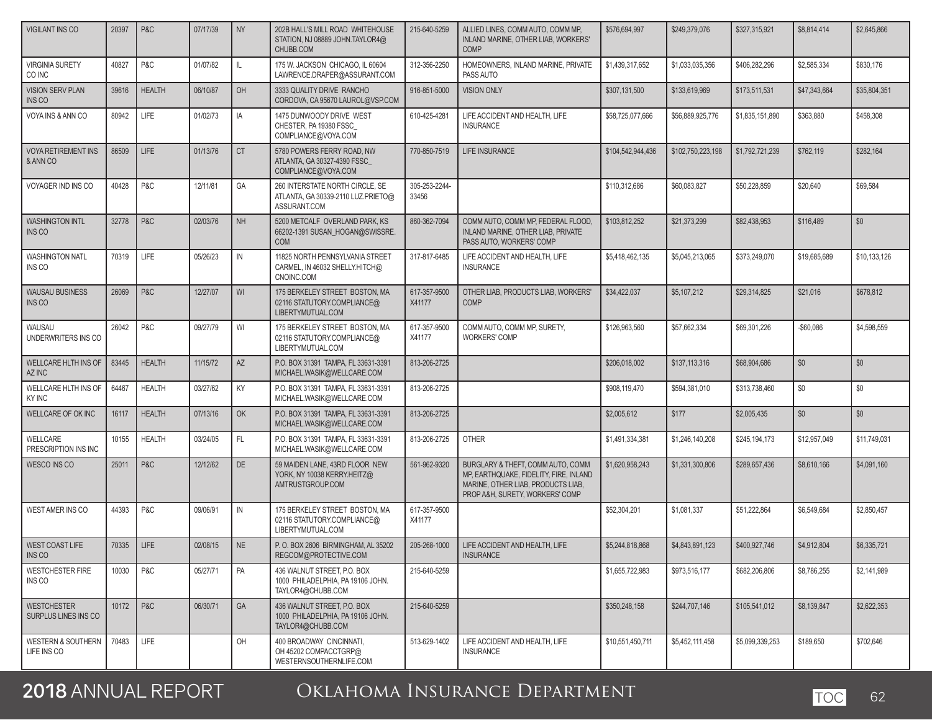| <b>VIGILANT INS CO</b>                       | 20397 | P&C           | 07/17/39 | <b>NY</b>     | 202B HALL'S MILL ROAD WHITEHOUSE<br>STATION, NJ 08889 JOHN.TAYLOR4@<br>CHUBB.COM      | 215-640-5259           | ALLIED LINES, COMM AUTO, COMM MP,<br>INLAND MARINE, OTHER LIAB, WORKERS'<br><b>COMP</b>                                                              | \$576,694,997     | \$249,379,076     | \$327,315,921   | \$8,814,414  | \$2,645,866  |
|----------------------------------------------|-------|---------------|----------|---------------|---------------------------------------------------------------------------------------|------------------------|------------------------------------------------------------------------------------------------------------------------------------------------------|-------------------|-------------------|-----------------|--------------|--------------|
| <b>VIRGINIA SURETY</b><br>CO INC             | 40827 | P&C           | 01/07/82 | IL            | 175 W. JACKSON CHICAGO, IL 60604<br>LAWRENCE.DRAPER@ASSURANT.COM                      | 312-356-2250           | HOMEOWNERS, INLAND MARINE, PRIVATE<br>PASS AUTO                                                                                                      | \$1,439,317,652   | \$1,033,035,356   | \$406,282,296   | \$2,585,334  | \$830,176    |
| <b>VISION SERV PLAN</b><br><b>INS CO</b>     | 39616 | <b>HEALTH</b> | 06/10/87 | OH            | 3333 QUALITY DRIVE RANCHO<br>CORDOVA, CA 95670 LAUROL@VSP.COM                         | 916-851-5000           | <b>VISION ONLY</b>                                                                                                                                   | \$307,131,500     | \$133,619,969     | \$173,511,531   | \$47,343,664 | \$35,804,351 |
| VOYA INS & ANN CO                            | 80942 | <b>LIFE</b>   | 01/02/73 | IA            | 1475 DUNWOODY DRIVE WEST<br>CHESTER, PA 19380 FSSC<br>COMPLIANCE@VOYA.COM             | 610-425-4281           | LIFE ACCIDENT AND HEALTH, LIFE<br><b>INSURANCE</b>                                                                                                   | \$58,725,077,666  | \$56,889,925,776  | \$1,835,151,890 | \$363,880    | \$458,308    |
| <b>VOYA RETIREMENT INS</b><br>& ANN CO       | 86509 | LIFE          | 01/13/76 | <b>CT</b>     | 5780 POWERS FERRY ROAD, NW<br>ATLANTA, GA 30327-4390 FSSC<br>COMPLIANCE@VOYA.COM      | 770-850-7519           | <b>LIFE INSURANCE</b>                                                                                                                                | \$104,542,944,436 | \$102,750,223,198 | \$1,792,721,239 | \$762,119    | \$282,164    |
| VOYAGER IND INS CO                           | 40428 | P&C           | 12/11/81 | GA            | 260 INTERSTATE NORTH CIRCLE, SE<br>ATLANTA, GA 30339-2110 LUZ.PRIETO@<br>ASSURANT.COM | 305-253-2244-<br>33456 |                                                                                                                                                      | \$110,312,686     | \$60,083,827      | \$50,228,859    | \$20,640     | \$69.584     |
| <b>WASHINGTON INTL</b><br>INS CO             | 32778 | P&C           | 02/03/76 | <b>NH</b>     | 5200 METCALF OVERLAND PARK, KS<br>66202-1391 SUSAN_HOGAN@SWISSRE.<br><b>COM</b>       | 860-362-7094           | COMM AUTO, COMM MP, FEDERAL FLOOD,<br>INLAND MARINE, OTHER LIAB, PRIVATE<br>PASS AUTO, WORKERS' COMP                                                 | \$103,812,252     | \$21,373,299      | \$82,438,953    | \$116,489    | \$0          |
| <b>WASHINGTON NATL</b><br>INS CO             | 70319 | <b>LIFE</b>   | 05/26/23 | $\mathsf{IN}$ | 11825 NORTH PENNSYLVANIA STREET<br>CARMEL, IN 46032 SHELLY.HITCH@<br>CNOINC.COM       | 317-817-6485           | LIFE ACCIDENT AND HEALTH. LIFE<br><b>INSURANCE</b>                                                                                                   | \$5,418,462,135   | \$5,045,213,065   | \$373,249,070   | \$19,685,689 | \$10,133,126 |
| <b>WAUSAU BUSINESS</b><br>INS CO             | 26069 | P&C           | 12/27/07 | WI            | 175 BERKELEY STREET BOSTON, MA<br>02116 STATUTORY.COMPLIANCE@<br>LIBERTYMUTUAL.COM    | 617-357-9500<br>X41177 | OTHER LIAB, PRODUCTS LIAB, WORKERS'<br><b>COMP</b>                                                                                                   | \$34,422,037      | \$5,107,212       | \$29,314,825    | \$21,016     | \$678,812    |
| WAUSAU<br>UNDERWRITERS INS CO                | 26042 | P&C           | 09/27/79 | WI            | 175 BERKELEY STREET BOSTON, MA<br>02116 STATUTORY.COMPLIANCE@<br>LIBERTYMUTUAL.COM    | 617-357-9500<br>X41177 | COMM AUTO, COMM MP, SURETY,<br><b>WORKERS' COMP</b>                                                                                                  | \$126,963,560     | \$57,662,334      | \$69,301,226    | $-$60,086$   | \$4,598,559  |
| WELLCARE HLTH INS OF<br>AZ INC               | 83445 | <b>HEALTH</b> | 11/15/72 | AZ            | P.O. BOX 31391 TAMPA, FL 33631-3391<br>MICHAEL.WASIK@WELLCARE.COM                     | 813-206-2725           |                                                                                                                                                      | \$206,018,002     | \$137,113,316     | \$68,904,686    | \$0          | \$0          |
| WELLCARE HLTH INS OF<br>KY INC               | 64467 | <b>HEALTH</b> | 03/27/62 | KY            | P.O. BOX 31391 TAMPA, FL 33631-3391<br>MICHAEL.WASIK@WELLCARE.COM                     | 813-206-2725           |                                                                                                                                                      | \$908,119,470     | \$594,381,010     | \$313,738,460   | \$0          | \$0          |
| WELLCARE OF OK INC                           | 16117 | <b>HEALTH</b> | 07/13/16 | OK            | P.O. BOX 31391 TAMPA, FL 33631-3391<br>MICHAEL.WASIK@WELLCARE.COM                     | 813-206-2725           |                                                                                                                                                      | \$2,005,612       | \$177             | \$2,005,435     | \$0          | \$0          |
| WELLCARE<br>PRESCRIPTION INS INC             | 10155 | <b>HEALTH</b> | 03/24/05 | FL.           | P.O. BOX 31391 TAMPA, FL 33631-3391<br>MICHAEL.WASIK@WELLCARE.COM                     | 813-206-2725           | <b>OTHER</b>                                                                                                                                         | \$1,491,334,381   | \$1,246,140,208   | \$245,194,173   | \$12,957,049 | \$11,749,031 |
| <b>WESCO INS CO</b>                          | 25011 | P&C           | 12/12/62 | DE            | 59 MAIDEN LANE, 43RD FLOOR NEW<br>YORK, NY 10038 KERRY.HEITZ@<br>AMTRUSTGROUP.COM     | 561-962-9320           | BURGLARY & THEFT, COMM AUTO, COMM<br>MP, EARTHQUAKE, FIDELITY, FIRE, INLAND<br>MARINE, OTHER LIAB, PRODUCTS LIAB,<br>PROP A&H, SURETY, WORKERS' COMP | \$1,620,958,243   | \$1,331,300,806   | \$289,657,436   | \$8,610,166  | \$4,091,160  |
| <b>WEST AMER INS CO</b>                      | 44393 | P&C           | 09/06/91 | $\mathsf{IN}$ | 175 BERKELEY STREET BOSTON, MA<br>02116 STATUTORY.COMPLIANCE@<br>LIBERTYMUTUAL.COM    | 617-357-9500<br>X41177 |                                                                                                                                                      | \$52,304,201      | \$1,081,337       | \$51,222,864    | \$6,549,684  | \$2,850,457  |
| WEST COAST LIFE<br>INS CO                    | 70335 | l life        | 02/08/15 | <b>NE</b>     | P. O. BOX 2606 BIRMINGHAM. AL 35202<br>REGCOM@PROTECTIVE.COM                          | 205-268-1000           | LIFE ACCIDENT AND HEALTH. LIFE<br><b>INSURANCE</b>                                                                                                   | \$5,244,818,868   | \$4,843,891,123   | \$400,927,746   | \$4,912,804  | \$6,335,721  |
| <b>WESTCHESTER FIRE</b><br>INS CO            | 10030 | P&C           | 05/27/71 | PA            | 436 WALNUT STREET, P.O. BOX<br>1000 PHILADELPHIA, PA 19106 JOHN.<br>TAYLOR4@CHUBB.COM | 215-640-5259           |                                                                                                                                                      | \$1,655,722,983   | \$973,516,177     | \$682,206,806   | \$8,786,255  | \$2,141,989  |
| <b>WESTCHESTER</b><br>SURPLUS LINES INS CO   | 10172 | P&C           | 06/30/71 | GA            | 436 WALNUT STREET, P.O. BOX<br>1000 PHILADELPHIA, PA 19106 JOHN.<br>TAYLOR4@CHUBB.COM | 215-640-5259           |                                                                                                                                                      | \$350,248,158     | \$244,707,146     | \$105,541,012   | \$8,139,847  | \$2,622,353  |
| <b>WESTERN &amp; SOUTHERN</b><br>LIFE INS CO | 70483 | LIFE          |          | OH            | 400 BROADWAY CINCINNATI,<br>OH 45202 COMPACCTGRP@<br>WESTERNSOUTHERNLIFE.COM          | 513-629-1402           | LIFE ACCIDENT AND HEALTH, LIFE<br><b>INSURANCE</b>                                                                                                   | \$10,551,450,711  | \$5,452,111,458   | \$5,099,339,253 | \$189,650    | \$702,646    |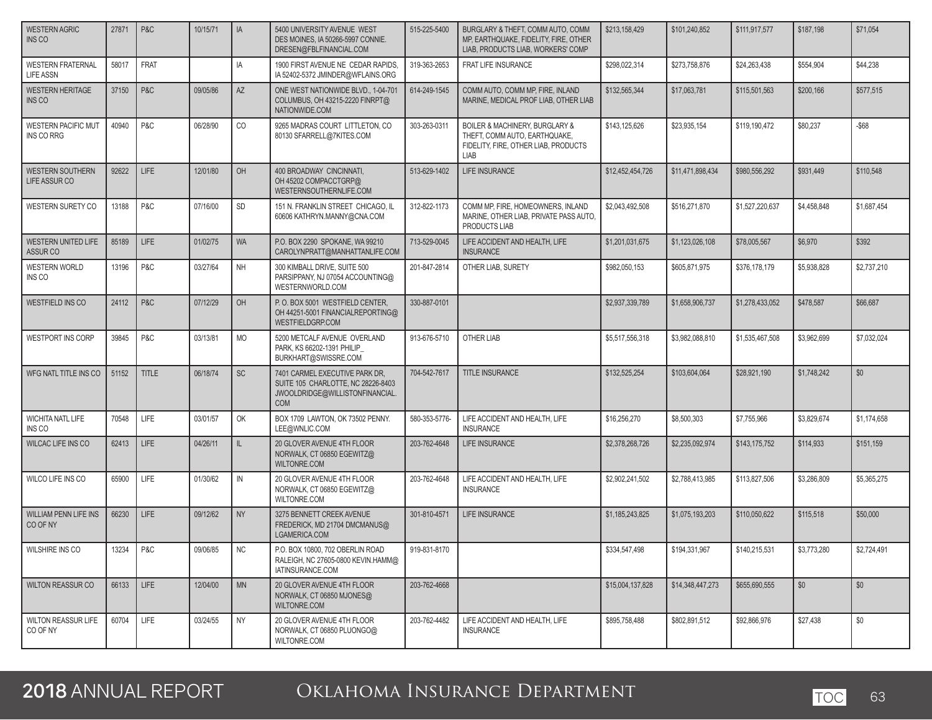| <b>WESTERN AGRIC</b><br><b>INS CO</b>         | 27871 | P&C          | 10/15/71 | IA        | 5400 UNIVERSITY AVENUE WEST<br>DES MOINES. IA 50266-5997 CONNIE.<br>DRESEN@FBLFINANCIAL.COM                           | 515-225-5400  | BURGLARY & THEFT, COMM AUTO, COMM<br>MP, EARTHQUAKE, FIDELITY, FIRE, OTHER<br>LIAB, PRODUCTS LIAB, WORKERS' COMP | \$213,158,429    | \$101,240,852    | \$111,917,577   | \$187,198   | \$71,054    |
|-----------------------------------------------|-------|--------------|----------|-----------|-----------------------------------------------------------------------------------------------------------------------|---------------|------------------------------------------------------------------------------------------------------------------|------------------|------------------|-----------------|-------------|-------------|
| <b>WESTERN FRATERNAL</b><br><b>LIFE ASSN</b>  | 58017 | <b>FRAT</b>  |          | IA        | 1900 FIRST AVENUE NE CEDAR RAPIDS.<br>IA 52402-5372 JMINDER@WFLAINS.ORG                                               | 319-363-2653  | FRAT LIFE INSURANCE                                                                                              | \$298,022,314    | \$273,758,876    | \$24,263,438    | \$554,904   | \$44,238    |
| <b>WESTERN HERITAGE</b><br><b>INS CO</b>      | 37150 | P&C          | 09/05/86 | AZ        | ONE WEST NATIONWIDE BLVD., 1-04-701<br>COLUMBUS, OH 43215-2220 FINRPT@<br>NATIONWIDE.COM                              | 614-249-1545  | COMM AUTO, COMM MP, FIRE, INLAND<br>MARINE, MEDICAL PROF LIAB, OTHER LIAB                                        | \$132.565.344    | \$17,063,781     | \$115,501,563   | \$200,166   | \$577,515   |
| <b>WESTERN PACIFIC MUT</b><br>INS CO RRG      | 40940 | P&C          | 06/28/90 | CO        | 9265 MADRAS COURT LITTLETON, CO<br>80130 SFARRELL@7KITES.COM                                                          | 303-263-0311  | BOILER & MACHINERY, BURGLARY &<br>THEFT, COMM AUTO, EARTHQUAKE,<br>FIDELITY, FIRE, OTHER LIAB, PRODUCTS<br>LIAB  | \$143,125,626    | \$23,935,154     | \$119,190,472   | \$80,237    | $-$ \$68    |
| <b>WESTERN SOUTHERN</b><br>LIFE ASSUR CO      | 92622 | LIFE         | 12/01/80 | OH        | 400 BROADWAY CINCINNATI,<br>OH 45202 COMPACCTGRP@<br>WESTERNSOUTHERNLIFE.COM                                          | 513-629-1402  | <b>LIFE INSURANCE</b>                                                                                            | \$12,452,454,726 | \$11,471,898,434 | \$980.556.292   | \$931,449   | \$110,548   |
| WESTERN SURETY CO                             | 13188 | P&C          | 07/16/00 | <b>SD</b> | 151 N. FRANKLIN STREET CHICAGO, IL<br>60606 KATHRYN.MANNY@CNA.COM                                                     | 312-822-1173  | COMM MP, FIRE, HOMEOWNERS, INLAND<br>MARINE, OTHER LIAB, PRIVATE PASS AUTO,<br>PRODUCTS LIAB                     | \$2,043,492,508  | \$516,271,870    | \$1,527,220,637 | \$4,458,848 | \$1,687,454 |
| WESTERN UNITED LIFE<br>ASSUR <sub>CO</sub>    | 85189 | LIFE         | 01/02/75 | <b>WA</b> | P.O. BOX 2290 SPOKANE, WA 99210<br>CAROLYNPRATT@MANHATTANLIFE.COM                                                     | 713-529-0045  | LIFE ACCIDENT AND HEALTH, LIFE<br><b>INSURANCE</b>                                                               | \$1,201,031,675  | \$1,123,026,108  | \$78,005,567    | \$6,970     | \$392       |
| <b>WESTERN WORLD</b><br>INS CO                | 13196 | P&C          | 03/27/64 | <b>NH</b> | 300 KIMBALL DRIVE, SUITE 500<br>PARSIPPANY, NJ 07054 ACCOUNTING@<br>WESTERNWORLD.COM                                  | 201-847-2814  | OTHER LIAB, SURETY                                                                                               | \$982,050,153    | \$605,871,975    | \$376,178,179   | \$5,938,828 | \$2,737,210 |
| WESTFIELD INS CO                              | 24112 | P&C          | 07/12/29 | OH        | P.O. BOX 5001 WESTFIELD CENTER.<br>OH 44251-5001 FINANCIALREPORTING@<br>WESTFIELDGRP.COM                              | 330-887-0101  |                                                                                                                  | \$2,937,339,789  | \$1,658,906,737  | \$1,278,433,052 | \$478,587   | \$66,687    |
| WESTPORT INS CORP                             | 39845 | P&C          | 03/13/81 | <b>MO</b> | 5200 METCALF AVENUE OVERLAND<br>PARK, KS 66202-1391 PHILIP<br>BURKHART@SWISSRE.COM                                    | 913-676-5710  | OTHER LIAB                                                                                                       | \$5,517,556,318  | \$3,982,088,810  | \$1,535,467,508 | \$3,962,699 | \$7,032,024 |
| WFG NATL TITLE INS CO                         | 51152 | <b>TITLE</b> | 06/18/74 | SC        | 7401 CARMEL EXECUTIVE PARK DR,<br>SUITE 105 CHARLOTTE, NC 28226-8403<br>JWOOLDRIDGE@WILLISTONFINANCIAL.<br><b>COM</b> | 704-542-7617  | <b>TITLE INSURANCE</b>                                                                                           | \$132,525,254    | \$103,604,064    | \$28,921,190    | \$1,748,242 | \$0         |
| <b>WICHITA NATL LIFE</b><br>INS <sub>CO</sub> | 70548 | LIFE         | 03/01/57 | OK        | BOX 1709 LAWTON, OK 73502 PENNY.<br>LEE@WNLIC.COM                                                                     | 580-353-5776- | LIFE ACCIDENT AND HEALTH, LIFE<br><b>INSURANCE</b>                                                               | \$16,256,270     | \$8,500,303      | \$7,755,966     | \$3,829,674 | \$1,174,658 |
| <b>WILCAC LIFE INS CO</b>                     | 62413 | <b>LIFE</b>  | 04/26/11 | IL.       | 20 GLOVER AVENUE 4TH FLOOR<br>NORWALK, CT 06850 EGEWITZ@<br><b>WILTONRE.COM</b>                                       | 203-762-4648  | <b>LIFE INSURANCE</b>                                                                                            | \$2,378,268,726  | \$2,235,092,974  | \$143,175,752   | \$114,933   | \$151,159   |
| WILCO LIFE INS CO                             | 65900 | <b>LIFE</b>  | 01/30/62 | IN        | 20 GLOVER AVENUE 4TH FLOOR<br>NORWALK, CT 06850 EGEWITZ@<br>WILTONRE.COM                                              | 203-762-4648  | LIFE ACCIDENT AND HEALTH, LIFE<br><b>INSURANCE</b>                                                               | \$2.902.241.502  | \$2.788.413.985  | \$113,827,506   | \$3,286,809 | \$5,365,275 |
| <b>WILLIAM PENN LIFE INS</b><br>CO OF NY      | 66230 | LIFE         | 09/12/62 | <b>NY</b> | 3275 BENNETT CREEK AVENUE<br>FREDERICK, MD 21704 DMCMANUS@<br>LGAMERICA.COM                                           | 301-810-4571  | LIFE INSURANCE                                                                                                   | \$1.185.243.825  | \$1,075,193,203  | \$110,050,622   | \$115,518   | \$50,000    |
| WILSHIRE INS CO                               | 13234 | P & C        | 09/06/85 | N         | P.O. BOX 10800, 702 OBERLIN ROAD<br>RALEIGH, NC 27605-0800 KEVIN.HAMM@<br>IATINSURANCE.COM                            | 919-831-8170  |                                                                                                                  | \$334,547,498    | \$194,331,967    | \$140,215,531   | \$3,773,280 | \$2,724,491 |
| <b>WILTON REASSUR CO</b>                      | 66133 | $L$ LIFE     | 12/04/00 | <b>MN</b> | 20 GLOVER AVENUE 4TH FLOOR<br>NORWALK, CT 06850 MJONES@<br>WILTONRE.COM                                               | 203-762-4668  |                                                                                                                  | \$15,004,137,828 | \$14,348,447,273 | \$655,690,555   | \$0         | \$0         |
| <b>WILTON REASSUR LIFE</b><br>CO OF NY        | 60704 | LIFE         | 03/24/55 | <b>NY</b> | 20 GLOVER AVENUE 4TH FLOOR<br>NORWALK, CT 06850 PLUONGO@<br>WILTONRE.COM                                              | 203-762-4482  | LIFE ACCIDENT AND HEALTH, LIFE<br><b>INSURANCE</b>                                                               | \$895,758,488    | \$802,891,512    | \$92,866,976    | \$27,438    | \$0         |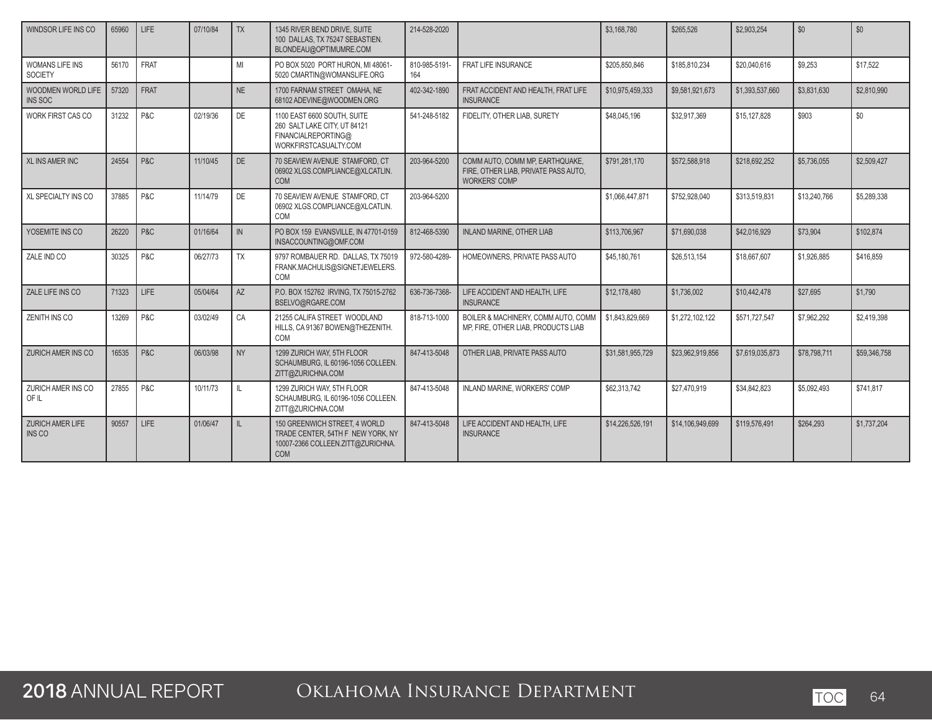| WINDSOR LIFE INS CO                      | 65960 | LIFE        | 07/10/84 | <b>TX</b>    | 1345 RIVER BEND DRIVE, SUITE<br>100 DALLAS, TX 75247 SEBASTIEN.<br>BLONDEAU@OPTIMUMRE.COM                             | 214-528-2020         |                                                                                                 | \$3,168,780      | \$265,526        | \$2,903,254     | \$0          | \$0          |
|------------------------------------------|-------|-------------|----------|--------------|-----------------------------------------------------------------------------------------------------------------------|----------------------|-------------------------------------------------------------------------------------------------|------------------|------------------|-----------------|--------------|--------------|
| <b>WOMANS LIFE INS</b><br><b>SOCIETY</b> | 56170 | FRAT        |          | MI           | PO BOX 5020 PORT HURON, MI 48061-<br>5020 CMARTIN@WOMANSLIFE.ORG                                                      | 810-985-5191-<br>164 | FRAT LIFE INSURANCE                                                                             | \$205,850,846    | \$185,810,234    | \$20,040,616    | \$9,253      | \$17,522     |
| WOODMEN WORLD LIFE<br>INS SOC            | 57320 | FRAT        |          | <b>NE</b>    | 1700 FARNAM STREET OMAHA, NE<br>68102 ADEVINE@WOODMEN.ORG                                                             | 402-342-1890         | FRAT ACCIDENT AND HEALTH. FRAT LIFE<br><b>INSURANCE</b>                                         | \$10.975.459.333 | \$9,581,921,673  | \$1,393,537,660 | \$3.831.630  | \$2,810,990  |
| WORK FIRST CAS CO                        | 31232 | P&C         | 02/19/36 | <b>DE</b>    | 1100 EAST 6600 SOUTH, SUITE<br>260 SALT LAKE CITY. UT 84121<br>FINANCIALREPORTING@<br>WORKFIRSTCASUALTY.COM           | 541-248-5182         | FIDELITY, OTHER LIAB, SURETY                                                                    | \$48,045,196     | \$32,917,369     | \$15,127,828    | \$903        | \$0          |
| XL INS AMER INC                          | 24554 | P&C         | 11/10/45 | <b>DE</b>    | 70 SEAVIEW AVENUE STAMFORD, CT<br>06902 XLGS.COMPLIANCE@XLCATLIN.<br><b>COM</b>                                       | 203-964-5200         | COMM AUTO. COMM MP. EARTHQUAKE.<br>FIRE, OTHER LIAB, PRIVATE PASS AUTO,<br><b>WORKERS' COMP</b> | \$791.281.170    | \$572,588,918    | \$218,692,252   | \$5.736.055  | \$2,509.427  |
| XL SPECIALTY INS CO                      | 37885 | P&C         | 11/14/79 | DE           | 70 SEAVIEW AVENUE STAMFORD, CT<br>06902 XLGS.COMPLIANCE@XLCATLIN.<br>COM                                              | 203-964-5200         |                                                                                                 | \$1,066,447,871  | \$752,928,040    | \$313,519,831   | \$13,240,766 | \$5,289,338  |
| YOSEMITE INS CO                          | 26220 | P&C         | 01/16/64 | IN           | PO BOX 159 EVANSVILLE, IN 47701-0159<br>INSACCOUNTING@OMF.COM                                                         | 812-468-5390         | <b>INLAND MARINE, OTHER LIAB</b>                                                                | \$113,706.967    | \$71,690,038     | \$42,016,929    | \$73,904     | \$102.874    |
| ZALE IND CO                              | 30325 | P&C         | 06/27/73 | <b>TX</b>    | 9797 ROMBAUER RD. DALLAS, TX 75019<br>FRANK.MACHULIS@SIGNETJEWELERS.<br>COM                                           | 972-580-4289-        | HOMEOWNERS, PRIVATE PASS AUTO                                                                   | \$45,180,761     | \$26.513.154     | \$18,667,607    | \$1,926,885  | \$416.859    |
| ZALE LIFE INS CO                         | 71323 | <b>LIFE</b> | 05/04/64 | AZ           | P.O. BOX 152762 IRVING. TX 75015-2762<br>BSELVO@RGARE.COM                                                             | 636-736-7368-        | LIFE ACCIDENT AND HEALTH. LIFE<br><b>INSURANCE</b>                                              | \$12.178.480     | \$1,736,002      | \$10,442,478    | \$27,695     | \$1,790      |
| ZENITH INS CO                            | 13269 | P&C         | 03/02/49 | CA           | 21255 CALIFA STREET WOODLAND<br>HILLS, CA 91367 BOWEN@THEZENITH.<br>COM                                               | 818-713-1000         | BOILER & MACHINERY, COMM AUTO, COMM<br>MP, FIRE, OTHER LIAB, PRODUCTS LIAB                      | \$1,843,829,669  | \$1,272,102,122  | \$571,727,547   | \$7,962,292  | \$2,419,398  |
| <b>ZURICH AMER INS CO</b>                | 16535 | P&C         | 06/03/98 | <b>NY</b>    | 1299 ZURICH WAY, 5TH FLOOR<br>SCHAUMBURG. IL 60196-1056 COLLEEN.<br>ZITT@ZURICHNA.COM                                 | 847-413-5048         | OTHER LIAB, PRIVATE PASS AUTO                                                                   | \$31,581,955,729 | \$23,962,919,856 | \$7,619,035,873 | \$78,798,711 | \$59,346,758 |
| ZURICH AMER INS CO<br>OF IL              | 27855 | P&C         | 10/11/73 | $\mathbb{L}$ | 1299 ZURICH WAY, 5TH FLOOR<br>SCHAUMBURG, IL 60196-1056 COLLEEN.<br>ZITT@ZURICHNA.COM                                 | 847-413-5048         | INLAND MARINE, WORKERS' COMP                                                                    | \$62,313,742     | \$27,470,919     | \$34,842,823    | \$5,092,493  | \$741,817    |
| ZURICH AMER LIFE<br>INS <sub>CO</sub>    | 90557 | <b>LIFE</b> | 01/06/47 | IL           | 150 GREENWICH STREET. 4 WORLD<br>TRADE CENTER, 54TH F NEW YORK, NY<br>10007-2366 COLLEEN.ZITT@ZURICHNA.<br><b>COM</b> | 847-413-5048         | LIFE ACCIDENT AND HEALTH. LIFE<br><b>INSURANCE</b>                                              | \$14,226,526,191 | \$14,106,949,699 | \$119,576,491   | \$264.293    | \$1,737,204  |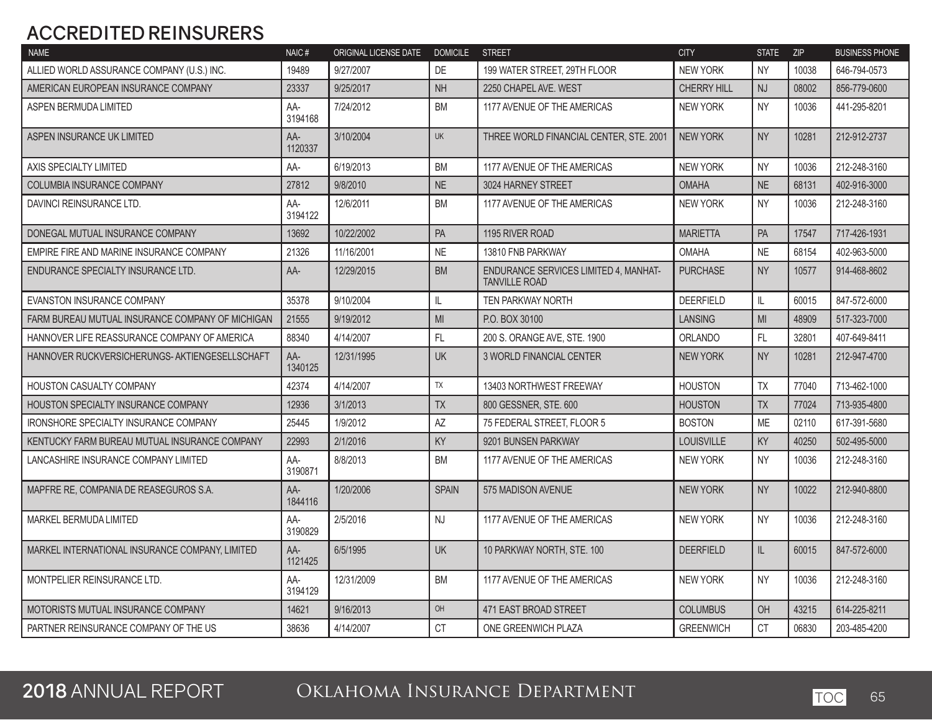### **ACCREDITED REINSURERS**

| <b>NAME</b>                                      | NAIC#          | ORIGINAL LICENSE DATE | <b>DOMICILE</b> | <b>STREET</b>                                                 | <b>CITY</b>        | <b>STATE</b>   | <b>ZIP</b> | <b>BUSINESS PHONE</b> |
|--------------------------------------------------|----------------|-----------------------|-----------------|---------------------------------------------------------------|--------------------|----------------|------------|-----------------------|
| ALLIED WORLD ASSURANCE COMPANY (U.S.) INC.       | 19489          | 9/27/2007             | DE              | 199 WATER STREET, 29TH FLOOR                                  | <b>NEW YORK</b>    | <b>NY</b>      | 10038      | 646-794-0573          |
| AMERICAN EUROPEAN INSURANCE COMPANY              | 23337          | 9/25/2017             | <b>NH</b>       | 2250 CHAPEL AVE. WEST                                         | <b>CHERRY HILL</b> | <b>NJ</b>      | 08002      | 856-779-0600          |
| ASPEN BERMUDA LIMITED                            | AA-<br>3194168 | 7/24/2012             | <b>BM</b>       | 1177 AVENUE OF THE AMERICAS                                   | <b>NEW YORK</b>    | <b>NY</b>      | 10036      | 441-295-8201          |
| ASPEN INSURANCE UK LIMITED                       | AA-<br>1120337 | 3/10/2004             | <b>UK</b>       | THREE WORLD FINANCIAL CENTER, STE. 2001                       | <b>NEW YORK</b>    | <b>NY</b>      | 10281      | 212-912-2737          |
| AXIS SPECIALTY LIMITED                           | AA-            | 6/19/2013             | <b>BM</b>       | 1177 AVENUE OF THE AMERICAS                                   | <b>NEW YORK</b>    | <b>NY</b>      | 10036      | 212-248-3160          |
| COLUMBIA INSURANCE COMPANY                       | 27812          | 9/8/2010              | <b>NE</b>       | 3024 HARNEY STREET                                            | <b>OMAHA</b>       | <b>NE</b>      | 68131      | 402-916-3000          |
| DAVINCI REINSURANCE LTD.                         | AA-<br>3194122 | 12/6/2011             | <b>BM</b>       | 1177 AVENUE OF THE AMERICAS                                   | <b>NEW YORK</b>    | <b>NY</b>      | 10036      | 212-248-3160          |
| DONEGAL MUTUAL INSURANCE COMPANY                 | 13692          | 10/22/2002            | PA              | 1195 RIVER ROAD                                               | <b>MARIETTA</b>    | PA             | 17547      | 717-426-1931          |
| EMPIRE FIRE AND MARINE INSURANCE COMPANY         | 21326          | 11/16/2001            | <b>NE</b>       | 13810 FNB PARKWAY                                             | <b>OMAHA</b>       | <b>NE</b>      | 68154      | 402-963-5000          |
| ENDURANCE SPECIALTY INSURANCE LTD.               | AA-            | 12/29/2015            | <b>BM</b>       | ENDURANCE SERVICES LIMITED 4, MANHAT-<br><b>TANVILLE ROAD</b> | <b>PURCHASE</b>    | <b>NY</b>      | 10577      | 914-468-8602          |
| <b>EVANSTON INSURANCE COMPANY</b>                | 35378          | 9/10/2004             | IL.             | <b>TEN PARKWAY NORTH</b>                                      | <b>DEERFIELD</b>   | IL.            | 60015      | 847-572-6000          |
| FARM BUREAU MUTUAL INSURANCE COMPANY OF MICHIGAN | 21555          | 9/19/2012             | <b>MI</b>       | P.O. BOX 30100                                                | <b>LANSING</b>     | M <sub>l</sub> | 48909      | 517-323-7000          |
| HANNOVER LIFE REASSURANCE COMPANY OF AMERICA     | 88340          | 4/14/2007             | FL              | 200 S. ORANGE AVE, STE, 1900                                  | <b>ORLANDO</b>     | FL.            | 32801      | 407-649-8411          |
| HANNOVER RUCKVERSICHERUNGS- AKTIENGESELLSCHAFT   | AA-<br>1340125 | 12/31/1995            | <b>UK</b>       | <b>3 WORLD FINANCIAL CENTER</b>                               | <b>NEW YORK</b>    | <b>NY</b>      | 10281      | 212-947-4700          |
| HOUSTON CASUALTY COMPANY                         | 42374          | 4/14/2007             | <b>TX</b>       | 13403 NORTHWEST FREEWAY                                       | <b>HOUSTON</b>     | <b>TX</b>      | 77040      | 713-462-1000          |
| <b>HOUSTON SPECIALTY INSURANCE COMPANY</b>       | 12936          | 3/1/2013              | <b>TX</b>       | 800 GESSNER, STE, 600                                         | <b>HOUSTON</b>     | <b>TX</b>      | 77024      | 713-935-4800          |
| <b>IRONSHORE SPECIALTY INSURANCE COMPANY</b>     | 25445          | 1/9/2012              | AZ              | 75 FEDERAL STREET. FLOOR 5                                    | <b>BOSTON</b>      | <b>ME</b>      | 02110      | 617-391-5680          |
| KENTUCKY FARM BUREAU MUTUAL INSURANCE COMPANY    | 22993          | 2/1/2016              | KY              | 9201 BUNSEN PARKWAY                                           | <b>LOUISVILLE</b>  | KY             | 40250      | 502-495-5000          |
| LANCASHIRE INSURANCE COMPANY LIMITED             | AA-<br>3190871 | 8/8/2013              | <b>BM</b>       | 1177 AVENUE OF THE AMERICAS                                   | <b>NEW YORK</b>    | <b>NY</b>      | 10036      | 212-248-3160          |
| MAPFRE RE, COMPANIA DE REASEGUROS S.A.           | AA-<br>1844116 | 1/20/2006             | <b>SPAIN</b>    | 575 MADISON AVENUE                                            | <b>NEW YORK</b>    | <b>NY</b>      | 10022      | 212-940-8800          |
| <b>MARKEL BERMUDA LIMITED</b>                    | AA-<br>3190829 | 2/5/2016              | <b>NJ</b>       | 1177 AVENUE OF THE AMERICAS                                   | <b>NEW YORK</b>    | <b>NY</b>      | 10036      | 212-248-3160          |
| MARKEL INTERNATIONAL INSURANCE COMPANY, LIMITED  | AA-<br>1121425 | 6/5/1995              | <b>UK</b>       | 10 PARKWAY NORTH, STE. 100                                    | <b>DEERFIELD</b>   | IL.            | 60015      | 847-572-6000          |
| MONTPELIER REINSURANCE LTD.                      | AA-<br>3194129 | 12/31/2009            | <b>BM</b>       | 1177 AVENUE OF THE AMERICAS                                   | <b>NEW YORK</b>    | <b>NY</b>      | 10036      | 212-248-3160          |
| MOTORISTS MUTUAL INSURANCE COMPANY               | 14621          | 9/16/2013             | OH              | 471 EAST BROAD STREET                                         | <b>COLUMBUS</b>    | OH             | 43215      | 614-225-8211          |
| PARTNER REINSURANCE COMPANY OF THE US            | 38636          | 4/14/2007             | <b>CT</b>       | ONE GREENWICH PLAZA                                           | <b>GREENWICH</b>   | CT             | 06830      | 203-485-4200          |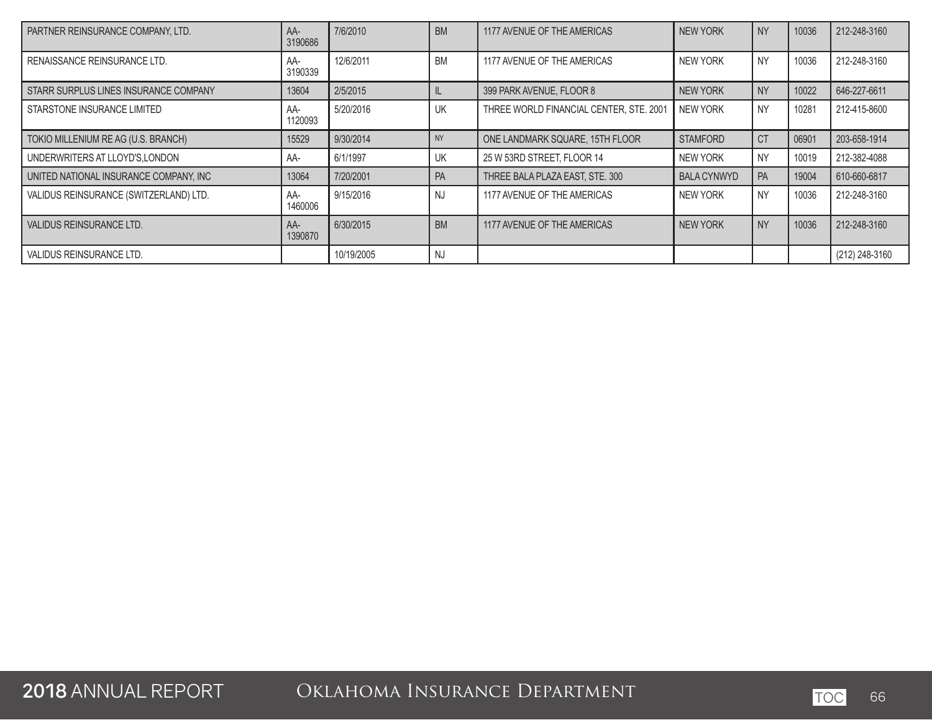| PARTNER REINSURANCE COMPANY, LTD.      | $AA-$<br>3190686 | 7/6/2010   | <b>BM</b> | 1177 AVENUE OF THE AMERICAS             | <b>NEW YORK</b>    | <b>NY</b> | 10036 | 212-248-3160   |
|----------------------------------------|------------------|------------|-----------|-----------------------------------------|--------------------|-----------|-------|----------------|
| RENAISSANCE REINSURANCE LTD.           | AA-<br>3190339   | 12/6/2011  | <b>BM</b> | 1177 AVENUE OF THE AMERICAS             | NEW YORK           | <b>NY</b> | 10036 | 212-248-3160   |
| STARR SURPLUS LINES INSURANCE COMPANY  | 13604            | 2/5/2015   |           | 399 PARK AVENUE, FLOOR 8                | <b>NEW YORK</b>    | <b>NY</b> | 10022 | 646-227-6611   |
| STARSTONE INSURANCE LIMITED            | AA-<br>1120093   | 5/20/2016  | UK        | THREE WORLD FINANCIAL CENTER, STE. 2001 | NEW YORK           | <b>NY</b> | 10281 | 212-415-8600   |
| TOKIO MILLENIUM RE AG (U.S. BRANCH)    | 15529            | 9/30/2014  | <b>NY</b> | ONE LANDMARK SQUARE, 15TH FLOOR         | <b>STAMFORD</b>    | <b>CT</b> | 06901 | 203-658-1914   |
| UNDERWRITERS AT LLOYD'S, LONDON        | AA-              | 6/1/1997   | UK        | 25 W 53RD STREET, FLOOR 14              | NEW YORK           | <b>NY</b> | 10019 | 212-382-4088   |
| UNITED NATIONAL INSURANCE COMPANY. INC | 13064            | 7/20/2001  | <b>PA</b> | THREE BALA PLAZA EAST, STE. 300         | <b>BALA CYNWYD</b> | PA        | 19004 | 610-660-6817   |
| VALIDUS REINSURANCE (SWITZERLAND) LTD. | AA-<br>1460006   | 9/15/2016  | <b>NJ</b> | 1177 AVENUE OF THE AMERICAS             | NEW YORK           | <b>NY</b> | 10036 | 212-248-3160   |
| VALIDUS REINSURANCE LTD.               | $AA-$<br>1390870 | 6/30/2015  | <b>BM</b> | 1177 AVENUE OF THE AMERICAS             | <b>NEW YORK</b>    | <b>NY</b> | 10036 | 212-248-3160   |
| VALIDUS REINSURANCE LTD.               |                  | 10/19/2005 | <b>NJ</b> |                                         |                    |           |       | (212) 248-3160 |

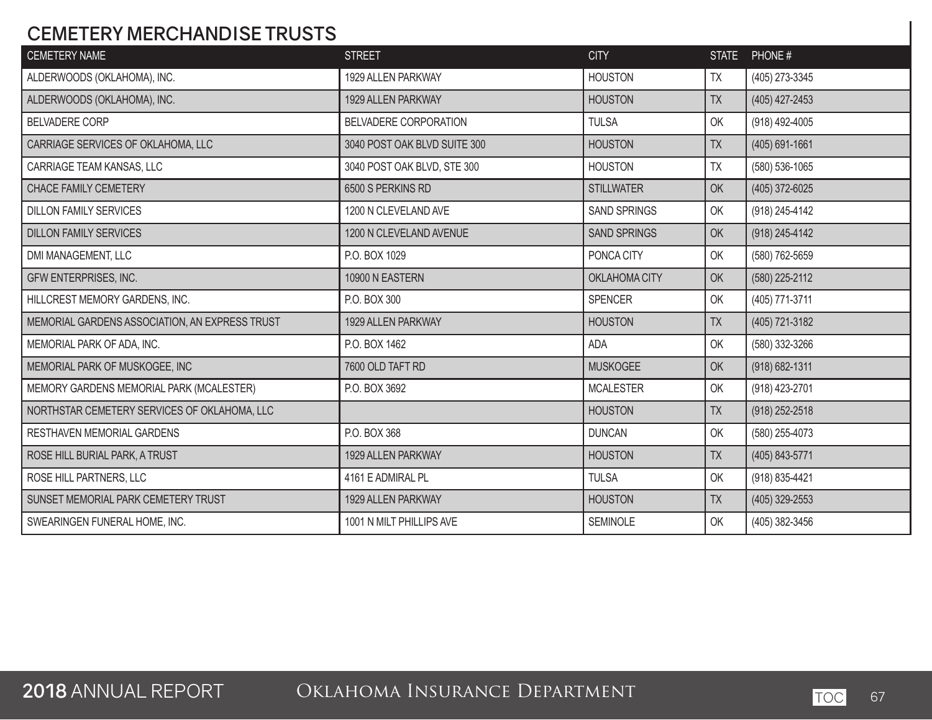### **CEMETERY MERCHANDISE TRUSTS**

| <b>CEMETERY NAME</b>                           | <b>STREET</b>                | <b>CITY</b>         | <b>STATE</b> | PHONE#             |
|------------------------------------------------|------------------------------|---------------------|--------------|--------------------|
| ALDERWOODS (OKLAHOMA), INC.                    | 1929 ALLEN PARKWAY           | <b>HOUSTON</b>      | TX           | (405) 273-3345     |
| ALDERWOODS (OKLAHOMA), INC.                    | 1929 ALLEN PARKWAY           | <b>HOUSTON</b>      | <b>TX</b>    | (405) 427-2453     |
| <b>BELVADERE CORP</b>                          | BELVADERE CORPORATION        | <b>TULSA</b>        | OK           | (918) 492-4005     |
| CARRIAGE SERVICES OF OKLAHOMA, LLC             | 3040 POST OAK BLVD SUITE 300 | <b>HOUSTON</b>      | <b>TX</b>    | $(405) 691 - 1661$ |
| CARRIAGE TEAM KANSAS, LLC                      | 3040 POST OAK BLVD, STE 300  | <b>HOUSTON</b>      | <b>TX</b>    | (580) 536-1065     |
| CHACE FAMILY CEMETERY                          | 6500 S PERKINS RD            | <b>STILLWATER</b>   | OK           | (405) 372-6025     |
| <b>DILLON FAMILY SERVICES</b>                  | 1200 N CLEVELAND AVE         | <b>SAND SPRINGS</b> | OK           | (918) 245-4142     |
| <b>DILLON FAMILY SERVICES</b>                  | 1200 N CLEVELAND AVENUE      | <b>SAND SPRINGS</b> | OK           | (918) 245-4142     |
| DMI MANAGEMENT, LLC                            | P.O. BOX 1029                | PONCA CITY          | OK           | (580) 762-5659     |
| GFW ENTERPRISES, INC.                          | 10900 N EASTERN              | OKLAHOMA CITY       | OK           | (580) 225-2112     |
| HILLCREST MEMORY GARDENS, INC.                 | P.O. BOX 300                 | <b>SPENCER</b>      | OK           | (405) 771-3711     |
| MEMORIAL GARDENS ASSOCIATION, AN EXPRESS TRUST | 1929 ALLEN PARKWAY           | <b>HOUSTON</b>      | <b>TX</b>    | (405) 721-3182     |
| MEMORIAL PARK OF ADA, INC.                     | P.O. BOX 1462                | <b>ADA</b>          | OK           | (580) 332-3266     |
| MEMORIAL PARK OF MUSKOGEE, INC                 | 7600 OLD TAFT RD             | <b>MUSKOGEE</b>     | OK           | (918) 682-1311     |
| MEMORY GARDENS MEMORIAL PARK (MCALESTER)       | P.O. BOX 3692                | <b>MCALESTER</b>    | OK           | (918) 423-2701     |
| NORTHSTAR CEMETERY SERVICES OF OKLAHOMA, LLC   |                              | <b>HOUSTON</b>      | <b>TX</b>    | (918) 252-2518     |
| RESTHAVEN MEMORIAL GARDENS                     | P.O. BOX 368                 | <b>DUNCAN</b>       | OK           | (580) 255-4073     |
| ROSE HILL BURIAL PARK, A TRUST                 | 1929 ALLEN PARKWAY           | <b>HOUSTON</b>      | <b>TX</b>    | (405) 843-5771     |
| ROSE HILL PARTNERS, LLC                        | 4161 E ADMIRAL PL            | <b>TULSA</b>        | OK           | (918) 835-4421     |
| SUNSET MEMORIAL PARK CEMETERY TRUST            | 1929 ALLEN PARKWAY           | <b>HOUSTON</b>      | TX           | $(405)$ 329-2553   |
| SWEARINGEN FUNERAL HOME, INC.                  | 1001 N MILT PHILLIPS AVE     | SEMINOLE            | OK           | (405) 382-3456     |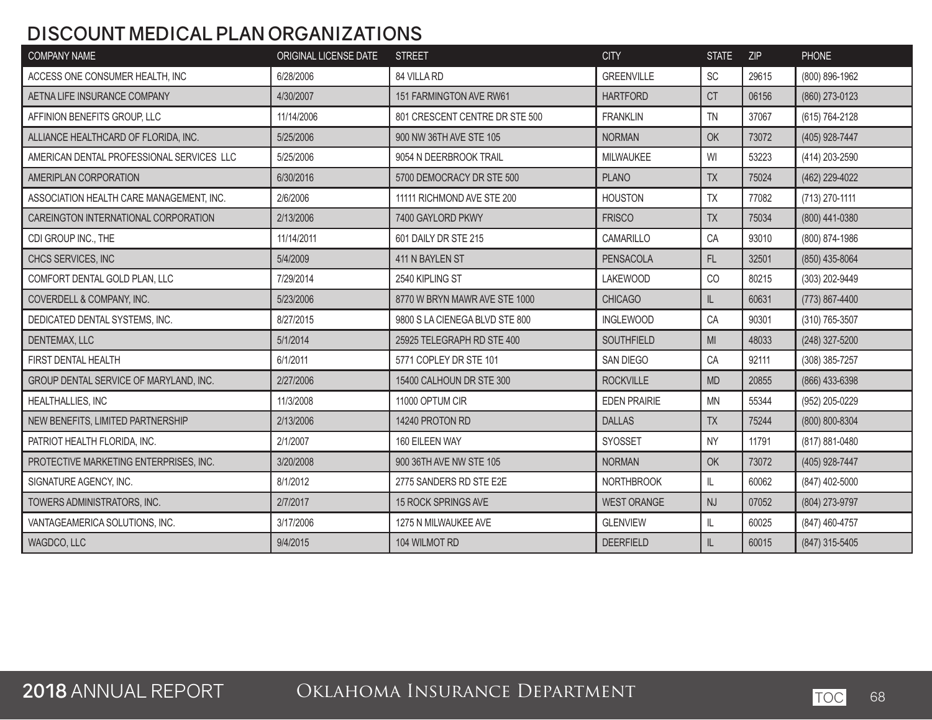### **DISCOUNT MEDICAL PLAN ORGANIZATIONS**

| <b>COMPANY NAME</b>                       | ORIGINAL LICENSE DATE | <b>STREET</b>                  | <b>CITY</b>         | <b>STATE</b>                      | <b>ZIP</b> | PHONE            |
|-------------------------------------------|-----------------------|--------------------------------|---------------------|-----------------------------------|------------|------------------|
| ACCESS ONE CONSUMER HEALTH, INC           | 6/28/2006             | 84 VILLA RD                    | <b>GREENVILLE</b>   | <b>SC</b>                         | 29615      | (800) 896-1962   |
| AETNA LIFE INSURANCE COMPANY              | 4/30/2007             | 151 FARMINGTON AVE RW61        | <b>HARTFORD</b>     | <b>CT</b>                         | 06156      | (860) 273-0123   |
| AFFINION BENEFITS GROUP, LLC              | 11/14/2006            | 801 CRESCENT CENTRE DR STE 500 | <b>FRANKLIN</b>     | <b>TN</b>                         | 37067      | (615) 764-2128   |
| ALLIANCE HEALTHCARD OF FLORIDA, INC.      | 5/25/2006             | 900 NW 36TH AVE STE 105        | <b>NORMAN</b>       | OK                                | 73072      | (405) 928-7447   |
| AMERICAN DENTAL PROFESSIONAL SERVICES LLC | 5/25/2006             | 9054 N DEERBROOK TRAIL         | MILWAUKEE           | WI                                | 53223      | (414) 203-2590   |
| AMERIPLAN CORPORATION                     | 6/30/2016             | 5700 DEMOCRACY DR STE 500      | <b>PLANO</b>        | TX                                | 75024      | (462) 229-4022   |
| ASSOCIATION HEALTH CARE MANAGEMENT, INC.  | 2/6/2006              | 11111 RICHMOND AVE STE 200     | <b>HOUSTON</b>      | TX                                | 77082      | (713) 270-1111   |
| CAREINGTON INTERNATIONAL CORPORATION      | 2/13/2006             | 7400 GAYLORD PKWY              | <b>FRISCO</b>       | <b>TX</b>                         | 75034      | (800) 441-0380   |
| CDI GROUP INC., THE                       | 11/14/2011            | 601 DAILY DR STE 215           | CAMARILLO           | CA                                | 93010      | (800) 874-1986   |
| CHCS SERVICES, INC                        | 5/4/2009              | 411 N BAYLEN ST                | PENSACOLA           | $\mathsf{FL}$                     | 32501      | $(850)$ 435-8064 |
| COMFORT DENTAL GOLD PLAN, LLC             | 7/29/2014             | 2540 KIPLING ST                | <b>LAKEWOOD</b>     | CO                                | 80215      | (303) 202-9449   |
| COVERDELL & COMPANY, INC.                 | 5/23/2006             | 8770 W BRYN MAWR AVE STE 1000  | <b>CHICAGO</b>      | IL                                | 60631      | (773) 867-4400   |
| DEDICATED DENTAL SYSTEMS, INC.            | 8/27/2015             | 9800 S LA CIENEGA BLVD STE 800 | <b>INGLEWOOD</b>    | CA                                | 90301      | (310) 765-3507   |
| DENTEMAX, LLC                             | 5/1/2014              | 25925 TELEGRAPH RD STE 400     | SOUTHFIELD          | M <sub>l</sub>                    | 48033      | (248) 327-5200   |
| FIRST DENTAL HEALTH                       | 6/1/2011              | 5771 COPLEY DR STE 101         | SAN DIEGO           | CA                                | 92111      | (308) 385-7257   |
| GROUP DENTAL SERVICE OF MARYLAND, INC.    | 2/27/2006             | 15400 CALHOUN DR STE 300       | <b>ROCKVILLE</b>    | <b>MD</b>                         | 20855      | (866) 433-6398   |
| <b>HEALTHALLIES, INC</b>                  | 11/3/2008             | 11000 OPTUM CIR                | <b>EDEN PRAIRIE</b> | <b>MN</b>                         | 55344      | (952) 205-0229   |
| NEW BENEFITS, LIMITED PARTNERSHIP         | 2/13/2006             | 14240 PROTON RD                | <b>DALLAS</b>       | TX                                | 75244      | (800) 800-8304   |
| PATRIOT HEALTH FLORIDA, INC.              | 2/1/2007              | 160 EILEEN WAY                 | SYOSSET             | <b>NY</b>                         | 11791      | (817) 881-0480   |
| PROTECTIVE MARKETING ENTERPRISES, INC.    | 3/20/2008             | 900 36TH AVE NW STE 105        | <b>NORMAN</b>       | OK                                | 73072      | (405) 928-7447   |
| SIGNATURE AGENCY, INC.                    | 8/1/2012              | 2775 SANDERS RD STE E2E        | <b>NORTHBROOK</b>   | IL.                               | 60062      | (847) 402-5000   |
| TOWERS ADMINISTRATORS, INC.               | 2/7/2017              | 15 ROCK SPRINGS AVE            | <b>WEST ORANGE</b>  | <b>NJ</b>                         | 07052      | (804) 273-9797   |
| VANTAGEAMERICA SOLUTIONS, INC.            | 3/17/2006             | 1275 N MILWAUKEE AVE           | <b>GLENVIEW</b>     | IL.                               | 60025      | (847) 460-4757   |
| WAGDCO, LLC                               | 9/4/2015              | 104 WILMOT RD                  | <b>DEERFIELD</b>    | $\ensuremath{\mathsf{IL}}\xspace$ | 60015      | (847) 315-5405   |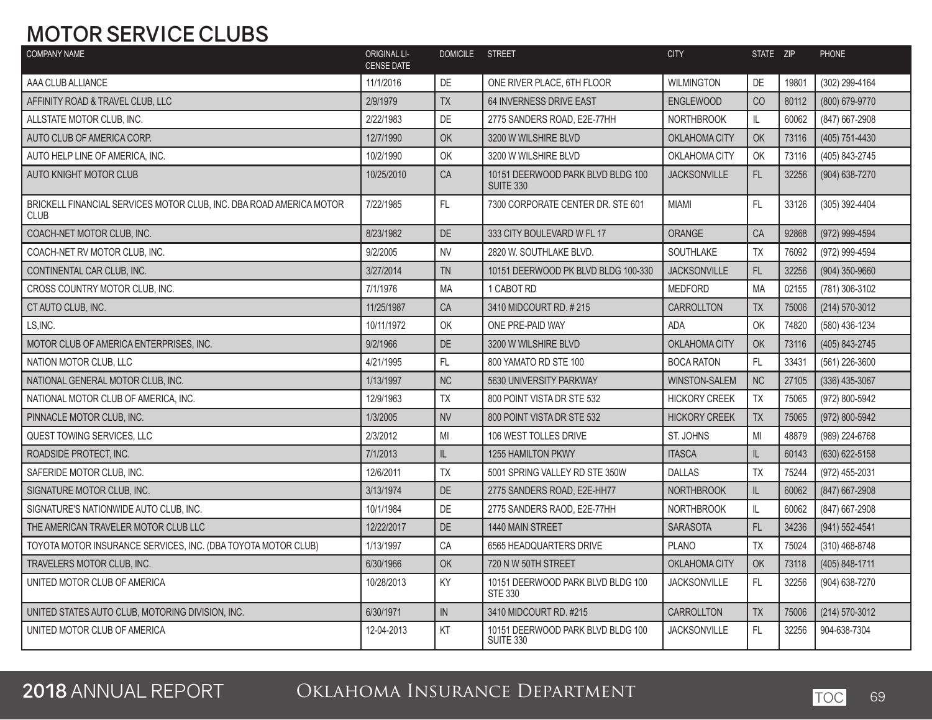### **MOTOR SERVICE CLUBS**

| <b>COMPANY NAME</b>                                                                | <b>ORIGINAL LI-</b><br><b>CENSE DATE</b> | DOMICILE STREET |                                                       | <b>CITY</b>          | STATE ZIP     |       | <b>PHONE</b>     |
|------------------------------------------------------------------------------------|------------------------------------------|-----------------|-------------------------------------------------------|----------------------|---------------|-------|------------------|
| AAA CLUB ALLIANCE                                                                  | 11/1/2016                                | DE              | ONE RIVER PLACE, 6TH FLOOR                            | <b>WILMINGTON</b>    | DE            | 19801 | (302) 299-4164   |
| AFFINITY ROAD & TRAVEL CLUB, LLC                                                   | 2/9/1979                                 | TX              | 64 INVERNESS DRIVE EAST                               | <b>ENGLEWOOD</b>     | CO            | 80112 | (800) 679-9770   |
| ALLSTATE MOTOR CLUB. INC.                                                          | 2/22/1983                                | DE              | 2775 SANDERS ROAD, E2E-77HH                           | <b>NORTHBROOK</b>    | IL            | 60062 | (847) 667-2908   |
| AUTO CLUB OF AMERICA CORP.                                                         | 12/7/1990                                | OK              | 3200 W WILSHIRE BLVD                                  | OKLAHOMA CITY        | OK            | 73116 | (405) 751-4430   |
| AUTO HELP LINE OF AMERICA. INC.                                                    | 10/2/1990                                | OK              | 3200 W WILSHIRE BLVD                                  | OKLAHOMA CITY        | OK            | 73116 | (405) 843-2745   |
| <b>AUTO KNIGHT MOTOR CLUB</b>                                                      | 10/25/2010                               | CA              | 10151 DEERWOOD PARK BLVD BLDG 100<br><b>SUITE 330</b> | <b>JACKSONVILLE</b>  | FL.           | 32256 | (904) 638-7270   |
| BRICKELL FINANCIAL SERVICES MOTOR CLUB, INC. DBA ROAD AMERICA MOTOR<br><b>CLUB</b> | 7/22/1985                                | FL              | 7300 CORPORATE CENTER DR. STE 601                     | <b>MIAMI</b>         | FL            | 33126 | (305) 392-4404   |
| COACH-NET MOTOR CLUB. INC.                                                         | 8/23/1982                                | <b>DE</b>       | 333 CITY BOULEVARD W FL 17                            | <b>ORANGE</b>        | CA            | 92868 | (972) 999-4594   |
| COACH-NET RV MOTOR CLUB, INC.                                                      | 9/2/2005                                 | <b>NV</b>       | 2820 W. SOUTHLAKE BLVD.                               | SOUTHLAKE            | TX            | 76092 | (972) 999-4594   |
| CONTINENTAL CAR CLUB, INC.                                                         | 3/27/2014                                | <b>TN</b>       | 10151 DEERWOOD PK BLVD BLDG 100-330                   | <b>JACKSONVILLE</b>  | FL            | 32256 | (904) 350-9660   |
| CROSS COUNTRY MOTOR CLUB. INC.                                                     | 7/1/1976                                 | <b>MA</b>       | 1 CABOT RD                                            | <b>MEDFORD</b>       | <b>MA</b>     | 02155 | (781) 306-3102   |
| CT AUTO CLUB. INC.                                                                 | 11/25/1987                               | CA              | 3410 MIDCOURT RD. #215                                | CARROLLTON           | <b>TX</b>     | 75006 | (214) 570-3012   |
| LS, INC.                                                                           | 10/11/1972                               | OK              | ONE PRE-PAID WAY                                      | <b>ADA</b>           | OK            | 74820 | (580) 436-1234   |
| MOTOR CLUB OF AMERICA ENTERPRISES, INC.                                            | 9/2/1966                                 | <b>DE</b>       | 3200 W WILSHIRE BLVD                                  | OKLAHOMA CITY        | OK            | 73116 | (405) 843-2745   |
| NATION MOTOR CLUB. LLC                                                             | 4/21/1995                                | FL              | 800 YAMATO RD STE 100                                 | <b>BOCA RATON</b>    | FL            | 33431 | (561) 226-3600   |
| NATIONAL GENERAL MOTOR CLUB. INC.                                                  | 1/13/1997                                | <b>NC</b>       | 5630 UNIVERSITY PARKWAY                               | <b>WINSTON-SALEM</b> | NC            | 27105 | $(336)$ 435-3067 |
| NATIONAL MOTOR CLUB OF AMERICA, INC.                                               | 12/9/1963                                | TX              | 800 POINT VISTA DR STE 532                            | <b>HICKORY CREEK</b> | TX            | 75065 | (972) 800-5942   |
| PINNACLE MOTOR CLUB, INC.                                                          | 1/3/2005                                 | <b>NV</b>       | 800 POINT VISTA DR STE 532                            | <b>HICKORY CREEK</b> | TX            | 75065 | (972) 800-5942   |
| QUEST TOWING SERVICES. LLC                                                         | 2/3/2012                                 | MI              | 106 WEST TOLLES DRIVE                                 | ST. JOHNS            | MI            | 48879 | (989) 224-6768   |
| ROADSIDE PROTECT. INC.                                                             | 7/1/2013                                 | IL              | <b>1255 HAMILTON PKWY</b>                             | <b>ITASCA</b>        | IL            | 60143 | (630) 622-5158   |
| SAFERIDE MOTOR CLUB, INC.                                                          | 12/6/2011                                | <b>TX</b>       | 5001 SPRING VALLEY RD STE 350W                        | <b>DALLAS</b>        | <b>TX</b>     | 75244 | (972) 455-2031   |
| SIGNATURE MOTOR CLUB, INC.                                                         | 3/13/1974                                | DE              | 2775 SANDERS ROAD, E2E-HH77                           | <b>NORTHBROOK</b>    | $\mathsf{IL}$ | 60062 | (847) 667-2908   |
| SIGNATURE'S NATIONWIDE AUTO CLUB. INC.                                             | 10/1/1984                                | <b>DE</b>       | 2775 SANDERS RAOD, E2E-77HH                           | <b>NORTHBROOK</b>    | IL            | 60062 | (847) 667-2908   |
| THE AMERICAN TRAVELER MOTOR CLUB LLC                                               | 12/22/2017                               | <b>DE</b>       | 1440 MAIN STREET                                      | <b>SARASOTA</b>      | FL.           | 34236 | (941) 552-4541   |
| TOYOTA MOTOR INSURANCE SERVICES, INC. (DBA TOYOTA MOTOR CLUB)                      | 1/13/1997                                | CA              | 6565 HEADQUARTERS DRIVE                               | <b>PLANO</b>         | <b>TX</b>     | 75024 | (310) 468-8748   |
| TRAVELERS MOTOR CLUB, INC.                                                         | 6/30/1966                                | <b>OK</b>       | 720 N W 50TH STREET                                   | OKLAHOMA CITY        | OK            | 73118 | (405) 848-1711   |
| UNITED MOTOR CLUB OF AMERICA                                                       | 10/28/2013                               | KY              | 10151 DEERWOOD PARK BLVD BLDG 100<br><b>STE 330</b>   | <b>JACKSONVILLE</b>  | FL            | 32256 | (904) 638-7270   |
| UNITED STATES AUTO CLUB, MOTORING DIVISION, INC.                                   | 6/30/1971                                | IN              | 3410 MIDCOURT RD. #215                                | <b>CARROLLTON</b>    | TX            | 75006 | (214) 570-3012   |
| UNITED MOTOR CLUB OF AMERICA                                                       | 12-04-2013                               | KT              | 10151 DEERWOOD PARK BLVD BLDG 100<br><b>SUITE 330</b> | <b>JACKSONVILLE</b>  | FL            | 32256 | 904-638-7304     |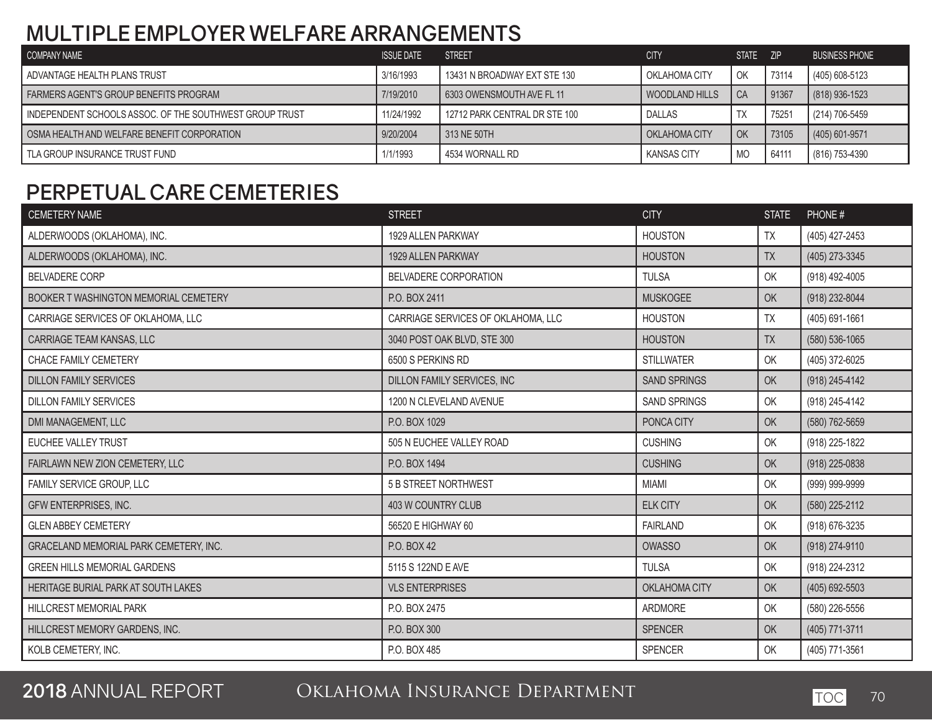### **MULTIPLE EMPLOYER WELFARE ARRANGEMENTS**

| COMPANY NAME                                            | <b>ISSUE DATE</b> | <b>STREET</b>                 | <b>CITY</b>          | <b>STATE</b> | ZIP   | <b>BUSINESS PHONE</b> |
|---------------------------------------------------------|-------------------|-------------------------------|----------------------|--------------|-------|-----------------------|
| ADVANTAGE HEALTH PLANS TRUST                            | 3/16/1993         | 13431 N BROADWAY EXT STE 130  | OKLAHOMA CITY        | l Ok         | 73114 | (405) 608-5123        |
| FARMERS AGENT'S GROUP BENEFITS PROGRAM                  | 7/19/2010         | 6303 OWENSMOUTH AVE FL 11     | WOODLAND HILLS       | l CA         | 91367 | $(818)$ 936-1523      |
| INDEPENDENT SCHOOLS ASSOC. OF THE SOUTHWEST GROUP TRUST | 11/24/1992        | 12712 PARK CENTRAL DR STE 100 | <b>DALLAS</b>        | TX           | 75251 | (214) 706-5459        |
| OSMA HEALTH AND WELFARE BENEFIT CORPORATION             | 9/20/2004         | 313 NE 50TH                   | <b>CKLAHOMA CITY</b> | I OK         | 73105 | $(405)$ 601-9571      |
| TLA GROUP INSURANCE TRUST FUND                          | 1/1/1993          | 4534 WORNALL RD               | <b>KANSAS CITY</b>   | MO           | 64111 | (816) 753-4390        |

### **PERPETUAL CARE CEMETERIES**

| <b>CEMETERY NAME</b>                   | <b>STREET</b>                      | <b>CITY</b>         | <b>STATE</b> | PHONE#         |
|----------------------------------------|------------------------------------|---------------------|--------------|----------------|
| ALDERWOODS (OKLAHOMA), INC.            | 1929 ALLEN PARKWAY                 | <b>HOUSTON</b>      | TX           | (405) 427-2453 |
| ALDERWOODS (OKLAHOMA), INC.            | 1929 ALLEN PARKWAY                 | <b>HOUSTON</b>      | <b>TX</b>    | (405) 273-3345 |
| <b>BELVADERE CORP</b>                  | BELVADERE CORPORATION              | <b>TULSA</b>        | OK           | (918) 492-4005 |
| BOOKER T WASHINGTON MEMORIAL CEMETERY  | P.O. BOX 2411                      | <b>MUSKOGEE</b>     | OK           | (918) 232-8044 |
| CARRIAGE SERVICES OF OKLAHOMA, LLC     | CARRIAGE SERVICES OF OKLAHOMA, LLC | <b>HOUSTON</b>      | <b>TX</b>    | (405) 691-1661 |
| CARRIAGE TEAM KANSAS, LLC              | 3040 POST OAK BLVD, STE 300        | <b>HOUSTON</b>      | <b>TX</b>    | (580) 536-1065 |
| CHACE FAMILY CEMETERY                  | 6500 S PERKINS RD                  | <b>STILLWATER</b>   | OK           | (405) 372-6025 |
| <b>DILLON FAMILY SERVICES</b>          | DILLON FAMILY SERVICES, INC        | <b>SAND SPRINGS</b> | OK           | (918) 245-4142 |
| <b>DILLON FAMILY SERVICES</b>          | 1200 N CLEVELAND AVENUE            | <b>SAND SPRINGS</b> | OK           | (918) 245-4142 |
| DMI MANAGEMENT, LLC                    | P.O. BOX 1029                      | PONCA CITY          | OK           | (580) 762-5659 |
| EUCHEE VALLEY TRUST                    | 505 N EUCHEE VALLEY ROAD           | <b>CUSHING</b>      | OK           | (918) 225-1822 |
| FAIRLAWN NEW ZION CEMETERY, LLC        | P.O. BOX 1494                      | <b>CUSHING</b>      | OK           | (918) 225-0838 |
| FAMILY SERVICE GROUP, LLC              | 5 B STREET NORTHWEST               | <b>MIAMI</b>        | OK           | (999) 999-9999 |
| GFW ENTERPRISES, INC.                  | 403 W COUNTRY CLUB                 | <b>ELK CITY</b>     | OK           | (580) 225-2112 |
| <b>GLEN ABBEY CEMETERY</b>             | 56520 E HIGHWAY 60                 | <b>FAIRLAND</b>     | OK           | (918) 676-3235 |
| GRACELAND MEMORIAL PARK CEMETERY, INC. | P.O. BOX 42                        | <b>OWASSO</b>       | OK           | (918) 274-9110 |
| <b>GREEN HILLS MEMORIAL GARDENS</b>    | 5115 S 122ND E AVE                 | <b>TULSA</b>        | OK           | (918) 224-2312 |
| HERITAGE BURIAL PARK AT SOUTH LAKES    | <b>VLS ENTERPRISES</b>             | OKLAHOMA CITY       | OK           | (405) 692-5503 |
| HILLCREST MEMORIAL PARK                | P.O. BOX 2475                      | <b>ARDMORE</b>      | OK           | (580) 226-5556 |
| HILLCREST MEMORY GARDENS, INC.         | P.O. BOX 300                       | <b>SPENCER</b>      | OK           | (405) 771-3711 |
| KOLB CEMETERY, INC.                    | P.O. BOX 485                       | SPENCER             | OK           | (405) 771-3561 |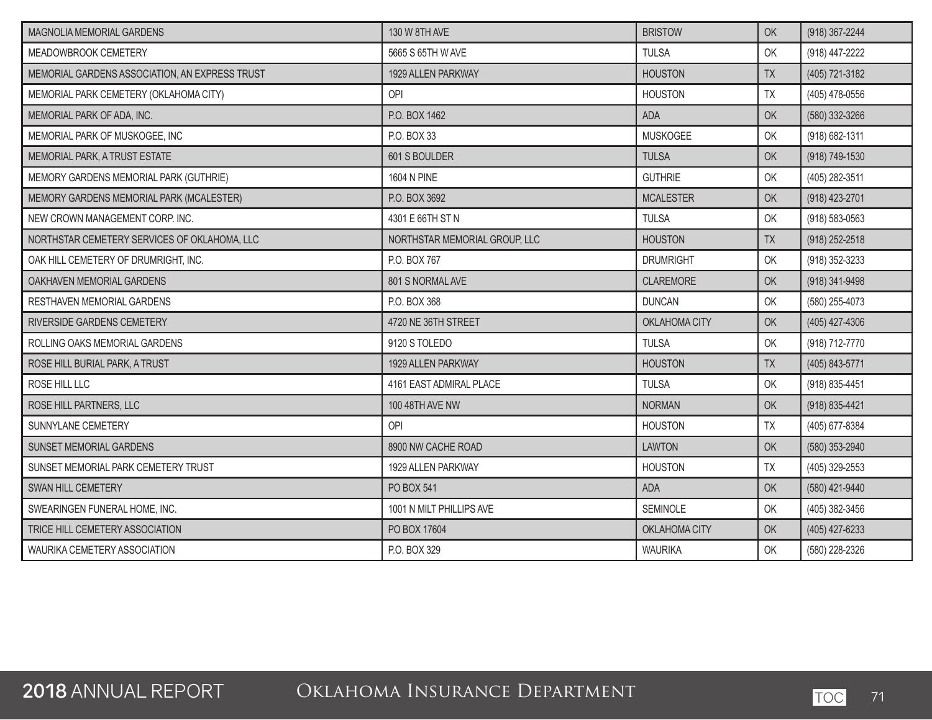| MAGNOLIA MEMORIAL GARDENS                      | 130 W 8TH AVE                 | <b>BRISTOW</b>   | <b>OK</b> | (918) 367-2244     |
|------------------------------------------------|-------------------------------|------------------|-----------|--------------------|
| MEADOWBROOK CEMETERY                           | 5665 S 65TH W AVE             | <b>TULSA</b>     | OK        | (918) 447-2222     |
| MEMORIAL GARDENS ASSOCIATION, AN EXPRESS TRUST | 1929 ALLEN PARKWAY            | <b>HOUSTON</b>   | <b>TX</b> | (405) 721-3182     |
| MEMORIAL PARK CEMETERY (OKLAHOMA CITY)         | OPI                           | <b>HOUSTON</b>   | TX        | (405) 478-0556     |
| MEMORIAL PARK OF ADA, INC.                     | P.O. BOX 1462                 | <b>ADA</b>       | OK        | (580) 332-3266     |
| MEMORIAL PARK OF MUSKOGEE, INC                 | P.O. BOX 33                   | <b>MUSKOGEE</b>  | OK        | (918) 682-1311     |
| MEMORIAL PARK, A TRUST ESTATE                  | 601 S BOULDER                 | <b>TULSA</b>     | <b>OK</b> | (918) 749-1530     |
| MEMORY GARDENS MEMORIAL PARK (GUTHRIE)         | 1604 N PINE                   | <b>GUTHRIE</b>   | OK        | (405) 282-3511     |
| MEMORY GARDENS MEMORIAL PARK (MCALESTER)       | P.O. BOX 3692                 | <b>MCALESTER</b> | OK        | (918) 423-2701     |
| NEW CROWN MANAGEMENT CORP. INC.                | 4301 E 66TH ST N              | <b>TULSA</b>     | OK        | $(918) 583 - 0563$ |
| NORTHSTAR CEMETERY SERVICES OF OKLAHOMA, LLC   | NORTHSTAR MEMORIAL GROUP, LLC | <b>HOUSTON</b>   | <b>TX</b> | (918) 252-2518     |
| OAK HILL CEMETERY OF DRUMRIGHT, INC.           | P.O. BOX 767                  | <b>DRUMRIGHT</b> | OK        | (918) 352-3233     |
| OAKHAVEN MEMORIAL GARDENS                      | 801 S NORMAL AVE              | CLAREMORE        | OK        | (918) 341-9498     |
| RESTHAVEN MEMORIAL GARDENS                     | P.O. BOX 368                  | <b>DUNCAN</b>    | OK        | (580) 255-4073     |
| RIVERSIDE GARDENS CEMETERY                     | 4720 NE 36TH STREET           | OKLAHOMA CITY    | OK        | (405) 427-4306     |
| ROLLING OAKS MEMORIAL GARDENS                  | 9120 S TOLEDO                 | <b>TULSA</b>     | OK        | (918) 712-7770     |
| ROSE HILL BURIAL PARK, A TRUST                 | 1929 ALLEN PARKWAY            | <b>HOUSTON</b>   | <b>TX</b> | (405) 843-5771     |
| ROSE HILL LLC                                  | 4161 EAST ADMIRAL PLACE       | <b>TULSA</b>     | OK        | (918) 835-4451     |
| ROSE HILL PARTNERS, LLC                        | 100 48TH AVE NW               | <b>NORMAN</b>    | OK        | (918) 835-4421     |
| SUNNYLANE CEMETERY                             | OPI                           | <b>HOUSTON</b>   | <b>TX</b> | (405) 677-8384     |
| SUNSET MEMORIAL GARDENS                        | 8900 NW CACHE ROAD            | <b>LAWTON</b>    | OK        | (580) 353-2940     |
| SUNSET MEMORIAL PARK CEMETERY TRUST            | 1929 ALLEN PARKWAY            | <b>HOUSTON</b>   | <b>TX</b> | (405) 329-2553     |
| <b>SWAN HILL CEMETERY</b>                      | PO BOX 541                    | <b>ADA</b>       | OK        | (580) 421-9440     |
| SWEARINGEN FUNERAL HOME, INC.                  | 1001 N MILT PHILLIPS AVE      | SEMINOLE         | OK        | (405) 382-3456     |
| TRICE HILL CEMETERY ASSOCIATION                | PO BOX 17604                  | OKLAHOMA CITY    | OK        | (405) 427-6233     |
| WAURIKA CEMETERY ASSOCIATION                   | P.O. BOX 329                  | <b>WAURIKA</b>   | OK        | (580) 228-2326     |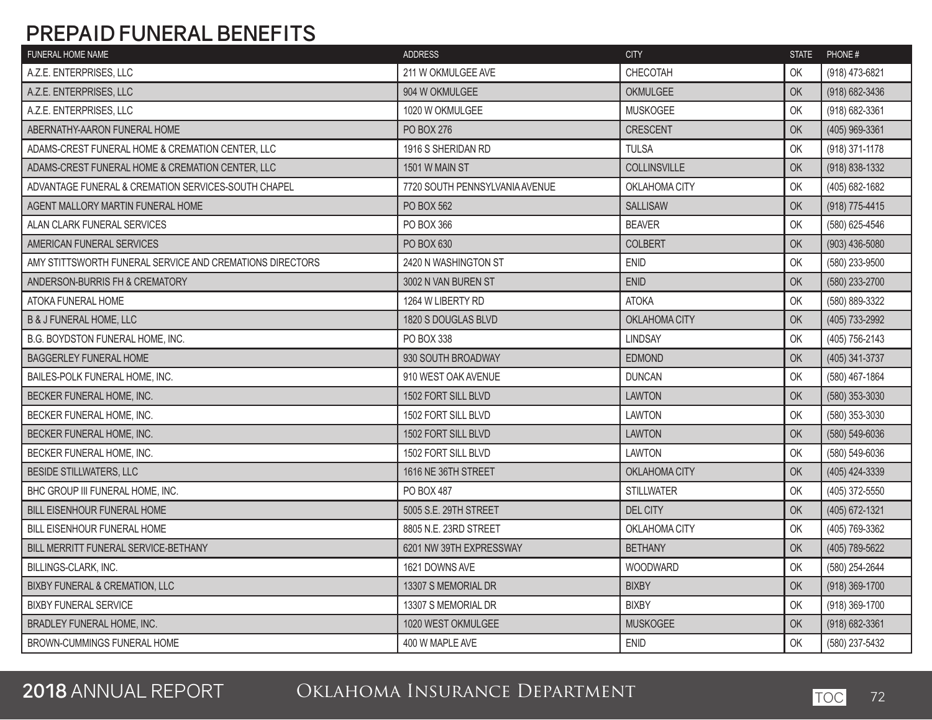### **PREPAID FUNERAL BENEFITS**

| CHECOTAH<br>A.Z.E. ENTERPRISES, LLC<br>211 W OKMULGEE AVE<br>OK<br>(918) 473-6821<br>904 W OKMULGEE<br><b>OKMULGEE</b><br>OK<br>(918) 682-3436<br>A.Z.E. ENTERPRISES, LLC<br>A.Z.E. ENTERPRISES, LLC<br>1020 W OKMULGEE<br><b>MUSKOGEE</b><br>OK<br>(918) 682-3361<br>ABERNATHY-AARON FUNERAL HOME<br>CRESCENT<br>PO BOX 276<br><b>OK</b><br>(405) 969-3361<br>(918) 371-1178<br>ADAMS-CREST FUNERAL HOME & CREMATION CENTER, LLC<br>1916 S SHERIDAN RD<br><b>TULSA</b><br>OK<br><b>COLLINSVILLE</b><br>(918) 838-1332<br>ADAMS-CREST FUNERAL HOME & CREMATION CENTER, LLC<br>OK<br>1501 W MAIN ST<br>ADVANTAGE FUNERAL & CREMATION SERVICES-SOUTH CHAPEL<br>7720 SOUTH PENNSYLVANIA AVENUE<br>OKLAHOMA CITY<br>OK<br>(405) 682-1682<br><b>SALLISAW</b><br>(918) 775-4415<br>AGENT MALLORY MARTIN FUNERAL HOME<br>PO BOX 562<br><b>OK</b><br><b>BEAVER</b><br>OK<br>ALAN CLARK FUNERAL SERVICES<br>PO BOX 366<br>(580) 625-4546<br>AMERICAN FUNERAL SERVICES<br>OK<br>$(903)$ 436-5080<br>PO BOX 630<br><b>COLBERT</b><br>AMY STITTSWORTH FUNERAL SERVICE AND CREMATIONS DIRECTORS<br>2420 N WASHINGTON ST<br><b>ENID</b><br>OK<br>(580) 233-9500<br><b>ENID</b><br>OK<br>(580) 233-2700<br>ANDERSON-BURRIS FH & CREMATORY<br>3002 N VAN BUREN ST<br>OK<br>(580) 889-3322<br>ATOKA FUNERAL HOME<br>1264 W LIBERTY RD<br><b>ATOKA</b><br>OKLAHOMA CITY<br>(405) 733-2992<br><b>B &amp; J FUNERAL HOME, LLC</b><br>1820 S DOUGLAS BLVD<br>OK<br>PO BOX 338<br><b>LINDSAY</b><br>OK<br>(405) 756-2143<br>B.G. BOYDSTON FUNERAL HOME, INC.<br>OK<br><b>BAGGERLEY FUNERAL HOME</b><br>930 SOUTH BROADWAY<br><b>EDMOND</b><br>(405) 341-3737<br><b>DUNCAN</b><br>(580) 467-1864<br>BAILES-POLK FUNERAL HOME, INC.<br>910 WEST OAK AVENUE<br>OK<br>(580) 353-3030<br>BECKER FUNERAL HOME, INC.<br>1502 FORT SILL BLVD<br><b>LAWTON</b><br>OK<br><b>LAWTON</b><br>OK<br>(580) 353-3030<br>BECKER FUNERAL HOME, INC.<br>1502 FORT SILL BLVD<br>1502 FORT SILL BLVD<br><b>LAWTON</b><br>OK<br>(580) 549-6036<br>BECKER FUNERAL HOME, INC.<br><b>LAWTON</b><br>OK<br>(580) 549-6036<br>BECKER FUNERAL HOME. INC.<br>1502 FORT SILL BLVD<br><b>BESIDE STILLWATERS, LLC</b><br>1616 NE 36TH STREET<br>OKLAHOMA CITY<br>OK<br>(405) 424-3339<br>(405) 372-5550<br>BHC GROUP III FUNERAL HOME, INC.<br>PO BOX 487<br><b>STILLWATER</b><br>OK<br>5005 S.E. 29TH STREET<br><b>DEL CITY</b><br>OK<br>(405) 672-1321<br><b>BILL EISENHOUR FUNERAL HOME</b><br>OK<br><b>BILL EISENHOUR FUNERAL HOME</b><br>8805 N.E. 23RD STREET<br>OKLAHOMA CITY<br>(405) 769-3362<br><b>BETHANY</b><br>(405) 789-5622<br>BILL MERRITT FUNERAL SERVICE-BETHANY<br>6201 NW 39TH EXPRESSWAY<br>OK<br>BILLINGS-CLARK, INC.<br>1621 DOWNS AVE<br>WOODWARD<br>OK<br>(580) 254-2644<br><b>BIXBY FUNERAL &amp; CREMATION, LLC</b><br><b>OK</b><br>(918) 369-1700<br>13307 S MEMORIAL DR<br><b>BIXBY</b> | <b>FUNERAL HOME NAME</b> | <b>ADDRESS</b> | <b>CITY</b> | <b>STATE</b> | PHONE# |
|---------------------------------------------------------------------------------------------------------------------------------------------------------------------------------------------------------------------------------------------------------------------------------------------------------------------------------------------------------------------------------------------------------------------------------------------------------------------------------------------------------------------------------------------------------------------------------------------------------------------------------------------------------------------------------------------------------------------------------------------------------------------------------------------------------------------------------------------------------------------------------------------------------------------------------------------------------------------------------------------------------------------------------------------------------------------------------------------------------------------------------------------------------------------------------------------------------------------------------------------------------------------------------------------------------------------------------------------------------------------------------------------------------------------------------------------------------------------------------------------------------------------------------------------------------------------------------------------------------------------------------------------------------------------------------------------------------------------------------------------------------------------------------------------------------------------------------------------------------------------------------------------------------------------------------------------------------------------------------------------------------------------------------------------------------------------------------------------------------------------------------------------------------------------------------------------------------------------------------------------------------------------------------------------------------------------------------------------------------------------------------------------------------------------------------------------------------------------------------------------------------------------------------------------------------------------------------------------------------------------------------------------------------------------------------------------------------------------------------------------------------------------------------------------------------------------------------------------------------------|--------------------------|----------------|-------------|--------------|--------|
|                                                                                                                                                                                                                                                                                                                                                                                                                                                                                                                                                                                                                                                                                                                                                                                                                                                                                                                                                                                                                                                                                                                                                                                                                                                                                                                                                                                                                                                                                                                                                                                                                                                                                                                                                                                                                                                                                                                                                                                                                                                                                                                                                                                                                                                                                                                                                                                                                                                                                                                                                                                                                                                                                                                                                                                                                                                               |                          |                |             |              |        |
|                                                                                                                                                                                                                                                                                                                                                                                                                                                                                                                                                                                                                                                                                                                                                                                                                                                                                                                                                                                                                                                                                                                                                                                                                                                                                                                                                                                                                                                                                                                                                                                                                                                                                                                                                                                                                                                                                                                                                                                                                                                                                                                                                                                                                                                                                                                                                                                                                                                                                                                                                                                                                                                                                                                                                                                                                                                               |                          |                |             |              |        |
|                                                                                                                                                                                                                                                                                                                                                                                                                                                                                                                                                                                                                                                                                                                                                                                                                                                                                                                                                                                                                                                                                                                                                                                                                                                                                                                                                                                                                                                                                                                                                                                                                                                                                                                                                                                                                                                                                                                                                                                                                                                                                                                                                                                                                                                                                                                                                                                                                                                                                                                                                                                                                                                                                                                                                                                                                                                               |                          |                |             |              |        |
|                                                                                                                                                                                                                                                                                                                                                                                                                                                                                                                                                                                                                                                                                                                                                                                                                                                                                                                                                                                                                                                                                                                                                                                                                                                                                                                                                                                                                                                                                                                                                                                                                                                                                                                                                                                                                                                                                                                                                                                                                                                                                                                                                                                                                                                                                                                                                                                                                                                                                                                                                                                                                                                                                                                                                                                                                                                               |                          |                |             |              |        |
|                                                                                                                                                                                                                                                                                                                                                                                                                                                                                                                                                                                                                                                                                                                                                                                                                                                                                                                                                                                                                                                                                                                                                                                                                                                                                                                                                                                                                                                                                                                                                                                                                                                                                                                                                                                                                                                                                                                                                                                                                                                                                                                                                                                                                                                                                                                                                                                                                                                                                                                                                                                                                                                                                                                                                                                                                                                               |                          |                |             |              |        |
|                                                                                                                                                                                                                                                                                                                                                                                                                                                                                                                                                                                                                                                                                                                                                                                                                                                                                                                                                                                                                                                                                                                                                                                                                                                                                                                                                                                                                                                                                                                                                                                                                                                                                                                                                                                                                                                                                                                                                                                                                                                                                                                                                                                                                                                                                                                                                                                                                                                                                                                                                                                                                                                                                                                                                                                                                                                               |                          |                |             |              |        |
|                                                                                                                                                                                                                                                                                                                                                                                                                                                                                                                                                                                                                                                                                                                                                                                                                                                                                                                                                                                                                                                                                                                                                                                                                                                                                                                                                                                                                                                                                                                                                                                                                                                                                                                                                                                                                                                                                                                                                                                                                                                                                                                                                                                                                                                                                                                                                                                                                                                                                                                                                                                                                                                                                                                                                                                                                                                               |                          |                |             |              |        |
|                                                                                                                                                                                                                                                                                                                                                                                                                                                                                                                                                                                                                                                                                                                                                                                                                                                                                                                                                                                                                                                                                                                                                                                                                                                                                                                                                                                                                                                                                                                                                                                                                                                                                                                                                                                                                                                                                                                                                                                                                                                                                                                                                                                                                                                                                                                                                                                                                                                                                                                                                                                                                                                                                                                                                                                                                                                               |                          |                |             |              |        |
|                                                                                                                                                                                                                                                                                                                                                                                                                                                                                                                                                                                                                                                                                                                                                                                                                                                                                                                                                                                                                                                                                                                                                                                                                                                                                                                                                                                                                                                                                                                                                                                                                                                                                                                                                                                                                                                                                                                                                                                                                                                                                                                                                                                                                                                                                                                                                                                                                                                                                                                                                                                                                                                                                                                                                                                                                                                               |                          |                |             |              |        |
|                                                                                                                                                                                                                                                                                                                                                                                                                                                                                                                                                                                                                                                                                                                                                                                                                                                                                                                                                                                                                                                                                                                                                                                                                                                                                                                                                                                                                                                                                                                                                                                                                                                                                                                                                                                                                                                                                                                                                                                                                                                                                                                                                                                                                                                                                                                                                                                                                                                                                                                                                                                                                                                                                                                                                                                                                                                               |                          |                |             |              |        |
|                                                                                                                                                                                                                                                                                                                                                                                                                                                                                                                                                                                                                                                                                                                                                                                                                                                                                                                                                                                                                                                                                                                                                                                                                                                                                                                                                                                                                                                                                                                                                                                                                                                                                                                                                                                                                                                                                                                                                                                                                                                                                                                                                                                                                                                                                                                                                                                                                                                                                                                                                                                                                                                                                                                                                                                                                                                               |                          |                |             |              |        |
|                                                                                                                                                                                                                                                                                                                                                                                                                                                                                                                                                                                                                                                                                                                                                                                                                                                                                                                                                                                                                                                                                                                                                                                                                                                                                                                                                                                                                                                                                                                                                                                                                                                                                                                                                                                                                                                                                                                                                                                                                                                                                                                                                                                                                                                                                                                                                                                                                                                                                                                                                                                                                                                                                                                                                                                                                                                               |                          |                |             |              |        |
|                                                                                                                                                                                                                                                                                                                                                                                                                                                                                                                                                                                                                                                                                                                                                                                                                                                                                                                                                                                                                                                                                                                                                                                                                                                                                                                                                                                                                                                                                                                                                                                                                                                                                                                                                                                                                                                                                                                                                                                                                                                                                                                                                                                                                                                                                                                                                                                                                                                                                                                                                                                                                                                                                                                                                                                                                                                               |                          |                |             |              |        |
|                                                                                                                                                                                                                                                                                                                                                                                                                                                                                                                                                                                                                                                                                                                                                                                                                                                                                                                                                                                                                                                                                                                                                                                                                                                                                                                                                                                                                                                                                                                                                                                                                                                                                                                                                                                                                                                                                                                                                                                                                                                                                                                                                                                                                                                                                                                                                                                                                                                                                                                                                                                                                                                                                                                                                                                                                                                               |                          |                |             |              |        |
|                                                                                                                                                                                                                                                                                                                                                                                                                                                                                                                                                                                                                                                                                                                                                                                                                                                                                                                                                                                                                                                                                                                                                                                                                                                                                                                                                                                                                                                                                                                                                                                                                                                                                                                                                                                                                                                                                                                                                                                                                                                                                                                                                                                                                                                                                                                                                                                                                                                                                                                                                                                                                                                                                                                                                                                                                                                               |                          |                |             |              |        |
|                                                                                                                                                                                                                                                                                                                                                                                                                                                                                                                                                                                                                                                                                                                                                                                                                                                                                                                                                                                                                                                                                                                                                                                                                                                                                                                                                                                                                                                                                                                                                                                                                                                                                                                                                                                                                                                                                                                                                                                                                                                                                                                                                                                                                                                                                                                                                                                                                                                                                                                                                                                                                                                                                                                                                                                                                                                               |                          |                |             |              |        |
|                                                                                                                                                                                                                                                                                                                                                                                                                                                                                                                                                                                                                                                                                                                                                                                                                                                                                                                                                                                                                                                                                                                                                                                                                                                                                                                                                                                                                                                                                                                                                                                                                                                                                                                                                                                                                                                                                                                                                                                                                                                                                                                                                                                                                                                                                                                                                                                                                                                                                                                                                                                                                                                                                                                                                                                                                                                               |                          |                |             |              |        |
|                                                                                                                                                                                                                                                                                                                                                                                                                                                                                                                                                                                                                                                                                                                                                                                                                                                                                                                                                                                                                                                                                                                                                                                                                                                                                                                                                                                                                                                                                                                                                                                                                                                                                                                                                                                                                                                                                                                                                                                                                                                                                                                                                                                                                                                                                                                                                                                                                                                                                                                                                                                                                                                                                                                                                                                                                                                               |                          |                |             |              |        |
|                                                                                                                                                                                                                                                                                                                                                                                                                                                                                                                                                                                                                                                                                                                                                                                                                                                                                                                                                                                                                                                                                                                                                                                                                                                                                                                                                                                                                                                                                                                                                                                                                                                                                                                                                                                                                                                                                                                                                                                                                                                                                                                                                                                                                                                                                                                                                                                                                                                                                                                                                                                                                                                                                                                                                                                                                                                               |                          |                |             |              |        |
|                                                                                                                                                                                                                                                                                                                                                                                                                                                                                                                                                                                                                                                                                                                                                                                                                                                                                                                                                                                                                                                                                                                                                                                                                                                                                                                                                                                                                                                                                                                                                                                                                                                                                                                                                                                                                                                                                                                                                                                                                                                                                                                                                                                                                                                                                                                                                                                                                                                                                                                                                                                                                                                                                                                                                                                                                                                               |                          |                |             |              |        |
|                                                                                                                                                                                                                                                                                                                                                                                                                                                                                                                                                                                                                                                                                                                                                                                                                                                                                                                                                                                                                                                                                                                                                                                                                                                                                                                                                                                                                                                                                                                                                                                                                                                                                                                                                                                                                                                                                                                                                                                                                                                                                                                                                                                                                                                                                                                                                                                                                                                                                                                                                                                                                                                                                                                                                                                                                                                               |                          |                |             |              |        |
|                                                                                                                                                                                                                                                                                                                                                                                                                                                                                                                                                                                                                                                                                                                                                                                                                                                                                                                                                                                                                                                                                                                                                                                                                                                                                                                                                                                                                                                                                                                                                                                                                                                                                                                                                                                                                                                                                                                                                                                                                                                                                                                                                                                                                                                                                                                                                                                                                                                                                                                                                                                                                                                                                                                                                                                                                                                               |                          |                |             |              |        |
|                                                                                                                                                                                                                                                                                                                                                                                                                                                                                                                                                                                                                                                                                                                                                                                                                                                                                                                                                                                                                                                                                                                                                                                                                                                                                                                                                                                                                                                                                                                                                                                                                                                                                                                                                                                                                                                                                                                                                                                                                                                                                                                                                                                                                                                                                                                                                                                                                                                                                                                                                                                                                                                                                                                                                                                                                                                               |                          |                |             |              |        |
|                                                                                                                                                                                                                                                                                                                                                                                                                                                                                                                                                                                                                                                                                                                                                                                                                                                                                                                                                                                                                                                                                                                                                                                                                                                                                                                                                                                                                                                                                                                                                                                                                                                                                                                                                                                                                                                                                                                                                                                                                                                                                                                                                                                                                                                                                                                                                                                                                                                                                                                                                                                                                                                                                                                                                                                                                                                               |                          |                |             |              |        |
|                                                                                                                                                                                                                                                                                                                                                                                                                                                                                                                                                                                                                                                                                                                                                                                                                                                                                                                                                                                                                                                                                                                                                                                                                                                                                                                                                                                                                                                                                                                                                                                                                                                                                                                                                                                                                                                                                                                                                                                                                                                                                                                                                                                                                                                                                                                                                                                                                                                                                                                                                                                                                                                                                                                                                                                                                                                               |                          |                |             |              |        |
|                                                                                                                                                                                                                                                                                                                                                                                                                                                                                                                                                                                                                                                                                                                                                                                                                                                                                                                                                                                                                                                                                                                                                                                                                                                                                                                                                                                                                                                                                                                                                                                                                                                                                                                                                                                                                                                                                                                                                                                                                                                                                                                                                                                                                                                                                                                                                                                                                                                                                                                                                                                                                                                                                                                                                                                                                                                               |                          |                |             |              |        |
|                                                                                                                                                                                                                                                                                                                                                                                                                                                                                                                                                                                                                                                                                                                                                                                                                                                                                                                                                                                                                                                                                                                                                                                                                                                                                                                                                                                                                                                                                                                                                                                                                                                                                                                                                                                                                                                                                                                                                                                                                                                                                                                                                                                                                                                                                                                                                                                                                                                                                                                                                                                                                                                                                                                                                                                                                                                               |                          |                |             |              |        |
|                                                                                                                                                                                                                                                                                                                                                                                                                                                                                                                                                                                                                                                                                                                                                                                                                                                                                                                                                                                                                                                                                                                                                                                                                                                                                                                                                                                                                                                                                                                                                                                                                                                                                                                                                                                                                                                                                                                                                                                                                                                                                                                                                                                                                                                                                                                                                                                                                                                                                                                                                                                                                                                                                                                                                                                                                                                               |                          |                |             |              |        |
| (918) 369-1700<br><b>BIXBY FUNERAL SERVICE</b><br>13307 S MEMORIAL DR<br><b>BIXBY</b><br>OK                                                                                                                                                                                                                                                                                                                                                                                                                                                                                                                                                                                                                                                                                                                                                                                                                                                                                                                                                                                                                                                                                                                                                                                                                                                                                                                                                                                                                                                                                                                                                                                                                                                                                                                                                                                                                                                                                                                                                                                                                                                                                                                                                                                                                                                                                                                                                                                                                                                                                                                                                                                                                                                                                                                                                                   |                          |                |             |              |        |
| (918) 682-3361<br><b>MUSKOGEE</b><br>OK<br><b>BRADLEY FUNERAL HOME, INC.</b><br>1020 WEST OKMULGEE                                                                                                                                                                                                                                                                                                                                                                                                                                                                                                                                                                                                                                                                                                                                                                                                                                                                                                                                                                                                                                                                                                                                                                                                                                                                                                                                                                                                                                                                                                                                                                                                                                                                                                                                                                                                                                                                                                                                                                                                                                                                                                                                                                                                                                                                                                                                                                                                                                                                                                                                                                                                                                                                                                                                                            |                          |                |             |              |        |
| <b>ENID</b><br>OK<br>(580) 237-5432<br>BROWN-CUMMINGS FUNERAL HOME<br>400 W MAPLE AVE                                                                                                                                                                                                                                                                                                                                                                                                                                                                                                                                                                                                                                                                                                                                                                                                                                                                                                                                                                                                                                                                                                                                                                                                                                                                                                                                                                                                                                                                                                                                                                                                                                                                                                                                                                                                                                                                                                                                                                                                                                                                                                                                                                                                                                                                                                                                                                                                                                                                                                                                                                                                                                                                                                                                                                         |                          |                |             |              |        |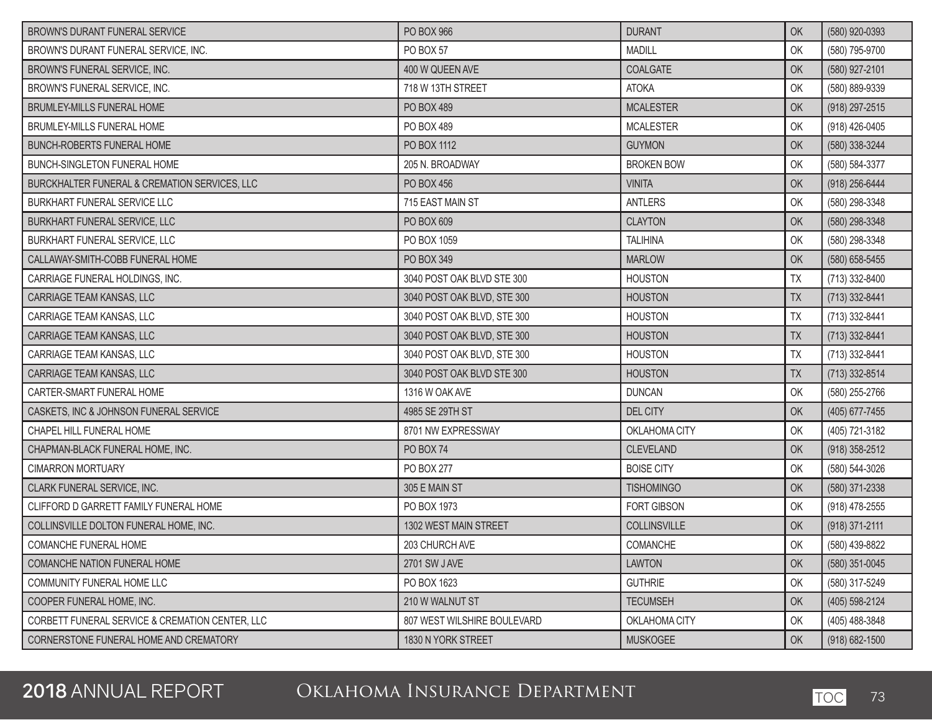| BROWN'S DURANT FUNERAL SERVICE                  | <b>PO BOX 966</b>           | <b>DURANT</b>       | OK        | (580) 920-0393     |
|-------------------------------------------------|-----------------------------|---------------------|-----------|--------------------|
| BROWN'S DURANT FUNERAL SERVICE, INC.            | <b>PO BOX 57</b>            | <b>MADILL</b>       | OK        | (580) 795-9700     |
| BROWN'S FUNERAL SERVICE, INC.                   | 400 W QUEEN AVE             | <b>COALGATE</b>     | OK        | (580) 927-2101     |
| BROWN'S FUNERAL SERVICE, INC.                   | 718 W 13TH STREET           | <b>ATOKA</b>        | OK        | (580) 889-9339     |
| <b>BRUMLEY-MILLS FUNERAL HOME</b>               | PO BOX 489                  | <b>MCALESTER</b>    | OK        | (918) 297-2515     |
| BRUMLEY-MILLS FUNERAL HOME                      | PO BOX 489                  | <b>MCALESTER</b>    | OK        | (918) 426-0405     |
| <b>BUNCH-ROBERTS FUNERAL HOME</b>               | PO BOX 1112                 | <b>GUYMON</b>       | OK        | (580) 338-3244     |
| <b>BUNCH-SINGLETON FUNERAL HOME</b>             | 205 N. BROADWAY             | <b>BROKEN BOW</b>   | OK        | (580) 584-3377     |
| BURCKHALTER FUNERAL & CREMATION SERVICES, LLC   | PO BOX 456                  | <b>VINITA</b>       | OK        | (918) 256-6444     |
| BURKHART FUNERAL SERVICE LLC                    | 715 EAST MAIN ST            | <b>ANTLERS</b>      | OK        | (580) 298-3348     |
| BURKHART FUNERAL SERVICE, LLC                   | PO BOX 609                  | <b>CLAYTON</b>      | OK        | (580) 298-3348     |
| BURKHART FUNERAL SERVICE, LLC                   | PO BOX 1059                 | <b>TALIHINA</b>     | OK        | (580) 298-3348     |
| CALLAWAY-SMITH-COBB FUNERAL HOME                | PO BOX 349                  | <b>MARLOW</b>       | OK        | (580) 658-5455     |
| CARRIAGE FUNERAL HOLDINGS, INC.                 | 3040 POST OAK BLVD STE 300  | <b>HOUSTON</b>      | <b>TX</b> | (713) 332-8400     |
| CARRIAGE TEAM KANSAS, LLC                       | 3040 POST OAK BLVD, STE 300 | <b>HOUSTON</b>      | <b>TX</b> | $(713)$ 332-8441   |
| CARRIAGE TEAM KANSAS, LLC                       | 3040 POST OAK BLVD, STE 300 | <b>HOUSTON</b>      | <b>TX</b> | (713) 332-8441     |
| CARRIAGE TEAM KANSAS, LLC                       | 3040 POST OAK BLVD, STE 300 | <b>HOUSTON</b>      | <b>TX</b> | (713) 332-8441     |
| CARRIAGE TEAM KANSAS, LLC                       | 3040 POST OAK BLVD, STE 300 | <b>HOUSTON</b>      | TX        | (713) 332-8441     |
| CARRIAGE TEAM KANSAS, LLC                       | 3040 POST OAK BLVD STE 300  | <b>HOUSTON</b>      | TX        | $(713)$ 332-8514   |
| CARTER-SMART FUNERAL HOME                       | 1316 W OAK AVE              | <b>DUNCAN</b>       | OK        | (580) 255-2766     |
| CASKETS, INC & JOHNSON FUNERAL SERVICE          | 4985 SE 29TH ST             | <b>DEL CITY</b>     | OK        | (405) 677-7455     |
| CHAPEL HILL FUNERAL HOME                        | 8701 NW EXPRESSWAY          | OKLAHOMA CITY       | OK        | (405) 721-3182     |
| CHAPMAN-BLACK FUNERAL HOME, INC.                | <b>PO BOX 74</b>            | <b>CLEVELAND</b>    | OK        | $(918)$ 358-2512   |
| <b>CIMARRON MORTUARY</b>                        | PO BOX 277                  | <b>BOISE CITY</b>   | OK        | (580) 544-3026     |
| CLARK FUNERAL SERVICE, INC.                     | 305 E MAIN ST               | <b>TISHOMINGO</b>   | OK        | (580) 371-2338     |
| CLIFFORD D GARRETT FAMILY FUNERAL HOME          | PO BOX 1973                 | <b>FORT GIBSON</b>  | OK        | (918) 478-2555     |
| COLLINSVILLE DOLTON FUNERAL HOME, INC.          | 1302 WEST MAIN STREET       | <b>COLLINSVILLE</b> | OK        | $(918)$ 371-2111   |
| COMANCHE FUNERAL HOME                           | 203 CHURCH AVE              | COMANCHE            | OK        | (580) 439-8822     |
| COMANCHE NATION FUNERAL HOME                    | 2701 SW J AVE               | <b>LAWTON</b>       | OK        | $(580)$ 351-0045   |
| <b>COMMUNITY FUNERAL HOME LLC</b>               | PO BOX 1623                 | <b>GUTHRIE</b>      | OK        | (580) 317-5249     |
| COOPER FUNERAL HOME, INC.                       | 210 W WALNUT ST             | <b>TECUMSEH</b>     | OK        | (405) 598-2124     |
| CORBETT FUNERAL SERVICE & CREMATION CENTER, LLC | 807 WEST WILSHIRE BOULEVARD | OKLAHOMA CITY       | OK        | (405) 488-3848     |
| CORNERSTONE FUNERAL HOME AND CREMATORY          | 1830 N YORK STREET          | <b>MUSKOGEE</b>     | OK        | $(918) 682 - 1500$ |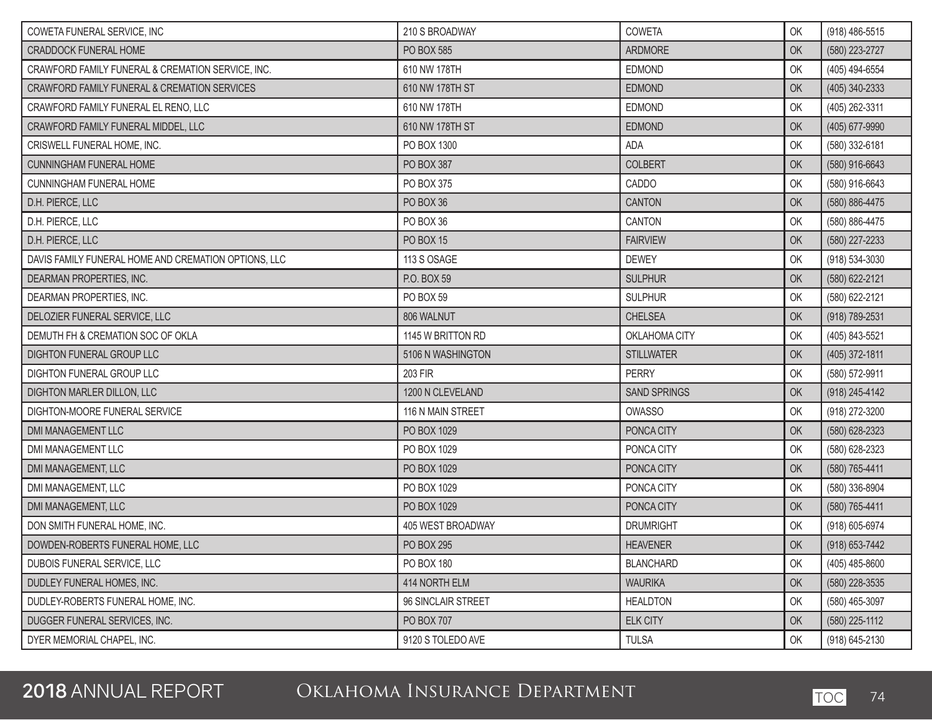| COWETA FUNERAL SERVICE, INC                          | 210 S BROADWAY     | COWETA              | OK | (918) 486-5515 |
|------------------------------------------------------|--------------------|---------------------|----|----------------|
| <b>CRADDOCK FUNERAL HOME</b>                         | PO BOX 585         | <b>ARDMORE</b>      | OK | (580) 223-2727 |
| CRAWFORD FAMILY FUNERAL & CREMATION SERVICE, INC.    | 610 NW 178TH       | EDMOND              | OK | (405) 494-6554 |
| CRAWFORD FAMILY FUNERAL & CREMATION SERVICES         | 610 NW 178TH ST    | <b>EDMOND</b>       | OK | (405) 340-2333 |
| CRAWFORD FAMILY FUNERAL EL RENO, LLC                 | 610 NW 178TH       | EDMOND              | OK | (405) 262-3311 |
| CRAWFORD FAMILY FUNERAL MIDDEL, LLC                  | 610 NW 178TH ST    | <b>EDMOND</b>       | OK | (405) 677-9990 |
| CRISWELL FUNERAL HOME, INC.                          | PO BOX 1300        | ADA                 | OK | (580) 332-6181 |
| <b>CUNNINGHAM FUNERAL HOME</b>                       | PO BOX 387         | <b>COLBERT</b>      | OK | (580) 916-6643 |
| <b>CUNNINGHAM FUNERAL HOME</b>                       | PO BOX 375         | CADDO               | OK | (580) 916-6643 |
| D.H. PIERCE, LLC                                     | PO BOX 36          | <b>CANTON</b>       | OK | (580) 886-4475 |
| D.H. PIERCE, LLC                                     | PO BOX 36          | CANTON              | OK | (580) 886-4475 |
| D.H. PIERCE, LLC                                     | <b>PO BOX 15</b>   | <b>FAIRVIEW</b>     | OK | (580) 227-2233 |
| DAVIS FAMILY FUNERAL HOME AND CREMATION OPTIONS, LLC | 113 S OSAGE        | <b>DEWEY</b>        | OK | (918) 534-3030 |
| DEARMAN PROPERTIES, INC.                             | P.O. BOX 59        | <b>SULPHUR</b>      | OK | (580) 622-2121 |
| DEARMAN PROPERTIES, INC.                             | PO BOX 59          | <b>SULPHUR</b>      | OK | (580) 622-2121 |
| DELOZIER FUNERAL SERVICE, LLC                        | 806 WALNUT         | <b>CHELSEA</b>      | OK | (918) 789-2531 |
| DEMUTH FH & CREMATION SOC OF OKLA                    | 1145 W BRITTON RD  | OKLAHOMA CITY       | OK | (405) 843-5521 |
| <b>DIGHTON FUNERAL GROUP LLC</b>                     | 5106 N WASHINGTON  | <b>STILLWATER</b>   | OK | (405) 372-1811 |
| DIGHTON FUNERAL GROUP LLC                            | 203 FIR            | <b>PERRY</b>        | OK | (580) 572-9911 |
| DIGHTON MARLER DILLON, LLC                           | 1200 N CLEVELAND   | <b>SAND SPRINGS</b> | OK | (918) 245-4142 |
| DIGHTON-MOORE FUNERAL SERVICE                        | 116 N MAIN STREET  | <b>OWASSO</b>       | OK | (918) 272-3200 |
| <b>DMI MANAGEMENT LLC</b>                            | PO BOX 1029        | PONCA CITY          | OK | (580) 628-2323 |
| DMI MANAGEMENT LLC                                   | PO BOX 1029        | PONCA CITY          | OK | (580) 628-2323 |
| DMI MANAGEMENT, LLC                                  | PO BOX 1029        | PONCA CITY          | OK | (580) 765-4411 |
| DMI MANAGEMENT, LLC                                  | PO BOX 1029        | PONCA CITY          | OK | (580) 336-8904 |
| DMI MANAGEMENT, LLC                                  | PO BOX 1029        | PONCA CITY          | OK | (580) 765-4411 |
| DON SMITH FUNERAL HOME, INC.                         | 405 WEST BROADWAY  | <b>DRUMRIGHT</b>    | OK | (918) 605-6974 |
| DOWDEN-ROBERTS FUNERAL HOME, LLC                     | PO BOX 295         | <b>HEAVENER</b>     | OK | (918) 653-7442 |
| DUBOIS FUNERAL SERVICE, LLC                          | PO BOX 180         | <b>BLANCHARD</b>    | OK | (405) 485-8600 |
| DUDLEY FUNERAL HOMES, INC.                           | 414 NORTH ELM      | <b>WAURIKA</b>      | OK | (580) 228-3535 |
| DUDLEY-ROBERTS FUNERAL HOME, INC.                    | 96 SINCLAIR STREET | <b>HEALDTON</b>     | OK | (580) 465-3097 |
| DUGGER FUNERAL SERVICES, INC.                        | PO BOX 707         | <b>ELK CITY</b>     | OK | (580) 225-1112 |
| DYER MEMORIAL CHAPEL, INC.                           | 9120 S TOLEDO AVE  | <b>TULSA</b>        | OK | (918) 645-2130 |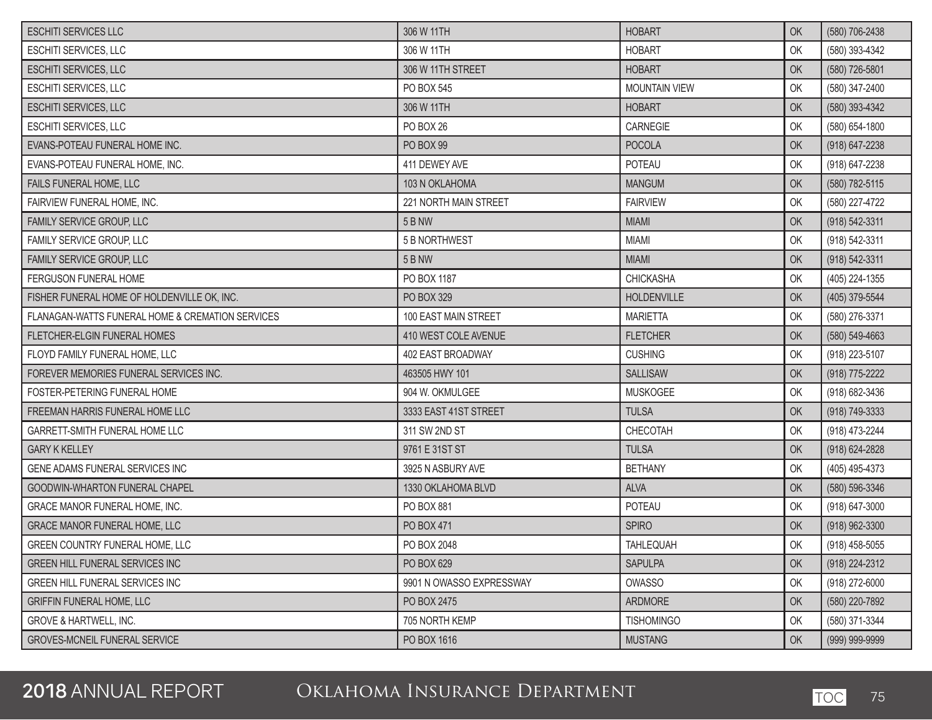| <b>ESCHITI SERVICES LLC</b>                      | 306 W 11TH               | <b>HOBART</b>        | OK | (580) 706-2438     |
|--------------------------------------------------|--------------------------|----------------------|----|--------------------|
| <b>ESCHITI SERVICES, LLC</b>                     | 306 W 11TH               | <b>HOBART</b>        | OK | (580) 393-4342     |
| ESCHITI SERVICES, LLC                            | 306 W 11TH STREET        | <b>HOBART</b>        | OK | (580) 726-5801     |
| ESCHITI SERVICES, LLC                            | PO BOX 545               | <b>MOUNTAIN VIEW</b> | OK | (580) 347-2400     |
| <b>ESCHITI SERVICES, LLC</b>                     | 306 W 11TH               | <b>HOBART</b>        | OK | (580) 393-4342     |
| ESCHITI SERVICES, LLC                            | PO BOX 26                | CARNEGIE             | OK | (580) 654-1800     |
| EVANS-POTEAU FUNERAL HOME INC.                   | PO BOX 99                | <b>POCOLA</b>        | OK | $(918) 647 - 2238$ |
| EVANS-POTEAU FUNERAL HOME, INC.                  | 411 DEWEY AVE            | POTEAU               | OK | (918) 647-2238     |
| FAILS FUNERAL HOME, LLC                          | 103 N OKLAHOMA           | <b>MANGUM</b>        | OK | (580) 782-5115     |
| FAIRVIEW FUNERAL HOME, INC.                      | 221 NORTH MAIN STREET    | <b>FAIRVIEW</b>      | OK | (580) 227-4722     |
| FAMILY SERVICE GROUP, LLC                        | <b>5 B NW</b>            | <b>MIAMI</b>         | OK | (918) 542-3311     |
| FAMILY SERVICE GROUP, LLC                        | 5 B NORTHWEST            | <b>MIAMI</b>         | OK | (918) 542-3311     |
| FAMILY SERVICE GROUP, LLC                        | <b>5 B NW</b>            | <b>MIAMI</b>         | OK | (918) 542-3311     |
| <b>FERGUSON FUNERAL HOME</b>                     | PO BOX 1187              | <b>CHICKASHA</b>     | OK | (405) 224-1355     |
| FISHER FUNERAL HOME OF HOLDENVILLE OK, INC.      | PO BOX 329               | HOLDENVILLE          | OK | (405) 379-5544     |
| FLANAGAN-WATTS FUNERAL HOME & CREMATION SERVICES | 100 EAST MAIN STREET     | <b>MARIETTA</b>      | OK | (580) 276-3371     |
| FLETCHER-ELGIN FUNERAL HOMES                     | 410 WEST COLE AVENUE     | <b>FLETCHER</b>      | OK | (580) 549-4663     |
| FLOYD FAMILY FUNERAL HOME, LLC                   | 402 EAST BROADWAY        | <b>CUSHING</b>       | OK | (918) 223-5107     |
| FOREVER MEMORIES FUNERAL SERVICES INC.           | 463505 HWY 101           | <b>SALLISAW</b>      | OK | (918) 775-2222     |
| FOSTER-PETERING FUNERAL HOME                     | 904 W. OKMULGEE          | <b>MUSKOGEE</b>      | OK | (918) 682-3436     |
| FREEMAN HARRIS FUNERAL HOME LLC                  | 3333 EAST 41ST STREET    | <b>TULSA</b>         | OK | (918) 749-3333     |
| GARRETT-SMITH FUNERAL HOME LLC                   | 311 SW 2ND ST            | CHECOTAH             | OK | (918) 473-2244     |
| <b>GARY K KELLEY</b>                             | 9761 E 31ST ST           | <b>TULSA</b>         | OK | (918) 624-2828     |
| GENE ADAMS FUNERAL SERVICES INC                  | 3925 N ASBURY AVE        | <b>BETHANY</b>       | OK | (405) 495-4373     |
| <b>GOODWIN-WHARTON FUNERAL CHAPEL</b>            | 1330 OKLAHOMA BLVD       | <b>ALVA</b>          | OK | (580) 596-3346     |
| GRACE MANOR FUNERAL HOME, INC.                   | PO BOX 881               | POTEAU               | OK | (918) 647-3000     |
| <b>GRACE MANOR FUNERAL HOME, LLC</b>             | PO BOX 471               | <b>SPIRO</b>         | OK | (918) 962-3300     |
| GREEN COUNTRY FUNERAL HOME, LLC                  | PO BOX 2048              | TAHLEQUAH            | OK | $(918)$ 458-5055   |
| GREEN HILL FUNERAL SERVICES INC                  | PO BOX 629               | <b>SAPULPA</b>       | OK | (918) 224-2312     |
| GREEN HILL FUNERAL SERVICES INC                  | 9901 N OWASSO EXPRESSWAY | OWASSO               | OK | (918) 272-6000     |
| <b>GRIFFIN FUNERAL HOME, LLC</b>                 | PO BOX 2475              | ARDMORE              | OK | (580) 220-7892     |
| <b>GROVE &amp; HARTWELL, INC.</b>                | 705 NORTH KEMP           | <b>TISHOMINGO</b>    | OK | (580) 371-3344     |
| <b>GROVES-MCNEIL FUNERAL SERVICE</b>             | PO BOX 1616              | <b>MUSTANG</b>       | OK | (999) 999-9999     |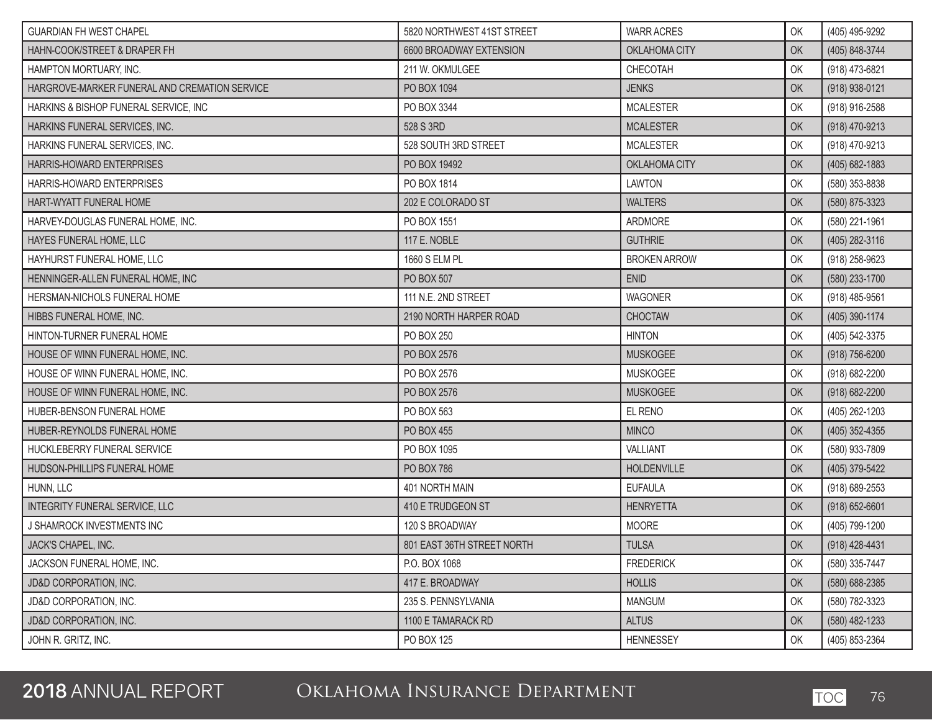| <b>GUARDIAN FH WEST CHAPEL</b>                | 5820 NORTHWEST 41ST STREET | <b>WARR ACRES</b>   | OK | (405) 495-9292     |
|-----------------------------------------------|----------------------------|---------------------|----|--------------------|
| HAHN-COOK/STREET & DRAPER FH                  | 6600 BROADWAY EXTENSION    | OKLAHOMA CITY       | OK | (405) 848-3744     |
| HAMPTON MORTUARY, INC.                        | 211 W. OKMULGEE            | CHECOTAH            | OK | (918) 473-6821     |
| HARGROVE-MARKER FUNERAL AND CREMATION SERVICE | PO BOX 1094                | <b>JENKS</b>        | OK | (918) 938-0121     |
| HARKINS & BISHOP FUNERAL SERVICE, INC         | PO BOX 3344                | <b>MCALESTER</b>    | OK | (918) 916-2588     |
| HARKINS FUNERAL SERVICES, INC.                | 528 S 3RD                  | <b>MCALESTER</b>    | OK | (918) 470-9213     |
| HARKINS FUNERAL SERVICES, INC.                | 528 SOUTH 3RD STREET       | <b>MCALESTER</b>    | OK | (918) 470-9213     |
| HARRIS-HOWARD ENTERPRISES                     | PO BOX 19492               | OKLAHOMA CITY       | OK | $(405)$ 682-1883   |
| HARRIS-HOWARD ENTERPRISES                     | PO BOX 1814                | <b>LAWTON</b>       | OK | (580) 353-8838     |
| HART-WYATT FUNERAL HOME                       | 202 E COLORADO ST          | <b>WALTERS</b>      | OK | (580) 875-3323     |
| HARVEY-DOUGLAS FUNERAL HOME, INC.             | PO BOX 1551                | ARDMORE             | OK | (580) 221-1961     |
| HAYES FUNERAL HOME, LLC                       | 117 E. NOBLE               | <b>GUTHRIE</b>      | OK | (405) 282-3116     |
| HAYHURST FUNERAL HOME, LLC                    | 1660 S ELM PL              | <b>BROKEN ARROW</b> | OK | (918) 258-9623     |
| HENNINGER-ALLEN FUNERAL HOME, INC             | PO BOX 507                 | <b>ENID</b>         | OK | (580) 233-1700     |
| HERSMAN-NICHOLS FUNERAL HOME                  | 111 N.E. 2ND STREET        | <b>WAGONER</b>      | OK | (918) 485-9561     |
| HIBBS FUNERAL HOME, INC.                      | 2190 NORTH HARPER ROAD     | <b>CHOCTAW</b>      | OK | (405) 390-1174     |
| HINTON-TURNER FUNERAL HOME                    | PO BOX 250                 | <b>HINTON</b>       | OK | (405) 542-3375     |
| HOUSE OF WINN FUNERAL HOME, INC.              | PO BOX 2576                | <b>MUSKOGEE</b>     | OK | (918) 756-6200     |
| HOUSE OF WINN FUNERAL HOME, INC.              | PO BOX 2576                | <b>MUSKOGEE</b>     | OK | (918) 682-2200     |
| HOUSE OF WINN FUNERAL HOME, INC.              | PO BOX 2576                | <b>MUSKOGEE</b>     | OK | (918) 682-2200     |
| HUBER-BENSON FUNERAL HOME                     | PO BOX 563                 | EL RENO             | OK | (405) 262-1203     |
| HUBER-REYNOLDS FUNERAL HOME                   | PO BOX 455                 | <b>MINCO</b>        | OK | $(405)$ 352-4355   |
| HUCKLEBERRY FUNERAL SERVICE                   | PO BOX 1095                | VALLIANT            | OK | (580) 933-7809     |
| HUDSON-PHILLIPS FUNERAL HOME                  | <b>PO BOX 786</b>          | <b>HOLDENVILLE</b>  | OK | (405) 379-5422     |
| HUNN, LLC                                     | 401 NORTH MAIN             | <b>EUFAULA</b>      | OK | (918) 689-2553     |
| INTEGRITY FUNERAL SERVICE, LLC                | 410 E TRUDGEON ST          | <b>HENRYETTA</b>    | OK | $(918) 652 - 6601$ |
| J SHAMROCK INVESTMENTS INC                    | 120 S BROADWAY             | <b>MOORE</b>        | OK | (405) 799-1200     |
| JACK'S CHAPEL, INC.                           | 801 EAST 36TH STREET NORTH | <b>TULSA</b>        | OK | (918) 428-4431     |
| JACKSON FUNERAL HOME, INC.                    | P.O. BOX 1068              | <b>FREDERICK</b>    | OK | (580) 335-7447     |
| JD&D CORPORATION, INC.                        | 417 E. BROADWAY            | <b>HOLLIS</b>       | OK | (580) 688-2385     |
| <b>JD&amp;D CORPORATION, INC.</b>             | 235 S. PENNSYLVANIA        | <b>MANGUM</b>       | OK | (580) 782-3323     |
| JD&D CORPORATION, INC.                        | 1100 E TAMARACK RD         | <b>ALTUS</b>        | OK | $(580)$ 482-1233   |
| JOHN R. GRITZ, INC.                           | PO BOX 125                 | <b>HENNESSEY</b>    | OK | (405) 853-2364     |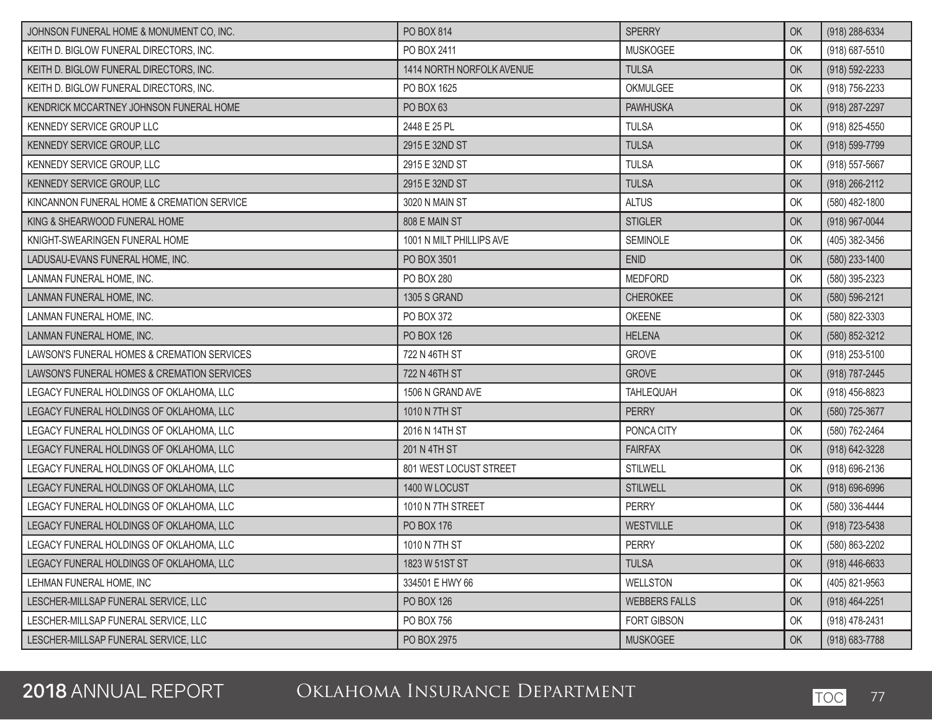| JOHNSON FUNERAL HOME & MONUMENT CO, INC.    | PO BOX 814                | <b>SPERRY</b>        | OK | (918) 288-6334     |
|---------------------------------------------|---------------------------|----------------------|----|--------------------|
| KEITH D. BIGLOW FUNERAL DIRECTORS, INC.     | PO BOX 2411               | <b>MUSKOGEE</b>      | OK | (918) 687-5510     |
| KEITH D. BIGLOW FUNERAL DIRECTORS, INC.     | 1414 NORTH NORFOLK AVENUE | <b>TULSA</b>         | OK | (918) 592-2233     |
| KEITH D. BIGLOW FUNERAL DIRECTORS, INC.     | PO BOX 1625               | OKMULGEE             | OK | (918) 756-2233     |
| KENDRICK MCCARTNEY JOHNSON FUNERAL HOME     | PO BOX 63                 | <b>PAWHUSKA</b>      | OK | (918) 287-2297     |
| KENNEDY SERVICE GROUP LLC                   | 2448 E 25 PL              | <b>TULSA</b>         | OK | (918) 825-4550     |
| KENNEDY SERVICE GROUP, LLC                  | 2915 E 32ND ST            | <b>TULSA</b>         | OK | (918) 599-7799     |
| KENNEDY SERVICE GROUP, LLC                  | 2915 E 32ND ST            | <b>TULSA</b>         | OK | (918) 557-5667     |
| KENNEDY SERVICE GROUP, LLC                  | 2915 E 32ND ST            | <b>TULSA</b>         | OK | (918) 266-2112     |
| KINCANNON FUNERAL HOME & CREMATION SERVICE  | 3020 N MAIN ST            | <b>ALTUS</b>         | OK | (580) 482-1800     |
| KING & SHEARWOOD FUNERAL HOME               | 808 E MAIN ST             | <b>STIGLER</b>       | OK | (918) 967-0044     |
| KNIGHT-SWEARINGEN FUNERAL HOME              | 1001 N MILT PHILLIPS AVE  | SEMINOLE             | OK | (405) 382-3456     |
| LADUSAU-EVANS FUNERAL HOME, INC.            | PO BOX 3501               | <b>ENID</b>          | OK | (580) 233-1400     |
| LANMAN FUNERAL HOME, INC.                   | PO BOX 280                | <b>MEDFORD</b>       | OK | (580) 395-2323     |
| LANMAN FUNERAL HOME, INC.                   | 1305 S GRAND              | <b>CHEROKEE</b>      | OK | (580) 596-2121     |
| LANMAN FUNERAL HOME, INC.                   | PO BOX 372                | OKEENE               | OK | (580) 822-3303     |
| LANMAN FUNERAL HOME, INC.                   | PO BOX 126                | <b>HELENA</b>        | OK | (580) 852-3212     |
| LAWSON'S FUNERAL HOMES & CREMATION SERVICES | 722 N 46TH ST             | <b>GROVE</b>         | OK | (918) 253-5100     |
| LAWSON'S FUNERAL HOMES & CREMATION SERVICES | 722 N 46TH ST             | <b>GROVE</b>         | OK | (918) 787-2445     |
| LEGACY FUNERAL HOLDINGS OF OKLAHOMA, LLC    | 1506 N GRAND AVE          | <b>TAHLEQUAH</b>     | OK | (918) 456-8823     |
| LEGACY FUNERAL HOLDINGS OF OKLAHOMA, LLC    | 1010 N 7TH ST             | <b>PERRY</b>         | OK | (580) 725-3677     |
| LEGACY FUNERAL HOLDINGS OF OKLAHOMA, LLC    | 2016 N 14TH ST            | PONCA CITY           | OK | (580) 762-2464     |
| LEGACY FUNERAL HOLDINGS OF OKLAHOMA, LLC    | 201 N 4TH ST              | <b>FAIRFAX</b>       | OK | (918) 642-3228     |
| LEGACY FUNERAL HOLDINGS OF OKLAHOMA, LLC    | 801 WEST LOCUST STREET    | <b>STILWELL</b>      | OK | (918) 696-2136     |
| LEGACY FUNERAL HOLDINGS OF OKLAHOMA, LLC    | 1400 W LOCUST             | <b>STILWELL</b>      | OK | $(918) 696 - 6996$ |
| LEGACY FUNERAL HOLDINGS OF OKLAHOMA, LLC    | 1010 N 7TH STREET         | <b>PERRY</b>         | OK | (580) 336-4444     |
| LEGACY FUNERAL HOLDINGS OF OKLAHOMA, LLC    | PO BOX 176                | <b>WESTVILLE</b>     | OK | (918) 723-5438     |
| LEGACY FUNERAL HOLDINGS OF OKLAHOMA, LLC    | 1010 N 7TH ST             | <b>PERRY</b>         | OK | (580) 863-2202     |
| LEGACY FUNERAL HOLDINGS OF OKLAHOMA, LLC    | 1823 W 51ST ST            | <b>TULSA</b>         | OK | $(918) 446 - 6633$ |
| LEHMAN FUNERAL HOME, INC                    | 334501 E HWY 66           | WELLSTON             | OK | (405) 821-9563     |
| LESCHER-MILLSAP FUNERAL SERVICE, LLC        | PO BOX 126                | <b>WEBBERS FALLS</b> | OK | (918) 464-2251     |
| LESCHER-MILLSAP FUNERAL SERVICE, LLC        | PO BOX 756                | <b>FORT GIBSON</b>   | OK | (918) 478-2431     |
| LESCHER-MILLSAP FUNERAL SERVICE, LLC        | PO BOX 2975               | <b>MUSKOGEE</b>      | OK | $(918) 683 - 7788$ |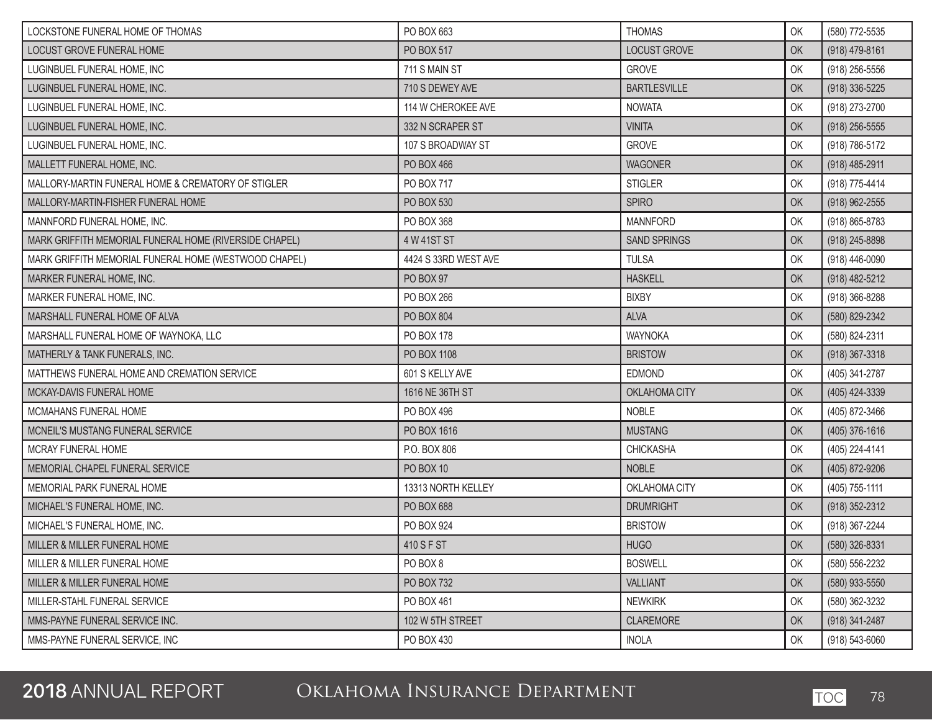| LOCKSTONE FUNERAL HOME OF THOMAS                       | PO BOX 663           | <b>THOMAS</b>       | OK | (580) 772-5535     |
|--------------------------------------------------------|----------------------|---------------------|----|--------------------|
| LOCUST GROVE FUNERAL HOME                              | PO BOX 517           | <b>LOCUST GROVE</b> | OK | $(918)$ 479-8161   |
| LUGINBUEL FUNERAL HOME, INC                            | 711 S MAIN ST        | <b>GROVE</b>        | OK | (918) 256-5556     |
| LUGINBUEL FUNERAL HOME, INC.                           | 710 S DEWEY AVE      | <b>BARTLESVILLE</b> | OK | $(918)$ 336-5225   |
| LUGINBUEL FUNERAL HOME, INC.                           | 114 W CHEROKEE AVE   | <b>NOWATA</b>       | OK | (918) 273-2700     |
| LUGINBUEL FUNERAL HOME, INC.                           | 332 N SCRAPER ST     | <b>VINITA</b>       | OK | $(918)$ 256-5555   |
| LUGINBUEL FUNERAL HOME, INC.                           | 107 S BROADWAY ST    | <b>GROVE</b>        | OK | (918) 786-5172     |
| MALLETT FUNERAL HOME, INC.                             | PO BOX 466           | <b>WAGONER</b>      | OK | (918) 485-2911     |
| MALLORY-MARTIN FUNERAL HOME & CREMATORY OF STIGLER     | PO BOX 717           | <b>STIGLER</b>      | OK | (918) 775-4414     |
| MALLORY-MARTIN-FISHER FUNERAL HOME                     | PO BOX 530           | <b>SPIRO</b>        | OK | $(918)$ 962-2555   |
| MANNFORD FUNERAL HOME, INC.                            | PO BOX 368           | <b>MANNFORD</b>     | OK | (918) 865-8783     |
| MARK GRIFFITH MEMORIAL FUNERAL HOME (RIVERSIDE CHAPEL) | 4 W 41ST ST          | <b>SAND SPRINGS</b> | OK | (918) 245-8898     |
| MARK GRIFFITH MEMORIAL FUNERAL HOME (WESTWOOD CHAPEL)  | 4424 S 33RD WEST AVE | <b>TULSA</b>        | OK | (918) 446-0090     |
| MARKER FUNERAL HOME, INC.                              | PO BOX 97            | <b>HASKELL</b>      | OK | (918) 482-5212     |
| MARKER FUNERAL HOME, INC.                              | PO BOX 266           | <b>BIXBY</b>        | OK | $(918)$ 366-8288   |
| MARSHALL FUNERAL HOME OF ALVA                          | PO BOX 804           | <b>ALVA</b>         | OK | (580) 829-2342     |
| MARSHALL FUNERAL HOME OF WAYNOKA, LLC                  | PO BOX 178           | <b>WAYNOKA</b>      | OK | (580) 824-2311     |
| MATHERLY & TANK FUNERALS, INC.                         | PO BOX 1108          | <b>BRISTOW</b>      | OK | $(918)$ 367-3318   |
| MATTHEWS FUNERAL HOME AND CREMATION SERVICE            | 601 S KELLY AVE      | <b>EDMOND</b>       | OK | (405) 341-2787     |
| MCKAY-DAVIS FUNERAL HOME                               | 1616 NE 36TH ST      | OKLAHOMA CITY       | OK | (405) 424-3339     |
| MCMAHANS FUNERAL HOME                                  | PO BOX 496           | <b>NOBLE</b>        | OK | (405) 872-3466     |
| MCNEIL'S MUSTANG FUNERAL SERVICE                       | PO BOX 1616          | <b>MUSTANG</b>      | OK | (405) 376-1616     |
| MCRAY FUNERAL HOME                                     | P.O. BOX 806         | <b>CHICKASHA</b>    | OK | (405) 224-4141     |
| MEMORIAL CHAPEL FUNERAL SERVICE                        | <b>PO BOX 10</b>     | <b>NOBLE</b>        | OK | (405) 872-9206     |
| MEMORIAL PARK FUNERAL HOME                             | 13313 NORTH KELLEY   | OKLAHOMA CITY       | OK | (405) 755-1111     |
| MICHAEL'S FUNERAL HOME, INC.                           | PO BOX 688           | <b>DRUMRIGHT</b>    | OK | (918) 352-2312     |
| MICHAEL'S FUNERAL HOME, INC.                           | PO BOX 924           | <b>BRISTOW</b>      | OK | (918) 367-2244     |
| MILLER & MILLER FUNERAL HOME                           | 410 S F ST           | <b>HUGO</b>         | OK | (580) 326-8331     |
| MILLER & MILLER FUNERAL HOME                           | PO BOX 8             | <b>BOSWELL</b>      | OK | (580) 556-2232     |
| MILLER & MILLER FUNERAL HOME                           | PO BOX 732           | <b>VALLIANT</b>     | OK | $(580)$ 933-5550   |
| MILLER-STAHL FUNERAL SERVICE                           | PO BOX 461           | <b>NEWKIRK</b>      | OK | (580) 362-3232     |
| MMS-PAYNE FUNERAL SERVICE INC.                         | 102 W 5TH STREET     | CLAREMORE           | OK | (918) 341-2487     |
| MMS-PAYNE FUNERAL SERVICE, INC                         | PO BOX 430           | <b>INOLA</b>        | OK | $(918) 543 - 6060$ |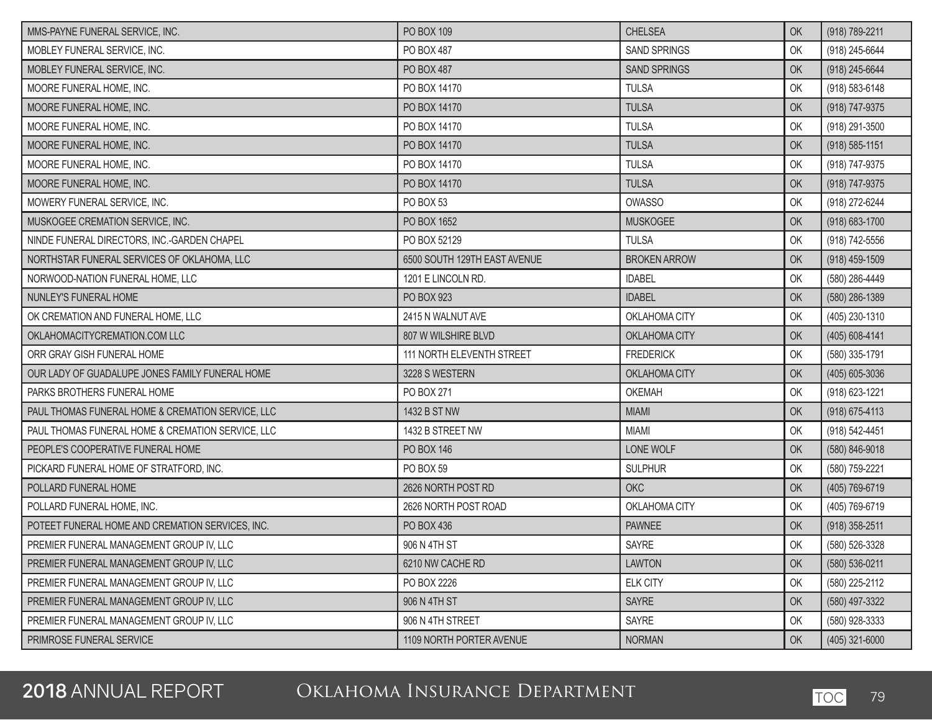| MMS-PAYNE FUNERAL SERVICE, INC.                   | PO BOX 109                   | <b>CHELSEA</b>      | OK | (918) 789-2211     |
|---------------------------------------------------|------------------------------|---------------------|----|--------------------|
| MOBLEY FUNERAL SERVICE, INC.                      | PO BOX 487                   | <b>SAND SPRINGS</b> | OK | (918) 245-6644     |
| MOBLEY FUNERAL SERVICE, INC.                      | PO BOX 487                   | <b>SAND SPRINGS</b> | OK | (918) 245-6644     |
| MOORE FUNERAL HOME, INC.                          | PO BOX 14170                 | <b>TULSA</b>        | OK | (918) 583-6148     |
| MOORE FUNERAL HOME, INC.                          | PO BOX 14170                 | <b>TULSA</b>        | OK | (918) 747-9375     |
| MOORE FUNERAL HOME, INC.                          | PO BOX 14170                 | <b>TULSA</b>        | OK | (918) 291-3500     |
| MOORE FUNERAL HOME, INC.                          | PO BOX 14170                 | <b>TULSA</b>        | OK | $(918) 585 - 1151$ |
| MOORE FUNERAL HOME, INC.                          | PO BOX 14170                 | <b>TULSA</b>        | OK | (918) 747-9375     |
| MOORE FUNERAL HOME, INC.                          | PO BOX 14170                 | <b>TULSA</b>        | OK | (918) 747-9375     |
| MOWERY FUNERAL SERVICE, INC.                      | PO BOX 53                    | <b>OWASSO</b>       | OK | (918) 272-6244     |
| MUSKOGEE CREMATION SERVICE, INC.                  | PO BOX 1652                  | <b>MUSKOGEE</b>     | OK | (918) 683-1700     |
| NINDE FUNERAL DIRECTORS, INC.-GARDEN CHAPEL       | PO BOX 52129                 | <b>TULSA</b>        | OK | (918) 742-5556     |
| NORTHSTAR FUNERAL SERVICES OF OKLAHOMA, LLC       | 6500 SOUTH 129TH EAST AVENUE | <b>BROKEN ARROW</b> | OK | (918) 459-1509     |
| NORWOOD-NATION FUNERAL HOME, LLC                  | 1201 E LINCOLN RD.           | <b>IDABEL</b>       | OK | (580) 286-4449     |
| NUNLEY'S FUNERAL HOME                             | PO BOX 923                   | <b>IDABEL</b>       | OK | $(580)$ 286-1389   |
| OK CREMATION AND FUNERAL HOME, LLC                | 2415 N WALNUT AVE            | OKLAHOMA CITY       | OK | (405) 230-1310     |
| OKLAHOMACITYCREMATION.COM LLC                     | 807 W WILSHIRE BLVD          | OKLAHOMA CITY       | OK | $(405) 608 - 4141$ |
| ORR GRAY GISH FUNERAL HOME                        | 111 NORTH ELEVENTH STREET    | <b>FREDERICK</b>    | OK | (580) 335-1791     |
| OUR LADY OF GUADALUPE JONES FAMILY FUNERAL HOME   | 3228 S WESTERN               | OKLAHOMA CITY       | OK | (405) 605-3036     |
| PARKS BROTHERS FUNERAL HOME                       | PO BOX 271                   | <b>OKEMAH</b>       | OK | (918) 623-1221     |
| PAUL THOMAS FUNERAL HOME & CREMATION SERVICE, LLC | 1432 B ST NW                 | <b>MIAMI</b>        | OK | (918) 675-4113     |
| PAUL THOMAS FUNERAL HOME & CREMATION SERVICE, LLC | 1432 B STREET NW             | <b>MIAMI</b>        | OK | (918) 542-4451     |
| PEOPLE'S COOPERATIVE FUNERAL HOME                 | PO BOX 146                   | LONE WOLF           | OK | (580) 846-9018     |
| PICKARD FUNERAL HOME OF STRATFORD, INC.           | PO BOX 59                    | <b>SULPHUR</b>      | OK | (580) 759-2221     |
| POLLARD FUNERAL HOME                              | 2626 NORTH POST RD           | <b>OKC</b>          | OK | (405) 769-6719     |
| POLLARD FUNERAL HOME, INC.                        | 2626 NORTH POST ROAD         | OKLAHOMA CITY       | OK | (405) 769-6719     |
| POTEET FUNERAL HOME AND CREMATION SERVICES, INC.  | PO BOX 436                   | <b>PAWNEE</b>       | OK | $(918)$ 358-2511   |
| PREMIER FUNERAL MANAGEMENT GROUP IV, LLC          | 906 N 4TH ST                 | SAYRE               | OK | (580) 526-3328     |
| PREMIER FUNERAL MANAGEMENT GROUP IV, LLC          | 6210 NW CACHE RD             | <b>LAWTON</b>       | OK | (580) 536-0211     |
| PREMIER FUNERAL MANAGEMENT GROUP IV, LLC          | PO BOX 2226                  | <b>ELK CITY</b>     | OK | (580) 225-2112     |
| PREMIER FUNERAL MANAGEMENT GROUP IV, LLC          | 906 N 4TH ST                 | <b>SAYRE</b>        | OK | (580) 497-3322     |
| PREMIER FUNERAL MANAGEMENT GROUP IV, LLC          | 906 N 4TH STREET             | SAYRE               | OK | (580) 928-3333     |
| PRIMROSE FUNERAL SERVICE                          | 1109 NORTH PORTER AVENUE     | <b>NORMAN</b>       | OK | (405) 321-6000     |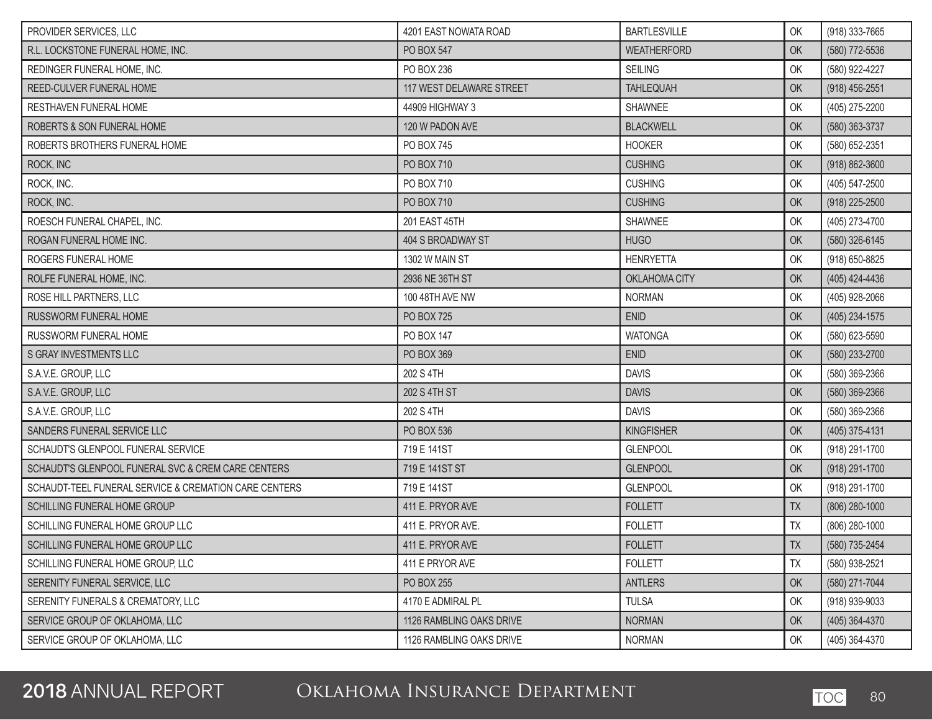| PROVIDER SERVICES, LLC                                | 4201 EAST NOWATA ROAD    | <b>BARTLESVILLE</b> | OK         | (918) 333-7665   |
|-------------------------------------------------------|--------------------------|---------------------|------------|------------------|
| R.L. LOCKSTONE FUNERAL HOME, INC.                     | <b>PO BOX 547</b>        | <b>WEATHERFORD</b>  | OK         | (580) 772-5536   |
| REDINGER FUNERAL HOME, INC.                           | PO BOX 236               | <b>SEILING</b>      | OK         | (580) 922-4227   |
| REED-CULVER FUNERAL HOME                              | 117 WEST DELAWARE STREET | <b>TAHLEQUAH</b>    | OK         | $(918)$ 456-2551 |
| <b>RESTHAVEN FUNERAL HOME</b>                         | 44909 HIGHWAY 3          | SHAWNEE             | OK         | (405) 275-2200   |
| ROBERTS & SON FUNERAL HOME                            | 120 W PADON AVE          | <b>BLACKWELL</b>    | OK         | (580) 363-3737   |
| ROBERTS BROTHERS FUNERAL HOME                         | PO BOX 745               | <b>HOOKER</b>       | OK         | (580) 652-2351   |
| ROCK, INC                                             | PO BOX 710               | <b>CUSHING</b>      | OK         | (918) 862-3600   |
| ROCK, INC.                                            | PO BOX 710               | <b>CUSHING</b>      | OK         | (405) 547-2500   |
| ROCK, INC.                                            | PO BOX 710               | <b>CUSHING</b>      | OK         | (918) 225-2500   |
| ROESCH FUNERAL CHAPEL, INC.                           | 201 EAST 45TH            | SHAWNEE             | OK         | (405) 273-4700   |
| ROGAN FUNERAL HOME INC.                               | 404 S BROADWAY ST        | <b>HUGO</b>         | OK         | (580) 326-6145   |
| ROGERS FUNERAL HOME                                   | 1302 W MAIN ST           | <b>HENRYETTA</b>    | OK         | (918) 650-8825   |
| ROLFE FUNERAL HOME, INC.                              | 2936 NE 36TH ST          | OKLAHOMA CITY       | OK         | (405) 424-4436   |
| ROSE HILL PARTNERS, LLC                               | 100 48TH AVE NW          | <b>NORMAN</b>       | OK         | (405) 928-2066   |
| <b>RUSSWORM FUNERAL HOME</b>                          | PO BOX 725               | <b>ENID</b>         | OK         | (405) 234-1575   |
| RUSSWORM FUNERAL HOME                                 | PO BOX 147               | <b>WATONGA</b>      | OK         | (580) 623-5590   |
| S GRAY INVESTMENTS LLC                                | PO BOX 369               | <b>ENID</b>         | OK         | (580) 233-2700   |
| S.A.V.E. GROUP, LLC                                   | 202 S 4TH                | <b>DAVIS</b>        | OK         | (580) 369-2366   |
| S.A.V.E. GROUP, LLC                                   | 202 S 4TH ST             | <b>DAVIS</b>        | OK         | (580) 369-2366   |
| S.A.V.E. GROUP, LLC                                   | 202 S 4TH                | <b>DAVIS</b>        | OK         | (580) 369-2366   |
| SANDERS FUNERAL SERVICE LLC                           | <b>PO BOX 536</b>        | <b>KINGFISHER</b>   | OK         | (405) 375-4131   |
| SCHAUDT'S GLENPOOL FUNERAL SERVICE                    | 719 E 141ST              | <b>GLENPOOL</b>     | OK         | (918) 291-1700   |
| SCHAUDT'S GLENPOOL FUNERAL SVC & CREM CARE CENTERS    | 719 E 141ST ST           | <b>GLENPOOL</b>     | OK         | (918) 291-1700   |
| SCHAUDT-TEEL FUNERAL SERVICE & CREMATION CARE CENTERS | 719 E 141ST              | <b>GLENPOOL</b>     | OK         | (918) 291-1700   |
| SCHILLING FUNERAL HOME GROUP                          | 411 E. PRYOR AVE         | <b>FOLLETT</b>      | <b>TX</b>  | $(806)$ 280-1000 |
| SCHILLING FUNERAL HOME GROUP LLC                      | 411 E. PRYOR AVE.        | <b>FOLLETT</b>      | TX         | (806) 280-1000   |
| SCHILLING FUNERAL HOME GROUP LLC                      | 411 E. PRYOR AVE         | <b>FOLLETT</b>      | ${\sf TX}$ | (580) 735-2454   |
| SCHILLING FUNERAL HOME GROUP, LLC                     | 411 E PRYOR AVE          | <b>FOLLETT</b>      | TX         | (580) 938-2521   |
| SERENITY FUNERAL SERVICE, LLC                         | PO BOX 255               | <b>ANTLERS</b>      | OK         | (580) 271-7044   |
| SERENITY FUNERALS & CREMATORY, LLC                    | 4170 E ADMIRAL PL        | <b>TULSA</b>        | OK         | (918) 939-9033   |
| SERVICE GROUP OF OKLAHOMA, LLC                        | 1126 RAMBLING OAKS DRIVE | <b>NORMAN</b>       | OK         | (405) 364-4370   |
| SERVICE GROUP OF OKLAHOMA, LLC                        | 1126 RAMBLING OAKS DRIVE | <b>NORMAN</b>       | OK         | (405) 364-4370   |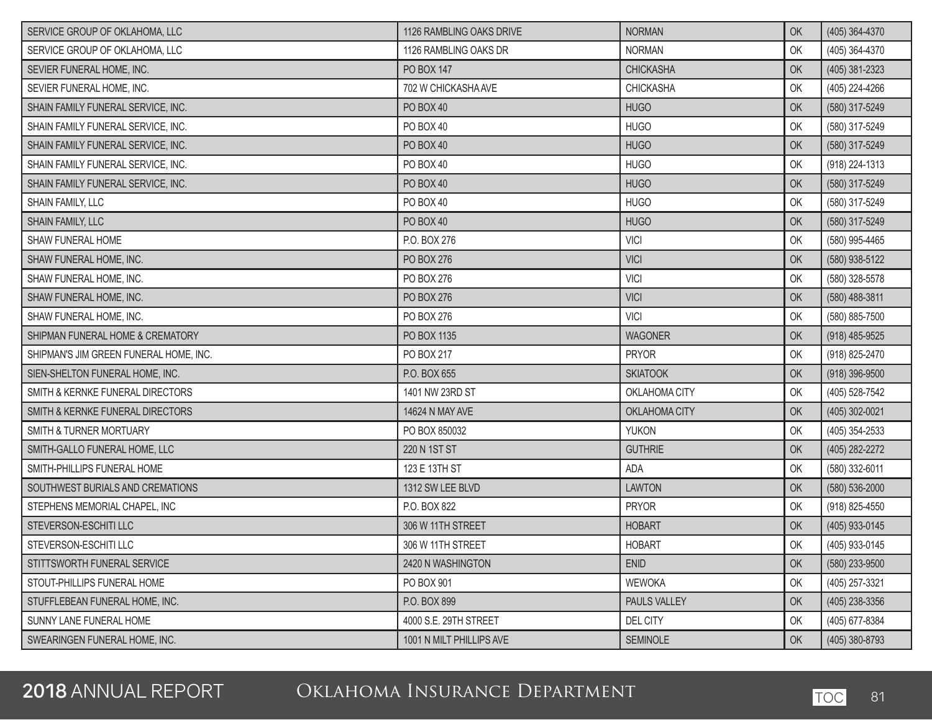| SERVICE GROUP OF OKLAHOMA, LLC         | 1126 RAMBLING OAKS DRIVE | <b>NORMAN</b>    | OK | (405) 364-4370 |
|----------------------------------------|--------------------------|------------------|----|----------------|
| SERVICE GROUP OF OKLAHOMA, LLC         | 1126 RAMBLING OAKS DR    | <b>NORMAN</b>    | OK | (405) 364-4370 |
| SEVIER FUNERAL HOME, INC.              | PO BOX 147               | <b>CHICKASHA</b> | OK | (405) 381-2323 |
| SEVIER FUNERAL HOME, INC.              | 702 W CHICKASHA AVE      | <b>CHICKASHA</b> | OK | (405) 224-4266 |
| SHAIN FAMILY FUNERAL SERVICE, INC.     | PO BOX 40                | <b>HUGO</b>      | OK | (580) 317-5249 |
| SHAIN FAMILY FUNERAL SERVICE, INC.     | PO BOX 40                | <b>HUGO</b>      | OK | (580) 317-5249 |
| SHAIN FAMILY FUNERAL SERVICE, INC.     | PO BOX 40                | <b>HUGO</b>      | OK | (580) 317-5249 |
| SHAIN FAMILY FUNERAL SERVICE, INC.     | PO BOX 40                | <b>HUGO</b>      | OK | (918) 224-1313 |
| SHAIN FAMILY FUNERAL SERVICE, INC.     | PO BOX 40                | <b>HUGO</b>      | OK | (580) 317-5249 |
| SHAIN FAMILY, LLC                      | PO BOX 40                | <b>HUGO</b>      | OK | (580) 317-5249 |
| SHAIN FAMILY, LLC                      | PO BOX 40                | <b>HUGO</b>      | OK | (580) 317-5249 |
| SHAW FUNERAL HOME                      | P.O. BOX 276             | <b>VICI</b>      | OK | (580) 995-4465 |
| SHAW FUNERAL HOME, INC.                | PO BOX 276               | <b>VICI</b>      | OK | (580) 938-5122 |
| SHAW FUNERAL HOME, INC.                | PO BOX 276               | <b>VICI</b>      | OK | (580) 328-5578 |
| SHAW FUNERAL HOME, INC.                | PO BOX 276               | <b>VICI</b>      | OK | (580) 488-3811 |
| SHAW FUNERAL HOME, INC.                | PO BOX 276               | <b>VICI</b>      | OK | (580) 885-7500 |
| SHIPMAN FUNERAL HOME & CREMATORY       | PO BOX 1135              | <b>WAGONER</b>   | OK | (918) 485-9525 |
| SHIPMAN'S JIM GREEN FUNERAL HOME, INC. | PO BOX 217               | <b>PRYOR</b>     | OK | (918) 825-2470 |
| SIEN-SHELTON FUNERAL HOME, INC.        | P.O. BOX 655             | <b>SKIATOOK</b>  | OK | (918) 396-9500 |
| SMITH & KERNKE FUNERAL DIRECTORS       | 1401 NW 23RD ST          | OKLAHOMA CITY    | OK | (405) 528-7542 |
| SMITH & KERNKE FUNERAL DIRECTORS       | 14624 N MAY AVE          | OKLAHOMA CITY    | OK | (405) 302-0021 |
| SMITH & TURNER MORTUARY                | PO BOX 850032            | <b>YUKON</b>     | OK | (405) 354-2533 |
| SMITH-GALLO FUNERAL HOME, LLC          | 220 N 1ST ST             | <b>GUTHRIE</b>   | OK | (405) 282-2272 |
| SMITH-PHILLIPS FUNERAL HOME            | 123 E 13TH ST            | ADA              | OK | (580) 332-6011 |
| SOUTHWEST BURIALS AND CREMATIONS       | 1312 SW LEE BLVD         | <b>LAWTON</b>    | OK | (580) 536-2000 |
| STEPHENS MEMORIAL CHAPEL, INC          | P.O. BOX 822             | <b>PRYOR</b>     | OK | (918) 825-4550 |
| STEVERSON-ESCHITILLC                   | 306 W 11TH STREET        | <b>HOBART</b>    | OK | (405) 933-0145 |
| STEVERSON-ESCHITI LLC                  | 306 W 11TH STREET        | <b>HOBART</b>    | OK | (405) 933-0145 |
| STITTSWORTH FUNERAL SERVICE            | 2420 N WASHINGTON        | <b>ENID</b>      | OK | (580) 233-9500 |
| STOUT-PHILLIPS FUNERAL HOME            | PO BOX 901               | <b>WEWOKA</b>    | OK | (405) 257-3321 |
| STUFFLEBEAN FUNERAL HOME, INC.         | P.O. BOX 899             | PAULS VALLEY     | OK | (405) 238-3356 |
| SUNNY LANE FUNERAL HOME                | 4000 S.E. 29TH STREET    | DEL CITY         | OK | (405) 677-8384 |
| SWEARINGEN FUNERAL HOME, INC.          | 1001 N MILT PHILLIPS AVE | <b>SEMINOLE</b>  | OK | (405) 380-8793 |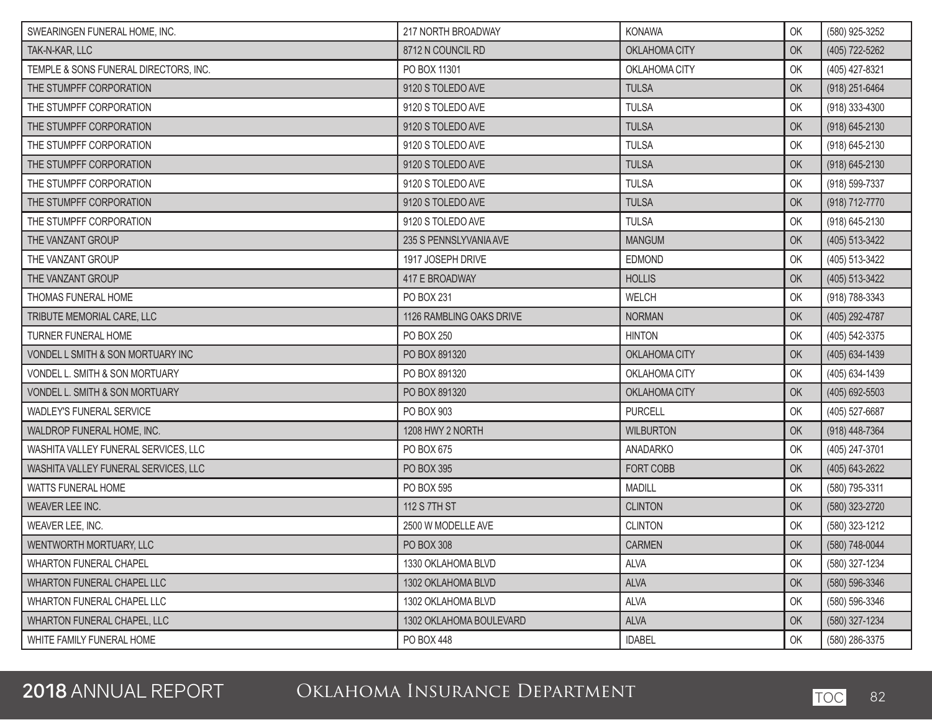| SWEARINGEN FUNERAL HOME, INC.         | 217 NORTH BROADWAY       | <b>KONAWA</b>    | OK | (580) 925-3252     |
|---------------------------------------|--------------------------|------------------|----|--------------------|
| TAK-N-KAR, LLC                        | 8712 N COUNCIL RD        | OKLAHOMA CITY    | OK | (405) 722-5262     |
| TEMPLE & SONS FUNERAL DIRECTORS, INC. | PO BOX 11301             | OKLAHOMA CITY    | OK | (405) 427-8321     |
| THE STUMPFF CORPORATION               | 9120 S TOLEDO AVE        | <b>TULSA</b>     | OK | (918) 251-6464     |
| THE STUMPFF CORPORATION               | 9120 S TOLEDO AVE        | <b>TULSA</b>     | OK | (918) 333-4300     |
| THE STUMPFF CORPORATION               | 9120 S TOLEDO AVE        | <b>TULSA</b>     | OK | $(918) 645 - 2130$ |
| THE STUMPFF CORPORATION               | 9120 S TOLEDO AVE        | <b>TULSA</b>     | OK | (918) 645-2130     |
| THE STUMPFF CORPORATION               | 9120 S TOLEDO AVE        | <b>TULSA</b>     | OK | (918) 645-2130     |
| THE STUMPFF CORPORATION               | 9120 S TOLEDO AVE        | <b>TULSA</b>     | OK | (918) 599-7337     |
| THE STUMPFF CORPORATION               | 9120 S TOLEDO AVE        | <b>TULSA</b>     | OK | (918) 712-7770     |
| THE STUMPFF CORPORATION               | 9120 S TOLEDO AVE        | <b>TULSA</b>     | OK | (918) 645-2130     |
| THE VANZANT GROUP                     | 235 S PENNSLYVANIA AVE   | <b>MANGUM</b>    | OK | (405) 513-3422     |
| THE VANZANT GROUP                     | 1917 JOSEPH DRIVE        | EDMOND           | OK | (405) 513-3422     |
| THE VANZANT GROUP                     | 417 E BROADWAY           | <b>HOLLIS</b>    | OK | (405) 513-3422     |
| THOMAS FUNERAL HOME                   | PO BOX 231               | WELCH            | OK | (918) 788-3343     |
| TRIBUTE MEMORIAL CARE, LLC            | 1126 RAMBLING OAKS DRIVE | <b>NORMAN</b>    | OK | (405) 292-4787     |
| TURNER FUNERAL HOME                   | PO BOX 250               | <b>HINTON</b>    | OK | (405) 542-3375     |
| VONDEL L SMITH & SON MORTUARY INC     | PO BOX 891320            | OKLAHOMA CITY    | OK | (405) 634-1439     |
| VONDEL L. SMITH & SON MORTUARY        | PO BOX 891320            | OKLAHOMA CITY    | OK | (405) 634-1439     |
| VONDEL L. SMITH & SON MORTUARY        | PO BOX 891320            | OKLAHOMA CITY    | OK | (405) 692-5503     |
| <b>WADLEY'S FUNERAL SERVICE</b>       | PO BOX 903               | <b>PURCELL</b>   | OK | (405) 527-6687     |
| WALDROP FUNERAL HOME, INC.            | 1208 HWY 2 NORTH         | <b>WILBURTON</b> | OK | (918) 448-7364     |
| WASHITA VALLEY FUNERAL SERVICES, LLC  | PO BOX 675               | ANADARKO         | OK | (405) 247-3701     |
| WASHITA VALLEY FUNERAL SERVICES, LLC  | PO BOX 395               | FORT COBB        | OK | (405) 643-2622     |
| <b>WATTS FUNERAL HOME</b>             | PO BOX 595               | <b>MADILL</b>    | OK | (580) 795-3311     |
| WEAVER LEE INC.                       | 112 S 7TH ST             | <b>CLINTON</b>   | OK | (580) 323-2720     |
| WEAVER LEE, INC.                      | 2500 W MODELLE AVE       | <b>CLINTON</b>   | OK | (580) 323-1212     |
| WENTWORTH MORTUARY, LLC               | <b>PO BOX 308</b>        | CARMEN           | OK | (580) 748-0044     |
| WHARTON FUNERAL CHAPEL                | 1330 OKLAHOMA BLVD       | <b>ALVA</b>      | OK | (580) 327-1234     |
| WHARTON FUNERAL CHAPEL LLC            | 1302 OKLAHOMA BLVD       | <b>ALVA</b>      | OK | $(580) 596 - 3346$ |
| WHARTON FUNERAL CHAPEL LLC            | 1302 OKLAHOMA BLVD       | <b>ALVA</b>      | OK | (580) 596-3346     |
| <b>WHARTON FUNERAL CHAPEL, LLC</b>    | 1302 OKLAHOMA BOULEVARD  | <b>ALVA</b>      | OK | (580) 327-1234     |
| WHITE FAMILY FUNERAL HOME             | PO BOX 448               | <b>IDABEL</b>    | OK | (580) 286-3375     |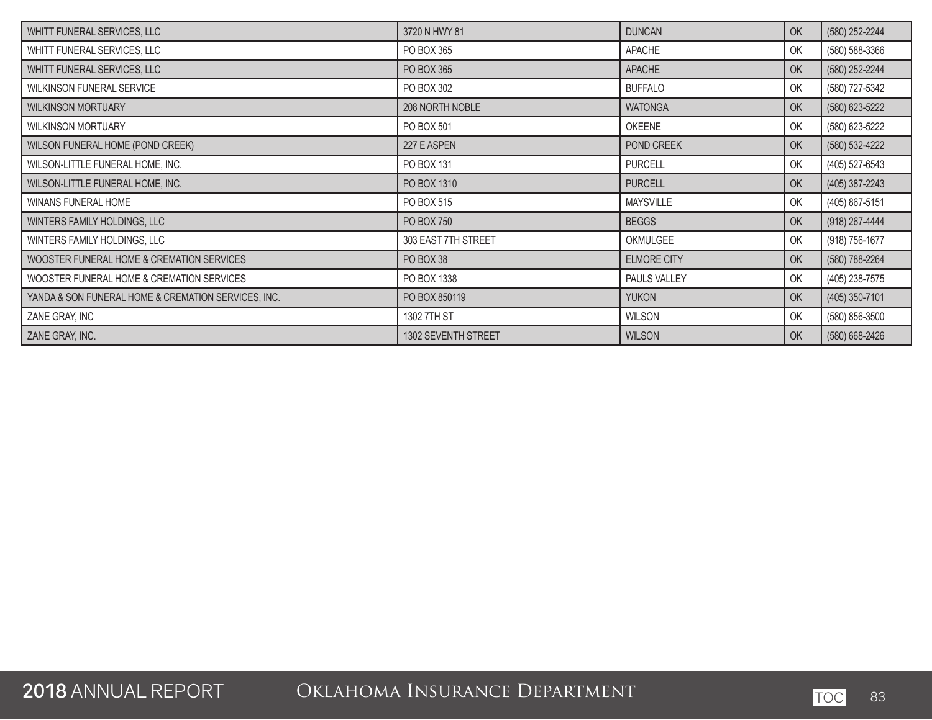| WHITT FUNERAL SERVICES, LLC                         | 3720 N HWY 81       | <b>DUNCAN</b>      | OK | (580) 252-2244 |
|-----------------------------------------------------|---------------------|--------------------|----|----------------|
| WHITT FUNERAL SERVICES, LLC                         | PO BOX 365          | <b>APACHE</b>      | OK | (580) 588-3366 |
| WHITT FUNERAL SERVICES, LLC                         | PO BOX 365          | <b>APACHE</b>      | OK | (580) 252-2244 |
| <b>WILKINSON FUNERAL SERVICE</b>                    | PO BOX 302          | <b>BUFFALO</b>     | OK | (580) 727-5342 |
| <b>WILKINSON MORTUARY</b>                           | 208 NORTH NOBLE     | <b>WATONGA</b>     | OK | (580) 623-5222 |
| <b>WILKINSON MORTUARY</b>                           | PO BOX 501          | OKEENE             | OK | (580) 623-5222 |
| WILSON FUNERAL HOME (POND CREEK)                    | 227 E ASPEN         | POND CREEK         | OK | (580) 532-4222 |
| WILSON-LITTLE FUNERAL HOME, INC.                    | PO BOX 131          | <b>PURCELL</b>     | OK | (405) 527-6543 |
| WILSON-LITTLE FUNERAL HOME, INC.                    | PO BOX 1310         | <b>PURCELL</b>     | OK | (405) 387-2243 |
| WINANS FUNERAL HOME                                 | PO BOX 515          | <b>MAYSVILLE</b>   | OK | (405) 867-5151 |
| WINTERS FAMILY HOLDINGS, LLC                        | PO BOX 750          | <b>BEGGS</b>       | OK | (918) 267-4444 |
| WINTERS FAMILY HOLDINGS, LLC                        | 303 EAST 7TH STREET | OKMULGEE           | OK | (918) 756-1677 |
| WOOSTER FUNERAL HOME & CREMATION SERVICES           | PO BOX 38           | <b>ELMORE CITY</b> | OK | (580) 788-2264 |
| WOOSTER FUNERAL HOME & CREMATION SERVICES           | PO BOX 1338         | PAULS VALLEY       | OK | (405) 238-7575 |
| YANDA & SON FUNERAL HOME & CREMATION SERVICES, INC. | PO BOX 850119       | <b>YUKON</b>       | OK | (405) 350-7101 |
| ZANE GRAY, INC                                      | 1302 7TH ST         | <b>WILSON</b>      | OK | (580) 856-3500 |
| ZANE GRAY, INC.                                     | 1302 SEVENTH STREET | <b>WILSON</b>      | OK | (580) 668-2426 |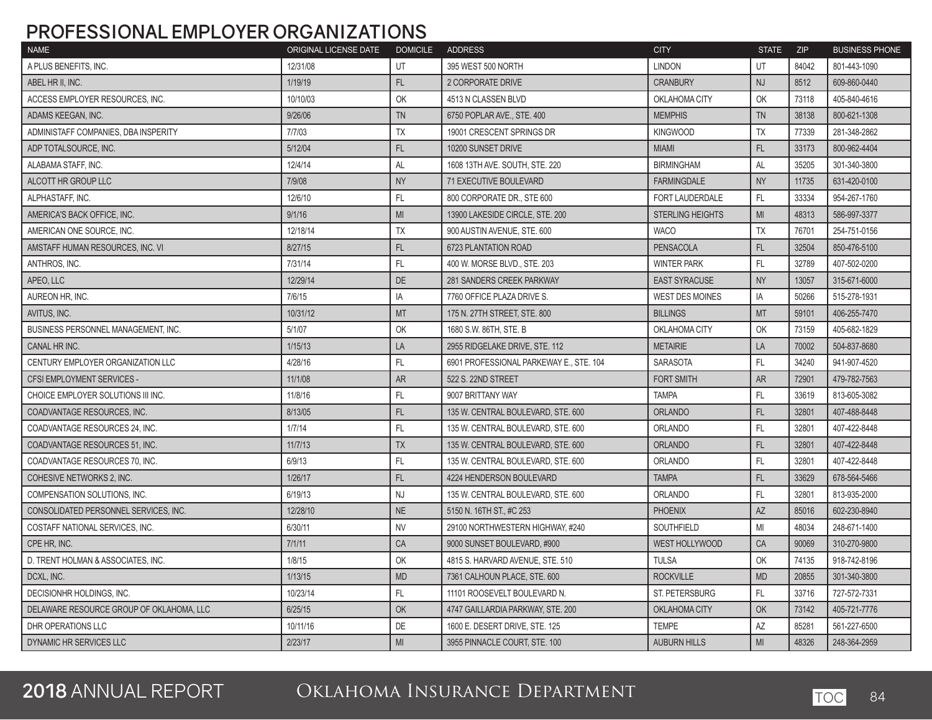## **PROFESSIONAL EMPLOYER ORGANIZATIONS**

| <b>NAME</b>                              | ORIGINAL LICENSE DATE | <b>DOMICILE</b> | <b>ADDRESS</b>                          | <b>CITY</b>             | <b>STATE</b>   | <b>ZIP</b> | <b>BUSINESS PHONE</b> |
|------------------------------------------|-----------------------|-----------------|-----------------------------------------|-------------------------|----------------|------------|-----------------------|
| A PLUS BENEFITS. INC.                    | 12/31/08              | UT              | 395 WEST 500 NORTH                      | <b>LINDON</b>           | UT             | 84042      | 801-443-1090          |
| ABEL HR II. INC.                         | 1/19/19               | <b>FL</b>       | 2 CORPORATE DRIVE                       | <b>CRANBURY</b>         | NJ             | 8512       | 609-860-0440          |
| ACCESS EMPLOYER RESOURCES. INC.          | 10/10/03              | OK              | 4513 N CLASSEN BLVD                     | OKLAHOMA CITY           | OK             | 73118      | 405-840-4616          |
| ADAMS KEEGAN. INC.                       | 9/26/06               | <b>TN</b>       | 6750 POPLAR AVE., STE, 400              | <b>MEMPHIS</b>          | <b>TN</b>      | 38138      | 800-621-1308          |
| ADMINISTAFF COMPANIES, DBA INSPERITY     | 7/7/03                | <b>TX</b>       | 19001 CRESCENT SPRINGS DR               | <b>KINGWOOD</b>         | <b>TX</b>      | 77339      | 281-348-2862          |
| ADP TOTALSOURCE, INC.                    | 5/12/04               | FL              | 10200 SUNSET DRIVE                      | <b>MIAMI</b>            | FL             | 33173      | 800-962-4404          |
| ALABAMA STAFF, INC.                      | 12/4/14               | AL              | 1608 13TH AVE. SOUTH, STE. 220          | <b>BIRMINGHAM</b>       | AL             | 35205      | 301-340-3800          |
| ALCOTT HR GROUP LLC                      | 7/9/08                | <b>NY</b>       | 71 EXECUTIVE BOULEVARD                  | <b>FARMINGDALE</b>      | <b>NY</b>      | 11735      | 631-420-0100          |
| ALPHASTAFF, INC.                         | 12/6/10               | FL              | 800 CORPORATE DR., STE 600              | FORT LAUDERDALE         | FL             | 33334      | 954-267-1760          |
| AMERICA'S BACK OFFICE, INC.              | 9/1/16                | MI              | 13900 LAKESIDE CIRCLE, STE, 200         | <b>STERLING HEIGHTS</b> | MI             | 48313      | 586-997-3377          |
| AMERICAN ONE SOURCE. INC.                | 12/18/14              | <b>TX</b>       | 900 AUSTIN AVENUE, STE, 600             | <b>WACO</b>             | <b>TX</b>      | 76701      | 254-751-0156          |
| AMSTAFF HUMAN RESOURCES, INC. VI         | 8/27/15               | FL              | <b>6723 PLANTATION ROAD</b>             | <b>PENSACOLA</b>        | FL.            | 32504      | 850-476-5100          |
| ANTHROS, INC.                            | 7/31/14               | FL.             | 400 W. MORSE BLVD., STE. 203            | <b>WINTER PARK</b>      | FL             | 32789      | 407-502-0200          |
| APEO, LLC                                | 12/29/14              | <b>DE</b>       | <b>281 SANDERS CREEK PARKWAY</b>        | <b>EAST SYRACUSE</b>    | <b>NY</b>      | 13057      | 315-671-6000          |
| AUREON HR, INC.                          | 7/6/15                | IA              | 7760 OFFICE PLAZA DRIVE S.              | <b>WEST DES MOINES</b>  | IA             | 50266      | 515-278-1931          |
| AVITUS, INC.                             | 10/31/12              | <b>MT</b>       | 175 N. 27TH STREET, STE. 800            | <b>BILLINGS</b>         | <b>MT</b>      | 59101      | 406-255-7470          |
| BUSINESS PERSONNEL MANAGEMENT. INC.      | 5/1/07                | OK              | 1680 S.W. 86TH, STE, B                  | OKLAHOMA CITY           | OK             | 73159      | 405-682-1829          |
| CANAL HR INC.                            | 1/15/13               | LA              | 2955 RIDGELAKE DRIVE, STE, 112          | <b>METAIRIE</b>         | LA             | 70002      | 504-837-8680          |
| CENTURY EMPLOYER ORGANIZATION LLC        | 4/28/16               | FL.             | 6901 PROFESSIONAL PARKEWAY E., STE, 104 | <b>SARASOTA</b>         | FL.            | 34240      | 941-907-4520          |
| <b>CFSI EMPLOYMENT SERVICES -</b>        | 11/1/08               | <b>AR</b>       | 522 S. 22ND STREET                      | <b>FORT SMITH</b>       | <b>AR</b>      | 72901      | 479-782-7563          |
| CHOICE EMPLOYER SOLUTIONS III INC.       | 11/8/16               | FL              | 9007 BRITTANY WAY                       | <b>TAMPA</b>            | FL.            | 33619      | 813-605-3082          |
| COADVANTAGE RESOURCES. INC.              | 8/13/05               | <b>FL</b>       | 135 W. CENTRAL BOULEVARD, STE, 600      | <b>ORLANDO</b>          | FL.            | 32801      | 407-488-8448          |
| COADVANTAGE RESOURCES 24. INC.           | 1/7/14                | <b>FL</b>       | 135 W. CENTRAL BOULEVARD, STE, 600      | <b>ORLANDO</b>          | FL.            | 32801      | 407-422-8448          |
| COADVANTAGE RESOURCES 51, INC.           | 11/7/13               | <b>TX</b>       | 135 W. CENTRAL BOULEVARD, STE. 600      | <b>ORLANDO</b>          | FL             | 32801      | 407-422-8448          |
| COADVANTAGE RESOURCES 70, INC.           | 6/9/13                | FL.             | 135 W. CENTRAL BOULEVARD, STE. 600      | <b>ORLANDO</b>          | FL.            | 32801      | 407-422-8448          |
| COHESIVE NETWORKS 2, INC.                | 1/26/17               | FL.             | 4224 HENDERSON BOULEVARD                | <b>TAMPA</b>            | FL.            | 33629      | 678-564-5466          |
| COMPENSATION SOLUTIONS, INC.             | 6/19/13               | <b>NJ</b>       | 135 W. CENTRAL BOULEVARD, STE. 600      | <b>ORLANDO</b>          | FL.            | 32801      | 813-935-2000          |
| CONSOLIDATED PERSONNEL SERVICES, INC.    | 12/28/10              | <b>NE</b>       | 5150 N. 16TH ST., #C 253                | <b>PHOENIX</b>          | AZ             | 85016      | 602-230-8940          |
| COSTAFF NATIONAL SERVICES, INC.          | 6/30/11               | <b>NV</b>       | 29100 NORTHWESTERN HIGHWAY, #240        | SOUTHFIELD              | MI             | 48034      | 248-671-1400          |
| CPE HR. INC.                             | 7/1/11                | CA              | 9000 SUNSET BOULEVARD, #900             | WEST HOLLYWOOD          | CA             | 90069      | 310-270-9800          |
| D. TRENT HOLMAN & ASSOCIATES. INC.       | 1/8/15                | OK              | 4815 S. HARVARD AVENUE, STE, 510        | <b>TULSA</b>            | OK             | 74135      | 918-742-8196          |
| DCXL. INC.                               | 1/13/15               | <b>MD</b>       | 7361 CALHOUN PLACE, STE, 600            | <b>ROCKVILLE</b>        | <b>MD</b>      | 20855      | 301-340-3800          |
| DECISIONHR HOLDINGS, INC.                | 10/23/14              | FL.             | 11101 ROOSEVELT BOULEVARD N.            | <b>ST. PETERSBURG</b>   | FL.            | 33716      | 727-572-7331          |
| DELAWARE RESOURCE GROUP OF OKLAHOMA, LLC | 6/25/15               | OK              | 4747 GAILLARDIA PARKWAY, STE. 200       | OKLAHOMA CITY           | OK             | 73142      | 405-721-7776          |
| DHR OPERATIONS LLC                       | 10/11/16              | DE              | 1600 E. DESERT DRIVE, STE. 125          | <b>TEMPE</b>            | AZ             | 85281      | 561-227-6500          |
| DYNAMIC HR SERVICES LLC                  | 2/23/17               | MI              | 3955 PINNACLE COURT, STE. 100           | <b>AUBURN HILLS</b>     | M <sub>l</sub> | 48326      | 248-364-2959          |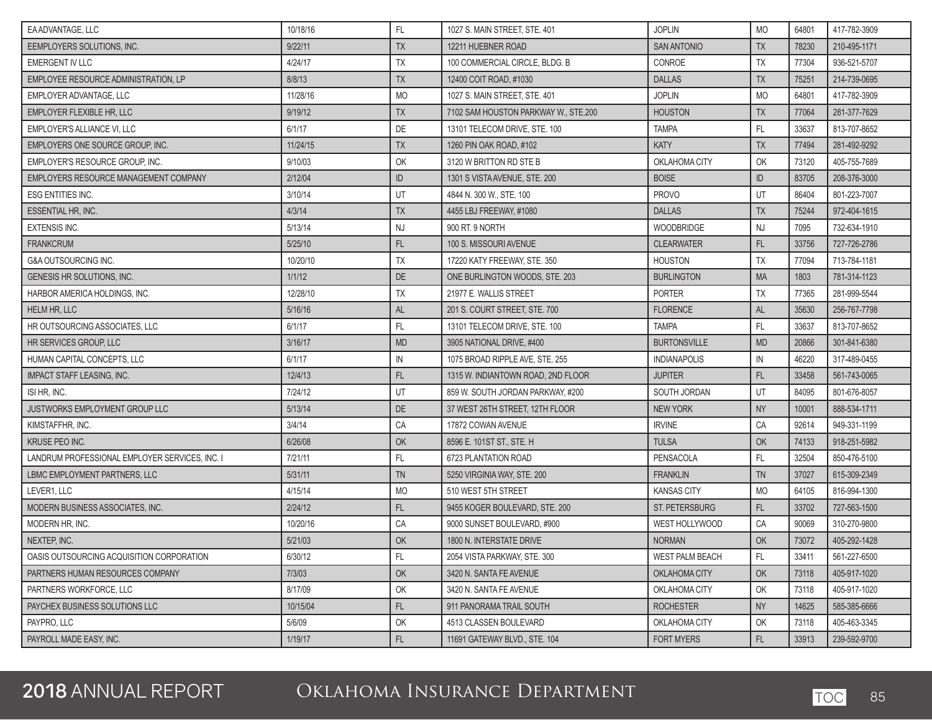| EA ADVANTAGE. LLC                              | 10/18/16 | FL.                                      | 1027 S. MAIN STREET, STE. 401        | <b>JOPLIN</b>          | <b>MO</b>     | 64801 | 417-782-3909 |
|------------------------------------------------|----------|------------------------------------------|--------------------------------------|------------------------|---------------|-------|--------------|
| EEMPLOYERS SOLUTIONS, INC.                     | 9/22/11  | TX                                       | 12211 HUEBNER ROAD                   | <b>SAN ANTONIO</b>     | <b>TX</b>     | 78230 | 210-495-1171 |
| <b>EMERGENT IV LLC</b>                         | 4/24/17  | <b>TX</b>                                | 100 COMMERCIAL CIRCLE, BLDG, B       | CONROE                 | <b>TX</b>     | 77304 | 936-521-5707 |
| EMPLOYEE RESOURCE ADMINISTRATION. LP           | 8/8/13   | <b>TX</b>                                | 12400 COIT ROAD, #1030               | <b>DALLAS</b>          | <b>TX</b>     | 75251 | 214-739-0695 |
| EMPLOYER ADVANTAGE, LLC                        | 11/28/16 | <b>MO</b>                                | 1027 S. MAIN STREET, STE. 401        | <b>JOPLIN</b>          | <b>MO</b>     | 64801 | 417-782-3909 |
| <b>EMPLOYER FLEXIBLE HR, LLC</b>               | 9/19/12  | TX                                       | 7102 SAM HOUSTON PARKWAY W., STE.200 | <b>HOUSTON</b>         | <b>TX</b>     | 77064 | 281-377-7629 |
| EMPLOYER'S ALLIANCE VI, LLC                    | 6/1/17   | DE                                       | 13101 TELECOM DRIVE, STE, 100        | <b>TAMPA</b>           | FL.           | 33637 | 813-707-8652 |
| EMPLOYERS ONE SOURCE GROUP, INC.               | 11/24/15 | TX                                       | 1260 PIN OAK ROAD, #102              | <b>KATY</b>            | <b>TX</b>     | 77494 | 281-492-9292 |
| EMPLOYER'S RESOURCE GROUP, INC.                | 9/10/03  | OK                                       | 3120 W BRITTON RD STE B              | OKLAHOMA CITY          | OK            | 73120 | 405-755-7689 |
| EMPLOYERS RESOURCE MANAGEMENT COMPANY          | 2/12/04  | ID                                       | 1301 S VISTA AVENUE, STE, 200        | <b>BOISE</b>           | ID            | 83705 | 208-376-3000 |
| <b>ESG ENTITIES INC.</b>                       | 3/10/14  | UT                                       | 4844 N. 300 W., STE. 100             | <b>PROVO</b>           | UT            | 86404 | 801-223-7007 |
| ESSENTIAL HR, INC.                             | 4/3/14   | TX                                       | 4455 LBJ FREEWAY, #1080              | <b>DALLAS</b>          | <b>TX</b>     | 75244 | 972-404-1615 |
| <b>EXTENSIS INC.</b>                           | 5/13/14  | <b>NJ</b>                                | 900 RT. 9 NORTH                      | WOODBRIDGE             | <b>NJ</b>     | 7095  | 732-634-1910 |
| <b>FRANKCRUM</b>                               | 5/25/10  | FL.                                      | 100 S. MISSOURI AVENUE               | <b>CLEARWATER</b>      | FL.           | 33756 | 727-726-2786 |
| <b>G&amp;A OUTSOURCING INC.</b>                | 10/20/10 | <b>TX</b>                                | 17220 KATY FREEWAY, STE. 350         | <b>HOUSTON</b>         | <b>TX</b>     | 77094 | 713-784-1181 |
| <b>GENESIS HR SOLUTIONS, INC.</b>              | 1/1/12   | DE                                       | ONE BURLINGTON WOODS, STE, 203       | <b>BURLINGTON</b>      | <b>MA</b>     | 1803  | 781-314-1123 |
| HARBOR AMERICA HOLDINGS, INC.                  | 12/28/10 | <b>TX</b>                                | 21977 E. WALLIS STREET               | <b>PORTER</b>          | <b>TX</b>     | 77365 | 281-999-5544 |
| <b>HELM HR, LLC</b>                            | 5/16/16  | <b>AL</b>                                | 201 S. COURT STREET, STE. 700        | <b>FLORENCE</b>        | AL            | 35630 | 256-767-7798 |
| HR OUTSOURCING ASSOCIATES. LLC                 | 6/1/17   | FL.                                      | 13101 TELECOM DRIVE, STE. 100        | <b>TAMPA</b>           | FL.           | 33637 | 813-707-8652 |
| HR SERVICES GROUP, LLC                         | 3/16/17  | <b>MD</b>                                | 3905 NATIONAL DRIVE, #400            | <b>BURTONSVILLE</b>    | <b>MD</b>     | 20866 | 301-841-6380 |
| HUMAN CAPITAL CONCEPTS, LLC                    | 6/1/17   | IN                                       | 1075 BROAD RIPPLE AVE, STE. 255      | <b>INDIANAPOLIS</b>    | $\mathsf{IN}$ | 46220 | 317-489-0455 |
| <b>IMPACT STAFF LEASING, INC.</b>              | 12/4/13  | FL                                       | 1315 W. INDIANTOWN ROAD, 2ND FLOOR   | <b>JUPITER</b>         | FL.           | 33458 | 561-743-0065 |
| ISI HR, INC.                                   | 7/24/12  | UT                                       | 859 W. SOUTH JORDAN PARKWAY, #200    | SOUTH JORDAN           | UT            | 84095 | 801-676-8057 |
| <b>JUSTWORKS EMPLOYMENT GROUP LLC</b>          | 5/13/14  | DE                                       | 37 WEST 26TH STREET, 12TH FLOOR      | <b>NEW YORK</b>        | <b>NY</b>     | 10001 | 888-534-1711 |
| KIMSTAFFHR, INC.                               | 3/4/14   | CA                                       | 17872 COWAN AVENUE                   | <b>IRVINE</b>          | CA            | 92614 | 949-331-1199 |
| <b>KRUSE PEO INC.</b>                          | 6/26/08  | OK                                       | 8596 E. 101ST ST., STE. H            | <b>TULSA</b>           | OK            | 74133 | 918-251-5982 |
| LANDRUM PROFESSIONAL EMPLOYER SERVICES, INC. I | 7/21/11  | FL                                       | 6723 PLANTATION ROAD                 | PENSACOLA              | FL.           | 32504 | 850-476-5100 |
| LBMC EMPLOYMENT PARTNERS. LLC                  | 5/31/11  | TN                                       | 5250 VIRGINIA WAY, STE. 200          | <b>FRANKLIN</b>        | <b>TN</b>     | 37027 | 615-309-2349 |
| LEVER1, LLC                                    | 4/15/14  | <b>MO</b>                                | 510 WEST 5TH STREET                  | <b>KANSAS CITY</b>     | <b>MO</b>     | 64105 | 816-994-1300 |
| MODERN BUSINESS ASSOCIATES, INC.               | 2/24/12  | $\mathsf{FL}$                            | 9455 KOGER BOULEVARD, STE. 200       | <b>ST. PETERSBURG</b>  | FL.           | 33702 | 727-563-1500 |
| MODERN HR, INC.                                | 10/20/16 | CA                                       | 9000 SUNSET BOULEVARD, #900          | WEST HOLLYWOOD         | CA            | 90069 | 310-270-9800 |
| NEXTEP, INC.                                   | 5/21/03  | OK                                       | 1800 N. INTERSTATE DRIVE             | <b>NORMAN</b>          | OK            | 73072 | 405-292-1428 |
| OASIS OUTSOURCING ACQUISITION CORPORATION      | 6/30/12  | $\mathsf{FL}$                            | 2054 VISTA PARKWAY, STE, 300         | <b>WEST PALM BEACH</b> | FL.           | 33411 | 561-227-6500 |
| PARTNERS HUMAN RESOURCES COMPANY               | 7/3/03   | $\mathsf{OK}% \left( \mathcal{M}\right)$ | 3420 N. SANTA FE AVENUE              | OKLAHOMA CITY          | $\mathsf{OK}$ | 73118 | 405-917-1020 |
| PARTNERS WORKFORCE, LLC                        | 8/17/09  | OK                                       | 3420 N. SANTA FE AVENUE              | OKLAHOMA CITY          | OK            | 73118 | 405-917-1020 |
| PAYCHEX BUSINESS SOLUTIONS LLC                 | 10/15/04 | $\mathsf{FL}$                            | 911 PANORAMA TRAIL SOUTH             | <b>ROCHESTER</b>       | <b>NY</b>     | 14625 | 585-385-6666 |
| PAYPRO, LLC                                    | 5/6/09   | OK                                       | 4513 CLASSEN BOULEVARD               | OKLAHOMA CITY          | OK            | 73118 | 405-463-3345 |
| PAYROLL MADE EASY, INC.                        | 1/19/17  | $\mathsf{FL}$                            | 11691 GATEWAY BLVD., STE. 104        | <b>FORT MYERS</b>      | FL.           | 33913 | 239-592-9700 |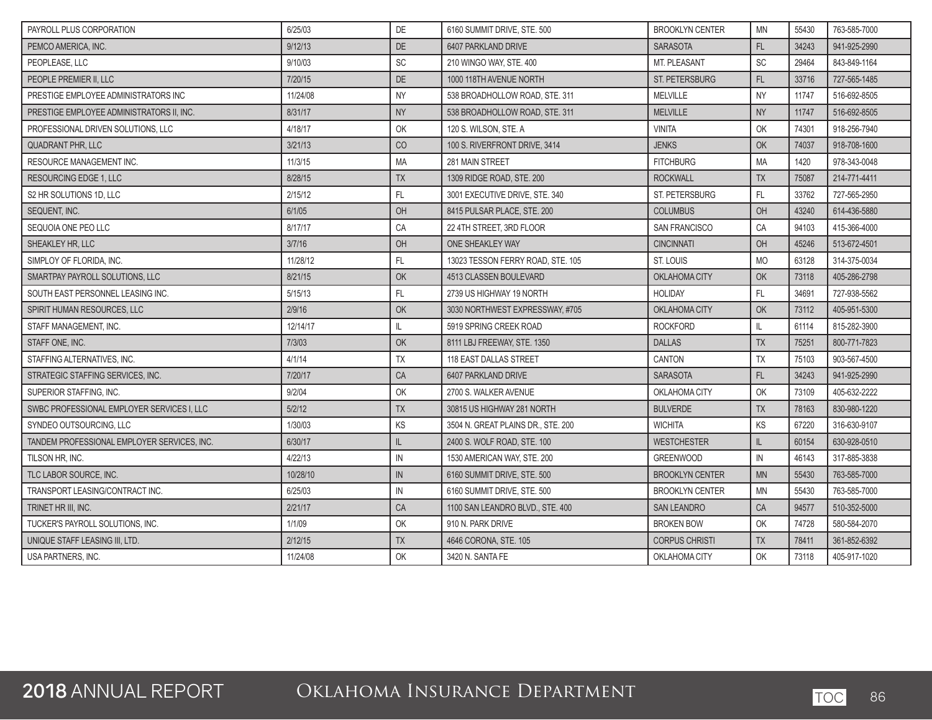| PAYROLL PLUS CORPORATION                    | 6/25/03  | DE         | 6160 SUMMIT DRIVE, STE, 500        | <b>BROOKLYN CENTER</b> | <b>MN</b> | 55430 | 763-585-7000 |
|---------------------------------------------|----------|------------|------------------------------------|------------------------|-----------|-------|--------------|
| PEMCO AMERICA. INC.                         | 9/12/13  | DE         | 6407 PARKLAND DRIVE                | <b>SARASOTA</b>        | FL        | 34243 | 941-925-2990 |
| PEOPLEASE, LLC                              | 9/10/03  | SC         | 210 WINGO WAY, STE, 400            | <b>MT. PLEASANT</b>    | <b>SC</b> | 29464 | 843-849-1164 |
| PEOPLE PREMIER II, LLC                      | 7/20/15  | $DE$       | 1000 118TH AVENUE NORTH            | <b>ST. PETERSBURG</b>  | FL.       | 33716 | 727-565-1485 |
| PRESTIGE EMPLOYEE ADMINISTRATORS INC        | 11/24/08 | <b>NY</b>  | 538 BROADHOLLOW ROAD, STE, 311     | <b>MELVILLE</b>        | <b>NY</b> | 11747 | 516-692-8505 |
| PRESTIGE EMPLOYEE ADMINISTRATORS II. INC.   | 8/31/17  | <b>NY</b>  | 538 BROADHOLLOW ROAD, STE, 311     | <b>MELVILLE</b>        | <b>NY</b> | 11747 | 516-692-8505 |
| PROFESSIONAL DRIVEN SOLUTIONS, LLC          | 4/18/17  | OK         | 120 S. WILSON, STE. A              | <b>VINITA</b>          | OK        | 74301 | 918-256-7940 |
| <b>QUADRANT PHR. LLC</b>                    | 3/21/13  | CO         | 100 S. RIVERFRONT DRIVE, 3414      | <b>JENKS</b>           | OK        | 74037 | 918-708-1600 |
| RESOURCE MANAGEMENT INC.                    | 11/3/15  | MA         | 281 MAIN STREET                    | <b>FITCHBURG</b>       | MA        | 1420  | 978-343-0048 |
| <b>RESOURCING EDGE 1. LLC</b>               | 8/28/15  | <b>TX</b>  | 1309 RIDGE ROAD, STE. 200          | <b>ROCKWALL</b>        | <b>TX</b> | 75087 | 214-771-4411 |
| S2 HR SOLUTIONS 1D, LLC                     | 2/15/12  | FL.        | 3001 EXECUTIVE DRIVE, STE, 340     | <b>ST. PETERSBURG</b>  | FL.       | 33762 | 727-565-2950 |
| SEQUENT, INC.                               | 6/1/05   | OH         | 8415 PULSAR PLACE, STE. 200        | <b>COLUMBUS</b>        | OH        | 43240 | 614-436-5880 |
| SEQUOIA ONE PEO LLC                         | 8/17/17  | CA         | 22 4TH STREET, 3RD FLOOR           | <b>SAN FRANCISCO</b>   | CA        | 94103 | 415-366-4000 |
| SHEAKLEY HR. LLC                            | 3/7/16   | OH         | ONE SHEAKLEY WAY                   | <b>CINCINNATI</b>      | OH        | 45246 | 513-672-4501 |
| SIMPLOY OF FLORIDA, INC.                    | 11/28/12 | FL         | 13023 TESSON FERRY ROAD, STE. 105  | <b>ST. LOUIS</b>       | <b>MO</b> | 63128 | 314-375-0034 |
| SMARTPAY PAYROLL SOLUTIONS, LLC             | 8/21/15  | OK         | 4513 CLASSEN BOULEVARD             | <b>OKLAHOMA CITY</b>   | OK        | 73118 | 405-286-2798 |
| SOUTH EAST PERSONNEL LEASING INC.           | 5/15/13  | FL.        | 2739 US HIGHWAY 19 NORTH           | <b>HOLIDAY</b>         | FL.       | 34691 | 727-938-5562 |
| SPIRIT HUMAN RESOURCES, LLC                 | 2/9/16   | OK         | 3030 NORTHWEST EXPRESSWAY, #705    | OKLAHOMA CITY          | OK        | 73112 | 405-951-5300 |
| STAFF MANAGEMENT, INC.                      | 12/14/17 | IL         | 5919 SPRING CREEK ROAD             | <b>ROCKFORD</b>        | IL        | 61114 | 815-282-3900 |
| STAFF ONE. INC.                             | 7/3/03   | OK         | 8111 LBJ FREEWAY, STE, 1350        | <b>DALLAS</b>          | <b>TX</b> | 75251 | 800-771-7823 |
| STAFFING ALTERNATIVES, INC.                 | 4/1/14   | <b>TX</b>  | 118 EAST DALLAS STREET             | CANTON                 | <b>TX</b> | 75103 | 903-567-4500 |
| STRATEGIC STAFFING SERVICES. INC.           | 7/20/17  | CA         | 6407 PARKLAND DRIVE                | <b>SARASOTA</b>        | FL        | 34243 | 941-925-2990 |
| SUPERIOR STAFFING. INC.                     | 9/2/04   | OK         | 2700 S. WALKER AVENUE              | OKLAHOMA CITY          | OK        | 73109 | 405-632-2222 |
| SWBC PROFESSIONAL EMPLOYER SERVICES I, LLC  | 5/2/12   | <b>TX</b>  | 30815 US HIGHWAY 281 NORTH         | <b>BULVERDE</b>        | <b>TX</b> | 78163 | 830-980-1220 |
| SYNDEO OUTSOURCING, LLC                     | 1/30/03  | KS         | 3504 N. GREAT PLAINS DR., STE, 200 | <b>WICHITA</b>         | KS        | 67220 | 316-630-9107 |
| TANDEM PROFESSIONAL EMPLOYER SERVICES. INC. | 6/30/17  | L          | 2400 S. WOLF ROAD, STE, 100        | <b>WESTCHESTER</b>     | IL        | 60154 | 630-928-0510 |
| TILSON HR, INC.                             | 4/22/13  | IN         | 1530 AMERICAN WAY, STE. 200        | <b>GREENWOOD</b>       | IN        | 46143 | 317-885-3838 |
| TLC LABOR SOURCE. INC.                      | 10/28/10 | IN         | 6160 SUMMIT DRIVE, STE, 500        | <b>BROOKLYN CENTER</b> | <b>MN</b> | 55430 | 763-585-7000 |
| TRANSPORT LEASING/CONTRACT INC.             | 6/25/03  | ${\sf IN}$ | 6160 SUMMIT DRIVE, STE. 500        | <b>BROOKLYN CENTER</b> | MN        | 55430 | 763-585-7000 |
| TRINET HR III, INC.                         | 2/21/17  | CA         | 1100 SAN LEANDRO BLVD., STE. 400   | <b>SAN LEANDRO</b>     | CA        | 94577 | 510-352-5000 |
| TUCKER'S PAYROLL SOLUTIONS, INC.            | 1/1/09   | OK         | 910 N. PARK DRIVE                  | <b>BROKEN BOW</b>      | OK        | 74728 | 580-584-2070 |
| UNIQUE STAFF LEASING III, LTD.              | 2/12/15  | <b>TX</b>  | 4646 CORONA, STE. 105              | <b>CORPUS CHRISTI</b>  | <b>TX</b> | 78411 | 361-852-6392 |
| USA PARTNERS, INC.                          | 11/24/08 | OK         | 3420 N. SANTA FE                   | OKLAHOMA CITY          | OK        | 73118 | 405-917-1020 |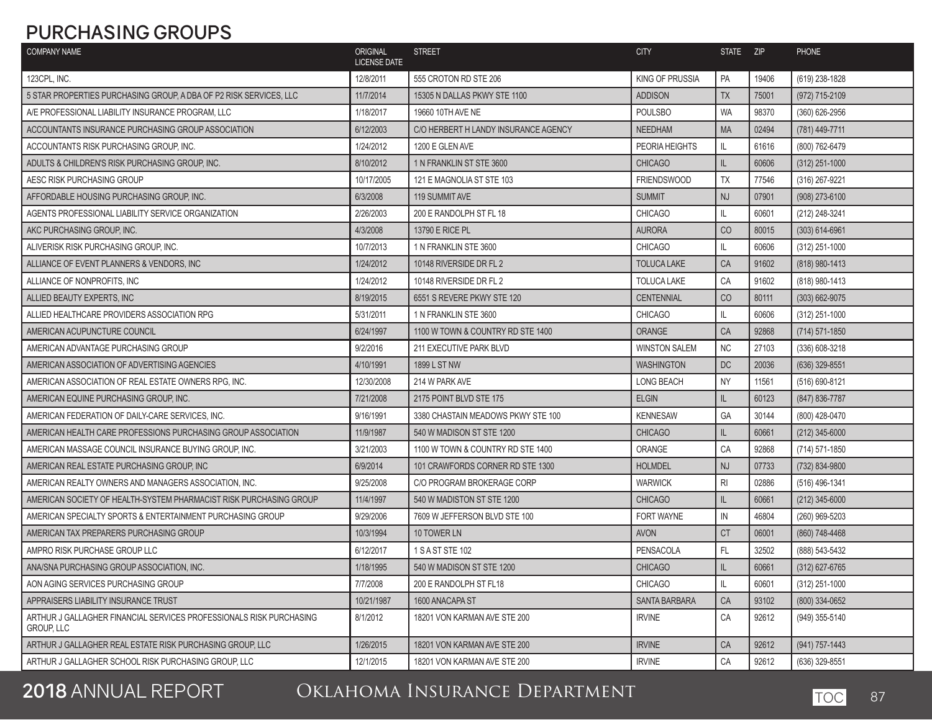## **PURCHASING GROUPS**

| <b>COMPANY NAME</b>                                                               | ORIGINAL<br><b>LICENSE DATE</b> | <b>STREET</b>                        | <b>CITY</b>            | STATE ZIP      |       | <b>PHONE</b>       |
|-----------------------------------------------------------------------------------|---------------------------------|--------------------------------------|------------------------|----------------|-------|--------------------|
| 123CPL, INC.                                                                      | 12/8/2011                       | 555 CROTON RD STE 206                | <b>KING OF PRUSSIA</b> | PA             | 19406 | (619) 238-1828     |
| 5 STAR PROPERTIES PURCHASING GROUP, A DBA OF P2 RISK SERVICES, LLC                | 11/7/2014                       | 15305 N DALLAS PKWY STE 1100         | <b>ADDISON</b>         | <b>TX</b>      | 75001 | (972) 715-2109     |
| A/E PROFESSIONAL LIABILITY INSURANCE PROGRAM, LLC                                 | 1/18/2017                       | 19660 10TH AVE NE                    | <b>POULSBO</b>         | <b>WA</b>      | 98370 | (360) 626-2956     |
| ACCOUNTANTS INSURANCE PURCHASING GROUP ASSOCIATION                                | 6/12/2003                       | C/O HERBERT H LANDY INSURANCE AGENCY | <b>NEEDHAM</b>         | <b>MA</b>      | 02494 | (781) 449-7711     |
| ACCOUNTANTS RISK PURCHASING GROUP, INC.                                           | 1/24/2012                       | 1200 E GLEN AVE                      | PEORIA HEIGHTS         | IL             | 61616 | (800) 762-6479     |
| ADULTS & CHILDREN'S RISK PURCHASING GROUP. INC.                                   | 8/10/2012                       | 1 N FRANKLIN ST STE 3600             | <b>CHICAGO</b>         | IL             | 60606 | (312) 251-1000     |
| AESC RISK PURCHASING GROUP                                                        | 10/17/2005                      | 121 E MAGNOLIA ST STE 103            | <b>FRIENDSWOOD</b>     | <b>TX</b>      | 77546 | (316) 267-9221     |
| AFFORDABLE HOUSING PURCHASING GROUP. INC.                                         | 6/3/2008                        | 119 SUMMIT AVE                       | <b>SUMMIT</b>          | <b>NJ</b>      | 07901 | (908) 273-6100     |
| AGENTS PROFESSIONAL LIABILITY SERVICE ORGANIZATION                                | 2/26/2003                       | 200 E RANDOLPH ST FL 18              | <b>CHICAGO</b>         | IL             | 60601 | (212) 248-3241     |
| AKC PURCHASING GROUP, INC.                                                        | 4/3/2008                        | 13790 E RICE PL                      | <b>AURORA</b>          | CO             | 80015 | (303) 614-6961     |
| ALIVERISK RISK PURCHASING GROUP, INC.                                             | 10/7/2013                       | 1 N FRANKLIN STE 3600                | <b>CHICAGO</b>         | IL             | 60606 | (312) 251-1000     |
| ALLIANCE OF EVENT PLANNERS & VENDORS, INC                                         | 1/24/2012                       | 10148 RIVERSIDE DR FL 2              | <b>TOLUCA LAKE</b>     | CA             | 91602 | (818) 980-1413     |
| ALLIANCE OF NONPROFITS, INC.                                                      | 1/24/2012                       | 10148 RIVERSIDE DR FL 2              | <b>TOLUCA LAKE</b>     | CA             | 91602 | (818) 980-1413     |
| ALLIED BEAUTY EXPERTS. INC                                                        | 8/19/2015                       | 6551 S REVERE PKWY STE 120           | <b>CENTENNIAL</b>      | CO             | 80111 | $(303) 662 - 9075$ |
| ALLIED HEALTHCARE PROVIDERS ASSOCIATION RPG                                       | 5/31/2011                       | 1 N FRANKLIN STE 3600                | <b>CHICAGO</b>         | IL             | 60606 | (312) 251-1000     |
| AMERICAN ACUPUNCTURE COUNCIL                                                      | 6/24/1997                       | 1100 W TOWN & COUNTRY RD STE 1400    | <b>ORANGE</b>          | CA             | 92868 | (714) 571-1850     |
| AMERICAN ADVANTAGE PURCHASING GROUP                                               | 9/2/2016                        | <b>211 EXECUTIVE PARK BLVD</b>       | <b>WINSTON SALEM</b>   | <b>NC</b>      | 27103 | (336) 608-3218     |
| AMERICAN ASSOCIATION OF ADVERTISING AGENCIES                                      | 4/10/1991                       | 1899 L ST NW                         | <b>WASHINGTON</b>      | DC             | 20036 | (636) 329-8551     |
| AMERICAN ASSOCIATION OF REAL ESTATE OWNERS RPG. INC.                              | 12/30/2008                      | 214 W PARK AVE                       | LONG BEACH             | <b>NY</b>      | 11561 | (516) 690-8121     |
| AMERICAN EQUINE PURCHASING GROUP, INC.                                            | 7/21/2008                       | 2175 POINT BLVD STE 175              | <b>ELGIN</b>           | IL             | 60123 | (847) 836-7787     |
| AMERICAN FEDERATION OF DAILY-CARE SERVICES, INC.                                  | 9/16/1991                       | 3380 CHASTAIN MEADOWS PKWY STE 100   | <b>KENNESAW</b>        | GA             | 30144 | (800) 428-0470     |
| AMERICAN HEALTH CARE PROFESSIONS PURCHASING GROUP ASSOCIATION                     | 11/9/1987                       | 540 W MADISON ST STE 1200            | <b>CHICAGO</b>         | IL             | 60661 | $(212)$ 345-6000   |
| AMERICAN MASSAGE COUNCIL INSURANCE BUYING GROUP, INC.                             | 3/21/2003                       | 1100 W TOWN & COUNTRY RD STE 1400    | ORANGE                 | CA             | 92868 | (714) 571-1850     |
| AMERICAN REAL ESTATE PURCHASING GROUP, INC                                        | 6/9/2014                        | 101 CRAWFORDS CORNER RD STE 1300     | <b>HOLMDEL</b>         | <b>NJ</b>      | 07733 | (732) 834-9800     |
| AMERICAN REALTY OWNERS AND MANAGERS ASSOCIATION, INC.                             | 9/25/2008                       | C/O PROGRAM BROKERAGE CORP           | <b>WARWICK</b>         | R <sub>l</sub> | 02886 | (516) 496-1341     |
| AMERICAN SOCIETY OF HEALTH-SYSTEM PHARMACIST RISK PURCHASING GROUP                | 11/4/1997                       | 540 W MADISTON ST STE 1200           | <b>CHICAGO</b>         | IL             | 60661 | (212) 345-6000     |
| AMERICAN SPECIALTY SPORTS & ENTERTAINMENT PURCHASING GROUP                        | 9/29/2006                       | 7609 W JEFFERSON BLVD STE 100        | <b>FORT WAYNE</b>      | IN             | 46804 | (260) 969-5203     |
| AMERICAN TAX PREPARERS PURCHASING GROUP                                           | 10/3/1994                       | 10 TOWER LN                          | <b>AVON</b>            | <b>CT</b>      | 06001 | (860) 748-4468     |
| AMPRO RISK PURCHASE GROUP LLC                                                     | 6/12/2017                       | 1 S A ST STE 102                     | <b>PENSACOLA</b>       | FL.            | 32502 | (888) 543-5432     |
| ANA/SNA PURCHASING GROUP ASSOCIATION, INC.                                        | 1/18/1995                       | 540 W MADISON ST STE 1200            | <b>CHICAGO</b>         | L              | 60661 | (312) 627-6765     |
| AON AGING SERVICES PURCHASING GROUP                                               | 7/7/2008                        | 200 E RANDOLPH ST FL18               | <b>CHICAGO</b>         | IL             | 60601 | (312) 251-1000     |
| APPRAISERS LIABILITY INSURANCE TRUST                                              | 10/21/1987                      | 1600 ANACAPA ST                      | <b>SANTA BARBARA</b>   | CA             | 93102 | (800) 334-0652     |
| ARTHUR J GALLAGHER FINANCIAL SERVICES PROFESSIONALS RISK PURCHASING<br>GROUP, LLC | 8/1/2012                        | 18201 VON KARMAN AVE STE 200         | <b>IRVINE</b>          | CA             | 92612 | (949) 355-5140     |
| ARTHUR J GALLAGHER REAL ESTATE RISK PURCHASING GROUP, LLC                         | 1/26/2015                       | 18201 VON KARMAN AVE STE 200         | <b>IRVINE</b>          | CA             | 92612 | (941) 757-1443     |
| ARTHUR J GALLAGHER SCHOOL RISK PURCHASING GROUP, LLC                              | 12/1/2015                       | 18201 VON KARMAN AVE STE 200         | <b>IRVINE</b>          | CA             | 92612 | (636) 329-8551     |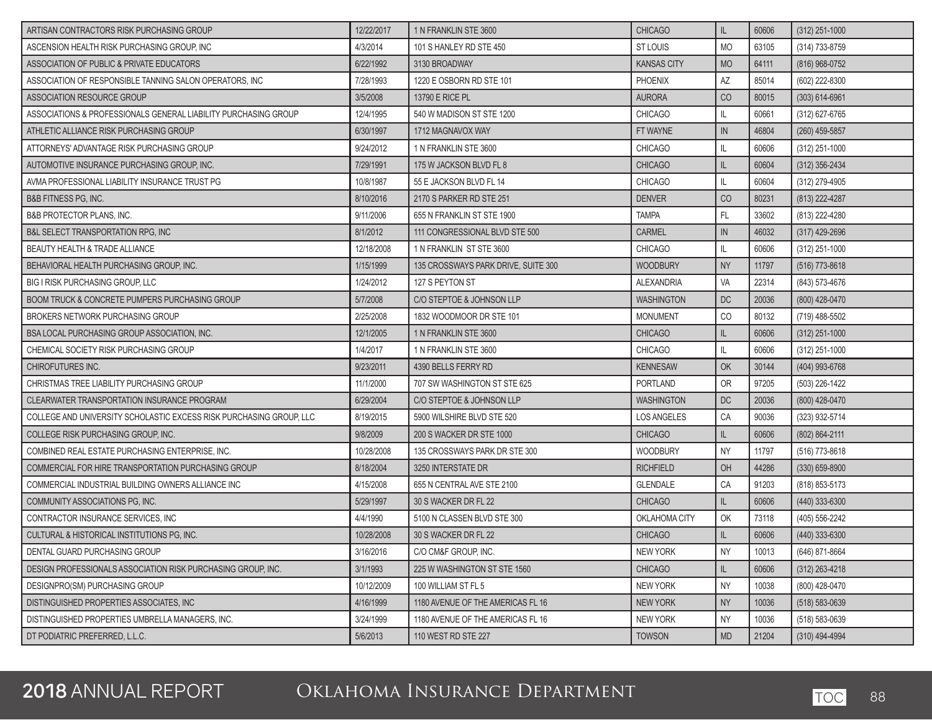| ARTISAN CONTRACTORS RISK PURCHASING GROUP                           | 12/22/2017 | 1 N FRANKLIN STE 3600               | <b>CHICAGO</b>     | IL.       | 60606 | $(312)$ 251-1000   |
|---------------------------------------------------------------------|------------|-------------------------------------|--------------------|-----------|-------|--------------------|
| ASCENSION HEALTH RISK PURCHASING GROUP. INC                         | 4/3/2014   | 101 S HANLEY RD STE 450             | <b>ST LOUIS</b>    | <b>MO</b> | 63105 | (314) 733-8759     |
| ASSOCIATION OF PUBLIC & PRIVATE EDUCATORS                           | 6/22/1992  | 3130 BROADWAY                       | <b>KANSAS CITY</b> | <b>MO</b> | 64111 | (816) 968-0752     |
| ASSOCIATION OF RESPONSIBLE TANNING SALON OPERATORS, INC.            | 7/28/1993  | 1220 E OSBORN RD STE 101            | PHOENIX            | AZ        | 85014 | (602) 222-8300     |
| ASSOCIATION RESOURCE GROUP                                          | 3/5/2008   | 13790 E RICE PL                     | <b>AURORA</b>      | CO        | 80015 | $(303) 614 - 6961$ |
| ASSOCIATIONS & PROFESSIONALS GENERAL LIABILITY PURCHASING GROUP     | 12/4/1995  | 540 W MADISON ST STE 1200           | <b>CHICAGO</b>     | IL.       | 60661 | $(312)$ 627-6765   |
| ATHLETIC ALLIANCE RISK PURCHASING GROUP                             | 6/30/1997  | 1712 MAGNAVOX WAY                   | FT WAYNE           | IN        | 46804 | (260) 459-5857     |
| ATTORNEYS' ADVANTAGE RISK PURCHASING GROUP                          | 9/24/2012  | 1 N FRANKLIN STE 3600               | <b>CHICAGO</b>     | IL.       | 60606 | (312) 251-1000     |
| AUTOMOTIVE INSURANCE PURCHASING GROUP. INC.                         | 7/29/1991  | 175 W JACKSON BLVD FL 8             | <b>CHICAGO</b>     | IL.       | 60604 | $(312)$ 356-2434   |
| AVMA PROFESSIONAL LIABILITY INSURANCE TRUST PG                      | 10/8/1987  | 55 E JACKSON BLVD FL 14             | <b>CHICAGO</b>     | IL.       | 60604 | (312) 279-4905     |
| <b>B&amp;B FITNESS PG, INC.</b>                                     | 8/10/2016  | 2170 S PARKER RD STE 251            | <b>DENVER</b>      | CO        | 80231 | (813) 222-4287     |
| <b>B&amp;B PROTECTOR PLANS, INC.</b>                                | 9/11/2006  | 655 N FRANKLIN ST STE 1900          | <b>TAMPA</b>       | FL        | 33602 | (813) 222-4280     |
| <b>B&amp;L SELECT TRANSPORTATION RPG, INC.</b>                      | 8/1/2012   | 111 CONGRESSIONAL BLVD STE 500      | <b>CARMEL</b>      | IN        | 46032 | $(317)$ 429-2696   |
| <b>BEAUTY HEALTH &amp; TRADE ALLIANCE</b>                           | 12/18/2008 | 1 N FRANKLIN ST STE 3600            | <b>CHICAGO</b>     | IL.       | 60606 | (312) 251-1000     |
| BEHAVIORAL HEALTH PURCHASING GROUP, INC.                            | 1/15/1999  | 135 CROSSWAYS PARK DRIVE, SUITE 300 | <b>WOODBURY</b>    | <b>NY</b> | 11797 | (516) 773-8618     |
| <b>BIG I RISK PURCHASING GROUP, LLC</b>                             | 1/24/2012  | 127 S PEYTON ST                     | <b>ALEXANDRIA</b>  | VA        | 22314 | (843) 573-4676     |
| <b>BOOM TRUCK &amp; CONCRETE PUMPERS PURCHASING GROUP</b>           | 5/7/2008   | C/O STEPTOE & JOHNSON LLP           | <b>WASHINGTON</b>  | DC        | 20036 | (800) 428-0470     |
| <b>BROKERS NETWORK PURCHASING GROUP</b>                             | 2/25/2008  | 1832 WOODMOOR DR STE 101            | <b>MONUMENT</b>    | CO        | 80132 | (719) 488-5502     |
| <b>BSA LOCAL PURCHASING GROUP ASSOCIATION. INC.</b>                 | 12/1/2005  | 1 N FRANKLIN STE 3600               | <b>CHICAGO</b>     | IL.       | 60606 | $(312)$ 251-1000   |
| CHEMICAL SOCIETY RISK PURCHASING GROUP                              | 1/4/2017   | 1 N FRANKLIN STE 3600               | <b>CHICAGO</b>     | IL.       | 60606 | (312) 251-1000     |
| <b>CHIROFUTURES INC.</b>                                            | 9/23/2011  | 4390 BELLS FERRY RD                 | <b>KENNESAW</b>    | OK        | 30144 | (404) 993-6768     |
| CHRISTMAS TREE LIABILITY PURCHASING GROUP                           | 11/1/2000  | 707 SW WASHINGTON ST STE 625        | <b>PORTLAND</b>    | <b>OR</b> | 97205 | (503) 226-1422     |
| CLEARWATER TRANSPORTATION INSURANCE PROGRAM                         | 6/29/2004  | C/O STEPTOE & JOHNSON LLP           | <b>WASHINGTON</b>  | DC        | 20036 | (800) 428-0470     |
| COLLEGE AND UNIVERSITY SCHOLASTIC EXCESS RISK PURCHASING GROUP, LLC | 8/19/2015  | 5900 WILSHIRE BLVD STE 520          | LOS ANGELES        | CA        | 90036 | (323) 932-5714     |
| COLLEGE RISK PURCHASING GROUP, INC.                                 | 9/8/2009   | 200 S WACKER DR STE 1000            | <b>CHICAGO</b>     | IL.       | 60606 | (802) 864-2111     |
| COMBINED REAL ESTATE PURCHASING ENTERPRISE, INC.                    | 10/28/2008 | 135 CROSSWAYS PARK DR STE 300       | WOODBURY           | <b>NY</b> | 11797 | (516) 773-8618     |
| COMMERCIAL FOR HIRE TRANSPORTATION PURCHASING GROUP                 | 8/18/2004  | 3250 INTERSTATE DR                  | <b>RICHFIELD</b>   | OH        | 44286 | $(330)$ 659-8900   |
| COMMERCIAL INDUSTRIAL BUILDING OWNERS ALLIANCE INC                  | 4/15/2008  | 655 N CENTRAL AVE STE 2100          | <b>GLENDALE</b>    | CA        | 91203 | (818) 853-5173     |
| COMMUNITY ASSOCIATIONS PG. INC.                                     | 5/29/1997  | 30 S WACKER DR FL 22                | <b>CHICAGO</b>     | IL.       | 60606 | (440) 333-6300     |
| CONTRACTOR INSURANCE SERVICES. INC.                                 | 4/4/1990   | 5100 N CLASSEN BLVD STE 300         | OKLAHOMA CITY      | OK        | 73118 | (405) 556-2242     |
| CULTURAL & HISTORICAL INSTITUTIONS PG, INC.                         | 10/28/2008 | 30 S WACKER DR FL 22                | <b>CHICAGO</b>     | IL.       | 60606 | $(440)$ 333-6300   |
| DENTAL GUARD PURCHASING GROUP                                       | 3/16/2016  | C/O CM&F GROUP, INC.                | NEW YORK           | NY        | 10013 | (646) 871-8664     |
| DESIGN PROFESSIONALS ASSOCIATION RISK PURCHASING GROUP, INC.        | 3/1/1993   | 225 W WASHINGTON ST STE 1560        | <b>CHICAGO</b>     | IL.       | 60606 | $(312)$ 263-4218   |
| DESIGNPRO(SM) PURCHASING GROUP                                      | 10/12/2009 | 100 WILLIAM ST FL 5                 | <b>NEW YORK</b>    | <b>NY</b> | 10038 | (800) 428-0470     |
| DISTINGUISHED PROPERTIES ASSOCIATES, INC                            | 4/16/1999  | 1180 AVENUE OF THE AMERICAS FL 16   | <b>NEW YORK</b>    | <b>NY</b> | 10036 | $(518) 583 - 0639$ |
| DISTINGUISHED PROPERTIES UMBRELLA MANAGERS, INC.                    | 3/24/1999  | 1180 AVENUE OF THE AMERICAS FL 16   | <b>NEW YORK</b>    | <b>NY</b> | 10036 | (518) 583-0639     |
| DT PODIATRIC PREFERRED, L.L.C.                                      | 5/6/2013   | 110 WEST RD STE 227                 | <b>TOWSON</b>      | <b>MD</b> | 21204 | (310) 494-4994     |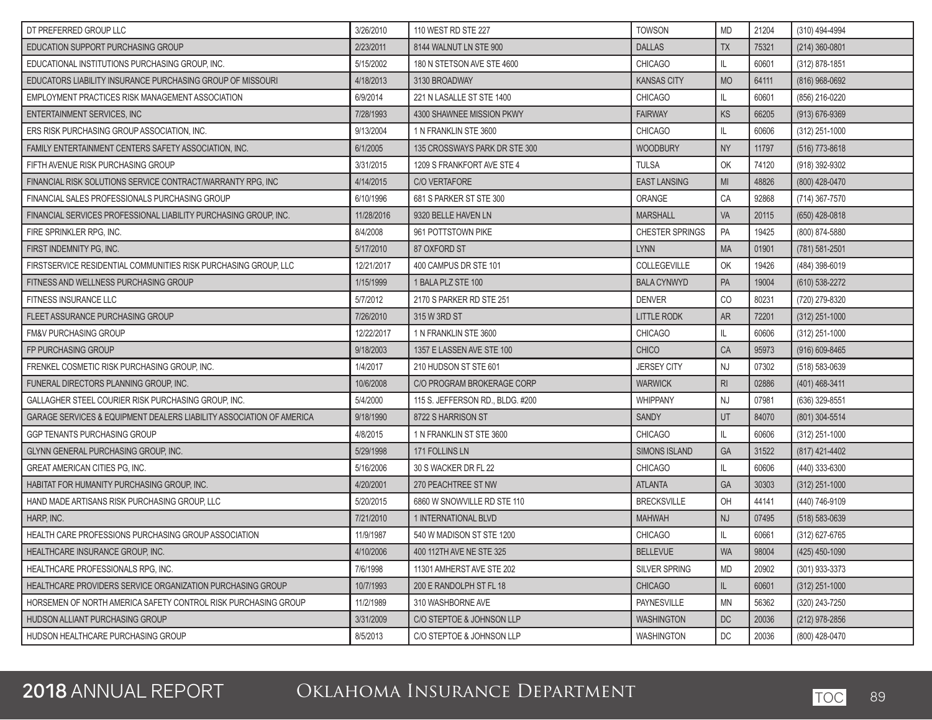| DT PREFERRED GROUP LLC                                               | 3/26/2010  | 110 WEST RD STE 227              | <b>TOWSON</b>          | <b>MD</b>      | 21204 | (310) 494-4994     |
|----------------------------------------------------------------------|------------|----------------------------------|------------------------|----------------|-------|--------------------|
| EDUCATION SUPPORT PURCHASING GROUP                                   | 2/23/2011  | 8144 WALNUT LN STE 900           | <b>DALLAS</b>          | <b>TX</b>      | 75321 | $(214)$ 360-0801   |
| EDUCATIONAL INSTITUTIONS PURCHASING GROUP, INC.                      | 5/15/2002  | 180 N STETSON AVE STE 4600       | <b>CHICAGO</b>         | IL.            | 60601 | (312) 878-1851     |
| EDUCATORS LIABILITY INSURANCE PURCHASING GROUP OF MISSOURI           | 4/18/2013  | 3130 BROADWAY                    | <b>KANSAS CITY</b>     | <b>MO</b>      | 64111 | (816) 968-0692     |
| EMPLOYMENT PRACTICES RISK MANAGEMENT ASSOCIATION                     | 6/9/2014   | 221 N LASALLE ST STE 1400        | <b>CHICAGO</b>         | IL.            | 60601 | (856) 216-0220     |
| <b>ENTERTAINMENT SERVICES, INC</b>                                   | 7/28/1993  | 4300 SHAWNEE MISSION PKWY        | <b>FAIRWAY</b>         | KS             | 66205 | $(913) 676 - 9369$ |
| ERS RISK PURCHASING GROUP ASSOCIATION, INC.                          | 9/13/2004  | 1 N FRANKLIN STE 3600            | <b>CHICAGO</b>         | IL.            | 60606 | (312) 251-1000     |
| FAMILY ENTERTAINMENT CENTERS SAFETY ASSOCIATION, INC.                | 6/1/2005   | 135 CROSSWAYS PARK DR STE 300    | <b>WOODBURY</b>        | <b>NY</b>      | 11797 | (516) 773-8618     |
| FIFTH AVENUE RISK PURCHASING GROUP                                   | 3/31/2015  | 1209 S FRANKFORT AVE STE 4       | <b>TULSA</b>           | OK             | 74120 | (918) 392-9302     |
| FINANCIAL RISK SOLUTIONS SERVICE CONTRACT/WARRANTY RPG, INC          | 4/14/2015  | <b>C/O VERTAFORE</b>             | <b>EAST LANSING</b>    | M <sub>l</sub> | 48826 | (800) 428-0470     |
| FINANCIAL SALES PROFESSIONALS PURCHASING GROUP                       | 6/10/1996  | 681 S PARKER ST STE 300          | ORANGE                 | CA             | 92868 | (714) 367-7570     |
| FINANCIAL SERVICES PROFESSIONAL LIABILITY PURCHASING GROUP, INC.     | 11/28/2016 | 9320 BELLE HAVEN LN              | <b>MARSHALL</b>        | <b>VA</b>      | 20115 | (650) 428-0818     |
| FIRE SPRINKLER RPG, INC.                                             | 8/4/2008   | 961 POTTSTOWN PIKE               | <b>CHESTER SPRINGS</b> | PA             | 19425 | (800) 874-5880     |
| FIRST INDEMNITY PG, INC.                                             | 5/17/2010  | 87 OXFORD ST                     | <b>LYNN</b>            | <b>MA</b>      | 01901 | (781) 581-2501     |
| FIRSTSERVICE RESIDENTIAL COMMUNITIES RISK PURCHASING GROUP, LLC      | 12/21/2017 | 400 CAMPUS DR STE 101            | COLLEGEVILLE           | OK             | 19426 | (484) 398-6019     |
| FITNESS AND WELLNESS PURCHASING GROUP                                | 1/15/1999  | 1 BALA PLZ STE 100               | <b>BALA CYNWYD</b>     | PA             | 19004 | (610) 538-2272     |
| FITNESS INSURANCE LLC                                                | 5/7/2012   | 2170 S PARKER RD STE 251         | <b>DENVER</b>          | CO             | 80231 | (720) 279-8320     |
| FLEET ASSURANCE PURCHASING GROUP                                     | 7/26/2010  | 315 W 3RD ST                     | <b>LITTLE RODK</b>     | <b>AR</b>      | 72201 | $(312)$ 251-1000   |
| <b>FM&amp;V PURCHASING GROUP</b>                                     | 12/22/2017 | 1 N FRANKLIN STE 3600            | <b>CHICAGO</b>         | IL.            | 60606 | (312) 251-1000     |
| FP PURCHASING GROUP                                                  | 9/18/2003  | 1357 E LASSEN AVE STE 100        | <b>CHICO</b>           | CA             | 95973 | $(916) 609 - 8465$ |
| FRENKEL COSMETIC RISK PURCHASING GROUP, INC.                         | 1/4/2017   | 210 HUDSON ST STE 601            | <b>JERSEY CITY</b>     | <b>NJ</b>      | 07302 | (518) 583-0639     |
| FUNERAL DIRECTORS PLANNING GROUP, INC.                               | 10/6/2008  | C/O PROGRAM BROKERAGE CORP       | <b>WARWICK</b>         | R <sub>l</sub> | 02886 | (401) 468-3411     |
| GALLAGHER STEEL COURIER RISK PURCHASING GROUP, INC.                  | 5/4/2000   | 115 S. JEFFERSON RD., BLDG. #200 | <b>WHIPPANY</b>        | <b>NJ</b>      | 07981 | (636) 329-8551     |
| GARAGE SERVICES & EQUIPMENT DEALERS LIABILITY ASSOCIATION OF AMERICA | 9/18/1990  | 8722 S HARRISON ST               | <b>SANDY</b>           | UT             | 84070 | (801) 304-5514     |
| GGP TENANTS PURCHASING GROUP                                         | 4/8/2015   | 1 N FRANKLIN ST STE 3600         | <b>CHICAGO</b>         | IL.            | 60606 | (312) 251-1000     |
| GLYNN GENERAL PURCHASING GROUP, INC.                                 | 5/29/1998  | 171 FOLLINS LN                   | <b>SIMONS ISLAND</b>   | GA             | 31522 | (817) 421-4402     |
| <b>GREAT AMERICAN CITIES PG. INC.</b>                                | 5/16/2006  | 30 S WACKER DR FL 22             | <b>CHICAGO</b>         | IL.            | 60606 | (440) 333-6300     |
| HABITAT FOR HUMANITY PURCHASING GROUP, INC.                          | 4/20/2001  | 270 PEACHTREE ST NW              | <b>ATLANTA</b>         | <b>GA</b>      | 30303 | $(312)$ 251-1000   |
| HAND MADE ARTISANS RISK PURCHASING GROUP. LLC                        | 5/20/2015  | 6860 W SNOWVILLE RD STE 110      | <b>BRECKSVILLE</b>     | OH             | 44141 | (440) 746-9109     |
| HARP, INC.                                                           | 7/21/2010  | 1 INTERNATIONAL BLVD             | <b>MAHWAH</b>          | NJ             | 07495 | (518) 583-0639     |
| HEALTH CARE PROFESSIONS PURCHASING GROUP ASSOCIATION                 | 11/9/1987  | 540 W MADISON ST STE 1200        | <b>CHICAGO</b>         | IL             | 60661 | (312) 627-6765     |
| HEALTHCARE INSURANCE GROUP, INC.                                     | 4/10/2006  | 400 112TH AVE NE STE 325         | <b>BELLEVUE</b>        | <b>WA</b>      | 98004 | $(425)$ 450-1090   |
| HEALTHCARE PROFESSIONALS RPG, INC.                                   | 7/6/1998   | 11301 AMHERST AVE STE 202        | SILVER SPRING          | <b>MD</b>      | 20902 | (301) 933-3373     |
| HEALTHCARE PROVIDERS SERVICE ORGANIZATION PURCHASING GROUP           | 10/7/1993  | 200 E RANDOLPH ST FL 18          | <b>CHICAGO</b>         | IL.            | 60601 | $(312)$ 251-1000   |
| HORSEMEN OF NORTH AMERICA SAFETY CONTROL RISK PURCHASING GROUP       | 11/2/1989  | 310 WASHBORNE AVE                | PAYNESVILLE            | <b>MN</b>      | 56362 | (320) 243-7250     |
| HUDSON ALLIANT PURCHASING GROUP                                      | 3/31/2009  | C/O STEPTOE & JOHNSON LLP        | <b>WASHINGTON</b>      | DC             | 20036 | (212) 978-2856     |
| HUDSON HEALTHCARE PURCHASING GROUP                                   | 8/5/2013   | C/O STEPTOE & JOHNSON LLP        | <b>WASHINGTON</b>      | DC             | 20036 | (800) 428-0470     |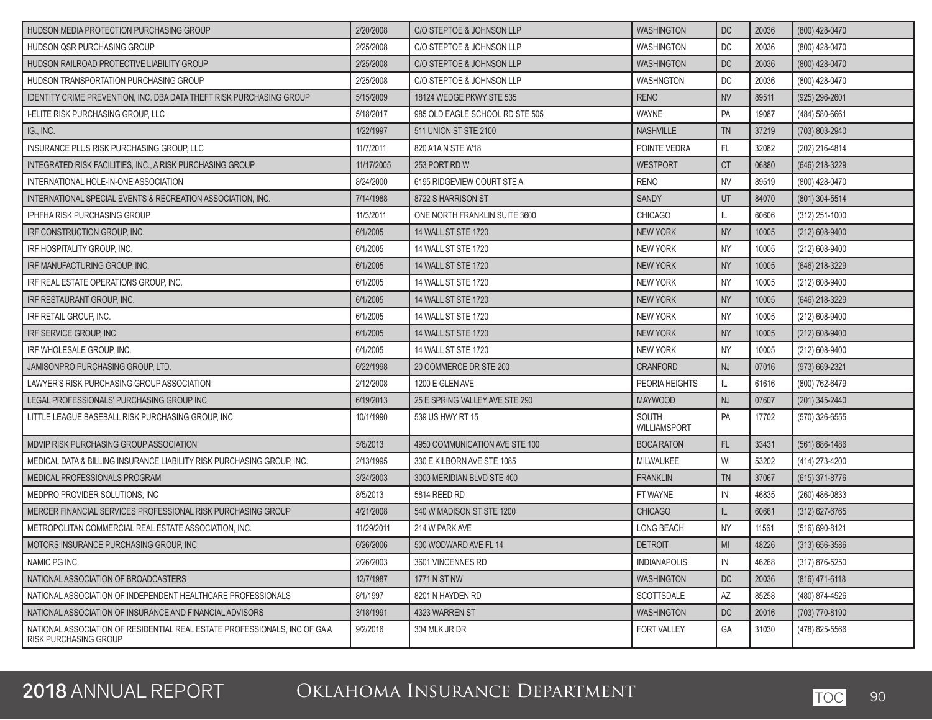| HUDSON MEDIA PROTECTION PURCHASING GROUP                                                           | 2/20/2008  | C/O STEPTOE & JOHNSON LLP       | <b>WASHINGTON</b>            | <b>DC</b>      | 20036 | (800) 428-0470     |
|----------------------------------------------------------------------------------------------------|------------|---------------------------------|------------------------------|----------------|-------|--------------------|
| <b>HUDSON QSR PURCHASING GROUP</b>                                                                 | 2/25/2008  | C/O STEPTOE & JOHNSON LLP       | <b>WASHINGTON</b>            | DC             | 20036 | (800) 428-0470     |
| HUDSON RAILROAD PROTECTIVE LIABILITY GROUP                                                         | 2/25/2008  | C/O STEPTOE & JOHNSON LLP       | <b>WASHINGTON</b>            | <b>DC</b>      | 20036 | (800) 428-0470     |
| HUDSON TRANSPORTATION PURCHASING GROUP                                                             | 2/25/2008  | C/O STEPTOE & JOHNSON LLP       | <b>WASHNGTON</b>             | DC             | 20036 | (800) 428-0470     |
| <b>IDENTITY CRIME PREVENTION. INC. DBA DATA THEFT RISK PURCHASING GROUP</b>                        | 5/15/2009  | 18124 WEDGE PKWY STE 535        | <b>RENO</b>                  | <b>NV</b>      | 89511 | (925) 296-2601     |
| <b>I-ELITE RISK PURCHASING GROUP, LLC</b>                                                          | 5/18/2017  | 985 OLD EAGLE SCHOOL RD STE 505 | <b>WAYNE</b>                 | PA             | 19087 | (484) 580-6661     |
| IG., INC.                                                                                          | 1/22/1997  | 511 UNION ST STE 2100           | <b>NASHVILLE</b>             | <b>TN</b>      | 37219 | (703) 803-2940     |
| INSURANCE PLUS RISK PURCHASING GROUP, LLC                                                          | 11/7/2011  | 820 A1A N STE W18               | POINTE VEDRA                 | FL             | 32082 | (202) 216-4814     |
| INTEGRATED RISK FACILITIES, INC., A RISK PURCHASING GROUP                                          | 11/17/2005 | 253 PORT RD W                   | <b>WESTPORT</b>              | <b>CT</b>      | 06880 | (646) 218-3229     |
| INTERNATIONAL HOLE-IN-ONE ASSOCIATION                                                              | 8/24/2000  | 6195 RIDGEVIEW COURT STE A      | <b>RENO</b>                  | <b>NV</b>      | 89519 | (800) 428-0470     |
| INTERNATIONAL SPECIAL EVENTS & RECREATION ASSOCIATION, INC.                                        | 7/14/1988  | 8722 S HARRISON ST              | <b>SANDY</b>                 | UT             | 84070 | (801) 304-5514     |
| <b>IPHFHA RISK PURCHASING GROUP</b>                                                                | 11/3/2011  | ONE NORTH FRANKLIN SUITE 3600   | <b>CHICAGO</b>               | IL             | 60606 | $(312)$ 251-1000   |
| IRF CONSTRUCTION GROUP, INC.                                                                       | 6/1/2005   | 14 WALL ST STE 1720             | <b>NEW YORK</b>              | <b>NY</b>      | 10005 | $(212)$ 608-9400   |
| IRF HOSPITALITY GROUP, INC.                                                                        | 6/1/2005   | 14 WALL ST STE 1720             | <b>NEW YORK</b>              | <b>NY</b>      | 10005 | (212) 608-9400     |
| IRF MANUFACTURING GROUP, INC.                                                                      | 6/1/2005   | 14 WALL ST STE 1720             | <b>NEW YORK</b>              | <b>NY</b>      | 10005 | (646) 218-3229     |
| IRF REAL ESTATE OPERATIONS GROUP. INC.                                                             | 6/1/2005   | 14 WALL ST STE 1720             | <b>NEW YORK</b>              | <b>NY</b>      | 10005 | (212) 608-9400     |
| IRF RESTAURANT GROUP. INC.                                                                         | 6/1/2005   | 14 WALL ST STE 1720             | <b>NEW YORK</b>              | <b>NY</b>      | 10005 | (646) 218-3229     |
| IRF RETAIL GROUP, INC.                                                                             | 6/1/2005   | 14 WALL ST STE 1720             | <b>NEW YORK</b>              | <b>NY</b>      | 10005 | (212) 608-9400     |
| IRF SERVICE GROUP, INC.                                                                            | 6/1/2005   | 14 WALL ST STE 1720             | <b>NEW YORK</b>              | <b>NY</b>      | 10005 | $(212)$ 608-9400   |
| IRF WHOLESALE GROUP, INC.                                                                          | 6/1/2005   | 14 WALL ST STE 1720             | <b>NEW YORK</b>              | <b>NY</b>      | 10005 | (212) 608-9400     |
| JAMISONPRO PURCHASING GROUP, LTD.                                                                  | 6/22/1998  | 20 COMMERCE DR STE 200          | <b>CRANFORD</b>              | <b>NJ</b>      | 07016 | (973) 669-2321     |
| LAWYER'S RISK PURCHASING GROUP ASSOCIATION                                                         | 2/12/2008  | 1200 E GLEN AVE                 | PEORIA HEIGHTS               | IL             | 61616 | (800) 762-6479     |
| LEGAL PROFESSIONALS' PURCHASING GROUP INC                                                          | 6/19/2013  | 25 E SPRING VALLEY AVE STE 290  | <b>MAYWOOD</b>               | <b>NJ</b>      | 07607 | (201) 345-2440     |
| LITTLE LEAGUE BASEBALL RISK PURCHASING GROUP, INC                                                  | 10/1/1990  | 539 US HWY RT 15                | SOUTH<br><b>WILLIAMSPORT</b> | PA             | 17702 | (570) 326-6555     |
| MDVIP RISK PURCHASING GROUP ASSOCIATION                                                            | 5/6/2013   | 4950 COMMUNICATION AVE STE 100  | <b>BOCA RATON</b>            | FL.            | 33431 | $(561) 886 - 1486$ |
| MEDICAL DATA & BILLING INSURANCE LIABILITY RISK PURCHASING GROUP, INC.                             | 2/13/1995  | 330 E KILBORN AVE STE 1085      | MILWAUKEE                    | WI             | 53202 | (414) 273-4200     |
| MEDICAL PROFESSIONALS PROGRAM                                                                      | 3/24/2003  | 3000 MERIDIAN BLVD STE 400      | <b>FRANKLIN</b>              | TN             | 37067 | (615) 371-8776     |
| MEDPRO PROVIDER SOLUTIONS, INC.                                                                    | 8/5/2013   | 5814 REED RD                    | FT WAYNE                     | IN             | 46835 | $(260)$ 486-0833   |
| MERCER FINANCIAL SERVICES PROFESSIONAL RISK PURCHASING GROUP                                       | 4/21/2008  | 540 W MADISON ST STE 1200       | <b>CHICAGO</b>               | L              | 60661 | (312) 627-6765     |
| METROPOLITAN COMMERCIAL REAL ESTATE ASSOCIATION, INC.                                              | 11/29/2011 | 214 W PARK AVE                  | <b>LONG BEACH</b>            | <b>NY</b>      | 11561 | (516) 690-8121     |
| MOTORS INSURANCE PURCHASING GROUP, INC.                                                            | 6/26/2006  | 500 WODWARD AVE FL 14           | <b>DETROIT</b>               | MI             | 48226 | $(313)$ 656-3586   |
| NAMIC PG INC                                                                                       | 2/26/2003  | 3601 VINCENNES RD               | <b>INDIANAPOLIS</b>          | ${\sf IN}$     | 46268 | (317) 876-5250     |
| NATIONAL ASSOCIATION OF BROADCASTERS                                                               | 12/7/1987  | <b>1771 N ST NW</b>             | <b>WASHINGTON</b>            | <b>DC</b>      | 20036 | (816) 471-6118     |
| NATIONAL ASSOCIATION OF INDEPENDENT HEALTHCARE PROFESSIONALS                                       | 8/1/1997   | 8201 N HAYDEN RD                | SCOTTSDALE                   | AZ             | 85258 | (480) 874-4526     |
| NATIONAL ASSOCIATION OF INSURANCE AND FINANCIAL ADVISORS                                           | 3/18/1991  | 4323 WARREN ST                  | <b>WASHINGTON</b>            | D <sub>C</sub> | 20016 | (703) 770-8190     |
| NATIONAL ASSOCIATION OF RESIDENTIAL REAL ESTATE PROFESSIONALS, INC OF GAA<br>RISK PURCHASING GROUP | 9/2/2016   | 304 MLK JR DR                   | <b>FORT VALLEY</b>           | GA             | 31030 | (478) 825-5566     |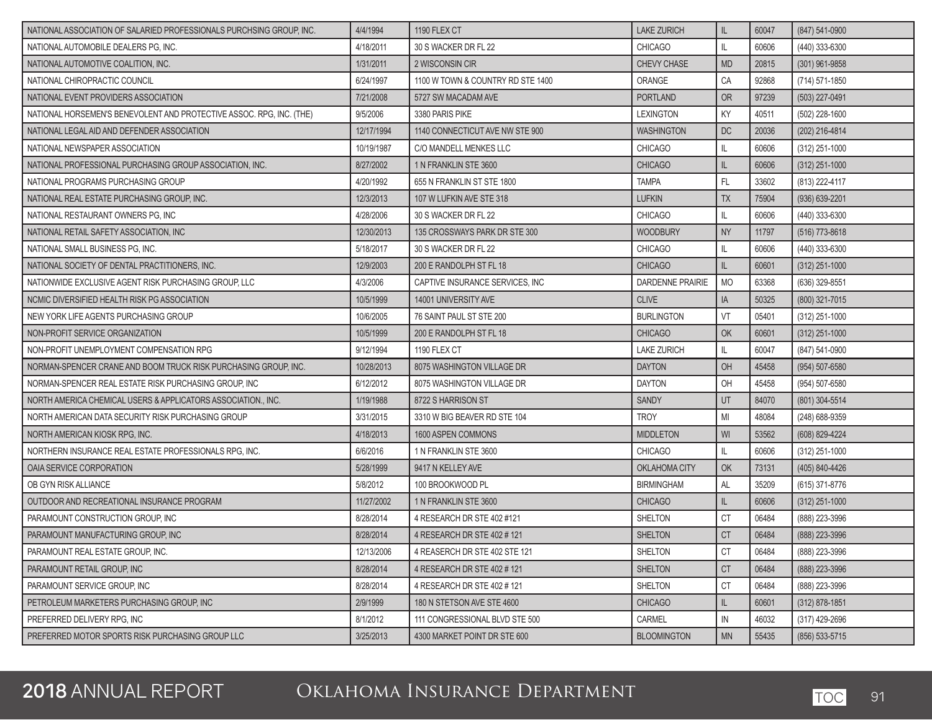| NATIONAL ASSOCIATION OF SALARIED PROFESSIONALS PURCHSING GROUP, INC. | 4/4/1994   | 1190 FLEX CT                      | <b>LAKE ZURICH</b>      | IL          | 60047 | (847) 541-0900   |
|----------------------------------------------------------------------|------------|-----------------------------------|-------------------------|-------------|-------|------------------|
| NATIONAL AUTOMOBILE DEALERS PG, INC.                                 | 4/18/2011  | 30 S WACKER DR FL 22              | <b>CHICAGO</b>          | IL          | 60606 | (440) 333-6300   |
| NATIONAL AUTOMOTIVE COALITION, INC.                                  | 1/31/2011  | 2 WISCONSIN CIR                   | CHEVY CHASE             | <b>MD</b>   | 20815 | (301) 961-9858   |
| NATIONAL CHIROPRACTIC COUNCIL                                        | 6/24/1997  | 1100 W TOWN & COUNTRY RD STE 1400 | ORANGE                  | CA          | 92868 | (714) 571-1850   |
| NATIONAL EVENT PROVIDERS ASSOCIATION                                 | 7/21/2008  | 5727 SW MACADAM AVE               | PORTLAND                | OR          | 97239 | (503) 227-0491   |
| NATIONAL HORSEMEN'S BENEVOLENT AND PROTECTIVE ASSOC. RPG, INC. (THE) | 9/5/2006   | 3380 PARIS PIKE                   | <b>LEXINGTON</b>        | KY          | 40511 | (502) 228-1600   |
| NATIONAL LEGAL AID AND DEFENDER ASSOCIATION                          | 12/17/1994 | 1140 CONNECTICUT AVE NW STE 900   | <b>WASHINGTON</b>       | DC          | 20036 | (202) 216-4814   |
| NATIONAL NEWSPAPER ASSOCIATION                                       | 10/19/1987 | C/O MANDELL MENKES LLC            | <b>CHICAGO</b>          | L           | 60606 | (312) 251-1000   |
| NATIONAL PROFESSIONAL PURCHASING GROUP ASSOCIATION. INC.             | 8/27/2002  | 1 N FRANKLIN STE 3600             | <b>CHICAGO</b>          | IL          | 60606 | $(312)$ 251-1000 |
| NATIONAL PROGRAMS PURCHASING GROUP                                   | 4/20/1992  | 655 N FRANKLIN ST STE 1800        | <b>TAMPA</b>            | FL.         | 33602 | (813) 222-4117   |
| NATIONAL REAL ESTATE PURCHASING GROUP, INC.                          | 12/3/2013  | 107 W LUFKIN AVE STE 318          | <b>LUFKIN</b>           | <b>TX</b>   | 75904 | (936) 639-2201   |
| NATIONAL RESTAURANT OWNERS PG, INC                                   | 4/28/2006  | 30 S WACKER DR FL 22              | <b>CHICAGO</b>          | IL          | 60606 | (440) 333-6300   |
| NATIONAL RETAIL SAFETY ASSOCIATION, INC                              | 12/30/2013 | 135 CROSSWAYS PARK DR STE 300     | <b>WOODBURY</b>         | <b>NY</b>   | 11797 | (516) 773-8618   |
| NATIONAL SMALL BUSINESS PG, INC.                                     | 5/18/2017  | 30 S WACKER DR FL 22              | <b>CHICAGO</b>          | IL          | 60606 | (440) 333-6300   |
| NATIONAL SOCIETY OF DENTAL PRACTITIONERS, INC.                       | 12/9/2003  | 200 E RANDOLPH ST FL 18           | <b>CHICAGO</b>          | IL          | 60601 | (312) 251-1000   |
| NATIONWIDE EXCLUSIVE AGENT RISK PURCHASING GROUP, LLC                | 4/3/2006   | CAPTIVE INSURANCE SERVICES. INC   | <b>DARDENNE PRAIRIE</b> | <b>MO</b>   | 63368 | (636) 329-8551   |
| NCMIC DIVERSIFIED HEALTH RISK PG ASSOCIATION                         | 10/5/1999  | 14001 UNIVERSITY AVE              | <b>CLIVE</b>            | IA          | 50325 | (800) 321-7015   |
| NEW YORK LIFE AGENTS PURCHASING GROUP                                | 10/6/2005  | 76 SAINT PAUL ST STE 200          | <b>BURLINGTON</b>       | VT          | 05401 | (312) 251-1000   |
| NON-PROFIT SERVICE ORGANIZATION                                      | 10/5/1999  | 200 E RANDOLPH ST FL 18           | <b>CHICAGO</b>          | OK          | 60601 | (312) 251-1000   |
| NON-PROFIT UNEMPLOYMENT COMPENSATION RPG                             | 9/12/1994  | 1190 FLEX CT                      | <b>LAKE ZURICH</b>      | IL          | 60047 | (847) 541-0900   |
| NORMAN-SPENCER CRANE AND BOOM TRUCK RISK PURCHASING GROUP, INC.      | 10/28/2013 | 8075 WASHINGTON VILLAGE DR        | <b>DAYTON</b>           | OH          | 45458 | (954) 507-6580   |
| NORMAN-SPENCER REAL ESTATE RISK PURCHASING GROUP, INC                | 6/12/2012  | 8075 WASHINGTON VILLAGE DR        | <b>DAYTON</b>           | OH          | 45458 | (954) 507-6580   |
| NORTH AMERICA CHEMICAL USERS & APPLICATORS ASSOCIATION., INC.        | 1/19/1988  | 8722 S HARRISON ST                | <b>SANDY</b>            | UT          | 84070 | (801) 304-5514   |
| NORTH AMERICAN DATA SECURITY RISK PURCHASING GROUP                   | 3/31/2015  | 3310 W BIG BEAVER RD STE 104      | <b>TROY</b>             | MI          | 48084 | (248) 688-9359   |
| NORTH AMERICAN KIOSK RPG, INC.                                       | 4/18/2013  | 1600 ASPEN COMMONS                | <b>MIDDLETON</b>        | WI          | 53562 | (608) 829-4224   |
| NORTHERN INSURANCE REAL ESTATE PROFESSIONALS RPG, INC.               | 6/6/2016   | 1 N FRANKLIN STE 3600             | <b>CHICAGO</b>          | IL          | 60606 | (312) 251-1000   |
| OAIA SERVICE CORPORATION                                             | 5/28/1999  | 9417 N KELLEY AVE                 | OKLAHOMA CITY           | OK          | 73131 | (405) 840-4426   |
| OB GYN RISK ALLIANCE                                                 | 5/8/2012   | 100 BROOKWOOD PL                  | <b>BIRMINGHAM</b>       | AL          | 35209 | (615) 371-8776   |
| OUTDOOR AND RECREATIONAL INSURANCE PROGRAM                           | 11/27/2002 | 1 N FRANKLIN STE 3600             | <b>CHICAGO</b>          | $\mathbb L$ | 60606 | (312) 251-1000   |
| PARAMOUNT CONSTRUCTION GROUP. INC.                                   | 8/28/2014  | 4 RESEARCH DR STE 402 #121        | <b>SHELTON</b>          | <b>CT</b>   | 06484 | (888) 223-3996   |
| PARAMOUNT MANUFACTURING GROUP, INC                                   | 8/28/2014  | 4 RESEARCH DR STE 402 # 121       | <b>SHELTON</b>          | <b>CT</b>   | 06484 | (888) 223-3996   |
| PARAMOUNT REAL ESTATE GROUP, INC.                                    | 12/13/2006 | 4 REASERCH DR STE 402 STE 121     | SHELTON                 | CT          | 06484 | (888) 223-3996   |
| PARAMOUNT RETAIL GROUP. INC                                          | 8/28/2014  | 4 RESEARCH DR STE 402 # 121       | <b>SHELTON</b>          | <b>CT</b>   | 06484 | (888) 223-3996   |
| PARAMOUNT SERVICE GROUP. INC                                         | 8/28/2014  | 4 RESEARCH DR STE 402 # 121       | SHELTON                 | <b>CT</b>   | 06484 | (888) 223-3996   |
| PETROLEUM MARKETERS PURCHASING GROUP, INC                            | 2/9/1999   | 180 N STETSON AVE STE 4600        | <b>CHICAGO</b>          | IL          | 60601 | $(312)$ 878-1851 |
| PREFERRED DELIVERY RPG, INC                                          | 8/1/2012   | 111 CONGRESSIONAL BLVD STE 500    | CARMEL                  | IN          | 46032 | (317) 429-2696   |
| PREFERRED MOTOR SPORTS RISK PURCHASING GROUP LLC                     | 3/25/2013  | 4300 MARKET POINT DR STE 600      | <b>BLOOMINGTON</b>      | <b>MN</b>   | 55435 | (856) 533-5715   |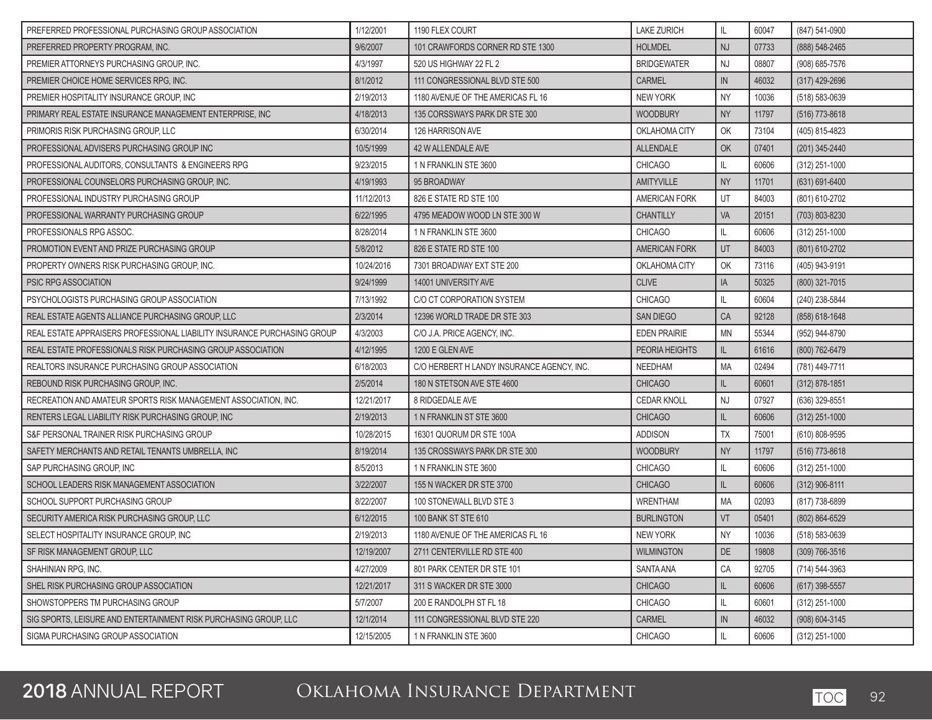| PREFERRED PROFESSIONAL PURCHASING GROUP ASSOCIATION                      | 1/12/2001  | 1190 FLEX COURT                            | <b>LAKE ZURICH</b>    | IL            | 60047 | (847) 541-0900     |
|--------------------------------------------------------------------------|------------|--------------------------------------------|-----------------------|---------------|-------|--------------------|
| PREFERRED PROPERTY PROGRAM. INC.                                         | 9/6/2007   | 101 CRAWFORDS CORNER RD STE 1300           | <b>HOLMDEL</b>        | <b>NJ</b>     | 07733 | (888) 548-2465     |
| PREMIER ATTORNEYS PURCHASING GROUP, INC.                                 | 4/3/1997   | 520 US HIGHWAY 22 FL 2                     | <b>BRIDGEWATER</b>    | <b>NJ</b>     | 08807 | (908) 685-7576     |
| PREMIER CHOICE HOME SERVICES RPG, INC.                                   | 8/1/2012   | 111 CONGRESSIONAL BLVD STE 500             | <b>CARMEL</b>         | IN            | 46032 | (317) 429-2696     |
| PREMIER HOSPITALITY INSURANCE GROUP, INC                                 | 2/19/2013  | 1180 AVENUE OF THE AMERICAS FL 16          | <b>NEW YORK</b>       | <b>NY</b>     | 10036 | (518) 583-0639     |
| PRIMARY REAL ESTATE INSURANCE MANAGEMENT ENTERPRISE, INC                 | 4/18/2013  | 135 CORSSWAYS PARK DR STE 300              | <b>WOODBURY</b>       | <b>NY</b>     | 11797 | (516) 773-8618     |
| PRIMORIS RISK PURCHASING GROUP, LLC                                      | 6/30/2014  | 126 HARRISON AVE                           | OKLAHOMA CITY         | OK            | 73104 | (405) 815-4823     |
| PROFESSIONAL ADVISERS PURCHASING GROUP INC                               | 10/5/1999  | 42 W ALLENDALE AVE                         | ALLENDALE             | OK            | 07401 | (201) 345-2440     |
| PROFESSIONAL AUDITORS, CONSULTANTS & ENGINEERS RPG                       | 9/23/2015  | 1 N FRANKLIN STE 3600                      | <b>CHICAGO</b>        | L             | 60606 | (312) 251-1000     |
| PROFESSIONAL COUNSELORS PURCHASING GROUP. INC.                           | 4/19/1993  | 95 BROADWAY                                | <b>AMITYVILLE</b>     | <b>NY</b>     | 11701 | (631) 691-6400     |
| PROFESSIONAL INDUSTRY PURCHASING GROUP                                   | 11/12/2013 | 826 E STATE RD STE 100                     | AMERICAN FORK         | UT            | 84003 | (801) 610-2702     |
| PROFESSIONAL WARRANTY PURCHASING GROUP                                   | 6/22/1995  | 4795 MEADOW WOOD LN STE 300 W              | <b>CHANTILLY</b>      | VA            | 20151 | (703) 803-8230     |
| PROFESSIONALS RPG ASSOC.                                                 | 8/28/2014  | 1 N FRANKLIN STE 3600                      | <b>CHICAGO</b>        | IL            | 60606 | (312) 251-1000     |
| PROMOTION EVENT AND PRIZE PURCHASING GROUP                               | 5/8/2012   | 826 E STATE RD STE 100                     | AMERICAN FORK         | UT            | 84003 | (801) 610-2702     |
| PROPERTY OWNERS RISK PURCHASING GROUP, INC.                              | 10/24/2016 | 7301 BROADWAY EXT STE 200                  | OKLAHOMA CITY         | OK            | 73116 | (405) 943-9191     |
| <b>PSIC RPG ASSOCIATION</b>                                              | 9/24/1999  | 14001 UNIVERSITY AVE                       | <b>CLIVE</b>          | IA            | 50325 | (800) 321-7015     |
| PSYCHOLOGISTS PURCHASING GROUP ASSOCIATION                               | 7/13/1992  | C/O CT CORPORATION SYSTEM                  | <b>CHICAGO</b>        | IL            | 60604 | (240) 238-5844     |
| REAL ESTATE AGENTS ALLIANCE PURCHASING GROUP. LLC                        | 2/3/2014   | 12396 WORLD TRADE DR STE 303               | <b>SAN DIEGO</b>      | CA            | 92128 | (858) 618-1648     |
| REAL ESTATE APPRAISERS PROFESSIONAL LIABILITY INSURANCE PURCHASING GROUP | 4/3/2003   | C/O J.A. PRICE AGENCY, INC.                | <b>EDEN PRAIRIE</b>   | <b>MN</b>     | 55344 | (952) 944-8790     |
| REAL ESTATE PROFESSIONALS RISK PURCHASING GROUP ASSOCIATION              | 4/12/1995  | 1200 E GLEN AVE                            | <b>PEORIA HEIGHTS</b> | L             | 61616 | (800) 762-6479     |
| REALTORS INSURANCE PURCHASING GROUP ASSOCIATION                          | 6/18/2003  | C/O HERBERT H LANDY INSURANCE AGENCY, INC. | NEEDHAM               | MA            | 02494 | (781) 449-7711     |
| REBOUND RISK PURCHASING GROUP, INC.                                      | 2/5/2014   | 180 N STETSON AVE STE 4600                 | <b>CHICAGO</b>        | L             | 60601 | $(312)$ 878-1851   |
| RECREATION AND AMATEUR SPORTS RISK MANAGEMENT ASSOCIATION, INC.          | 12/21/2017 | 8 RIDGEDALE AVE                            | <b>CEDAR KNOLL</b>    | <b>NJ</b>     | 07927 | (636) 329-8551     |
| RENTERS LEGAL LIABILITY RISK PURCHASING GROUP, INC                       | 2/19/2013  | 1 N FRANKLIN ST STE 3600                   | <b>CHICAGO</b>        | IL            | 60606 | (312) 251-1000     |
| S&F PERSONAL TRAINER RISK PURCHASING GROUP                               | 10/28/2015 | 16301 QUORUM DR STE 100A                   | <b>ADDISON</b>        | <b>TX</b>     | 75001 | (610) 808-9595     |
| SAFETY MERCHANTS AND RETAIL TENANTS UMBRELLA, INC                        | 8/19/2014  | 135 CROSSWAYS PARK DR STE 300              | <b>WOODBURY</b>       | <b>NY</b>     | 11797 | (516) 773-8618     |
| SAP PURCHASING GROUP, INC                                                | 8/5/2013   | 1 N FRANKLIN STE 3600                      | <b>CHICAGO</b>        | IL            | 60606 | (312) 251-1000     |
| SCHOOL LEADERS RISK MANAGEMENT ASSOCIATION                               | 3/22/2007  | 155 N WACKER DR STE 3700                   | <b>CHICAGO</b>        | IL            | 60606 | (312) 906-8111     |
| SCHOOL SUPPORT PURCHASING GROUP                                          | 8/22/2007  | 100 STONEWALL BLVD STE 3                   | <b>WRENTHAM</b>       | MA            | 02093 | (817) 738-6899     |
| SECURITY AMERICA RISK PURCHASING GROUP. LLC                              | 6/12/2015  | 100 BANK ST STE 610                        | <b>BURLINGTON</b>     | VT            | 05401 | (802) 864-6529     |
| SELECT HOSPITALITY INSURANCE GROUP, INC                                  | 2/19/2013  | 1180 AVENUE OF THE AMERICAS FL 16          | <b>NEW YORK</b>       | <b>NY</b>     | 10036 | (518) 583-0639     |
| SF RISK MANAGEMENT GROUP, LLC                                            | 12/19/2007 | 2711 CENTERVILLE RD STE 400                | <b>WILMINGTON</b>     | DE.           | 19808 | $(309) 766 - 3516$ |
| SHAHINIAN RPG. INC.                                                      | 4/27/2009  | 801 PARK CENTER DR STE 101                 | <b>SANTA ANA</b>      | CA            | 92705 | (714) 544-3963     |
| SHEL RISK PURCHASING GROUP ASSOCIATION                                   | 12/21/2017 | 311 S WACKER DR STE 3000                   | <b>CHICAGO</b>        | $\mathsf{IL}$ | 60606 | (617) 398-5557     |
| SHOWSTOPPERS TM PURCHASING GROUP                                         | 5/7/2007   | 200 E RANDOLPH ST FL 18                    | <b>CHICAGO</b>        | IL            | 60601 | (312) 251-1000     |
| SIG SPORTS. LEISURE AND ENTERTAINMENT RISK PURCHASING GROUP. LLC         | 12/1/2014  | 111 CONGRESSIONAL BLVD STE 220             | <b>CARMEL</b>         | ${\sf IN}$    | 46032 | (908) 604-3145     |
| SIGMA PURCHASING GROUP ASSOCIATION                                       | 12/15/2005 | 1 N FRANKLIN STE 3600                      | <b>CHICAGO</b>        | IL            | 60606 | (312) 251-1000     |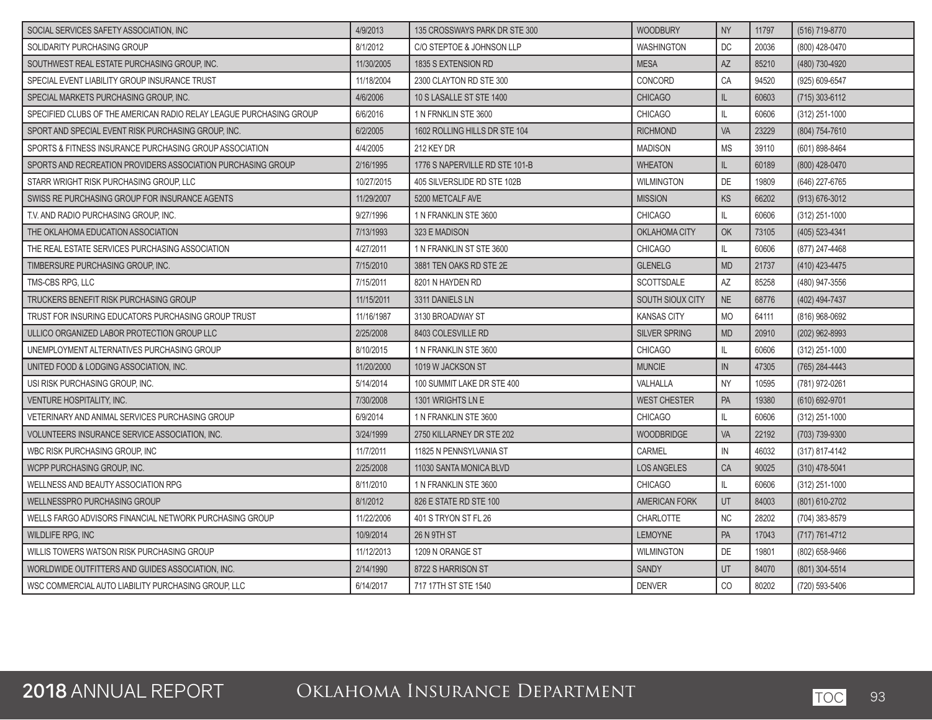| SOCIAL SERVICES SAFETY ASSOCIATION, INC                             | 4/9/2013   | 135 CROSSWAYS PARK DR STE 300  | <b>WOODBURY</b>      | <b>NY</b>    | 11797 | (516) 719-8770     |
|---------------------------------------------------------------------|------------|--------------------------------|----------------------|--------------|-------|--------------------|
| SOLIDARITY PURCHASING GROUP                                         | 8/1/2012   | C/O STEPTOE & JOHNSON LLP      | <b>WASHINGTON</b>    | DC           | 20036 | (800) 428-0470     |
| SOUTHWEST REAL ESTATE PURCHASING GROUP, INC.                        | 11/30/2005 | 1835 S EXTENSION RD            | <b>MESA</b>          | AZ           | 85210 | (480) 730-4920     |
| SPECIAL EVENT LIABILITY GROUP INSURANCE TRUST                       | 11/18/2004 | 2300 CLAYTON RD STE 300        | CONCORD              | CA           | 94520 | (925) 609-6547     |
| SPECIAL MARKETS PURCHASING GROUP, INC.                              | 4/6/2006   | 10 S LASALLE ST STE 1400       | <b>CHICAGO</b>       | $\mathbb L$  | 60603 | $(715)$ 303-6112   |
| SPECIFIED CLUBS OF THE AMERICAN RADIO RELAY LEAGUE PURCHASING GROUP | 6/6/2016   | 1 N FRNKLIN STE 3600           | <b>CHICAGO</b>       | IL           | 60606 | $(312)$ 251-1000   |
| SPORT AND SPECIAL EVENT RISK PURCHASING GROUP, INC.                 | 6/2/2005   | 1602 ROLLING HILLS DR STE 104  | <b>RICHMOND</b>      | VA           | 23229 | (804) 754-7610     |
| SPORTS & FITNESS INSURANCE PURCHASING GROUP ASSOCIATION             | 4/4/2005   | 212 KEY DR                     | <b>MADISON</b>       | <b>MS</b>    | 39110 | (601) 898-8464     |
| SPORTS AND RECREATION PROVIDERS ASSOCIATION PURCHASING GROUP        | 2/16/1995  | 1776 S NAPERVILLE RD STE 101-B | <b>WHEATON</b>       | IL           | 60189 | (800) 428-0470     |
| STARR WRIGHT RISK PURCHASING GROUP, LLC                             | 10/27/2015 | 405 SILVERSLIDE RD STE 102B    | <b>WILMINGTON</b>    | DE           | 19809 | (646) 227-6765     |
| SWISS RE PURCHASING GROUP FOR INSURANCE AGENTS                      | 11/29/2007 | 5200 METCALF AVE               | <b>MISSION</b>       | KS           | 66202 | $(913) 676 - 3012$ |
| T.V. AND RADIO PURCHASING GROUP, INC.                               | 9/27/1996  | 1 N FRANKLIN STE 3600          | <b>CHICAGO</b>       | IL           | 60606 | $(312)$ 251-1000   |
| THE OKLAHOMA EDUCATION ASSOCIATION                                  | 7/13/1993  | 323 E MADISON                  | OKLAHOMA CITY        | OK           | 73105 | (405) 523-4341     |
| THE REAL ESTATE SERVICES PURCHASING ASSOCIATION                     | 4/27/2011  | 1 N FRANKLIN ST STE 3600       | <b>CHICAGO</b>       | IL           | 60606 | (877) 247-4468     |
| TIMBERSURE PURCHASING GROUP, INC.                                   | 7/15/2010  | 3881 TEN OAKS RD STE 2E        | <b>GLENELG</b>       | <b>MD</b>    | 21737 | (410) 423-4475     |
| TMS-CBS RPG, LLC                                                    | 7/15/2011  | 8201 N HAYDEN RD               | <b>SCOTTSDALE</b>    | <b>AZ</b>    | 85258 | (480) 947-3556     |
| TRUCKERS BENEFIT RISK PURCHASING GROUP                              | 11/15/2011 | 3311 DANIELS LN                | SOUTH SIOUX CITY     | <b>NE</b>    | 68776 | (402) 494-7437     |
| TRUST FOR INSURING EDUCATORS PURCHASING GROUP TRUST                 | 11/16/1987 | 3130 BROADWAY ST               | <b>KANSAS CITY</b>   | <b>MO</b>    | 64111 | (816) 968-0692     |
| ULLICO ORGANIZED LABOR PROTECTION GROUP LLC                         | 2/25/2008  | 8403 COLESVILLE RD             | <b>SILVER SPRING</b> | <b>MD</b>    | 20910 | (202) 962-8993     |
| UNEMPLOYMENT ALTERNATIVES PURCHASING GROUP                          | 8/10/2015  | 1 N FRANKLIN STE 3600          | <b>CHICAGO</b>       | $\mathbb{L}$ | 60606 | (312) 251-1000     |
| UNITED FOOD & LODGING ASSOCIATION. INC.                             | 11/20/2000 | 1019 W JACKSON ST              | <b>MUNCIE</b>        | IN           | 47305 | (765) 284-4443     |
| USI RISK PURCHASING GROUP, INC.                                     | 5/14/2014  | 100 SUMMIT LAKE DR STE 400     | VALHALLA             | <b>NY</b>    | 10595 | (781) 972-0261     |
| <b>VENTURE HOSPITALITY, INC.</b>                                    | 7/30/2008  | 1301 WRIGHTS LN E              | <b>WEST CHESTER</b>  | PA           | 19380 | (610) 692-9701     |
| VETERINARY AND ANIMAL SERVICES PURCHASING GROUP                     | 6/9/2014   | 1 N FRANKLIN STE 3600          | <b>CHICAGO</b>       | IL           | 60606 | (312) 251-1000     |
| VOLUNTEERS INSURANCE SERVICE ASSOCIATION. INC.                      | 3/24/1999  | 2750 KILLARNEY DR STE 202      | <b>WOODBRIDGE</b>    | VA           | 22192 | (703) 739-9300     |
| WBC RISK PURCHASING GROUP. INC                                      | 11/7/2011  | 11825 N PENNSYLVANIA ST        | CARMEL               | IN           | 46032 | (317) 817-4142     |
| WCPP PURCHASING GROUP. INC.                                         | 2/25/2008  | 11030 SANTA MONICA BLVD        | <b>LOS ANGELES</b>   | CA           | 90025 | $(310)$ 478-5041   |
| WELLNESS AND BEAUTY ASSOCIATION RPG                                 | 8/11/2010  | 1 N FRANKLIN STE 3600          | <b>CHICAGO</b>       | IL           | 60606 | (312) 251-1000     |
| <b>WELLNESSPRO PURCHASING GROUP</b>                                 | 8/1/2012   | 826 E STATE RD STE 100         | <b>AMERICAN FORK</b> | UT           | 84003 | (801) 610-2702     |
| WELLS FARGO ADVISORS FINANCIAL NETWORK PURCHASING GROUP             | 11/22/2006 | 401 S TRYON ST FL 26           | <b>CHARLOTTE</b>     | <b>NC</b>    | 28202 | (704) 383-8579     |
| <b>WILDLIFE RPG. INC</b>                                            | 10/9/2014  | <b>26 N 9TH ST</b>             | <b>LEMOYNE</b>       | PA           | 17043 | (717) 761-4712     |
| WILLIS TOWERS WATSON RISK PURCHASING GROUP                          | 11/12/2013 | 1209 N ORANGE ST               | <b>WILMINGTON</b>    | DE           | 19801 | (802) 658-9466     |
| WORLDWIDE OUTFITTERS AND GUIDES ASSOCIATION. INC.                   | 2/14/1990  | 8722 S HARRISON ST             | <b>SANDY</b>         | UT           | 84070 | (801) 304-5514     |
| WSC COMMERCIAL AUTO LIABILITY PURCHASING GROUP. LLC                 | 6/14/2017  | 717 17TH ST STE 1540           | <b>DENVER</b>        | CO           | 80202 | (720) 593-5406     |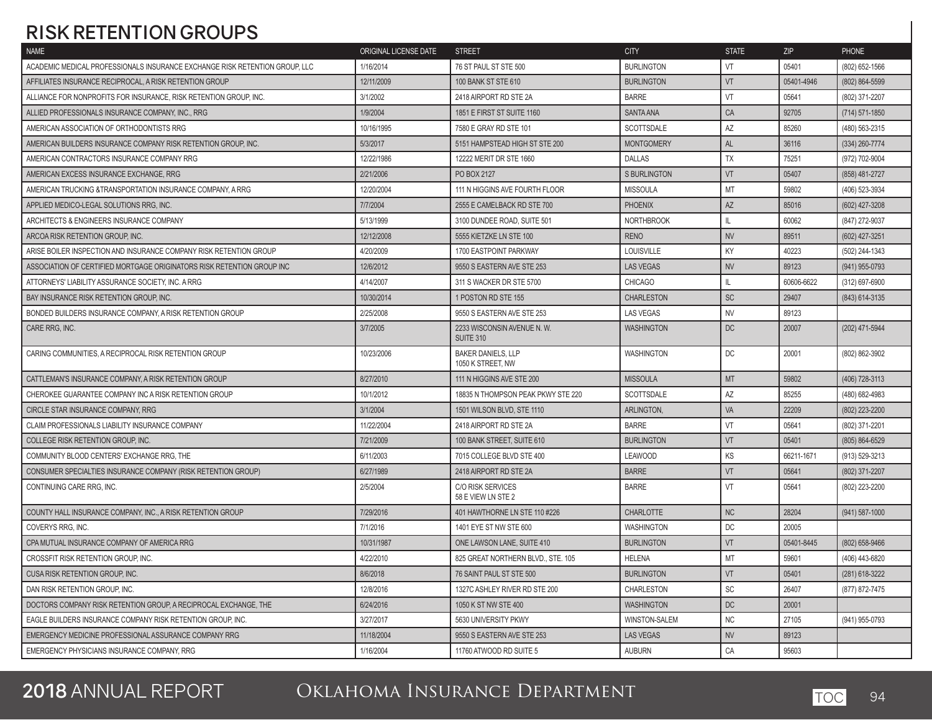## **RISK RETENTION GROUPS**

| <b>NAME</b>                                                                 | ORIGINAL LICENSE DATE | <b>STREET</b>                                  | <b>CITY</b>         | <b>STATE</b>  | <b>ZIP</b> | <b>PHONE</b>       |
|-----------------------------------------------------------------------------|-----------------------|------------------------------------------------|---------------------|---------------|------------|--------------------|
| ACADEMIC MEDICAL PROFESSIONALS INSURANCE EXCHANGE RISK RETENTION GROUP, LLC | 1/16/2014             | 76 ST PAUL ST STE 500                          | <b>BURLINGTON</b>   | VT            | 05401      | (802) 652-1566     |
| AFFILIATES INSURANCE RECIPROCAL, A RISK RETENTION GROUP                     | 12/11/2009            | <b>100 BANK ST STE 610</b>                     | <b>BURLINGTON</b>   | VT            | 05401-4946 | (802) 864-5599     |
| ALLIANCE FOR NONPROFITS FOR INSURANCE, RISK RETENTION GROUP, INC.           | 3/1/2002              | 2418 AIRPORT RD STE 2A                         | <b>BARRE</b>        | VT            | 05641      | (802) 371-2207     |
| ALLIED PROFESSIONALS INSURANCE COMPANY, INC., RRG                           | 1/9/2004              | 1851 E FIRST ST SUITE 1160                     | <b>SANTA ANA</b>    | CA            | 92705      | (714) 571-1850     |
| AMERICAN ASSOCIATION OF ORTHODONTISTS RRG                                   | 10/16/1995            | 7580 E GRAY RD STE 101                         | SCOTTSDALE          | AZ            | 85260      | (480) 563-2315     |
| AMERICAN BUILDERS INSURANCE COMPANY RISK RETENTION GROUP, INC.              | 5/3/2017              | 5151 HAMPSTEAD HIGH ST STE 200                 | <b>MONTGOMERY</b>   | <b>AL</b>     | 36116      | (334) 260-7774     |
| AMERICAN CONTRACTORS INSURANCE COMPANY RRG                                  | 12/22/1986            | 12222 MERIT DR STE 1660                        | <b>DALLAS</b>       | TX            | 75251      | (972) 702-9004     |
| AMERICAN EXCESS INSURANCE EXCHANGE, RRG                                     | 2/21/2006             | PO BOX 2127                                    | <b>S BURLINGTON</b> | VT            | 05407      | (858) 481-2727     |
| AMERICAN TRUCKING & TRANSPORTATION INSURANCE COMPANY, A RRG                 | 12/20/2004            | 111 N HIGGINS AVE FOURTH FLOOR                 | <b>MISSOULA</b>     | MT            | 59802      | (406) 523-3934     |
| APPLIED MEDICO-LEGAL SOLUTIONS RRG, INC.                                    | 7/7/2004              | 2555 E CAMELBACK RD STE 700                    | <b>PHOENIX</b>      | <b>AZ</b>     | 85016      | (602) 427-3208     |
| ARCHITECTS & ENGINEERS INSURANCE COMPANY                                    | 5/13/1999             | 3100 DUNDEE ROAD, SUITE 501                    | <b>NORTHBROOK</b>   | $\mathbf{II}$ | 60062      | (847) 272-9037     |
| ARCOA RISK RETENTION GROUP, INC.                                            | 12/12/2008            | 5555 KIETZKE LN STE 100                        | <b>RENO</b>         | <b>NV</b>     | 89511      | (602) 427-3251     |
| ARISE BOILER INSPECTION AND INSURANCE COMPANY RISK RETENTION GROUP          | 4/20/2009             | 1700 EASTPOINT PARKWAY                         | LOUISVILLE          | KY            | 40223      | (502) 244-1343     |
| ASSOCIATION OF CERTIFIED MORTGAGE ORIGINATORS RISK RETENTION GROUP INC      | 12/6/2012             | 9550 S EASTERN AVE STE 253                     | <b>LAS VEGAS</b>    | <b>NV</b>     | 89123      | (941) 955-0793     |
| ATTORNEYS' LIABILITY ASSURANCE SOCIETY. INC. A RRG                          | 4/14/2007             | 311 S WACKER DR STE 5700                       | <b>CHICAGO</b>      | $\mathbf{II}$ | 60606-6622 | (312) 697-6900     |
| BAY INSURANCE RISK RETENTION GROUP. INC.                                    | 10/30/2014            | 1 POSTON RD STE 155                            | <b>CHARLESTON</b>   | SC            | 29407      | (843) 614-3135     |
| BONDED BUILDERS INSURANCE COMPANY, A RISK RETENTION GROUP                   | 2/25/2008             | 9550 S EASTERN AVE STE 253                     | <b>LAS VEGAS</b>    | <b>NV</b>     | 89123      |                    |
| CARE RRG, INC.                                                              | 3/7/2005              | 2233 WISCONSIN AVENUE N.W.<br>SUITE 310        | <b>WASHINGTON</b>   | <b>DC</b>     | 20007      | (202) 471-5944     |
| CARING COMMUNITIES, A RECIPROCAL RISK RETENTION GROUP                       | 10/23/2006            | <b>BAKER DANIELS, LLP</b><br>1050 K STREET, NW | <b>WASHINGTON</b>   | DC            | 20001      | (802) 862-3902     |
| CATTLEMAN'S INSURANCE COMPANY, A RISK RETENTION GROUP                       | 8/27/2010             | 111 N HIGGINS AVE STE 200                      | <b>MISSOULA</b>     | <b>MT</b>     | 59802      | (406) 728-3113     |
| CHEROKEE GUARANTEE COMPANY INC A RISK RETENTION GROUP                       | 10/1/2012             | 18835 N THOMPSON PEAK PKWY STE 220             | <b>SCOTTSDALE</b>   | AZ            | 85255      | (480) 682-4983     |
| CIRCLE STAR INSURANCE COMPANY, RRG                                          | 3/1/2004              | 1501 WILSON BLVD, STE 1110                     | ARLINGTON.          | VA            | 22209      | (802) 223-2200     |
| CLAIM PROFESSIONALS LIABILITY INSURANCE COMPANY                             | 11/22/2004            | 2418 AIRPORT RD STE 2A                         | <b>BARRE</b>        | VT            | 05641      | (802) 371-2201     |
| COLLEGE RISK RETENTION GROUP, INC.                                          | 7/21/2009             | 100 BANK STREET, SUITE 610                     | <b>BURLINGTON</b>   | VT            | 05401      | (805) 864-6529     |
| COMMUNITY BLOOD CENTERS' EXCHANGE RRG, THE                                  | 6/11/2003             | 7015 COLLEGE BLVD STE 400                      | <b>LEAWOOD</b>      | KS            | 66211-1671 | (913) 529-3213     |
| CONSUMER SPECIALTIES INSURANCE COMPANY (RISK RETENTION GROUP)               | 6/27/1989             | 2418 AIRPORT RD STE 2A                         | <b>BARRE</b>        | VT            | 05641      | (802) 371-2207     |
| CONTINUING CARE RRG, INC.                                                   | 2/5/2004              | <b>C/O RISK SERVICES</b><br>58 E VIEW LN STE 2 | <b>BARRE</b>        | VT            | 05641      | (802) 223-2200     |
| COUNTY HALL INSURANCE COMPANY, INC., A RISK RETENTION GROUP                 | 7/29/2016             | 401 HAWTHORNE LN STE 110 #226                  | CHARLOTTE           | <b>NC</b>     | 28204      | $(941) 587 - 1000$ |
| COVERYS RRG. INC.                                                           | 7/1/2016              | 1401 EYE ST NW STE 600                         | WASHINGTON          | DC            | 20005      |                    |
| CPA MUTUAL INSURANCE COMPANY OF AMERICA RRG                                 | 10/31/1987            | ONE LAWSON LANE, SUITE 410                     | <b>BURLINGTON</b>   | VT            | 05401-8445 | (802) 658-9466     |
| CROSSFIT RISK RETENTION GROUP. INC.                                         | 4/22/2010             | 825 GREAT NORTHERN BLVD., STE. 105             | <b>HELENA</b>       | <b>MT</b>     | 59601      | (406) 443-6820     |
| CUSA RISK RETENTION GROUP, INC.                                             | 8/6/2018              | 76 SAINT PAUL ST STE 500                       | <b>BURLINGTON</b>   | VT            | 05401      | (281) 618-3222     |
| DAN RISK RETENTION GROUP. INC.                                              | 12/8/2016             | 1327C ASHLEY RIVER RD STE 200                  | CHARLESTON          | SC            | 26407      | (877) 872-7475     |
| DOCTORS COMPANY RISK RETENTION GROUP, A RECIPROCAL EXCHANGE, THE            | 6/24/2016             | 1050 K ST NW STE 400                           | <b>WASHINGTON</b>   | DC            | 20001      |                    |
| EAGLE BUILDERS INSURANCE COMPANY RISK RETENTION GROUP, INC.                 | 3/27/2017             | 5630 UNIVERSITY PKWY                           | WINSTON-SALEM       | NC            | 27105      | (941) 955-0793     |
| EMERGENCY MEDICINE PROFESSIONAL ASSURANCE COMPANY RRG                       | 11/18/2004            | 9550 S EASTERN AVE STE 253                     | LAS VEGAS           | <b>NV</b>     | 89123      |                    |
| EMERGENCY PHYSICIANS INSURANCE COMPANY, RRG                                 | 1/16/2004             | 11760 ATWOOD RD SUITE 5                        | <b>AUBURN</b>       | CA            | 95603      |                    |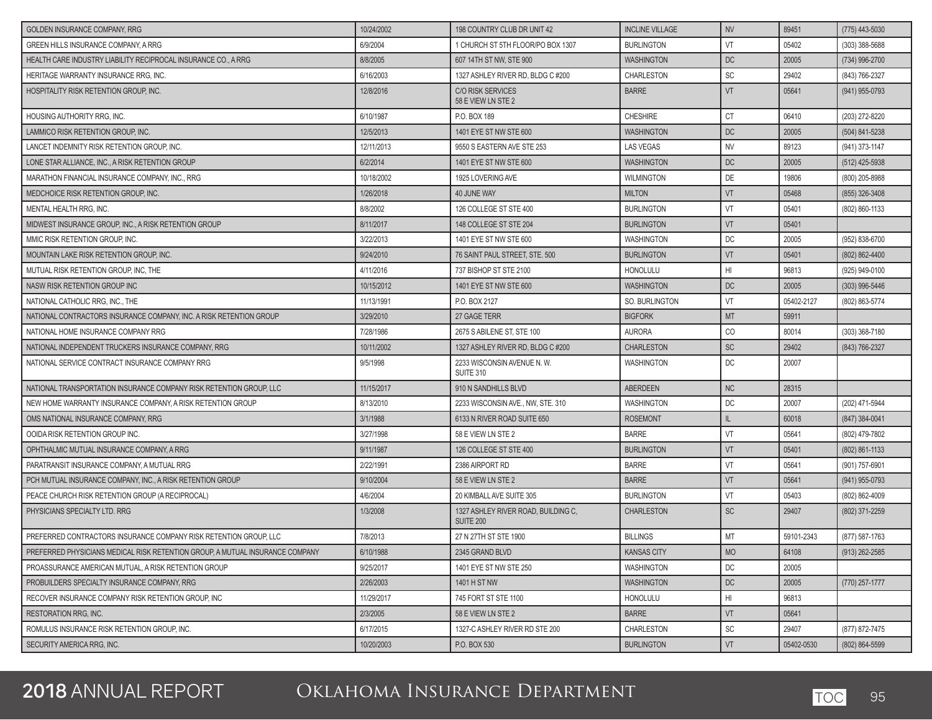| <b>GOLDEN INSURANCE COMPANY, RRG</b>                                          | 10/24/2002 | 198 COUNTRY CLUB DR UNIT 42                      | <b>INCLINE VILLAGE</b> | <b>NV</b>       | 89451      | (775) 443-5030   |
|-------------------------------------------------------------------------------|------------|--------------------------------------------------|------------------------|-----------------|------------|------------------|
| GREEN HILLS INSURANCE COMPANY, A RRG                                          | 6/9/2004   | 1 CHURCH ST 5TH FLOOR/PO BOX 1307                | <b>BURLINGTON</b>      | VT              | 05402      | (303) 388-5688   |
| HEALTH CARE INDUSTRY LIABILITY RECIPROCAL INSURANCE CO., A RRG                | 8/8/2005   | 607 14TH ST NW, STE 900                          | <b>WASHINGTON</b>      | DC              | 20005      | (734) 996-2700   |
| HERITAGE WARRANTY INSURANCE RRG, INC.                                         | 6/16/2003  | 1327 ASHLEY RIVER RD, BLDG C #200                | CHARLESTON             | SC              | 29402      | (843) 766-2327   |
| HOSPITALITY RISK RETENTION GROUP, INC.                                        | 12/8/2016  | <b>C/O RISK SERVICES</b><br>58 E VIEW LN STE 2   | <b>BARRE</b>           | VT              | 05641      | (941) 955-0793   |
| HOUSING AUTHORITY RRG, INC.                                                   | 6/10/1987  | P.O. BOX 189                                     | <b>CHESHIRE</b>        | <b>CT</b>       | 06410      | (203) 272-8220   |
| LAMMICO RISK RETENTION GROUP, INC.                                            | 12/5/2013  | 1401 EYE ST NW STE 600                           | <b>WASHINGTON</b>      | DC              | 20005      | (504) 841-5238   |
| LANCET INDEMNITY RISK RETENTION GROUP. INC.                                   | 12/11/2013 | 9550 S EASTERN AVE STE 253                       | <b>LAS VEGAS</b>       | <b>NV</b>       | 89123      | (941) 373-1147   |
| LONE STAR ALLIANCE, INC., A RISK RETENTION GROUP                              | 6/2/2014   | 1401 EYE ST NW STE 600                           | <b>WASHINGTON</b>      | DC              | 20005      | (512) 425-5938   |
| MARATHON FINANCIAL INSURANCE COMPANY, INC., RRG                               | 10/18/2002 | 1925 LOVERING AVE                                | <b>WILMINGTON</b>      | DE              | 19806      | (800) 205-8988   |
| MEDCHOICE RISK RETENTION GROUP, INC.                                          | 1/26/2018  | 40 JUNE WAY                                      | <b>MILTON</b>          | <b>VT</b>       | 05468      | (855) 326-3408   |
| MENTAL HEALTH RRG, INC.                                                       | 8/8/2002   | 126 COLLEGE ST STE 400                           | <b>BURLINGTON</b>      | VT              | 05401      | (802) 860-1133   |
| MIDWEST INSURANCE GROUP, INC., A RISK RETENTION GROUP                         | 8/11/2017  | 148 COLLEGE ST STE 204                           | <b>BURLINGTON</b>      | <b>VT</b>       | 05401      |                  |
| MMIC RISK RETENTION GROUP, INC.                                               | 3/22/2013  | 1401 EYE ST NW STE 600                           | <b>WASHINGTON</b>      | DC              | 20005      | (952) 838-6700   |
| MOUNTAIN LAKE RISK RETENTION GROUP, INC.                                      | 9/24/2010  | 76 SAINT PAUL STREET, STE. 500                   | <b>BURLINGTON</b>      | VT              | 05401      | (802) 862-4400   |
| MUTUAL RISK RETENTION GROUP, INC, THE                                         | 4/11/2016  | 737 BISHOP ST STE 2100                           | <b>HONOLULU</b>        | H <sub>l</sub>  | 96813      | (925) 949-0100   |
| NASW RISK RETENTION GROUP INC                                                 | 10/15/2012 | 1401 EYE ST NW STE 600                           | <b>WASHINGTON</b>      | <b>DC</b>       | 20005      | (303) 996-5446   |
| NATIONAL CATHOLIC RRG, INC., THE                                              | 11/13/1991 | P.O. BOX 2127                                    | <b>SO. BURLINGTON</b>  | VT              | 05402-2127 | (802) 863-5774   |
| NATIONAL CONTRACTORS INSURANCE COMPANY, INC. A RISK RETENTION GROUP           | 3/29/2010  | 27 GAGE TERR                                     | <b>BIGFORK</b>         | <b>MT</b>       | 59911      |                  |
| NATIONAL HOME INSURANCE COMPANY RRG                                           | 7/28/1986  | 2675 S ABILENE ST, STE 100                       | <b>AURORA</b>          | CO              | 80014      | (303) 368-7180   |
| NATIONAL INDEPENDENT TRUCKERS INSURANCE COMPANY, RRG                          | 10/11/2002 | 1327 ASHLEY RIVER RD, BLDG C #200                | <b>CHARLESTON</b>      | SC              | 29402      | (843) 766-2327   |
| NATIONAL SERVICE CONTRACT INSURANCE COMPANY RRG                               | 9/5/1998   | 2233 WISCONSIN AVENUE N.W.<br>SUITE 310          | <b>WASHINGTON</b>      | DC              | 20007      |                  |
| NATIONAL TRANSPORTATION INSURANCE COMPANY RISK RETENTION GROUP, LLC           | 11/15/2017 | 910 N SANDHILLS BLVD                             | <b>ABERDEEN</b>        | <b>NC</b>       | 28315      |                  |
| NEW HOME WARRANTY INSURANCE COMPANY, A RISK RETENTION GROUP                   | 8/13/2010  | 2233 WISCONSIN AVE., NW. STE, 310                | <b>WASHINGTON</b>      | DC              | 20007      | (202) 471-5944   |
| OMS NATIONAL INSURANCE COMPANY, RRG                                           | 3/1/1988   | 6133 N RIVER ROAD SUITE 650                      | <b>ROSEMONT</b>        | L               | 60018      | (847) 384-0041   |
| OOIDA RISK RETENTION GROUP INC.                                               | 3/27/1998  | 58 E VIEW LN STE 2                               | <b>BARRE</b>           | VT              | 05641      | (802) 479-7802   |
| OPHTHALMIC MUTUAL INSURANCE COMPANY, A RRG                                    | 9/11/1987  | 126 COLLEGE ST STE 400                           | <b>BURLINGTON</b>      | <b>VT</b>       | 05401      | (802) 861-1133   |
| PARATRANSIT INSURANCE COMPANY, A MUTUAL RRG                                   | 2/22/1991  | 2386 AIRPORT RD                                  | <b>BARRE</b>           | VT              | 05641      | (901) 757-6901   |
| PCH MUTUAL INSURANCE COMPANY, INC., A RISK RETENTION GROUP                    | 9/10/2004  | 58 E VIEW LN STE 2                               | <b>BARRE</b>           | <b>VT</b>       | 05641      | (941) 955-0793   |
| PEACE CHURCH RISK RETENTION GROUP (A RECIPROCAL)                              | 4/6/2004   | 20 KIMBALL AVE SUITE 305                         | <b>BURLINGTON</b>      | VT              | 05403      | (802) 862-4009   |
| PHYSICIANS SPECIALTY LTD. RRG                                                 | 1/3/2008   | 1327 ASHLEY RIVER ROAD, BUILDING C,<br>SUITE 200 | <b>CHARLESTON</b>      | <b>SC</b>       | 29407      | (802) 371-2259   |
| PREFERRED CONTRACTORS INSURANCE COMPANY RISK RETENTION GROUP, LLC             | 7/8/2013   | 27 N 27TH ST STE 1900                            | <b>BILLINGS</b>        | MT              | 59101-2343 | (877) 587-1763   |
| PREFERRED PHYSICIANS MEDICAL RISK RETENTION GROUP, A MUTUAL INSURANCE COMPANY | 6/10/1988  | 2345 GRAND BLVD                                  | <b>KANSAS CITY</b>     | MO              | 64108      | (913) 262-2585   |
| PROASSURANCE AMERICAN MUTUAL. A RISK RETENTION GROUP                          | 9/25/2017  | 1401 EYE ST NW STE 250                           | WASHINGTON             | DC              | 20005      |                  |
| PROBUILDERS SPECIALTY INSURANCE COMPANY, RRG                                  | 2/26/2003  | 1401 H ST NW                                     | <b>WASHINGTON</b>      | DC              | 20005      | $(770)$ 257-1777 |
| RECOVER INSURANCE COMPANY RISK RETENTION GROUP. INC                           | 11/29/2017 | 745 FORT ST STE 1100                             | HONOLULU               | H <sub>II</sub> | 96813      |                  |
| <b>RESTORATION RRG. INC.</b>                                                  | 2/3/2005   | 58 E VIEW LN STE 2                               | <b>BARRE</b>           | VT              | 05641      |                  |
| ROMULUS INSURANCE RISK RETENTION GROUP, INC.                                  | 6/17/2015  | 1327-C ASHLEY RIVER RD STE 200                   | CHARLESTON             | SC              | 29407      | (877) 872-7475   |
| SECURITY AMERICA RRG, INC.                                                    | 10/20/2003 | P.O. BOX 530                                     | <b>BURLINGTON</b>      | VT              | 05402-0530 | (802) 864-5599   |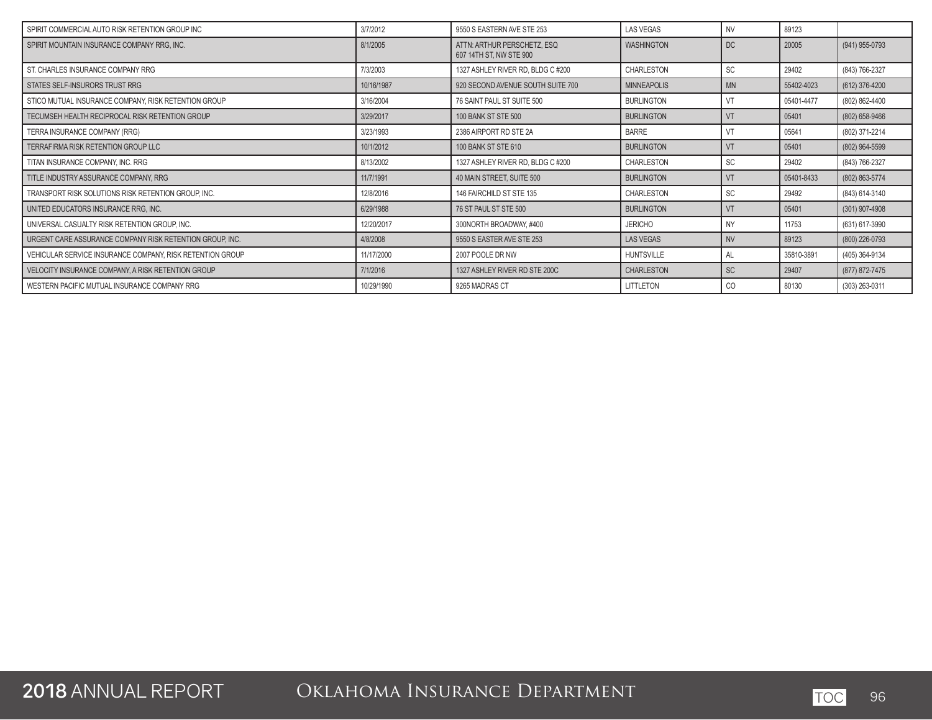| SPIRIT COMMERCIAL AUTO RISK RETENTION GROUP INC           | 3/7/2012   | 9550 S EASTERN AVE STE 253                             | <b>LAS VEGAS</b>   | <b>NV</b> | 89123      |                  |
|-----------------------------------------------------------|------------|--------------------------------------------------------|--------------------|-----------|------------|------------------|
| SPIRIT MOUNTAIN INSURANCE COMPANY RRG, INC.               | 8/1/2005   | ATTN: ARTHUR PERSCHETZ, ESQ<br>607 14TH ST. NW STE 900 | <b>WASHINGTON</b>  | <b>DC</b> | 20005      | (941) 955-0793   |
| ST. CHARLES INSURANCE COMPANY RRG                         | 7/3/2003   | 1327 ASHLEY RIVER RD, BLDG C #200                      | <b>CHARLESTON</b>  | <b>SC</b> | 29402      | (843) 766-2327   |
| STATES SELF-INSURORS TRUST RRG                            | 10/16/1987 | 920 SECOND AVENUE SOUTH SUITE 700                      | <b>MINNEAPOLIS</b> | <b>MN</b> | 55402-4023 | (612) 376-4200   |
| STICO MUTUAL INSURANCE COMPANY, RISK RETENTION GROUP      | 3/16/2004  | 76 SAINT PAUL ST SUITE 500                             | <b>BURLINGTON</b>  | VT        | 05401-4477 | (802) 862-4400   |
| TECUMSEH HEALTH RECIPROCAL RISK RETENTION GROUP           | 3/29/2017  | <b>100 BANK ST STE 500</b>                             | <b>BURLINGTON</b>  | VT        | 05401      | (802) 658-9466   |
| TERRA INSURANCE COMPANY (RRG)                             | 3/23/1993  | 2386 AIRPORT RD STE 2A                                 | <b>BARRE</b>       | VT        | 05641      | (802) 371-2214   |
| <b>TERRAFIRMA RISK RETENTION GROUP LLC</b>                | 10/1/2012  | <b>100 BANK ST STE 610</b>                             | <b>BURLINGTON</b>  | VT        | 05401      | (802) 964-5599   |
| TITAN INSURANCE COMPANY, INC. RRG                         | 8/13/2002  | 1327 ASHLEY RIVER RD, BLDG C #200                      | CHARLESTON         | <b>SC</b> | 29402      | (843) 766-2327   |
| TITLE INDUSTRY ASSURANCE COMPANY, RRG                     | 11/7/1991  | 40 MAIN STREET, SUITE 500                              | <b>BURLINGTON</b>  | VT        | 05401-8433 | (802) 863-5774   |
| TRANSPORT RISK SOLUTIONS RISK RETENTION GROUP, INC.       | 12/8/2016  | 146 FAIRCHILD ST STE 135                               | CHARLESTON         | SC        | 29492      | (843) 614-3140   |
| UNITED EDUCATORS INSURANCE RRG, INC.                      | 6/29/1988  | 76 ST PAUL ST STE 500                                  | <b>BURLINGTON</b>  | VT        | 05401      | $(301)$ 907-4908 |
| UNIVERSAL CASUALTY RISK RETENTION GROUP, INC.             | 12/20/2017 | 300NORTH BROADWAY, #400                                | <b>JERICHO</b>     | NY        | 11753      | (631) 617-3990   |
| URGENT CARE ASSURANCE COMPANY RISK RETENTION GROUP, INC.  | 4/8/2008   | 9550 S EASTER AVE STE 253                              | LAS VEGAS          | <b>NV</b> | 89123      | (800) 226-0793   |
| VEHICULAR SERVICE INSURANCE COMPANY, RISK RETENTION GROUP | 11/17/2000 | 2007 POOLE DR NW                                       | <b>HUNTSVILLE</b>  | AL        | 35810-3891 | (405) 364-9134   |
| VELOCITY INSURANCE COMPANY, A RISK RETENTION GROUP        | 7/1/2016   | 1327 ASHLEY RIVER RD STE 200C                          | <b>CHARLESTON</b>  | <b>SC</b> | 29407      | (877) 872-7475   |
| WESTERN PACIFIC MUTUAL INSURANCE COMPANY RRG              | 10/29/1990 | 9265 MADRAS CT                                         | LITTLETON          | CO        | 80130      | (303) 263-0311   |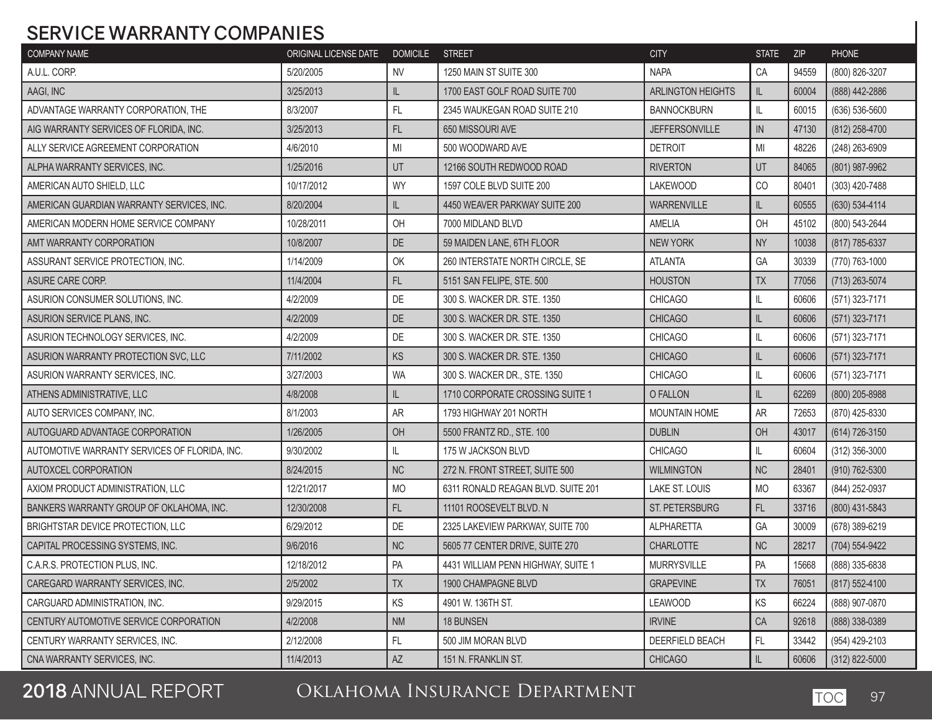## **SERVICE WARRANTY COMPANIES**

| <b>COMPANY NAME</b>                           | ORIGINAL LICENSE DATE | <b>DOMICILE</b> | <b>STREET</b>                      | <b>CITY</b>              | <b>STATE</b>  | ZIP   | <b>PHONE</b>   |
|-----------------------------------------------|-----------------------|-----------------|------------------------------------|--------------------------|---------------|-------|----------------|
| A.U.L. CORP.                                  | 5/20/2005             | <b>NV</b>       | 1250 MAIN ST SUITE 300             | <b>NAPA</b>              | CA            | 94559 | (800) 826-3207 |
| AAGI, INC                                     | 3/25/2013             | IL              | 1700 EAST GOLF ROAD SUITE 700      | <b>ARLINGTON HEIGHTS</b> | IL            | 60004 | (888) 442-2886 |
| ADVANTAGE WARRANTY CORPORATION, THE           | 8/3/2007              | FL              | 2345 WAUKEGAN ROAD SUITE 210       | <b>BANNOCKBURN</b>       | IL            | 60015 | (636) 536-5600 |
| AIG WARRANTY SERVICES OF FLORIDA, INC.        | 3/25/2013             | FL              | 650 MISSOURI AVE                   | <b>JEFFERSONVILLE</b>    | ${\sf IN}$    | 47130 | (812) 258-4700 |
| ALLY SERVICE AGREEMENT CORPORATION            | 4/6/2010              | MI              | 500 WOODWARD AVE                   | <b>DETROIT</b>           | MI            | 48226 | (248) 263-6909 |
| ALPHA WARRANTY SERVICES, INC.                 | 1/25/2016             | UT              | 12166 SOUTH REDWOOD ROAD           | <b>RIVERTON</b>          | UT            | 84065 | (801) 987-9962 |
| AMERICAN AUTO SHIELD, LLC                     | 10/17/2012            | WY              | 1597 COLE BLVD SUITE 200           | <b>LAKEWOOD</b>          | CO            | 80401 | (303) 420-7488 |
| AMERICAN GUARDIAN WARRANTY SERVICES, INC.     | 8/20/2004             | IL              | 4450 WEAVER PARKWAY SUITE 200      | <b>WARRENVILLE</b>       | IL            | 60555 | (630) 534-4114 |
| AMERICAN MODERN HOME SERVICE COMPANY          | 10/28/2011            | OH              | 7000 MIDLAND BLVD                  | AMELIA                   | OH            | 45102 | (800) 543-2644 |
| AMT WARRANTY CORPORATION                      | 10/8/2007             | DE              | 59 MAIDEN LANE, 6TH FLOOR          | <b>NEW YORK</b>          | <b>NY</b>     | 10038 | (817) 785-6337 |
| ASSURANT SERVICE PROTECTION, INC.             | 1/14/2009             | OK              | 260 INTERSTATE NORTH CIRCLE, SE    | <b>ATLANTA</b>           | GA            | 30339 | (770) 763-1000 |
| ASURE CARE CORP.                              | 11/4/2004             | FL              | 5151 SAN FELIPE, STE. 500          | <b>HOUSTON</b>           | TX            | 77056 | (713) 263-5074 |
| ASURION CONSUMER SOLUTIONS, INC.              | 4/2/2009              | DE              | 300 S. WACKER DR. STE. 1350        | <b>CHICAGO</b>           | IL            | 60606 | (571) 323-7171 |
| ASURION SERVICE PLANS, INC.                   | 4/2/2009              | $DE$            | 300 S. WACKER DR. STE. 1350        | <b>CHICAGO</b>           | IL            | 60606 | (571) 323-7171 |
| ASURION TECHNOLOGY SERVICES, INC.             | 4/2/2009              | DE              | 300 S. WACKER DR. STE. 1350        | <b>CHICAGO</b>           | $\mathsf{IL}$ | 60606 | (571) 323-7171 |
| ASURION WARRANTY PROTECTION SVC, LLC          | 7/11/2002             | KS              | 300 S. WACKER DR. STE. 1350        | <b>CHICAGO</b>           | IL            | 60606 | (571) 323-7171 |
| ASURION WARRANTY SERVICES, INC.               | 3/27/2003             | <b>WA</b>       | 300 S. WACKER DR., STE. 1350       | <b>CHICAGO</b>           | IL            | 60606 | (571) 323-7171 |
| ATHENS ADMINISTRATIVE, LLC                    | 4/8/2008              | IL              | 1710 CORPORATE CROSSING SUITE 1    | O FALLON                 | IL            | 62269 | (800) 205-8988 |
| AUTO SERVICES COMPANY, INC.                   | 8/1/2003              | <b>AR</b>       | 1793 HIGHWAY 201 NORTH             | <b>MOUNTAIN HOME</b>     | AR            | 72653 | (870) 425-8330 |
| AUTOGUARD ADVANTAGE CORPORATION               | 1/26/2005             | OH              | 5500 FRANTZ RD., STE. 100          | <b>DUBLIN</b>            | OH            | 43017 | (614) 726-3150 |
| AUTOMOTIVE WARRANTY SERVICES OF FLORIDA, INC. | 9/30/2002             | IL              | 175 W JACKSON BLVD                 | <b>CHICAGO</b>           | IL            | 60604 | (312) 356-3000 |
| AUTOXCEL CORPORATION                          | 8/24/2015             | <b>NC</b>       | 272 N. FRONT STREET, SUITE 500     | <b>WILMINGTON</b>        | NC            | 28401 | (910) 762-5300 |
| AXIOM PRODUCT ADMINISTRATION, LLC             | 12/21/2017            | <b>MO</b>       | 6311 RONALD REAGAN BLVD. SUITE 201 | LAKE ST. LOUIS           | <b>MO</b>     | 63367 | (844) 252-0937 |
| BANKERS WARRANTY GROUP OF OKLAHOMA, INC.      | 12/30/2008            | FL              | 11101 ROOSEVELT BLVD. N            | ST. PETERSBURG           | FL            | 33716 | (800) 431-5843 |
| BRIGHTSTAR DEVICE PROTECTION, LLC             | 6/29/2012             | DE              | 2325 LAKEVIEW PARKWAY, SUITE 700   | <b>ALPHARETTA</b>        | GA            | 30009 | (678) 389-6219 |
| CAPITAL PROCESSING SYSTEMS, INC.              | 9/6/2016              | NC              | 5605 77 CENTER DRIVE, SUITE 270    | <b>CHARLOTTE</b>         | NC            | 28217 | (704) 554-9422 |
| C.A.R.S. PROTECTION PLUS. INC.                | 12/18/2012            | PA              | 4431 WILLIAM PENN HIGHWAY, SUITE 1 | <b>MURRYSVILLE</b>       | PA            | 15668 | (888) 335-6838 |
| CAREGARD WARRANTY SERVICES, INC.              | 2/5/2002              | <b>TX</b>       | 1900 CHAMPAGNE BLVD                | <b>GRAPEVINE</b>         | <b>TX</b>     | 76051 | (817) 552-4100 |
| CARGUARD ADMINISTRATION, INC.                 | 9/29/2015             | KS              | 4901 W. 136TH ST.                  | <b>LEAWOOD</b>           | KS            | 66224 | (888) 907-0870 |
| CENTURY AUTOMOTIVE SERVICE CORPORATION        | 4/2/2008              | <b>NM</b>       | 18 BUNSEN                          | <b>IRVINE</b>            | CA            | 92618 | (888) 338-0389 |
| CENTURY WARRANTY SERVICES, INC.               | 2/12/2008             | $\mathsf{FL}$   | 500 JIM MORAN BLVD                 | DEERFIELD BEACH          | $\mathsf{FL}$ | 33442 | (954) 429-2103 |
| CNA WARRANTY SERVICES, INC.                   | 11/4/2013             | AZ              | 151 N. FRANKLIN ST.                | <b>CHICAGO</b>           | IL.           | 60606 | (312) 822-5000 |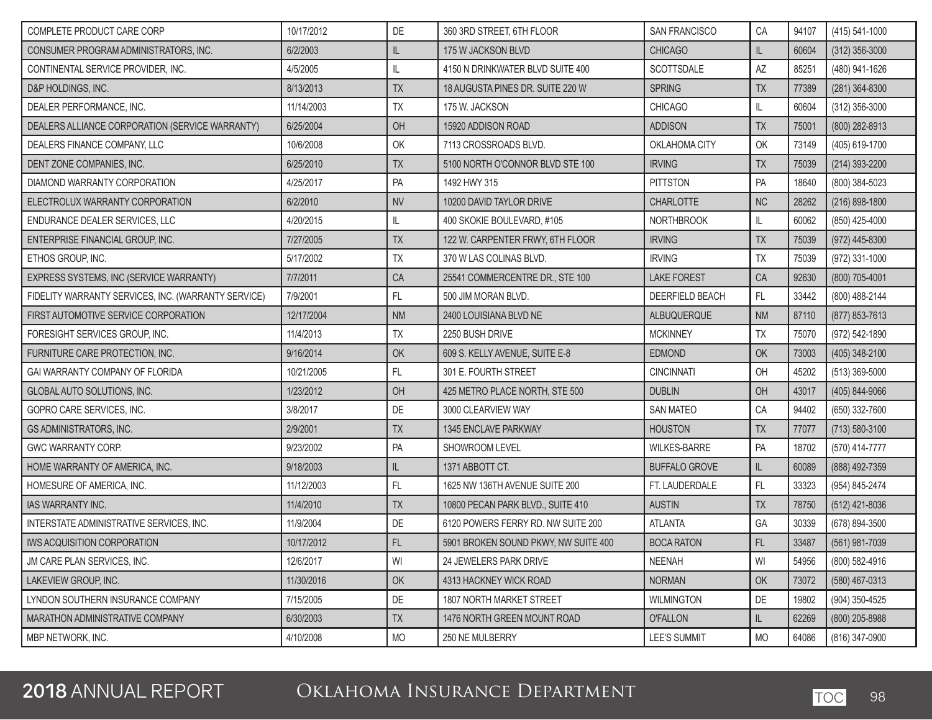| COMPLETE PRODUCT CARE CORP                          | 10/17/2012 | DE            | 360 3RD STREET, 6TH FLOOR            | SAN FRANCISCO        | CA        | 94107 | (415) 541-1000     |
|-----------------------------------------------------|------------|---------------|--------------------------------------|----------------------|-----------|-------|--------------------|
| CONSUMER PROGRAM ADMINISTRATORS, INC.               | 6/2/2003   | IL            | 175 W JACKSON BLVD                   | <b>CHICAGO</b>       | IL        | 60604 | $(312)$ 356-3000   |
| CONTINENTAL SERVICE PROVIDER, INC.                  | 4/5/2005   | IL            | 4150 N DRINKWATER BLVD SUITE 400     | SCOTTSDALE           | AZ        | 85251 | (480) 941-1626     |
| D&P HOLDINGS, INC.                                  | 8/13/2013  | <b>TX</b>     | 18 AUGUSTA PINES DR. SUITE 220 W     | <b>SPRING</b>        | TX        | 77389 | $(281)$ 364-8300   |
| DEALER PERFORMANCE, INC.                            | 11/14/2003 | TX            | 175 W. JACKSON                       | <b>CHICAGO</b>       | II        | 60604 | $(312)$ 356-3000   |
| DEALERS ALLIANCE CORPORATION (SERVICE WARRANTY)     | 6/25/2004  | OH            | 15920 ADDISON ROAD                   | <b>ADDISON</b>       | TX        | 75001 | (800) 282-8913     |
| DEALERS FINANCE COMPANY, LLC                        | 10/6/2008  | OK            | 7113 CROSSROADS BLVD.                | OKLAHOMA CITY        | OK        | 73149 | (405) 619-1700     |
| DENT ZONE COMPANIES, INC.                           | 6/25/2010  | <b>TX</b>     | 5100 NORTH O'CONNOR BLVD STE 100     | <b>IRVING</b>        | TX        | 75039 | (214) 393-2200     |
| DIAMOND WARRANTY CORPORATION                        | 4/25/2017  | PA            | 1492 HWY 315                         | <b>PITTSTON</b>      | PA        | 18640 | (800) 384-5023     |
| ELECTROLUX WARRANTY CORPORATION                     | 6/2/2010   | <b>NV</b>     | 10200 DAVID TAYLOR DRIVE             | <b>CHARLOTTE</b>     | <b>NC</b> | 28262 | $(216) 898 - 1800$ |
| ENDURANCE DEALER SERVICES, LLC                      | 4/20/2015  | IL            | 400 SKOKIE BOULEVARD, #105           | <b>NORTHBROOK</b>    | IL        | 60062 | (850) 425-4000     |
| ENTERPRISE FINANCIAL GROUP, INC.                    | 7/27/2005  | TX            | 122 W. CARPENTER FRWY, 6TH FLOOR     | <b>IRVING</b>        | TX        | 75039 | (972) 445-8300     |
| ETHOS GROUP, INC.                                   | 5/17/2002  | <b>TX</b>     | 370 W LAS COLINAS BLVD.              | <b>IRVING</b>        | <b>ΤΧ</b> | 75039 | (972) 331-1000     |
| EXPRESS SYSTEMS, INC (SERVICE WARRANTY)             | 7/7/2011   | CA            | 25541 COMMERCENTRE DR., STE 100      | <b>LAKE FOREST</b>   | CA        | 92630 | (800) 705-4001     |
| FIDELITY WARRANTY SERVICES, INC. (WARRANTY SERVICE) | 7/9/2001   | FL            | 500 JIM MORAN BLVD.                  | DEERFIELD BEACH      | FL        | 33442 | (800) 488-2144     |
| FIRST AUTOMOTIVE SERVICE CORPORATION                | 12/17/2004 | <b>NM</b>     | 2400 LOUISIANA BLVD NE               | ALBUQUERQUE          | <b>NM</b> | 87110 | (877) 853-7613     |
| FORESIGHT SERVICES GROUP, INC.                      | 11/4/2013  | TX            | 2250 BUSH DRIVE                      | <b>MCKINNEY</b>      | TX        | 75070 | (972) 542-1890     |
| FURNITURE CARE PROTECTION, INC.                     | 9/16/2014  | OK            | 609 S. KELLY AVENUE, SUITE E-8       | <b>EDMOND</b>        | OK        | 73003 | (405) 348-2100     |
| GAI WARRANTY COMPANY OF FLORIDA                     | 10/21/2005 | FL            | 301 E. FOURTH STREET                 | <b>CINCINNATI</b>    | OH        | 45202 | $(513)$ 369-5000   |
| GLOBAL AUTO SOLUTIONS, INC.                         | 1/23/2012  | OH            | 425 METRO PLACE NORTH, STE 500       | <b>DUBLIN</b>        | OH        | 43017 | (405) 844-9066     |
| GOPRO CARE SERVICES, INC.                           | 3/8/2017   | DE            | 3000 CLEARVIEW WAY                   | <b>SAN MATEO</b>     | CA        | 94402 | (650) 332-7600     |
| <b>GS ADMINISTRATORS, INC.</b>                      | 2/9/2001   | <b>TX</b>     | 1345 ENCLAVE PARKWAY                 | <b>HOUSTON</b>       | TX        | 77077 | $(713) 580 - 3100$ |
| GWC WARRANTY CORP.                                  | 9/23/2002  | PA            | SHOWROOM LEVEL                       | <b>WILKES-BARRE</b>  | PA        | 18702 | (570) 414-7777     |
| HOME WARRANTY OF AMERICA, INC.                      | 9/18/2003  | $\mathsf{IL}$ | 1371 ABBOTT CT.                      | <b>BUFFALO GROVE</b> | IL        | 60089 | (888) 492-7359     |
| HOMESURE OF AMERICA, INC.                           | 11/12/2003 | FL            | 1625 NW 136TH AVENUE SUITE 200       | FT. LAUDERDALE       | FL        | 33323 | (954) 845-2474     |
| <b>IAS WARRANTY INC.</b>                            | 11/4/2010  | <b>TX</b>     | 10800 PECAN PARK BLVD., SUITE 410    | <b>AUSTIN</b>        | <b>TX</b> | 78750 | (512) 421-8036     |
| INTERSTATE ADMINISTRATIVE SERVICES, INC.            | 11/9/2004  | DE            | 6120 POWERS FERRY RD. NW SUITE 200   | <b>ATLANTA</b>       | GA        | 30339 | (678) 894-3500     |
| I IWS ACQUISITION CORPORATION                       | 10/17/2012 | FL            | 5901 BROKEN SOUND PKWY, NW SUITE 400 | <b>BOCA RATON</b>    | FL        | 33487 | (561) 981-7039     |
| JM CARE PLAN SERVICES, INC.                         | 12/6/2017  | WI            | 24 JEWELERS PARK DRIVE               | <b>NEENAH</b>        | WI        | 54956 | (800) 582-4916     |
| LAKEVIEW GROUP, INC.                                | 11/30/2016 | OK            | 4313 HACKNEY WICK ROAD               | <b>NORMAN</b>        | OK        | 73072 | (580) 467-0313     |
| LYNDON SOUTHERN INSURANCE COMPANY                   | 7/15/2005  | DE            | <b>1807 NORTH MARKET STREET</b>      | <b>WILMINGTON</b>    | DE        | 19802 | (904) 350-4525     |
| MARATHON ADMINISTRATIVE COMPANY                     | 6/30/2003  | TX            | 1476 NORTH GREEN MOUNT ROAD          | <b>O'FALLON</b>      | IL        | 62269 | (800) 205-8988     |
| MBP NETWORK, INC.                                   | 4/10/2008  | MO            | 250 NE MULBERRY                      | <b>LEE'S SUMMIT</b>  | MO        | 64086 | (816) 347-0900     |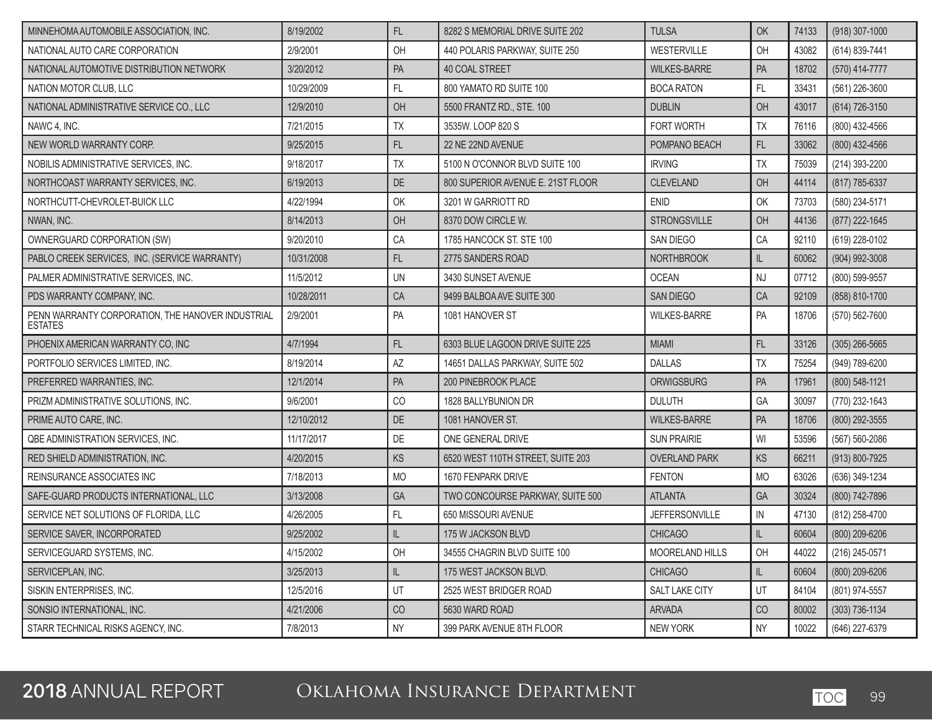| MINNEHOMA AUTOMOBILE ASSOCIATION. INC.                              | 8/19/2002  | FL        | 8282 S MEMORIAL DRIVE SUITE 202   | <b>TULSA</b>           | OK            | 74133 | (918) 307-1000   |
|---------------------------------------------------------------------|------------|-----------|-----------------------------------|------------------------|---------------|-------|------------------|
| NATIONAL AUTO CARE CORPORATION                                      | 2/9/2001   | OH        | 440 POLARIS PARKWAY, SUITE 250    | WESTERVILLE            | OH            | 43082 | (614) 839-7441   |
| NATIONAL AUTOMOTIVE DISTRIBUTION NETWORK                            | 3/20/2012  | PA        | <b>40 COAL STREET</b>             | <b>WILKES-BARRE</b>    | PA            | 18702 | (570) 414-7777   |
| NATION MOTOR CLUB, LLC                                              | 10/29/2009 | FL        | 800 YAMATO RD SUITE 100           | <b>BOCA RATON</b>      | FL            | 33431 | (561) 226-3600   |
| NATIONAL ADMINISTRATIVE SERVICE CO., LLC                            | 12/9/2010  | OH        | 5500 FRANTZ RD., STE. 100         | <b>DUBLIN</b>          | OH            | 43017 | (614) 726-3150   |
| NAWC 4, INC.                                                        | 7/21/2015  | <b>TX</b> | 3535W. LOOP 820 S                 | FORT WORTH             | TX            | 76116 | (800) 432-4566   |
| NEW WORLD WARRANTY CORP.                                            | 9/25/2015  | FL        | 22 NE 22ND AVENUE                 | POMPANO BEACH          | FL            | 33062 | (800) 432-4566   |
| NOBILIS ADMINISTRATIVE SERVICES, INC.                               | 9/18/2017  | <b>TX</b> | 5100 N O'CONNOR BLVD SUITE 100    | <b>IRVING</b>          | TX            | 75039 | (214) 393-2200   |
| NORTHCOAST WARRANTY SERVICES, INC.                                  | 6/19/2013  | DE        | 800 SUPERIOR AVENUE E. 21ST FLOOR | <b>CLEVELAND</b>       | OH            | 44114 | (817) 785-6337   |
| NORTHCUTT-CHEVROLET-BUICK LLC                                       | 4/22/1994  | OK        | 3201 W GARRIOTT RD                | <b>ENID</b>            | OK            | 73703 | (580) 234-5171   |
| NWAN, INC.                                                          | 8/14/2013  | OH        | 8370 DOW CIRCLE W.                | <b>STRONGSVILLE</b>    | OH            | 44136 | (877) 222-1645   |
| OWNERGUARD CORPORATION (SW)                                         | 9/20/2010  | CA        | 1785 HANCOCK ST. STE 100          | <b>SAN DIEGO</b>       | CA            | 92110 | (619) 228-0102   |
| PABLO CREEK SERVICES, INC. (SERVICE WARRANTY)                       | 10/31/2008 | FL        | 2775 SANDERS ROAD                 | <b>NORTHBROOK</b>      | $\mathsf{IL}$ | 60062 | (904) 992-3008   |
| PALMER ADMINISTRATIVE SERVICES, INC.                                | 11/5/2012  | UN        | 3430 SUNSET AVENUE                | <b>OCEAN</b>           | NJ            | 07712 | (800) 599-9557   |
| PDS WARRANTY COMPANY, INC.                                          | 10/28/2011 | CA        | 9499 BALBOA AVE SUITE 300         | <b>SAN DIEGO</b>       | CA            | 92109 | (858) 810-1700   |
| PENN WARRANTY CORPORATION, THE HANOVER INDUSTRIAL<br><b>ESTATES</b> | 2/9/2001   | PA        | 1081 HANOVER ST                   | <b>WILKES-BARRE</b>    | PA            | 18706 | (570) 562-7600   |
| PHOENIX AMERICAN WARRANTY CO, INC                                   | 4/7/1994   | FL.       | 6303 BLUE LAGOON DRIVE SUITE 225  | <b>MIAMI</b>           | FL            | 33126 | $(305)$ 266-5665 |
| PORTFOLIO SERVICES LIMITED, INC.                                    | 8/19/2014  | AZ        | 14651 DALLAS PARKWAY, SUITE 502   | <b>DALLAS</b>          | <b>TX</b>     | 75254 | (949) 789-6200   |
| PREFERRED WARRANTIES, INC.                                          | 12/1/2014  | PA        | 200 PINEBROOK PLACE               | <b>ORWIGSBURG</b>      | PA            | 17961 | (800) 548-1121   |
| PRIZM ADMINISTRATIVE SOLUTIONS, INC.                                | 9/6/2001   | CO        | 1828 BALLYBUNION DR               | <b>DULUTH</b>          | GA            | 30097 | (770) 232-1643   |
| PRIME AUTO CARE. INC.                                               | 12/10/2012 | DE        | 1081 HANOVER ST.                  | <b>WILKES-BARRE</b>    | PA            | 18706 | (800) 292-3555   |
| QBE ADMINISTRATION SERVICES, INC.                                   | 11/17/2017 | DE        | ONE GENERAL DRIVE                 | <b>SUN PRAIRIE</b>     | WI            | 53596 | (567) 560-2086   |
| RED SHIELD ADMINISTRATION, INC.                                     | 4/20/2015  | KS        | 6520 WEST 110TH STREET, SUITE 203 | <b>OVERLAND PARK</b>   | KS            | 66211 | (913) 800-7925   |
| REINSURANCE ASSOCIATES INC                                          | 7/18/2013  | <b>MO</b> | 1670 FENPARK DRIVE                | <b>FENTON</b>          | <b>MO</b>     | 63026 | (636) 349-1234   |
| SAFE-GUARD PRODUCTS INTERNATIONAL, LLC                              | 3/13/2008  | GA        | TWO CONCOURSE PARKWAY, SUITE 500  | <b>ATLANTA</b>         | GA            | 30324 | (800) 742-7896   |
| SERVICE NET SOLUTIONS OF FLORIDA, LLC                               | 4/26/2005  | FL        | 650 MISSOURI AVENUE               | <b>JEFFERSONVILLE</b>  | ${\sf IN}$    | 47130 | (812) 258-4700   |
| SERVICE SAVER, INCORPORATED                                         | 9/25/2002  | IL        | 175 W JACKSON BLVD                | <b>CHICAGO</b>         | $\mathsf{IL}$ | 60604 | (800) 209-6206   |
| SERVICEGUARD SYSTEMS, INC.                                          | 4/15/2002  | OH        | 34555 CHAGRIN BLVD SUITE 100      | <b>MOORELAND HILLS</b> | OH            | 44022 | (216) 245-0571   |
| SERVICEPLAN, INC.                                                   | 3/25/2013  | IL.       | 175 WEST JACKSON BLVD.            | <b>CHICAGO</b>         | L             | 60604 | (800) 209-6206   |
| SISKIN ENTERPRISES, INC.                                            | 12/5/2016  | UT        | 2525 WEST BRIDGER ROAD            | SALT LAKE CITY         | UT            | 84104 | (801) 974-5557   |
| SONSIO INTERNATIONAL, INC.                                          | 4/21/2006  | CO        | 5630 WARD ROAD                    | <b>ARVADA</b>          | CO            | 80002 | (303) 736-1134   |
| STARR TECHNICAL RISKS AGENCY, INC.                                  | 7/8/2013   | <b>NY</b> | 399 PARK AVENUE 8TH FLOOR         | NEW YORK               | <b>NY</b>     | 10022 | (646) 227-6379   |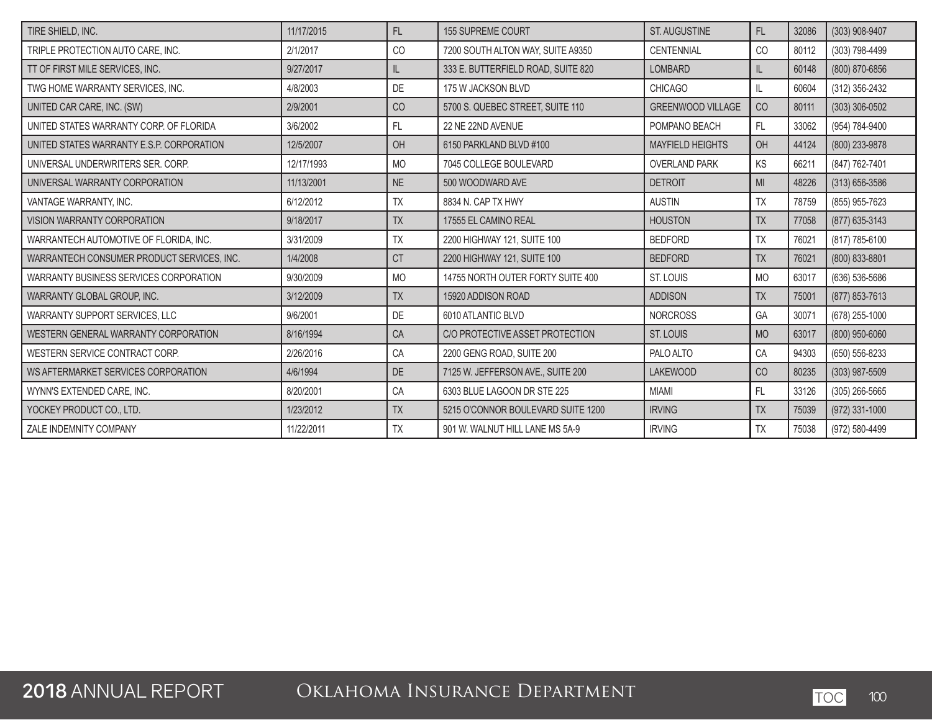| TIRE SHIELD, INC.                          | 11/17/2015 | FL        | <b>155 SUPREME COURT</b>           | ST. AUGUSTINE            | FL             | 32086 | (303) 908-9407     |
|--------------------------------------------|------------|-----------|------------------------------------|--------------------------|----------------|-------|--------------------|
| TRIPLE PROTECTION AUTO CARE, INC.          | 2/1/2017   | CO        | 7200 SOUTH ALTON WAY, SUITE A9350  | CENTENNIAL               | CO             | 80112 | (303) 798-4499     |
| TT OF FIRST MILE SERVICES, INC.            | 9/27/2017  | IL        | 333 E. BUTTERFIELD ROAD, SUITE 820 | <b>LOMBARD</b>           | IL             | 60148 | (800) 870-6856     |
| TWG HOME WARRANTY SERVICES. INC.           | 4/8/2003   | DE        | 175 W JACKSON BLVD                 | <b>CHICAGO</b>           | $\mathsf{IL}$  | 60604 | (312) 356-2432     |
| UNITED CAR CARE, INC. (SW)                 | 2/9/2001   | CO        | 5700 S. QUEBEC STREET, SUITE 110   | <b>GREENWOOD VILLAGE</b> | CO             | 80111 | (303) 306-0502     |
| UNITED STATES WARRANTY CORP. OF FLORIDA    | 3/6/2002   | FL        | 22 NE 22ND AVENUE                  | POMPANO BEACH            | FL             | 33062 | (954) 784-9400     |
| UNITED STATES WARRANTY E.S.P. CORPORATION  | 12/5/2007  | OH        | 6150 PARKLAND BLVD #100            | <b>MAYFIELD HEIGHTS</b>  | OH             | 44124 | (800) 233-9878     |
| UNIVERSAL UNDERWRITERS SER. CORP.          | 12/17/1993 | <b>MO</b> | 7045 COLLEGE BOULEVARD             | <b>OVERLAND PARK</b>     | KS             | 66211 | (847) 762-7401     |
| UNIVERSAL WARRANTY CORPORATION             | 11/13/2001 | <b>NE</b> | 500 WOODWARD AVE                   | <b>DETROIT</b>           | M <sub>l</sub> | 48226 | $(313) 656 - 3586$ |
| VANTAGE WARRANTY, INC.                     | 6/12/2012  | <b>TX</b> | 8834 N. CAP TX HWY                 | <b>AUSTIN</b>            | <b>TX</b>      | 78759 | (855) 955-7623     |
| VISION WARRANTY CORPORATION                | 9/18/2017  | <b>TX</b> | 17555 EL CAMINO REAL               | <b>HOUSTON</b>           | <b>TX</b>      | 77058 | (877) 635-3143     |
| WARRANTECH AUTOMOTIVE OF FLORIDA, INC.     | 3/31/2009  | <b>TX</b> | 2200 HIGHWAY 121, SUITE 100        | <b>BEDFORD</b>           | TX             | 76021 | (817) 785-6100     |
| WARRANTECH CONSUMER PRODUCT SERVICES, INC. | 1/4/2008   | <b>CT</b> | 2200 HIGHWAY 121, SUITE 100        | <b>BEDFORD</b>           | <b>TX</b>      | 76021 | (800) 833-8801     |
| WARRANTY BUSINESS SERVICES CORPORATION     | 9/30/2009  | <b>MO</b> | 14755 NORTH OUTER FORTY SUITE 400  | ST. LOUIS                | <b>MO</b>      | 63017 | (636) 536-5686     |
| WARRANTY GLOBAL GROUP, INC.                | 3/12/2009  | <b>TX</b> | 15920 ADDISON ROAD                 | <b>ADDISON</b>           | <b>TX</b>      | 75001 | (877) 853-7613     |
| WARRANTY SUPPORT SERVICES, LLC             | 9/6/2001   | DE        | 6010 ATLANTIC BLVD                 | <b>NORCROSS</b>          | GA             | 30071 | (678) 255-1000     |
| WESTERN GENERAL WARRANTY CORPORATION       | 8/16/1994  | CA        | C/O PROTECTIVE ASSET PROTECTION    | <b>ST. LOUIS</b>         | <b>MO</b>      | 63017 | (800) 950-6060     |
| WESTERN SERVICE CONTRACT CORP.             | 2/26/2016  | CA        | 2200 GENG ROAD, SUITE 200          | PALO ALTO                | CA             | 94303 | (650) 556-8233     |
| WS AFTERMARKET SERVICES CORPORATION        | 4/6/1994   | DE        | 7125 W. JEFFERSON AVE., SUITE 200  | <b>LAKEWOOD</b>          | CO             | 80235 | (303) 987-5509     |
| WYNN'S EXTENDED CARE, INC.                 | 8/20/2001  | CA        | 6303 BLUE LAGOON DR STE 225        | <b>MIAMI</b>             | FL             | 33126 | (305) 266-5665     |
| YOCKEY PRODUCT CO., LTD.                   | 1/23/2012  | <b>TX</b> | 5215 O'CONNOR BOULEVARD SUITE 1200 | <b>IRVING</b>            | <b>TX</b>      | 75039 | $(972)$ 331-1000   |
| ZALE INDEMNITY COMPANY                     | 11/22/2011 | <b>TX</b> | 901 W. WALNUT HILL LANE MS 5A-9    | <b>IRVING</b>            | TX             | 75038 | (972) 580-4499     |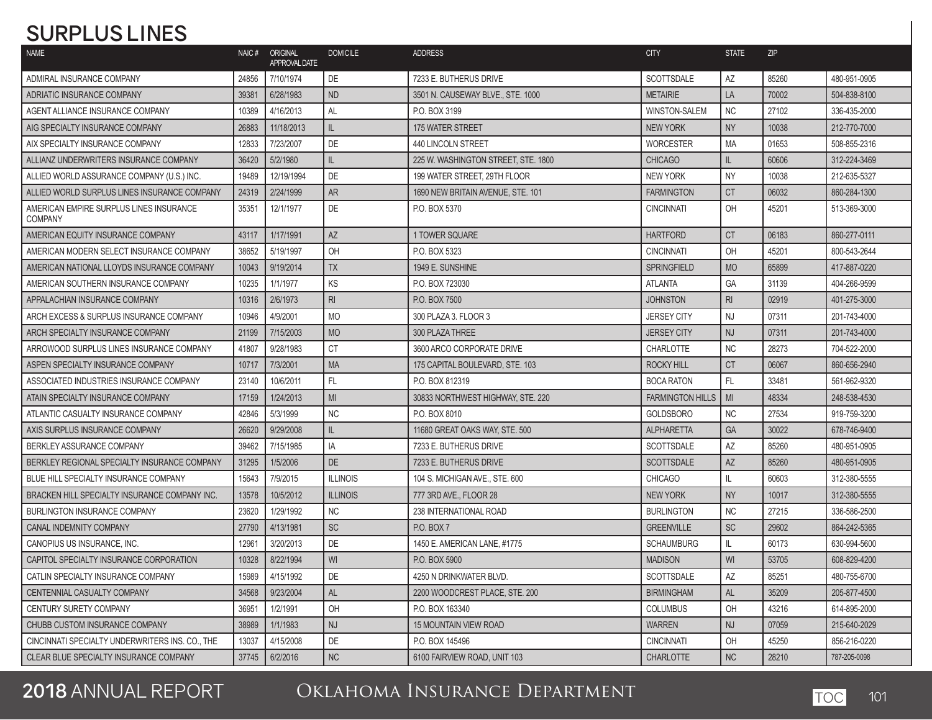# **SURPLUS LINES**

| <b>NAME</b>                                               | NAIC# | ORIGINAL<br>APPROVAL DATE | <b>DOMICILE</b> | <b>ADDRESS</b>                      | <b>CITY</b>             | <b>STATE</b>   | <b>ZIP</b> |              |
|-----------------------------------------------------------|-------|---------------------------|-----------------|-------------------------------------|-------------------------|----------------|------------|--------------|
| ADMIRAL INSURANCE COMPANY                                 | 24856 | 7/10/1974                 | DE              | 7233 E. BUTHERUS DRIVE              | <b>SCOTTSDALE</b>       | AZ             | 85260      | 480-951-0905 |
| ADRIATIC INSURANCE COMPANY                                | 39381 | 6/28/1983                 | <b>ND</b>       | 3501 N. CAUSEWAY BLVE., STE. 1000   | <b>METAIRIE</b>         | LA             | 70002      | 504-838-8100 |
| AGENT ALLIANCE INSURANCE COMPANY                          | 10389 | 4/16/2013                 | <b>AL</b>       | P.O. BOX 3199                       | <b>WINSTON-SALEM</b>    | <b>NC</b>      | 27102      | 336-435-2000 |
| AIG SPECIALTY INSURANCE COMPANY                           | 26883 | 11/18/2013                | IL.             | 175 WATER STREET                    | <b>NEW YORK</b>         | <b>NY</b>      | 10038      | 212-770-7000 |
| AIX SPECIALTY INSURANCE COMPANY                           | 12833 | 7/23/2007                 | DE              | <b>440 LINCOLN STREET</b>           | <b>WORCESTER</b>        | <b>MA</b>      | 01653      | 508-855-2316 |
| ALLIANZ UNDERWRITERS INSURANCE COMPANY                    | 36420 | 5/2/1980                  | IL.             | 225 W. WASHINGTON STREET, STE. 1800 | <b>CHICAGO</b>          | IL             | 60606      | 312-224-3469 |
| ALLIED WORLD ASSURANCE COMPANY (U.S.) INC.                | 19489 | 12/19/1994                | DE              | 199 WATER STREET, 29TH FLOOR        | <b>NEW YORK</b>         | <b>NY</b>      | 10038      | 212-635-5327 |
| ALLIED WORLD SURPLUS LINES INSURANCE COMPANY              | 24319 | 2/24/1999                 | <b>AR</b>       | 1690 NEW BRITAIN AVENUE, STE, 101   | <b>FARMINGTON</b>       | <b>CT</b>      | 06032      | 860-284-1300 |
| AMERICAN EMPIRE SURPLUS LINES INSURANCE<br><b>COMPANY</b> | 35351 | 12/1/1977                 | DE              | P.O. BOX 5370                       | <b>CINCINNATI</b>       | OH             | 45201      | 513-369-3000 |
| AMERICAN EQUITY INSURANCE COMPANY                         | 43117 | 1/17/1991                 | <b>AZ</b>       | 1 TOWER SQUARE                      | <b>HARTFORD</b>         | <b>CT</b>      | 06183      | 860-277-0111 |
| AMERICAN MODERN SELECT INSURANCE COMPANY                  | 38652 | 5/19/1997                 | OH              | P.O. BOX 5323                       | <b>CINCINNATI</b>       | OH             | 45201      | 800-543-2644 |
| AMERICAN NATIONAL LLOYDS INSURANCE COMPANY                | 10043 | 9/19/2014                 | <b>TX</b>       | 1949 E. SUNSHINE                    | <b>SPRINGFIELD</b>      | <b>MO</b>      | 65899      | 417-887-0220 |
| AMERICAN SOUTHERN INSURANCE COMPANY                       | 10235 | 1/1/1977                  | KS              | P.O. BOX 723030                     | <b>ATLANTA</b>          | GA             | 31139      | 404-266-9599 |
| APPALACHIAN INSURANCE COMPANY                             | 10316 | 2/6/1973                  | $\mathsf{RI}$   | P.O. BOX 7500                       | <b>JOHNSTON</b>         | R <sub>l</sub> | 02919      | 401-275-3000 |
| ARCH EXCESS & SURPLUS INSURANCE COMPANY                   | 10946 | 4/9/2001                  | <b>MO</b>       | 300 PLAZA 3. FLOOR 3                | <b>JERSEY CITY</b>      | <b>NJ</b>      | 07311      | 201-743-4000 |
| ARCH SPECIALTY INSURANCE COMPANY                          | 21199 | 7/15/2003                 | <b>MO</b>       | 300 PLAZA THREE                     | <b>JERSEY CITY</b>      | <b>NJ</b>      | 07311      | 201-743-4000 |
| ARROWOOD SURPLUS LINES INSURANCE COMPANY                  | 41807 | 9/28/1983                 | <b>CT</b>       | 3600 ARCO CORPORATE DRIVE           | CHARLOTTE               | <b>NC</b>      | 28273      | 704-522-2000 |
| ASPEN SPECIALTY INSURANCE COMPANY                         | 10717 | 7/3/2001                  | <b>MA</b>       | 175 CAPITAL BOULEVARD, STE. 103     | <b>ROCKY HILL</b>       | <b>CT</b>      | 06067      | 860-656-2940 |
| ASSOCIATED INDUSTRIES INSURANCE COMPANY                   | 23140 | 10/6/2011                 | FL.             | P.O. BOX 812319                     | <b>BOCA RATON</b>       | <b>FL</b>      | 33481      | 561-962-9320 |
| ATAIN SPECIALTY INSURANCE COMPANY                         | 17159 | 1/24/2013                 | MI              | 30833 NORTHWEST HIGHWAY, STE, 220   | <b>FARMINGTON HILLS</b> | MI             | 48334      | 248-538-4530 |
| ATLANTIC CASUALTY INSURANCE COMPANY                       | 42846 | 5/3/1999                  | <b>NC</b>       | P.O. BOX 8010                       | <b>GOLDSBORO</b>        | <b>NC</b>      | 27534      | 919-759-3200 |
| AXIS SURPLUS INSURANCE COMPANY                            | 26620 | 9/29/2008                 | IL.             | 11680 GREAT OAKS WAY, STE, 500      | <b>ALPHARETTA</b>       | GA             | 30022      | 678-746-9400 |
| <b>BERKLEY ASSURANCE COMPANY</b>                          | 39462 | 7/15/1985                 | IA              | 7233 E. BUTHERUS DRIVE              | <b>SCOTTSDALE</b>       | <b>AZ</b>      | 85260      | 480-951-0905 |
| BERKLEY REGIONAL SPECIALTY INSURANCE COMPANY              | 31295 | 1/5/2006                  | <b>DE</b>       | 7233 E. BUTHERUS DRIVE              | <b>SCOTTSDALE</b>       | AZ             | 85260      | 480-951-0905 |
| BLUE HILL SPECIALTY INSURANCE COMPANY                     | 15643 | 7/9/2015                  | <b>ILLINOIS</b> | 104 S. MICHIGAN AVE., STE. 600      | <b>CHICAGO</b>          | IL             | 60603      | 312-380-5555 |
| BRACKEN HILL SPECIALTY INSURANCE COMPANY INC.             | 13578 | 10/5/2012                 | <b>ILLINOIS</b> | 777 3RD AVE., FLOOR 28              | <b>NEW YORK</b>         | <b>NY</b>      | 10017      | 312-380-5555 |
| <b>BURLINGTON INSURANCE COMPANY</b>                       | 23620 | 1/29/1992                 | <b>NC</b>       | 238 INTERNATIONAL ROAD              | <b>BURLINGTON</b>       | <b>NC</b>      | 27215      | 336-586-2500 |
| CANAL INDEMNITY COMPANY                                   | 27790 | 4/13/1981                 | <b>SC</b>       | P.O. BOX 7                          | <b>GREENVILLE</b>       | <b>SC</b>      | 29602      | 864-242-5365 |
| CANOPIUS US INSURANCE, INC.                               | 12961 | 3/20/2013                 | DE              | 1450 E. AMERICAN LANE, #1775        | <b>SCHAUMBURG</b>       | IL             | 60173      | 630-994-5600 |
| CAPITOL SPECIALTY INSURANCE CORPORATION                   | 10328 | 8/22/1994                 | WI              | P.O. BOX 5900                       | <b>MADISON</b>          | WI             | 53705      | 608-829-4200 |
| CATLIN SPECIALTY INSURANCE COMPANY                        | 15989 | 4/15/1992                 | DE              | 4250 N DRINKWATER BLVD.             | SCOTTSDALE              | AZ             | 85251      | 480-755-6700 |
| CENTENNIAL CASUALTY COMPANY                               | 34568 | 9/23/2004                 | AL              | 2200 WOODCREST PLACE, STE. 200      | <b>BIRMINGHAM</b>       | AL             | 35209      | 205-877-4500 |
| <b>CENTURY SURETY COMPANY</b>                             | 36951 | 1/2/1991                  | OH              | P.O. BOX 163340                     | <b>COLUMBUS</b>         | OH             | 43216      | 614-895-2000 |
| CHUBB CUSTOM INSURANCE COMPANY                            | 38989 | 1/1/1983                  | <b>NJ</b>       | <b>15 MOUNTAIN VIEW ROAD</b>        | <b>WARREN</b>           | <b>NJ</b>      | 07059      | 215-640-2029 |
| CINCINNATI SPECIALTY UNDERWRITERS INS. CO., THE           | 13037 | 4/15/2008                 | DE              | P.O. BOX 145496                     | <b>CINCINNATI</b>       | OH             | 45250      | 856-216-0220 |
| CLEAR BLUE SPECIALTY INSURANCE COMPANY                    | 37745 | 6/2/2016                  | $\sf NC$        | 6100 FAIRVIEW ROAD, UNIT 103        | <b>CHARLOTTE</b>        | <b>NC</b>      | 28210      | 787-205-0098 |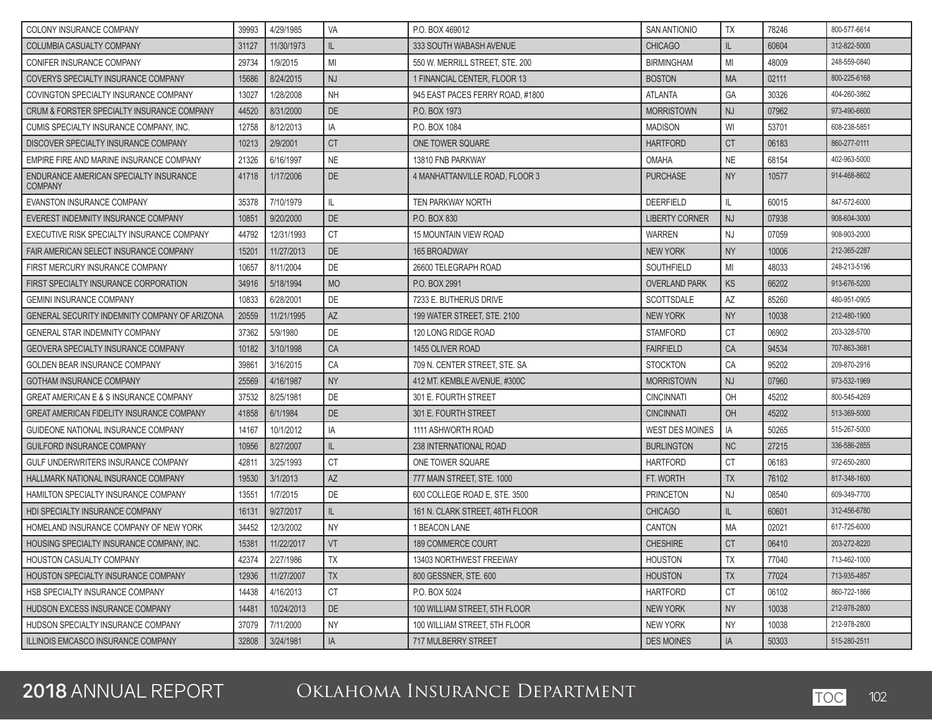| COLONY INSURANCE COMPANY                                 | 39993 | 4/29/1985  | VA        | P.O. BOX 469012                  | <b>SAN ANTIONIO</b>   | <b>TX</b> | 78246 | 800-577-6614 |
|----------------------------------------------------------|-------|------------|-----------|----------------------------------|-----------------------|-----------|-------|--------------|
| <b>COLUMBIA CASUALTY COMPANY</b>                         | 31127 | 11/30/1973 | IL.       | 333 SOUTH WABASH AVENUE          | <b>CHICAGO</b>        | IL.       | 60604 | 312-822-5000 |
| CONIFER INSURANCE COMPANY                                | 29734 | 1/9/2015   | MI        | 550 W. MERRILL STREET, STE. 200  | <b>BIRMINGHAM</b>     | MI        | 48009 | 248-559-0840 |
| COVERYS SPECIALTY INSURANCE COMPANY                      | 15686 | 8/24/2015  | <b>NJ</b> | 1 FINANCIAL CENTER, FLOOR 13     | <b>BOSTON</b>         | <b>MA</b> | 02111 | 800-225-6168 |
| COVINGTON SPECIALTY INSURANCE COMPANY                    | 13027 | 1/28/2008  | <b>NH</b> | 945 EAST PACES FERRY ROAD, #1800 | <b>ATLANTA</b>        | GA        | 30326 | 404-260-3862 |
| CRUM & FORSTER SPECIALTY INSURANCE COMPANY               | 44520 | 8/31/2000  | <b>DE</b> | P.O. BOX 1973                    | <b>MORRISTOWN</b>     | <b>NJ</b> | 07962 | 973-490-6600 |
| CUMIS SPECIALTY INSURANCE COMPANY. INC.                  | 12758 | 8/12/2013  | IA        | P.O. BOX 1084                    | <b>MADISON</b>        | WI        | 53701 | 608-238-5851 |
| DISCOVER SPECIALTY INSURANCE COMPANY                     | 10213 | 2/9/2001   | <b>CT</b> | ONE TOWER SQUARE                 | <b>HARTFORD</b>       | <b>CT</b> | 06183 | 860-277-0111 |
| EMPIRE FIRE AND MARINE INSURANCE COMPANY                 | 21326 | 6/16/1997  | <b>NE</b> | 13810 FNB PARKWAY                | <b>OMAHA</b>          | <b>NE</b> | 68154 | 402-963-5000 |
| ENDURANCE AMERICAN SPECIALTY INSURANCE<br><b>COMPANY</b> | 41718 | 1/17/2006  | DE        | 4 MANHATTANVILLE ROAD, FLOOR 3   | <b>PURCHASE</b>       | <b>NY</b> | 10577 | 914-468-8602 |
| EVANSTON INSURANCE COMPANY                               | 35378 | 7/10/1979  | IL        | TEN PARKWAY NORTH                | <b>DEERFIELD</b>      | IL        | 60015 | 847-572-6000 |
| EVEREST INDEMNITY INSURANCE COMPANY                      | 10851 | 9/20/2000  | <b>DE</b> | P.O. BOX 830                     | <b>LIBERTY CORNER</b> | <b>NJ</b> | 07938 | 908-604-3000 |
| EXECUTIVE RISK SPECIALTY INSURANCE COMPANY               | 44792 | 12/31/1993 | <b>CT</b> | <b>15 MOUNTAIN VIEW ROAD</b>     | <b>WARREN</b>         | <b>NJ</b> | 07059 | 908-903-2000 |
| FAIR AMERICAN SELECT INSURANCE COMPANY                   | 15201 | 11/27/2013 | DE        | 165 BROADWAY                     | <b>NEW YORK</b>       | <b>NY</b> | 10006 | 212-365-2287 |
| FIRST MERCURY INSURANCE COMPANY                          | 10657 | 8/11/2004  | DE        | 26600 TELEGRAPH ROAD             | <b>SOUTHFIELD</b>     | MI        | 48033 | 248-213-5196 |
| FIRST SPECIALTY INSURANCE CORPORATION                    | 34916 | 5/18/1994  | <b>MO</b> | P.O. BOX 2991                    | <b>OVERLAND PARK</b>  | <b>KS</b> | 66202 | 913-676-5200 |
| <b>GEMINI INSURANCE COMPANY</b>                          | 10833 | 6/28/2001  | DE        | 7233 E. BUTHERUS DRIVE           | <b>SCOTTSDALE</b>     | AZ        | 85260 | 480-951-0905 |
| <b>GENERAL SECURITY INDEMNITY COMPANY OF ARIZONA</b>     | 20559 | 11/21/1995 | AZ        | 199 WATER STREET, STE, 2100      | <b>NEW YORK</b>       | <b>NY</b> | 10038 | 212-480-1900 |
| <b>GENERAL STAR INDEMNITY COMPANY</b>                    | 37362 | 5/9/1980   | DE        | 120 LONG RIDGE ROAD              | <b>STAMFORD</b>       | <b>CT</b> | 06902 | 203-328-5700 |
| <b>GEOVERA SPECIALTY INSURANCE COMPANY</b>               | 10182 | 3/10/1998  | CA        | 1455 OLIVER ROAD                 | <b>FAIRFIELD</b>      | CA        | 94534 | 707-863-3681 |
| GOLDEN BEAR INSURANCE COMPANY                            | 39861 | 3/16/2015  | CA        | 709 N. CENTER STREET, STE. SA    | <b>STOCKTON</b>       | CA        | 95202 | 209-870-2916 |
| <b>GOTHAM INSURANCE COMPANY</b>                          | 25569 | 4/16/1987  | <b>NY</b> | 412 MT. KEMBLE AVENUE, #300C     | <b>MORRISTOWN</b>     | <b>NJ</b> | 07960 | 973-532-1969 |
| <b>GREAT AMERICAN E &amp; S INSURANCE COMPANY</b>        | 37532 | 8/25/1981  | DE        | 301 E. FOURTH STREET             | <b>CINCINNATI</b>     | OH        | 45202 | 800-545-4269 |
| <b>GREAT AMERICAN FIDELITY INSURANCE COMPANY</b>         | 41858 | 6/1/1984   | DE        | 301 E. FOURTH STREET             | <b>CINCINNATI</b>     | OH        | 45202 | 513-369-5000 |
| GUIDEONE NATIONAL INSURANCE COMPANY                      | 14167 | 10/1/2012  | IA        | 1111 ASHWORTH ROAD               | WEST DES MOINES       | IA        | 50265 | 515-267-5000 |
| <b>GUILFORD INSURANCE COMPANY</b>                        | 10956 | 8/27/2007  | IL.       | 238 INTERNATIONAL ROAD           | <b>BURLINGTON</b>     | <b>NC</b> | 27215 | 336-586-2855 |
| GULF UNDERWRITERS INSURANCE COMPANY                      | 42811 | 3/25/1993  | <b>CT</b> | ONE TOWER SQUARE                 | <b>HARTFORD</b>       | <b>CT</b> | 06183 | 972-650-2800 |
| HALLMARK NATIONAL INSURANCE COMPANY                      | 19530 | 3/1/2013   | AZ        | 777 MAIN STREET, STE. 1000       | FT. WORTH             | <b>TX</b> | 76102 | 817-348-1600 |
| HAMILTON SPECIALTY INSURANCE COMPANY                     | 13551 | 1/7/2015   | DE        | 600 COLLEGE ROAD E, STE. 3500    | <b>PRINCETON</b>      | <b>NJ</b> | 08540 | 609-349-7700 |
| HDI SPECIALTY INSURANCE COMPANY                          | 16131 | 9/27/2017  | IL        | 161 N. CLARK STREET, 48TH FLOOR  | <b>CHICAGO</b>        | IL        | 60601 | 312-456-6780 |
| HOMELAND INSURANCE COMPANY OF NEW YORK                   | 34452 | 12/3/2002  | <b>NY</b> | 1 BEACON LANE                    | <b>CANTON</b>         | <b>MA</b> | 02021 | 617-725-6000 |
| HOUSING SPECIALTY INSURANCE COMPANY, INC.                | 15381 | 11/22/2017 | VT        | <b>189 COMMERCE COURT</b>        | <b>CHESHIRE</b>       | <b>CT</b> | 06410 | 203-272-8220 |
| HOUSTON CASUALTY COMPANY                                 | 42374 | 2/27/1986  | TX        | 13403 NORTHWEST FREEWAY          | <b>HOUSTON</b>        | <b>TX</b> | 77040 | 713-462-1000 |
| HOUSTON SPECIALTY INSURANCE COMPANY                      | 12936 | 11/27/2007 | <b>TX</b> | 800 GESSNER, STE. 600            | <b>HOUSTON</b>        | <b>TX</b> | 77024 | 713-935-4857 |
| HSB SPECIALTY INSURANCE COMPANY                          | 14438 | 4/16/2013  | CT        | P.O. BOX 5024                    | <b>HARTFORD</b>       | <b>CT</b> | 06102 | 860-722-1866 |
| HUDSON EXCESS INSURANCE COMPANY                          | 14481 | 10/24/2013 | DE        | 100 WILLIAM STREET. 5TH FLOOR    | NEW YORK              | <b>NY</b> | 10038 | 212-978-2800 |
| HUDSON SPECIALTY INSURANCE COMPANY                       | 37079 | 7/11/2000  | <b>NY</b> | 100 WILLIAM STREET, 5TH FLOOR    | <b>NEW YORK</b>       | <b>NY</b> | 10038 | 212-978-2800 |
| ILLINOIS EMCASCO INSURANCE COMPANY                       | 32808 | 3/24/1981  | IA        | 717 MULBERRY STREET              | <b>DES MOINES</b>     | IA        | 50303 | 515-280-2511 |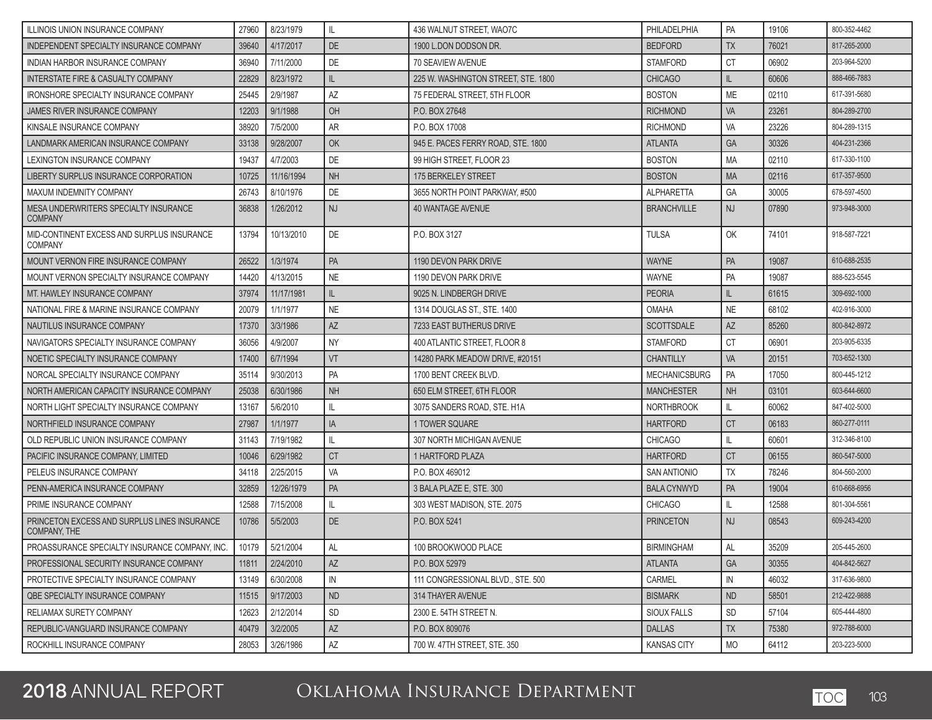| ILLINOIS UNION INSURANCE COMPANY                                    | 27960 | 8/23/1979          | L                      | 436 WALNUT STREET, WAO7C            | PHILADELPHIA         | PA               | 19106 | 800-352-4462 |
|---------------------------------------------------------------------|-------|--------------------|------------------------|-------------------------------------|----------------------|------------------|-------|--------------|
| INDEPENDENT SPECIALTY INSURANCE COMPANY                             | 39640 | 4/17/2017          | <b>DE</b>              | 1900 L.DON DODSON DR.               | <b>BEDFORD</b>       | <b>TX</b>        | 76021 | 817-265-2000 |
| <b>INDIAN HARBOR INSURANCE COMPANY</b>                              | 36940 | 7/11/2000          | DE                     | 70 SEAVIEW AVENUE                   | <b>STAMFORD</b>      | <b>CT</b>        | 06902 | 203-964-5200 |
| INTERSTATE FIRE & CASUALTY COMPANY                                  | 22829 | 8/23/1972          | IL.                    | 225 W. WASHINGTON STREET, STE. 1800 | <b>CHICAGO</b>       | $\mathbb{L}$     | 60606 | 888-466-7883 |
| IRONSHORE SPECIALTY INSURANCE COMPANY                               | 25445 | 2/9/1987           | ΑZ                     | 75 FEDERAL STREET, 5TH FLOOR        | <b>BOSTON</b>        | <b>ME</b>        | 02110 | 617-391-5680 |
| JAMES RIVER INSURANCE COMPANY                                       | 12203 | 9/1/1988           | OH                     | P.O. BOX 27648                      | <b>RICHMOND</b>      | <b>VA</b>        | 23261 | 804-289-2700 |
| KINSALE INSURANCE COMPANY                                           | 38920 | 7/5/2000           | AR                     | P.O. BOX 17008                      | <b>RICHMOND</b>      | VA               | 23226 | 804-289-1315 |
| LANDMARK AMERICAN INSURANCE COMPANY                                 | 33138 | 9/28/2007          | OK                     | 945 E. PACES FERRY ROAD, STE. 1800  | <b>ATLANTA</b>       | <b>GA</b>        | 30326 | 404-231-2366 |
| LEXINGTON INSURANCE COMPANY                                         | 19437 | 4/7/2003           | DE                     | 99 HIGH STREET, FLOOR 23            | <b>BOSTON</b>        | <b>MA</b>        | 02110 | 617-330-1100 |
| LIBERTY SURPLUS INSURANCE CORPORATION                               | 10725 | 11/16/1994         | <b>NH</b>              | 175 BERKELEY STREET                 | <b>BOSTON</b>        | <b>MA</b>        | 02116 | 617-357-9500 |
| MAXUM INDEMNITY COMPANY                                             | 26743 | 8/10/1976          | DE                     | 3655 NORTH POINT PARKWAY, #500      | <b>ALPHARETTA</b>    | GA               | 30005 | 678-597-4500 |
| MESA UNDERWRITERS SPECIALTY INSURANCE<br><b>COMPANY</b>             | 36838 | 1/26/2012          | <b>NJ</b>              | <b>40 WANTAGE AVENUE</b>            | <b>BRANCHVILLE</b>   | <b>NJ</b>        | 07890 | 973-948-3000 |
| MID-CONTINENT EXCESS AND SURPLUS INSURANCE<br><b>COMPANY</b>        | 13794 | 10/13/2010         | DE                     | P.O. BOX 3127                       | <b>TULSA</b>         | OK               | 74101 | 918-587-7221 |
| <b>MOUNT VERNON FIRE INSURANCE COMPANY</b>                          | 26522 | 1/3/1974           | PA                     | 1190 DEVON PARK DRIVE               | <b>WAYNE</b>         | PA               | 19087 | 610-688-2535 |
| MOUNT VERNON SPECIALTY INSURANCE COMPANY                            | 14420 | 4/13/2015          | <b>NE</b>              | 1190 DEVON PARK DRIVE               | WAYNE                | PA               | 19087 | 888-523-5545 |
| MT. HAWLEY INSURANCE COMPANY                                        | 37974 | 11/17/1981         | IL.                    | 9025 N. LINDBERGH DRIVE             | <b>PEORIA</b>        | IL               | 61615 | 309-692-1000 |
| NATIONAL FIRE & MARINE INSURANCE COMPANY                            | 20079 | 1/1/1977           | <b>NE</b>              | 1314 DOUGLAS ST., STE. 1400         | <b>OMAHA</b>         | <b>NE</b>        | 68102 | 402-916-3000 |
| NAUTILUS INSURANCE COMPANY                                          | 17370 | 3/3/1986           | AZ                     | 7233 EAST BUTHERUS DRIVE            | <b>SCOTTSDALE</b>    | AZ               | 85260 | 800-842-8972 |
| NAVIGATORS SPECIALTY INSURANCE COMPANY                              | 36056 | 4/9/2007           | <b>NY</b>              | 400 ATLANTIC STREET, FLOOR 8        | <b>STAMFORD</b>      | <b>CT</b>        | 06901 | 203-905-6335 |
| NOETIC SPECIALTY INSURANCE COMPANY                                  | 17400 | 6/7/1994           | VT                     | 14280 PARK MEADOW DRIVE, #20151     | <b>CHANTILLY</b>     | <b>VA</b>        | 20151 | 703-652-1300 |
| NORCAL SPECIALTY INSURANCE COMPANY                                  | 35114 | 9/30/2013          | PA                     | 1700 BENT CREEK BLVD.               | <b>MECHANICSBURG</b> | PA               | 17050 | 800-445-1212 |
| NORTH AMERICAN CAPACITY INSURANCE COMPANY                           | 25038 | 6/30/1986          | <b>NH</b>              | 650 ELM STREET, 6TH FLOOR           | <b>MANCHESTER</b>    | <b>NH</b>        | 03101 | 603-644-6600 |
| NORTH LIGHT SPECIALTY INSURANCE COMPANY                             | 13167 | 5/6/2010           | IL                     | 3075 SANDERS ROAD, STE. H1A         | <b>NORTHBROOK</b>    | IL               | 60062 | 847-402-5000 |
| NORTHFIELD INSURANCE COMPANY                                        | 27987 | 1/1/1977           | IA                     | 1 TOWER SQUARE                      | <b>HARTFORD</b>      | <b>CT</b>        | 06183 | 860-277-0111 |
| OLD REPUBLIC UNION INSURANCE COMPANY                                | 31143 | 7/19/1982          | IL                     | 307 NORTH MICHIGAN AVENUE           | <b>CHICAGO</b>       | IL               | 60601 | 312-346-8100 |
| PACIFIC INSURANCE COMPANY, LIMITED                                  | 10046 | 6/29/1982          | <b>CT</b>              | 1 HARTFORD PLAZA                    | <b>HARTFORD</b>      | <b>CT</b>        | 06155 | 860-547-5000 |
| PELEUS INSURANCE COMPANY                                            | 34118 | 2/25/2015          | VA                     | P.O. BOX 469012                     | <b>SAN ANTIONIO</b>  | <b>TX</b>        | 78246 | 804-560-2000 |
| PENN-AMERICA INSURANCE COMPANY                                      | 32859 | 12/26/1979         | PA                     | 3 BALA PLAZE E. STE. 300            | <b>BALA CYNWYD</b>   | <b>PA</b>        | 19004 | 610-668-6956 |
| PRIME INSURANCE COMPANY                                             | 12588 | 7/15/2008          | IL                     | 303 WEST MADISON, STE, 2075         | <b>CHICAGO</b>       | IL               | 12588 | 801-304-5561 |
| PRINCETON EXCESS AND SURPLUS LINES INSURANCE<br><b>COMPANY, THE</b> | 10786 | 5/5/2003           | <b>DE</b>              | P.O. BOX 5241                       | <b>PRINCETON</b>     | <b>NJ</b>        | 08543 | 609-243-4200 |
| PROASSURANCE SPECIALTY INSURANCE COMPANY, INC.                      |       | 10179    5/21/2004 | AL                     | 100 BROOKWOOD PLACE                 | <b>BIRMINGHAM</b>    | $\Delta I$<br>∩⊾ | 35209 | 205-445-2600 |
| PROFESSIONAL SECURITY INSURANCE COMPANY                             | 11811 | 2/24/2010          | AZ                     | P.O. BOX 52979                      | <b>ATLANTA</b>       | <b>GA</b>        | 30355 | 404-842-5627 |
| PROTECTIVE SPECIALTY INSURANCE COMPANY                              | 13149 | 6/30/2008          | IN                     | 111 CONGRESSIONAL BLVD., STE. 500   | CARMEL               | IN               | 46032 | 317-636-9800 |
| OBE SPECIALTY INSURANCE COMPANY                                     | 11515 | 9/17/2003          | ND                     | 314 THAYER AVENUE                   | <b>BISMARK</b>       | <b>ND</b>        | 58501 | 212-422-9888 |
| RELIAMAX SURETY COMPANY                                             | 12623 | 2/12/2014          | SD                     | 2300 E. 54TH STREET N.              | SIOUX FALLS          | <b>SD</b>        | 57104 | 605-444-4800 |
| REPUBLIC-VANGUARD INSURANCE COMPANY                                 | 40479 | 3/2/2005           | $\mathsf{A}\mathsf{Z}$ | P.O. BOX 809076                     | DALLAS               | <b>TX</b>        | 75380 | 972-788-6000 |
| ROCKHILL INSURANCE COMPANY                                          | 28053 | 3/26/1986          | $\mathsf{A}\mathsf{Z}$ | 700 W. 47TH STREET, STE. 350        | <b>KANSAS CITY</b>   | <b>MO</b>        | 64112 | 203-223-5000 |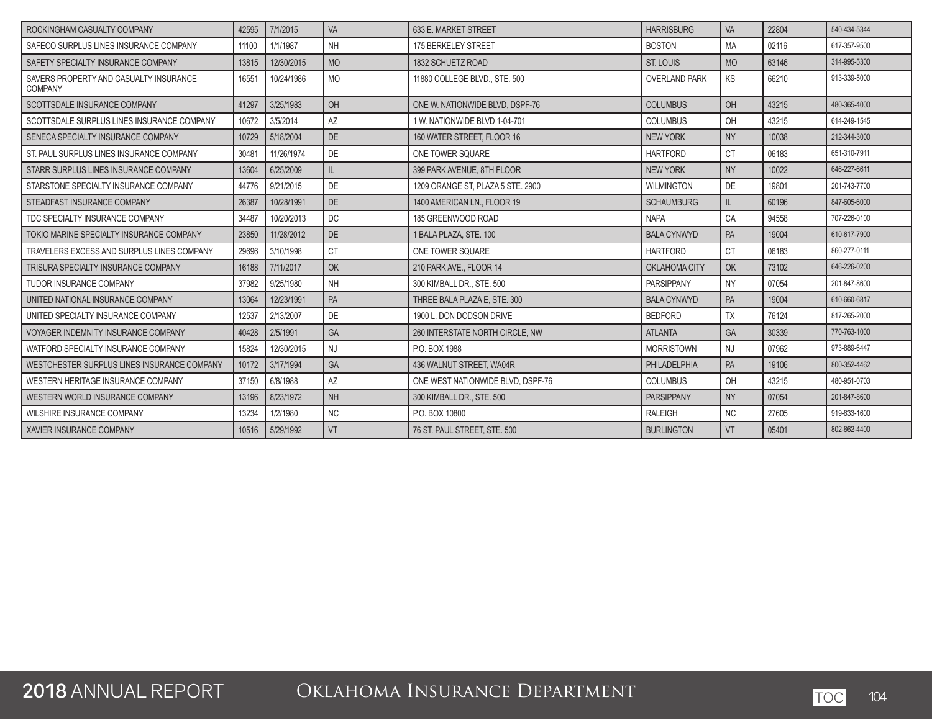| ROCKINGHAM CASUALTY COMPANY                              | 42595 | 7/1/2015   | VA        | 633 E. MARKET STREET              | <b>HARRISBURG</b>    | VA        | 22804 | 540-434-5344 |
|----------------------------------------------------------|-------|------------|-----------|-----------------------------------|----------------------|-----------|-------|--------------|
| SAFECO SURPLUS LINES INSURANCE COMPANY                   | 11100 | 1/1/1987   | <b>NH</b> | 175 BERKELEY STREET               | <b>BOSTON</b>        | <b>MA</b> | 02116 | 617-357-9500 |
| SAFETY SPECIALTY INSURANCE COMPANY                       | 13815 | 12/30/2015 | <b>MO</b> | 1832 SCHUETZ ROAD                 | ST. LOUIS            | <b>MO</b> | 63146 | 314-995-5300 |
| SAVERS PROPERTY AND CASUALTY INSURANCE<br><b>COMPANY</b> | 16551 | 10/24/1986 | <b>MO</b> | 11880 COLLEGE BLVD., STE. 500     | <b>OVERLAND PARK</b> | KS        | 66210 | 913-339-5000 |
| SCOTTSDALE INSURANCE COMPANY                             | 41297 | 3/25/1983  | OH        | ONE W. NATIONWIDE BLVD. DSPF-76   | <b>COLUMBUS</b>      | OH        | 43215 | 480-365-4000 |
| SCOTTSDALE SURPLUS LINES INSURANCE COMPANY               | 10672 | 3/5/2014   | AZ        | 1 W. NATIONWIDE BLVD 1-04-701     | <b>COLUMBUS</b>      | OH        | 43215 | 614-249-1545 |
| SENECA SPECIALTY INSURANCE COMPANY                       | 10729 | 5/18/2004  | <b>DE</b> | 160 WATER STREET. FLOOR 16        | <b>NEW YORK</b>      | <b>NY</b> | 10038 | 212-344-3000 |
| ST. PAUL SURPLUS LINES INSURANCE COMPANY                 | 30481 | 11/26/1974 | DE        | ONE TOWER SQUARE                  | <b>HARTFORD</b>      | <b>CT</b> | 06183 | 651-310-7911 |
| STARR SURPLUS LINES INSURANCE COMPANY                    | 13604 | 6/25/2009  | IL.       | 399 PARK AVENUE, 8TH FLOOR        | <b>NEW YORK</b>      | <b>NY</b> | 10022 | 646-227-6611 |
| STARSTONE SPECIALTY INSURANCE COMPANY                    | 44776 | 9/21/2015  | DE        | 1209 ORANGE ST. PLAZA 5 STE. 2900 | <b>WILMINGTON</b>    | DE        | 19801 | 201-743-7700 |
| STEADFAST INSURANCE COMPANY                              | 26387 | 10/28/1991 | <b>DE</b> | 1400 AMERICAN LN., FLOOR 19       | <b>SCHAUMBURG</b>    | IL        | 60196 | 847-605-6000 |
| TDC SPECIALTY INSURANCE COMPANY                          | 34487 | 10/20/2013 | DC        | 185 GREENWOOD ROAD                | <b>NAPA</b>          | CA        | 94558 | 707-226-0100 |
| TOKIO MARINE SPECIALTY INSURANCE COMPANY                 | 23850 | 11/28/2012 | DE        | 1 BALA PLAZA, STE, 100            | <b>BALA CYNWYD</b>   | PA        | 19004 | 610-617-7900 |
| TRAVELERS EXCESS AND SURPLUS LINES COMPANY               | 29696 | 3/10/1998  | <b>CT</b> | ONE TOWER SQUARE                  | <b>HARTFORD</b>      | <b>CT</b> | 06183 | 860-277-0111 |
| TRISURA SPECIALTY INSURANCE COMPANY                      | 16188 | 7/11/2017  | OK        | 210 PARK AVE., FLOOR 14           | OKLAHOMA CITY        | OK        | 73102 | 646-226-0200 |
| TUDOR INSURANCE COMPANY                                  | 37982 | 9/25/1980  | <b>NH</b> | 300 KIMBALL DR., STE, 500         | <b>PARSIPPANY</b>    | <b>NY</b> | 07054 | 201-847-8600 |
| UNITED NATIONAL INSURANCE COMPANY                        | 13064 | 12/23/1991 | PA        | THREE BALA PLAZA E. STE. 300      | <b>BALA CYNWYD</b>   | PA        | 19004 | 610-660-6817 |
| UNITED SPECIALTY INSURANCE COMPANY                       | 12537 | 2/13/2007  | DE        | 1900 L. DON DODSON DRIVE          | <b>BEDFORD</b>       | <b>TX</b> | 76124 | 817-265-2000 |
| VOYAGER INDEMNITY INSURANCE COMPANY                      | 40428 | 2/5/1991   | GA        | 260 INTERSTATE NORTH CIRCLE. NW   | <b>ATLANTA</b>       | GA        | 30339 | 770-763-1000 |
| WATFORD SPECIALTY INSURANCE COMPANY                      | 15824 | 12/30/2015 | <b>NJ</b> | P.O. BOX 1988                     | <b>MORRISTOWN</b>    | <b>NJ</b> | 07962 | 973-889-6447 |
| WESTCHESTER SURPLUS LINES INSURANCE COMPANY              | 10172 | 3/17/1994  | GA        | 436 WALNUT STREET, WA04R          | PHILADELPHIA         | PA        | 19106 | 800-352-4462 |
| WESTERN HERITAGE INSURANCE COMPANY                       | 37150 | 6/8/1988   | AZ        | ONE WEST NATIONWIDE BLVD. DSPF-76 | <b>COLUMBUS</b>      | OH        | 43215 | 480-951-0703 |
| WESTERN WORLD INSURANCE COMPANY                          | 13196 | 8/23/1972  | <b>NH</b> | 300 KIMBALL DR., STE, 500         | <b>PARSIPPANY</b>    | <b>NY</b> | 07054 | 201-847-8600 |
| WILSHIRE INSURANCE COMPANY                               | 13234 | 1/2/1980   | <b>NC</b> | P.O. BOX 10800                    | <b>RALEIGH</b>       | <b>NC</b> | 27605 | 919-833-1600 |
| I XAVIER INSURANCE COMPANY                               | 10516 | 5/29/1992  | VT        | 76 ST. PAUL STREET. STE. 500      | <b>BURLINGTON</b>    | VT        | 05401 | 802-862-4400 |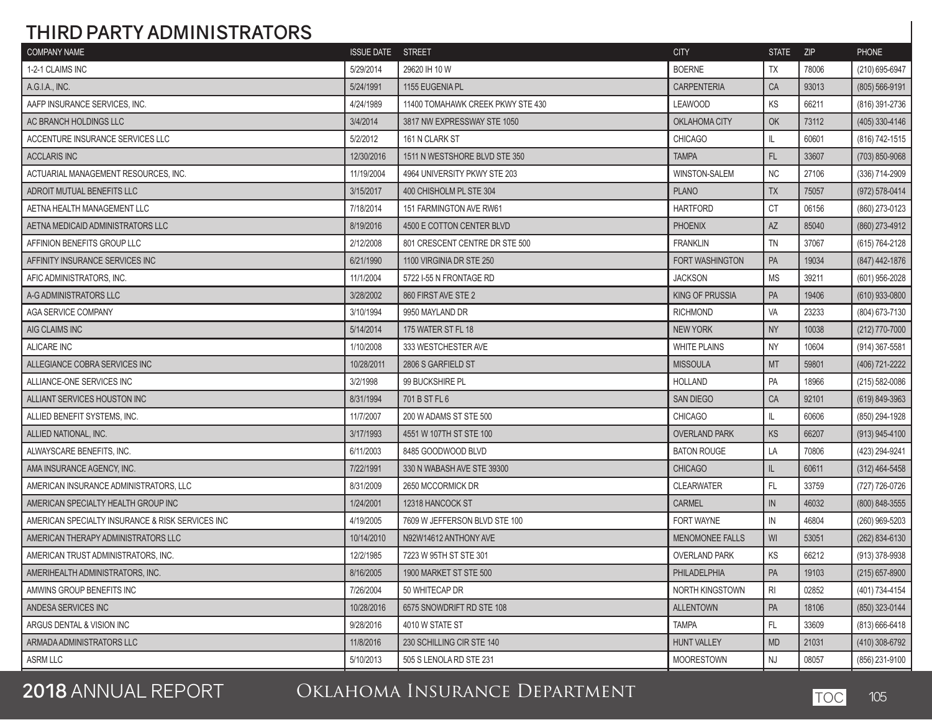## **THIRD PARTY ADMINISTRATORS**

| <b>COMPANY NAME</b>                              | <b>ISSUE DATE STREET</b> |                                   | <b>CITY</b>            | STATE ZIP |       | <b>PHONE</b>       |
|--------------------------------------------------|--------------------------|-----------------------------------|------------------------|-----------|-------|--------------------|
| 1-2-1 CLAIMS INC                                 | 5/29/2014                | 29620 IH 10 W                     | <b>BOERNE</b>          | <b>TX</b> | 78006 | (210) 695-6947     |
| A.G.I.A., INC.                                   | 5/24/1991                | 1155 EUGENIA PL                   | <b>CARPENTERIA</b>     | CA        | 93013 | (805) 566-9191     |
| AAFP INSURANCE SERVICES, INC.                    | 4/24/1989                | 11400 TOMAHAWK CREEK PKWY STE 430 | <b>LEAWOOD</b>         | KS        | 66211 | (816) 391-2736     |
| AC BRANCH HOLDINGS LLC                           | 3/4/2014                 | 3817 NW EXPRESSWAY STE 1050       | OKLAHOMA CITY          | OK        | 73112 | (405) 330-4146     |
| ACCENTURE INSURANCE SERVICES LLC                 | 5/2/2012                 | 161 N CLARK ST                    | <b>CHICAGO</b>         | IL.       | 60601 | (816) 742-1515     |
| <b>ACCLARIS INC</b>                              | 12/30/2016               | 1511 N WESTSHORE BLVD STE 350     | <b>TAMPA</b>           | FL        | 33607 | (703) 850-9068     |
| ACTUARIAL MANAGEMENT RESOURCES. INC.             | 11/19/2004               | 4964 UNIVERSITY PKWY STE 203      | <b>WINSTON-SALEM</b>   | <b>NC</b> | 27106 | (336) 714-2909     |
| ADROIT MUTUAL BENEFITS LLC                       | 3/15/2017                | 400 CHISHOLM PL STE 304           | <b>PLANO</b>           | <b>TX</b> | 75057 | (972) 578-0414     |
| AETNA HEALTH MANAGEMENT LLC                      | 7/18/2014                | 151 FARMINGTON AVE RW61           | <b>HARTFORD</b>        | <b>CT</b> | 06156 | (860) 273-0123     |
| AETNA MEDICAID ADMINISTRATORS LLC                | 8/19/2016                | 4500 E COTTON CENTER BLVD         | <b>PHOENIX</b>         | <b>AZ</b> | 85040 | (860) 273-4912     |
| AFFINION BENEFITS GROUP LLC                      | 2/12/2008                | 801 CRESCENT CENTRE DR STE 500    | <b>FRANKLIN</b>        | <b>TN</b> | 37067 | (615) 764-2128     |
| AFFINITY INSURANCE SERVICES INC                  | 6/21/1990                | 1100 VIRGINIA DR STE 250          | FORT WASHINGTON        | PA        | 19034 | (847) 442-1876     |
| AFIC ADMINISTRATORS, INC.                        | 11/1/2004                | 5722 I-55 N FRONTAGE RD           | <b>JACKSON</b>         | <b>MS</b> | 39211 | (601) 956-2028     |
| A-G ADMINISTRATORS LLC                           | 3/28/2002                | 860 FIRST AVE STE 2               | <b>KING OF PRUSSIA</b> | PA        | 19406 | $(610)$ 933-0800   |
| AGA SERVICE COMPANY                              | 3/10/1994                | 9950 MAYLAND DR                   | <b>RICHMOND</b>        | VA        | 23233 | (804) 673-7130     |
| AIG CLAIMS INC                                   | 5/14/2014                | 175 WATER ST FL 18                | <b>NEW YORK</b>        | <b>NY</b> | 10038 | (212) 770-7000     |
| <b>ALICARE INC</b>                               | 1/10/2008                | 333 WESTCHESTER AVE               | <b>WHITE PLAINS</b>    | <b>NY</b> | 10604 | (914) 367-5581     |
| ALLEGIANCE COBRA SERVICES INC                    | 10/28/2011               | 2806 S GARFIELD ST                | <b>MISSOULA</b>        | <b>MT</b> | 59801 | (406) 721-2222     |
| ALLIANCE-ONE SERVICES INC                        | 3/2/1998                 | 99 BUCKSHIRE PL                   | <b>HOLLAND</b>         | PA        | 18966 | $(215) 582 - 0086$ |
| ALLIANT SERVICES HOUSTON INC                     | 8/31/1994                | 701 B ST FL 6                     | <b>SAN DIEGO</b>       | CA        | 92101 | (619) 849-3963     |
| ALLIED BENEFIT SYSTEMS, INC.                     | 11/7/2007                | 200 W ADAMS ST STE 500            | <b>CHICAGO</b>         | IL        | 60606 | (850) 294-1928     |
| ALLIED NATIONAL, INC.                            | 3/17/1993                | 4551 W 107TH ST STE 100           | <b>OVERLAND PARK</b>   | KS        | 66207 | $(913)$ 945-4100   |
| ALWAYSCARE BENEFITS, INC.                        | 6/11/2003                | 8485 GOODWOOD BLVD                | <b>BATON ROUGE</b>     | LA        | 70806 | (423) 294-9241     |
| AMA INSURANCE AGENCY, INC.                       | 7/22/1991                | 330 N WABASH AVE STE 39300        | <b>CHICAGO</b>         | IL        | 60611 | $(312)$ 464-5458   |
| AMERICAN INSURANCE ADMINISTRATORS, LLC           | 8/31/2009                | 2650 MCCORMICK DR                 | <b>CLEARWATER</b>      | FL        | 33759 | (727) 726-0726     |
| AMERICAN SPECIALTY HEALTH GROUP INC              | 1/24/2001                | 12318 HANCOCK ST                  | <b>CARMEL</b>          | IN        | 46032 | (800) 848-3555     |
| AMERICAN SPECIALTY INSURANCE & RISK SERVICES INC | 4/19/2005                | 7609 W JEFFERSON BLVD STE 100     | <b>FORT WAYNE</b>      | IN        | 46804 | (260) 969-5203     |
| AMERICAN THERAPY ADMINISTRATORS LLC              | 10/14/2010               | N92W14612 ANTHONY AVE             | <b>MENOMONEE FALLS</b> | WI        | 53051 | (262) 834-6130     |
| AMERICAN TRUST ADMINISTRATORS, INC.              | 12/2/1985                | 7223 W 95TH ST STE 301            | <b>OVERLAND PARK</b>   | KS        | 66212 | (913) 378-9938     |
| AMERIHEALTH ADMINISTRATORS, INC.                 | 8/16/2005                | 1900 MARKET ST STE 500            | PHILADELPHIA           | PA        | 19103 | $(215) 657 - 8900$ |
| AMWINS GROUP BENEFITS INC                        | 7/26/2004                | 50 WHITECAP DR                    | <b>NORTH KINGSTOWN</b> | <b>RI</b> | 02852 | (401) 734-4154     |
| ANDESA SERVICES INC                              | 10/28/2016               | 6575 SNOWDRIFT RD STE 108         | <b>ALLENTOWN</b>       | PA        | 18106 | (850) 323-0144     |
| ARGUS DENTAL & VISION INC                        | 9/28/2016                | 4010 W STATE ST                   | <b>TAMPA</b>           | FL.       | 33609 | $(813) 666 - 6418$ |
| ARMADA ADMINISTRATORS LLC                        | 11/8/2016                | 230 SCHILLING CIR STE 140         | <b>HUNT VALLEY</b>     | <b>MD</b> | 21031 | (410) 308-6792     |
| ASRM LLC                                         | 5/10/2013                | 505 S LENOLA RD STE 231           | <b>MOORESTOWN</b>      | <b>NJ</b> | 08057 | (856) 231-9100     |

**2018** ANNUAL REPORT Oklahoma Insurance Department TOC <sup>105</sup>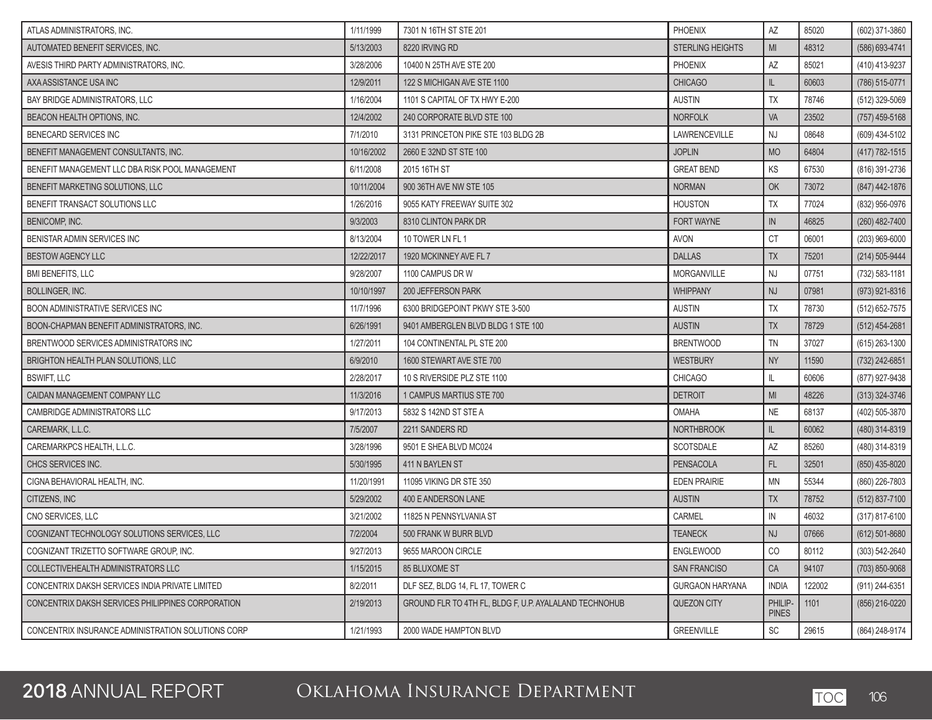| ATLAS ADMINISTRATORS. INC.                         | 1/11/1999  | 7301 N 16TH ST STE 201                                 | <b>PHOENIX</b>          | <b>AZ</b>               | 85020  | (602) 371-3860   |
|----------------------------------------------------|------------|--------------------------------------------------------|-------------------------|-------------------------|--------|------------------|
| AUTOMATED BENEFIT SERVICES, INC.                   | 5/13/2003  | 8220 IRVING RD                                         | <b>STERLING HEIGHTS</b> | MI                      | 48312  | (586) 693-4741   |
| AVESIS THIRD PARTY ADMINISTRATORS, INC.            | 3/28/2006  | 10400 N 25TH AVE STE 200                               | PHOENIX                 | AZ                      | 85021  | (410) 413-9237   |
| AXA ASSISTANCE USA INC                             | 12/9/2011  | 122 S MICHIGAN AVE STE 1100                            | <b>CHICAGO</b>          | IL                      | 60603  | (786) 515-0771   |
| BAY BRIDGE ADMINISTRATORS, LLC                     | 1/16/2004  | 1101 S CAPITAL OF TX HWY E-200                         | <b>AUSTIN</b>           | <b>TX</b>               | 78746  | (512) 329-5069   |
| BEACON HEALTH OPTIONS, INC.                        | 12/4/2002  | 240 CORPORATE BLVD STE 100                             | <b>NORFOLK</b>          | VA                      | 23502  | $(757)$ 459-5168 |
| <b>BENECARD SERVICES INC</b>                       | 7/1/2010   | 3131 PRINCETON PIKE STE 103 BLDG 2B                    | LAWRENCEVILLE           | NJ                      | 08648  | (609) 434-5102   |
| BENEFIT MANAGEMENT CONSULTANTS, INC.               | 10/16/2002 | 2660 E 32ND ST STE 100                                 | <b>JOPLIN</b>           | <b>MO</b>               | 64804  | (417) 782-1515   |
| BENEFIT MANAGEMENT LLC DBA RISK POOL MANAGEMENT    | 6/11/2008  | 2015 16TH ST                                           | <b>GREAT BEND</b>       | KS                      | 67530  | (816) 391-2736   |
| BENEFIT MARKETING SOLUTIONS, LLC                   | 10/11/2004 | 900 36TH AVE NW STE 105                                | <b>NORMAN</b>           | OK                      | 73072  | (847) 442-1876   |
| BENEFIT TRANSACT SOLUTIONS LLC                     | 1/26/2016  | 9055 KATY FREEWAY SUITE 302                            | <b>HOUSTON</b>          | <b>TX</b>               | 77024  | (832) 956-0976   |
| <b>BENICOMP, INC.</b>                              | 9/3/2003   | 8310 CLINTON PARK DR                                   | <b>FORT WAYNE</b>       | IN                      | 46825  | (260) 482-7400   |
| BENISTAR ADMIN SERVICES INC                        | 8/13/2004  | 10 TOWER LN FL 1                                       | <b>AVON</b>             | <b>CT</b>               | 06001  | (203) 969-6000   |
| <b>BESTOW AGENCY LLC</b>                           | 12/22/2017 | 1920 MCKINNEY AVE FL 7                                 | <b>DALLAS</b>           | <b>TX</b>               | 75201  | (214) 505-9444   |
| <b>BMI BENEFITS, LLC</b>                           | 9/28/2007  | 1100 CAMPUS DR W                                       | MORGANVILLE             | <b>NJ</b>               | 07751  | (732) 583-1181   |
| <b>BOLLINGER, INC.</b>                             | 10/10/1997 | 200 JEFFERSON PARK                                     | <b>WHIPPANY</b>         | <b>NJ</b>               | 07981  | (973) 921-8316   |
| <b>BOON ADMINISTRATIVE SERVICES INC</b>            | 11/7/1996  | 6300 BRIDGEPOINT PKWY STE 3-500                        | <b>AUSTIN</b>           | <b>TX</b>               | 78730  | $(512)$ 652-7575 |
| BOON-CHAPMAN BENEFIT ADMINISTRATORS. INC.          | 6/26/1991  | 9401 AMBERGLEN BLVD BLDG 1 STE 100                     | <b>AUSTIN</b>           | <b>TX</b>               | 78729  | $(512)$ 454-2681 |
| BRENTWOOD SERVICES ADMINISTRATORS INC              | 1/27/2011  | 104 CONTINENTAL PL STE 200                             | <b>BRENTWOOD</b>        | <b>TN</b>               | 37027  | $(615)$ 263-1300 |
| BRIGHTON HEALTH PLAN SOLUTIONS, LLC                | 6/9/2010   | 1600 STEWART AVE STE 700                               | <b>WESTBURY</b>         | <b>NY</b>               | 11590  | (732) 242-6851   |
| <b>BSWIFT, LLC</b>                                 | 2/28/2017  | 10 S RIVERSIDE PLZ STE 1100                            | <b>CHICAGO</b>          | IL.                     | 60606  | (877) 927-9438   |
| CAIDAN MANAGEMENT COMPANY LLC                      | 11/3/2016  | 1 CAMPUS MARTIUS STE 700                               | <b>DETROIT</b>          | MI                      | 48226  | $(313)$ 324-3746 |
| CAMBRIDGE ADMINISTRATORS LLC                       | 9/17/2013  | 5832 S 142ND ST STE A                                  | <b>OMAHA</b>            | <b>NE</b>               | 68137  | (402) 505-3870   |
| CAREMARK, L.L.C.                                   | 7/5/2007   | 2211 SANDERS RD                                        | <b>NORTHBROOK</b>       | $\mathsf{IL}$           | 60062  | (480) 314-8319   |
| CAREMARKPCS HEALTH, L.L.C.                         | 3/28/1996  | 9501 E SHEA BLVD MC024                                 | SCOTSDALE               | AZ                      | 85260  | (480) 314-8319   |
| CHCS SERVICES INC.                                 | 5/30/1995  | 411 N BAYLEN ST                                        | PENSACOLA               | FL                      | 32501  | (850) 435-8020   |
| CIGNA BEHAVIORAL HEALTH, INC.                      | 11/20/1991 | 11095 VIKING DR STE 350                                | <b>EDEN PRAIRIE</b>     | <b>MN</b>               | 55344  | (860) 226-7803   |
| CITIZENS, INC                                      | 5/29/2002  | 400 E ANDERSON LANE                                    | <b>AUSTIN</b>           | <b>TX</b>               | 78752  | $(512)$ 837-7100 |
| CNO SERVICES, LLC                                  | 3/21/2002  | 11825 N PENNSYLVANIA ST                                | CARMEL                  | $\mathsf{IN}$           | 46032  | (317) 817-6100   |
| COGNIZANT TECHNOLOGY SOLUTIONS SERVICES, LLC       | 7/2/2004   | 500 FRANK W BURR BLVD                                  | <b>TEANECK</b>          | <b>NJ</b>               | 07666  | $(612)$ 501-8680 |
| COGNIZANT TRIZETTO SOFTWARE GROUP, INC.            | 9/27/2013  | 9655 MAROON CIRCLE                                     | <b>ENGLEWOOD</b>        | CO                      | 80112  | (303) 542-2640   |
| COLLECTIVEHEALTH ADMINISTRATORS LLC                | 1/15/2015  | 85 BLUXOME ST                                          | <b>SAN FRANCISO</b>     | CA                      | 94107  | (703) 850-9068   |
| CONCENTRIX DAKSH SERVICES INDIA PRIVATE LIMITED    | 8/2/2011   | DLF SEZ, BLDG 14, FL 17, TOWER C                       | <b>GURGAON HARYANA</b>  | <b>INDIA</b>            | 122002 | (911) 244-6351   |
| CONCENTRIX DAKSH SERVICES PHILIPPINES CORPORATION  | 2/19/2013  | GROUND FLR TO 4TH FL, BLDG F, U.P. AYALALAND TECHNOHUB | <b>QUEZON CITY</b>      | PHILIP-<br><b>PINES</b> | 1101   | (856) 216-0220   |
| CONCENTRIX INSURANCE ADMINISTRATION SOLUTIONS CORP | 1/21/1993  | 2000 WADE HAMPTON BLVD                                 | <b>GREENVILLE</b>       | SC                      | 29615  | (864) 248-9174   |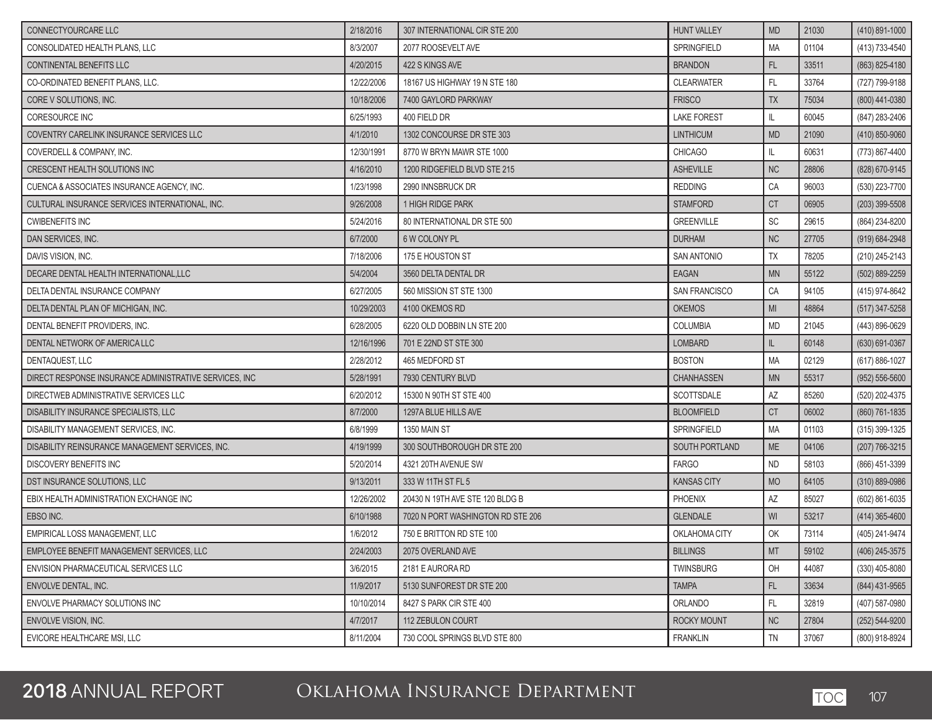| CONNECTYOURCARE LLC                                    | 2/18/2016  | 307 INTERNATIONAL CIR STE 200     | <b>HUNT VALLEY</b> | <b>MD</b> | 21030 | $(410)$ 891-1000   |
|--------------------------------------------------------|------------|-----------------------------------|--------------------|-----------|-------|--------------------|
| CONSOLIDATED HEALTH PLANS, LLC                         | 8/3/2007   | 2077 ROOSEVELT AVE                | <b>SPRINGFIELD</b> | <b>MA</b> | 01104 | (413) 733-4540     |
| <b>CONTINENTAL BENEFITS LLC</b>                        | 4/20/2015  | 422 S KINGS AVE                   | <b>BRANDON</b>     | FL        | 33511 | (863) 825-4180     |
| CO-ORDINATED BENEFIT PLANS, LLC.                       | 12/22/2006 | 18167 US HIGHWAY 19 N STE 180     | <b>CLEARWATER</b>  | FL        | 33764 | (727) 799-9188     |
| CORE V SOLUTIONS. INC.                                 | 10/18/2006 | 7400 GAYLORD PARKWAY              | <b>FRISCO</b>      | <b>TX</b> | 75034 | (800) 441-0380     |
| CORESOURCE INC                                         | 6/25/1993  | 400 FIELD DR                      | <b>LAKE FOREST</b> | IL        | 60045 | (847) 283-2406     |
| COVENTRY CARELINK INSURANCE SERVICES LLC               | 4/1/2010   | 1302 CONCOURSE DR STE 303         | <b>LINTHICUM</b>   | <b>MD</b> | 21090 | (410) 850-9060     |
| COVERDELL & COMPANY, INC.                              | 12/30/1991 | 8770 W BRYN MAWR STE 1000         | <b>CHICAGO</b>     | IL        | 60631 | (773) 867-4400     |
| CRESCENT HEALTH SOLUTIONS INC                          | 4/16/2010  | 1200 RIDGEFIELD BLVD STE 215      | <b>ASHEVILLE</b>   | <b>NC</b> | 28806 | (828) 670-9145     |
| CUENCA & ASSOCIATES INSURANCE AGENCY. INC.             | 1/23/1998  | 2990 INNSBRUCK DR                 | <b>REDDING</b>     | CA        | 96003 | (530) 223-7700     |
| CULTURAL INSURANCE SERVICES INTERNATIONAL, INC.        | 9/26/2008  | 1 HIGH RIDGE PARK                 | <b>STAMFORD</b>    | <b>CT</b> | 06905 | (203) 399-5508     |
| <b>CWIBENEFITS INC</b>                                 | 5/24/2016  | 80 INTERNATIONAL DR STE 500       | <b>GREENVILLE</b>  | <b>SC</b> | 29615 | (864) 234-8200     |
| DAN SERVICES, INC.                                     | 6/7/2000   | <b>6 W COLONY PL</b>              | <b>DURHAM</b>      | <b>NC</b> | 27705 | (919) 684-2948     |
| DAVIS VISION, INC.                                     | 7/18/2006  | 175 E HOUSTON ST                  | <b>SAN ANTONIO</b> | <b>TX</b> | 78205 | (210) 245-2143     |
| DECARE DENTAL HEALTH INTERNATIONAL, LLC                | 5/4/2004   | 3560 DELTA DENTAL DR              | <b>EAGAN</b>       | <b>MN</b> | 55122 | (502) 889-2259     |
| DELTA DENTAL INSURANCE COMPANY                         | 6/27/2005  | 560 MISSION ST STE 1300           | SAN FRANCISCO      | CA        | 94105 | (415) 974-8642     |
| DELTA DENTAL PLAN OF MICHIGAN. INC.                    | 10/29/2003 | 4100 OKEMOS RD                    | <b>OKEMOS</b>      | MI        | 48864 | $(517)$ 347-5258   |
| DENTAL BENEFIT PROVIDERS, INC.                         | 6/28/2005  | 6220 OLD DOBBIN LN STE 200        | <b>COLUMBIA</b>    | <b>MD</b> | 21045 | (443) 896-0629     |
| DENTAL NETWORK OF AMERICA LLC                          | 12/16/1996 | 701 E 22ND ST STE 300             | LOMBARD            | IL.       | 60148 | $(630) 691 - 0367$ |
| DENTAQUEST, LLC                                        | 2/28/2012  | 465 MEDFORD ST                    | <b>BOSTON</b>      | <b>MA</b> | 02129 | (617) 886-1027     |
| DIRECT RESPONSE INSURANCE ADMINISTRATIVE SERVICES, INC | 5/28/1991  | 7930 CENTURY BLVD                 | CHANHASSEN         | <b>MN</b> | 55317 | $(952) 556 - 5600$ |
| DIRECTWEB ADMINISTRATIVE SERVICES LLC                  | 6/20/2012  | 15300 N 90TH ST STE 400           | SCOTTSDALE         | AZ        | 85260 | (520) 202-4375     |
| DISABILITY INSURANCE SPECIALISTS, LLC                  | 8/7/2000   | 1297A BLUE HILLS AVE              | <b>BLOOMFIELD</b>  | <b>CT</b> | 06002 | (860) 761-1835     |
| DISABILITY MANAGEMENT SERVICES, INC.                   | 6/8/1999   | 1350 MAIN ST                      | <b>SPRINGFIELD</b> | <b>MA</b> | 01103 | $(315)$ 399-1325   |
| DISABILITY REINSURANCE MANAGEMENT SERVICES, INC.       | 4/19/1999  | 300 SOUTHBOROUGH DR STE 200       | SOUTH PORTLAND     | <b>ME</b> | 04106 | (207) 766-3215     |
| DISCOVERY BENEFITS INC                                 | 5/20/2014  | 4321 20TH AVENUE SW               | <b>FARGO</b>       | <b>ND</b> | 58103 | (866) 451-3399     |
| DST INSURANCE SOLUTIONS, LLC                           | 9/13/2011  | 333 W 11TH ST FL 5                | <b>KANSAS CITY</b> | <b>MO</b> | 64105 | $(310) 889 - 0986$ |
| EBIX HEALTH ADMINISTRATION EXCHANGE INC                | 12/26/2002 | 20430 N 19TH AVE STE 120 BLDG B   | PHOENIX            | AZ        | 85027 | (602) 861-6035     |
| EBSO INC.                                              | 6/10/1988  | 7020 N PORT WASHINGTON RD STE 206 | <b>GLENDALE</b>    | WI        | 53217 | $(414)$ 365-4600   |
| EMPIRICAL LOSS MANAGEMENT. LLC                         | 1/6/2012   | 750 E BRITTON RD STE 100          | OKLAHOMA CITY      | OK        | 73114 | (405) 241-9474     |
| EMPLOYEE BENEFIT MANAGEMENT SERVICES, LLC              | 2/24/2003  | 2075 OVERLAND AVE                 | <b>BILLINGS</b>    | MT        | 59102 | $(406)$ 245-3575   |
| ENVISION PHARMACEUTICAL SERVICES LLC                   | 3/6/2015   | 2181 E AURORA RD                  | <b>TWINSBURG</b>   | OH        | 44087 | $(330)$ 405-8080   |
| ENVOLVE DENTAL, INC.                                   | 11/9/2017  | 5130 SUNFOREST DR STE 200         | <b>TAMPA</b>       | FL        | 33634 | (844) 431-9565     |
| ENVOLVE PHARMACY SOLUTIONS INC                         | 10/10/2014 | 8427 S PARK CIR STE 400           | ORLANDO            | <b>FL</b> | 32819 | (407) 587-0980     |
| ENVOLVE VISION, INC.                                   | 4/7/2017   | 112 ZEBULON COURT                 | <b>ROCKY MOUNT</b> | <b>NC</b> | 27804 | (252) 544-9200     |
| EVICORE HEALTHCARE MSI. LLC                            | 8/11/2004  | 730 COOL SPRINGS BLVD STE 800     | <b>FRANKLIN</b>    | TN        | 37067 | (800) 918-8924     |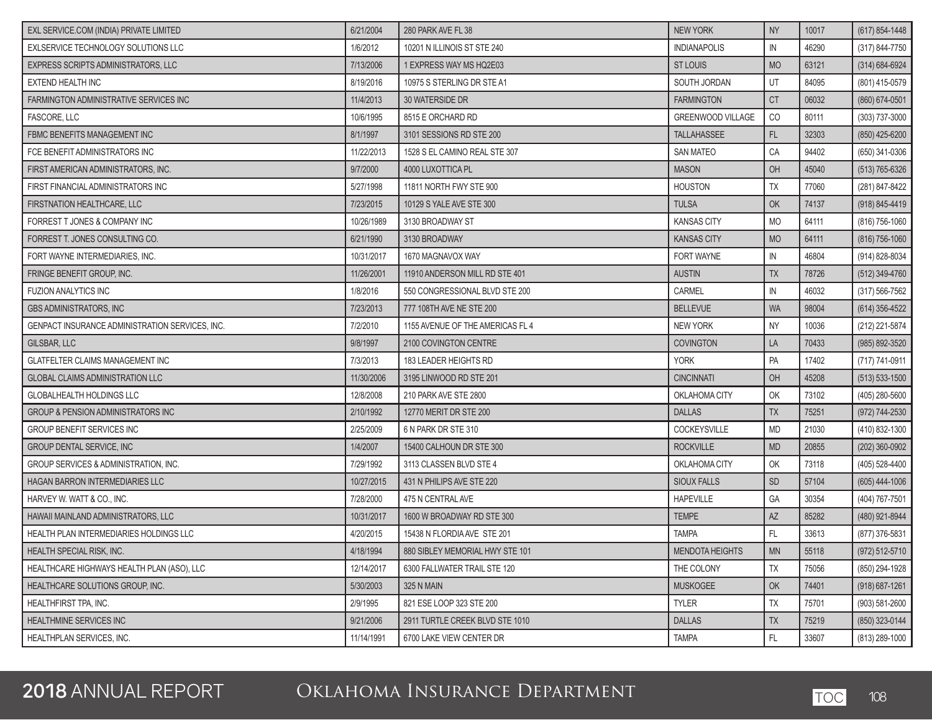| EXL SERVICE.COM (INDIA) PRIVATE LIMITED         | 6/21/2004  | 280 PARK AVE FL 38               | <b>NEW YORK</b>          | <b>NY</b>     | 10017 | (617) 854-1448     |
|-------------------------------------------------|------------|----------------------------------|--------------------------|---------------|-------|--------------------|
| EXLSERVICE TECHNOLOGY SOLUTIONS LLC             | 1/6/2012   | 10201 N ILLINOIS ST STE 240      | <b>INDIANAPOLIS</b>      | IN            | 46290 | (317) 844-7750     |
| EXPRESS SCRIPTS ADMINISTRATORS, LLC             | 7/13/2006  | 1 EXPRESS WAY MS HQ2E03          | <b>ST LOUIS</b>          | <b>MO</b>     | 63121 | (314) 684-6924     |
| <b>EXTEND HEALTH INC</b>                        | 8/19/2016  | 10975 S STERLING DR STE A1       | SOUTH JORDAN             | UT            | 84095 | (801) 415-0579     |
| FARMINGTON ADMINISTRATIVE SERVICES INC          | 11/4/2013  | 30 WATERSIDE DR                  | <b>FARMINGTON</b>        | <b>CT</b>     | 06032 | (860) 674-0501     |
| FASCORE, LLC                                    | 10/6/1995  | 8515 E ORCHARD RD                | <b>GREENWOOD VILLAGE</b> | CO            | 80111 | (303) 737-3000     |
| FBMC BENEFITS MANAGEMENT INC                    | 8/1/1997   | 3101 SESSIONS RD STE 200         | TALLAHASSEE              | FL            | 32303 | (850) 425-6200     |
| FCE BENEFIT ADMINISTRATORS INC                  | 11/22/2013 | 1528 S EL CAMINO REAL STE 307    | <b>SAN MATEO</b>         | CA            | 94402 | (650) 341-0306     |
| FIRST AMERICAN ADMINISTRATORS, INC.             | 9/7/2000   | 4000 LUXOTTICA PL                | <b>MASON</b>             | OH            | 45040 | (513) 765-6326     |
| FIRST FINANCIAL ADMINISTRATORS INC              | 5/27/1998  | 11811 NORTH FWY STE 900          | <b>HOUSTON</b>           | TΧ            | 77060 | (281) 847-8422     |
| FIRSTNATION HEALTHCARE, LLC                     | 7/23/2015  | 10129 S YALE AVE STE 300         | <b>TULSA</b>             | OK            | 74137 | (918) 845-4419     |
| FORREST T JONES & COMPANY INC                   | 10/26/1989 | 3130 BROADWAY ST                 | <b>KANSAS CITY</b>       | <b>MO</b>     | 64111 | (816) 756-1060     |
| FORREST T. JONES CONSULTING CO.                 | 6/21/1990  | 3130 BROADWAY                    | <b>KANSAS CITY</b>       | <b>MO</b>     | 64111 | $(816) 756 - 1060$ |
| FORT WAYNE INTERMEDIARIES. INC.                 | 10/31/2017 | 1670 MAGNAVOX WAY                | <b>FORT WAYNE</b>        | $\mathsf{IN}$ | 46804 | (914) 828-8034     |
| FRINGE BENEFIT GROUP, INC.                      | 11/26/2001 | 11910 ANDERSON MILL RD STE 401   | <b>AUSTIN</b>            | <b>TX</b>     | 78726 | (512) 349-4760     |
| <b>FUZION ANALYTICS INC</b>                     | 1/8/2016   | 550 CONGRESSIONAL BLVD STE 200   | CARMEL                   | ${\sf IN}$    | 46032 | (317) 566-7562     |
| <b>GBS ADMINISTRATORS, INC</b>                  | 7/23/2013  | 777 108TH AVE NE STE 200         | <b>BELLEVUE</b>          | <b>WA</b>     | 98004 | $(614)$ 356-4522   |
| GENPACT INSURANCE ADMINISTRATION SERVICES, INC. | 7/2/2010   | 1155 AVENUE OF THE AMERICAS FL 4 | <b>NEW YORK</b>          | <b>NY</b>     | 10036 | (212) 221-5874     |
| GILSBAR, LLC                                    | 9/8/1997   | 2100 COVINGTON CENTRE            | <b>COVINGTON</b>         | LA            | 70433 | (985) 892-3520     |
| <b>GLATFELTER CLAIMS MANAGEMENT INC</b>         | 7/3/2013   | 183 LEADER HEIGHTS RD            | <b>YORK</b>              | PA            | 17402 | (717) 741-0911     |
| <b>GLOBAL CLAIMS ADMINISTRATION LLC</b>         | 11/30/2006 | 3195 LINWOOD RD STE 201          | <b>CINCINNATI</b>        | OH            | 45208 | $(513) 533 - 1500$ |
| <b>GLOBALHEALTH HOLDINGS LLC</b>                | 12/8/2008  | 210 PARK AVE STE 2800            | OKLAHOMA CITY            | OK            | 73102 | (405) 280-5600     |
| GROUP & PENSION ADMINISTRATORS INC              | 2/10/1992  | 12770 MERIT DR STE 200           | <b>DALLAS</b>            | <b>TX</b>     | 75251 | (972) 744-2530     |
| <b>GROUP BENEFIT SERVICES INC</b>               | 2/25/2009  | 6 N PARK DR STE 310              | COCKEYSVILLE             | <b>MD</b>     | 21030 | (410) 832-1300     |
| <b>GROUP DENTAL SERVICE, INC</b>                | 1/4/2007   | 15400 CALHOUN DR STE 300         | <b>ROCKVILLE</b>         | <b>MD</b>     | 20855 | $(202)$ 360-0902   |
| GROUP SERVICES & ADMINISTRATION, INC.           | 7/29/1992  | 3113 CLASSEN BLVD STE 4          | OKLAHOMA CITY            | OK            | 73118 | (405) 528-4400     |
| <b>HAGAN BARRON INTERMEDIARIES LLC</b>          | 10/27/2015 | 431 N PHILIPS AVE STE 220        | <b>SIOUX FALLS</b>       | <b>SD</b>     | 57104 | $(605)$ 444-1006   |
| HARVEY W. WATT & CO., INC.                      | 7/28/2000  | 475 N CENTRAL AVE                | <b>HAPEVILLE</b>         | GA            | 30354 | (404) 767-7501     |
| HAWAII MAINLAND ADMINISTRATORS, LLC             | 10/31/2017 | 1600 W BROADWAY RD STE 300       | <b>TEMPE</b>             | <b>AZ</b>     | 85282 | (480) 921-8944     |
| HEALTH PLAN INTERMEDIARIES HOLDINGS LLC         | 4/20/2015  | 15438 N FLORDIA AVE STE 201      | <b>TAMPA</b>             | FL            | 33613 | (877) 376-5831     |
| HEALTH SPECIAL RISK, INC.                       | 4/18/1994  | 880 SIBLEY MEMORIAL HWY STE 101  | MENDOTA HEIGHTS          | <b>MN</b>     | 55118 | (972) 512-5710     |
| HEALTHCARE HIGHWAYS HEALTH PLAN (ASO), LLC      | 12/14/2017 | 6300 FALLWATER TRAIL STE 120     | THE COLONY               | TX            | 75056 | (850) 294-1928     |
| HEALTHCARE SOLUTIONS GROUP, INC.                | 5/30/2003  | 325 N MAIN                       | <b>MUSKOGEE</b>          | OK            | 74401 | $(918) 687 - 1261$ |
| HEALTHFIRST TPA, INC.                           | 2/9/1995   | 821 ESE LOOP 323 STE 200         | <b>TYLER</b>             | ТX            | 75701 | $(903) 581 - 2600$ |
| <b>HEALTHMINE SERVICES INC</b>                  | 9/21/2006  | 2911 TURTLE CREEK BLVD STE 1010  | <b>DALLAS</b>            | <b>TX</b>     | 75219 | (850) 323-0144     |
| HEALTHPLAN SERVICES. INC.                       | 11/14/1991 | 6700 LAKE VIEW CENTER DR         | <b>TAMPA</b>             | FL.           | 33607 | (813) 289-1000     |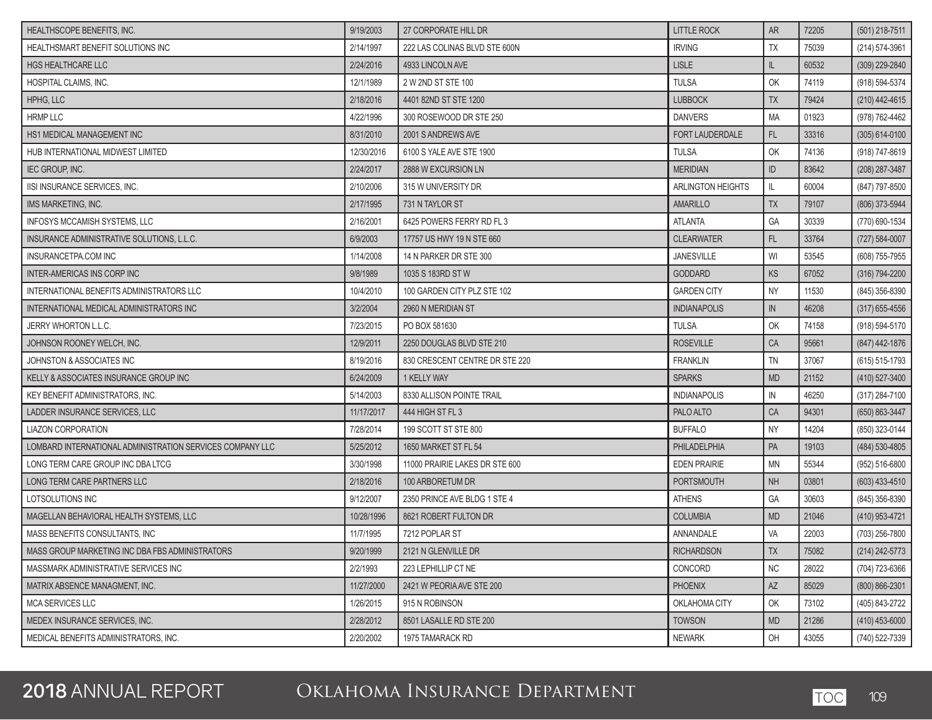| HEALTHSCOPE BENEFITS, INC.                                | 9/19/2003  | 27 CORPORATE HILL DR           | <b>LITTLE ROCK</b>  | <b>AR</b> | 72205 | (501) 218-7511     |
|-----------------------------------------------------------|------------|--------------------------------|---------------------|-----------|-------|--------------------|
| HEALTHSMART BENEFIT SOLUTIONS INC                         | 2/14/1997  | 222 LAS COLINAS BLVD STE 600N  | <b>IRVING</b>       | <b>TX</b> | 75039 | $(214) 574 - 3961$ |
| <b>HGS HEALTHCARE LLC</b>                                 | 2/24/2016  | 4933 LINCOLN AVE               | <b>LISLE</b>        | IL        | 60532 | (309) 229-2840     |
| HOSPITAL CLAIMS, INC.                                     | 12/1/1989  | 2 W 2ND ST STE 100             | <b>TULSA</b>        | OK        | 74119 | (918) 594-5374     |
| HPHG, LLC                                                 | 2/18/2016  | 4401 82ND ST STE 1200          | <b>LUBBOCK</b>      | <b>TX</b> | 79424 | (210) 442-4615     |
| <b>HRMP LLC</b>                                           | 4/22/1996  | 300 ROSEWOOD DR STE 250        | <b>DANVERS</b>      | MA        | 01923 | (978) 762-4462     |
| HS1 MEDICAL MANAGEMENT INC                                | 8/31/2010  | 2001 S ANDREWS AVE             | FORT LAUDERDALE     | FL        | 33316 | $(305)$ 614-0100   |
| HUB INTERNATIONAL MIDWEST LIMITED                         | 12/30/2016 | 6100 S YALE AVE STE 1900       | <b>TULSA</b>        | OK        | 74136 | (918) 747-8619     |
| <b>IEC GROUP, INC.</b>                                    | 2/24/2017  | 2888 W EXCURSION LN            | <b>MERIDIAN</b>     | ID        | 83642 | (208) 287-3487     |
| IISI INSURANCE SERVICES, INC.                             | 2/10/2006  | 315 W UNIVERSITY DR            | ARLINGTON HEIGHTS   | IL.       | 60004 | (847) 797-8500     |
| IMS MARKETING, INC.                                       | 2/17/1995  | 731 N TAYLOR ST                | AMARILLO            | <b>TX</b> | 79107 | (806) 373-5944     |
| <b>INFOSYS MCCAMISH SYSTEMS, LLC</b>                      | 2/16/2001  | 6425 POWERS FERRY RD FL 3      | <b>ATLANTA</b>      | GA        | 30339 | (770) 690-1534     |
| INSURANCE ADMINISTRATIVE SOLUTIONS, L.L.C.                | 6/9/2003   | 17757 US HWY 19 N STE 660      | <b>CLEARWATER</b>   | <b>FL</b> | 33764 | $(727) 584 - 0007$ |
| INSURANCETPA.COM INC                                      | 1/14/2008  | 14 N PARKER DR STE 300         | <b>JANESVILLE</b>   | WI        | 53545 | (608) 755-7955     |
| <b>INTER-AMERICAS INS CORP INC</b>                        | 9/8/1989   | 1035 S 183RD ST W              | <b>GODDARD</b>      | <b>KS</b> | 67052 | $(316) 794 - 2200$ |
| INTERNATIONAL BENEFITS ADMINISTRATORS LLC                 | 10/4/2010  | 100 GARDEN CITY PLZ STE 102    | <b>GARDEN CITY</b>  | <b>NY</b> | 11530 | (845) 356-8390     |
| INTERNATIONAL MEDICAL ADMINISTRATORS INC                  | 3/2/2004   | 2960 N MERIDIAN ST             | <b>INDIANAPOLIS</b> | IN        | 46208 | $(317)$ 655-4556   |
| <b>JERRY WHORTON L.L.C.</b>                               | 7/23/2015  | PO BOX 581630                  | <b>TULSA</b>        | OK        | 74158 | (918) 594-5170     |
| JOHNSON ROONEY WELCH, INC.                                | 12/9/2011  | 2250 DOUGLAS BLVD STE 210      | <b>ROSEVILLE</b>    | CA        | 95661 | (847) 442-1876     |
| <b>JOHNSTON &amp; ASSOCIATES INC</b>                      | 8/19/2016  | 830 CRESCENT CENTRE DR STE 220 | <b>FRANKLIN</b>     | <b>TN</b> | 37067 | (615) 515-1793     |
| KELLY & ASSOCIATES INSURANCE GROUP INC                    | 6/24/2009  | 1 KELLY WAY                    | <b>SPARKS</b>       | <b>MD</b> | 21152 | (410) 527-3400     |
| KEY BENEFIT ADMINISTRATORS, INC.                          | 5/14/2003  | 8330 ALLISON POINTE TRAIL      | <b>INDIANAPOLIS</b> | IN        | 46250 | (317) 284-7100     |
| LADDER INSURANCE SERVICES, LLC                            | 11/17/2017 | 444 HIGH ST FL 3               | PALO ALTO           | CA        | 94301 | (650) 863-3447     |
| <b>LIAZON CORPORATION</b>                                 | 7/28/2014  | 199 SCOTT ST STE 800           | <b>BUFFALO</b>      | <b>NY</b> | 14204 | (850) 323-0144     |
| LOMBARD INTERNATIONAL ADMINISTRATION SERVICES COMPANY LLC | 5/25/2012  | 1650 MARKET ST FL 54           | PHILADELPHIA        | PA        | 19103 | (484) 530-4805     |
| LONG TERM CARE GROUP INC DBA LTCG                         | 3/30/1998  | 11000 PRAIRIE LAKES DR STE 600 | <b>EDEN PRAIRIE</b> | MN        | 55344 | (952) 516-6800     |
| LONG TERM CARE PARTNERS LLC                               | 2/18/2016  | 100 ARBORETUM DR               | <b>PORTSMOUTH</b>   | <b>NH</b> | 03801 | $(603)$ 433-4510   |
| LOTSOLUTIONS INC                                          | 9/12/2007  | 2350 PRINCE AVE BLDG 1 STE 4   | <b>ATHENS</b>       | GA        | 30603 | (845) 356-8390     |
| MAGELLAN BEHAVIORAL HEALTH SYSTEMS, LLC                   | 10/28/1996 | 8621 ROBERT FULTON DR          | <b>COLUMBIA</b>     | <b>MD</b> | 21046 | (410) 953-4721     |
| MASS BENEFITS CONSULTANTS, INC.                           | 11/7/1995  | 7212 POPLAR ST                 | ANNANDALE           | VA        | 22003 | (703) 256-7800     |
| MASS GROUP MARKETING INC DBA FBS ADMINISTRATORS           | 9/20/1999  | 2121 N GLENVILLE DR            | <b>RICHARDSON</b>   | <b>TX</b> | 75082 | $(214) 242 - 5773$ |
| MASSMARK ADMINISTRATIVE SERVICES INC                      | 2/2/1993   | 223 LEPHILLIP CT NE            | CONCORD             | NC        | 28022 | (704) 723-6366     |
| MATRIX ABSENCE MANAGMENT. INC.                            | 11/27/2000 | 2421 W PEORIA AVE STE 200      | <b>PHOENIX</b>      | <b>AZ</b> | 85029 | (800) 866-2301     |
| MCA SERVICES LLC                                          | 1/26/2015  | 915 N ROBINSON                 | OKLAHOMA CITY       | OK        | 73102 | (405) 843-2722     |
| MEDEX INSURANCE SERVICES, INC.                            | 2/28/2012  | 8501 LASALLE RD STE 200        | <b>TOWSON</b>       | <b>MD</b> | 21286 | $(410)$ 453-6000   |
| MEDICAL BENEFITS ADMINISTRATORS, INC.                     | 2/20/2002  | 1975 TAMARACK RD               | <b>NEWARK</b>       | OH        | 43055 | (740) 522-7339     |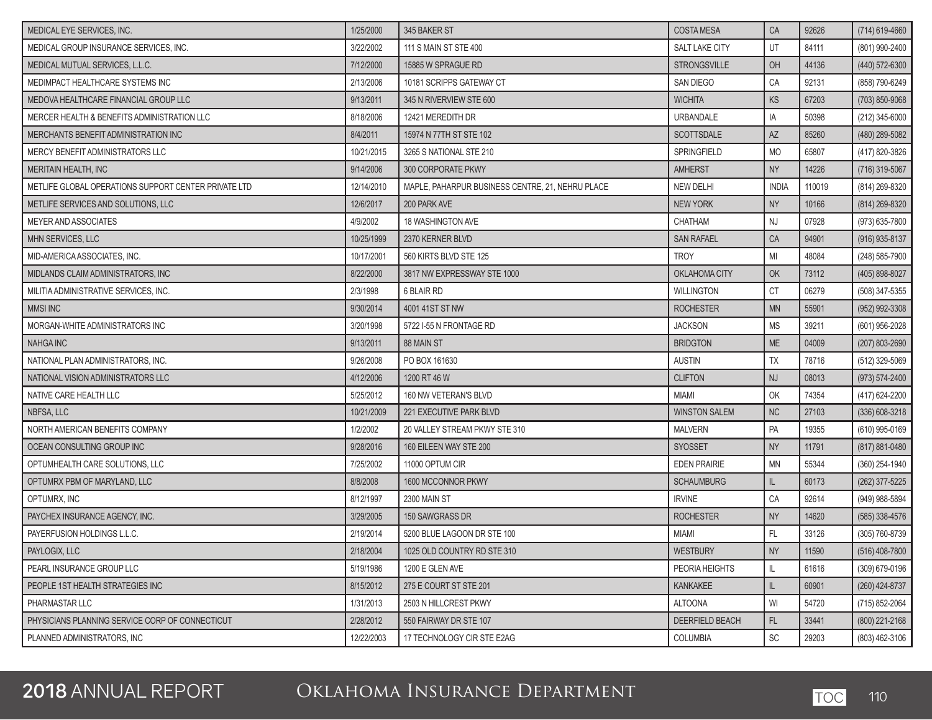| MEDICAL EYE SERVICES, INC.                           | 1/25/2000  | 345 BAKER ST                                     | <b>COSTA MESA</b>     | <b>CA</b>                    | 92626  | $(714)$ 619-4660   |
|------------------------------------------------------|------------|--------------------------------------------------|-----------------------|------------------------------|--------|--------------------|
| MEDICAL GROUP INSURANCE SERVICES, INC.               | 3/22/2002  | 111 S MAIN ST STE 400                            | <b>SALT LAKE CITY</b> | UT                           | 84111  | (801) 990-2400     |
| MEDICAL MUTUAL SERVICES, L.L.C.                      | 7/12/2000  | 15885 W SPRAGUE RD                               | <b>STRONGSVILLE</b>   | OH                           | 44136  | (440) 572-6300     |
| MEDIMPACT HEALTHCARE SYSTEMS INC                     | 2/13/2006  | 10181 SCRIPPS GATEWAY CT                         | SAN DIEGO             | CA                           | 92131  | (858) 790-6249     |
| MEDOVA HEALTHCARE FINANCIAL GROUP LLC                | 9/13/2011  | 345 N RIVERVIEW STE 600                          | <b>WICHITA</b>        | KS                           | 67203  | (703) 850-9068     |
| MERCER HEALTH & BENEFITS ADMINISTRATION LLC          | 8/18/2006  | 12421 MEREDITH DR                                | URBANDALE             | IA                           | 50398  | (212) 345-6000     |
| MERCHANTS BENEFIT ADMINISTRATION INC                 | 8/4/2011   | 15974 N 77TH ST STE 102                          | <b>SCOTTSDALE</b>     | <b>AZ</b>                    | 85260  | (480) 289-5082     |
| MERCY BENEFIT ADMINISTRATORS LLC                     | 10/21/2015 | 3265 S NATIONAL STE 210                          | <b>SPRINGFIELD</b>    | <b>MO</b>                    | 65807  | (417) 820-3826     |
| <b>MERITAIN HEALTH. INC</b>                          | 9/14/2006  | 300 CORPORATE PKWY                               | <b>AMHERST</b>        | <b>NY</b>                    | 14226  | (716) 319-5067     |
| METLIFE GLOBAL OPERATIONS SUPPORT CENTER PRIVATE LTD | 12/14/2010 | MAPLE, PAHARPUR BUSINESS CENTRE, 21, NEHRU PLACE | NEW DELHI             | <b>INDIA</b>                 | 110019 | (814) 269-8320     |
| METLIFE SERVICES AND SOLUTIONS, LLC                  | 12/6/2017  | 200 PARK AVE                                     | <b>NEW YORK</b>       | <b>NY</b>                    | 10166  | (814) 269-8320     |
| <b>MEYER AND ASSOCIATES</b>                          | 4/9/2002   | 18 WASHINGTON AVE                                | CHATHAM               | NJ                           | 07928  | (973) 635-7800     |
| MHN SERVICES, LLC                                    | 10/25/1999 | 2370 KERNER BLVD                                 | <b>SAN RAFAEL</b>     | CA                           | 94901  | $(916)$ 935-8137   |
| MID-AMERICA ASSOCIATES, INC.                         | 10/17/2001 | 560 KIRTS BLVD STE 125                           | <b>TROY</b>           | MI                           | 48084  | (248) 585-7900     |
| MIDLANDS CLAIM ADMINISTRATORS, INC                   | 8/22/2000  | 3817 NW EXPRESSWAY STE 1000                      | OKLAHOMA CITY         | OK                           | 73112  | (405) 898-8027     |
| MILITIA ADMINISTRATIVE SERVICES, INC.                | 2/3/1998   | 6 BLAIR RD                                       | <b>WILLINGTON</b>     | CT                           | 06279  | (508) 347-5355     |
| <b>MMSI INC</b>                                      | 9/30/2014  | 4001 41ST ST NW                                  | <b>ROCHESTER</b>      | <b>MN</b>                    | 55901  | (952) 992-3308     |
| MORGAN-WHITE ADMINISTRATORS INC                      | 3/20/1998  | 5722 I-55 N FRONTAGE RD                          | <b>JACKSON</b>        | <b>MS</b>                    | 39211  | (601) 956-2028     |
| <b>NAHGA INC</b>                                     | 9/13/2011  | 88 MAIN ST                                       | <b>BRIDGTON</b>       | <b>ME</b>                    | 04009  | (207) 803-2690     |
| NATIONAL PLAN ADMINISTRATORS. INC.                   | 9/26/2008  | PO BOX 161630                                    | <b>AUSTIN</b>         | <b>TX</b>                    | 78716  | (512) 329-5069     |
| NATIONAL VISION ADMINISTRATORS LLC                   | 4/12/2006  | 1200 RT 46 W                                     | <b>CLIFTON</b>        | <b>NJ</b>                    | 08013  | (973) 574-2400     |
| NATIVE CARE HEALTH LLC                               | 5/25/2012  | 160 NW VETERAN'S BLVD                            | <b>MIAMI</b>          | OK                           | 74354  | (417) 624-2200     |
| NBFSA, LLC                                           | 10/21/2009 | 221 EXECUTIVE PARK BLVD                          | <b>WINSTON SALEM</b>  | <b>NC</b>                    | 27103  | $(336) 608 - 3218$ |
| NORTH AMERICAN BENEFITS COMPANY                      | 1/2/2002   | 20 VALLEY STREAM PKWY STE 310                    | <b>MALVERN</b>        | PA                           | 19355  | (610) 995-0169     |
| OCEAN CONSULTING GROUP INC                           | 9/28/2016  | 160 EILEEN WAY STE 200                           | SYOSSET               | <b>NY</b>                    | 11791  | (817) 881-0480     |
| OPTUMHEALTH CARE SOLUTIONS, LLC                      | 7/25/2002  | 11000 OPTUM CIR                                  | <b>EDEN PRAIRIE</b>   | <b>MN</b>                    | 55344  | (360) 254-1940     |
| OPTUMRX PBM OF MARYLAND, LLC                         | 8/8/2008   | 1600 MCCONNOR PKWY                               | <b>SCHAUMBURG</b>     | IL.                          | 60173  | (262) 377-5225     |
| OPTUMRX, INC                                         | 8/12/1997  | 2300 MAIN ST                                     | <b>IRVINE</b>         | CA                           | 92614  | (949) 988-5894     |
| PAYCHEX INSURANCE AGENCY, INC.                       | 3/29/2005  | 150 SAWGRASS DR                                  | <b>ROCHESTER</b>      | <b>NY</b>                    | 14620  | (585) 338-4576     |
| PAYERFUSION HOLDINGS L.L.C.                          | 2/19/2014  | 5200 BLUE LAGOON DR STE 100                      | <b>MIAMI</b>          | FL                           | 33126  | (305) 760-8739     |
| PAYLOGIX, LLC                                        | 2/18/2004  | 1025 OLD COUNTRY RD STE 310                      | <b>WESTBURY</b>       | <b>NY</b>                    | 11590  | $(516)$ 408-7800   |
| PEARL INSURANCE GROUP LLC                            | 5/19/1986  | 1200 E GLEN AVE                                  | PEORIA HEIGHTS        | IL.                          | 61616  | (309) 679-0196     |
| PEOPLE 1ST HEALTH STRATEGIES INC                     | 8/15/2012  | 275 E COURT ST STE 201                           | <b>KANKAKEE</b>       | IL.                          | 60901  | (260) 424-8737     |
| PHARMASTAR LLC                                       | 1/31/2013  | 2503 N HILLCREST PKWY                            | <b>ALTOONA</b>        | WI                           | 54720  | (715) 852-2064     |
| PHYSICIANS PLANNING SERVICE CORP OF CONNECTICUT      | 2/28/2012  | 550 FAIRWAY DR STE 107                           | DEERFIELD BEACH       | FL                           | 33441  | (800) 221-2168     |
| PLANNED ADMINISTRATORS, INC                          | 12/22/2003 | 17 TECHNOLOGY CIR STE E2AG                       | <b>COLUMBIA</b>       | $\operatorname{\textsf{SC}}$ | 29203  | (803) 462-3106     |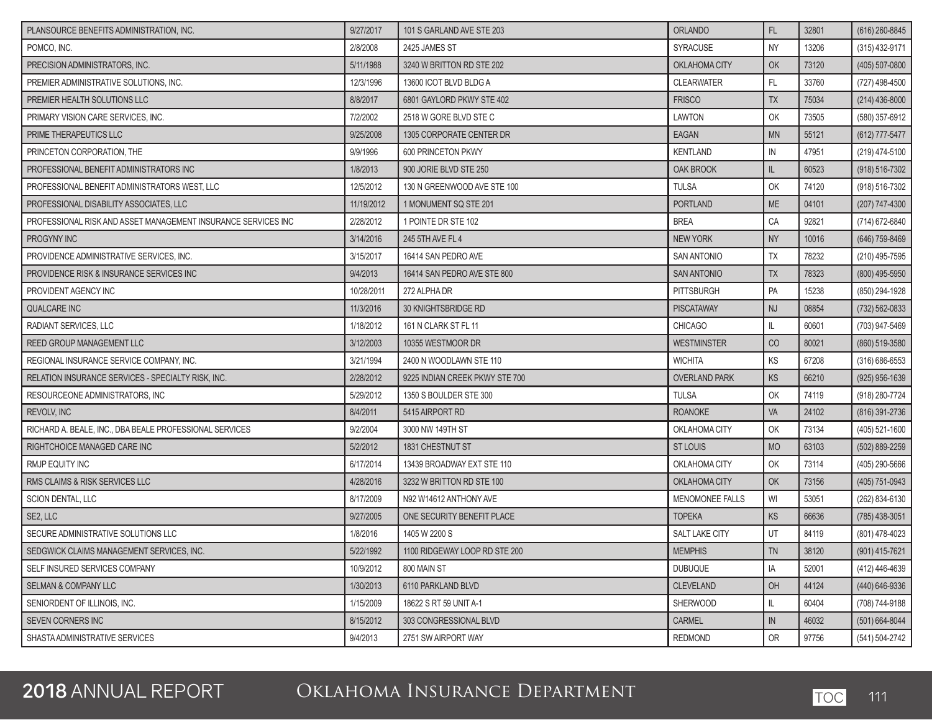| PLANSOURCE BENEFITS ADMINISTRATION. INC.                      | 9/27/2017  | 101 S GARLAND AVE STE 203      | <b>ORLANDO</b>         | FL.       | 32801 | (616) 260-8845     |
|---------------------------------------------------------------|------------|--------------------------------|------------------------|-----------|-------|--------------------|
| POMCO, INC.                                                   | 2/8/2008   | 2425 JAMES ST                  | SYRACUSE               | <b>NY</b> | 13206 | (315) 432-9171     |
| PRECISION ADMINISTRATORS, INC.                                | 5/11/1988  | 3240 W BRITTON RD STE 202      | OKLAHOMA CITY          | OK        | 73120 | (405) 507-0800     |
| PREMIER ADMINISTRATIVE SOLUTIONS. INC.                        | 12/3/1996  | 13600 ICOT BLVD BLDG A         | <b>CLEARWATER</b>      | FL.       | 33760 | (727) 498-4500     |
| PREMIER HEALTH SOLUTIONS LLC                                  | 8/8/2017   | 6801 GAYLORD PKWY STE 402      | <b>FRISCO</b>          | <b>TX</b> | 75034 | $(214)$ 436-8000   |
| PRIMARY VISION CARE SERVICES, INC.                            | 7/2/2002   | 2518 W GORE BLVD STE C         | <b>LAWTON</b>          | OK        | 73505 | (580) 357-6912     |
| PRIME THERAPEUTICS LLC                                        | 9/25/2008  | 1305 CORPORATE CENTER DR       | <b>EAGAN</b>           | <b>MN</b> | 55121 | (612) 777-5477     |
| PRINCETON CORPORATION, THE                                    | 9/9/1996   | 600 PRINCETON PKWY             | <b>KENTLAND</b>        | IN        | 47951 | (219) 474-5100     |
| PROFESSIONAL BENEFIT ADMINISTRATORS INC                       | 1/8/2013   | 900 JORIE BLVD STE 250         | OAK BROOK              | IL        | 60523 | $(918) 516 - 7302$ |
| PROFESSIONAL BENEFIT ADMINISTRATORS WEST, LLC                 | 12/5/2012  | 130 N GREENWOOD AVE STE 100    | <b>TULSA</b>           | OK        | 74120 | (918) 516-7302     |
| PROFESSIONAL DISABILITY ASSOCIATES, LLC                       | 11/19/2012 | 1 MONUMENT SQ STE 201          | <b>PORTLAND</b>        | <b>ME</b> | 04101 | (207) 747-4300     |
| PROFESSIONAL RISK AND ASSET MANAGEMENT INSURANCE SERVICES INC | 2/28/2012  | 1 POINTE DR STE 102            | <b>BREA</b>            | CA        | 92821 | (714) 672-6840     |
| PROGYNY INC                                                   | 3/14/2016  | 245 5TH AVE FL 4               | <b>NEW YORK</b>        | <b>NY</b> | 10016 | (646) 759-8469     |
| PROVIDENCE ADMINISTRATIVE SERVICES, INC.                      | 3/15/2017  | 16414 SAN PEDRO AVE            | <b>SAN ANTONIO</b>     | <b>TX</b> | 78232 | (210) 495-7595     |
| PROVIDENCE RISK & INSURANCE SERVICES INC                      | 9/4/2013   | 16414 SAN PEDRO AVE STE 800    | <b>SAN ANTONIO</b>     | <b>TX</b> | 78323 | (800) 495-5950     |
| PROVIDENT AGENCY INC                                          | 10/28/2011 | 272 ALPHA DR                   | <b>PITTSBURGH</b>      | PA        | 15238 | (850) 294-1928     |
| <b>QUALCARE INC</b>                                           | 11/3/2016  | <b>30 KNIGHTSBRIDGE RD</b>     | <b>PISCATAWAY</b>      | <b>NJ</b> | 08854 | $(732) 562 - 0833$ |
| RADIANT SERVICES, LLC                                         | 1/18/2012  | 161 N CLARK ST FL 11           | <b>CHICAGO</b>         | IL.       | 60601 | (703) 947-5469     |
| <b>REED GROUP MANAGEMENT LLC</b>                              | 3/12/2003  | 10355 WESTMOOR DR              | <b>WESTMINSTER</b>     | CO        | 80021 | (860) 519-3580     |
| REGIONAL INSURANCE SERVICE COMPANY, INC.                      | 3/21/1994  | 2400 N WOODLAWN STE 110        | <b>WICHITA</b>         | KS        | 67208 | $(316) 686 - 6553$ |
| RELATION INSURANCE SERVICES - SPECIALTY RISK, INC.            | 2/28/2012  | 9225 INDIAN CREEK PKWY STE 700 | <b>OVERLAND PARK</b>   | KS        | 66210 | $(925)$ 956-1639   |
| RESOURCEONE ADMINISTRATORS, INC.                              | 5/29/2012  | 1350 S BOULDER STE 300         | <b>TULSA</b>           | OK        | 74119 | (918) 280-7724     |
| REVOLV, INC                                                   | 8/4/2011   | 5415 AIRPORT RD                | <b>ROANOKE</b>         | VA        | 24102 | (816) 391-2736     |
| RICHARD A. BEALE, INC., DBA BEALE PROFESSIONAL SERVICES       | 9/2/2004   | 3000 NW 149TH ST               | OKLAHOMA CITY          | OK        | 73134 | (405) 521-1600     |
| RIGHTCHOICE MANAGED CARE INC                                  | 5/2/2012   | 1831 CHESTNUT ST               | <b>ST LOUIS</b>        | <b>MO</b> | 63103 | (502) 889-2259     |
| <b>RMJP EQUITY INC</b>                                        | 6/17/2014  | 13439 BROADWAY EXT STE 110     | OKLAHOMA CITY          | OK        | 73114 | (405) 290-5666     |
| RMS CLAIMS & RISK SERVICES LLC                                | 4/28/2016  | 3232 W BRITTON RD STE 100      | OKLAHOMA CITY          | OK        | 73156 | (405) 751-0943     |
| SCION DENTAL, LLC                                             | 8/17/2009  | N92 W14612 ANTHONY AVE         | <b>MENOMONEE FALLS</b> | WI        | 53051 | (262) 834-6130     |
| SE2, LLC                                                      | 9/27/2005  | ONE SECURITY BENEFIT PLACE     | <b>TOPEKA</b>          | KS        | 66636 | (785) 438-3051     |
| SECURE ADMINISTRATIVE SOLUTIONS LLC                           | 1/8/2016   | 1405 W 2200 S                  | <b>SALT LAKE CITY</b>  | UT        | 84119 | (801) 478-4023     |
| SEDGWICK CLAIMS MANAGEMENT SERVICES, INC.                     | 5/22/1992  | 1100 RIDGEWAY LOOP RD STE 200  | <b>MEMPHIS</b>         | TN        | 38120 | $(901)$ 415-7621   |
| SELF INSURED SERVICES COMPANY                                 | 10/9/2012  | 800 MAIN ST                    | <b>DUBUQUE</b>         | IA        | 52001 | (412) 446-4639     |
| <b>SELMAN &amp; COMPANY LLC</b>                               | 1/30/2013  | 6110 PARKLAND BLVD             | <b>CLEVELAND</b>       | OH        | 44124 | (440) 646-9336     |
| SENIORDENT OF ILLINOIS, INC.                                  | 1/15/2009  | 18622 S RT 59 UNIT A-1         | <b>SHERWOOD</b>        | IL        | 60404 | (708) 744-9188     |
| <b>SEVEN CORNERS INC</b>                                      | 8/15/2012  | 303 CONGRESSIONAL BLVD         | <b>CARMEL</b>          | IN        | 46032 | $(501) 664 - 8044$ |
| SHASTA ADMINISTRATIVE SERVICES                                | 9/4/2013   | 2751 SW AIRPORT WAY            | <b>REDMOND</b>         | OR        | 97756 | (541) 504-2742     |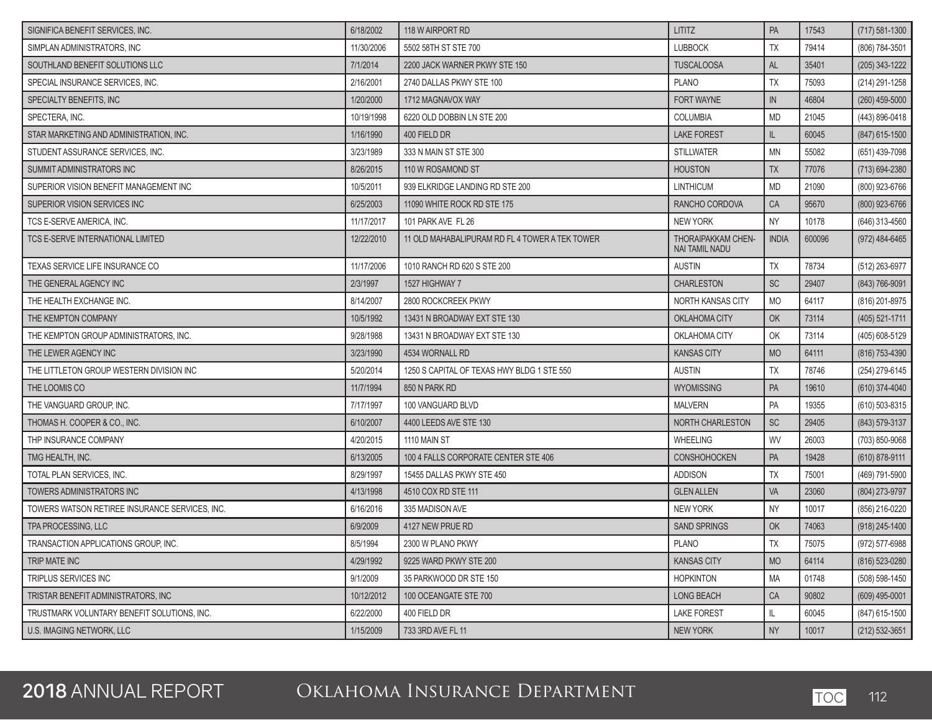| SIGNIFICA BENEFIT SERVICES, INC.               | 6/18/2002  | 118 W AIRPORT RD                               | <b>LITITZ</b>                               | PA           | 17543  | $(717) 581 - 1300$ |
|------------------------------------------------|------------|------------------------------------------------|---------------------------------------------|--------------|--------|--------------------|
| SIMPLAN ADMINISTRATORS, INC                    | 11/30/2006 | 5502 58TH ST STE 700                           | <b>LUBBOCK</b>                              | TX           | 79414  | (806) 784-3501     |
| SOUTHLAND BENEFIT SOLUTIONS LLC                | 7/1/2014   | 2200 JACK WARNER PKWY STE 150                  | <b>TUSCALOOSA</b>                           | <b>AL</b>    | 35401  | (205) 343-1222     |
| SPECIAL INSURANCE SERVICES, INC.               | 2/16/2001  | 2740 DALLAS PKWY STE 100                       | <b>PLANO</b>                                | <b>TX</b>    | 75093  | (214) 291-1258     |
| SPECIALTY BENEFITS, INC.                       | 1/20/2000  | 1712 MAGNAVOX WAY                              | FORT WAYNE                                  | ${\sf IN}$   | 46804  | (260) 459-5000     |
| SPECTERA, INC.                                 | 10/19/1998 | 6220 OLD DOBBIN LN STE 200                     | COLUMBIA                                    | <b>MD</b>    | 21045  | (443) 896-0418     |
| STAR MARKETING AND ADMINISTRATION, INC.        | 1/16/1990  | 400 FIELD DR                                   | <b>LAKE FOREST</b>                          | IL           | 60045  | (847) 615-1500     |
| STUDENT ASSURANCE SERVICES, INC.               | 3/23/1989  | 333 N MAIN ST STE 300                          | <b>STILLWATER</b>                           | <b>MN</b>    | 55082  | (651) 439-7098     |
| SUMMIT ADMINISTRATORS INC                      | 8/26/2015  | 110 W ROSAMOND ST                              | <b>HOUSTON</b>                              | <b>TX</b>    | 77076  | (713) 694-2380     |
| SUPERIOR VISION BENEFIT MANAGEMENT INC         | 10/5/2011  | 939 ELKRIDGE LANDING RD STE 200                | <b>LINTHICUM</b>                            | <b>MD</b>    | 21090  | (800) 923-6766     |
| SUPERIOR VISION SERVICES INC                   | 6/25/2003  | 11090 WHITE ROCK RD STE 175                    | RANCHO CORDOVA                              | CA           | 95670  | (800) 923-6766     |
| TCS E-SERVE AMERICA, INC.                      | 11/17/2017 | 101 PARK AVE FL 26                             | <b>NEW YORK</b>                             | <b>NY</b>    | 10178  | (646) 313-4560     |
| TCS E-SERVE INTERNATIONAL LIMITED              | 12/22/2010 | 11 OLD MAHABALIPURAM RD FL 4 TOWER A TEK TOWER | THORAIPAKKAM CHEN-<br><b>NAI TAMIL NADU</b> | <b>INDIA</b> | 600096 | (972) 484-6465     |
| TEXAS SERVICE LIFE INSURANCE CO                | 11/17/2006 | 1010 RANCH RD 620 S STE 200                    | <b>AUSTIN</b>                               | TX           | 78734  | (512) 263-6977     |
| THE GENERAL AGENCY INC                         | 2/3/1997   | 1527 HIGHWAY 7                                 | <b>CHARLESTON</b>                           | <b>SC</b>    | 29407  | (843) 766-9091     |
| THE HEALTH EXCHANGE INC.                       | 8/14/2007  | 2800 ROCKCREEK PKWY                            | NORTH KANSAS CITY                           | <b>MO</b>    | 64117  | (816) 201-8975     |
| THE KEMPTON COMPANY                            | 10/5/1992  | 13431 N BROADWAY EXT STE 130                   | OKLAHOMA CITY                               | OK           | 73114  | (405) 521-1711     |
| THE KEMPTON GROUP ADMINISTRATORS, INC.         | 9/28/1988  | 13431 N BROADWAY EXT STE 130                   | OKLAHOMA CITY                               | OK           | 73114  | (405) 608-5129     |
| THE LEWER AGENCY INC                           | 3/23/1990  | 4534 WORNALL RD                                | <b>KANSAS CITY</b>                          | <b>MO</b>    | 64111  | (816) 753-4390     |
| THE LITTLETON GROUP WESTERN DIVISION INC       | 5/20/2014  | 1250 S CAPITAL OF TEXAS HWY BLDG 1 STE 550     | <b>AUSTIN</b>                               | TX           | 78746  | (254) 279-6145     |
| THE LOOMIS CO                                  | 11/7/1994  | 850 N PARK RD                                  | <b>WYOMISSING</b>                           | PA           | 19610  | (610) 374-4040     |
| THE VANGUARD GROUP, INC.                       | 7/17/1997  | 100 VANGUARD BLVD                              | <b>MALVERN</b>                              | PA           | 19355  | (610) 503-8315     |
| THOMAS H. COOPER & CO., INC.                   | 6/10/2007  | 4400 LEEDS AVE STE 130                         | NORTH CHARLESTON                            | <b>SC</b>    | 29405  | (843) 579-3137     |
| THP INSURANCE COMPANY                          | 4/20/2015  | 1110 MAIN ST                                   | <b>WHEELING</b>                             | WV           | 26003  | (703) 850-9068     |
| TMG HEALTH, INC.                               | 6/13/2005  | 100 4 FALLS CORPORATE CENTER STE 406           | CONSHOHOCKEN                                | PA           | 19428  | $(610)$ 878-9111   |
| TOTAL PLAN SERVICES, INC.                      | 8/29/1997  | 15455 DALLAS PKWY STE 450                      | <b>ADDISON</b>                              | TX           | 75001  | (469) 791-5900     |
| TOWERS ADMINISTRATORS INC                      | 4/13/1998  | 4510 COX RD STE 111                            | <b>GLEN ALLEN</b>                           | VA           | 23060  | (804) 273-9797     |
| TOWERS WATSON RETIREE INSURANCE SERVICES, INC. | 6/16/2016  | 335 MADISON AVE                                | NEW YORK                                    | <b>NY</b>    | 10017  | (856) 216-0220     |
| TPA PROCESSING, LLC                            | 6/9/2009   | 4127 NEW PRUE RD                               | <b>SAND SPRINGS</b>                         | OK           | 74063  | (918) 245-1400     |
| TRANSACTION APPLICATIONS GROUP, INC.           | 8/5/1994   | 2300 W PLANO PKWY                              | <b>PLANO</b>                                | <b>TX</b>    | 75075  | (972) 577-6988     |
| TRIP MATE INC                                  | 4/29/1992  | 9225 WARD PKWY STE 200                         | <b>KANSAS CITY</b>                          | <b>MO</b>    | 64114  | (816) 523-0280     |
| TRIPLUS SERVICES INC                           | 9/1/2009   | 35 PARKWOOD DR STE 150                         | <b>HOPKINTON</b>                            | MA           | 01748  | (508) 598-1450     |
| TRISTAR BENEFIT ADMINISTRATORS, INC            | 10/12/2012 | 100 OCEANGATE STE 700                          | LONG BEACH                                  | CA           | 90802  | $(609)$ 495-0001   |
| TRUSTMARK VOLUNTARY BENEFIT SOLUTIONS, INC.    | 6/22/2000  | 400 FIELD DR                                   | <b>LAKE FOREST</b>                          | L            | 60045  | (847) 615-1500     |
| U.S. IMAGING NETWORK, LLC                      | 1/15/2009  | 733 3RD AVE FL 11                              | NEW YORK                                    | <b>NY</b>    | 10017  | $(212)$ 532-3651   |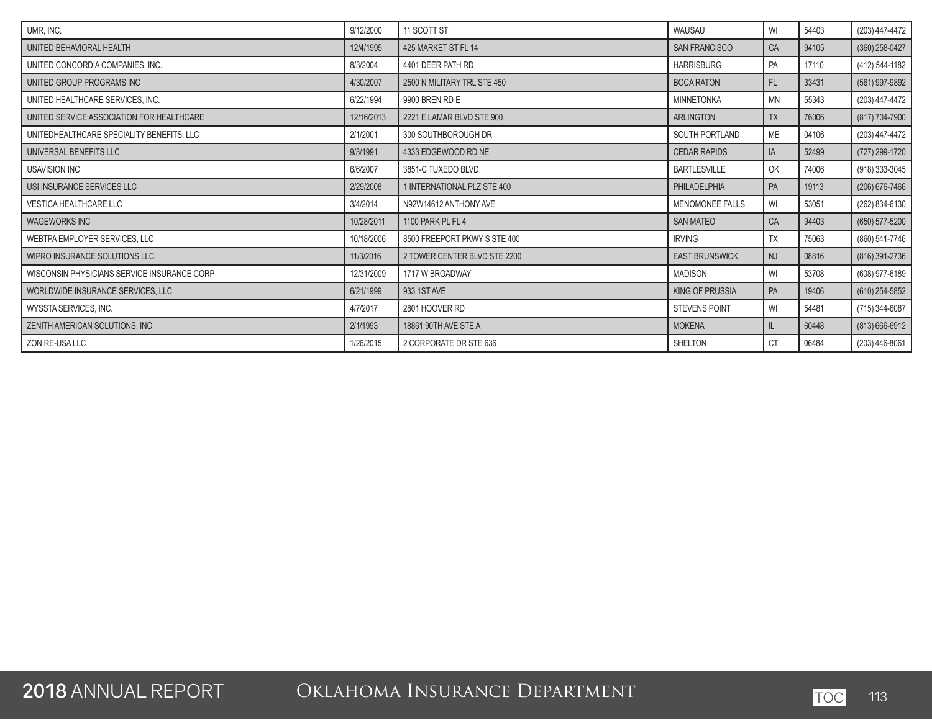| UMR, INC.                                   | 9/12/2000  | 11 SCOTT ST                  | WAUSAU                 | WI        | 54403 | (203) 447-4472     |
|---------------------------------------------|------------|------------------------------|------------------------|-----------|-------|--------------------|
| UNITED BEHAVIORAL HEALTH                    | 12/4/1995  | 425 MARKET ST FL 14          | <b>SAN FRANCISCO</b>   | CA        | 94105 | $(360)$ 258-0427   |
| UNITED CONCORDIA COMPANIES, INC.            | 8/3/2004   | 4401 DEER PATH RD            | <b>HARRISBURG</b>      | PA        | 17110 | (412) 544-1182     |
| UNITED GROUP PROGRAMS INC                   | 4/30/2007  | 2500 N MILITARY TRL STE 450  | <b>BOCA RATON</b>      | FL.       | 33431 | (561) 997-9892     |
| UNITED HEALTHCARE SERVICES, INC.            | 6/22/1994  | 9900 BREN RD E               | <b>MINNETONKA</b>      | <b>MN</b> | 55343 | (203) 447-4472     |
| UNITED SERVICE ASSOCIATION FOR HEALTHCARE   | 12/16/2013 | 2221 E LAMAR BLVD STE 900    | <b>ARLINGTON</b>       | <b>TX</b> | 76006 | (817) 704-7900     |
| UNITEDHEALTHCARE SPECIALITY BENEFITS, LLC   | 2/1/2001   | 300 SOUTHBOROUGH DR          | SOUTH PORTLAND         | <b>ME</b> | 04106 | (203) 447-4472     |
| UNIVERSAL BENEFITS LLC                      | 9/3/1991   | 4333 EDGEWOOD RD NE          | <b>CEDAR RAPIDS</b>    | IA        | 52499 | (727) 299-1720     |
| <b>USAVISION INC</b>                        | 6/6/2007   | 3851-C TUXEDO BLVD           | <b>BARTLESVILLE</b>    | OK        | 74006 | (918) 333-3045     |
| USI INSURANCE SERVICES LLC                  | 2/29/2008  | 1 INTERNATIONAL PLZ STE 400  | PHILADELPHIA           | PA        | 19113 | $(206)$ 676-7466   |
| <b>VESTICA HEALTHCARE LLC</b>               | 3/4/2014   | N92W14612 ANTHONY AVE        | <b>MENOMONEE FALLS</b> | WI        | 53051 | (262) 834-6130     |
| <b>WAGEWORKS INC</b>                        | 10/28/2011 | 1100 PARK PL FL 4            | <b>SAN MATEO</b>       | CA        | 94403 | (650) 577-5200     |
| WEBTPA EMPLOYER SERVICES, LLC               | 10/18/2006 | 8500 FREEPORT PKWY S STE 400 | <b>IRVING</b>          | TΧ        | 75063 | (860) 541-7746     |
| WIPRO INSURANCE SOLUTIONS LLC               | 11/3/2016  | 2 TOWER CENTER BLVD STE 2200 | <b>EAST BRUNSWICK</b>  | <b>NJ</b> | 08816 | (816) 391-2736     |
| WISCONSIN PHYSICIANS SERVICE INSURANCE CORP | 12/31/2009 | 1717 W BROADWAY              | <b>MADISON</b>         | WI        | 53708 | (608) 977-6189     |
| WORLDWIDE INSURANCE SERVICES, LLC           | 6/21/1999  | 933 1ST AVE                  | <b>KING OF PRUSSIA</b> | PA        | 19406 | $(610)$ 254-5852   |
| WYSSTA SERVICES, INC.                       | 4/7/2017   | 2801 HOOVER RD               | <b>STEVENS POINT</b>   | WI        | 54481 | (715) 344-6087     |
| ZENITH AMERICAN SOLUTIONS, INC              | 2/1/1993   | 18861 90TH AVE STE A         | <b>MOKENA</b>          | IL.       | 60448 | $(813) 666 - 6912$ |
| ZON RE-USA LLC                              | 1/26/2015  | 2 CORPORATE DR STE 636       | <b>SHELTON</b>         | <b>CT</b> | 06484 | (203) 446-8061     |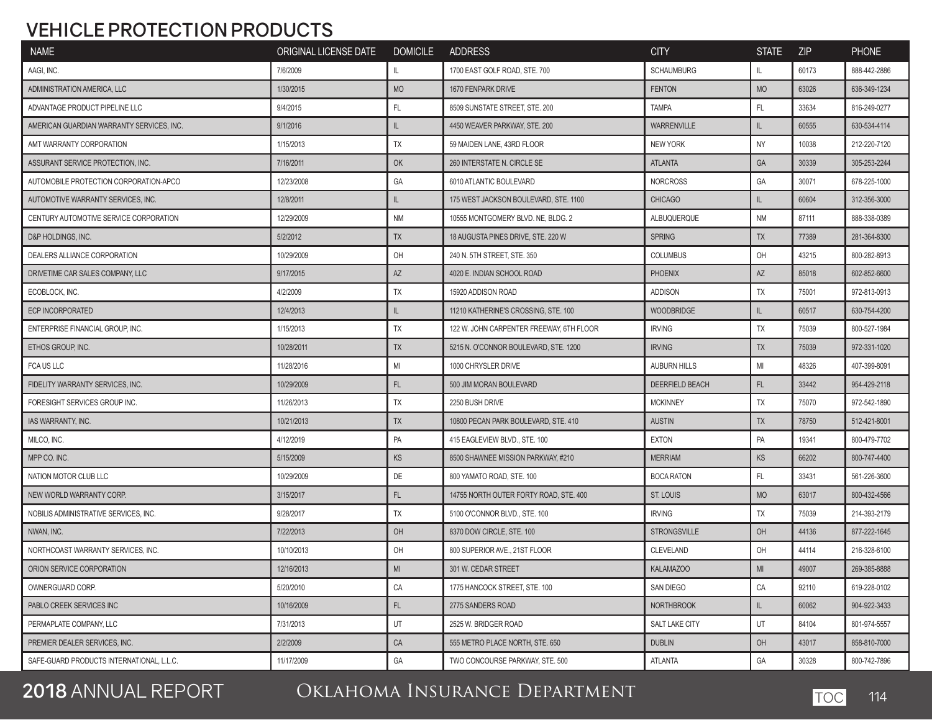#### **VEHICLE PROTECTION PRODUCTS**

| <b>NAME</b>                                                                                          | ORIGINAL LICENSE DATE DOMICILE ADDRESS |            |                                          | <b>CITY</b>            | <b>STATE</b>   | <b>ZIP</b> | <b>PHONE</b> |
|------------------------------------------------------------------------------------------------------|----------------------------------------|------------|------------------------------------------|------------------------|----------------|------------|--------------|
| AAGI, INC.                                                                                           | 7/6/2009                               | IL         | 1700 EAST GOLF ROAD, STE. 700            | <b>SCHAUMBURG</b>      | IL.            | 60173      | 888-442-2886 |
| ADMINISTRATION AMERICA, LLC                                                                          | 1/30/2015                              | <b>MO</b>  | 1670 FENPARK DRIVE                       | <b>FENTON</b>          | <b>MO</b>      | 63026      | 636-349-1234 |
| ADVANTAGE PRODUCT PIPELINE LLC                                                                       | 9/4/2015                               | FL         | 8509 SUNSTATE STREET, STE. 200           | <b>TAMPA</b>           | FL.            | 33634      | 816-249-0277 |
| AMERICAN GUARDIAN WARRANTY SERVICES, INC.                                                            | 9/1/2016                               | IL         | 4450 WEAVER PARKWAY, STE. 200            | <b>WARRENVILLE</b>     | IL.            | 60555      | 630-534-4114 |
| AMT WARRANTY CORPORATION                                                                             | 1/15/2013                              | TX         | 59 MAIDEN LANE, 43RD FLOOR               | <b>NEW YORK</b>        | <b>NY</b>      | 10038      | 212-220-7120 |
| ASSURANT SERVICE PROTECTION, INC.                                                                    | 7/16/2011                              | OK         | 260 INTERSTATE N. CIRCLE SE              | <b>ATLANTA</b>         | GA             | 30339      | 305-253-2244 |
| AUTOMOBILE PROTECTION CORPORATION-APCO                                                               | 12/23/2008                             | GA         | 6010 ATLANTIC BOULEVARD                  | <b>NORCROSS</b>        | GA             | 30071      | 678-225-1000 |
| AUTOMOTIVE WARRANTY SERVICES. INC.                                                                   | 12/8/2011                              | IL         | 175 WEST JACKSON BOULEVARD, STE, 1100    | <b>CHICAGO</b>         | IL.            | 60604      | 312-356-3000 |
| CENTURY AUTOMOTIVE SERVICE CORPORATION                                                               | 12/29/2009                             | <b>NM</b>  | 10555 MONTGOMERY BLVD, NE, BLDG, 2       | ALBUQUERQUE            | <b>NM</b>      | 87111      | 888-338-0389 |
| D&P HOLDINGS, INC.                                                                                   | 5/2/2012                               | TX         | 18 AUGUSTA PINES DRIVE, STE. 220 W       | <b>SPRING</b>          | <b>TX</b>      | 77389      | 281-364-8300 |
| DEALERS ALLIANCE CORPORATION                                                                         | 10/29/2009                             | OH         | 240 N. 5TH STREET, STE. 350              | <b>COLUMBUS</b>        | OH             | 43215      | 800-282-8913 |
| DRIVETIME CAR SALES COMPANY, LLC                                                                     | 9/17/2015                              | AZ         | 4020 E. INDIAN SCHOOL ROAD               | <b>PHOENIX</b>         | AZ             | 85018      | 602-852-6600 |
| ECOBLOCK, INC.                                                                                       | 4/2/2009                               | TX         | 15920 ADDISON ROAD                       | <b>ADDISON</b>         | TX             | 75001      | 972-813-0913 |
| <b>ECP INCORPORATED</b>                                                                              | 12/4/2013                              | IL         | 11210 KATHERINE'S CROSSING, STE. 100     | <b>WOODBRIDGE</b>      | IL.            | 60517      | 630-754-4200 |
| ENTERPRISE FINANCIAL GROUP, INC.                                                                     | 1/15/2013                              | <b>TX</b>  | 122 W. JOHN CARPENTER FREEWAY, 6TH FLOOR | <b>IRVING</b>          | TX             | 75039      | 800-527-1984 |
| ETHOS GROUP. INC.                                                                                    | 10/28/2011                             | <b>TX</b>  | 5215 N. O'CONNOR BOULEVARD, STE. 1200    | <b>IRVING</b>          | <b>TX</b>      | 75039      | 972-331-1020 |
| FCA US LLC                                                                                           | 11/28/2016                             | MI         | 1000 CHRYSLER DRIVE                      | <b>AUBURN HILLS</b>    | MI             | 48326      | 407-399-8091 |
| FIDELITY WARRANTY SERVICES, INC.                                                                     | 10/29/2009                             | FL         | 500 JIM MORAN BOULEVARD                  | <b>DEERFIELD BEACH</b> | FL.            | 33442      | 954-429-2118 |
| FORESIGHT SERVICES GROUP INC.                                                                        | 11/26/2013                             | TX         | 2250 BUSH DRIVE                          | <b>MCKINNEY</b>        | <b>TX</b>      | 75070      | 972-542-1890 |
| <b>IAS WARRANTY, INC.</b>                                                                            | 10/21/2013                             | <b>TX</b>  | 10800 PECAN PARK BOULEVARD, STE. 410     | <b>AUSTIN</b>          | <b>TX</b>      | 78750      | 512-421-8001 |
| MILCO, INC.                                                                                          | 4/12/2019                              | PA         | 415 EAGLEVIEW BLVD., STE. 100            | EXTON                  | PA             | 19341      | 800-479-7702 |
| MPP CO. INC.                                                                                         | 5/15/2009                              | <b>KS</b>  | 8500 SHAWNEE MISSION PARKWAY, #210       | <b>MERRIAM</b>         | <b>KS</b>      | 66202      | 800-747-4400 |
| NATION MOTOR CLUB LLC                                                                                | 10/29/2009                             | DE         | 800 YAMATO ROAD, STE. 100                | <b>BOCA RATON</b>      | FL.            | 33431      | 561-226-3600 |
| NEW WORLD WARRANTY CORP.                                                                             | 3/15/2017                              | FL         | 14755 NORTH OUTER FORTY ROAD, STE. 400   | ST. LOUIS              | <b>MO</b>      | 63017      | 800-432-4566 |
| NOBILIS ADMINISTRATIVE SERVICES, INC.                                                                | 9/28/2017                              | TX         | 5100 O'CONNOR BLVD., STE. 100            | <b>IRVING</b>          | TX             | 75039      | 214-393-2179 |
| NWAN, INC.                                                                                           | 7/22/2013                              | OH         | 8370 DOW CIRCLE, STE. 100                | <b>STRONGSVILLE</b>    | OH             | 44136      | 877-222-1645 |
| NORTHCOAST WARRANTY SERVICES, INC.                                                                   | 10/10/2013                             | OH         | 800 SUPERIOR AVE., 21ST FLOOR            | CLEVELAND              | OH             | 44114      | 216-328-6100 |
| ORION SERVICE CORPORATION                                                                            | 12/16/2013                             | MI         | 301 W. CEDAR STREET                      | KALAMAZOO              | M <sub>l</sub> | 49007      | 269-385-8888 |
| OWNERGUARD CORP.                                                                                     | 5/20/2010                              | CA         | 1775 HANCOCK STREET, STE. 100            | SAN DIEGO              | CA             | 92110      | 619-228-0102 |
| PABLO CREEK SERVICES INC                                                                             | 10/16/2009                             | FL.        | 2775 SANDERS ROAD                        | <b>NORTHBROOK</b>      | IL.            | 60062      | 904-922-3433 |
| PERMAPLATE COMPANY, LLC                                                                              | 7/31/2013                              | UT         | 2525 W. BRIDGER ROAD                     | SALT LAKE CITY         | UT             | 84104      | 801-974-5557 |
| PREMIER DEALER SERVICES, INC.                                                                        | 2/2/2009                               | ${\sf CA}$ | 555 METRO PLACE NORTH, STE, 650          | <b>DUBLIN</b>          | OH             | 43017      | 858-810-7000 |
| SAFE-GUARD PRODUCTS INTERNATIONAL, L.L.C.<br><u> 1989 - Johann Stein, marwolaethau a bhann an t-</u> | 11/17/2009                             | GA         | TWO CONCOURSE PARKWAY, STE. 500          | ATLANTA                | GA             | 30328      | 800-742-7896 |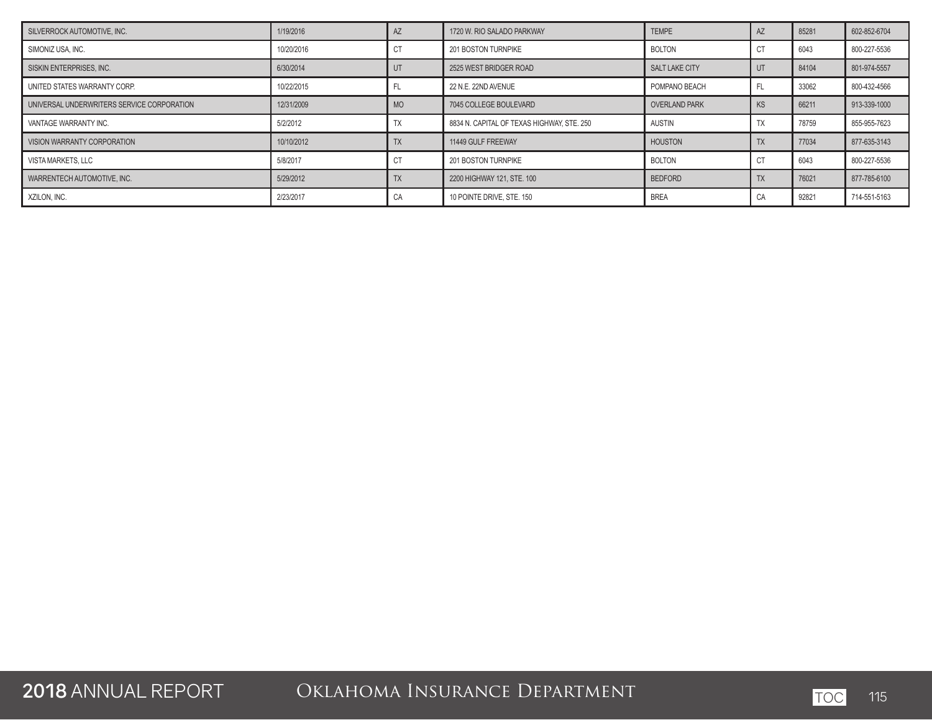| SILVERROCK AUTOMOTIVE. INC.                | 1/19/2016  |           | 1720 W. RIO SALADO PARKWAY                 | <b>TEMPE</b>         | <b>AZ</b> | 85281 | 602-852-6704 |
|--------------------------------------------|------------|-----------|--------------------------------------------|----------------------|-----------|-------|--------------|
| SIMONIZ USA, INC.                          | 10/20/2016 | U         | 201 BOSTON TURNPIKE                        | <b>BOLTON</b>        | СT        | 6043  | 800-227-5536 |
| SISKIN ENTERPRISES, INC.                   | 6/30/2014  |           | 2525 WEST BRIDGER ROAD                     | SALT LAKE CITY       | UT        | 84104 | 801-974-5557 |
| UNITED STATES WARRANTY CORP.               | 10/22/2015 |           | 22 N.E. 22ND AVENUE                        | POMPANO BEACH        | FL        | 33062 | 800-432-4566 |
| UNIVERSAL UNDERWRITERS SERVICE CORPORATION | 12/31/2009 | <b>MO</b> | 7045 COLLEGE BOULEVARD                     | <b>OVERLAND PARK</b> | <b>KS</b> | 66211 | 913-339-1000 |
| VANTAGE WARRANTY INC.                      | 5/2/2012   |           | 8834 N. CAPITAL OF TEXAS HIGHWAY. STE. 250 | <b>AUSTIN</b>        | ТX        | 78759 | 855-955-7623 |
| VISION WARRANTY CORPORATION                | 10/10/2012 |           | 11449 GULF FREEWAY                         | <b>HOUSTON</b>       | <b>TX</b> | 77034 | 877-635-3143 |
| VISTA MARKETS, LLC                         | 5/8/2017   | U         | 201 BOSTON TURNPIKE                        | <b>BOLTON</b>        |           | 6043  | 800-227-5536 |
| WARRENTECH AUTOMOTIVE, INC.                | 5/29/2012  |           | 2200 HIGHWAY 121, STE, 100                 | <b>BEDFORD</b>       | <b>TX</b> | 76021 | 877-785-6100 |
| XZILON, INC.                               | 2/23/2017  | CА        | 10 POINTE DRIVE, STE, 150                  | <b>BREA</b>          | CA        | 92821 | 714-551-5163 |

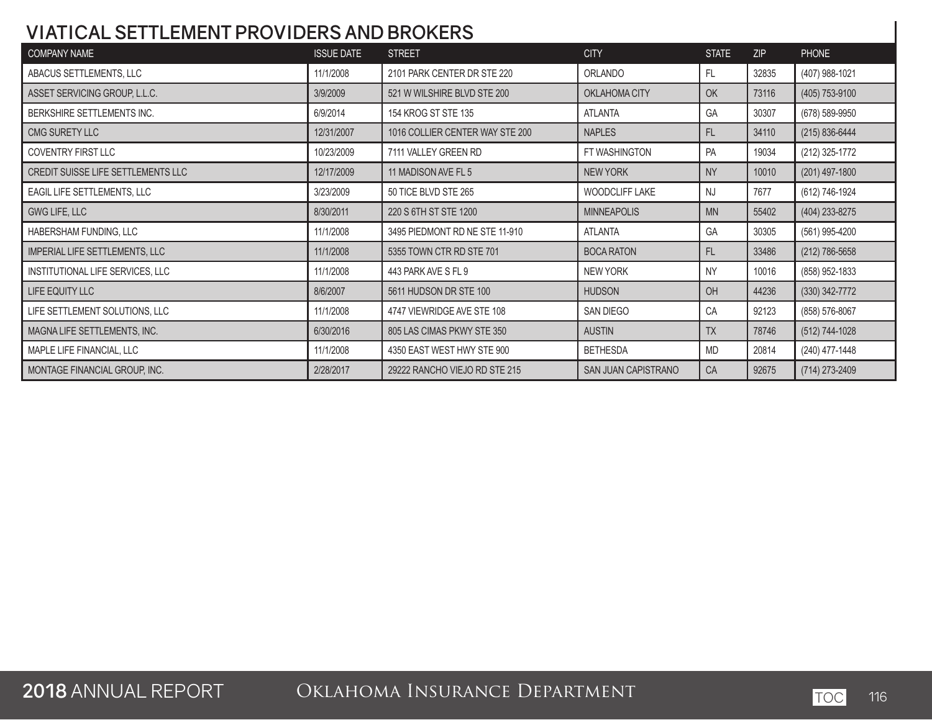#### **VIATICAL SETTLEMENT PROVIDERS AND BROKERS**

| <b>COMPANY NAME</b>                | <b>ISSUE DATE</b> | <b>STREET</b>                   | <b>CITY</b>         | <b>STATE</b> | <b>ZIP</b> | <b>PHONE</b>     |
|------------------------------------|-------------------|---------------------------------|---------------------|--------------|------------|------------------|
| ABACUS SETTLEMENTS, LLC            | 11/1/2008         | 2101 PARK CENTER DR STE 220     | ORLANDO             | <b>FL</b>    | 32835      | (407) 988-1021   |
| ASSET SERVICING GROUP, L.L.C.      | 3/9/2009          | 521 W WILSHIRE BLVD STE 200     | OKLAHOMA CITY       | OK           | 73116      | (405) 753-9100   |
| BERKSHIRE SETTLEMENTS INC.         | 6/9/2014          | 154 KROG ST STE 135             | <b>ATLANTA</b>      | GA           | 30307      | (678) 589-9950   |
| CMG SURETY LLC                     | 12/31/2007        | 1016 COLLIER CENTER WAY STE 200 | <b>NAPLES</b>       | FL           | 34110      | (215) 836-6444   |
| COVENTRY FIRST LLC                 | 10/23/2009        | 7111 VALLEY GREEN RD            | FT WASHINGTON       | PA           | 19034      | (212) 325-1772   |
| CREDIT SUISSE LIFE SETTLEMENTS LLC | 12/17/2009        | 11 MADISON AVE FL 5             | <b>NEW YORK</b>     | <b>NY</b>    | 10010      | $(201)$ 497-1800 |
| EAGIL LIFE SETTLEMENTS, LLC        | 3/23/2009         | 50 TICE BLVD STE 265            | WOODCLIFF LAKE      | <b>NJ</b>    | 7677       | (612) 746-1924   |
| GWG LIFE, LLC                      | 8/30/2011         | 220 S 6TH ST STE 1200           | <b>MINNEAPOLIS</b>  | <b>MN</b>    | 55402      | (404) 233-8275   |
| HABERSHAM FUNDING, LLC             | 11/1/2008         | 3495 PIEDMONT RD NE STE 11-910  | <b>ATLANTA</b>      | GA           | 30305      | (561) 995-4200   |
| IMPERIAL LIFE SETTLEMENTS, LLC     | 11/1/2008         | 5355 TOWN CTR RD STE 701        | <b>BOCA RATON</b>   | <b>FL</b>    | 33486      | (212) 786-5658   |
| INSTITUTIONAL LIFE SERVICES, LLC   | 11/1/2008         | 443 PARK AVE S FL 9             | <b>NEW YORK</b>     | <b>NY</b>    | 10016      | (858) 952-1833   |
| LIFE EQUITY LLC                    | 8/6/2007          | 5611 HUDSON DR STE 100          | <b>HUDSON</b>       | OH           | 44236      | $(330)$ 342-7772 |
| LIFE SETTLEMENT SOLUTIONS, LLC     | 11/1/2008         | 4747 VIEWRIDGE AVE STE 108      | SAN DIEGO           | CA           | 92123      | (858) 576-8067   |
| MAGNA LIFE SETTLEMENTS, INC.       | 6/30/2016         | 805 LAS CIMAS PKWY STE 350      | <b>AUSTIN</b>       | <b>TX</b>    | 78746      | (512) 744-1028   |
| MAPLE LIFE FINANCIAL, LLC          | 11/1/2008         | 4350 EAST WEST HWY STE 900      | <b>BETHESDA</b>     | <b>MD</b>    | 20814      | (240) 477-1448   |
| MONTAGE FINANCIAL GROUP, INC.      | 2/28/2017         | 29222 RANCHO VIEJO RD STE 215   | SAN JUAN CAPISTRANO | CA           | 92675      | (714) 273-2409   |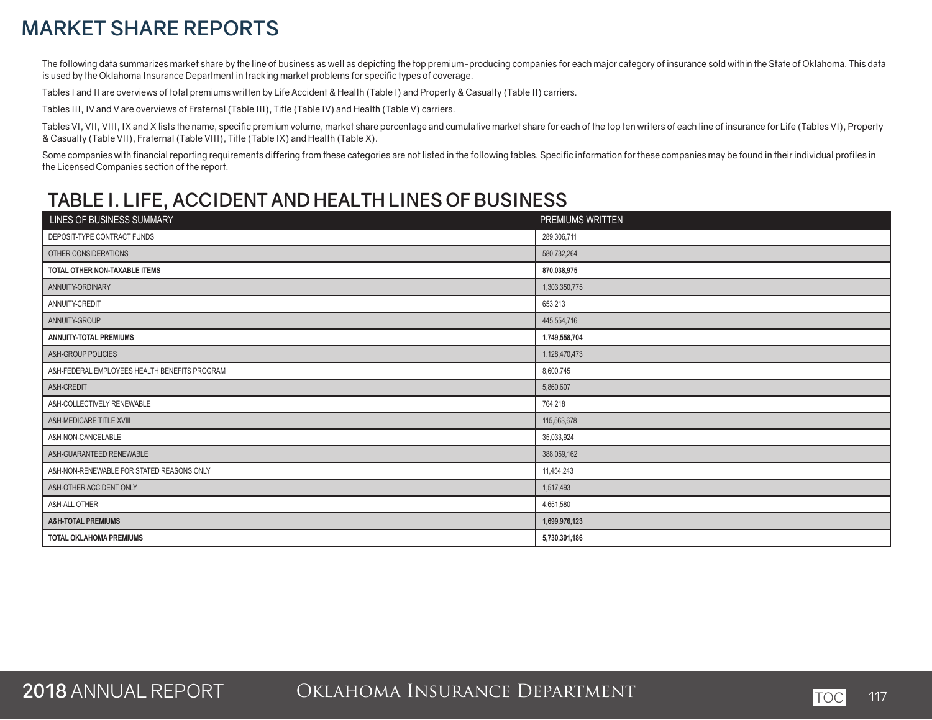## **MARKET SHARE REPORTS**

The following data summarizes market share by the line of business as well as depicting the top premium-producing companies for each major category of insurance sold within the State of Oklahoma. This data is used by the Oklahoma Insurance Department in tracking market problems for specific types of coverage.

Tables I and II are overviews of total premiums written by Life Accident & Health (Table I) and Property & Casualty (Table II) carriers.

Tables III, IV and V are overviews of Fraternal (Table III), Title (Table IV) and Health (Table V) carriers.

Tables VI, VII, VIII, IX and X lists the name, specific premium volume, market share percentage and cumulative market share for each of the top ten writers of each line of insurance for Life (Tables VI), Property & Casualty (Table VII), Fraternal (Table VIII), Title (Table IX) and Health (Table X).

Some companies with financial reporting requirements differing from these categories are not listed in the following tables. Specific information for these companies may be found in their individual profiles in the Licensed Companies section of the report.

#### **TABLE I. LIFE, ACCIDENT AND HEALTH LINES OF BUSINESS**

| LINES OF BUSINESS SUMMARY                     | PREMIUMS WRITTEN |
|-----------------------------------------------|------------------|
| DEPOSIT-TYPE CONTRACT FUNDS                   | 289,306,711      |
| OTHER CONSIDERATIONS                          | 580,732,264      |
| TOTAL OTHER NON-TAXABLE ITEMS                 | 870,038,975      |
| ANNUITY-ORDINARY                              | 1,303,350,775    |
| ANNUITY-CREDIT                                | 653,213          |
| ANNUITY-GROUP                                 | 445,554,716      |
| <b>ANNUITY-TOTAL PREMIUMS</b>                 | 1,749,558,704    |
| A&H-GROUP POLICIES                            | 1,128,470,473    |
| A&H-FEDERAL EMPLOYEES HEALTH BENEFITS PROGRAM | 8,600,745        |
| A&H-CREDIT                                    | 5,860,607        |
| A&H-COLLECTIVELY RENEWABLE                    | 764,218          |
| A&H-MEDICARE TITLE XVIII                      | 115,563,678      |
| A&H-NON-CANCELABLE                            | 35,033,924       |
| A&H-GUARANTEED RENEWABLE                      | 388,059,162      |
| A&H-NON-RENEWABLE FOR STATED REASONS ONLY     | 11,454,243       |
| A&H-OTHER ACCIDENT ONLY                       | 1,517,493        |
| A&H-ALL OTHER                                 | 4,651,580        |
| <b>A&amp;H-TOTAL PREMIUMS</b>                 | 1,699,976,123    |
| <b>TOTAL OKLAHOMA PREMIUMS</b>                | 5,730,391,186    |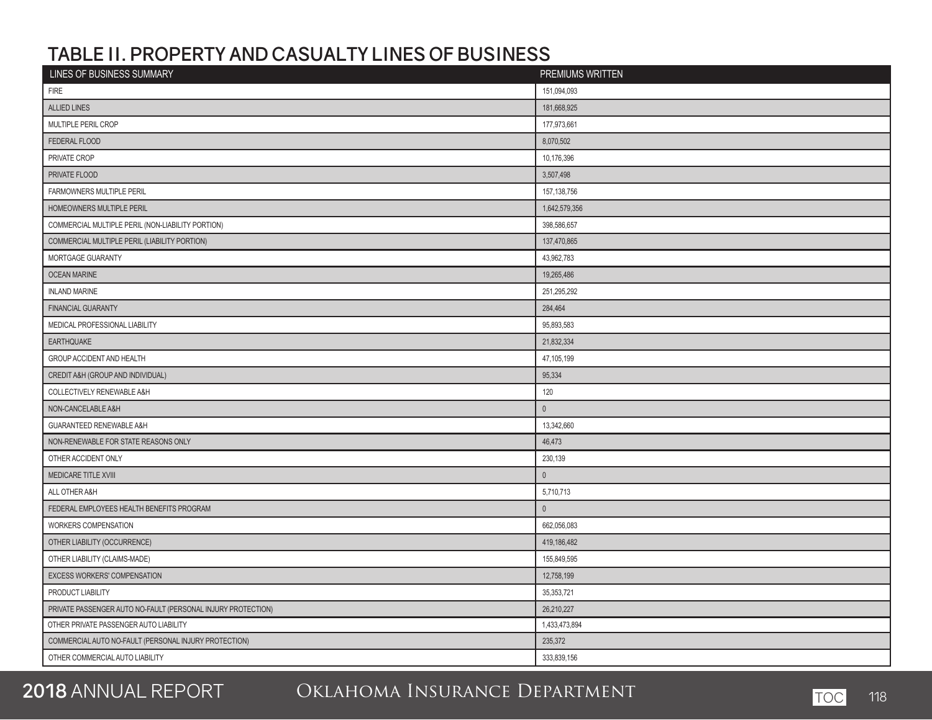#### **TABLE II. PROPERTY AND CASUALTY LINES OF BUSINESS**

| LINES OF BUSINESS SUMMARY                                    | PREMIUMS WRITTEN |
|--------------------------------------------------------------|------------------|
| <b>FIRE</b>                                                  | 151,094,093      |
| <b>ALLIED LINES</b>                                          | 181,668,925      |
| MULTIPLE PERIL CROP                                          | 177,973,661      |
| FEDERAL FLOOD                                                | 8,070,502        |
| PRIVATE CROP                                                 | 10,176,396       |
| PRIVATE FLOOD                                                | 3,507,498        |
| FARMOWNERS MULTIPLE PERIL                                    | 157, 138, 756    |
| HOMEOWNERS MULTIPLE PERIL                                    | 1,642,579,356    |
| COMMERCIAL MULTIPLE PERIL (NON-LIABILITY PORTION)            | 398,586,657      |
| COMMERCIAL MULTIPLE PERIL (LIABILITY PORTION)                | 137,470,865      |
| MORTGAGE GUARANTY                                            | 43,962,783       |
| <b>OCEAN MARINE</b>                                          | 19,265,486       |
| <b>INLAND MARINE</b>                                         | 251,295,292      |
| <b>FINANCIAL GUARANTY</b>                                    | 284,464          |
| MEDICAL PROFESSIONAL LIABILITY                               | 95,893,583       |
| <b>EARTHQUAKE</b>                                            | 21,832,334       |
| GROUP ACCIDENT AND HEALTH                                    | 47,105,199       |
| CREDIT A&H (GROUP AND INDIVIDUAL)                            | 95,334           |
| COLLECTIVELY RENEWABLE A&H                                   | 120              |
| NON-CANCELABLE A&H                                           | $\mathbf 0$      |
| <b>GUARANTEED RENEWABLE A&amp;H</b>                          | 13,342,660       |
| NON-RENEWABLE FOR STATE REASONS ONLY                         | 46,473           |
| OTHER ACCIDENT ONLY                                          | 230,139          |
| MEDICARE TITLE XVIII                                         | $\mathbf{0}$     |
| ALL OTHER A&H                                                | 5,710,713        |
| FEDERAL EMPLOYEES HEALTH BENEFITS PROGRAM                    | $\mathbf 0$      |
| WORKERS COMPENSATION                                         | 662,056,083      |
| OTHER LIABILITY (OCCURRENCE)                                 | 419,186,482      |
| OTHER LIABILITY (CLAIMS-MADE)                                | 155,849,595      |
| EXCESS WORKERS' COMPENSATION                                 | 12,758,199       |
| PRODUCT LIABILITY                                            | 35,353,721       |
| PRIVATE PASSENGER AUTO NO-FAULT (PERSONAL INJURY PROTECTION) | 26,210,227       |
| OTHER PRIVATE PASSENGER AUTO LIABILITY                       | 1,433,473,894    |
| COMMERCIAL AUTO NO-FAULT (PERSONAL INJURY PROTECTION)        | 235,372          |
| OTHER COMMERCIAL AUTO LIABILITY                              | 333,839,156      |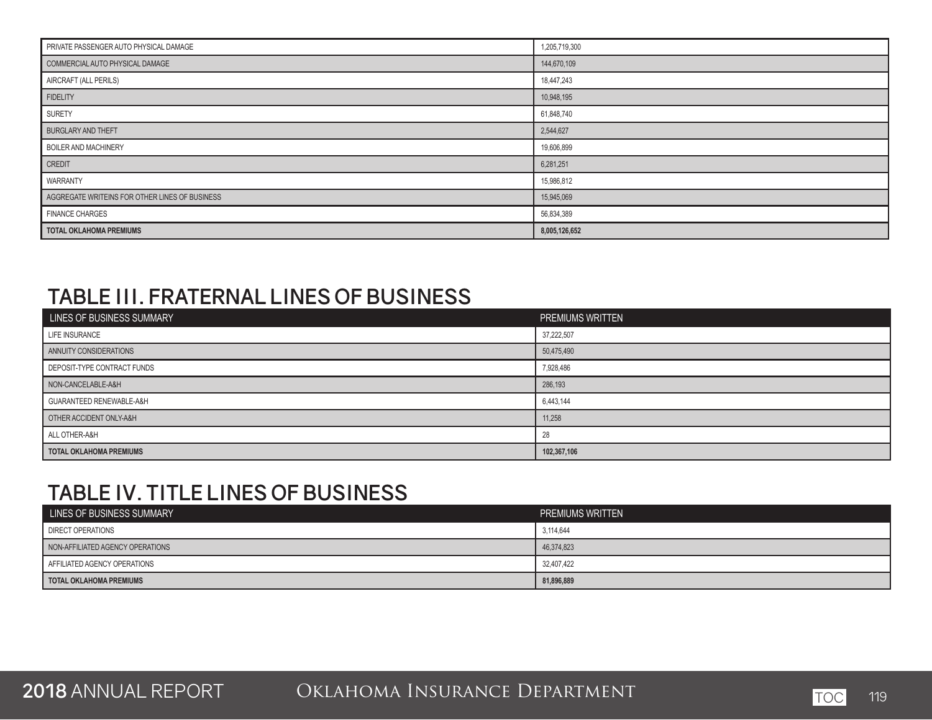| PRIVATE PASSENGER AUTO PHYSICAL DAMAGE         | 1,205,719,300 |
|------------------------------------------------|---------------|
| COMMERCIAL AUTO PHYSICAL DAMAGE                | 144,670,109   |
| AIRCRAFT (ALL PERILS)                          | 18,447,243    |
| <b>FIDELITY</b>                                | 10,948,195    |
| SURETY                                         | 61,848,740    |
| <b>BURGLARY AND THEFT</b>                      | 2,544,627     |
| <b>BOILER AND MACHINERY</b>                    | 19,606,899    |
| <b>CREDIT</b>                                  | 6,281,251     |
| WARRANTY                                       | 15,986,812    |
| AGGREGATE WRITEINS FOR OTHER LINES OF BUSINESS | 15,945,069    |
| <b>FINANCE CHARGES</b>                         | 56,834,389    |
| <b>TOTAL OKLAHOMA PREMIUMS</b>                 | 8,005,126,652 |

## **TABLE III. FRATERNAL LINES OF BUSINESS**

| LINES OF BUSINESS SUMMARY      | PREMIUMS WRITTEN |
|--------------------------------|------------------|
| LIFE INSURANCE                 | 37,222,507       |
| ANNUITY CONSIDERATIONS         | 50,475,490       |
| DEPOSIT-TYPE CONTRACT FUNDS    | 7,928,486        |
| NON-CANCELABLE-A&H             | 286,193          |
| GUARANTEED RENEWABLE-A&H       | 6,443,144        |
| OTHER ACCIDENT ONLY-A&H        | 11,258           |
| ALL OTHER-A&H                  | 28               |
| <b>TOTAL OKLAHOMA PREMIUMS</b> | 102,367,106      |

# **TABLE IV. TITLE LINES OF BUSINESS**

| LINES OF BUSINESS SUMMARY        | <b>PREMIUMS WRITTEN</b> |
|----------------------------------|-------------------------|
| <b>DIRECT OPERATIONS</b>         | 3,114,644               |
| NON-AFFILIATED AGENCY OPERATIONS | 46,374,823              |
| AFFILIATED AGENCY OPERATIONS     | 32,407,422              |
| <b>TOTAL OKLAHOMA PREMIUMS</b>   | 81,896,889              |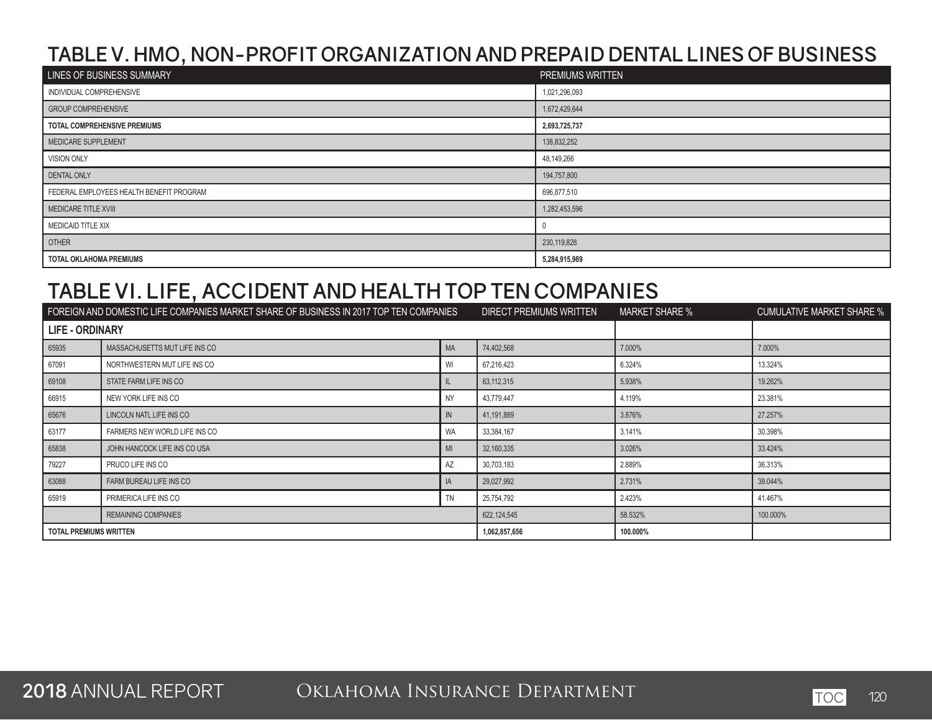#### **TABLE V. HMO, NON-PROFIT ORGANIZATION AND PREPAID DENTAL LINES OF BUSINESS**

| LINES OF BUSINESS SUMMARY                | PREMIUMS WRITTEN |
|------------------------------------------|------------------|
| INDIVIDUAL COMPREHENSIVE                 | 1,021,296,093    |
| <b>GROUP COMPREHENSIVE</b>               | 1,672,429,644    |
| TOTAL COMPREHENSIVE PREMIUMS             | 2,693,725,737    |
| MEDICARE SUPPLEMENT                      | 138,832,252      |
| <b>VISION ONLY</b>                       | 48,149,266       |
| <b>DENTAL ONLY</b>                       | 194,757,800      |
| FEDERAL EMPLOYEES HEALTH BENEFIT PROGRAM | 696,877,510      |
| MEDICARE TITLE XVIII                     | 1,282,453,596    |
| MEDICAID TITLE XIX                       |                  |
| <b>OTHER</b>                             | 230,119,828      |
| <b>TOTAL OKLAHOMA PREMIUMS</b>           | 5,284,915,989    |

#### **TABLE VI. LIFE, ACCIDENT AND HEALTH TOP TEN COMPANIES**

| FOREIGN AND DOMESTIC LIFE COMPANIES MARKET SHARE OF BUSINESS IN 2017 TOP TEN COMPANIES |                               | DIRECT PREMIUMS WRITTEN | <b>MARKET SHARE %</b> | <b>CUMULATIVE MARKET SHARE %</b> |          |
|----------------------------------------------------------------------------------------|-------------------------------|-------------------------|-----------------------|----------------------------------|----------|
| <b>LIFE - ORDINARY</b>                                                                 |                               |                         |                       |                                  |          |
| 65935                                                                                  | MASSACHUSETTS MUT LIFE INS CO | <b>MA</b>               | 74,402,568            | 7.000%                           | 7.000%   |
| 67091                                                                                  | NORTHWESTERN MUT LIFE INS CO  | WI                      | 67,216,423            | 6.324%                           | 13.324%  |
| 69108                                                                                  | STATE FARM LIFE INS CO        |                         | 63,112,315            | 5.938%                           | 19.262%  |
| 66915                                                                                  | NEW YORK LIFE INS CO          | <b>NY</b>               | 43.779.447            | 4.119%                           | 23.381%  |
| 65676                                                                                  | LINCOLN NATL LIFE INS CO      | IN                      | 41,191,889            | 3.876%                           | 27.257%  |
| 63177                                                                                  | FARMERS NEW WORLD LIFE INS CO | <b>WA</b>               | 33,384,167            | 3.141%                           | 30.398%  |
| 65838                                                                                  | JOHN HANCOCK LIFE INS CO USA  | MI                      | 32,160,335            | 3.026%                           | 33.424%  |
| 79227                                                                                  | PRUCO LIFE INS CO             | AZ                      | 30,703,183            | 2.889%                           | 36.313%  |
| 63088                                                                                  | FARM BUREAU LIFE INS CO       | IA.                     | 29,027,992            | 2.731%                           | 39.044%  |
| 65919                                                                                  | PRIMERICA LIFE INS CO         | <b>TN</b>               | 25,754,792            | 2.423%                           | 41.467%  |
|                                                                                        | <b>REMAINING COMPANIES</b>    |                         | 622,124,545           | 58.532%                          | 100.000% |
| <b>TOTAL PREMIUMS WRITTEN</b>                                                          |                               | 1,062,857,656           | 100.000%              |                                  |          |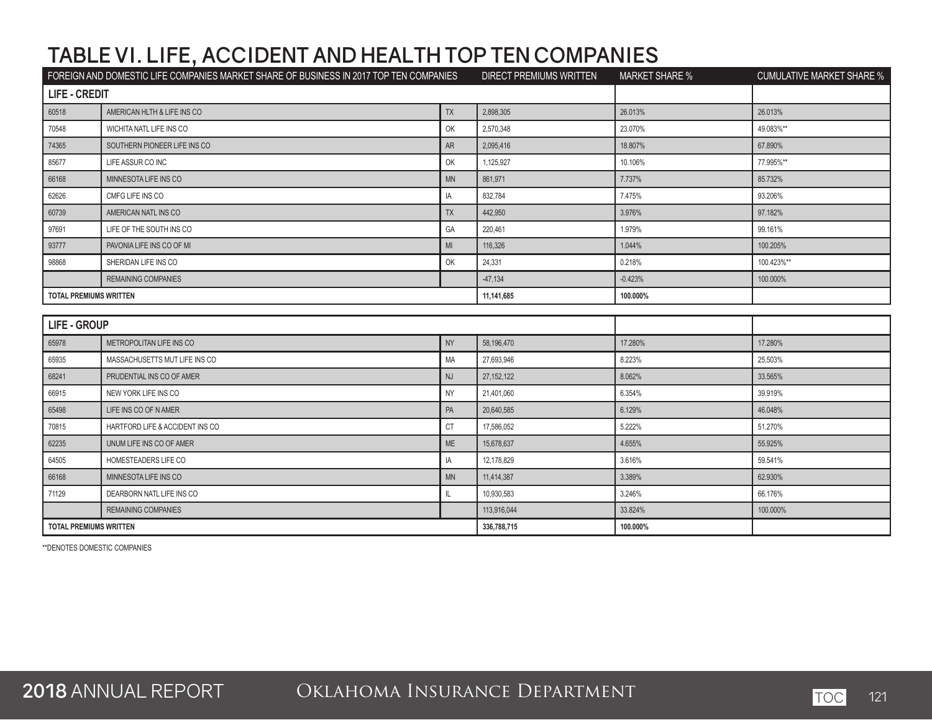|                               | FOREIGN AND DOMESTIC LIFE COMPANIES MARKET SHARE OF BUSINESS IN 2017 TOP TEN COMPANIES |                | DIRECT PREMIUMS WRITTEN | <b>MARKET SHARE %</b> | <b>CUMULATIVE MARKET SHARE %</b> |
|-------------------------------|----------------------------------------------------------------------------------------|----------------|-------------------------|-----------------------|----------------------------------|
| <b>LIFE - CREDIT</b>          |                                                                                        |                |                         |                       |                                  |
| 60518                         | AMERICAN HLTH & LIFE INS CO                                                            | <b>TX</b>      | 2,898,305               | 26.013%               | 26.013%                          |
| 70548                         | WICHITA NATL LIFE INS CO                                                               | OK             | 2,570,348               | 23.070%               | 49.083%**                        |
| 74365                         | SOUTHERN PIONEER LIFE INS CO                                                           | AR             | 2,095,416               | 18.807%               | 67.890%                          |
| 85677                         | LIFE ASSUR CO INC                                                                      | OK             | 1,125,927               | 10.106%               | 77.995%**                        |
| 66168                         | MINNESOTA LIFE INS CO                                                                  | <b>MN</b>      | 861,971                 | 7.737%                | 85.732%                          |
| 62626                         | CMFG LIFE INS CO                                                                       | IA             | 832,784                 | 7.475%                | 93.206%                          |
| 60739                         | AMERICAN NATL INS CO                                                                   | <b>TX</b>      | 442,950                 | 3.976%                | 97.182%                          |
| 97691                         | LIFE OF THE SOUTH INS CO                                                               | GA             | 220,461                 | 1.979%                | 99.161%                          |
| 93777                         | PAVONIA LIFE INS CO OF MI                                                              | M <sub>l</sub> | 116,326                 | 1.044%                | 100.205%                         |
| 98868                         | SHERIDAN LIFE INS CO                                                                   | OK             | 24,331                  | 0.218%                | 100.423%**                       |
|                               | <b>REMAINING COMPANIES</b>                                                             |                | $-47,134$               | $-0.423%$             | 100.000%                         |
| <b>TOTAL PREMIUMS WRITTEN</b> |                                                                                        |                | 11,141,685              | 100.000%              |                                  |
|                               |                                                                                        |                |                         |                       |                                  |
| <b>LIFE - GROUP</b>           |                                                                                        |                |                         |                       |                                  |
| 65978                         | METROPOLITAN LIFE INS CO                                                               | <b>NY</b>      | 58,196,470              | 17.280%               | 17.280%                          |
| 65935                         | MASSACHUSETTS MUT LIFE INS CO                                                          | MA             | 27,693,946              | 8.223%                | 25.503%                          |
| 68241                         | PRUDENTIAL INS CO OF AMER                                                              | <b>NJ</b>      | 27, 152, 122            | 8.062%                | 33.565%                          |
| 66915                         | NEW YORK LIFE INS CO                                                                   | <b>NY</b>      | 21,401,060              | 6.354%                | 39.919%                          |
| 65498                         | LIFE INS CO OF N AMER                                                                  | PA             | 20,640,585              | 6.129%                | 46.048%                          |
| 70815                         | HARTFORD LIFE & ACCIDENT INS CO                                                        | <b>CT</b>      | 17,586,052              | 5.222%                | 51.270%                          |
| 62235                         | UNUM LIFE INS CO OF AMER                                                               | ME             | 15,678,637              | 4.655%                | 55.925%                          |
| 64505                         | HOMESTEADERS LIFE CO                                                                   | IA             | 12,178,829              | 3.616%                | 59.541%                          |
| 66168                         | MINNESOTA LIFE INS CO                                                                  | <b>MN</b>      | 11,414,387              | 3.389%                | 62.930%                          |
| 71129                         | DEARBORN NATL LIFE INS CO                                                              | IL.            | 10,930,583              | 3.246%                | 66.176%                          |
|                               | <b>REMAINING COMPANIES</b>                                                             |                | 113,916,044             | 33.824%               | 100.000%                         |
| <b>TOTAL PREMIUMS WRITTEN</b> |                                                                                        | 336,788,715    | 100.000%                |                       |                                  |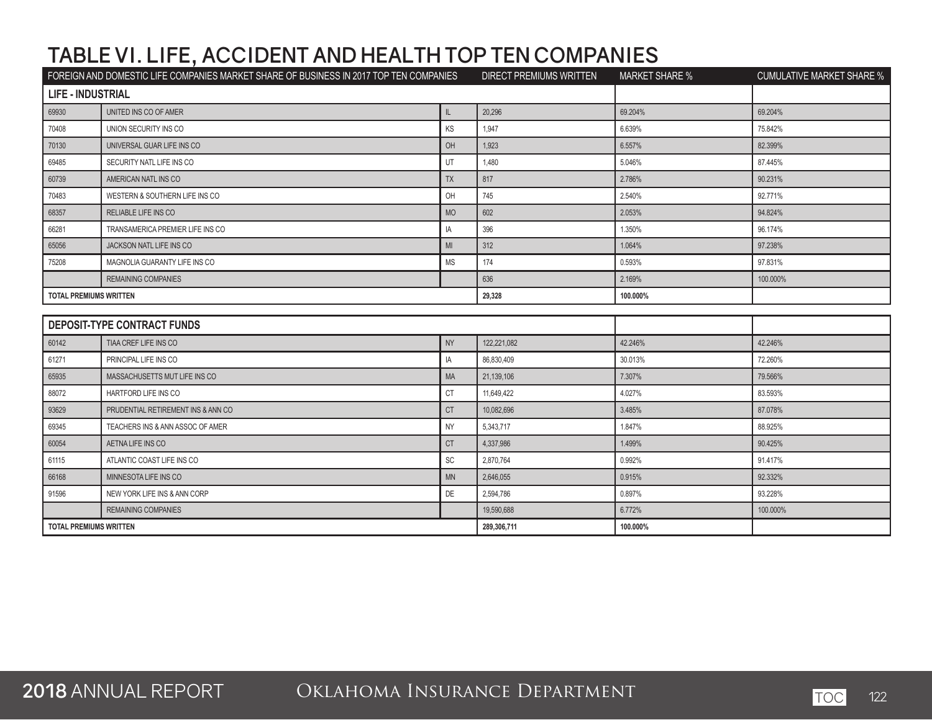|                               | FOREIGN AND DOMESTIC LIFE COMPANIES MARKET SHARE OF BUSINESS IN 2017 TOP TEN COMPANIES |                              | DIRECT PREMIUMS WRITTEN | <b>MARKET SHARE %</b> | <b>CUMULATIVE MARKET SHARE %</b> |
|-------------------------------|----------------------------------------------------------------------------------------|------------------------------|-------------------------|-----------------------|----------------------------------|
| <b>LIFE - INDUSTRIAL</b>      |                                                                                        |                              |                         |                       |                                  |
| 69930                         | UNITED INS CO OF AMER                                                                  | $\mathbb L$                  | 20.296                  | 69.204%               | 69.204%                          |
| 70408                         | UNION SECURITY INS CO                                                                  | KS                           | 1,947                   | 6.639%                | 75.842%                          |
| 70130                         | UNIVERSAL GUAR LIFE INS CO                                                             | OH                           | 1,923                   | 6.557%                | 82.399%                          |
| 69485                         | SECURITY NATL LIFE INS CO                                                              | UT                           | 1,480                   | 5.046%                | 87.445%                          |
| 60739                         | AMERICAN NATL INS CO                                                                   | <b>TX</b>                    | 817                     | 2.786%                | 90.231%                          |
| 70483                         | WESTERN & SOUTHERN LIFE INS CO                                                         | OH                           | 745                     | 2.540%                | 92.771%                          |
| 68357                         | RELIABLE LIFE INS CO                                                                   | <b>MO</b>                    | 602                     | 2.053%                | 94.824%                          |
| 66281                         | TRANSAMERICA PREMIER LIFE INS CO                                                       | IA                           | 396                     | 1.350%                | 96.174%                          |
| 65056                         | <b>JACKSON NATL LIFE INS CO</b>                                                        | MI                           | 312                     | 1.064%                | 97.238%                          |
| 75208                         | MAGNOLIA GUARANTY LIFE INS CO                                                          | <b>MS</b>                    | 174                     | 0.593%                | 97.831%                          |
|                               | <b>REMAINING COMPANIES</b>                                                             |                              | 636                     | 2.169%                | 100.000%                         |
| <b>TOTAL PREMIUMS WRITTEN</b> |                                                                                        |                              | 29,328                  | 100.000%              |                                  |
|                               |                                                                                        |                              |                         |                       |                                  |
|                               | DEPOSIT-TYPE CONTRACT FUNDS                                                            |                              |                         |                       |                                  |
| 60142                         | TIAA CREF LIFE INS CO                                                                  | <b>NY</b>                    | 122,221,082             | 42.246%               | 42.246%                          |
| 61271                         | PRINCIPAL LIFE INS CO                                                                  | IA                           | 86,830,409              | 30.013%               | 72.260%                          |
| 65935                         | MASSACHUSETTS MUT LIFE INS CO                                                          | <b>MA</b>                    | 21,139,106              | 7.307%                | 79.566%                          |
| 88072                         | HARTFORD LIFE INS CO                                                                   | <b>CT</b>                    | 11,649,422              | 4.027%                | 83.593%                          |
| 93629                         | PRUDENTIAL RETIREMENT INS & ANN CO                                                     | <b>CT</b>                    | 10,082,696              | 3.485%                | 87.078%                          |
| 69345                         | TEACHERS INS & ANN ASSOC OF AMER                                                       | <b>NY</b>                    | 5,343,717               | 1.847%                | 88.925%                          |
| 60054                         | AETNA LIFE INS CO                                                                      | <b>CT</b>                    | 4,337,986               | 1.499%                | 90.425%                          |
| 61115                         | ATLANTIC COAST LIFE INS CO                                                             | $\operatorname{\textsf{SC}}$ | 2,870,764               | 0.992%                | 91.417%                          |
| 66168                         | MINNESOTA LIFE INS CO                                                                  | <b>MN</b>                    | 2,646,055               | 0.915%                | 92.332%                          |
| 91596                         | NEW YORK LIFE INS & ANN CORP                                                           | <b>DE</b>                    | 2,594,786               | 0.897%                | 93.228%                          |
|                               | <b>REMAINING COMPANIES</b>                                                             |                              | 19,590,688              | 6.772%                | 100.000%                         |
|                               | <b>TOTAL PREMIUMS WRITTEN</b>                                                          |                              |                         |                       |                                  |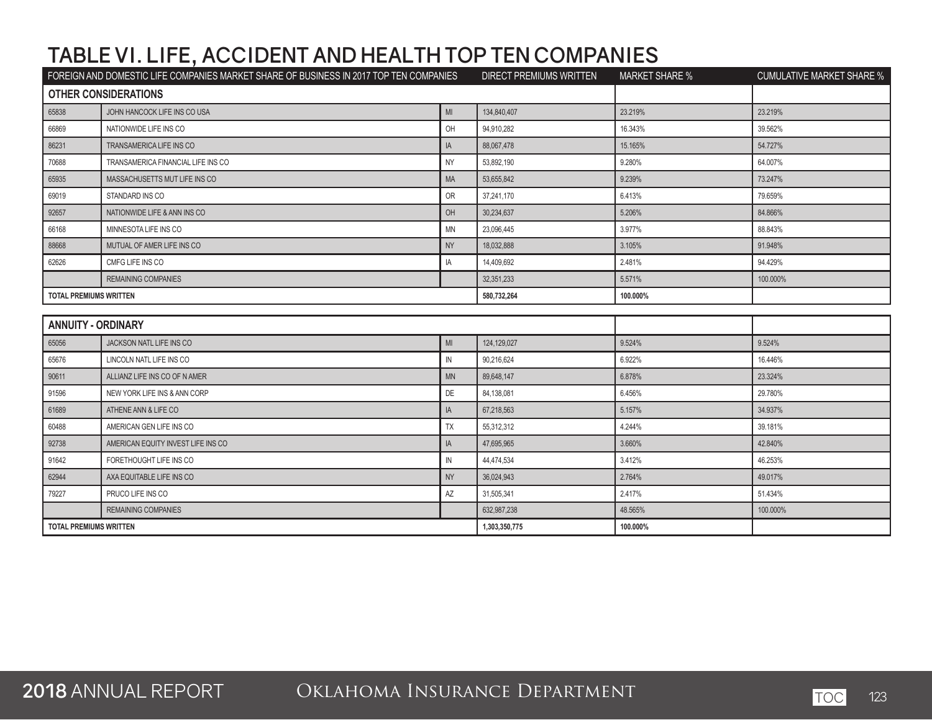| FOREIGN AND DOMESTIC LIFE COMPANIES MARKET SHARE OF BUSINESS IN 2017 TOP TEN COMPANIES |                                    | DIRECT PREMIUMS WRITTEN | <b>MARKET SHARE %</b> | <b>CUMULATIVE MARKET SHARE %</b> |          |
|----------------------------------------------------------------------------------------|------------------------------------|-------------------------|-----------------------|----------------------------------|----------|
|                                                                                        | <b>OTHER CONSIDERATIONS</b>        |                         |                       |                                  |          |
| 65838                                                                                  | JOHN HANCOCK LIFE INS CO USA       | MI                      | 134,840,407           | 23.219%                          | 23.219%  |
| 66869                                                                                  | NATIONWIDE LIFE INS CO             | OH                      | 94,910,282            | 16.343%                          | 39.562%  |
| 86231                                                                                  | TRANSAMERICA LIFE INS CO           | IA                      | 88.067.478            | 15.165%                          | 54.727%  |
| 70688                                                                                  | TRANSAMERICA FINANCIAL LIFE INS CO | <b>NY</b>               | 53,892,190            | 9.280%                           | 64.007%  |
| 65935                                                                                  | MASSACHUSETTS MUT LIFE INS CO      | MA                      | 53,655,842            | 9.239%                           | 73.247%  |
| 69019                                                                                  | STANDARD INS CO                    | OR                      | 37,241,170            | 6.413%                           | 79.659%  |
| 92657                                                                                  | NATIONWIDE LIFE & ANN INS CO       | OH                      | 30,234,637            | 5.206%                           | 84.866%  |
| 66168                                                                                  | MINNESOTA LIFE INS CO              | <b>MN</b>               | 23,096,445            | 3.977%                           | 88.843%  |
| 88668                                                                                  | MUTUAL OF AMER LIFE INS CO         | <b>NY</b>               | 18,032,888            | 3.105%                           | 91.948%  |
| 62626                                                                                  | CMFG LIFE INS CO                   | IA                      | 14,409,692            | 2.481%                           | 94.429%  |
|                                                                                        | <b>REMAINING COMPANIES</b>         |                         | 32,351,233            | 5.571%                           | 100.000% |
| <b>TOTAL PREMIUMS WRITTEN</b>                                                          |                                    |                         | 580,732,264           | 100.000%                         |          |
|                                                                                        |                                    |                         |                       |                                  |          |
| <b>ANNUITY - ORDINARY</b>                                                              |                                    |                         |                       |                                  |          |
| 65056                                                                                  | JACKSON NATL LIFE INS CO           | MI                      | 124,129,027           | 9.524%                           | 9.524%   |
| 65676                                                                                  | LINCOLN NATL LIFE INS CO           | $\mathbb N$             | 90,216,624            | 6.922%                           | 16.446%  |
| 90611                                                                                  | ALLIANZ LIFE INS CO OF N AMER      | <b>MN</b>               | 89,648,147            | 6.878%                           | 23.324%  |
| 91596                                                                                  | NEW YORK LIFE INS & ANN CORP       | DE                      | 84,138,081            | 6.456%                           | 29.780%  |
| 61689                                                                                  | ATHENE ANN & LIFE CO               | IA                      | 67,218,563            | 5.157%                           | 34.937%  |
| 60488                                                                                  | AMERICAN GEN LIFE INS CO           | TX                      | 55,312,312            | 4.244%                           | 39.181%  |
| 92738                                                                                  | AMERICAN EQUITY INVEST LIFE INS CO | IA                      | 47,695,965            | 3.660%                           | 42.840%  |
| 91642                                                                                  | FORETHOUGHT LIFE INS CO            | IN                      | 44,474,534            | 3.412%                           | 46.253%  |
| 62944                                                                                  | AXA EQUITABLE LIFE INS CO          | <b>NY</b>               | 36,024,943            | 2.764%                           | 49.017%  |
| 79227                                                                                  | PRUCO LIFE INS CO                  | AZ                      | 31,505,341            | 2.417%                           | 51.434%  |
|                                                                                        | <b>REMAINING COMPANIES</b>         |                         | 632,987,238           | 48.565%                          | 100.000% |
| <b>TOTAL PREMIUMS WRITTEN</b>                                                          |                                    | 1,303,350,775           | 100.000%              |                                  |          |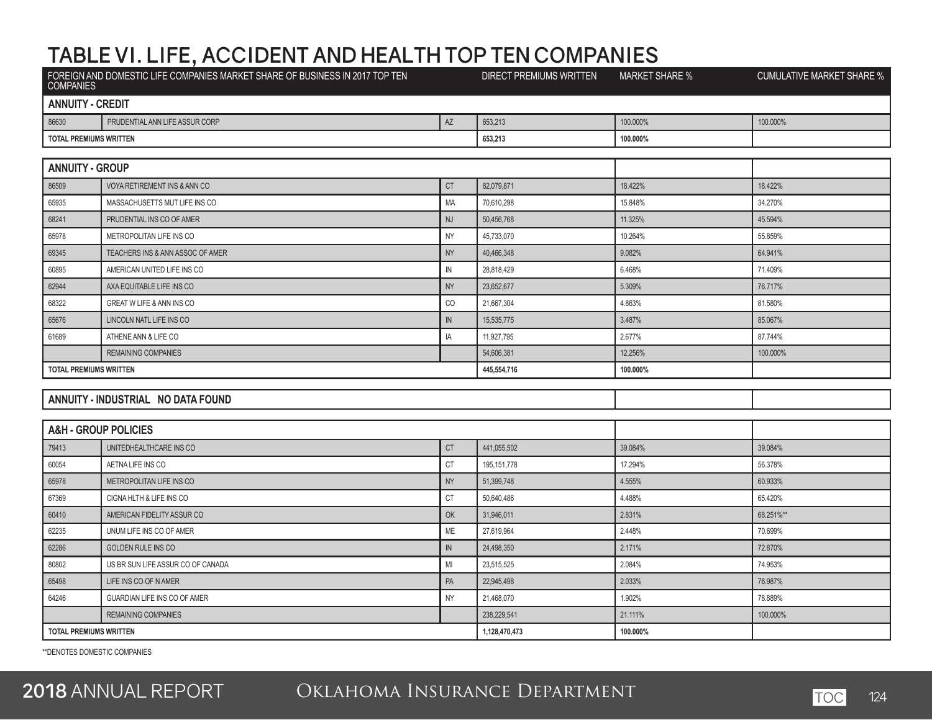|                               | FOREIGN AND DOMESTIC LIFE COMPANIES MARKET SHARE OF BUSINESS IN 2017 TOP TEN |                         | DIRECT PREMIUMS WRITTEN | <b>MARKET SHARE %</b> | <b>CUMULATIVE MARKET SHARE %</b> |
|-------------------------------|------------------------------------------------------------------------------|-------------------------|-------------------------|-----------------------|----------------------------------|
| <b>ANNUITY - CREDIT</b>       |                                                                              |                         |                         |                       |                                  |
| 86630                         | PRUDENTIAL ANN LIFE ASSUR CORP                                               | AZ                      | 653,213                 | 100.000%              | 100.000%                         |
| <b>TOTAL PREMIUMS WRITTEN</b> |                                                                              |                         | 653,213                 | 100.000%              |                                  |
|                               |                                                                              |                         |                         |                       |                                  |
| <b>ANNUITY - GROUP</b>        |                                                                              |                         |                         |                       |                                  |
| 86509                         | VOYA RETIREMENT INS & ANN CO                                                 | CT                      | 82,079,871              | 18.422%               | 18.422%                          |
| 65935                         | MASSACHUSETTS MUT LIFE INS CO                                                | MA                      | 70,610,298              | 15.848%               | 34.270%                          |
| 68241                         | PRUDENTIAL INS CO OF AMER                                                    | <b>NJ</b>               | 50,456,768              | 11.325%               | 45.594%                          |
| 65978                         | METROPOLITAN LIFE INS CO                                                     | <b>NY</b>               | 45,733,070              | 10.264%               | 55.859%                          |
| 69345                         | TEACHERS INS & ANN ASSOC OF AMER                                             | <b>NY</b>               | 40,466,348              | 9.082%                | 64.941%                          |
| 60895                         | AMERICAN UNITED LIFE INS CO                                                  | IN                      | 28,818,429              | 6.468%                | 71.409%                          |
| 62944                         | AXA EQUITABLE LIFE INS CO                                                    | <b>NY</b>               | 23,652,677              | 5.309%                | 76.717%                          |
| 68322                         | GREAT W LIFE & ANN INS CO                                                    | CO                      | 21,667,304              | 4.863%                | 81.580%                          |
| 65676                         | LINCOLN NATL LIFE INS CO                                                     | ${\sf IN}$              | 15,535,775              | 3.487%                | 85.067%                          |
| 61689                         | ATHENE ANN & LIFE CO                                                         | IA                      | 11,927,795              | 2.677%                | 87.744%                          |
|                               | <b>REMAINING COMPANIES</b>                                                   |                         | 54,606,381              | 12.256%               | 100.000%                         |
| <b>TOTAL PREMIUMS WRITTEN</b> |                                                                              |                         | 445,554,716             | 100.000%              |                                  |
|                               |                                                                              |                         |                         |                       |                                  |
|                               | ANNUITY - INDUSTRIAL NO DATA FOUND                                           |                         |                         |                       |                                  |
|                               |                                                                              |                         |                         |                       |                                  |
|                               | <b>A&amp;H - GROUP POLICIES</b>                                              |                         |                         |                       |                                  |
| 79413                         | UNITEDHEALTHCARE INS CO                                                      | $\mathbb{C} \mathbb{T}$ | 441.055.502             | 39.084%               | 39.084%                          |
| 60054                         | AETNA LIFE INS CO                                                            | <b>CT</b>               | 195, 151, 778           | 17.294%               | 56.378%                          |
| 65978                         | METROPOLITAN LIFE INS CO                                                     | <b>NY</b>               | 51,399,748              | 4.555%                | 60.933%                          |
| 67369                         | CIGNA HLTH & LIFE INS CO                                                     | CT                      | 50,640,486              | 4.488%                | 65.420%                          |
| 60410                         | AMERICAN FIDELITY ASSUR CO                                                   | OK                      | 31,946,011              | 2.831%                | 68.251%**                        |
| 62235                         | UNUM LIFE INS CO OF AMER                                                     | ME                      | 27,619,964              | 2.448%                | 70.699%                          |
| 62286                         | <b>GOLDEN RULE INS CO</b>                                                    | IN                      | 24,498,350              | 2.171%                | 72.870%                          |
| 80802                         | US BR SUN LIFE ASSUR CO OF CANADA                                            | MI                      | 23,515,525              | 2.084%                | 74.953%                          |
| 65498                         | LIFE INS CO OF N AMER                                                        | PA                      | 22,945,498              | 2.033%                | 76.987%                          |
| 64246                         | GUARDIAN LIFE INS CO OF AMER                                                 | <b>NY</b>               | 21,468,070              | 1.902%                | 78.889%                          |
|                               | <b>REMAINING COMPANIES</b>                                                   |                         | 238,229,541             | 21.111%               | 100.000%                         |
| <b>TOTAL PREMIUMS WRITTEN</b> |                                                                              |                         | 1,128,470,473           | 100.000%              |                                  |
|                               |                                                                              |                         |                         |                       |                                  |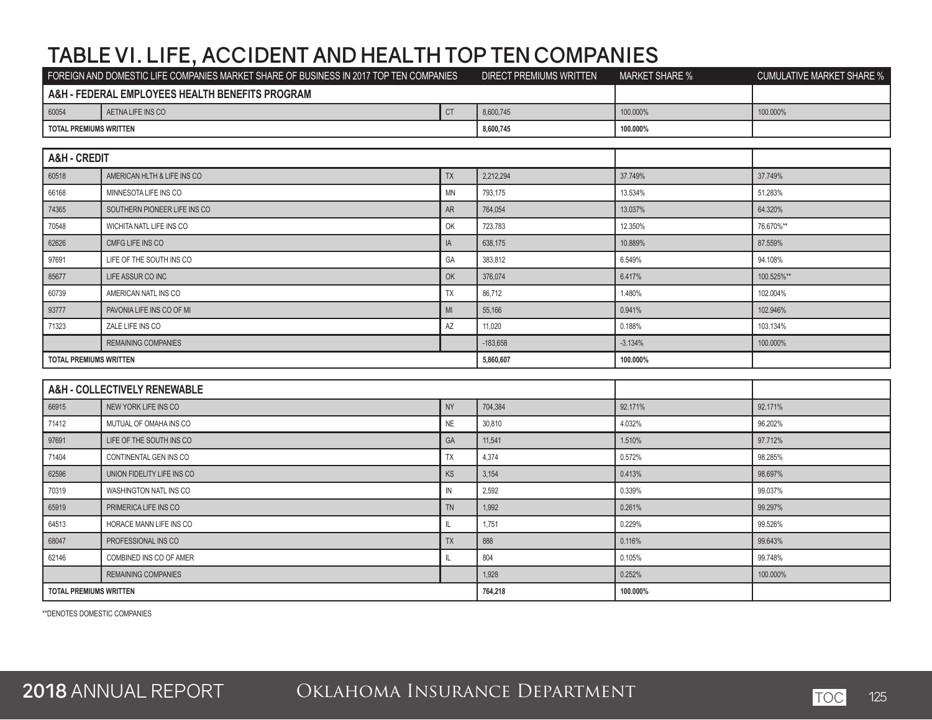|                               | FOREIGN AND DOMESTIC LIFE COMPANIES MARKET SHARE OF BUSINESS IN 2017 TOP TEN COMPANIES |                | DIRECT PREMIUMS WRITTEN | <b>MARKET SHARE %</b> | <b>CUMULATIVE MARKET SHARE %</b> |
|-------------------------------|----------------------------------------------------------------------------------------|----------------|-------------------------|-----------------------|----------------------------------|
|                               | A&H - FEDERAL EMPLOYEES HEALTH BENEFITS PROGRAM                                        |                |                         |                       |                                  |
| 60054                         | AETNA LIFE INS CO                                                                      | CT             | 8,600,745               | 100.000%              | 100.000%                         |
| <b>TOTAL PREMIUMS WRITTEN</b> |                                                                                        |                | 8,600,745               | 100.000%              |                                  |
|                               |                                                                                        |                |                         |                       |                                  |
| <b>A&amp;H - CREDIT</b>       |                                                                                        |                |                         |                       |                                  |
| 60518                         | AMERICAN HLTH & LIFE INS CO                                                            | TX             | 2,212,294               | 37.749%               | 37.749%                          |
| 66168                         | MINNESOTA LIFE INS CO                                                                  | <b>MN</b>      | 793,175                 | 13.534%               | 51.283%                          |
| 74365                         | SOUTHERN PIONEER LIFE INS CO                                                           | AR             | 764,054                 | 13.037%               | 64.320%                          |
| 70548                         | WICHITA NATL LIFE INS CO                                                               | OK             | 723,783                 | 12.350%               | 76.670%**                        |
| 62626                         | CMFG LIFE INS CO                                                                       | IA             | 638,175                 | 10.889%               | 87.559%                          |
| 97691                         | LIFE OF THE SOUTH INS CO                                                               | GA             | 383,812                 | 6.549%                | 94.108%                          |
| 85677                         | LIFE ASSUR CO INC                                                                      | OK             | 376,074                 | 6.417%                | 100.525%**                       |
| 60739                         | AMERICAN NATL INS CO                                                                   | TX             | 86,712                  | 1.480%                | 102.004%                         |
| 93777                         | PAVONIA LIFE INS CO OF MI                                                              | M <sub>l</sub> | 55,166                  | 0.941%                | 102.946%                         |
| 71323                         | ZALE LIFE INS CO                                                                       | AZ             | 11,020                  | 0.188%                | 103.134%                         |
|                               | <b>REMAINING COMPANIES</b>                                                             |                | $-183,658$              | $-3.134%$             | 100.000%                         |
| <b>TOTAL PREMIUMS WRITTEN</b> |                                                                                        |                | 5,860,607               | 100.000%              |                                  |
|                               |                                                                                        |                |                         |                       |                                  |
|                               | A&H - COLLECTIVELY RENEWABLE                                                           |                |                         |                       |                                  |
| 66915                         | NEW YORK LIFE INS CO                                                                   | <b>NY</b>      | 704.384                 | 92.171%               | 92.171%                          |
| 71412                         | MUTUAL OF OMAHA INS CO                                                                 | <b>NE</b>      | 30,810                  | 4.032%                | 96.202%                          |
| 97691                         | LIFE OF THE SOUTH INS CO                                                               | GA             | 11,541                  | 1.510%                | 97.712%                          |
| 71404                         | CONTINENTAL GEN INS CO                                                                 | TX             | 4,374                   | 0.572%                | 98.285%                          |
| 62596                         | UNION FIDELITY LIFE INS CO                                                             | KS             | 3,154                   | 0.413%                | 98.697%                          |
| 70319                         | WASHINGTON NATL INS CO                                                                 | IN             | 2,592                   | 0.339%                | 99.037%                          |
| 65919                         | PRIMERICA LIFE INS CO                                                                  | <b>TN</b>      | 1,992                   | 0.261%                | 99.297%                          |
| 64513                         | HORACE MANN LIFE INS CO                                                                | $\mathbb L$    | 1,751                   | 0.229%                | 99.526%                          |
| 68047                         | PROFESSIONAL INS CO                                                                    | <b>TX</b>      | 888                     | 0.116%                | 99.643%                          |
| 62146                         | COMBINED INS CO OF AMER                                                                | IL             | 804                     | 0.105%                | 99.748%                          |
|                               | REMAINING COMPANIES                                                                    |                | 1,928                   | 0.252%                | 100.000%                         |
| <b>TOTAL PREMIUMS WRITTEN</b> |                                                                                        |                | 764,218                 | 100.000%              |                                  |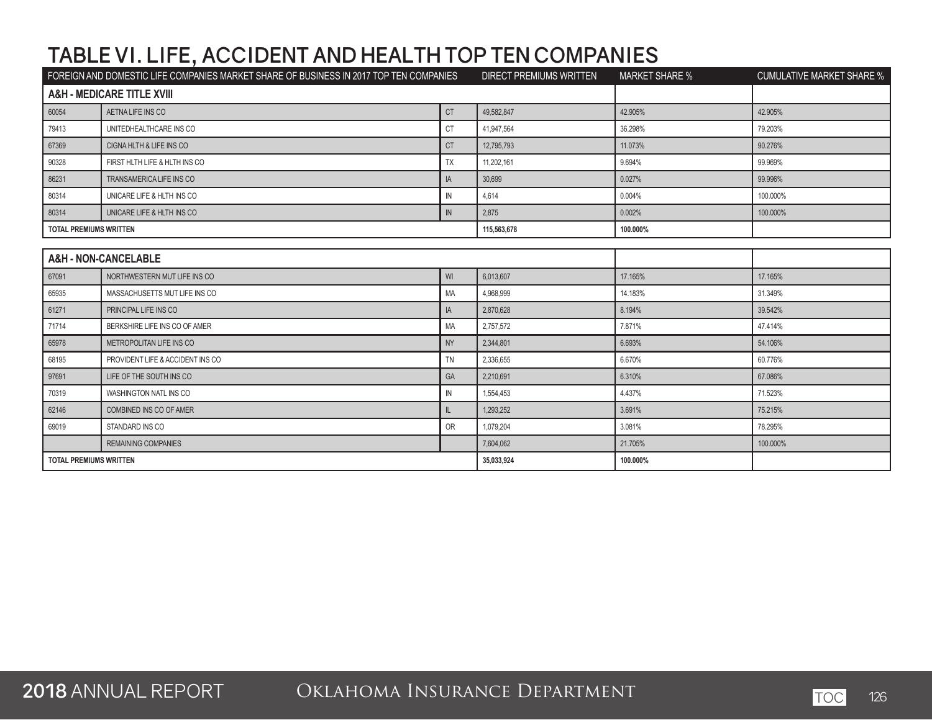| FOREIGN AND DOMESTIC LIFE COMPANIES MARKET SHARE OF BUSINESS IN 2017 TOP TEN COMPANIES |                                       | <b>DIRECT PREMIUMS WRITTEN</b> | <b>MARKET SHARE %</b> | <b>CUMULATIVE MARKET SHARE %</b> |          |
|----------------------------------------------------------------------------------------|---------------------------------------|--------------------------------|-----------------------|----------------------------------|----------|
|                                                                                        | <b>A&amp;H - MEDICARE TITLE XVIII</b> |                                |                       |                                  |          |
| 60054                                                                                  | AETNA LIFE INS CO                     | <b>CT</b>                      | 49,582,847            | 42.905%                          | 42.905%  |
| 79413                                                                                  | UNITEDHEALTHCARE INS CO               | <b>CT</b>                      | 41,947,564            | 36.298%                          | 79.203%  |
| 67369                                                                                  | CIGNA HLTH & LIFE INS CO              | <b>CT</b>                      | 12,795,793            | 11.073%                          | 90.276%  |
| 90328                                                                                  | FIRST HLTH LIFE & HLTH INS CO         | <b>TX</b>                      | 11,202,161            | 9.694%                           | 99.969%  |
| 86231                                                                                  | TRANSAMERICA LIFE INS CO              | IA                             | 30,699                | 0.027%                           | 99.996%  |
| 80314                                                                                  | UNICARE LIFE & HLTH INS CO            | $\mathsf{IN}$                  | 4,614                 | 0.004%                           | 100.000% |
| 80314                                                                                  | UNICARE LIFE & HLTH INS CO            | ${\sf IN}$                     | 2,875                 | 0.002%                           | 100.000% |
| <b>TOTAL PREMIUMS WRITTEN</b>                                                          |                                       |                                | 115,563,678           | 100.000%                         |          |
|                                                                                        |                                       |                                |                       |                                  |          |
|                                                                                        | A&H - NON-CANCELABLE                  |                                |                       |                                  |          |
| 67091                                                                                  | NORTHWESTERN MUT LIFE INS CO          | WI                             | 6,013,607             | 17.165%                          | 17.165%  |
| 65935                                                                                  | MASSACHUSETTS MUT LIFE INS CO         | <b>MA</b>                      | 4,968,999             | 14.183%                          | 31.349%  |
| 61271                                                                                  | PRINCIPAL LIFE INS CO                 | IA                             | 2,870,628             | 8.194%                           | 39.542%  |
| 71714                                                                                  | BERKSHIRE LIFE INS CO OF AMER         | MA                             | 2,757,572             | 7.871%                           | 47.414%  |
| 65978                                                                                  | METROPOLITAN LIFE INS CO              | <b>NY</b>                      | 2,344,801             | 6.693%                           | 54.106%  |
| 68195                                                                                  | PROVIDENT LIFE & ACCIDENT INS CO      | <b>TN</b>                      | 2,336,655             | 6.670%                           | 60.776%  |
| 97691                                                                                  | LIFE OF THE SOUTH INS CO              | GA                             | 2,210,691             | 6.310%                           | 67.086%  |
| 70319                                                                                  | WASHINGTON NATL INS CO                | ${\sf IN}$                     | 1,554,453             | 4.437%                           | 71.523%  |
| 62146                                                                                  | COMBINED INS CO OF AMER               | $\mathsf{II}$                  | 1,293,252             | 3.691%                           | 75.215%  |
| 69019                                                                                  | STANDARD INS CO                       | <b>OR</b>                      | 1,079,204             | 3.081%                           | 78.295%  |
|                                                                                        | <b>REMAINING COMPANIES</b>            |                                | 7,604,062             | 21.705%                          | 100.000% |
| <b>TOTAL PREMIUMS WRITTEN</b>                                                          |                                       | 35,033,924                     | 100.000%              |                                  |          |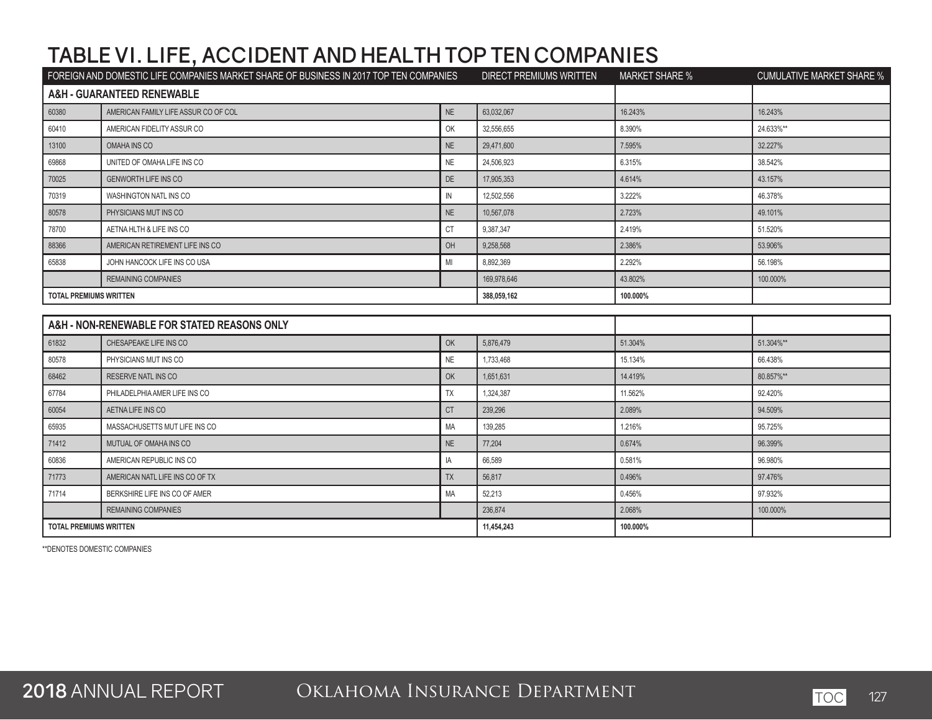|                               | FOREIGN AND DOMESTIC LIFE COMPANIES MARKET SHARE OF BUSINESS IN 2017 TOP TEN COMPANIES |              | <b>DIRECT PREMIUMS WRITTEN</b> | <b>MARKET SHARE %</b> | <b>CUMULATIVE MARKET SHARE %</b> |
|-------------------------------|----------------------------------------------------------------------------------------|--------------|--------------------------------|-----------------------|----------------------------------|
|                               | A&H - GUARANTEED RENEWABLE                                                             |              |                                |                       |                                  |
| 60380                         | AMERICAN FAMILY LIFE ASSUR CO OF COL                                                   | NE           | 63,032,067                     | 16.243%               | 16.243%                          |
| 60410                         | AMERICAN FIDELITY ASSUR CO                                                             | OK           | 32,556,655                     | 8.390%                | 24.633%**                        |
| 13100                         | OMAHA INS CO                                                                           | <b>NE</b>    | 29.471.600                     | 7.595%                | 32.227%                          |
| 69868                         | UNITED OF OMAHA LIFE INS CO                                                            | <b>NE</b>    | 24,506,923                     | 6.315%                | 38.542%                          |
| 70025                         | <b>GENWORTH LIFE INS CO</b>                                                            | DE           | 17,905,353                     | 4.614%                | 43.157%                          |
| 70319                         | WASHINGTON NATL INS CO                                                                 | $\mathbb{N}$ | 12,502,556                     | 3.222%                | 46.378%                          |
| 80578                         | PHYSICIANS MUT INS CO                                                                  | NE           | 10,567,078                     | 2.723%                | 49.101%                          |
| 78700                         | AETNA HLTH & LIFE INS CO                                                               | <b>CT</b>    | 9,387,347                      | 2.419%                | 51.520%                          |
| 88366                         | AMERICAN RETIREMENT LIFE INS CO                                                        | OH           | 9.258.568                      | 2.386%                | 53.906%                          |
| 65838                         | JOHN HANCOCK LIFE INS CO USA                                                           | MI           | 8,892,369                      | 2.292%                | 56.198%                          |
|                               | <b>REMAINING COMPANIES</b>                                                             |              | 169,978,646                    | 43.802%               | 100.000%                         |
| <b>TOTAL PREMIUMS WRITTEN</b> |                                                                                        |              | 388,059,162                    | 100.000%              |                                  |
|                               |                                                                                        |              |                                |                       |                                  |
|                               | A&H - NON-RENEWABLE FOR STATED REASONS ONLY                                            |              |                                |                       |                                  |
| 61832                         | CHESAPEAKE LIFE INS CO                                                                 | OK           | 5,876,479                      | 51.304%               | 51.304%**                        |
| 80578                         | PHYSICIANS MUT INS CO                                                                  | <b>NE</b>    | 1,733,468                      | 15.134%               | 66.438%                          |
| 68462                         | RESERVE NATL INS CO                                                                    | OK           | 1,651,631                      | 14.419%               | 80.857%**                        |
| 67784                         | PHILADELPHIA AMER LIFE INS CO                                                          | <b>TX</b>    | 1,324,387                      | 11.562%               | 92.420%                          |
| 60054                         | AETNA LIFE INS CO                                                                      | <b>CT</b>    | 239.296                        | 2.089%                | 94.509%                          |
| 65935                         | MASSACHUSETTS MUT LIFE INS CO                                                          | <b>MA</b>    | 139,285                        | 1.216%                | 95.725%                          |
| 71412                         | MUTUAL OF OMAHA INS CO                                                                 | <b>NE</b>    | 77,204                         | 0.674%                | 96.399%                          |
| 60836                         | AMERICAN REPUBLIC INS CO                                                               | IA           | 66,589                         | 0.581%                | 96.980%                          |
| 71773                         | AMERICAN NATL LIFE INS CO OF TX                                                        | <b>TX</b>    | 56,817                         | 0.496%                | 97.476%                          |
| 71714                         | BERKSHIRE LIFE INS CO OF AMER                                                          | <b>MA</b>    | 52,213                         | 0.456%                | 97.932%                          |
|                               | <b>REMAINING COMPANIES</b>                                                             |              | 236.874                        | 2.068%                | 100.000%                         |
| <b>TOTAL PREMIUMS WRITTEN</b> |                                                                                        | 11,454,243   | 100.000%                       |                       |                                  |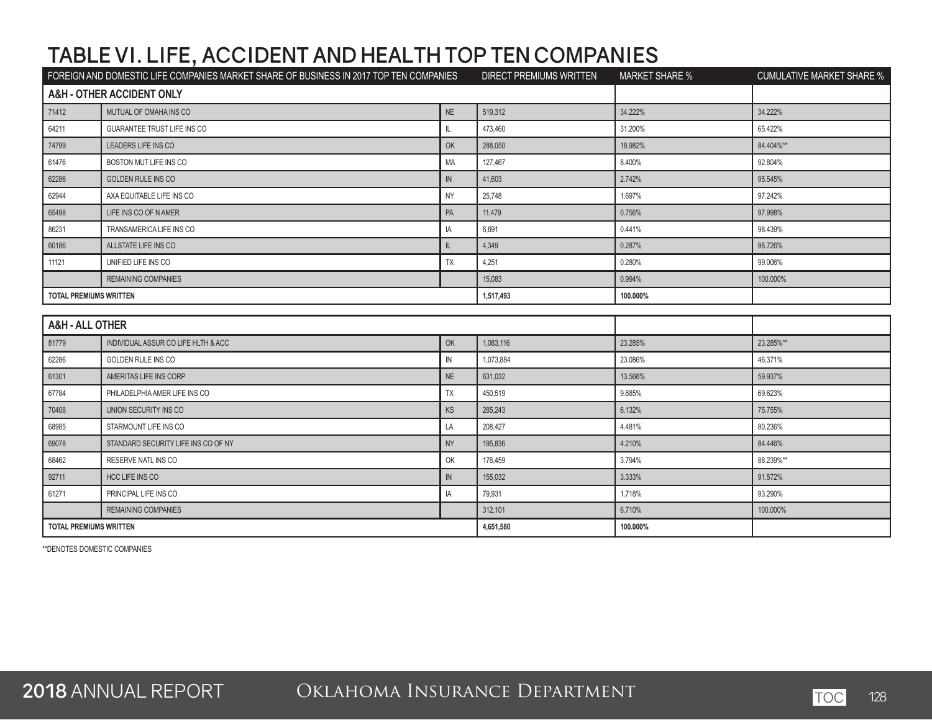|                               | FOREIGN AND DOMESTIC LIFE COMPANIES MARKET SHARE OF BUSINESS IN 2017 TOP TEN COMPANIES |               | DIRECT PREMIUMS WRITTEN | <b>MARKET SHARE %</b> | <b>CUMULATIVE MARKET SHARE %</b> |
|-------------------------------|----------------------------------------------------------------------------------------|---------------|-------------------------|-----------------------|----------------------------------|
|                               | <b>A&amp;H - OTHER ACCIDENT ONLY</b>                                                   |               |                         |                       |                                  |
| 71412                         | MUTUAL OF OMAHA INS CO                                                                 | NE            | 519.312                 | 34.222%               | 34.222%                          |
| 64211                         | GUARANTEE TRUST LIFE INS CO                                                            | IL            | 473,460                 | 31.200%               | 65.422%                          |
| 74799                         | LEADERS LIFE INS CO                                                                    | OK            | 288,050                 | 18.982%               | 84.404%**                        |
| 61476                         | BOSTON MUT LIFE INS CO                                                                 | MA            | 127,467                 | 8.400%                | 92.804%                          |
| 62286                         | <b>GOLDEN RULE INS CO</b>                                                              | $\mathsf{IN}$ | 41,603                  | 2.742%                | 95.545%                          |
| 62944                         | AXA EQUITABLE LIFE INS CO                                                              | <b>NY</b>     | 25,748                  | 1.697%                | 97.242%                          |
| 65498                         | LIFE INS CO OF N AMER                                                                  | PA            | 11,479                  | 0.756%                | 97.998%                          |
| 86231                         | TRANSAMERICA LIFE INS CO                                                               | IA            | 6,691                   | 0.441%                | 98.439%                          |
| 60186                         | ALLSTATE LIFE INS CO                                                                   | $\mathbb{L}$  | 4,349                   | 0.287%                | 98.726%                          |
| 11121                         | UNIFIED LIFE INS CO                                                                    | <b>TX</b>     | 4,251                   | 0.280%                | 99.006%                          |
|                               | <b>REMAINING COMPANIES</b>                                                             |               | 15,083                  | 0.994%                | 100.000%                         |
| <b>TOTAL PREMIUMS WRITTEN</b> |                                                                                        |               | 1,517,493               | 100.000%              |                                  |
|                               |                                                                                        |               |                         |                       |                                  |
| <b>A&amp;H - ALL OTHER</b>    |                                                                                        |               |                         |                       |                                  |
| 81779                         | INDIVIDUAL ASSUR CO LIFE HLTH & ACC                                                    | OK            | 1,083,116               | 23.285%               | 23.285%**                        |
| 62286                         | <b>GOLDEN RULE INS CO</b>                                                              | IN            | 1,073,884               | 23.086%               | 46.371%                          |
| 61301                         | AMERITAS LIFE INS CORP                                                                 | NE            | 631,032                 | 13.566%               | 59.937%                          |
| 67784                         | PHILADELPHIA AMER LIFE INS CO                                                          | TX            | 450,519                 | 9.685%                | 69.623%                          |
| 70408                         | UNION SECURITY INS CO                                                                  | KS            | 285,243                 | 6.132%                | 75.755%                          |
| 68985                         | STARMOUNT LIFE INS CO                                                                  | LA            | 208,427                 | 4.481%                | 80.236%                          |
| 69078                         | STANDARD SECURITY LIFE INS CO OF NY                                                    | <b>NY</b>     | 195,836                 | 4.210%                | 84.446%                          |
| 68462                         | <b>RESERVE NATL INS CO</b>                                                             | OK            | 176,459                 | 3.794%                | 88.239%**                        |
| 92711                         | HCC LIFE INS CO                                                                        | $\mathsf{IN}$ | 155,032                 | 3.333%                | 91.572%                          |
| 61271                         | PRINCIPAL LIFE INS CO                                                                  | IA            | 79,931                  | 1.718%                | 93.290%                          |
|                               | <b>REMAINING COMPANIES</b>                                                             |               | 312,101                 | 6.710%                | 100.000%                         |
| <b>TOTAL PREMIUMS WRITTEN</b> |                                                                                        | 4,651,580     | 100.000%                |                       |                                  |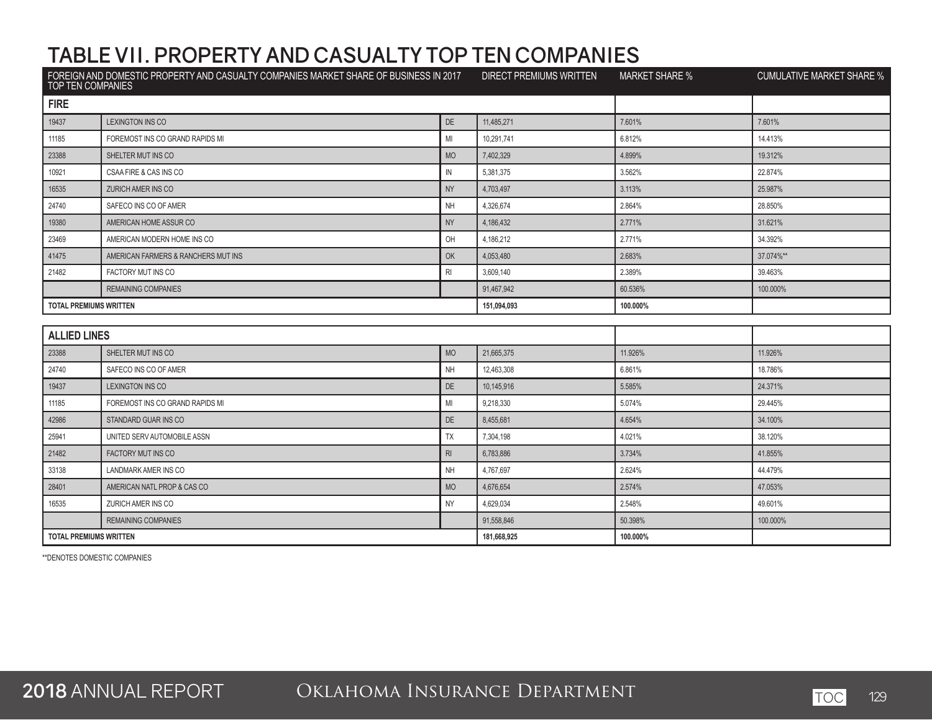| TOP TEN COMPANIES             | FOREIGN AND DOMESTIC PROPERTY AND CASUALTY COMPANIES MARKET SHARE OF BUSINESS IN 2017 |           | DIRECT PREMIUMS WRITTEN | <b>MARKET SHARE %</b> | <b>CUMULATIVE MARKET SHARE %</b> |
|-------------------------------|---------------------------------------------------------------------------------------|-----------|-------------------------|-----------------------|----------------------------------|
| <b>FIRE</b>                   |                                                                                       |           |                         |                       |                                  |
| 19437                         | LEXINGTON INS CO                                                                      | DE        | 11,485,271              | 7.601%                | 7.601%                           |
| 11185                         | FOREMOST INS CO GRAND RAPIDS MI                                                       | MI        | 10,291,741              | 6.812%                | 14.413%                          |
| 23388                         | SHELTER MUT INS CO                                                                    | <b>MO</b> | 7,402,329               | 4.899%                | 19.312%                          |
| 10921                         | CSAA FIRE & CAS INS CO                                                                | IN        | 5,381,375               | 3.562%                | 22.874%                          |
| 16535                         | ZURICH AMER INS CO                                                                    | <b>NY</b> | 4,703,497               | 3.113%                | 25.987%                          |
| 24740                         | SAFECO INS CO OF AMER                                                                 | <b>NH</b> | 4,326,674               | 2.864%                | 28.850%                          |
| 19380                         | AMERICAN HOME ASSUR CO                                                                | <b>NY</b> | 4,186,432               | 2.771%                | 31.621%                          |
| 23469                         | AMERICAN MODERN HOME INS CO                                                           | OH        | 4,186,212               | 2.771%                | 34.392%                          |
| 41475                         | AMERICAN FARMERS & RANCHERS MUT INS                                                   | OK        | 4,053,480               | 2.683%                | 37.074%**                        |
| 21482                         | FACTORY MUT INS CO                                                                    | RI        | 3,609,140               | 2.389%                | 39.463%                          |
|                               | <b>REMAINING COMPANIES</b>                                                            |           | 91,467,942              | 60.536%               | 100.000%                         |
| <b>TOTAL PREMIUMS WRITTEN</b> |                                                                                       |           | 151,094,093             | 100.000%              |                                  |
|                               |                                                                                       |           |                         |                       |                                  |
| <b>ALLIED LINES</b>           |                                                                                       |           |                         |                       |                                  |
| 23388                         | SHELTER MUT INS CO                                                                    | <b>MO</b> | 21,665,375              | 11.926%               | 11.926%                          |
| 24740                         | SAFECO INS CO OF AMER                                                                 | <b>NH</b> | 12,463,308              | 6.861%                | 18.786%                          |
| 19437                         | <b>LEXINGTON INS CO</b>                                                               | <b>DE</b> | 10.145.916              | 5.585%                | 24.371%                          |
| 11185                         | FOREMOST INS CO GRAND RAPIDS MI                                                       | MI        | 9,218,330               | 5.074%                | 29.445%                          |
| 42986                         | STANDARD GUAR INS CO                                                                  | DE        | 8,455,681               | 4.654%                | 34.100%                          |
| 25941                         | UNITED SERV AUTOMOBILE ASSN                                                           | TX        | 7,304,198               | 4.021%                | 38.120%                          |
| 21482                         | <b>FACTORY MUT INS CO</b>                                                             | RI        | 6,783,886               | 3.734%                | 41.855%                          |
| 33138                         | LANDMARK AMER INS CO                                                                  | <b>NH</b> | 4,767,697               | 2.624%                | 44.479%                          |
| 28401                         | AMERICAN NATL PROP & CAS CO                                                           | <b>MO</b> | 4,676,654               | 2.574%                | 47.053%                          |
| 16535                         | ZURICH AMER INS CO                                                                    | NY        | 4,629,034               | 2.548%                | 49.601%                          |
|                               | <b>REMAINING COMPANIES</b>                                                            |           | 91,558,846              | 50.398%               | 100.000%                         |
| <b>TOTAL PREMIUMS WRITTEN</b> |                                                                                       |           | 181,668,925             | 100.000%              |                                  |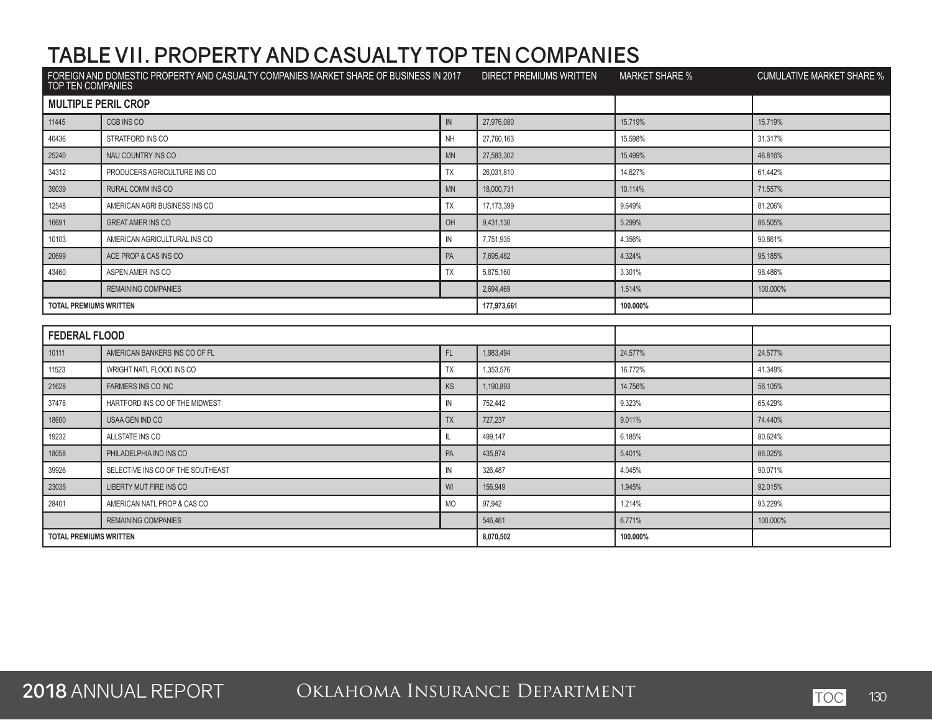| FOREIGN AND DOMESTIC PROPERTY AND CASUALTY COMPANIES MARKET SHARE OF BUSINESS IN 2017<br>TOP TEN COMPANIES |                                   | <b>DIRECT PREMIUMS WRITTEN</b> | <b>MARKET SHARE %</b> | <b>CUMULATIVE MARKET SHARE %</b> |          |
|------------------------------------------------------------------------------------------------------------|-----------------------------------|--------------------------------|-----------------------|----------------------------------|----------|
| <b>MULTIPLE PERIL CROP</b>                                                                                 |                                   |                                |                       |                                  |          |
| 11445                                                                                                      | CGB INS CO                        | IN                             | 27,976,080            | 15.719%                          | 15.719%  |
| 40436                                                                                                      | STRATFORD INS CO                  | <b>NH</b>                      | 27,760,163            | 15.598%                          | 31.317%  |
| 25240                                                                                                      | NAU COUNTRY INS CO                | MN                             | 27,583,302            | 15.499%                          | 46.816%  |
| 34312                                                                                                      | PRODUCERS AGRICULTURE INS CO      | TX                             | 26,031,810            | 14.627%                          | 61.442%  |
| 39039                                                                                                      | RURAL COMM INS CO                 | <b>MN</b>                      | 18,000,731            | 10.114%                          | 71.557%  |
| 12548                                                                                                      | AMERICAN AGRI BUSINESS INS CO     | TX                             | 17,173,399            | 9.649%                           | 81.206%  |
| 16691                                                                                                      | <b>GREAT AMER INS CO</b>          | OH                             | 9,431,130             | 5.299%                           | 86.505%  |
| 10103                                                                                                      | AMERICAN AGRICULTURAL INS CO      | $\mathsf{IN}$                  | 7,751,935             | 4.356%                           | 90.861%  |
| 20699                                                                                                      | ACE PROP & CAS INS CO             | PA                             | 7,695,482             | 4.324%                           | 95.185%  |
| 43460                                                                                                      | ASPEN AMER INS CO                 | <b>TX</b>                      | 5,875,160             | 3.301%                           | 98.486%  |
|                                                                                                            | <b>REMAINING COMPANIES</b>        |                                | 2,694,469             | 1.514%                           | 100.000% |
| <b>TOTAL PREMIUMS WRITTEN</b><br>177,973,661                                                               |                                   |                                |                       | 100.000%                         |          |
|                                                                                                            |                                   |                                |                       |                                  |          |
| <b>FEDERAL FLOOD</b>                                                                                       |                                   |                                |                       |                                  |          |
| 10111                                                                                                      | AMERICAN BANKERS INS CO OF FL     | FL                             | 1.983.494             | 24.577%                          | 24.577%  |
| 11523                                                                                                      | WRIGHT NATL FLOOD INS CO          | <b>TX</b>                      | 1,353,576             | 16.772%                          | 41.349%  |
| 21628                                                                                                      | FARMERS INS CO INC                | <b>KS</b>                      | 1,190,893             | 14.756%                          | 56.105%  |
| 37478                                                                                                      | HARTFORD INS CO OF THE MIDWEST    | ${\sf IN}$                     | 752,442               | 9.323%                           | 65.429%  |
| 18600                                                                                                      | USAA GEN IND CO                   | <b>TX</b>                      | 727,237               | 9.011%                           | 74.440%  |
| 19232                                                                                                      | ALLSTATE INS CO                   | $\mathbf{I}$                   | 499,147               | 6.185%                           | 80.624%  |
| 18058                                                                                                      | PHILADELPHIA IND INS CO           | PA                             | 435,874               | 5.401%                           | 86.025%  |
| 39926                                                                                                      | SELECTIVE INS CO OF THE SOUTHEAST | ${\sf IN}$                     | 326,487               | 4.045%                           | 90.071%  |
| 23035                                                                                                      | LIBERTY MUT FIRE INS CO           | WI                             | 156,949               | 1.945%                           | 92.015%  |
| 28401                                                                                                      | AMERICAN NATL PROP & CAS CO       | MO                             | 97,942                | 1.214%                           | 93.229%  |
|                                                                                                            | <b>REMAINING COMPANIES</b>        |                                | 546,461               | 6.771%                           | 100.000% |
| <b>TOTAL PREMIUMS WRITTEN</b>                                                                              |                                   | 8,070,502                      | 100.000%              |                                  |          |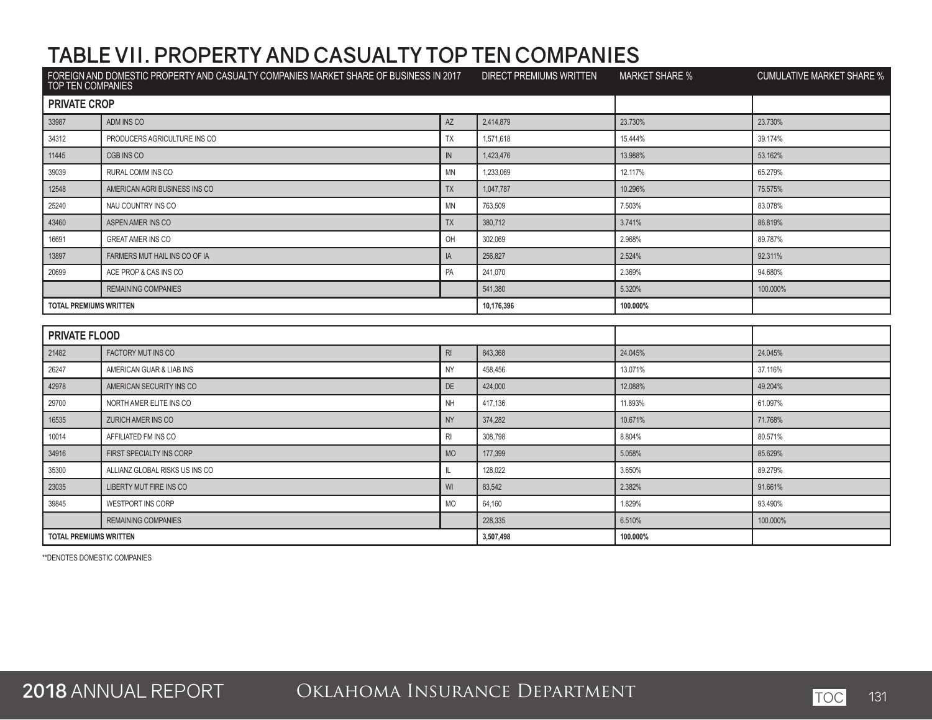| FOREIGN AND DOMESTIC PROPERTY AND CASUALTY COMPANIES MARKET SHARE OF BUSINESS IN 2017<br>TOP TEN COMPANIES |                                | <b>DIRECT PREMIUMS WRITTEN</b> | <b>MARKET SHARE %</b> | <b>CUMULATIVE MARKET SHARE %</b> |          |
|------------------------------------------------------------------------------------------------------------|--------------------------------|--------------------------------|-----------------------|----------------------------------|----------|
| <b>PRIVATE CROP</b>                                                                                        |                                |                                |                       |                                  |          |
| 33987                                                                                                      | ADM INS CO                     | AZ                             | 2,414,879             | 23.730%                          | 23.730%  |
| 34312                                                                                                      | PRODUCERS AGRICULTURE INS CO   | TX                             | 1,571,618             | 15.444%                          | 39.174%  |
| 11445                                                                                                      | CGB INS CO                     | $\mathsf{IN}$                  | 1,423,476             | 13.988%                          | 53.162%  |
| 39039                                                                                                      | RURAL COMM INS CO              | <b>MN</b>                      | 1,233,069             | 12.117%                          | 65.279%  |
| 12548                                                                                                      | AMERICAN AGRI BUSINESS INS CO  | <b>TX</b>                      | 1,047,787             | 10.296%                          | 75.575%  |
| 25240                                                                                                      | NAU COUNTRY INS CO             | <b>MN</b>                      | 763,509               | 7.503%                           | 83.078%  |
| 43460                                                                                                      | ASPEN AMER INS CO              | <b>TX</b>                      | 380,712               | 3.741%                           | 86.819%  |
| 16691                                                                                                      | <b>GREAT AMER INS CO</b>       | OH                             | 302.069               | 2.968%                           | 89.787%  |
| 13897                                                                                                      | FARMERS MUT HAIL INS CO OF IA  | IA                             | 256,827               | 2.524%                           | 92.311%  |
| 20699                                                                                                      | ACE PROP & CAS INS CO          | PA                             | 241.070               | 2.369%                           | 94.680%  |
|                                                                                                            | <b>REMAINING COMPANIES</b>     |                                | 541,380               | 5.320%                           | 100.000% |
| <b>TOTAL PREMIUMS WRITTEN</b><br>10,176,396                                                                |                                |                                |                       | 100.000%                         |          |
|                                                                                                            |                                |                                |                       |                                  |          |
| <b>PRIVATE FLOOD</b>                                                                                       |                                |                                |                       |                                  |          |
| 21482                                                                                                      | FACTORY MUT INS CO             | R <sub>l</sub>                 | 843.368               | 24.045%                          | 24.045%  |
| 26247                                                                                                      | AMERICAN GUAR & LIAB INS       | <b>NY</b>                      | 458,456               | 13.071%                          | 37.116%  |
| 42978                                                                                                      | AMERICAN SECURITY INS CO       | <b>DE</b>                      | 424,000               | 12.088%                          | 49.204%  |
| 29700                                                                                                      | NORTH AMER ELITE INS CO        | NH                             | 417,136               | 11.893%                          | 61.097%  |
| 16535                                                                                                      | <b>ZURICH AMER INS CO</b>      | <b>NY</b>                      | 374.282               | 10.671%                          | 71.768%  |
| 10014                                                                                                      | AFFILIATED FM INS CO           | R <sub>l</sub>                 | 308,798               | 8.804%                           | 80.571%  |
| 34916                                                                                                      | FIRST SPECIALTY INS CORP       | <b>MO</b>                      | 177.399               | 5.058%                           | 85.629%  |
| 35300                                                                                                      | ALLIANZ GLOBAL RISKS US INS CO | IL.                            | 128,022               | 3.650%                           | 89.279%  |
| 23035                                                                                                      | LIBERTY MUT FIRE INS CO        | WI                             | 83,542                | 2.382%                           | 91.661%  |
| 39845                                                                                                      | WESTPORT INS CORP              | <b>MO</b>                      | 64,160                | 1.829%                           | 93.490%  |
|                                                                                                            | <b>REMAINING COMPANIES</b>     |                                | 228,335               | 6.510%                           | 100.000% |
| <b>TOTAL PREMIUMS WRITTEN</b>                                                                              |                                |                                | 3,507,498             | 100.000%                         |          |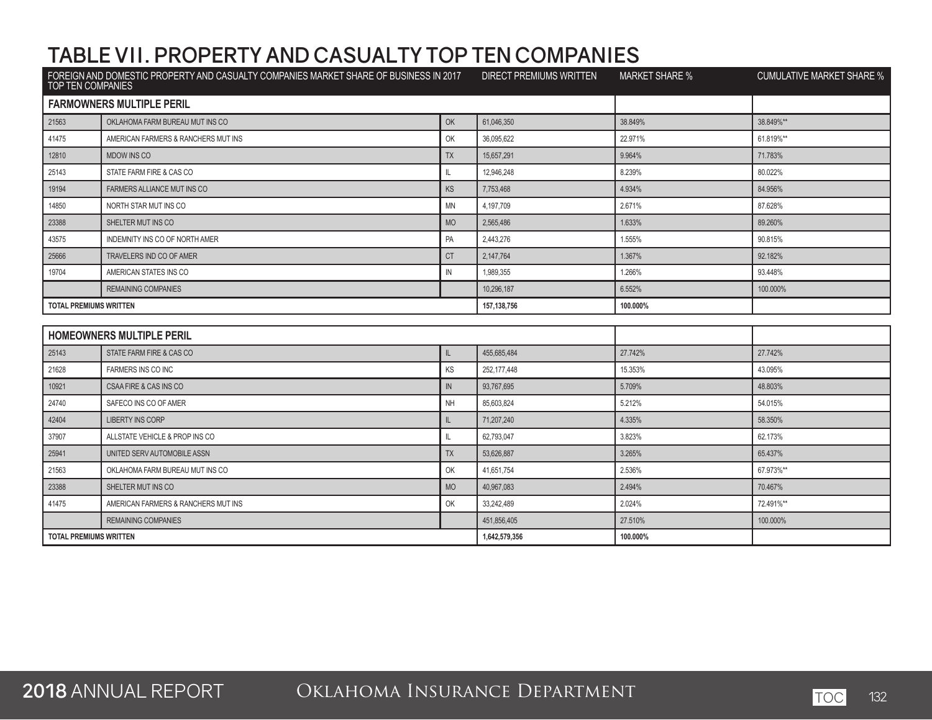| FOREIGN AND DOMESTIC PROPERTY AND CASUALTY COMPANIES MARKET SHARE OF BUSINESS IN 2017<br>TOP TEN COMPANIES |                                     | <b>DIRECT PREMIUMS WRITTEN</b> | <b>MARKET SHARE %</b> | <b>CUMULATIVE MARKET SHARE %</b> |           |
|------------------------------------------------------------------------------------------------------------|-------------------------------------|--------------------------------|-----------------------|----------------------------------|-----------|
|                                                                                                            | <b>FARMOWNERS MULTIPLE PERIL</b>    |                                |                       |                                  |           |
| 21563                                                                                                      | OKLAHOMA FARM BUREAU MUT INS CO     | OK                             | 61,046,350            | 38.849%                          | 38.849%** |
| 41475                                                                                                      | AMERICAN FARMERS & RANCHERS MUT INS | OK                             | 36,095,622            | 22.971%                          | 61.819%** |
| 12810                                                                                                      | <b>MDOW INS CO</b>                  | <b>TX</b>                      | 15,657,291            | 9.964%                           | 71.783%   |
| 25143                                                                                                      | STATE FARM FIRE & CAS CO            | $\mathbb L$                    | 12,946,248            | 8.239%                           | 80.022%   |
| 19194                                                                                                      | FARMERS ALLIANCE MUT INS CO         | KS                             | 7,753,468             | 4.934%                           | 84.956%   |
| 14850                                                                                                      | NORTH STAR MUT INS CO               | <b>MN</b>                      | 4,197,709             | 2.671%                           | 87.628%   |
| 23388                                                                                                      | SHELTER MUT INS CO                  | <b>MO</b>                      | 2,565,486             | 1.633%                           | 89.260%   |
| 43575                                                                                                      | INDEMNITY INS CO OF NORTH AMER      | PA                             | 2,443,276             | 1.555%                           | 90.815%   |
| 25666                                                                                                      | TRAVELERS IND CO OF AMER            | <b>CT</b>                      | 2,147,764             | 1.367%                           | 92.182%   |
| 19704                                                                                                      | AMERICAN STATES INS CO              | $\mathsf{IN}$                  | 1,989,355             | 1.266%                           | 93.448%   |
|                                                                                                            | <b>REMAINING COMPANIES</b>          |                                | 10,296,187            | 6.552%                           | 100.000%  |
| <b>TOTAL PREMIUMS WRITTEN</b>                                                                              |                                     |                                | 157, 138, 756         | 100.000%                         |           |
|                                                                                                            |                                     |                                |                       |                                  |           |
|                                                                                                            | <b>HOMEOWNERS MULTIPLE PERIL</b>    |                                |                       |                                  |           |
| 25143                                                                                                      | STATE FARM FIRE & CAS CO            | IL.                            | 455.685.484           | 27.742%                          | 27.742%   |
| 21628                                                                                                      | <b>FARMERS INS CO INC</b>           | KS                             | 252,177,448           | 15.353%                          | 43.095%   |
| 10921                                                                                                      | CSAA FIRE & CAS INS CO              | IN                             | 93,767,695            | 5.709%                           | 48.803%   |
| 24740                                                                                                      | SAFECO INS CO OF AMER               | <b>NH</b>                      | 85,603,824            | 5.212%                           | 54.015%   |
| 42404                                                                                                      | <b>LIBERTY INS CORP</b>             | $\mathbb{L}$                   | 71,207,240            | 4.335%                           | 58.350%   |
| 37907                                                                                                      | ALLSTATE VEHICLE & PROP INS CO      | $\mathbb I$                    | 62,793,047            | 3.823%                           | 62.173%   |
| 25941                                                                                                      | UNITED SERV AUTOMOBILE ASSN         | <b>TX</b>                      | 53,626,887            | 3.265%                           | 65.437%   |
| 21563                                                                                                      | OKLAHOMA FARM BUREAU MUT INS CO     | OK                             | 41,651,754            | 2.536%                           | 67.973%** |
| 23388                                                                                                      | SHELTER MUT INS CO                  | <b>MO</b>                      | 40,967,083            | 2.494%                           | 70.467%   |
| 41475                                                                                                      | AMERICAN FARMERS & RANCHERS MUT INS | OK                             | 33,242,489            | 2.024%                           | 72.491%** |
|                                                                                                            | <b>REMAINING COMPANIES</b>          |                                | 451,856,405           | 27.510%                          | 100.000%  |
| <b>TOTAL PREMIUMS WRITTEN</b>                                                                              |                                     | 1,642,579,356                  | 100.000%              |                                  |           |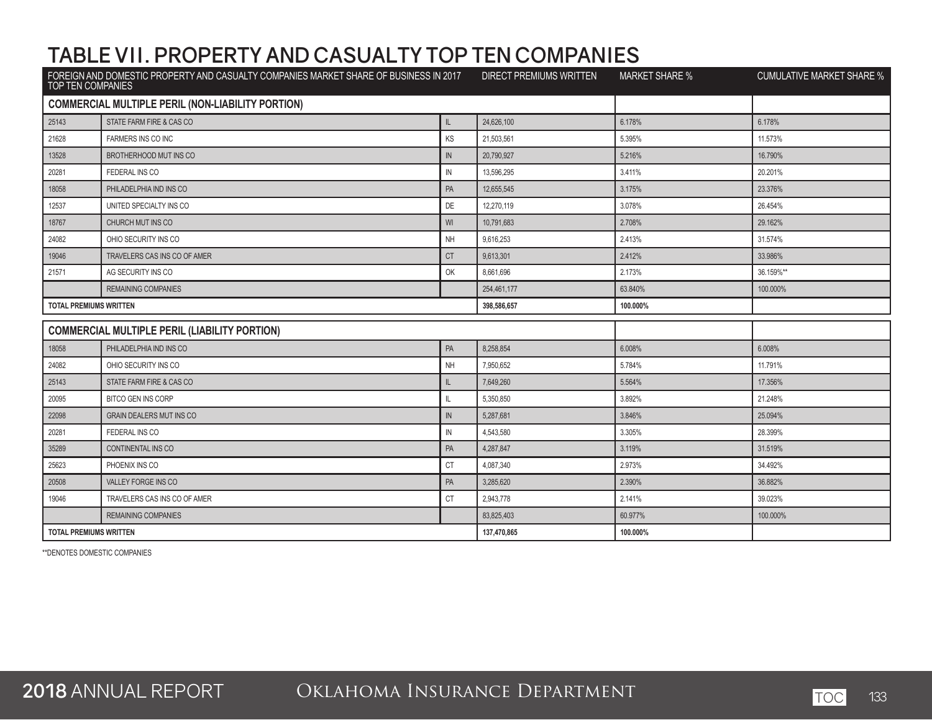| FOREIGN AND DOMESTIC PROPERTY AND CASUALTY COMPANIES MARKET SHARE OF BUSINESS IN 2017<br>TOP TEN COMPANIES |                                                          | <b>DIRECT PREMIUMS WRITTEN</b> | <b>MARKET SHARE %</b> | <b>CUMULATIVE MARKET SHARE %</b> |           |
|------------------------------------------------------------------------------------------------------------|----------------------------------------------------------|--------------------------------|-----------------------|----------------------------------|-----------|
|                                                                                                            | <b>COMMERCIAL MULTIPLE PERIL (NON-LIABILITY PORTION)</b> |                                |                       |                                  |           |
| 25143                                                                                                      | STATE FARM FIRE & CAS CO                                 | $\mathsf{IL}$                  | 24,626,100            | 6.178%                           | 6.178%    |
| 21628                                                                                                      | FARMERS INS CO INC                                       | KS                             | 21,503,561            | 5.395%                           | 11.573%   |
| 13528                                                                                                      | BROTHERHOOD MUT INS CO                                   | $\mathsf{IN}$                  | 20,790,927            | 5.216%                           | 16.790%   |
| 20281                                                                                                      | FEDERAL INS CO                                           | $\mathbb N$                    | 13,596,295            | 3.411%                           | 20.201%   |
| 18058                                                                                                      | PHILADELPHIA IND INS CO                                  | PA                             | 12.655.545            | 3.175%                           | 23.376%   |
| 12537                                                                                                      | UNITED SPECIALTY INS CO                                  | DE                             | 12,270,119            | 3.078%                           | 26.454%   |
| 18767                                                                                                      | CHURCH MUT INS CO                                        | WI                             | 10,791,683            | 2.708%                           | 29.162%   |
| 24082                                                                                                      | OHIO SECURITY INS CO                                     | <b>NH</b>                      | 9,616,253             | 2.413%                           | 31.574%   |
| 19046                                                                                                      | TRAVELERS CAS INS CO OF AMER                             | <b>CT</b>                      | 9,613,301             | 2.412%                           | 33.986%   |
| 21571                                                                                                      | AG SECURITY INS CO                                       | OK                             | 8,661,696             | 2.173%                           | 36.159%** |
|                                                                                                            | <b>REMAINING COMPANIES</b>                               |                                | 254,461,177           | 63.840%                          | 100.000%  |
| <b>TOTAL PREMIUMS WRITTEN</b>                                                                              |                                                          |                                | 398,586,657           | 100.000%                         |           |
|                                                                                                            | <b>COMMERCIAL MULTIPLE PERIL (LIABILITY PORTION)</b>     |                                |                       |                                  |           |
| 18058                                                                                                      | PHILADELPHIA IND INS CO                                  | PA                             | 8.258.854             | 6.008%                           | 6.008%    |
| 24082                                                                                                      | OHIO SECURITY INS CO                                     | NH                             | 7,950,652             | 5.784%                           | 11.791%   |
| 25143                                                                                                      | STATE FARM FIRE & CAS CO                                 | $\mathbb{L}$                   | 7,649,260             | 5.564%                           | 17.356%   |
| 20095                                                                                                      | <b>BITCO GEN INS CORP</b>                                | IL                             | 5,350,850             | 3.892%                           | 21.248%   |
| 22098                                                                                                      | <b>GRAIN DEALERS MUT INS CO</b>                          | $\sf IN$                       | 5,287,681             | 3.846%                           | 25.094%   |
| 20281                                                                                                      | FEDERAL INS CO                                           | $\mathbb N$                    | 4,543,580             | 3.305%                           | 28.399%   |
| 35289                                                                                                      | CONTINENTAL INS CO                                       | PA                             | 4,287,847             | 3.119%                           | 31.519%   |
| 25623                                                                                                      | PHOENIX INS CO                                           | <b>CT</b>                      | 4,087,340             | 2.973%                           | 34.492%   |
| 20508                                                                                                      | VALLEY FORGE INS CO                                      | PA                             | 3,285,620             | 2.390%                           | 36.882%   |
| 19046                                                                                                      | TRAVELERS CAS INS CO OF AMER                             | СT                             | 2,943,778             | 2.141%                           | 39.023%   |
|                                                                                                            | <b>REMAINING COMPANIES</b>                               |                                | 83,825,403            | 60.977%                          | 100.000%  |
| <b>TOTAL PREMIUMS WRITTEN</b>                                                                              |                                                          |                                | 137,470,865           | 100.000%                         |           |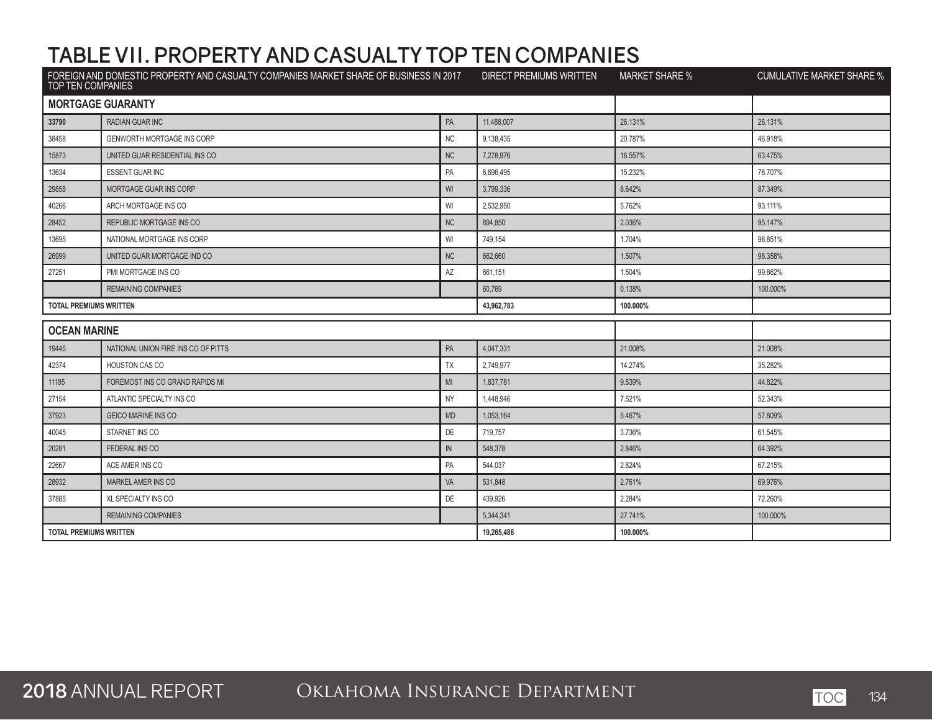| FOREIGN AND DOMESTIC PROPERTY AND CASUALTY COMPANIES MARKET SHARE OF BUSINESS IN 2017 DIRECT PREMIUMS WRITTEN<br><b>TOP TEN COMPANIES</b> |                                     |            | <b>MARKET SHARE %</b> | <b>CUMULATIVE MARKET SHARE %</b> |          |
|-------------------------------------------------------------------------------------------------------------------------------------------|-------------------------------------|------------|-----------------------|----------------------------------|----------|
| <b>MORTGAGE GUARANTY</b>                                                                                                                  |                                     |            |                       |                                  |          |
| 33790                                                                                                                                     | <b>RADIAN GUAR INC</b>              | PA         | 11.488.007            | 26.131%                          | 26.131%  |
| 38458                                                                                                                                     | <b>GENWORTH MORTGAGE INS CORP</b>   | <b>NC</b>  | 9,138,435             | 20.787%                          | 46.918%  |
| 15873                                                                                                                                     | UNITED GUAR RESIDENTIAL INS CO      | <b>NC</b>  | 7,278,976             | 16.557%                          | 63.475%  |
| 13634                                                                                                                                     | <b>ESSENT GUAR INC</b>              | PA         | 6,696,495             | 15.232%                          | 78.707%  |
| 29858                                                                                                                                     | <b>MORTGAGE GUAR INS CORP</b>       | WI         | 3,799,336             | 8.642%                           | 87.349%  |
| 40266                                                                                                                                     | ARCH MORTGAGE INS CO                | WI         | 2,532,950             | 5.762%                           | 93.111%  |
| 28452                                                                                                                                     | REPUBLIC MORTGAGE INS CO            | NC         | 894,850               | 2.036%                           | 95.147%  |
| 13695                                                                                                                                     | NATIONAL MORTGAGE INS CORP          | WI         | 749.154               | 1.704%                           | 96.851%  |
| 26999                                                                                                                                     | UNITED GUAR MORTGAGE IND CO         | <b>NC</b>  | 662,660               | 1.507%                           | 98.358%  |
| 27251                                                                                                                                     | PMI MORTGAGE INS CO                 | AZ         | 661,151               | 1.504%                           | 99.862%  |
|                                                                                                                                           | <b>REMAINING COMPANIES</b>          |            | 60,769                | 0.138%                           | 100.000% |
| <b>TOTAL PREMIUMS WRITTEN</b>                                                                                                             |                                     |            | 43,962,783            | 100.000%                         |          |
| <b>OCEAN MARINE</b>                                                                                                                       |                                     |            |                       |                                  |          |
| 19445                                                                                                                                     | NATIONAL UNION FIRE INS CO OF PITTS | PA         | 4,047,331             | 21.008%                          | 21.008%  |
| 42374                                                                                                                                     | <b>HOUSTON CAS CO</b>               | TX         | 2,749,977             | 14.274%                          | 35.282%  |
| 11185                                                                                                                                     | FOREMOST INS CO GRAND RAPIDS MI     | MI         | 1,837,781             | 9.539%                           | 44.822%  |
| 27154                                                                                                                                     | ATLANTIC SPECIALTY INS CO           | <b>NY</b>  | 1,448,946             | 7.521%                           | 52.343%  |
| 37923                                                                                                                                     | <b>GEICO MARINE INS CO</b>          | <b>MD</b>  | 1,053,164             | 5.467%                           | 57.809%  |
| 40045                                                                                                                                     | STARNET INS CO                      | DE         | 719,757               | 3.736%                           | 61.545%  |
| 20281                                                                                                                                     | FEDERAL INS CO                      | $\sf IN$   | 548,378               | 2.846%                           | 64.392%  |
| 22667                                                                                                                                     | ACE AMER INS CO                     | PA         | 544,037               | 2.824%                           | 67.215%  |
| 28932                                                                                                                                     | MARKEL AMER INS CO                  | VA         | 531,848               | 2.761%                           | 69.976%  |
| 37885                                                                                                                                     | XL SPECIALTY INS CO                 | DE         | 439,926               | 2.284%                           | 72.260%  |
|                                                                                                                                           | <b>REMAINING COMPANIES</b>          |            | 5,344,341             | 27.741%                          | 100.000% |
| <b>TOTAL PREMIUMS WRITTEN</b>                                                                                                             |                                     | 19,265,486 | 100.000%              |                                  |          |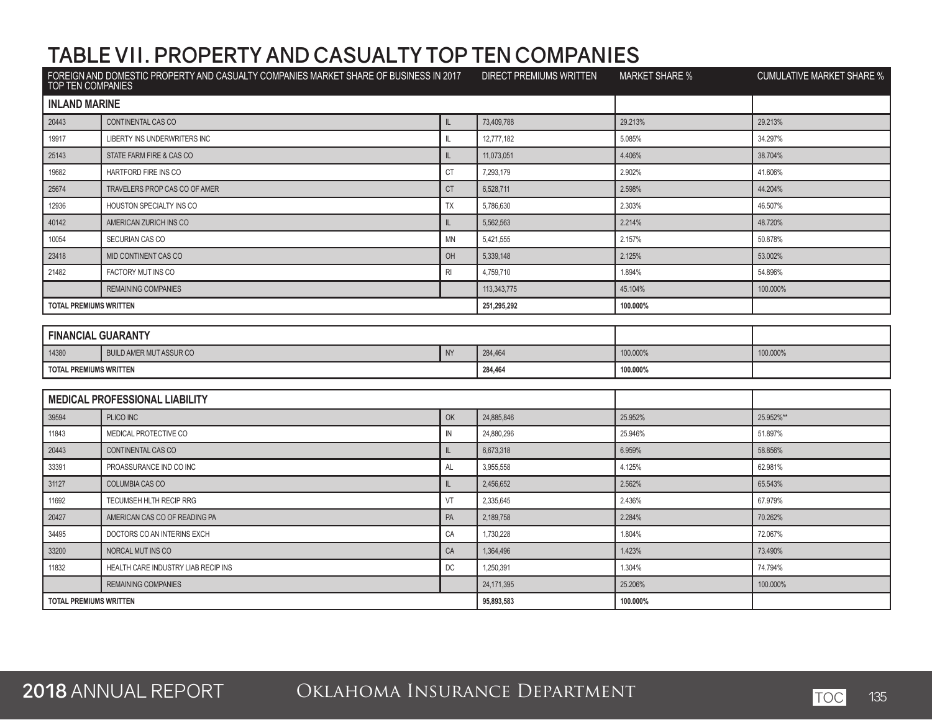|                               | FOREIGN AND DOMESTIC PROPERTY AND CASUALTY COMPANIES MARKET SHARE OF BUSINESS IN 2017<br>TOP TEN COMPANIES |               | DIRECT PREMIUMS WRITTEN | <b>MARKET SHARE %</b> | <b>CUMULATIVE MARKET SHARE %</b> |
|-------------------------------|------------------------------------------------------------------------------------------------------------|---------------|-------------------------|-----------------------|----------------------------------|
| <b>INLAND MARINE</b>          |                                                                                                            |               |                         |                       |                                  |
| 20443                         | CONTINENTAL CAS CO                                                                                         | L             | 73,409,788              | 29.213%               | 29.213%                          |
| 19917                         | LIBERTY INS UNDERWRITERS INC                                                                               | IL            | 12,777,182              | 5.085%                | 34.297%                          |
| 25143                         | STATE FARM FIRE & CAS CO                                                                                   | IL            | 11,073,051              | 4.406%                | 38.704%                          |
| 19682                         | HARTFORD FIRE INS CO                                                                                       | <b>CT</b>     | 7,293,179               | 2.902%                | 41.606%                          |
| 25674                         | TRAVELERS PROP CAS CO OF AMER                                                                              | <b>CT</b>     | 6,528,711               | 2.598%                | 44.204%                          |
| 12936                         | HOUSTON SPECIALTY INS CO                                                                                   | <b>TX</b>     | 5,786,630               | 2.303%                | 46.507%                          |
| 40142                         | AMERICAN ZURICH INS CO                                                                                     | IL.           | 5,562,563               | 2.214%                | 48.720%                          |
| 10054                         | SECURIAN CAS CO                                                                                            | <b>MN</b>     | 5,421,555               | 2.157%                | 50.878%                          |
| 23418                         | MID CONTINENT CAS CO                                                                                       | OH            | 5,339,148               | 2.125%                | 53.002%                          |
| 21482                         | FACTORY MUT INS CO                                                                                         | RI            | 4,759,710               | 1.894%                | 54.896%                          |
|                               | <b>REMAINING COMPANIES</b>                                                                                 |               | 113,343,775             | 45.104%               | 100.000%                         |
| <b>TOTAL PREMIUMS WRITTEN</b> |                                                                                                            |               | 251,295,292             | 100.000%              |                                  |
|                               |                                                                                                            |               |                         |                       |                                  |
| <b>FINANCIAL GUARANTY</b>     |                                                                                                            |               |                         |                       |                                  |
| 14380                         | <b>BUILD AMER MUT ASSUR CO</b>                                                                             | <b>NY</b>     | 284.464                 | 100.000%              | 100.000%                         |
| <b>TOTAL PREMIUMS WRITTEN</b> |                                                                                                            |               | 284,464                 | 100.000%              |                                  |
|                               | <b>MEDICAL PROFESSIONAL LIABILITY</b>                                                                      |               |                         |                       |                                  |
|                               |                                                                                                            |               |                         |                       |                                  |
| 39594                         | PLICO INC                                                                                                  | OK            | 24,885,846              | 25.952%               | 25.952%**                        |
| 11843                         | MEDICAL PROTECTIVE CO                                                                                      | IN            | 24,880,296              | 25.946%               | 51.897%                          |
| 20443                         | CONTINENTAL CAS CO                                                                                         | $\mathsf{IL}$ | 6,673,318               | 6.959%                | 58.856%                          |
| 33391                         | PROASSURANCE IND CO INC                                                                                    | AL            | 3,955,558               | 4.125%                | 62.981%                          |
| 31127                         | COLUMBIA CAS CO                                                                                            | L             | 2,456,652               | 2.562%                | 65.543%                          |
| 11692                         | <b>TECUMSEH HLTH RECIP RRG</b>                                                                             | VT            | 2,335,645               | 2.436%                | 67.979%                          |
| 20427                         | AMERICAN CAS CO OF READING PA                                                                              | PA            | 2,189,758               | 2.284%                | 70.262%                          |
| 34495                         | DOCTORS CO AN INTERINS EXCH                                                                                | CA            | 1,730,228               | 1.804%                | 72.067%                          |
| 33200                         | NORCAL MUT INS CO                                                                                          | CA            | 1,364,496               | 1.423%                | 73.490%                          |
| 11832                         | HEALTH CARE INDUSTRY LIAB RECIP INS                                                                        | DC            | 1,250,391               | 1.304%                | 74.794%                          |
|                               | <b>REMAINING COMPANIES</b>                                                                                 |               | 24,171,395              | 25.206%               | 100.000%                         |
| <b>TOTAL PREMIUMS WRITTEN</b> |                                                                                                            | 95,893,583    | 100.000%                |                       |                                  |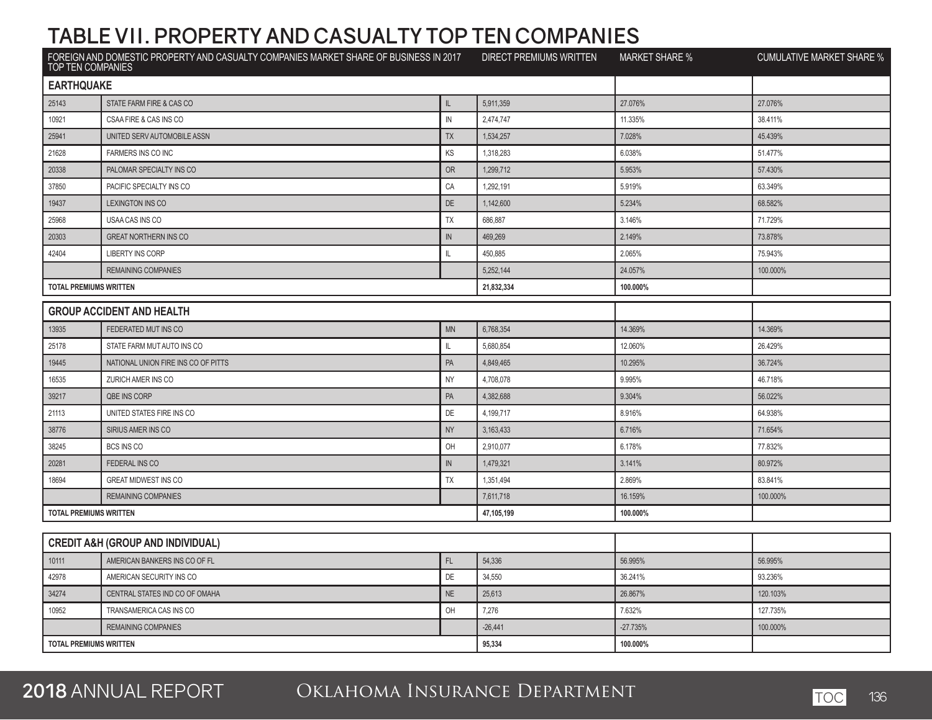| FOREIGN AND DOMESTIC PROPERTY AND CASUALTY COMPANIES MARKET SHARE OF BUSINESS IN 2017<br>TOP TEN COMPANIES |                                              | <b>DIRECT PREMIUMS WRITTEN</b> | <b>MARKET SHARE %</b> | <b>CUMULATIVE MARKET SHARE %</b> |          |
|------------------------------------------------------------------------------------------------------------|----------------------------------------------|--------------------------------|-----------------------|----------------------------------|----------|
| <b>EARTHQUAKE</b>                                                                                          |                                              |                                |                       |                                  |          |
| 25143                                                                                                      | STATE FARM FIRE & CAS CO                     | IL                             | 5,911,359             | 27.076%                          | 27.076%  |
| 10921                                                                                                      | CSAA FIRE & CAS INS CO                       | IN                             | 2,474,747             | 11.335%                          | 38.411%  |
| 25941                                                                                                      | UNITED SERV AUTOMOBILE ASSN                  | TX                             | 1,534,257             | 7.028%                           | 45.439%  |
| 21628                                                                                                      | FARMERS INS CO INC                           | KS                             | 1,318,283             | 6.038%                           | 51.477%  |
| 20338                                                                                                      | PALOMAR SPECIALTY INS CO                     | <b>OR</b>                      | 1,299,712             | 5.953%                           | 57.430%  |
| 37850                                                                                                      | PACIFIC SPECIALTY INS CO                     | CA                             | 1,292,191             | 5.919%                           | 63.349%  |
| 19437                                                                                                      | <b>LEXINGTON INS CO</b>                      | DE                             | 1,142,600             | 5.234%                           | 68.582%  |
| 25968                                                                                                      | USAA CAS INS CO                              | <b>TX</b>                      | 686,887               | 3.146%                           | 71.729%  |
| 20303                                                                                                      | <b>GREAT NORTHERN INS CO</b>                 | $\mathsf{IN}$                  | 469,269               | 2.149%                           | 73.878%  |
| 42404                                                                                                      | <b>LIBERTY INS CORP</b>                      | $\mathbf{I}$                   | 450,885               | 2.065%                           | 75.943%  |
|                                                                                                            | <b>REMAINING COMPANIES</b>                   |                                | 5,252,144             | 24.057%                          | 100.000% |
| <b>TOTAL PREMIUMS WRITTEN</b>                                                                              |                                              |                                | 21,832,334            | 100.000%                         |          |
|                                                                                                            | <b>GROUP ACCIDENT AND HEALTH</b>             |                                |                       |                                  |          |
| 13935                                                                                                      | FEDERATED MUT INS CO                         | <b>MN</b>                      | 6,768,354             | 14.369%                          | 14.369%  |
| 25178                                                                                                      | STATE FARM MUT AUTO INS CO                   | $\mathbb{I}$                   | 5,680,854             | 12.060%                          | 26.429%  |
| 19445                                                                                                      | NATIONAL UNION FIRE INS CO OF PITTS          | PA                             | 4,849,465             | 10.295%                          | 36.724%  |
| 16535                                                                                                      | ZURICH AMER INS CO                           | <b>NY</b>                      | 4,708,078             | 9.995%                           | 46.718%  |
| 39217                                                                                                      | <b>QBE INS CORP</b>                          | PA                             | 4,382,688             | 9.304%                           | 56.022%  |
| 21113                                                                                                      | UNITED STATES FIRE INS CO                    | DE                             | 4,199,717             | 8.916%                           | 64.938%  |
| 38776                                                                                                      | SIRIUS AMER INS CO                           | <b>NY</b>                      | 3,163,433             | 6.716%                           | 71.654%  |
| 38245                                                                                                      | BCS INS CO                                   | OH                             | 2,910,077             | 6.178%                           | 77.832%  |
| 20281                                                                                                      | FEDERAL INS CO                               | ${\sf IN}$                     | 1,479,321             | 3.141%                           | 80.972%  |
| 18694                                                                                                      | <b>GREAT MIDWEST INS CO</b>                  | TX                             | 1,351,494             | 2.869%                           | 83.841%  |
|                                                                                                            | <b>REMAINING COMPANIES</b>                   |                                | 7,611,718             | 16.159%                          | 100.000% |
| <b>TOTAL PREMIUMS WRITTEN</b>                                                                              |                                              |                                | 47,105,199            | 100.000%                         |          |
|                                                                                                            | <b>CREDIT A&amp;H (GROUP AND INDIVIDUAL)</b> |                                |                       |                                  |          |
| 10111                                                                                                      | AMERICAN BANKERS INS CO OF FL                | FL                             | 54,336                | 56.995%                          | 56.995%  |
| 42978                                                                                                      | AMERICAN SECURITY INS CO                     | DE                             | 34,550                | 36.241%                          | 93.236%  |
| 34274                                                                                                      | CENTRAL STATES IND CO OF OMAHA               | <b>NE</b>                      | 25,613                | 26.867%                          | 120.103% |
| 10952                                                                                                      | TRANSAMERICA CAS INS CO                      | OH                             | 7,276                 | 7.632%                           | 127.735% |
|                                                                                                            | <b>REMAINING COMPANIES</b>                   |                                | $-26,441$             | $-27.735%$                       | 100.000% |
| <b>TOTAL PREMIUMS WRITTEN</b>                                                                              |                                              |                                | 95,334                | 100.000%                         |          |
|                                                                                                            |                                              |                                |                       |                                  |          |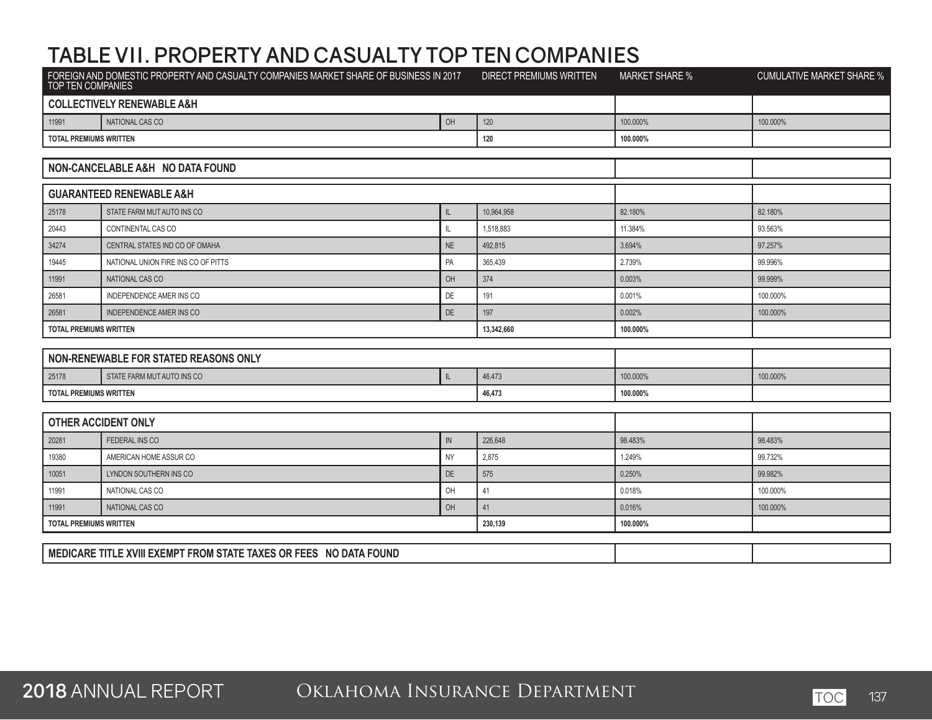| FOREIGN AND DOMESTIC PROPERTY AND CASUALTY COMPANIES MARKET SHARE OF BUSINESS IN 2017<br>TOP TEN COMPANIES |                                       | <b>DIRECT PREMIUMS WRITTEN</b> | <b>MARKET SHARE %</b> | <b>CUMULATIVE MARKET SHARE %</b> |          |
|------------------------------------------------------------------------------------------------------------|---------------------------------------|--------------------------------|-----------------------|----------------------------------|----------|
|                                                                                                            | <b>COLLECTIVELY RENEWABLE A&amp;H</b> |                                |                       |                                  |          |
| 11991                                                                                                      | NATIONAL CAS CO                       | OH                             | 120                   | 100.000%                         | 100.000% |
| <b>TOTAL PREMIUMS WRITTEN</b>                                                                              |                                       |                                | 120                   | 100.000%                         |          |
|                                                                                                            |                                       |                                |                       |                                  |          |
|                                                                                                            | NON-CANCELABLE A&H NO DATA FOUND      |                                |                       |                                  |          |
| <b>GUARANTEED RENEWABLE A&amp;H</b>                                                                        |                                       |                                |                       |                                  |          |
| 25178                                                                                                      | STATE FARM MUT AUTO INS CO            | L                              | 10,964,958            | 82.180%                          | 82.180%  |
| 20443                                                                                                      | CONTINENTAL CAS CO                    | $\mathbb L$                    | 1,518,883             | 11.384%                          | 93.563%  |
| 34274                                                                                                      | CENTRAL STATES IND CO OF OMAHA        | <b>NE</b>                      | 492,815               | 3.694%                           | 97.257%  |
| 19445                                                                                                      | NATIONAL UNION FIRE INS CO OF PITTS   | PA                             | 365,439               | 2.739%                           | 99.996%  |
| 11991                                                                                                      | NATIONAL CAS CO                       | OH                             | 374                   | 0.003%                           | 99.999%  |
| 26581                                                                                                      | <b>INDEPENDENCE AMER INS CO</b>       | <b>DE</b>                      | 191                   | 0.001%                           | 100.000% |
| 26581                                                                                                      | <b>INDEPENDENCE AMER INS CO</b>       | DE                             | 197                   | 0.002%                           | 100.000% |
| <b>TOTAL PREMIUMS WRITTEN</b>                                                                              |                                       |                                | 13,342,660            | 100.000%                         |          |
|                                                                                                            |                                       |                                |                       |                                  |          |
|                                                                                                            | NON-RENEWABLE FOR STATED REASONS ONLY |                                |                       |                                  |          |
| 25178                                                                                                      | STATE FARM MUT AUTO INS CO            | L                              | 46,473                | 100.000%                         | 100.000% |
| <b>TOTAL PREMIUMS WRITTEN</b>                                                                              |                                       |                                | 46,473                | 100.000%                         |          |
|                                                                                                            |                                       |                                |                       |                                  |          |
|                                                                                                            | <b>OTHER ACCIDENT ONLY</b>            |                                |                       |                                  |          |
| 20281                                                                                                      | <b>FEDERAL INS CO</b>                 | ${\sf IN}$                     | 226,648               | 98.483%                          | 98.483%  |
| 19380                                                                                                      | AMERICAN HOME ASSUR CO                | <b>NY</b>                      | 2,875                 | 1.249%                           | 99.732%  |
| 10051                                                                                                      | LYNDON SOUTHERN INS CO                | <b>DE</b>                      | 575                   | 0.250%                           | 99.982%  |
| 11991                                                                                                      | NATIONAL CAS CO                       | OH                             | 41                    | 0.018%                           | 100.000% |
| 11991                                                                                                      | NATIONAL CAS CO                       | OH                             | 41                    | 0.016%                           | 100.000% |
| <b>TOTAL PREMIUMS WRITTEN</b>                                                                              |                                       |                                | 230,139               | 100.000%                         |          |
| MEDICARE TITLE XVIII EXEMPT FROM STATE TAXES OR FEES NO DATA FOUND                                         |                                       |                                |                       |                                  |          |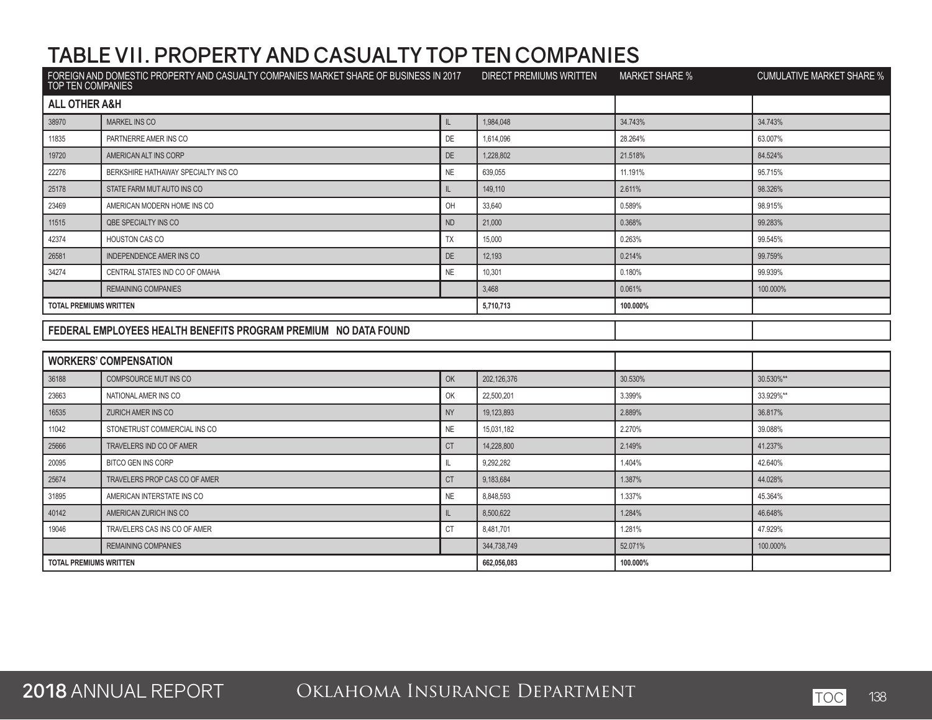| FOREIGN AND DOMESTIC PROPERTY AND CASUALTY COMPANIES MARKET SHARE OF BUSINESS IN 2017<br>TOP TEN COMPANIES |                                                                 | DIRECT PREMIUMS WRITTEN | <b>MARKET SHARE %</b> | <b>CUMULATIVE MARKET SHARE %</b> |           |
|------------------------------------------------------------------------------------------------------------|-----------------------------------------------------------------|-------------------------|-----------------------|----------------------------------|-----------|
| <b>ALL OTHER A&amp;H</b>                                                                                   |                                                                 |                         |                       |                                  |           |
| 38970                                                                                                      | <b>MARKEL INS CO</b>                                            | IL                      | 1,984,048             | 34.743%                          | 34.743%   |
| 11835                                                                                                      | PARTNERRE AMER INS CO                                           | DE                      | 1,614,096             | 28.264%                          | 63.007%   |
| 19720                                                                                                      | AMERICAN ALT INS CORP                                           | DE                      | 1,228,802             | 21.518%                          | 84.524%   |
| 22276                                                                                                      | BERKSHIRE HATHAWAY SPECIALTY INS CO                             | NE                      | 639,055               | 11.191%                          | 95.715%   |
| 25178                                                                                                      | STATE FARM MUT AUTO INS CO                                      | IL                      | 149,110               | 2.611%                           | 98.326%   |
| 23469                                                                                                      | AMERICAN MODERN HOME INS CO                                     | OH                      | 33,640                | 0.589%                           | 98.915%   |
| 11515                                                                                                      | QBE SPECIALTY INS CO                                            | <b>ND</b>               | 21,000                | 0.368%                           | 99.283%   |
| 42374                                                                                                      | <b>HOUSTON CAS CO</b>                                           | TX                      | 15,000                | 0.263%                           | 99.545%   |
| 26581                                                                                                      | <b>INDEPENDENCE AMER INS CO</b>                                 | <b>DE</b>               | 12,193                | 0.214%                           | 99.759%   |
| 34274                                                                                                      | CENTRAL STATES IND CO OF OMAHA                                  | <b>NE</b>               | 10,301                | 0.180%                           | 99.939%   |
|                                                                                                            | <b>REMAINING COMPANIES</b>                                      |                         | 3.468                 | 0.061%                           | 100.000%  |
| <b>TOTAL PREMIUMS WRITTEN</b>                                                                              |                                                                 |                         | 5,710,713             | 100.000%                         |           |
|                                                                                                            |                                                                 |                         |                       |                                  |           |
|                                                                                                            | FEDERAL EMPLOYEES HEALTH BENEFITS PROGRAM PREMIUM NO DATA FOUND |                         |                       |                                  |           |
|                                                                                                            |                                                                 |                         |                       |                                  |           |
|                                                                                                            | <b>WORKERS' COMPENSATION</b>                                    |                         |                       |                                  |           |
| 36188                                                                                                      | COMPSOURCE MUT INS CO                                           | OK                      | 202,126,376           | 30.530%                          | 30.530%** |
| 23663                                                                                                      | NATIONAL AMER INS CO                                            | OK                      | 22,500,201            | 3.399%                           | 33.929%** |
| 16535                                                                                                      | <b>ZURICH AMER INS CO</b>                                       | <b>NY</b>               | 19,123,893            | 2.889%                           | 36.817%   |
| 11042                                                                                                      | STONETRUST COMMERCIAL INS CO                                    | <b>NE</b>               | 15,031,182            | 2.270%                           | 39.088%   |
| 25666                                                                                                      | TRAVELERS IND CO OF AMER                                        | <b>CT</b>               | 14,228,800            | 2.149%                           | 41.237%   |
| 20095                                                                                                      | BITCO GEN INS CORP                                              | IL                      | 9,292,282             | 1.404%                           | 42.640%   |
| 25674                                                                                                      | TRAVELERS PROP CAS CO OF AMER                                   | <b>CT</b>               | 9,183,684             | 1.387%                           | 44.028%   |
| 31895                                                                                                      | AMERICAN INTERSTATE INS CO                                      | <b>NE</b>               | 8,848,593             | 1.337%                           | 45.364%   |
| 40142                                                                                                      | AMERICAN ZURICH INS CO                                          | $\mathsf{L}$            | 8,500,622             | 1.284%                           | 46.648%   |
| 19046                                                                                                      | TRAVELERS CAS INS CO OF AMER                                    | <b>CT</b>               | 8,481,701             | 1.281%                           | 47.929%   |
|                                                                                                            | <b>REMAINING COMPANIES</b>                                      |                         | 344,738,749           | 52.071%                          | 100.000%  |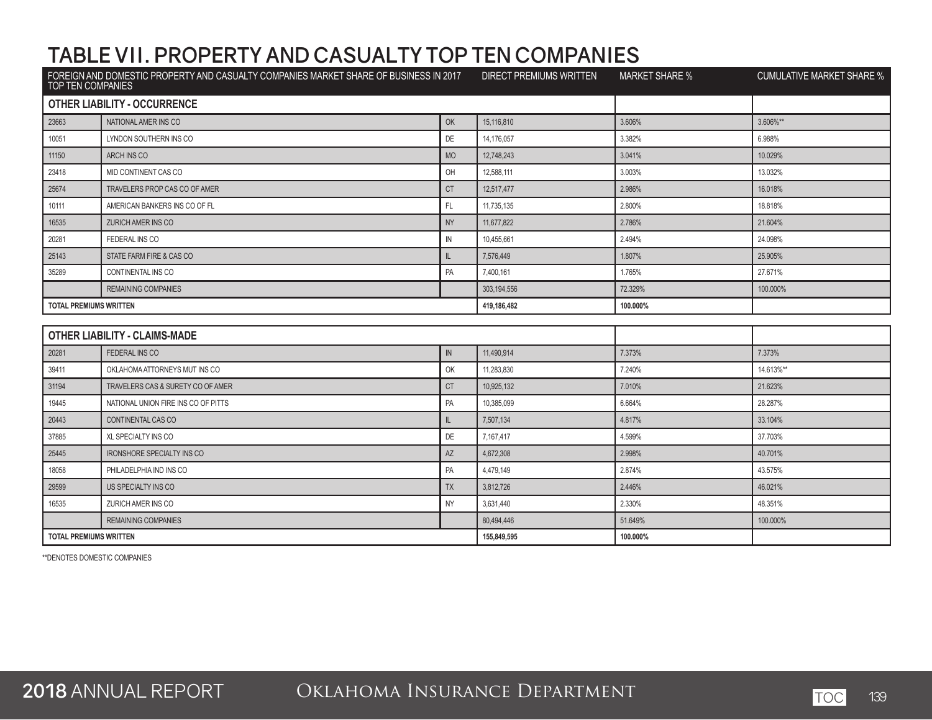| FOREIGN AND DOMESTIC PROPERTY AND CASUALTY COMPANIES MARKET SHARE OF BUSINESS IN 2017<br>TOP TEN COMPANIES |                                      | <b>DIRECT PREMIUMS WRITTEN</b> | <b>MARKET SHARE %</b> | <b>CUMULATIVE MARKET SHARE %</b> |           |
|------------------------------------------------------------------------------------------------------------|--------------------------------------|--------------------------------|-----------------------|----------------------------------|-----------|
|                                                                                                            | <b>OTHER LIABILITY - OCCURRENCE</b>  |                                |                       |                                  |           |
| 23663                                                                                                      | NATIONAL AMER INS CO                 | OK                             | 15.116.810            | 3.606%                           | 3.606%**  |
| 10051                                                                                                      | LYNDON SOUTHERN INS CO               | DE                             | 14,176,057            | 3.382%                           | 6.988%    |
| 11150                                                                                                      | ARCH INS CO                          | <b>MO</b>                      | 12.748.243            | 3.041%                           | 10.029%   |
| 23418                                                                                                      | MID CONTINENT CAS CO                 | OH                             | 12,588,111            | 3.003%                           | 13.032%   |
| 25674                                                                                                      | TRAVELERS PROP CAS CO OF AMER        | <b>CT</b>                      | 12,517,477            | 2.986%                           | 16.018%   |
| 10111                                                                                                      | AMERICAN BANKERS INS CO OF FL        | FL.                            | 11,735,135            | 2.800%                           | 18.818%   |
| 16535                                                                                                      | <b>ZURICH AMER INS CO</b>            | <b>NY</b>                      | 11,677,822            | 2.786%                           | 21.604%   |
| 20281                                                                                                      | FEDERAL INS CO                       | $\mathbb{N}$                   | 10,455,661            | 2.494%                           | 24.098%   |
| 25143                                                                                                      | STATE FARM FIRE & CAS CO             | L                              | 7,576,449             | 1.807%                           | 25.905%   |
| 35289                                                                                                      | CONTINENTAL INS CO                   | PA                             | 7,400,161             | 1.765%                           | 27.671%   |
|                                                                                                            | <b>REMAINING COMPANIES</b>           |                                | 303,194,556           | 72.329%                          | 100.000%  |
| <b>TOTAL PREMIUMS WRITTEN</b><br>419,186,482                                                               |                                      |                                |                       | 100.000%                         |           |
|                                                                                                            |                                      |                                |                       |                                  |           |
|                                                                                                            | <b>OTHER LIABILITY - CLAIMS-MADE</b> |                                |                       |                                  |           |
| 20281                                                                                                      | <b>FEDERAL INS CO</b>                | $\mathbb{N}$                   | 11.490.914            | 7.373%                           | 7.373%    |
| 39411                                                                                                      | OKLAHOMA ATTORNEYS MUT INS CO        | OK                             | 11,283,830            | 7.240%                           | 14.613%** |
| 31194                                                                                                      | TRAVELERS CAS & SURETY CO OF AMER    | <b>CT</b>                      | 10,925,132            | 7.010%                           | 21.623%   |
| 19445                                                                                                      | NATIONAL UNION FIRE INS CO OF PITTS  | PA                             | 10,385,099            | 6.664%                           | 28.287%   |
| 20443                                                                                                      | CONTINENTAL CAS CO                   | IL.                            | 7,507,134             | 4.817%                           | 33.104%   |
| 37885                                                                                                      | XL SPECIALTY INS CO                  | DE                             | 7,167,417             | 4.599%                           | 37.703%   |
| 25445                                                                                                      | IRONSHORE SPECIALTY INS CO           | AZ                             | 4,672,308             | 2.998%                           | 40.701%   |
| 18058                                                                                                      | PHILADELPHIA IND INS CO              | PA                             | 4,479,149             | 2.874%                           | 43.575%   |
| 29599                                                                                                      | US SPECIALTY INS CO                  | <b>TX</b>                      | 3,812,726             | 2.446%                           | 46.021%   |
| 16535                                                                                                      | ZURICH AMER INS CO                   | NY                             | 3,631,440             | 2.330%                           | 48.351%   |
|                                                                                                            | <b>REMAINING COMPANIES</b>           |                                | 80,494,446            | 51.649%                          | 100.000%  |
|                                                                                                            | <b>TOTAL PREMIUMS WRITTEN</b>        |                                | 155,849,595           | 100.000%                         |           |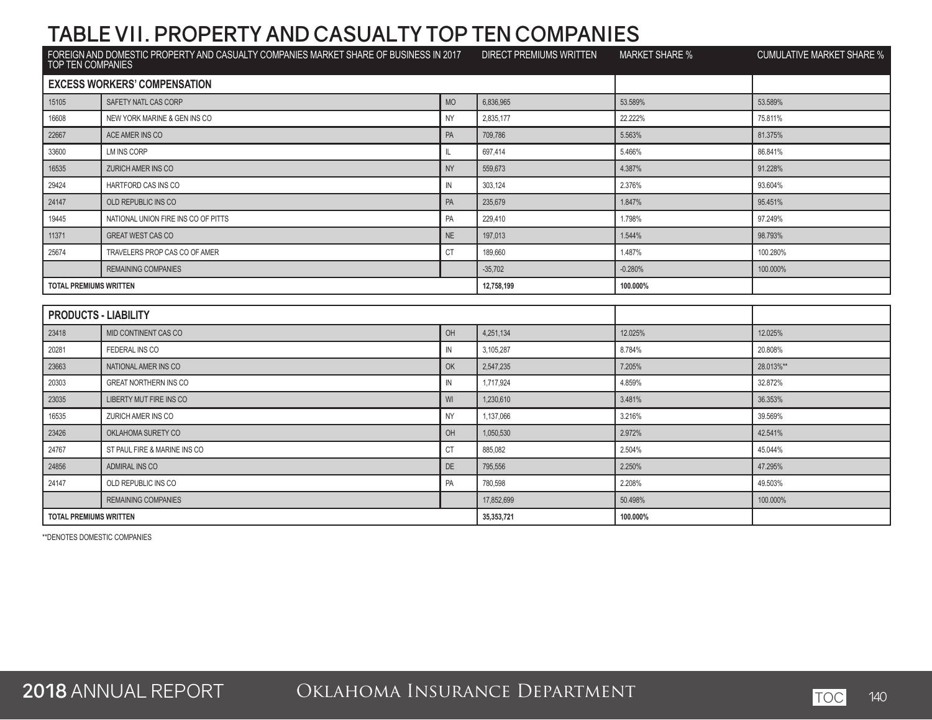| FOREIGN AND DOMESTIC PROPERTY AND CASUALTY COMPANIES MARKET SHARE OF BUSINESS IN 2017<br>TOP TEN COMPANIES |                                     | <b>DIRECT PREMIUMS WRITTEN</b> | <b>MARKET SHARE %</b> | <b>CUMULATIVE MARKET SHARE %</b> |           |
|------------------------------------------------------------------------------------------------------------|-------------------------------------|--------------------------------|-----------------------|----------------------------------|-----------|
|                                                                                                            | <b>EXCESS WORKERS' COMPENSATION</b> |                                |                       |                                  |           |
| 15105                                                                                                      | SAFETY NATL CAS CORP                | <b>MO</b>                      | 6.836.965             | 53.589%                          | 53.589%   |
| 16608                                                                                                      | NEW YORK MARINE & GEN INS CO        | <b>NY</b>                      | 2,835,177             | 22.222%                          | 75.811%   |
| 22667                                                                                                      | ACE AMER INS CO                     | PA                             | 709,786               | 5.563%                           | 81.375%   |
| 33600                                                                                                      | <b>LM INS CORP</b>                  | IL.                            | 697,414               | 5.466%                           | 86.841%   |
| 16535                                                                                                      | <b>ZURICH AMER INS CO</b>           | <b>NY</b>                      | 559,673               | 4.387%                           | 91.228%   |
| 29424                                                                                                      | HARTFORD CAS INS CO                 | IN                             | 303,124               | 2.376%                           | 93.604%   |
| 24147                                                                                                      | OLD REPUBLIC INS CO                 | PA                             | 235,679               | 1.847%                           | 95.451%   |
| 19445                                                                                                      | NATIONAL UNION FIRE INS CO OF PITTS | PA                             | 229,410               | 1.798%                           | 97.249%   |
| 11371                                                                                                      | <b>GREAT WEST CAS CO</b>            | NE                             | 197,013               | 1.544%                           | 98.793%   |
| 25674                                                                                                      | TRAVELERS PROP CAS CO OF AMER       | <b>CT</b>                      | 189,660               | 1.487%                           | 100.280%  |
|                                                                                                            | <b>REMAINING COMPANIES</b>          |                                | $-35,702$             | $-0.280%$                        | 100.000%  |
| <b>TOTAL PREMIUMS WRITTEN</b>                                                                              |                                     |                                | 12,758,199            | 100.000%                         |           |
|                                                                                                            |                                     |                                |                       |                                  |           |
| <b>PRODUCTS - LIABILITY</b>                                                                                |                                     |                                |                       |                                  |           |
| 23418                                                                                                      | MID CONTINENT CAS CO                | OH                             | 4,251,134             | 12.025%                          | 12.025%   |
| 20281                                                                                                      | FEDERAL INS CO                      | IN                             | 3,105,287             | 8.784%                           | 20.808%   |
| 23663                                                                                                      | NATIONAL AMER INS CO                | OK                             | 2,547,235             | 7.205%                           | 28.013%** |
| 20303                                                                                                      | <b>GREAT NORTHERN INS CO</b>        | IN                             | 1,717,924             | 4.859%                           | 32.872%   |
| 23035                                                                                                      | LIBERTY MUT FIRE INS CO             | WI                             | 1,230,610             | 3.481%                           | 36.353%   |
| 16535                                                                                                      | ZURICH AMER INS CO                  | <b>NY</b>                      | 1,137,066             | 3.216%                           | 39.569%   |
| 23426                                                                                                      | OKLAHOMA SURETY CO                  | OH                             | 1,050,530             | 2.972%                           | 42.541%   |
| 24767                                                                                                      | ST PAUL FIRE & MARINE INS CO        | CT                             | 885,082               | 2.504%                           | 45.044%   |
| 24856                                                                                                      | <b>ADMIRAL INS CO</b>               | DE                             | 795,556               | 2.250%                           | 47.295%   |
| 24147                                                                                                      | OLD REPUBLIC INS CO                 | PA                             | 780,598               | 2.208%                           | 49.503%   |
|                                                                                                            | <b>REMAINING COMPANIES</b>          |                                | 17,852,699            | 50.498%                          | 100.000%  |
| <b>TOTAL PREMIUMS WRITTEN</b>                                                                              |                                     |                                | 35,353,721            | 100.000%                         |           |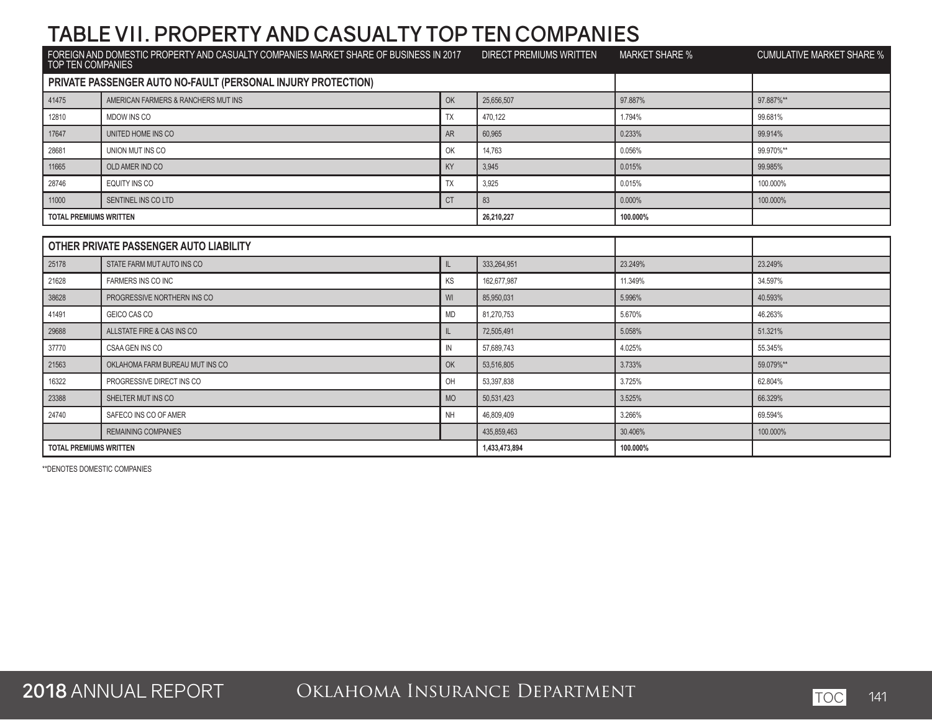| FOREIGN AND DOMESTIC PROPERTY AND CASUALTY COMPANIES MARKET SHARE OF BUSINESS IN 2017<br>TOP TEN COMPANIES |                                                              | <b>DIRECT PREMIUMS WRITTEN</b> | <b>MARKET SHARE %</b> | <b>CUMULATIVE MARKET SHARE %</b> |           |
|------------------------------------------------------------------------------------------------------------|--------------------------------------------------------------|--------------------------------|-----------------------|----------------------------------|-----------|
|                                                                                                            | PRIVATE PASSENGER AUTO NO-FAULT (PERSONAL INJURY PROTECTION) |                                |                       |                                  |           |
| 41475                                                                                                      | AMERICAN FARMERS & RANCHERS MUT INS                          | OK                             | 25,656,507            | 97.887%                          | 97.887%** |
| 12810                                                                                                      | MDOW INS CO                                                  | TX                             | 470,122               | 1.794%                           | 99.681%   |
| 17647                                                                                                      | UNITED HOME INS CO                                           | <b>AR</b>                      | 60,965                | 0.233%                           | 99.914%   |
| 28681                                                                                                      | UNION MUT INS CO                                             | OK                             | 14,763                | 0.056%                           | 99.970%** |
| 11665                                                                                                      | OLD AMER IND CO                                              | KY                             | 3.945                 | 0.015%                           | 99.985%   |
| 28746                                                                                                      | EQUITY INS CO                                                | TX                             | 3,925                 | 0.015%                           | 100.000%  |
| 11000                                                                                                      | SENTINEL INS CO LTD                                          | <b>CT</b>                      | 83                    | 0.000%                           | 100.000%  |
| <b>TOTAL PREMIUMS WRITTEN</b>                                                                              |                                                              |                                | 26,210,227            | 100.000%                         |           |
|                                                                                                            |                                                              |                                |                       |                                  |           |
|                                                                                                            | OTHER PRIVATE PASSENGER AUTO LIABILITY                       |                                |                       |                                  |           |
| 25178                                                                                                      | STATE FARM MUT AUTO INS CO                                   | $\mathbb L$                    | 333.264.951           | 23.249%                          | 23.249%   |
| 21628                                                                                                      | FARMERS INS CO INC                                           | KS                             | 162,677,987           | 11.349%                          | 34.597%   |
| 38628                                                                                                      | PROGRESSIVE NORTHERN INS CO                                  | WI                             | 85.950.031            | 5.996%                           | 40.593%   |
| 41491                                                                                                      | GEICO CAS CO                                                 | <b>MD</b>                      | 81,270,753            | 5.670%                           | 46.263%   |
| 29688                                                                                                      | ALLSTATE FIRE & CAS INS CO                                   | $\mathbb{L}$                   | 72.505.491            | 5.058%                           | 51.321%   |
| 37770                                                                                                      | CSAA GEN INS CO                                              | IN                             | 57,689,743            | 4.025%                           | 55.345%   |
| 21563                                                                                                      | OKLAHOMA FARM BUREAU MUT INS CO                              | OK                             | 53,516,805            | 3.733%                           | 59.079%** |
| 16322                                                                                                      | PROGRESSIVE DIRECT INS CO                                    | OH                             | 53,397,838            | 3.725%                           | 62.804%   |
| 23388                                                                                                      | SHELTER MUT INS CO                                           | <b>MO</b>                      | 50,531,423            | 3.525%                           | 66.329%   |
| 24740                                                                                                      | SAFECO INS CO OF AMER                                        | <b>NH</b>                      | 46,809,409            | 3.266%                           | 69.594%   |
|                                                                                                            | <b>REMAINING COMPANIES</b>                                   |                                | 435,859,463           | 30.406%                          | 100.000%  |
| <b>TOTAL PREMIUMS WRITTEN</b>                                                                              |                                                              |                                | 1,433,473,894         | 100.000%                         |           |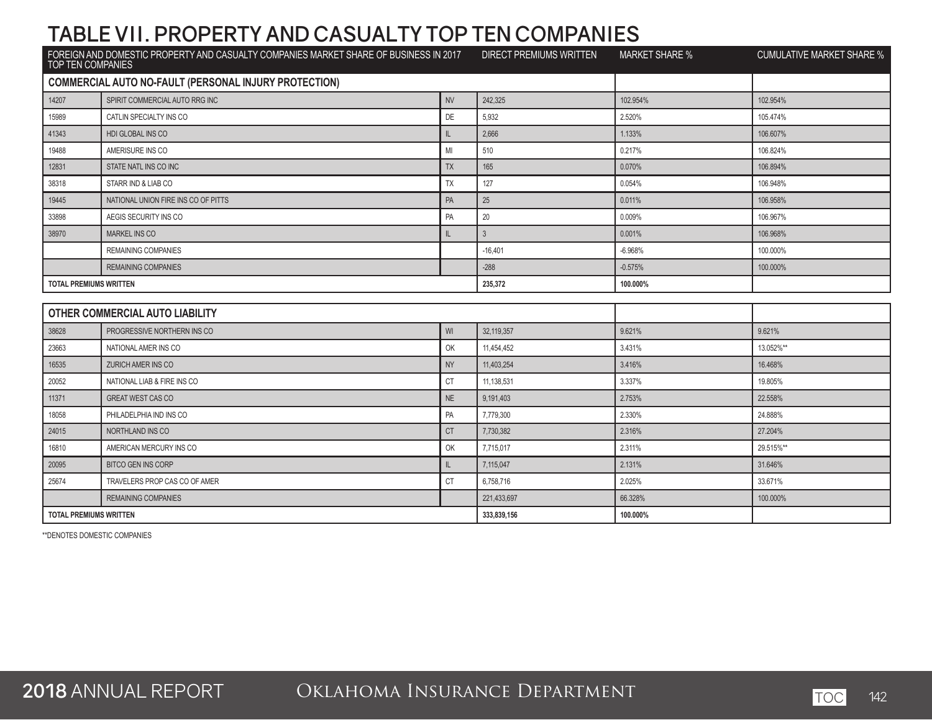| FOREIGN AND DOMESTIC PROPERTY AND CASUALTY COMPANIES MARKET SHARE OF BUSINESS IN 2017<br>TOP TEN COMPANIES |                                                              | <b>DIRECT PREMIUMS WRITTEN</b> | <b>MARKET SHARE %</b> | <b>CUMULATIVE MARKET SHARE %</b> |           |
|------------------------------------------------------------------------------------------------------------|--------------------------------------------------------------|--------------------------------|-----------------------|----------------------------------|-----------|
|                                                                                                            | <b>COMMERCIAL AUTO NO-FAULT (PERSONAL INJURY PROTECTION)</b> |                                |                       |                                  |           |
| 14207                                                                                                      | SPIRIT COMMERCIAL AUTO RRG INC                               | <b>NV</b>                      | 242.325               | 102.954%                         | 102.954%  |
| 15989                                                                                                      | CATLIN SPECIALTY INS CO                                      | DE                             | 5,932                 | 2.520%                           | 105.474%  |
| 41343                                                                                                      | <b>HDI GLOBAL INS CO</b>                                     | $\mathbf{I}$                   | 2,666                 | 1.133%                           | 106.607%  |
| 19488                                                                                                      | AMERISURE INS CO                                             | MI                             | 510                   | 0.217%                           | 106.824%  |
| 12831                                                                                                      | STATE NATL INS CO INC                                        | <b>TX</b>                      | 165                   | 0.070%                           | 106.894%  |
| 38318                                                                                                      | STARR IND & LIAB CO                                          | TX                             | 127                   | 0.054%                           | 106.948%  |
| 19445                                                                                                      | NATIONAL UNION FIRE INS CO OF PITTS                          | PA                             | 25                    | 0.011%                           | 106.958%  |
| 33898                                                                                                      | AEGIS SECURITY INS CO                                        | PA                             | 20                    | 0.009%                           | 106.967%  |
| 38970                                                                                                      | <b>MARKEL INS CO</b>                                         | IL                             | 3 <sup>1</sup>        | 0.001%                           | 106.968%  |
|                                                                                                            | <b>REMAINING COMPANIES</b>                                   |                                | $-16,401$             | $-6.968%$                        | 100.000%  |
|                                                                                                            | <b>REMAINING COMPANIES</b>                                   |                                | $-288$                | $-0.575%$                        | 100.000%  |
| <b>TOTAL PREMIUMS WRITTEN</b>                                                                              |                                                              |                                | 235,372               | 100.000%                         |           |
|                                                                                                            |                                                              |                                |                       |                                  |           |
|                                                                                                            | OTHER COMMERCIAL AUTO LIABILITY                              |                                |                       |                                  |           |
| 38628                                                                                                      | PROGRESSIVE NORTHERN INS CO                                  | WI                             | 32,119,357            | 9.621%                           | 9.621%    |
| 23663                                                                                                      | NATIONAL AMER INS CO                                         | OK                             | 11,454,452            | 3.431%                           | 13.052%** |
| 16535                                                                                                      | ZURICH AMER INS CO                                           | <b>NY</b>                      | 11,403,254            | 3.416%                           | 16.468%   |
| 20052                                                                                                      | NATIONAL LIAB & FIRE INS CO                                  | <b>CT</b>                      | 11,138,531            | 3.337%                           | 19.805%   |
| 11371                                                                                                      | <b>GREAT WEST CAS CO</b>                                     | <b>NE</b>                      | 9,191,403             | 2.753%                           | 22.558%   |
| 18058                                                                                                      | PHILADELPHIA IND INS CO                                      | PA                             | 7,779,300             | 2.330%                           | 24.888%   |
| 24015                                                                                                      | NORTHLAND INS CO                                             | <b>CT</b>                      | 7,730,382             | 2.316%                           | 27.204%   |
| 16810                                                                                                      | AMERICAN MERCURY INS CO                                      | OK                             | 7,715,017             | 2.311%                           | 29.515%** |
| 20095                                                                                                      | <b>BITCO GEN INS CORP</b>                                    | IL.                            | 7,115,047             | 2.131%                           | 31.646%   |
| 25674                                                                                                      | TRAVELERS PROP CAS CO OF AMER                                | <b>CT</b>                      | 6,758,716             | 2.025%                           | 33.671%   |
|                                                                                                            | <b>REMAINING COMPANIES</b>                                   |                                | 221,433,697           | 66.328%                          | 100.000%  |
| <b>TOTAL PREMIUMS WRITTEN</b>                                                                              |                                                              |                                | 333,839,156           | 100.000%                         |           |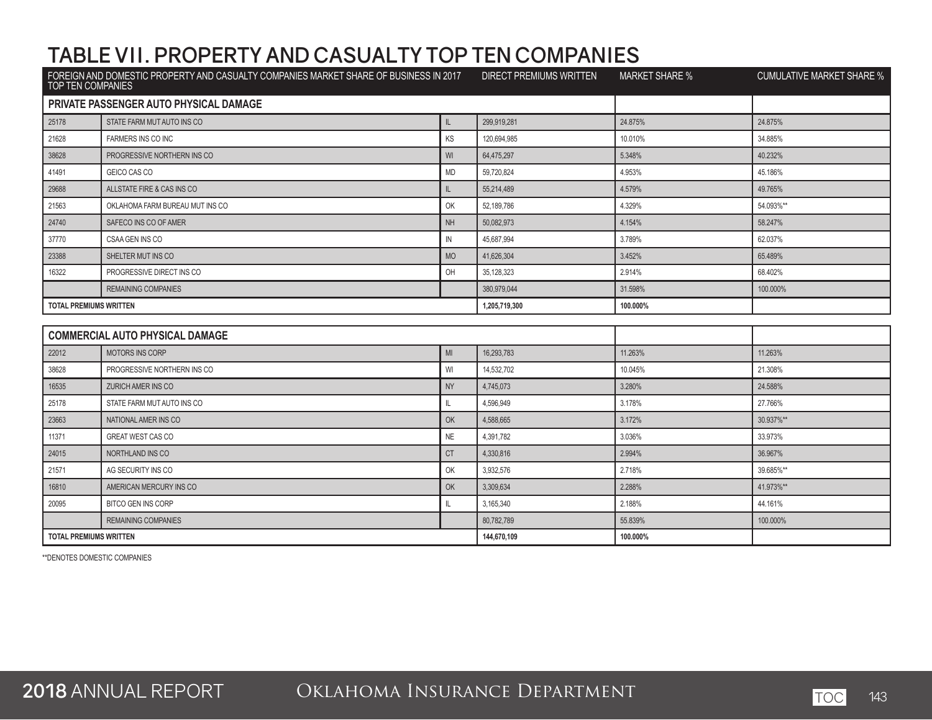| FOREIGN AND DOMESTIC PROPERTY AND CASUALTY COMPANIES MARKET SHARE OF BUSINESS IN 2017<br><b>TOP TEN COMPANIES</b> |                                        | <b>DIRECT PREMIUMS WRITTEN</b> | <b>MARKET SHARE %</b> | <b>CUMULATIVE MARKET SHARE %</b> |           |  |  |
|-------------------------------------------------------------------------------------------------------------------|----------------------------------------|--------------------------------|-----------------------|----------------------------------|-----------|--|--|
|                                                                                                                   | PRIVATE PASSENGER AUTO PHYSICAL DAMAGE |                                |                       |                                  |           |  |  |
| 25178                                                                                                             | STATE FARM MUT AUTO INS CO             | L                              | 299.919.281           | 24.875%                          | 24.875%   |  |  |
| 21628                                                                                                             | FARMERS INS CO INC                     | KS                             | 120.694.985           | 10.010%                          | 34.885%   |  |  |
| 38628                                                                                                             | PROGRESSIVE NORTHERN INS CO            | WI                             | 64,475,297            | 5.348%                           | 40.232%   |  |  |
| 41491                                                                                                             | GEICO CAS CO                           | <b>MD</b>                      | 59,720,824            | 4.953%                           | 45.186%   |  |  |
| 29688                                                                                                             | ALLSTATE FIRE & CAS INS CO             | IL.                            | 55,214,489            | 4.579%                           | 49.765%   |  |  |
| 21563                                                                                                             | OKLAHOMA FARM BUREAU MUT INS CO        | OK                             | 52,189,786            | 4.329%                           | 54.093%** |  |  |
| 24740                                                                                                             | SAFECO INS CO OF AMER                  | <b>NH</b>                      | 50,082,973            | 4.154%                           | 58.247%   |  |  |
| 37770                                                                                                             | CSAA GEN INS CO                        | IN                             | 45,687,994            | 3.789%                           | 62.037%   |  |  |
| 23388                                                                                                             | SHELTER MUT INS CO                     | <b>MO</b>                      | 41,626,304            | 3.452%                           | 65.489%   |  |  |
| 16322                                                                                                             | PROGRESSIVE DIRECT INS CO              | OH                             | 35, 128, 323          | 2.914%                           | 68.402%   |  |  |
|                                                                                                                   | <b>REMAINING COMPANIES</b>             |                                | 380,979,044           | 31.598%                          | 100.000%  |  |  |
| <b>TOTAL PREMIUMS WRITTEN</b>                                                                                     |                                        |                                | 1,205,719,300         | 100.000%                         |           |  |  |
|                                                                                                                   |                                        |                                |                       |                                  |           |  |  |
|                                                                                                                   | <b>COMMERCIAL AUTO PHYSICAL DAMAGE</b> |                                |                       |                                  |           |  |  |
| 22012                                                                                                             | <b>MOTORS INS CORP</b>                 | MI                             | 16.293.783            | 11.263%                          | 11.263%   |  |  |
| 38628                                                                                                             | PROGRESSIVE NORTHERN INS CO            | WI                             | 14,532,702            | 10.045%                          | 21.308%   |  |  |
| 16535                                                                                                             | <b>ZURICH AMER INS CO</b>              | <b>NY</b>                      | 4,745,073             | 3.280%                           | 24.588%   |  |  |
| 25178                                                                                                             | STATE FARM MUT AUTO INS CO             | IL.                            | 4,596,949             | 3.178%                           | 27.766%   |  |  |
| 23663                                                                                                             | NATIONAL AMER INS CO                   | OK                             | 4,588,665             | 3.172%                           | 30.937%** |  |  |
| 11371                                                                                                             | GREAT WEST CAS CO                      | NE                             | 4,391,782             | 3.036%                           | 33.973%   |  |  |
| 24015                                                                                                             | NORTHLAND INS CO                       | <b>CT</b>                      | 4,330,816             | 2.994%                           | 36.967%   |  |  |
| 21571                                                                                                             | AG SECURITY INS CO                     | OK                             | 3,932,576             | 2.718%                           | 39.685%** |  |  |
| 16810                                                                                                             | AMERICAN MERCURY INS CO                | OK                             | 3,309,634             | 2.288%                           | 41.973%** |  |  |
| 20095                                                                                                             | <b>BITCO GEN INS CORP</b>              | IL                             | 3,165,340             | 2.188%                           | 44.161%   |  |  |
|                                                                                                                   | <b>REMAINING COMPANIES</b>             |                                | 80,782,789            | 55.839%                          | 100.000%  |  |  |
| <b>TOTAL PREMIUMS WRITTEN</b>                                                                                     |                                        |                                | 144,670,109           | 100.000%                         |           |  |  |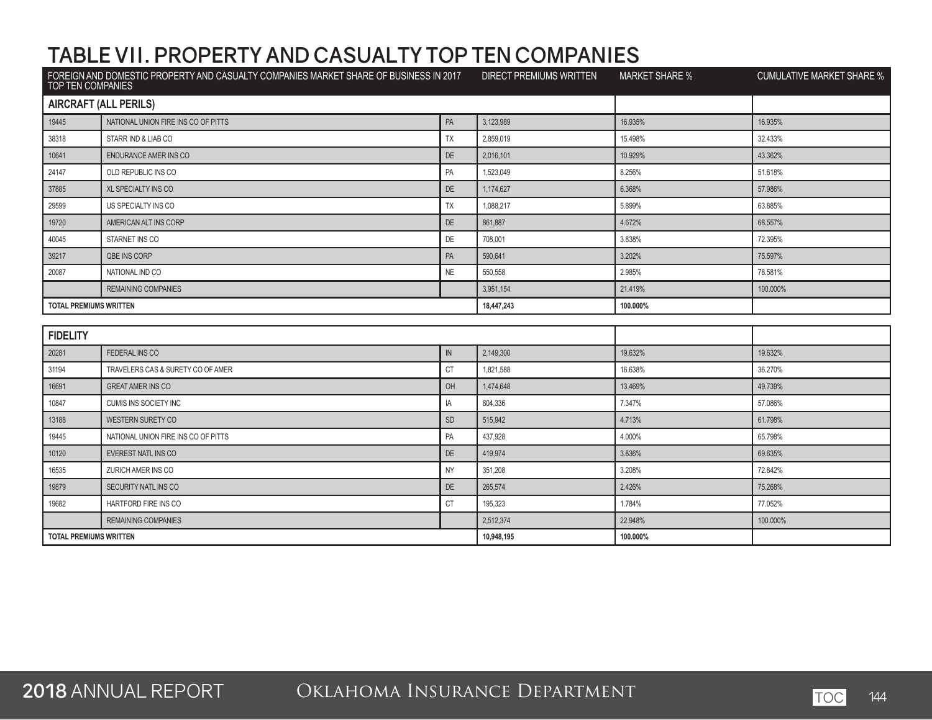| FOREIGN AND DOMESTIC PROPERTY AND CASUALTY COMPANIES MARKET SHARE OF BUSINESS IN 2017<br>TOP TEN COMPANIES |                                     | <b>DIRECT PREMIUMS WRITTEN</b> | <b>MARKET SHARE %</b> | <b>CUMULATIVE MARKET SHARE %</b> |          |  |  |
|------------------------------------------------------------------------------------------------------------|-------------------------------------|--------------------------------|-----------------------|----------------------------------|----------|--|--|
|                                                                                                            | <b>AIRCRAFT (ALL PERILS)</b>        |                                |                       |                                  |          |  |  |
| 19445                                                                                                      | NATIONAL UNION FIRE INS CO OF PITTS | PA                             | 3,123,989             | 16.935%                          | 16.935%  |  |  |
| 38318                                                                                                      | STARR IND & LIAB CO                 | <b>TX</b>                      | 2,859,019             | 15.498%                          | 32.433%  |  |  |
| 10641                                                                                                      | ENDURANCE AMER INS CO               | DE                             | 2,016,101             | 10.929%                          | 43.362%  |  |  |
| 24147                                                                                                      | OLD REPUBLIC INS CO                 | PA                             | 1,523,049             | 8.256%                           | 51.618%  |  |  |
| 37885                                                                                                      | <b>XL SPECIALTY INS CO</b>          | DE                             | 1,174,627             | 6.368%                           | 57.986%  |  |  |
| 29599                                                                                                      | US SPECIALTY INS CO                 | <b>TX</b>                      | 1,088,217             | 5.899%                           | 63.885%  |  |  |
| 19720                                                                                                      | AMERICAN ALT INS CORP               | DE                             | 861,887               | 4.672%                           | 68.557%  |  |  |
| 40045                                                                                                      | STARNET INS CO                      | <b>DE</b>                      | 708,001               | 3.838%                           | 72.395%  |  |  |
| 39217                                                                                                      | <b>QBE INS CORP</b>                 | PA                             | 590,641               | 3.202%                           | 75.597%  |  |  |
| 20087                                                                                                      | NATIONAL IND CO                     | <b>NE</b>                      | 550,558               | 2.985%                           | 78.581%  |  |  |
|                                                                                                            | <b>REMAINING COMPANIES</b>          |                                | 3,951,154             | 21.419%                          | 100.000% |  |  |
| <b>TOTAL PREMIUMS WRITTEN</b>                                                                              |                                     |                                | 18,447,243            | 100.000%                         |          |  |  |
|                                                                                                            |                                     |                                |                       |                                  |          |  |  |
| <b>FIDELITY</b>                                                                                            |                                     |                                |                       |                                  |          |  |  |
| 20281                                                                                                      | FEDERAL INS CO                      | ${\sf IN}$                     | 2.149.300             | 19.632%                          | 19.632%  |  |  |
| 31194                                                                                                      | TRAVELERS CAS & SURETY CO OF AMER   | <b>CT</b>                      | 1,821,588             | 16.638%                          | 36.270%  |  |  |
| 16691                                                                                                      | <b>GREAT AMER INS CO</b>            | OH                             | 1,474,648             | 13.469%                          | 49.739%  |  |  |
| 10847                                                                                                      | <b>CUMIS INS SOCIETY INC</b>        | IA                             | 804,336               | 7.347%                           | 57.086%  |  |  |
| 13188                                                                                                      | WESTERN SURETY CO                   | <b>SD</b>                      | 515,942               | 4.713%                           | 61.798%  |  |  |
| 19445                                                                                                      | NATIONAL UNION FIRE INS CO OF PITTS | PA                             | 437,928               | 4.000%                           | 65.798%  |  |  |
| 10120                                                                                                      | <b>EVEREST NATL INS CO</b>          | DE                             | 419,974               | 3.836%                           | 69.635%  |  |  |
| 16535                                                                                                      | ZURICH AMER INS CO                  | <b>NY</b>                      | 351,208               | 3.208%                           | 72.842%  |  |  |
| 19879                                                                                                      | SECURITY NATL INS CO                | DE                             | 265,574               | 2.426%                           | 75.268%  |  |  |
| 19682                                                                                                      | HARTFORD FIRE INS CO                | СT                             | 195,323               | 1.784%                           | 77.052%  |  |  |
|                                                                                                            | <b>REMAINING COMPANIES</b>          |                                | 2,512,374             | 22.948%                          | 100.000% |  |  |
| <b>TOTAL PREMIUMS WRITTEN</b>                                                                              |                                     |                                | 10,948,195            | 100.000%                         |          |  |  |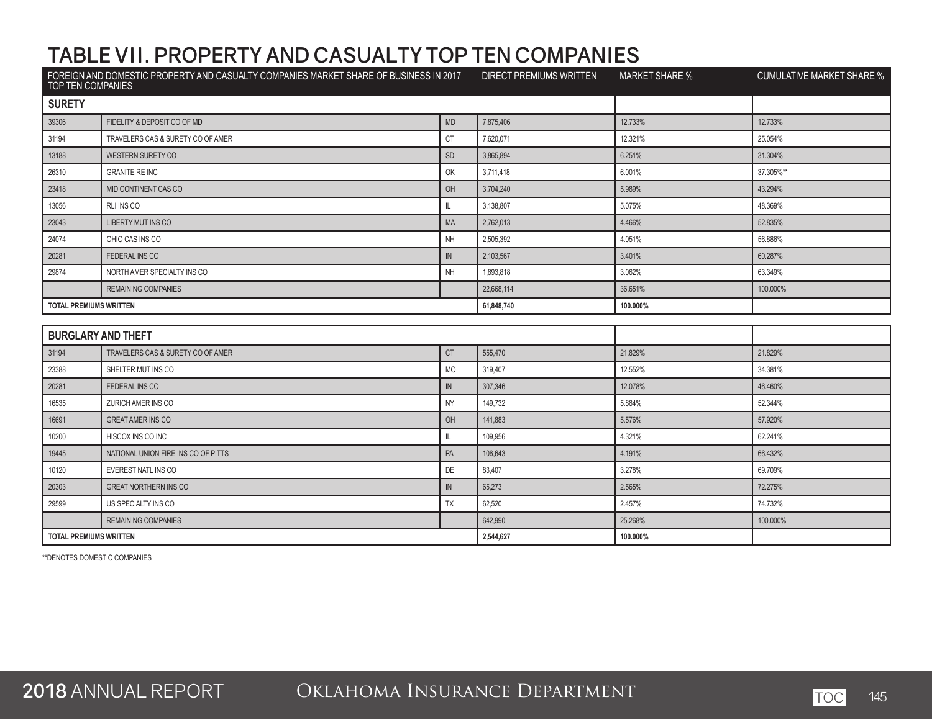| TOP TEN COMPANIES             | FOREIGN AND DOMESTIC PROPERTY AND CASUALTY COMPANIES MARKET SHARE OF BUSINESS IN 2017 |              | <b>DIRECT PREMIUMS WRITTEN</b> | <b>MARKET SHARE %</b> | <b>CUMULATIVE MARKET SHARE %</b> |
|-------------------------------|---------------------------------------------------------------------------------------|--------------|--------------------------------|-----------------------|----------------------------------|
| <b>SURETY</b>                 |                                                                                       |              |                                |                       |                                  |
| 39306                         | FIDELITY & DEPOSIT CO OF MD                                                           | <b>MD</b>    | 7,875,406                      | 12.733%               | 12.733%                          |
| 31194                         | TRAVELERS CAS & SURETY CO OF AMER                                                     | CT           | 7,620,071                      | 12.321%               | 25.054%                          |
| 13188                         | <b>WESTERN SURETY CO</b>                                                              | <b>SD</b>    | 3,865,894                      | 6.251%                | 31.304%                          |
| 26310                         | <b>GRANITE RE INC</b>                                                                 | OK           | 3,711,418                      | 6.001%                | 37.305%**                        |
| 23418                         | MID CONTINENT CAS CO                                                                  | OH           | 3,704,240                      | 5.989%                | 43.294%                          |
| 13056                         | RLI INS CO                                                                            | IL.          | 3,138,807                      | 5.075%                | 48.369%                          |
| 23043                         | LIBERTY MUT INS CO                                                                    | MA           | 2,762,013                      | 4.466%                | 52.835%                          |
| 24074                         | OHIO CAS INS CO                                                                       | <b>NH</b>    | 2,505,392                      | 4.051%                | 56.886%                          |
| 20281                         | FEDERAL INS CO                                                                        | ${\sf IN}$   | 2,103,567                      | 3.401%                | 60.287%                          |
| 29874                         | NORTH AMER SPECIALTY INS CO                                                           | <b>NH</b>    | 1,893,818                      | 3.062%                | 63.349%                          |
|                               | <b>REMAINING COMPANIES</b>                                                            |              | 22,668,114                     | 36.651%               | 100.000%                         |
| <b>TOTAL PREMIUMS WRITTEN</b> |                                                                                       |              | 61,848,740                     | 100.000%              |                                  |
|                               |                                                                                       |              |                                |                       |                                  |
| <b>BURGLARY AND THEFT</b>     |                                                                                       |              |                                |                       |                                  |
| 31194                         | TRAVELERS CAS & SURETY CO OF AMER                                                     | <b>CT</b>    | 555,470                        | 21.829%               | 21.829%                          |
| 23388                         | SHELTER MUT INS CO                                                                    | <b>MO</b>    | 319,407                        | 12.552%               | 34.381%                          |
| 20281                         | FEDERAL INS CO                                                                        | ${\sf IN}$   | 307,346                        | 12.078%               | 46.460%                          |
| 16535                         | ZURICH AMER INS CO                                                                    | <b>NY</b>    | 149,732                        | 5.884%                | 52.344%                          |
| 16691                         | <b>GREAT AMER INS CO</b>                                                              | OH           | 141,883                        | 5.576%                | 57.920%                          |
| 10200                         | HISCOX INS CO INC                                                                     | IL           | 109,956                        | 4.321%                | 62.241%                          |
| 19445                         | NATIONAL UNION FIRE INS CO OF PITTS                                                   | PA           | 106,643                        | 4.191%                | 66.432%                          |
| 10120                         | <b>EVEREST NATL INS CO</b>                                                            | DE           | 83,407                         | 3.278%                | 69.709%                          |
| 20303                         | <b>GREAT NORTHERN INS CO</b>                                                          | $\mathbb{N}$ | 65,273                         | 2.565%                | 72.275%                          |
| 29599                         | US SPECIALTY INS CO                                                                   | TX           | 62,520                         | 2.457%                | 74.732%                          |
|                               | <b>REMAINING COMPANIES</b>                                                            |              | 642,990                        | 25.268%               | 100.000%                         |
| <b>TOTAL PREMIUMS WRITTEN</b> |                                                                                       |              | 2,544,627                      | 100.000%              |                                  |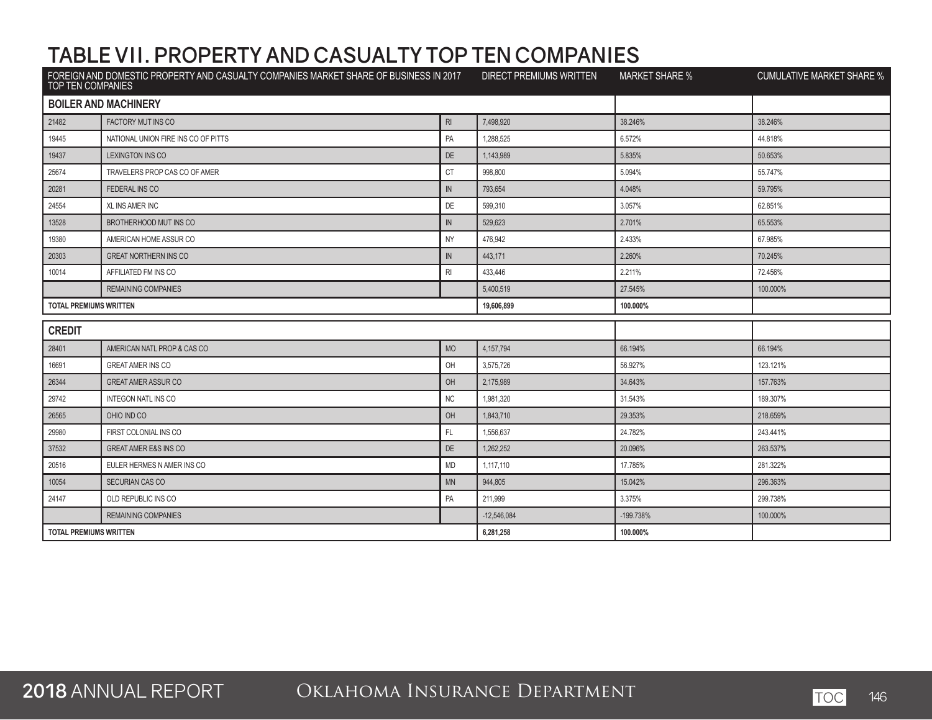| <b>TOP TEN COMPANIES</b>      | FOREIGN AND DOMESTIC PROPERTY AND CASUALTY COMPANIES MARKET SHARE OF BUSINESS IN 2017 DIRECT PREMIUMS WRITTEN |                 |               | <b>MARKET SHARE %</b> | <b>CUMULATIVE MARKET SHARE %</b> |
|-------------------------------|---------------------------------------------------------------------------------------------------------------|-----------------|---------------|-----------------------|----------------------------------|
|                               | <b>BOILER AND MACHINERY</b>                                                                                   |                 |               |                       |                                  |
| 21482                         | <b>FACTORY MUT INS CO</b>                                                                                     | $R_{\parallel}$ | 7.498.920     | 38.246%               | 38.246%                          |
| 19445                         | NATIONAL UNION FIRE INS CO OF PITTS                                                                           | PA              | 1,288,525     | 6.572%                | 44.818%                          |
| 19437                         | LEXINGTON INS CO                                                                                              | <b>DE</b>       | 1,143,989     | 5.835%                | 50.653%                          |
| 25674                         | TRAVELERS PROP CAS CO OF AMER                                                                                 | <b>CT</b>       | 998,800       | 5.094%                | 55.747%                          |
| 20281                         | <b>FEDERAL INS CO</b>                                                                                         | IN              | 793,654       | 4.048%                | 59.795%                          |
| 24554                         | <b>XL INS AMER INC</b>                                                                                        | DE              | 599,310       | 3.057%                | 62.851%                          |
| 13528                         | BROTHERHOOD MUT INS CO                                                                                        | $\mathbb N$     | 529,623       | 2.701%                | 65.553%                          |
| 19380                         | AMERICAN HOME ASSUR CO                                                                                        | <b>NY</b>       | 476.942       | 2.433%                | 67.985%                          |
| 20303                         | <b>GREAT NORTHERN INS CO</b>                                                                                  | $\mathbb{N}$    | 443,171       | 2.260%                | 70.245%                          |
| 10014                         | AFFILIATED FM INS CO                                                                                          | RI              | 433,446       | 2.211%                | 72.456%                          |
|                               | <b>REMAINING COMPANIES</b>                                                                                    |                 | 5,400,519     | 27.545%               | 100.000%                         |
| <b>TOTAL PREMIUMS WRITTEN</b> |                                                                                                               |                 | 19,606,899    | 100.000%              |                                  |
| <b>CREDIT</b>                 |                                                                                                               |                 |               |                       |                                  |
| 28401                         | AMERICAN NATL PROP & CAS CO                                                                                   | <b>MO</b>       | 4, 157, 794   | 66.194%               | 66.194%                          |
| 16691                         | <b>GREAT AMER INS CO</b>                                                                                      | OH              | 3,575,726     | 56.927%               | 123.121%                         |
| 26344                         | <b>GREAT AMER ASSUR CO</b>                                                                                    | OH              | 2,175,989     | 34.643%               | 157.763%                         |
| 29742                         | <b>INTEGON NATL INS CO</b>                                                                                    | <b>NC</b>       | 1,981,320     | 31.543%               | 189.307%                         |
| 26565                         | OHIO IND CO                                                                                                   | OH              | 1,843,710     | 29.353%               | 218.659%                         |
| 29980                         | FIRST COLONIAL INS CO                                                                                         | FL.             | 1,556,637     | 24.782%               | 243.441%                         |
| 37532                         | <b>GREAT AMER E&amp;S INS CO</b>                                                                              | DE              | 1,262,252     | 20.096%               | 263.537%                         |
| 20516                         | EULER HERMES N AMER INS CO                                                                                    | <b>MD</b>       | 1,117,110     | 17.785%               | 281.322%                         |
| 10054                         | SECURIAN CAS CO                                                                                               | <b>MN</b>       | 944,805       | 15.042%               | 296.363%                         |
| 24147                         | OLD REPUBLIC INS CO                                                                                           | PA              | 211,999       | 3.375%                | 299.738%                         |
|                               | <b>REMAINING COMPANIES</b>                                                                                    |                 | $-12.546.084$ | -199.738%             | 100.000%                         |
| <b>TOTAL PREMIUMS WRITTEN</b> |                                                                                                               | 6,281,258       | 100.000%      |                       |                                  |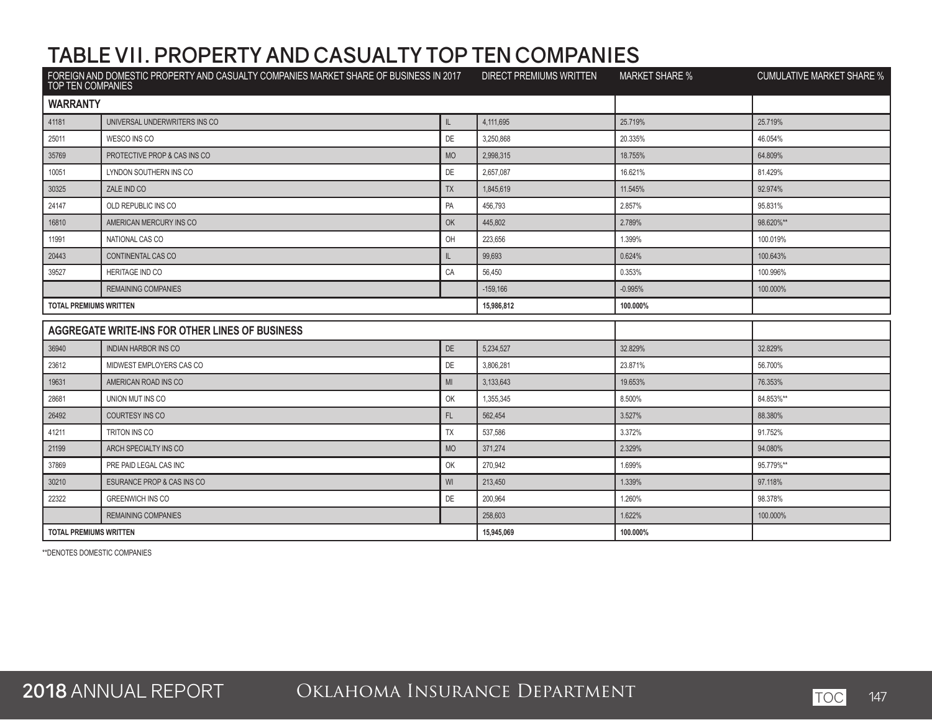| TOP TEN COMPANIES             | FOREIGN AND DOMESTIC PROPERTY AND CASUALTY COMPANIES MARKET SHARE OF BUSINESS IN 2017 |              | DIRECT PREMIUMS WRITTEN | <b>MARKET SHARE %</b> | <b>CUMULATIVE MARKET SHARE %</b> |
|-------------------------------|---------------------------------------------------------------------------------------|--------------|-------------------------|-----------------------|----------------------------------|
| <b>WARRANTY</b>               |                                                                                       |              |                         |                       |                                  |
| 41181                         | UNIVERSAL UNDERWRITERS INS CO                                                         | $\mathbb{L}$ | 4.111.695               | 25.719%               | 25.719%                          |
| 25011                         | WESCO INS CO                                                                          | DE           | 3,250,868               | 20.335%               | 46.054%                          |
| 35769                         | PROTECTIVE PROP & CAS INS CO                                                          | <b>MO</b>    | 2,998,315               | 18.755%               | 64.809%                          |
| 10051                         | LYNDON SOUTHERN INS CO                                                                | DE           | 2,657,087               | 16.621%               | 81.429%                          |
| 30325                         | ZALE IND CO                                                                           | <b>TX</b>    | 1,845,619               | 11.545%               | 92.974%                          |
| 24147                         | OLD REPUBLIC INS CO                                                                   | PA           | 456,793                 | 2.857%                | 95.831%                          |
| 16810                         | AMERICAN MERCURY INS CO                                                               | OK           | 445,802                 | 2.789%                | 98.620%**                        |
| 11991                         | NATIONAL CAS CO                                                                       | OH           | 223,656                 | 1.399%                | 100.019%                         |
| 20443                         | CONTINENTAL CAS CO                                                                    | IL.          | 99,693                  | 0.624%                | 100.643%                         |
| 39527                         | <b>HERITAGE IND CO</b>                                                                | CA           | 56,450                  | 0.353%                | 100.996%                         |
|                               | <b>REMAINING COMPANIES</b>                                                            |              | $-159,166$              | $-0.995%$             | 100.000%                         |
| <b>TOTAL PREMIUMS WRITTEN</b> |                                                                                       |              | 15,986,812              | 100.000%              |                                  |
|                               | AGGREGATE WRITE-INS FOR OTHER LINES OF BUSINESS                                       |              |                         |                       |                                  |
| 36940                         | <b>INDIAN HARBOR INS CO</b>                                                           | DE           | 5,234,527               | 32.829%               | 32.829%                          |
| 23612                         | MIDWEST EMPLOYERS CAS CO                                                              | <b>DE</b>    | 3.806.281               | 23.871%               | 56.700%                          |
| 19631                         | AMERICAN ROAD INS CO                                                                  | MI           | 3,133,643               | 19.653%               | 76.353%                          |
| 28681                         | UNION MUT INS CO                                                                      | OK           | 1,355,345               | 8.500%                | 84.853%**                        |
| 26492                         | <b>COURTESY INS CO</b>                                                                | FL.          | 562,454                 | 3.527%                | 88.380%                          |
| 41211                         | TRITON INS CO                                                                         | TX           | 537,586                 | 3.372%                | 91.752%                          |
| 21199                         | ARCH SPECIALTY INS CO                                                                 | <b>MO</b>    | 371.274                 | 2.329%                | 94.080%                          |
| 37869                         | PRE PAID LEGAL CAS INC                                                                | OK           | 270,942                 | 1.699%                | 95.779%**                        |
| 30210                         | ESURANCE PROP & CAS INS CO                                                            | WI           | 213,450                 | 1.339%                | 97.118%                          |
| 22322                         | <b>GREENWICH INS CO</b>                                                               | DE           | 200,964                 | 1.260%                | 98.378%                          |
|                               | <b>REMAINING COMPANIES</b>                                                            |              | 258,603                 | 1.622%                | 100.000%                         |
| <b>TOTAL PREMIUMS WRITTEN</b> |                                                                                       | 15,945,069   | 100.000%                |                       |                                  |

\*\*DENOTES DOMESTIC COMPANIES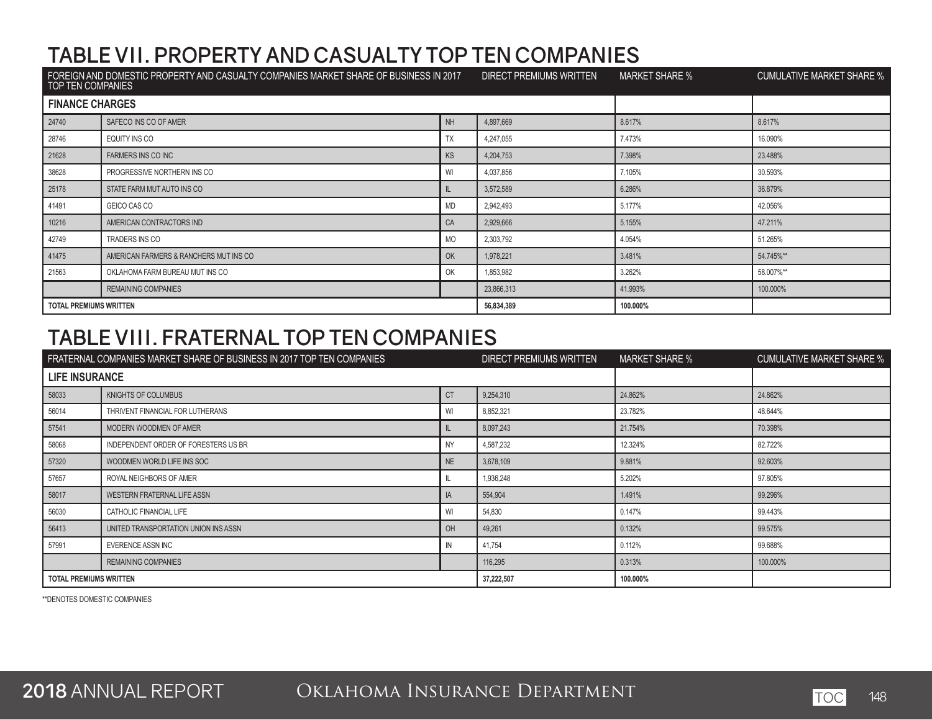| FOREIGN AND DOMESTIC PROPERTY AND CASUALTY COMPANIES MARKET SHARE OF BUSINESS IN 2017<br>TOP TEN COMPANIES |                                        | DIRECT PREMIUMS WRITTEN | <b>MARKET SHARE %</b> | CUMULATIVE MARKET SHARE % |           |
|------------------------------------------------------------------------------------------------------------|----------------------------------------|-------------------------|-----------------------|---------------------------|-----------|
| <b>FINANCE CHARGES</b>                                                                                     |                                        |                         |                       |                           |           |
| 24740                                                                                                      | SAFECO INS CO OF AMER                  | NH                      | 4,897,669             | 8.617%                    | 8.617%    |
| 28746                                                                                                      | EQUITY INS CO                          | <b>TX</b>               | 4,247,055             | 7.473%                    | 16.090%   |
| 21628                                                                                                      | <b>FARMERS INS CO INC</b>              | KS                      | 4,204,753             | 7.398%                    | 23.488%   |
| 38628                                                                                                      | PROGRESSIVE NORTHERN INS CO            | WI                      | 4,037,856             | 7.105%                    | 30.593%   |
| 25178                                                                                                      | STATE FARM MUT AUTO INS CO             | -ll                     | 3,572,589             | 6.286%                    | 36.879%   |
| 41491                                                                                                      | GEICO CAS CO                           | MD                      | 2,942,493             | 5.177%                    | 42.056%   |
| 10216                                                                                                      | AMERICAN CONTRACTORS IND               | CA                      | 2,929,666             | 5.155%                    | 47.211%   |
| 42749                                                                                                      | TRADERS INS CO                         | <b>MO</b>               | 2,303,792             | 4.054%                    | 51.265%   |
| 41475                                                                                                      | AMERICAN FARMERS & RANCHERS MUT INS CO | OK                      | 1,978,221             | 3.481%                    | 54.745%** |
| 21563                                                                                                      | OKLAHOMA FARM BUREAU MUT INS CO        | OK                      | 1,853,982             | 3.262%                    | 58.007%** |
|                                                                                                            | <b>REMAINING COMPANIES</b>             |                         | 23,866,313            | 41.993%                   | 100.000%  |
| <b>TOTAL PREMIUMS WRITTEN</b>                                                                              |                                        | 56,834,389              | 100.000%              |                           |           |

#### **TABLE VIII. FRATERNAL TOP TEN COMPANIES**

|                               | FRATERNAL COMPANIES MARKET SHARE OF BUSINESS IN 2017 TOP TEN COMPANIES |            | DIRECT PREMIUMS WRITTEN | <b>MARKET SHARE %</b> | <b>CUMULATIVE MARKET SHARE %</b> |
|-------------------------------|------------------------------------------------------------------------|------------|-------------------------|-----------------------|----------------------------------|
| <b>LIFE INSURANCE</b>         |                                                                        |            |                         |                       |                                  |
| 58033                         | KNIGHTS OF COLUMBUS                                                    | <b>CT</b>  | 9,254,310               | 24.862%               | 24.862%                          |
| 56014                         | THRIVENT FINANCIAL FOR LUTHERANS                                       | WI         | 8,852,321               | 23.782%               | 48.644%                          |
| 57541                         | MODERN WOODMEN OF AMER                                                 |            | 8,097,243               | 21.754%               | 70.398%                          |
| 58068                         | INDEPENDENT ORDER OF FORESTERS US BR                                   | <b>NY</b>  | 4,587,232               | 12.324%               | 82.722%                          |
| 57320                         | WOODMEN WORLD LIFE INS SOC                                             | NE         | 3,678,109               | 9.881%                | 92.603%                          |
| 57657                         | ROYAL NEIGHBORS OF AMER                                                |            | 1,936,248               | 5.202%                | 97.805%                          |
| 58017                         | WESTERN FRATERNAL LIFE ASSN                                            | IA         | 554,904                 | 1.491%                | 99.296%                          |
| 56030                         | CATHOLIC FINANCIAL LIFE                                                | WI         | 54,830                  | 0.147%                | 99.443%                          |
| 56413                         | UNITED TRANSPORTATION UNION INS ASSN                                   | OH         | 49,261                  | 0.132%                | 99.575%                          |
| 57991                         | EVERENCE ASSN INC                                                      | IN         | 41,754                  | 0.112%                | 99.688%                          |
|                               | <b>REMAINING COMPANIES</b>                                             |            | 116,295                 | 0.313%                | 100.000%                         |
| <b>TOTAL PREMIUMS WRITTEN</b> |                                                                        | 37,222,507 | 100.000%                |                       |                                  |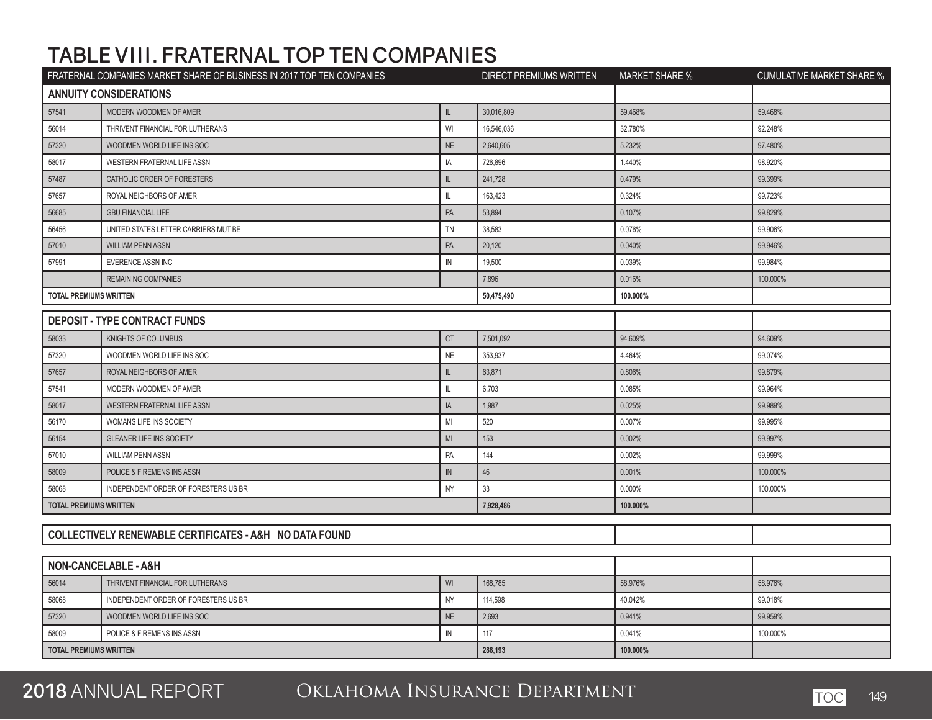## **TABLE VIII. FRATERNAL TOP TEN COMPANIES**

|                                          | FRATERNAL COMPANIES MARKET SHARE OF BUSINESS IN 2017 TOP TEN COMPANIES |             | <b>DIRECT PREMIUMS WRITTEN</b> | <b>MARKET SHARE %</b> | <b>CUMULATIVE MARKET SHARE %</b> |
|------------------------------------------|------------------------------------------------------------------------|-------------|--------------------------------|-----------------------|----------------------------------|
|                                          | <b>ANNUITY CONSIDERATIONS</b>                                          |             |                                |                       |                                  |
| 57541                                    | MODERN WOODMEN OF AMER                                                 | IL.         | 30,016,809                     | 59.468%               | 59.468%                          |
| 56014                                    | THRIVENT FINANCIAL FOR LUTHERANS                                       | WI          | 16,546,036                     | 32.780%               | 92.248%                          |
| 57320                                    | WOODMEN WORLD LIFE INS SOC                                             | NE          | 2,640,605                      | 5.232%                | 97.480%                          |
| 58017                                    | WESTERN FRATERNAL LIFE ASSN                                            | IA          | 726,896                        | 1.440%                | 98.920%                          |
| 57487                                    | CATHOLIC ORDER OF FORESTERS                                            | IL          | 241,728                        | 0.479%                | 99.399%                          |
| 57657                                    | ROYAL NEIGHBORS OF AMER                                                | IL.         | 163,423                        | 0.324%                | 99.723%                          |
| 56685                                    | <b>GBU FINANCIAL LIFE</b>                                              | PA          | 53,894                         | 0.107%                | 99.829%                          |
| 56456                                    | UNITED STATES LETTER CARRIERS MUT BE                                   | TN          | 38,583                         | 0.076%                | 99.906%                          |
| 57010                                    | <b>WILLIAM PENN ASSN</b>                                               | PA          | 20,120                         | 0.040%                | 99.946%                          |
| 57991                                    | EVERENCE ASSN INC                                                      | $\mathbb N$ | 19,500                         | 0.039%                | 99.984%                          |
|                                          | <b>REMAINING COMPANIES</b>                                             |             | 7,896                          | 0.016%                | 100.000%                         |
| <b>TOTAL PREMIUMS WRITTEN</b>            |                                                                        |             | 50,475,490                     | 100.000%              |                                  |
|                                          | <b>DEPOSIT - TYPE CONTRACT FUNDS</b>                                   |             |                                |                       |                                  |
| 58033                                    | KNIGHTS OF COLUMBUS                                                    | <b>CT</b>   | 7,501,092                      | 94.609%               | 94.609%                          |
| 57320                                    | WOODMEN WORLD LIFE INS SOC                                             | <b>NE</b>   | 353,937                        | 4.464%                | 99.074%                          |
| 57657                                    | ROYAL NEIGHBORS OF AMER                                                | IL.         | 63,871                         | 0.806%                | 99.879%                          |
| 57541                                    | MODERN WOODMEN OF AMER                                                 | IL.         | 6,703                          | 0.085%                | 99.964%                          |
| 58017                                    | WESTERN FRATERNAL LIFE ASSN                                            | IA          | 1,987                          | 0.025%                | 99.989%                          |
| 56170                                    | WOMANS LIFE INS SOCIETY                                                | MI          | 520                            | 0.007%                | 99.995%                          |
| 56154                                    | <b>GLEANER LIFE INS SOCIETY</b>                                        | MI          | 153                            | 0.002%                | 99.997%                          |
| 57010                                    | <b>WILLIAM PENN ASSN</b>                                               | PA          | 144                            | 0.002%                | 99.999%                          |
| 58009                                    | POLICE & FIREMENS INS ASSN                                             | ${\sf IN}$  | 46                             | 0.001%                | 100.000%                         |
| 58068                                    | INDEPENDENT ORDER OF FORESTERS US BR                                   | <b>NY</b>   | 33                             | 0.000%                | 100.000%                         |
| <b>TOTAL PREMIUMS WRITTEN</b>            |                                                                        |             | 7,928,486                      | 100.000%              |                                  |
|                                          |                                                                        |             |                                |                       |                                  |
|                                          | COLLECTIVELY RENEWABLE CERTIFICATES - A&H NO DATA FOUND                |             |                                |                       |                                  |
|                                          |                                                                        |             |                                |                       |                                  |
|                                          | NON-CANCELABLE - A&H                                                   |             |                                |                       |                                  |
| 56014                                    | THRIVENT FINANCIAL FOR LUTHERANS                                       | WI          | 168,785                        | 58.976%               | 58.976%                          |
| 58068                                    | INDEPENDENT ORDER OF FORESTERS US BR                                   | <b>NY</b>   | 114,598                        | 40.042%               | 99.018%                          |
| 57320                                    | WOODMEN WORLD LIFE INS SOC                                             | NE          | 2,693                          | 0.941%                | 99.959%                          |
| 58009                                    | POLICE & FIREMENS INS ASSN                                             | ${\sf IN}$  | 117                            | 0.041%                | 100.000%                         |
| <b>TOTAL PREMIUMS WRITTEN</b><br>286.193 |                                                                        |             | 100.000%                       |                       |                                  |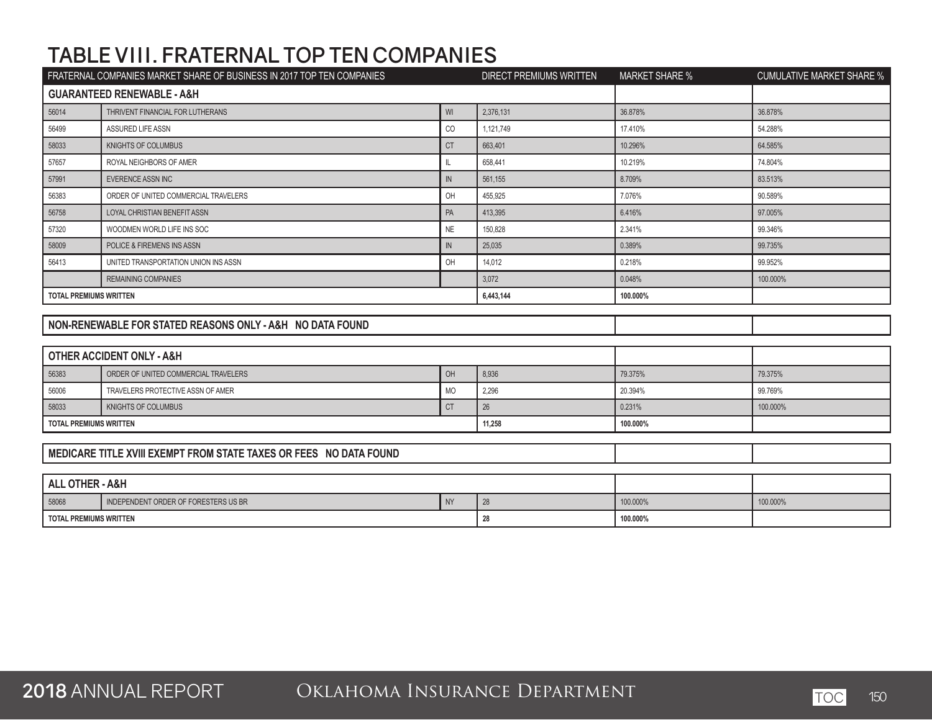## **TABLE VIII. FRATERNAL TOP TEN COMPANIES**

|                               | FRATERNAL COMPANIES MARKET SHARE OF BUSINESS IN 2017 TOP TEN COMPANIES |               | <b>DIRECT PREMIUMS WRITTEN</b> | <b>MARKET SHARE %</b> | <b>CUMULATIVE MARKET SHARE %</b> |
|-------------------------------|------------------------------------------------------------------------|---------------|--------------------------------|-----------------------|----------------------------------|
|                               | <b>GUARANTEED RENEWABLE - A&amp;H</b>                                  |               |                                |                       |                                  |
| 56014                         | THRIVENT FINANCIAL FOR LUTHERANS                                       | WI            | 2,376,131                      | 36.878%               | 36.878%                          |
| 56499                         | <b>ASSURED LIFE ASSN</b>                                               | CO            | 1,121,749                      | 17.410%               | 54.288%                          |
| 58033                         | <b>KNIGHTS OF COLUMBUS</b>                                             | <b>CT</b>     | 663,401                        | 10.296%               | 64.585%                          |
| 57657                         | ROYAL NEIGHBORS OF AMER                                                | IL            | 658,441                        | 10.219%               | 74.804%                          |
| 57991                         | EVERENCE ASSN INC                                                      | IN            | 561,155                        | 8.709%                | 83.513%                          |
| 56383                         | ORDER OF UNITED COMMERCIAL TRAVELERS                                   | OH            | 455,925                        | 7.076%                | 90.589%                          |
| 56758                         | LOYAL CHRISTIAN BENEFIT ASSN                                           | PA            | 413,395                        | 6.416%                | 97.005%                          |
| 57320                         | WOODMEN WORLD LIFE INS SOC                                             | <b>NE</b>     | 150,828                        | 2.341%                | 99.346%                          |
| 58009                         | POLICE & FIREMENS INS ASSN                                             | $\mathsf{IN}$ | 25,035                         | 0.389%                | 99.735%                          |
| 56413                         | UNITED TRANSPORTATION UNION INS ASSN                                   | OH            | 14,012                         | 0.218%                | 99.952%                          |
|                               | <b>REMAINING COMPANIES</b>                                             |               | 3,072                          | 0.048%                | 100.000%                         |
| <b>TOTAL PREMIUMS WRITTEN</b> |                                                                        |               | 6,443,144                      | 100.000%              |                                  |
|                               |                                                                        |               |                                |                       |                                  |
|                               | NON-RENEWABLE FOR STATED REASONS ONLY - A&H NO DATA FOUND              |               |                                |                       |                                  |
|                               |                                                                        |               |                                |                       |                                  |
|                               | <b>OTHER ACCIDENT ONLY - A&amp;H</b>                                   |               |                                |                       |                                  |
| 56383                         | ORDER OF UNITED COMMERCIAL TRAVELERS                                   | OH            | 8,936                          | 79.375%               | 79.375%                          |
| 56006                         | TRAVELERS PROTECTIVE ASSN OF AMER                                      | <b>MO</b>     | 2,296                          | 20.394%               | 99.769%                          |
| 58033                         | KNIGHTS OF COLUMBUS                                                    | <b>CT</b>     | 26                             | 0.231%                | 100.000%                         |
| <b>TOTAL PREMIUMS WRITTEN</b> |                                                                        |               | 11,258                         | 100.000%              |                                  |
|                               |                                                                        |               |                                |                       |                                  |
|                               | MEDICARE TITLE XVIII EXEMPT FROM STATE TAXES OR FEES NO DATA FOUND     |               |                                |                       |                                  |
|                               |                                                                        |               |                                |                       |                                  |
| <b>ALL OTHER - A&amp;H</b>    |                                                                        |               |                                |                       |                                  |
| 58068                         | INDEPENDENT ORDER OF FORESTERS US BR                                   | <b>NY</b>     | 28                             | 100.000%              | 100.000%                         |
| <b>TOTAL PREMIUMS WRITTEN</b> |                                                                        |               | 28                             | 100.000%              |                                  |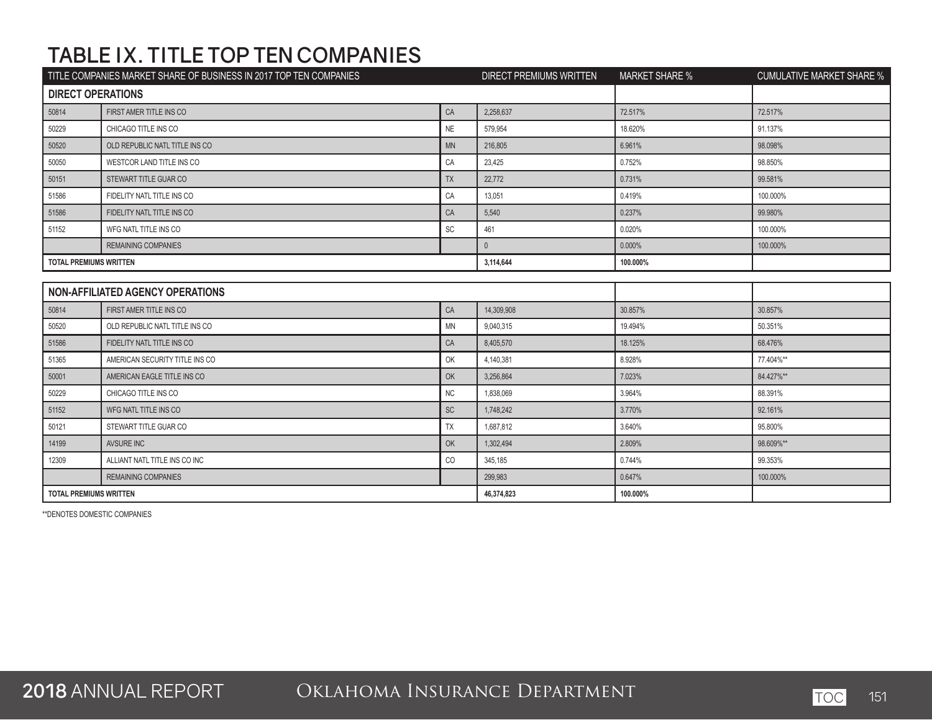# **TABLE IX. TITLE TOP TEN COMPANIES**

| TITLE COMPANIES MARKET SHARE OF BUSINESS IN 2017 TOP TEN COMPANIES |                                         | DIRECT PREMIUMS WRITTEN | <b>MARKET SHARE %</b> | <b>CUMULATIVE MARKET SHARE %</b> |           |
|--------------------------------------------------------------------|-----------------------------------------|-------------------------|-----------------------|----------------------------------|-----------|
| <b>DIRECT OPERATIONS</b>                                           |                                         |                         |                       |                                  |           |
| 50814                                                              | FIRST AMER TITLE INS CO                 | CA                      | 2,258,637             | 72.517%                          | 72.517%   |
| 50229                                                              | CHICAGO TITLE INS CO                    | <b>NE</b>               | 579,954               | 18.620%                          | 91.137%   |
| 50520                                                              | OLD REPUBLIC NATL TITLE INS CO          | MN                      | 216,805               | 6.961%                           | 98.098%   |
| 50050                                                              | WESTCOR LAND TITLE INS CO               | CA                      | 23,425                | 0.752%                           | 98.850%   |
| 50151                                                              | STEWART TITLE GUAR CO                   | <b>TX</b>               | 22,772                | 0.731%                           | 99.581%   |
| 51586                                                              | FIDELITY NATL TITLE INS CO              | CA                      | 13,051                | 0.419%                           | 100.000%  |
| 51586                                                              | FIDELITY NATL TITLE INS CO              | CA                      | 5,540                 | 0.237%                           | 99.980%   |
| 51152                                                              | WFG NATL TITLE INS CO                   | SC                      | 461                   | 0.020%                           | 100.000%  |
|                                                                    | <b>REMAINING COMPANIES</b>              |                         | $\mathbb O$           | 0.000%                           | 100.000%  |
| <b>TOTAL PREMIUMS WRITTEN</b>                                      |                                         |                         | 3,114,644             | 100.000%                         |           |
|                                                                    |                                         |                         |                       |                                  |           |
|                                                                    | <b>NON-AFFILIATED AGENCY OPERATIONS</b> |                         |                       |                                  |           |
| 50814                                                              | FIRST AMER TITLE INS CO                 | CA                      | 14,309,908            | 30.857%                          | 30.857%   |
| 50520                                                              | OLD REPUBLIC NATL TITLE INS CO          | <b>MN</b>               | 9.040.315             | 19.494%                          | 50.351%   |
| 51586                                                              | FIDELITY NATL TITLE INS CO              | CA                      | 8,405,570             | 18.125%                          | 68.476%   |
| 51365                                                              | AMERICAN SECURITY TITLE INS CO          | OK                      | 4,140,381             | 8.928%                           | 77.404%** |
| 50001                                                              | AMERICAN EAGLE TITLE INS CO             | OK                      | 3,256,864             | 7.023%                           | 84.427%** |
| 50229                                                              | CHICAGO TITLE INS CO                    | <b>NC</b>               | 1.838.069             | 3.964%                           | 88.391%   |
| 51152                                                              | WFG NATL TITLE INS CO                   | $\mathsf{SC}$           | 1,748,242             | 3.770%                           | 92.161%   |
| 50121                                                              | STEWART TITLE GUAR CO                   | <b>TX</b>               | 1,687,812             | 3.640%                           | 95.800%   |
| 14199                                                              | <b>AVSURE INC</b>                       | OK                      | 1.302.494             | 2.809%                           | 98.609%** |
| 12309                                                              | ALLIANT NATL TITLE INS CO INC           | CO                      | 345,185               | 0.744%                           | 99.353%   |
|                                                                    | <b>REMAINING COMPANIES</b>              |                         | 299.983               | 0.647%                           | 100.000%  |
| <b>TOTAL PREMIUMS WRITTEN</b>                                      |                                         | 46,374,823              | 100.000%              |                                  |           |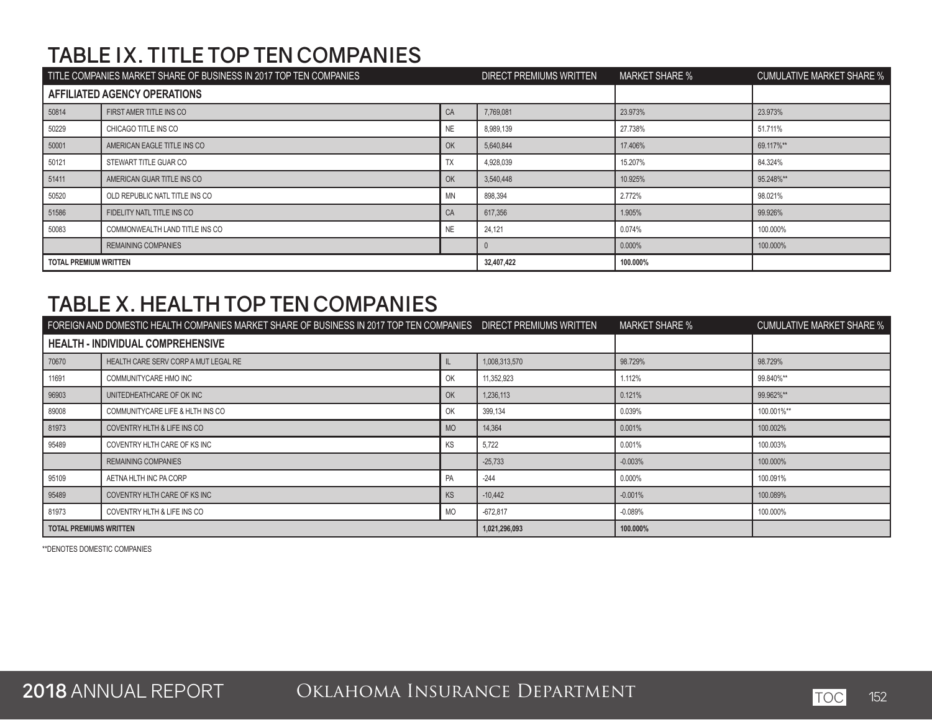# **TABLE IX. TITLE TOP TEN COMPANIES**

| TITLE COMPANIES MARKET SHARE OF BUSINESS IN 2017 TOP TEN COMPANIES |                                | <b>DIRECT PREMIUMS WRITTEN</b> | <b>MARKET SHARE %</b> | <b>CUMULATIVE MARKET SHARE %</b> |           |
|--------------------------------------------------------------------|--------------------------------|--------------------------------|-----------------------|----------------------------------|-----------|
|                                                                    | AFFILIATED AGENCY OPERATIONS   |                                |                       |                                  |           |
| 50814                                                              | FIRST AMER TITLE INS CO        | CA                             | 7.769.081             | 23.973%                          | 23.973%   |
| 50229                                                              | CHICAGO TITLE INS CO           | NE                             | 8,989,139             | 27.738%                          | 51.711%   |
| 50001                                                              | AMERICAN EAGLE TITLE INS CO    | OK                             | 5,640,844             | 17.406%                          | 69.117%** |
| 50121                                                              | STEWART TITLE GUAR CO          | <b>TX</b>                      | 4,928,039             | 15.207%                          | 84.324%   |
| 51411                                                              | AMERICAN GUAR TITLE INS CO     | OK                             | 3,540,448             | 10.925%                          | 95.248%** |
| 50520                                                              | OLD REPUBLIC NATL TITLE INS CO | <b>MN</b>                      | 898,394               | 2.772%                           | 98.021%   |
| 51586                                                              | FIDELITY NATL TITLE INS CO     | CA                             | 617,356               | 1.905%                           | 99.926%   |
| 50083                                                              | COMMONWEALTH LAND TITLE INS CO | NE.                            | 24,121                | 0.074%                           | 100.000%  |
|                                                                    | <b>REMAINING COMPANIES</b>     |                                |                       | 0.000%                           | 100.000%  |
| <b>TOTAL PREMIUM WRITTEN</b>                                       |                                | 32,407,422                     | 100.000%              |                                  |           |

## **TABLE X. HEALTH TOP TEN COMPANIES**

|                        | FOREIGN AND DOMESTIC HEALTH COMPANIES MARKET SHARE OF BUSINESS IN 2017 TOP TEN COMPANIES DIRECT PREMIUMS WRITTEN | <b>MARKET SHARE %</b> | <b>CUMULATIVE MARKET SHARE %</b> |           |            |
|------------------------|------------------------------------------------------------------------------------------------------------------|-----------------------|----------------------------------|-----------|------------|
|                        | HEALTH - INDIVIDUAL COMPREHENSIVE                                                                                |                       |                                  |           |            |
| 70670                  | HEALTH CARE SERV CORP A MUT LEGAL RE                                                                             |                       | 1,008,313,570                    | 98.729%   | 98.729%    |
| 11691                  | COMMUNITYCARE HMO INC                                                                                            | OK                    | 11,352,923                       | 1.112%    | 99.840%**  |
| 96903                  | UNITEDHEATHCARE OF OK INC                                                                                        | OK                    | 1,236,113                        | 0.121%    | 99.962%**  |
| 89008                  | COMMUNITYCARE LIFE & HLTH INS CO                                                                                 | OK                    | 399,134                          | 0.039%    | 100.001%** |
| 81973                  | COVENTRY HLTH & LIFE INS CO                                                                                      | <b>MO</b>             | 14,364                           | 0.001%    | 100.002%   |
| 95489                  | COVENTRY HLTH CARE OF KS INC                                                                                     | KS                    | 5,722                            | 0.001%    | 100.003%   |
|                        | <b>REMAINING COMPANIES</b>                                                                                       |                       | $-25,733$                        | $-0.003%$ | 100.000%   |
| 95109                  | AETNA HLTH INC PA CORP                                                                                           | PA                    | $-244$                           | $0.000\%$ | 100.091%   |
| 95489                  | COVENTRY HLTH CARE OF KS INC                                                                                     | <b>KS</b>             | $-10.442$                        | $-0.001%$ | 100.089%   |
| 81973                  | COVENTRY HLTH & LIFE INS CO                                                                                      | <b>MO</b>             | $-672.817$                       | $-0.089%$ | 100.000%   |
| TOTAL PREMIUMS WRITTEN |                                                                                                                  |                       | 1,021,296,093                    | 100.000%  |            |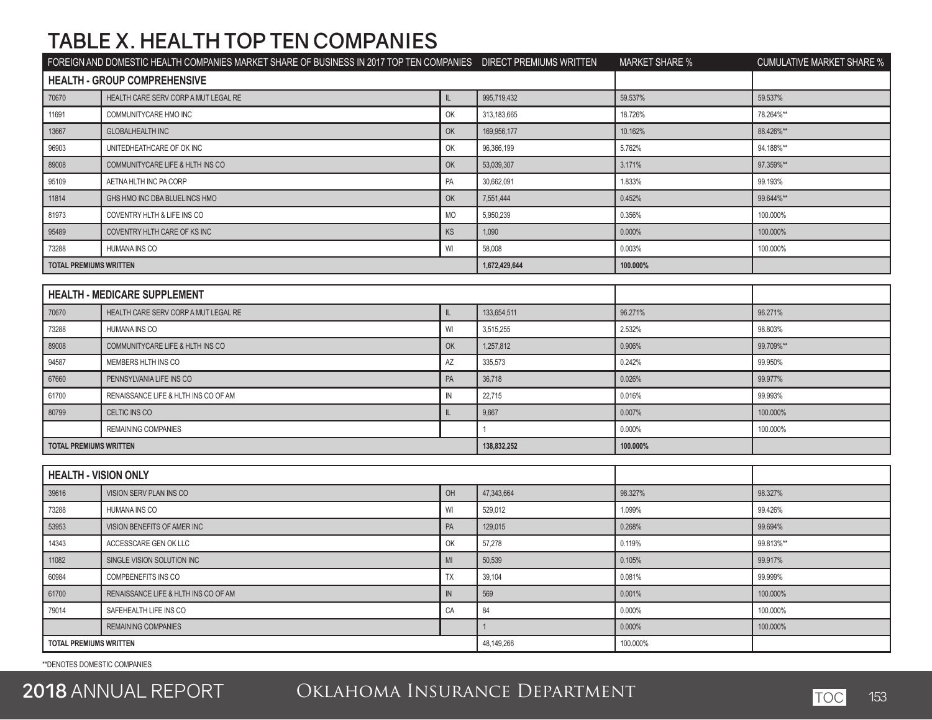## **TABLE X. HEALTH TOP TEN COMPANIES**

|                               | FOREIGN AND DOMESTIC HEALTH COMPANIES MARKET SHARE OF BUSINESS IN 2017 TOP TEN COMPANIES DIRECT PREMIUMS WRITTEN |               |               | <b>MARKET SHARE %</b> | <b>CUMULATIVE MARKET SHARE %</b> |
|-------------------------------|------------------------------------------------------------------------------------------------------------------|---------------|---------------|-----------------------|----------------------------------|
|                               | <b>HEALTH - GROUP COMPREHENSIVE</b>                                                                              |               |               |                       |                                  |
| 70670                         | HEALTH CARE SERV CORP A MUT LEGAL RE                                                                             | IL.           | 995,719,432   | 59.537%               | 59.537%                          |
| 11691                         | COMMUNITYCARE HMO INC                                                                                            | OK            | 313,183,665   | 18.726%               | 78.264%**                        |
| 13667                         | <b>GLOBALHEALTH INC</b>                                                                                          | OK            | 169,956,177   | 10.162%               | 88.426%**                        |
| 96903                         | UNITEDHEATHCARE OF OK INC                                                                                        | OK            | 96,366,199    | 5.762%                | 94.188%**                        |
| 89008                         | COMMUNITYCARE LIFE & HLTH INS CO                                                                                 | OK            | 53,039,307    | 3.171%                | 97.359%**                        |
| 95109                         | AETNA HLTH INC PA CORP                                                                                           | PA            | 30,662,091    | 1.833%                | 99.193%                          |
| 11814                         | GHS HMO INC DBA BLUELINCS HMO                                                                                    | OK            | 7,551,444     | 0.452%                | 99.644%**                        |
| 81973                         | COVENTRY HLTH & LIFE INS CO                                                                                      | <b>MO</b>     | 5,950,239     | 0.356%                | 100.000%                         |
| 95489                         | COVENTRY HLTH CARE OF KS INC                                                                                     | KS            | 1,090         | 0.000%                | 100.000%                         |
| 73288                         | HUMANA INS CO                                                                                                    | WI            | 58,008        | 0.003%                | 100.000%                         |
| <b>TOTAL PREMIUMS WRITTEN</b> |                                                                                                                  |               | 1,672,429,644 | 100.000%              |                                  |
|                               |                                                                                                                  |               |               |                       |                                  |
|                               | <b>HEALTH - MEDICARE SUPPLEMENT</b>                                                                              |               |               |                       |                                  |
| 70670                         | HEALTH CARE SERV CORP A MUT LEGAL RE                                                                             | IL.           | 133,654,511   | 96.271%               | 96.271%                          |
| 73288                         | <b>HUMANA INS CO</b>                                                                                             | WI            | 3,515,255     | 2.532%                | 98.803%                          |
| 89008                         | COMMUNITYCARE LIFE & HLTH INS CO                                                                                 | OK            | 1,257,812     | 0.906%                | 99.709%**                        |
| 94587                         | MEMBERS HLTH INS CO                                                                                              | AZ            | 335,573       | 0.242%                | 99.950%                          |
| 67660                         | PENNSYLVANIA LIFE INS CO                                                                                         | PA            | 36,718        | 0.026%                | 99.977%                          |
| 61700                         | RENAISSANCE LIFE & HLTH INS CO OF AM                                                                             | $\mathsf{IN}$ | 22,715        | 0.016%                | 99.993%                          |
| 80799                         | CELTIC INS CO                                                                                                    | $\mathsf{IL}$ | 9,667         | 0.007%                | 100.000%                         |
|                               | <b>REMAINING COMPANIES</b>                                                                                       |               | $\mathbf{1}$  | 0.000%                | 100.000%                         |
| <b>TOTAL PREMIUMS WRITTEN</b> |                                                                                                                  |               | 138,832,252   | 100.000%              |                                  |
|                               |                                                                                                                  |               |               |                       |                                  |
| <b>HEALTH - VISION ONLY</b>   |                                                                                                                  |               |               |                       |                                  |
| 39616                         | VISION SERV PLAN INS CO                                                                                          | OH            | 47,343,664    | 98.327%               | 98.327%                          |
| 73288                         | HUMANA INS CO                                                                                                    | WI            | 529,012       | 1.099%                | 99.426%                          |
| 53953                         | VISION BENEFITS OF AMER INC                                                                                      | PA            | 129,015       | 0.268%                | 99.694%                          |
| 14343                         | ACCESSCARE GEN OK LLC                                                                                            | OK            | 57,278        | 0.119%                | 99.813%**                        |
| 11082                         | SINGLE VISION SOLUTION INC                                                                                       | MI            | 50.539        | 0.105%                | 99.917%                          |
| 60984                         | <b>COMPBENEFITS INS CO</b>                                                                                       | TX            | 39,104        | 0.081%                | 99.999%                          |
| 61700                         | RENAISSANCE LIFE & HLTH INS CO OF AM                                                                             | IN            | 569           | 0.001%                | 100.000%                         |
| 79014                         | SAFEHEALTH LIFE INS CO                                                                                           | CA            | 84            | 0.000%                | 100.000%                         |
|                               | <b>REMAINING COMPANIES</b>                                                                                       |               | $\mathbf{1}$  | 0.000%                | 100.000%                         |
| <b>TOTAL PREMIUMS WRITTEN</b> |                                                                                                                  | 48,149,266    | 100.000%      |                       |                                  |

\*\*DENOTES DOMESTIC COMPANIES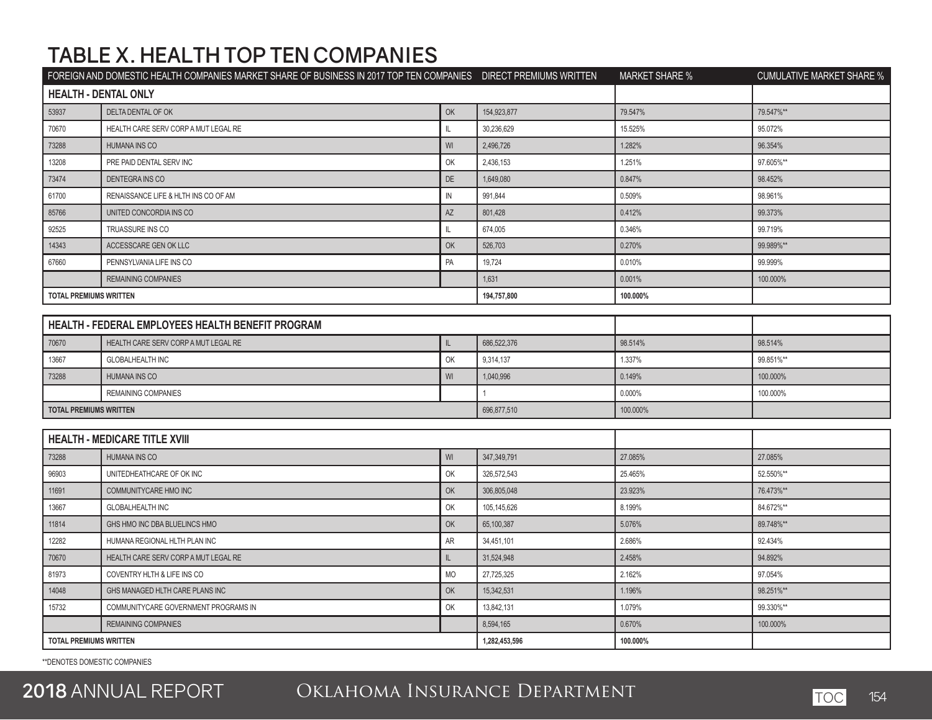# **TABLE X. HEALTH TOP TEN COMPANIES**

|                               | FOREIGN AND DOMESTIC HEALTH COMPANIES MARKET SHARE OF BUSINESS IN 2017 TOP TEN COMPANIES DIRECT PREMIUMS WRITTEN |            |               | <b>MARKET SHARE %</b> | <b>CUMULATIVE MARKET SHARE %</b> |
|-------------------------------|------------------------------------------------------------------------------------------------------------------|------------|---------------|-----------------------|----------------------------------|
| <b>HEALTH - DENTAL ONLY</b>   |                                                                                                                  |            |               |                       |                                  |
| 53937                         | DELTA DENTAL OF OK                                                                                               | OK         | 154,923,877   | 79.547%               | 79.547%**                        |
| 70670                         | HEALTH CARE SERV CORP A MUT LEGAL RE                                                                             | IL         | 30,236,629    | 15.525%               | 95.072%                          |
| 73288                         | <b>HUMANA INS CO</b>                                                                                             | WI         | 2,496,726     | 1.282%                | 96.354%                          |
| 13208                         | PRE PAID DENTAL SERV INC                                                                                         | OK         | 2,436,153     | 1.251%                | 97.605%**                        |
| 73474                         | DENTEGRA INS CO                                                                                                  | DE         | 1,649,080     | 0.847%                | 98.452%                          |
| 61700                         | RENAISSANCE LIFE & HLTH INS CO OF AM                                                                             | ${\sf IN}$ | 991,844       | 0.509%                | 98.961%                          |
| 85766                         | UNITED CONCORDIA INS CO                                                                                          | AZ         | 801,428       | 0.412%                | 99.373%                          |
| 92525                         | TRUASSURE INS CO                                                                                                 | IL.        | 674,005       | 0.346%                | 99.719%                          |
| 14343                         | ACCESSCARE GEN OK LLC                                                                                            | OK         | 526,703       | 0.270%                | 99.989%**                        |
| 67660                         | PENNSYLVANIA LIFE INS CO                                                                                         | PA         | 19,724        | 0.010%                | 99.999%                          |
|                               | <b>REMAINING COMPANIES</b>                                                                                       |            | 1,631         | 0.001%                | 100.000%                         |
| <b>TOTAL PREMIUMS WRITTEN</b> |                                                                                                                  |            | 194,757,800   | 100.000%              |                                  |
|                               |                                                                                                                  |            |               |                       |                                  |
|                               | HEALTH - FEDERAL EMPLOYEES HEALTH BENEFIT PROGRAM                                                                |            |               |                       |                                  |
| 70670                         | HEALTH CARE SERV CORP A MUT LEGAL RE                                                                             | IL.        | 686,522,376   | 98.514%               | 98.514%                          |
| 13667                         | <b>GLOBALHEALTH INC</b>                                                                                          | OK         | 9,314,137     | 1.337%                | 99.851%**                        |
| 73288                         | <b>HUMANA INS CO</b>                                                                                             | WI         | 1,040,996     | 0.149%                | 100.000%                         |
|                               | <b>REMAINING COMPANIES</b>                                                                                       |            | $\mathbf{1}$  | 0.000%                | 100.000%                         |
| <b>TOTAL PREMIUMS WRITTEN</b> |                                                                                                                  |            | 696,877,510   | 100.000%              |                                  |
|                               |                                                                                                                  |            |               |                       |                                  |
|                               | <b>HEALTH - MEDICARE TITLE XVIII</b>                                                                             |            |               |                       |                                  |
| 73288                         | HUMANA INS CO                                                                                                    | WI         | 347,349,791   | 27.085%               | 27.085%                          |
| 96903                         | UNITEDHEATHCARE OF OK INC                                                                                        | OK         | 326,572,543   | 25.465%               | 52.550%**                        |
| 11691                         | COMMUNITYCARE HMO INC                                                                                            | OK         | 306,805,048   | 23.923%               | 76.473%**                        |
| 13667                         | <b>GLOBALHEALTH INC</b>                                                                                          | OK         | 105,145,626   | 8.199%                | 84.672%**                        |
| 11814                         | GHS HMO INC DBA BLUELINCS HMO                                                                                    | OK         | 65,100,387    | 5.076%                | 89.748%**                        |
| 12282                         | HUMANA REGIONAL HLTH PLAN INC                                                                                    | AR         | 34,451,101    | 2.686%                | 92.434%                          |
| 70670                         | HEALTH CARE SERV CORP A MUT LEGAL RE                                                                             | IL.        | 31,524,948    | 2.458%                | 94.892%                          |
| 81973                         | COVENTRY HLTH & LIFE INS CO                                                                                      | <b>MO</b>  | 27,725,325    | 2.162%                | 97.054%                          |
| 14048                         | GHS MANAGED HLTH CARE PLANS INC                                                                                  | OK         | 15,342,531    | 1.196%                | 98.251%**                        |
| 15732                         | COMMUNITYCARE GOVERNMENT PROGRAMS IN                                                                             | OK         | 13,842,131    | 1.079%                | 99.330%**                        |
|                               | <b>REMAINING COMPANIES</b>                                                                                       |            | 8,594,165     | 0.670%                | 100.000%                         |
| <b>TOTAL PREMIUMS WRITTEN</b> |                                                                                                                  |            | 1,282,453,596 | 100.000%              |                                  |
|                               |                                                                                                                  |            |               |                       |                                  |

\*\*DENOTES DOMESTIC COMPANIES